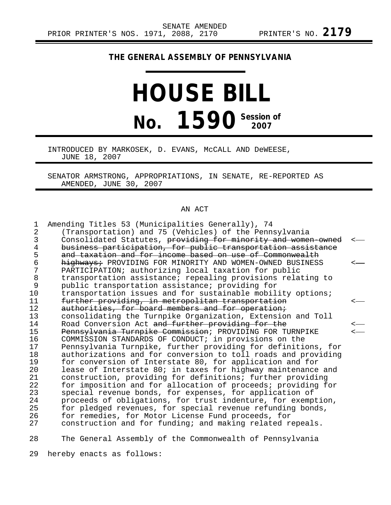## **THE GENERAL ASSEMBLY OF PENNSYLVANIA**

## **HOUSE BILL No. 1590** Session of

INTRODUCED BY MARKOSEK, D. EVANS, McCALL AND DeWEESE, JUNE 18, 2007

SENATOR ARMSTRONG, APPROPRIATIONS, IN SENATE, RE-REPORTED AS AMENDED, JUNE 30, 2007

## AN ACT

| $\mathbf{1}$   | Amending Titles 53 (Municipalities Generally), 74             |                                                                                                                                                                                                                                                                                                                                                                                                                                                                           |
|----------------|---------------------------------------------------------------|---------------------------------------------------------------------------------------------------------------------------------------------------------------------------------------------------------------------------------------------------------------------------------------------------------------------------------------------------------------------------------------------------------------------------------------------------------------------------|
| $\overline{2}$ | (Transportation) and 75 (Vehicles) of the Pennsylvania        |                                                                                                                                                                                                                                                                                                                                                                                                                                                                           |
| 3              | Consolidated Statutes, providing for minority and women owned | $\leftarrow$                                                                                                                                                                                                                                                                                                                                                                                                                                                              |
| 4              | business participation, for public transportation assistance  |                                                                                                                                                                                                                                                                                                                                                                                                                                                                           |
| 5              | and taxation and for income based on use of Commonwealth      |                                                                                                                                                                                                                                                                                                                                                                                                                                                                           |
| 6              | highways: PROVIDING FOR MINORITY AND WOMEN-OWNED BUSINESS     | $\leftarrow$                                                                                                                                                                                                                                                                                                                                                                                                                                                              |
| 7              | PARTICIPATION; authorizing local taxation for public          |                                                                                                                                                                                                                                                                                                                                                                                                                                                                           |
| $\,8\,$        | transportation assistance; repealing provisions relating to   |                                                                                                                                                                                                                                                                                                                                                                                                                                                                           |
| 9              | public transportation assistance; providing for               |                                                                                                                                                                                                                                                                                                                                                                                                                                                                           |
| 10             | transportation issues and for sustainable mobility options;   |                                                                                                                                                                                                                                                                                                                                                                                                                                                                           |
| 11             | further providing, in metropolitan transportation             | $\mathrel{{\mathrel{\mathop{\scriptstyle\mathop{\scriptstyle\mathop{\scriptstyle\mathop{\scriptstyle\mathop{\scriptstyle\mathop{\scriptstyle\mathop{\scriptstyle\mathop{\scriptstyle\mathop{\scriptstyle\mathop{\scriptstyle\mathop{\scriptstyle\mathop{\scriptstyle\mathop{\scriptstyle\mathop{\scriptstyle\mathop{\scriptstyle\mathop{\scriptstyle\mathop{\scriptstyle\mathop{\scriptstyle\mathop{\scriptstyle\mathop{\scriptstyle\mathop{\cal F}}}}}}}}}}}\math>}}}}}$ |
| 12             | authorities, for board members and for operation;             |                                                                                                                                                                                                                                                                                                                                                                                                                                                                           |
| 13             | consolidating the Turnpike Organization, Extension and Toll   |                                                                                                                                                                                                                                                                                                                                                                                                                                                                           |
| 14             | Road Conversion Act and further providing for the             | $\overline{\phantom{a}}$                                                                                                                                                                                                                                                                                                                                                                                                                                                  |
| 15             | Pennsylvania Turnpike Commission; PROVIDING FOR TURNPIKE      | $\leftarrow$                                                                                                                                                                                                                                                                                                                                                                                                                                                              |
| 16             | COMMISSION STANDARDS OF CONDUCT; in provisions on the         |                                                                                                                                                                                                                                                                                                                                                                                                                                                                           |
| 17             | Pennsylvania Turnpike, further providing for definitions, for |                                                                                                                                                                                                                                                                                                                                                                                                                                                                           |
| 18             | authorizations and for conversion to toll roads and providing |                                                                                                                                                                                                                                                                                                                                                                                                                                                                           |
| 19             | for conversion of Interstate 80, for application and for      |                                                                                                                                                                                                                                                                                                                                                                                                                                                                           |
| 20             | lease of Interstate 80; in taxes for highway maintenance and  |                                                                                                                                                                                                                                                                                                                                                                                                                                                                           |
| 21             | construction, providing for definitions; further providing    |                                                                                                                                                                                                                                                                                                                                                                                                                                                                           |
| 22             | for imposition and for allocation of proceeds; providing for  |                                                                                                                                                                                                                                                                                                                                                                                                                                                                           |
| 23             | special revenue bonds, for expenses, for application of       |                                                                                                                                                                                                                                                                                                                                                                                                                                                                           |
| 24             | proceeds of obligations, for trust indenture, for exemption,  |                                                                                                                                                                                                                                                                                                                                                                                                                                                                           |
| 25             | for pledged revenues, for special revenue refunding bonds,    |                                                                                                                                                                                                                                                                                                                                                                                                                                                                           |
| 26             | for remedies, for Motor License Fund proceeds, for            |                                                                                                                                                                                                                                                                                                                                                                                                                                                                           |
| 27             | construction and for funding; and making related repeals.     |                                                                                                                                                                                                                                                                                                                                                                                                                                                                           |
|                |                                                               |                                                                                                                                                                                                                                                                                                                                                                                                                                                                           |

28 The General Assembly of the Commonwealth of Pennsylvania

29 hereby enacts as follows: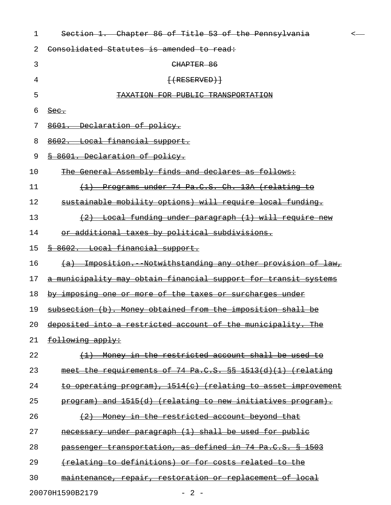| 1  | Section 1. Chapter 86 of Title 53 of the Pennsylvania                          |  |
|----|--------------------------------------------------------------------------------|--|
| 2  | Consolidated Statutes is amended to read:                                      |  |
| 3  | CHAPTER 86                                                                     |  |
| 4  | $\{$ (RESERVED) $\}$                                                           |  |
| 5  | <u>KATION FOR PUBLIC TRANSPORTATI</u>                                          |  |
| 6  | $\frac{\text{Sec.}}{\text{Sec.}}$                                              |  |
| 7  | Declaration of policy.                                                         |  |
| 8  | Local financial support.                                                       |  |
| 9  | 8601. Declaration of policy.                                                   |  |
| 10 | The General Assembly finds and declares as follows:                            |  |
| 11 | Programs under 74 Pa.C.S. Ch. 13A (relating to<br>$\leftrightarrow$            |  |
| 12 | sustainable mobility options) will require local funding.                      |  |
| 13 | (2) Local funding under paragraph (1) will require new                         |  |
| 14 | or additional taxes by political subdivisions.                                 |  |
| 15 | § 8602. Local financial support.                                               |  |
| 16 | Imposition. Notwithstanding any other provision of law,<br><del>(a)</del>      |  |
| 17 | a municipality may obtain financial support for transit systems                |  |
| 18 | by imposing one or more of the taxes or surcharges under                       |  |
| 19 | subsection (b). Money obtained from the imposition shall be                    |  |
| 20 | deposited into a restricted account of the municipality. The                   |  |
| 21 | following apply:                                                               |  |
| 22 | Money in the restricted account shall be used to<br>$\left(\frac{1}{2}\right)$ |  |
| 23 | meet the requirements of 74 Pa.C.S. $88$ 1513(d)(1) (relating                  |  |
| 24 | to operating program), 1514(c) (relating to asset improvement                  |  |
| 25 | program) and 1515(d) (relating to new initiatives program).                    |  |
| 26 | (2)<br>Money in the restricted account beyond that                             |  |
| 27 | necessary under paragraph (1) shall be used for public                         |  |
| 28 | passenger transportation, as defined in 74 Pa.C.S. § 1503                      |  |
| 29 | (relating to definitions) or for costs related to the                          |  |
| 30 | maintenance, repair, restoration or replacement of local                       |  |
|    | 20070H1590B2179<br>$-2-$                                                       |  |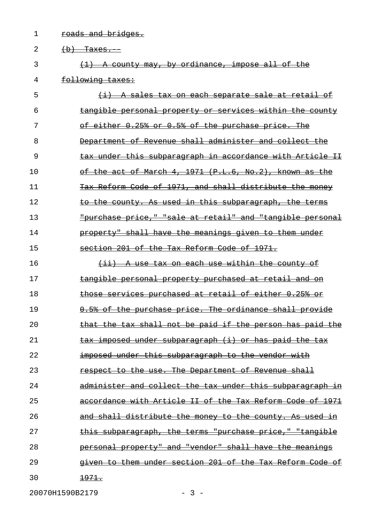1 roads and bridges.

| 2  | <del>(b) Taxes.</del>                                         |
|----|---------------------------------------------------------------|
| 3  | $(1)$ A county may, by ordinance, impose all of the           |
| 4  | following taxes:                                              |
| 5  | (i) A sales tax on each separate sale at retail of            |
| 6  | tangible personal property or services within the county      |
| 7  | of either 0.25% or 0.5% of the purchase price. The            |
| 8  | Department of Revenue shall administer and collect the        |
| 9  | tax under this subparagraph in accordance with Article II     |
| 10 | of the act of March 4, 1971 (P.L.6, No.2), known as the       |
| 11 | Tax Reform Code of 1971, and shall distribute the money       |
| 12 | to the county. As used in this subparagraph, the terms        |
| 13 | "purchase price," "sale at retail" and "tangible personal     |
| 14 | property" shall have the meanings given to them under         |
| 15 | section 201 of the Tax Reform Code of 1971.                   |
| 16 | (ii) A use tax on each use within the county of               |
| 17 | tangible personal property purchased at retail and on         |
| 18 | those services purchased at retail of either 0.25% or         |
| 19 | 0.5% of the purchase price. The ordinance shall provide       |
| 20 | that the tax shall not be paid if the person has paid the     |
| 21 | <u>tax imposed under subparagraph (i) or has paid the tax</u> |
| 22 | <u>imposed under this subparagraph to the vendor with</u>     |
| 23 | respect to the use. The Department of Revenue shall           |
| 24 | administer and collect the tax under this subparagraph in     |
| 25 | accordance with Article II of the Tax Reform Code of 1971     |
| 26 | and shall distribute the money to the county. As used in      |
| 27 | this subparagraph, the terms "purchase price," "tangible      |
| 28 | personal property" and "vendor" shall have the meanings       |
| 29 | given to them under section 201 of the Tax Reform Code of     |
| 30 | <u> 1971.</u>                                                 |

20070H1590B2179 - 3 -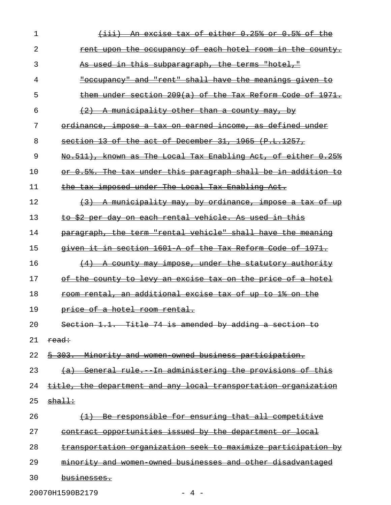| 1  | <del>tax of either</del><br><del>0.25%</del><br>0.5%<br>exet se<br>−O£ |
|----|------------------------------------------------------------------------|
| 2  | rent upon the occupancy of each hotel room in the county.              |
| 3  | <u>As used in this subparagraph, the terms "hotel,"</u>                |
| 4  | "occupancy" and "rent" shall have the meanings given to                |
| 5  | them under section $209(a)$ of the Tax Reform Code of 1971.            |
| 6  | A municipality other than a county may, by                             |
| 7  | ordinance, impose a tax on earned income, as defined under             |
| 8  | section 13 of the act of December 31, 1965 (P.L.1257,                  |
| 9  | No.511), known as The Local Tax Enabling Act, of either 0.25%          |
| 10 | or 0.5%. The tax under this paragraph shall be in addition<br>ŧө       |
| 11 | the tax imposed under The Local Tax Enabling Act.                      |
| 12 | A municipality may, by ordinance, impose a tax of up                   |
| 13 | to \$2 per day on each rental vehicle. As used in this                 |
| 14 | paragraph, the term "rental vehicle" shall have the meaning            |
| 15 | given it in section 1601 A of the Tax Reform Code of 1971.             |
| 16 | (4) A county may impose, under the statutory authority                 |
| 17 | of the county to levy an excise tax on the price of a hotel            |
| 18 | room rental, an additional excise tax of up to 1% on the               |
| 19 | price of a hotel room rental.                                          |
| 20 | Section 1.1. Title 74 is amended by adding a section to                |
| 21 | read:                                                                  |
| 22 | \$ 303. Minority and women owned business participation.               |
| 23 | (a) General rule. In administering the provisions of this              |
| 24 | title, the department and any local transportation organization        |
| 25 | $sha$ ll $\div$                                                        |
| 26 | (1) Be responsible for ensuring that all competitive                   |
| 27 | contract opportunities issued by the department or local               |
| 28 | transportation organization seek to maximize participation by          |
| 29 | minority and women owned businesses and other disadvantaged            |
| 30 | businesses.                                                            |
|    |                                                                        |

20070H1590B2179 - 4 -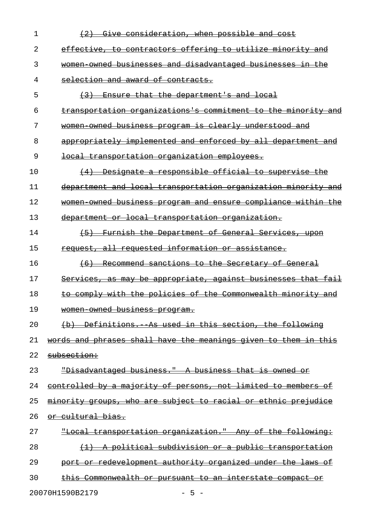| 1  | Give consideration, when possible and cost                                |
|----|---------------------------------------------------------------------------|
| 2  | effective, to contractors offering to utilize minority and                |
| 3  | women owned businesses and disadvantaged businesses in the                |
| 4  | selection and award of contracts.                                         |
| 5  | Ensure that the department's and local<br>(3)                             |
| 6  | <u>transportation organizations's commitment to the minority and </u>     |
| 7  | women owned business program is clearly understood and                    |
| 8  | appropriately implemented and enforced by all department and              |
| 9  | <del>local transportation organization employees.</del>                   |
| 10 | Designate a responsible official to supervise the<br>(4)                  |
| 11 | department and local transportation organization minority and             |
| 12 | women owned business program and ensure compliance within the             |
| 13 | department or local transportation organization.                          |
| 14 | (5)<br>Furnish the Department of General Services, upon                   |
| 15 | request, all requested information or assistance.                         |
| 16 | Recommend sanctions to the Secretary of General<br>(6)                    |
| 17 | Services, as may be appropriate, against businesses that fail             |
| 18 | to comply with the policies of the Commonwealth minority and              |
| 19 | women owned business program.                                             |
| 20 | -Definitions. As used in this section, the following<br>$\leftrightarrow$ |
| 21 | words and phrases shall have the meanings given to them in this           |
| 22 | subsection:                                                               |
| 23 | "Disadvantaged business." A business that is owned or                     |
| 24 | <u>controlled by a majority of persons, not limited to members of</u>     |
| 25 | minority groups, who are subject to racial or ethnic prejudice            |
| 26 | <del>or cultural bias.</del>                                              |
| 27 | "Local transportation organization." Any of the following:                |
| 28 | <u>A political subdivision or a public transportation</u>                 |
| 29 | port or redevelopment authority organized under the laws of               |
| 30 | this Commonwealth or pursuant to an interstate compact                    |
|    |                                                                           |

20070H1590B2179 - 5 -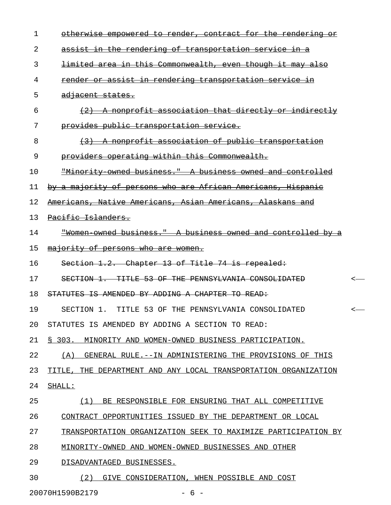| 1  | otherwise empowered to render, contract for the rendering or          |   |
|----|-----------------------------------------------------------------------|---|
| 2  | assist in the rendering of transportation service in a                |   |
| 3  | <del>limited area in this Commonwealth, even though it may also</del> |   |
| 4  | render or assist in rendering transportation service in               |   |
| 5  | <del>adjacent states.</del>                                           |   |
| 6  | (2) A nonprofit association that directly or indirectly               |   |
| 7  | provides public transportation service.                               |   |
| 8  | (3) A nonprofit association of public transportation                  |   |
| 9  | providers operating within this Commonwealth.                         |   |
| 10 | "Minority owned business." A business owned and controlled            |   |
| 11 | by a majority of persons who are African Americans, Hispanic          |   |
| 12 | Americans, Native Americans, Asian Americans, Alaskans and            |   |
| 13 | Pacific Islanders.                                                    |   |
| 14 | "Women owned business." A business owned and controlled by a          |   |
| 15 | majority of persons who are women.                                    |   |
| 16 | Section 1.2. Chapter 13 of Title 74 is repealed:                      |   |
| 17 | SECTION 1. TITLE 53 OF THE PENNSYLVANIA CONSOLIDATED                  | < |
| 18 | STATUTES IS AMENDED BY ADDING A CHAPTER TO READ:                      |   |
| 19 | SECTION 1.<br>TITLE 53 OF THE PENNSYLVANIA CONSOLIDATED               | < |
| 20 | STATUTES IS AMENDED BY ADDING A SECTION TO READ:                      |   |
| 21 | § 303. MINORITY AND WOMEN-OWNED BUSINESS PARTICIPATION.               |   |
| 22 | (A) GENERAL RULE. -- IN ADMINISTERING THE PROVISIONS OF THIS          |   |
| 23 | TITLE, THE DEPARTMENT AND ANY LOCAL TRANSPORTATION ORGANIZATION       |   |
| 24 | SHALL:                                                                |   |
| 25 | (1) BE RESPONSIBLE FOR ENSURING THAT ALL COMPETITIVE                  |   |
| 26 | CONTRACT OPPORTUNITIES ISSUED BY THE DEPARTMENT OR LOCAL              |   |
| 27 | TRANSPORTATION ORGANIZATION SEEK TO MAXIMIZE PARTICIPATION BY         |   |
| 28 | MINORITY-OWNED AND WOMEN-OWNED BUSINESSES AND OTHER                   |   |
| 29 | DISADVANTAGED BUSINESSES.                                             |   |
| 30 | (2) GIVE CONSIDERATION, WHEN POSSIBLE AND COST                        |   |

20070H1590B2179 - 6 -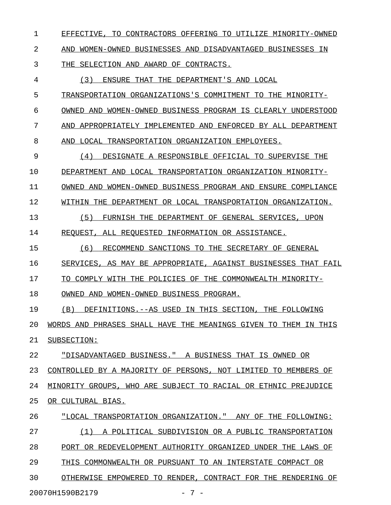1 EFFECTIVE, TO CONTRACTORS OFFERING TO UTILIZE MINORITY-OWNED

2 AND WOMEN-OWNED BUSINESSES AND DISADVANTAGED BUSINESSES IN

3 THE SELECTION AND AWARD OF CONTRACTS.

4 (3) ENSURE THAT THE DEPARTMENT'S AND LOCAL

5 TRANSPORTATION ORGANIZATIONS'S COMMITMENT TO THE MINORITY-

6 OWNED AND WOMEN-OWNED BUSINESS PROGRAM IS CLEARLY UNDERSTOOD

7 AND APPROPRIATELY IMPLEMENTED AND ENFORCED BY ALL DEPARTMENT

8 AND LOCAL TRANSPORTATION ORGANIZATION EMPLOYEES.

9 (4) DESIGNATE A RESPONSIBLE OFFICIAL TO SUPERVISE THE

10 DEPARTMENT AND LOCAL TRANSPORTATION ORGANIZATION MINORITY-

11 OWNED AND WOMEN-OWNED BUSINESS PROGRAM AND ENSURE COMPLIANCE

12 WITHIN THE DEPARTMENT OR LOCAL TRANSPORTATION ORGANIZATION.

13 (5) FURNISH THE DEPARTMENT OF GENERAL SERVICES, UPON 14 REQUEST, ALL REQUESTED INFORMATION OR ASSISTANCE.

15 (6) RECOMMEND SANCTIONS TO THE SECRETARY OF GENERAL

16 SERVICES, AS MAY BE APPROPRIATE, AGAINST BUSINESSES THAT FAIL

17 TO COMPLY WITH THE POLICIES OF THE COMMONWEALTH MINORITY-

18 OWNED AND WOMEN-OWNED BUSINESS PROGRAM.

19 (B) DEFINITIONS.--AS USED IN THIS SECTION, THE FOLLOWING

20 WORDS AND PHRASES SHALL HAVE THE MEANINGS GIVEN TO THEM IN THIS

21 SUBSECTION:

22 "DISADVANTAGED BUSINESS." A BUSINESS THAT IS OWNED OR

23 CONTROLLED BY A MAJORITY OF PERSONS, NOT LIMITED TO MEMBERS OF 24 MINORITY GROUPS, WHO ARE SUBJECT TO RACIAL OR ETHNIC PREJUDICE 25 OR CULTURAL BIAS.

26 "LOCAL TRANSPORTATION ORGANIZATION." ANY OF THE FOLLOWING: 27 (1) A POLITICAL SUBDIVISION OR A PUBLIC TRANSPORTATION 28 PORT OR REDEVELOPMENT AUTHORITY ORGANIZED UNDER THE LAWS OF 29 THIS COMMONWEALTH OR PURSUANT TO AN INTERSTATE COMPACT OR 30 OTHERWISE EMPOWERED TO RENDER, CONTRACT FOR THE RENDERING OF

20070H1590B2179 - 7 -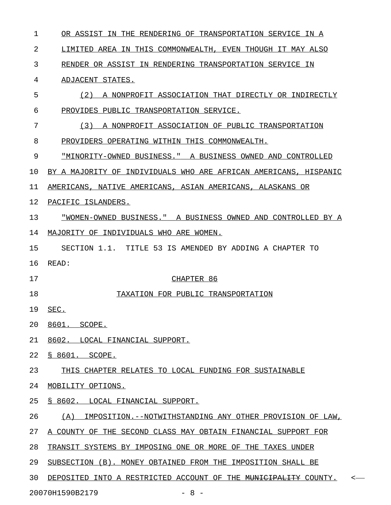| $\mathbf 1$ | OR ASSIST IN THE RENDERING OF TRANSPORTATION SERVICE IN A                             |
|-------------|---------------------------------------------------------------------------------------|
| 2           | LIMITED AREA IN THIS COMMONWEALTH, EVEN THOUGH IT MAY ALSO                            |
| 3           | RENDER OR ASSIST IN RENDERING TRANSPORTATION SERVICE IN                               |
| 4           | ADJACENT STATES.                                                                      |
| 5           | (2)<br>A NONPROFIT ASSOCIATION THAT DIRECTLY OR INDIRECTLY                            |
| 6           | PROVIDES PUBLIC TRANSPORTATION SERVICE.                                               |
| 7           | (3)<br>A NONPROFIT ASSOCIATION OF PUBLIC TRANSPORTATION                               |
| 8           | PROVIDERS OPERATING WITHIN THIS COMMONWEALTH.                                         |
| 9           | "MINORITY-OWNED BUSINESS." A BUSINESS OWNED AND CONTROLLED                            |
| 10          | BY A MAJORITY OF INDIVIDUALS WHO ARE AFRICAN AMERICANS, HISPANIC                      |
| 11          | AMERICANS, NATIVE AMERICANS, ASIAN AMERICANS, ALASKANS OR                             |
| 12          | PACIFIC ISLANDERS.                                                                    |
| 13          | "WOMEN-OWNED BUSINESS." A BUSINESS OWNED AND CONTROLLED BY A                          |
| 14          | MAJORITY OF INDIVIDUALS WHO ARE WOMEN.                                                |
| 15          | SECTION 1.1. TITLE 53 IS AMENDED BY ADDING A CHAPTER TO                               |
| 16          | READ:                                                                                 |
| 17          | CHAPTER 86                                                                            |
| 18          | TAXATION FOR PUBLIC TRANSPORTATION                                                    |
| 19          | SEC.                                                                                  |
| 20          | 8601. SCOPE.                                                                          |
| 21          | 8602. LOCAL FINANCIAL SUPPORT.                                                        |
| 22          | § 8601. SCOPE.                                                                        |
| 23          | THIS CHAPTER RELATES TO LOCAL FUNDING FOR SUSTAINABLE                                 |
| 24          | MOBILITY OPTIONS.                                                                     |
| 25          | § 8602. LOCAL FINANCIAL SUPPORT.                                                      |
| 26          | (A)<br>IMPOSITION.--NOTWITHSTANDING ANY OTHER PROVISION OF LAW,                       |
| 27          | A COUNTY OF THE SECOND CLASS MAY OBTAIN FINANCIAL SUPPORT FOR                         |
| 28          | TRANSIT SYSTEMS BY IMPOSING ONE OR MORE OF THE TAXES UNDER                            |
| 29          | SUBSECTION (B). MONEY OBTAINED FROM THE IMPOSITION SHALL BE                           |
| 30          | DEPOSITED INTO A RESTRICTED ACCOUNT OF THE <del>MUNICIPALITY</del> COUNTY.<br>$\,<\,$ |
|             |                                                                                       |

20070H1590B2179 - 8 -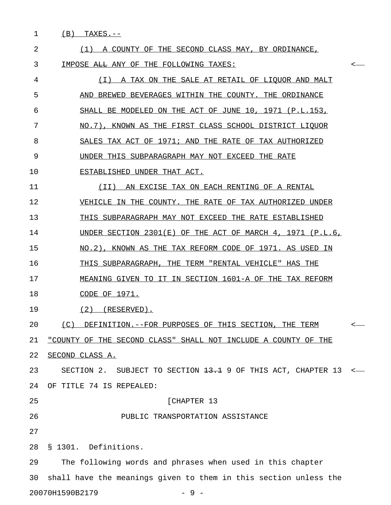1 (B) TAXES.--

| 2  | (1) A COUNTY OF THE SECOND CLASS MAY, BY ORDINANCE,                   |              |
|----|-----------------------------------------------------------------------|--------------|
| 3  | IMPOSE ALL ANY OF THE FOLLOWING TAXES:                                | <b>&lt;-</b> |
| 4  | (I) A TAX ON THE SALE AT RETAIL OF LIQUOR AND MALT                    |              |
| 5  | AND BREWED BEVERAGES WITHIN THE COUNTY. THE ORDINANCE                 |              |
| 6  | SHALL BE MODELED ON THE ACT OF JUNE 10, 1971 (P.L.153,                |              |
| 7  | NO.7), KNOWN AS THE FIRST CLASS SCHOOL DISTRICT LIQUOR                |              |
| 8  | SALES TAX ACT OF 1971; AND THE RATE OF TAX AUTHORIZED                 |              |
| 9  | UNDER THIS SUBPARAGRAPH MAY NOT EXCEED THE RATE                       |              |
| 10 | ESTABLISHED UNDER THAT ACT.                                           |              |
| 11 | (II) AN EXCISE TAX ON EACH RENTING OF A RENTAL                        |              |
| 12 | VEHICLE IN THE COUNTY. THE RATE OF TAX AUTHORIZED UNDER               |              |
| 13 | THIS SUBPARAGRAPH MAY NOT EXCEED THE RATE ESTABLISHED                 |              |
| 14 | UNDER SECTION 2301 $(E)$ OF THE ACT OF MARCH 4, 1971 (P.L.6,          |              |
| 15 | NO.2), KNOWN AS THE TAX REFORM CODE OF 1971. AS USED IN               |              |
| 16 | THIS SUBPARAGRAPH, THE TERM "RENTAL VEHICLE" HAS THE                  |              |
| 17 | MEANING GIVEN TO IT IN SECTION 1601-A OF THE TAX REFORM               |              |
| 18 | CODE OF 1971.                                                         |              |
| 19 | $(2)$ (RESERVED).                                                     |              |
| 20 | (C) DEFINITION. -- FOR PURPOSES OF THIS SECTION, THE TERM             | <–           |
| 21 | <u>"COUNTY OF THE SECOND CLASS" SHALL NOT INCLUDE A COUNTY OF THE</u> |              |
| 22 | SECOND CLASS A.                                                       |              |
| 23 | SECTION 2. SUBJECT TO SECTION 13.1 9 OF THIS ACT, CHAPTER 13          |              |
| 24 | OF TITLE 74 IS REPEALED:                                              |              |
| 25 | [CHAPTER 13                                                           |              |
| 26 | PUBLIC TRANSPORTATION ASSISTANCE                                      |              |
| 27 |                                                                       |              |
| 28 | § 1301. Definitions.                                                  |              |
| 29 | The following words and phrases when used in this chapter             |              |
| 30 | shall have the meanings given to them in this section unless the      |              |

20070H1590B2179 - 9 -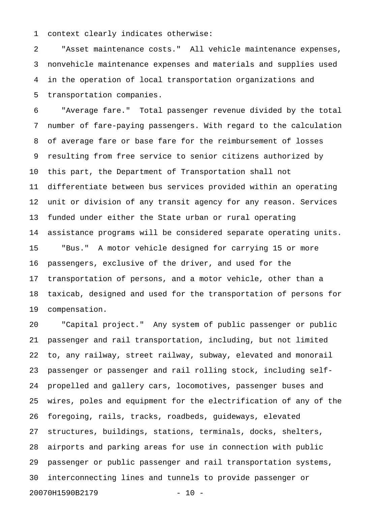1 context clearly indicates otherwise:

2 "Asset maintenance costs." All vehicle maintenance expenses, 3 nonvehicle maintenance expenses and materials and supplies used 4 in the operation of local transportation organizations and 5 transportation companies.

6 "Average fare." Total passenger revenue divided by the total 7 number of fare-paying passengers. With regard to the calculation 8 of average fare or base fare for the reimbursement of losses 9 resulting from free service to senior citizens authorized by 10 this part, the Department of Transportation shall not 11 differentiate between bus services provided within an operating 12 unit or division of any transit agency for any reason. Services 13 funded under either the State urban or rural operating 14 assistance programs will be considered separate operating units. 15 "Bus." A motor vehicle designed for carrying 15 or more 16 passengers, exclusive of the driver, and used for the 17 transportation of persons, and a motor vehicle, other than a 18 taxicab, designed and used for the transportation of persons for 19 compensation.

20 "Capital project." Any system of public passenger or public 21 passenger and rail transportation, including, but not limited 22 to, any railway, street railway, subway, elevated and monorail 23 passenger or passenger and rail rolling stock, including self-24 propelled and gallery cars, locomotives, passenger buses and 25 wires, poles and equipment for the electrification of any of the 26 foregoing, rails, tracks, roadbeds, guideways, elevated 27 structures, buildings, stations, terminals, docks, shelters, 28 airports and parking areas for use in connection with public 29 passenger or public passenger and rail transportation systems, 30 interconnecting lines and tunnels to provide passenger or 20070H1590B2179 - 10 -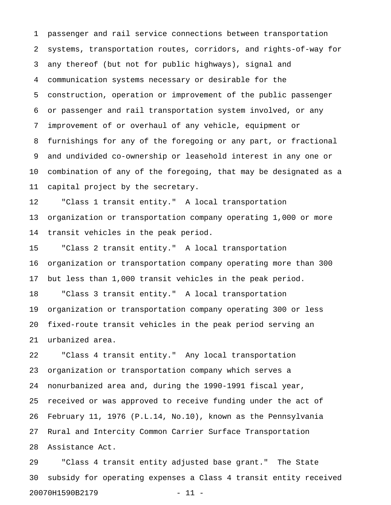1 passenger and rail service connections between transportation 2 systems, transportation routes, corridors, and rights-of-way for 3 any thereof (but not for public highways), signal and 4 communication systems necessary or desirable for the 5 construction, operation or improvement of the public passenger 6 or passenger and rail transportation system involved, or any 7 improvement of or overhaul of any vehicle, equipment or 8 furnishings for any of the foregoing or any part, or fractional 9 and undivided co-ownership or leasehold interest in any one or 10 combination of any of the foregoing, that may be designated as a 11 capital project by the secretary.

12 "Class 1 transit entity." A local transportation 13 organization or transportation company operating 1,000 or more 14 transit vehicles in the peak period.

15 "Class 2 transit entity." A local transportation 16 organization or transportation company operating more than 300 17 but less than 1,000 transit vehicles in the peak period. 18 "Class 3 transit entity." A local transportation 19 organization or transportation company operating 300 or less 20 fixed-route transit vehicles in the peak period serving an

21 urbanized area.

22 "Class 4 transit entity." Any local transportation 23 organization or transportation company which serves a 24 nonurbanized area and, during the 1990-1991 fiscal year, 25 received or was approved to receive funding under the act of 26 February 11, 1976 (P.L.14, No.10), known as the Pennsylvania 27 Rural and Intercity Common Carrier Surface Transportation 28 Assistance Act.

29 "Class 4 transit entity adjusted base grant." The State 30 subsidy for operating expenses a Class 4 transit entity received 20070H1590B2179 - 11 -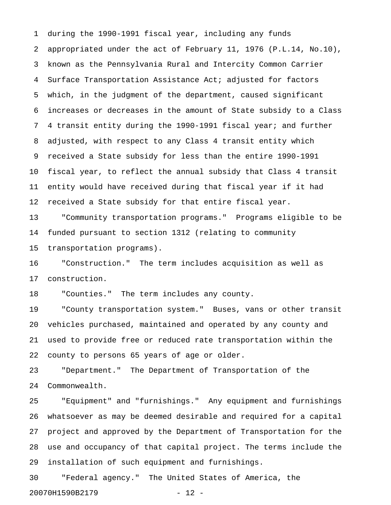1 during the 1990-1991 fiscal year, including any funds 2 appropriated under the act of February 11, 1976 (P.L.14, No.10), 3 known as the Pennsylvania Rural and Intercity Common Carrier 4 Surface Transportation Assistance Act; adjusted for factors 5 which, in the judgment of the department, caused significant 6 increases or decreases in the amount of State subsidy to a Class 7 4 transit entity during the 1990-1991 fiscal year; and further 8 adjusted, with respect to any Class 4 transit entity which 9 received a State subsidy for less than the entire 1990-1991 10 fiscal year, to reflect the annual subsidy that Class 4 transit 11 entity would have received during that fiscal year if it had 12 received a State subsidy for that entire fiscal year.

13 "Community transportation programs." Programs eligible to be 14 funded pursuant to section 1312 (relating to community 15 transportation programs).

16 "Construction." The term includes acquisition as well as 17 construction.

18 "Counties." The term includes any county.

19 "County transportation system." Buses, vans or other transit 20 vehicles purchased, maintained and operated by any county and 21 used to provide free or reduced rate transportation within the 22 county to persons 65 years of age or older.

23 "Department." The Department of Transportation of the 24 Commonwealth.

25 "Equipment" and "furnishings." Any equipment and furnishings 26 whatsoever as may be deemed desirable and required for a capital 27 project and approved by the Department of Transportation for the 28 use and occupancy of that capital project. The terms include the 29 installation of such equipment and furnishings.

30 "Federal agency." The United States of America, the 20070H1590B2179 - 12 -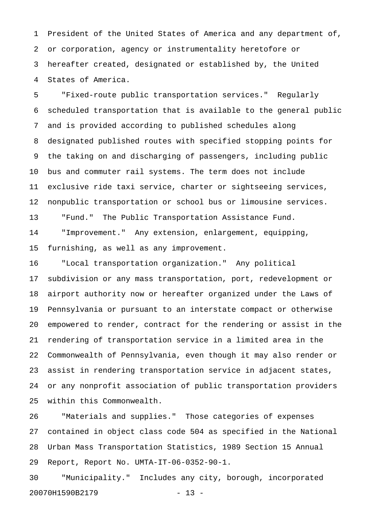1 President of the United States of America and any department of, 2 or corporation, agency or instrumentality heretofore or 3 hereafter created, designated or established by, the United 4 States of America.

5 "Fixed-route public transportation services." Regularly 6 scheduled transportation that is available to the general public 7 and is provided according to published schedules along 8 designated published routes with specified stopping points for 9 the taking on and discharging of passengers, including public 10 bus and commuter rail systems. The term does not include 11 exclusive ride taxi service, charter or sightseeing services, 12 nonpublic transportation or school bus or limousine services. 13 "Fund." The Public Transportation Assistance Fund. 14 "Improvement." Any extension, enlargement, equipping,

15 furnishing, as well as any improvement.

16 "Local transportation organization." Any political 17 subdivision or any mass transportation, port, redevelopment or 18 airport authority now or hereafter organized under the Laws of 19 Pennsylvania or pursuant to an interstate compact or otherwise 20 empowered to render, contract for the rendering or assist in the 21 rendering of transportation service in a limited area in the 22 Commonwealth of Pennsylvania, even though it may also render or 23 assist in rendering transportation service in adjacent states, 24 or any nonprofit association of public transportation providers 25 within this Commonwealth.

26 "Materials and supplies." Those categories of expenses 27 contained in object class code 504 as specified in the National 28 Urban Mass Transportation Statistics, 1989 Section 15 Annual 29 Report, Report No. UMTA-IT-06-0352-90-1.

30 "Municipality." Includes any city, borough, incorporated 20070H1590B2179 - 13 -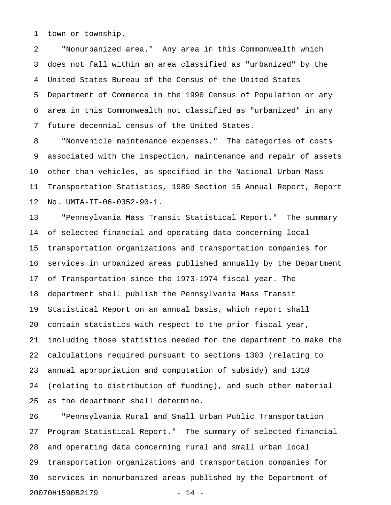1 town or township.

2 "Nonurbanized area." Any area in this Commonwealth which 3 does not fall within an area classified as "urbanized" by the 4 United States Bureau of the Census of the United States 5 Department of Commerce in the 1990 Census of Population or any 6 area in this Commonwealth not classified as "urbanized" in any 7 future decennial census of the United States.

8 "Nonvehicle maintenance expenses." The categories of costs 9 associated with the inspection, maintenance and repair of assets 10 other than vehicles, as specified in the National Urban Mass 11 Transportation Statistics, 1989 Section 15 Annual Report, Report 12 No. UMTA-IT-06-0352-90-1.

13 "Pennsylvania Mass Transit Statistical Report." The summary 14 of selected financial and operating data concerning local 15 transportation organizations and transportation companies for 16 services in urbanized areas published annually by the Department 17 of Transportation since the 1973-1974 fiscal year. The 18 department shall publish the Pennsylvania Mass Transit 19 Statistical Report on an annual basis, which report shall 20 contain statistics with respect to the prior fiscal year, 21 including those statistics needed for the department to make the 22 calculations required pursuant to sections 1303 (relating to 23 annual appropriation and computation of subsidy) and 1310 24 (relating to distribution of funding), and such other material 25 as the department shall determine.

26 "Pennsylvania Rural and Small Urban Public Transportation 27 Program Statistical Report." The summary of selected financial 28 and operating data concerning rural and small urban local 29 transportation organizations and transportation companies for 30 services in nonurbanized areas published by the Department of 20070H1590B2179 - 14 -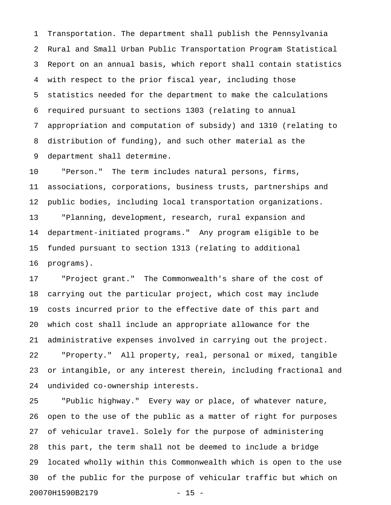1 Transportation. The department shall publish the Pennsylvania 2 Rural and Small Urban Public Transportation Program Statistical 3 Report on an annual basis, which report shall contain statistics 4 with respect to the prior fiscal year, including those 5 statistics needed for the department to make the calculations 6 required pursuant to sections 1303 (relating to annual 7 appropriation and computation of subsidy) and 1310 (relating to 8 distribution of funding), and such other material as the 9 department shall determine.

10 "Person." The term includes natural persons, firms, 11 associations, corporations, business trusts, partnerships and 12 public bodies, including local transportation organizations. 13 "Planning, development, research, rural expansion and 14 department-initiated programs." Any program eligible to be 15 funded pursuant to section 1313 (relating to additional 16 programs).

17 "Project grant." The Commonwealth's share of the cost of 18 carrying out the particular project, which cost may include 19 costs incurred prior to the effective date of this part and 20 which cost shall include an appropriate allowance for the 21 administrative expenses involved in carrying out the project. 22 "Property." All property, real, personal or mixed, tangible 23 or intangible, or any interest therein, including fractional and 24 undivided co-ownership interests.

25 "Public highway." Every way or place, of whatever nature, 26 open to the use of the public as a matter of right for purposes 27 of vehicular travel. Solely for the purpose of administering 28 this part, the term shall not be deemed to include a bridge 29 located wholly within this Commonwealth which is open to the use 30 of the public for the purpose of vehicular traffic but which on 20070H1590B2179 - 15 -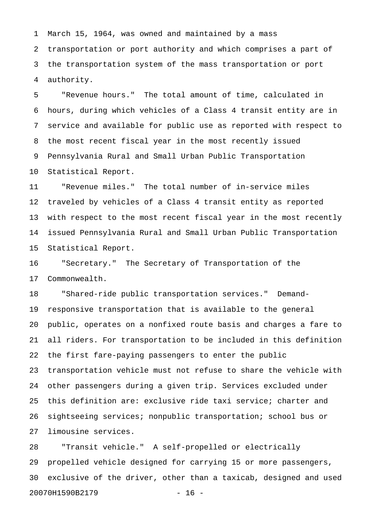1 March 15, 1964, was owned and maintained by a mass 2 transportation or port authority and which comprises a part of 3 the transportation system of the mass transportation or port 4 authority.

5 "Revenue hours." The total amount of time, calculated in 6 hours, during which vehicles of a Class 4 transit entity are in 7 service and available for public use as reported with respect to 8 the most recent fiscal year in the most recently issued 9 Pennsylvania Rural and Small Urban Public Transportation 10 Statistical Report.

11 "Revenue miles." The total number of in-service miles 12 traveled by vehicles of a Class 4 transit entity as reported 13 with respect to the most recent fiscal year in the most recently 14 issued Pennsylvania Rural and Small Urban Public Transportation 15 Statistical Report.

16 "Secretary." The Secretary of Transportation of the 17 Commonwealth.

18 "Shared-ride public transportation services." Demand-19 responsive transportation that is available to the general 20 public, operates on a nonfixed route basis and charges a fare to 21 all riders. For transportation to be included in this definition 22 the first fare-paying passengers to enter the public 23 transportation vehicle must not refuse to share the vehicle with 24 other passengers during a given trip. Services excluded under 25 this definition are: exclusive ride taxi service; charter and 26 sightseeing services; nonpublic transportation; school bus or 27 limousine services.

28 "Transit vehicle." A self-propelled or electrically 29 propelled vehicle designed for carrying 15 or more passengers, 30 exclusive of the driver, other than a taxicab, designed and used 20070H1590B2179 - 16 -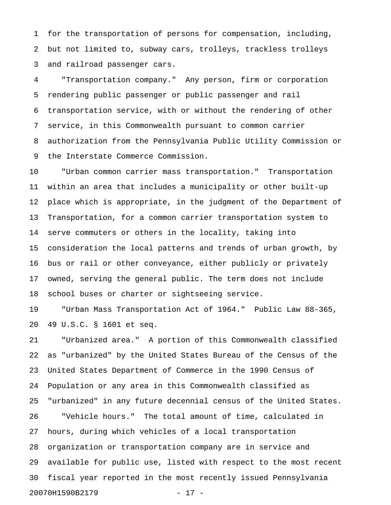1 for the transportation of persons for compensation, including, 2 but not limited to, subway cars, trolleys, trackless trolleys 3 and railroad passenger cars.

4 "Transportation company." Any person, firm or corporation 5 rendering public passenger or public passenger and rail 6 transportation service, with or without the rendering of other 7 service, in this Commonwealth pursuant to common carrier 8 authorization from the Pennsylvania Public Utility Commission or 9 the Interstate Commerce Commission.

10 "Urban common carrier mass transportation." Transportation 11 within an area that includes a municipality or other built-up 12 place which is appropriate, in the judgment of the Department of 13 Transportation, for a common carrier transportation system to 14 serve commuters or others in the locality, taking into 15 consideration the local patterns and trends of urban growth, by 16 bus or rail or other conveyance, either publicly or privately 17 owned, serving the general public. The term does not include 18 school buses or charter or sightseeing service.

19 "Urban Mass Transportation Act of 1964." Public Law 88-365, 20 49 U.S.C. § 1601 et seq.

21 "Urbanized area." A portion of this Commonwealth classified 22 as "urbanized" by the United States Bureau of the Census of the 23 United States Department of Commerce in the 1990 Census of 24 Population or any area in this Commonwealth classified as 25 "urbanized" in any future decennial census of the United States. 26 "Vehicle hours." The total amount of time, calculated in 27 hours, during which vehicles of a local transportation 28 organization or transportation company are in service and 29 available for public use, listed with respect to the most recent 30 fiscal year reported in the most recently issued Pennsylvania 20070H1590B2179 - 17 -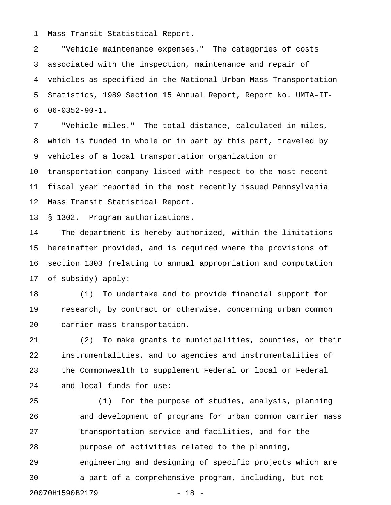1 Mass Transit Statistical Report.

2 "Vehicle maintenance expenses." The categories of costs 3 associated with the inspection, maintenance and repair of 4 vehicles as specified in the National Urban Mass Transportation 5 Statistics, 1989 Section 15 Annual Report, Report No. UMTA-IT-6 06-0352-90-1.

7 "Vehicle miles." The total distance, calculated in miles, 8 which is funded in whole or in part by this part, traveled by 9 vehicles of a local transportation organization or

10 transportation company listed with respect to the most recent 11 fiscal year reported in the most recently issued Pennsylvania 12 Mass Transit Statistical Report.

13 § 1302. Program authorizations.

14 The department is hereby authorized, within the limitations 15 hereinafter provided, and is required where the provisions of 16 section 1303 (relating to annual appropriation and computation 17 of subsidy) apply:

18 (1) To undertake and to provide financial support for 19 research, by contract or otherwise, concerning urban common 20 carrier mass transportation.

21 (2) To make grants to municipalities, counties, or their 22 instrumentalities, and to agencies and instrumentalities of 23 the Commonwealth to supplement Federal or local or Federal 24 and local funds for use:

25 (i) For the purpose of studies, analysis, planning 26 and development of programs for urban common carrier mass 27 transportation service and facilities, and for the 28 purpose of activities related to the planning, 29 engineering and designing of specific projects which are 30 a part of a comprehensive program, including, but not 20070H1590B2179 - 18 -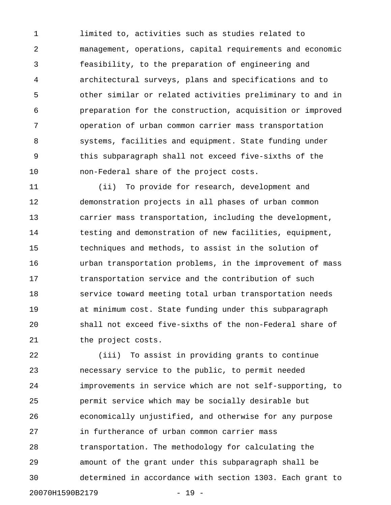1 limited to, activities such as studies related to 2 management, operations, capital requirements and economic 3 feasibility, to the preparation of engineering and 4 architectural surveys, plans and specifications and to 5 other similar or related activities preliminary to and in 6 preparation for the construction, acquisition or improved 7 operation of urban common carrier mass transportation 8 systems, facilities and equipment. State funding under 9 this subparagraph shall not exceed five-sixths of the 10 non-Federal share of the project costs.

11 (ii) To provide for research, development and 12 demonstration projects in all phases of urban common 13 carrier mass transportation, including the development, 14 testing and demonstration of new facilities, equipment, 15 techniques and methods, to assist in the solution of 16 urban transportation problems, in the improvement of mass 17 transportation service and the contribution of such 18 service toward meeting total urban transportation needs 19 at minimum cost. State funding under this subparagraph 20 shall not exceed five-sixths of the non-Federal share of 21 the project costs.

22 (iii) To assist in providing grants to continue 23 necessary service to the public, to permit needed 24 improvements in service which are not self-supporting, to 25 permit service which may be socially desirable but 26 economically unjustified, and otherwise for any purpose 27 in furtherance of urban common carrier mass 28 transportation. The methodology for calculating the 29 amount of the grant under this subparagraph shall be 30 determined in accordance with section 1303. Each grant to 20070H1590B2179 - 19 -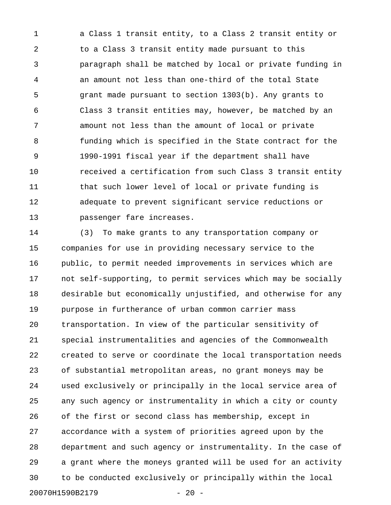1 a Class 1 transit entity, to a Class 2 transit entity or 2 to a Class 3 transit entity made pursuant to this 3 paragraph shall be matched by local or private funding in 4 an amount not less than one-third of the total State 5 grant made pursuant to section 1303(b). Any grants to 6 Class 3 transit entities may, however, be matched by an 7 amount not less than the amount of local or private 8 funding which is specified in the State contract for the 9 1990-1991 fiscal year if the department shall have 10 received a certification from such Class 3 transit entity 11 that such lower level of local or private funding is 12 adequate to prevent significant service reductions or 13 passenger fare increases.

14 (3) To make grants to any transportation company or 15 companies for use in providing necessary service to the 16 public, to permit needed improvements in services which are 17 not self-supporting, to permit services which may be socially 18 desirable but economically unjustified, and otherwise for any 19 purpose in furtherance of urban common carrier mass 20 transportation. In view of the particular sensitivity of 21 special instrumentalities and agencies of the Commonwealth 22 created to serve or coordinate the local transportation needs 23 of substantial metropolitan areas, no grant moneys may be 24 used exclusively or principally in the local service area of 25 any such agency or instrumentality in which a city or county 26 of the first or second class has membership, except in 27 accordance with a system of priorities agreed upon by the 28 department and such agency or instrumentality. In the case of 29 a grant where the moneys granted will be used for an activity 30 to be conducted exclusively or principally within the local 20070H1590B2179 - 20 -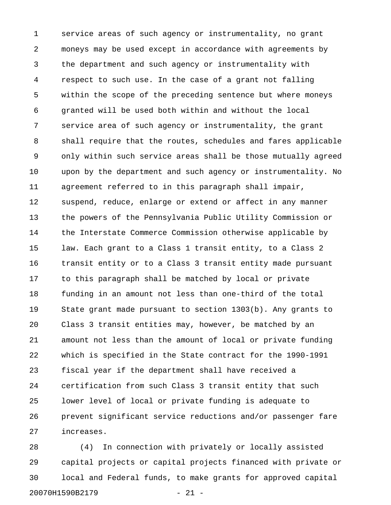1 service areas of such agency or instrumentality, no grant 2 moneys may be used except in accordance with agreements by 3 the department and such agency or instrumentality with 4 respect to such use. In the case of a grant not falling 5 within the scope of the preceding sentence but where moneys 6 granted will be used both within and without the local 7 service area of such agency or instrumentality, the grant 8 shall require that the routes, schedules and fares applicable 9 only within such service areas shall be those mutually agreed 10 upon by the department and such agency or instrumentality. No 11 agreement referred to in this paragraph shall impair, 12 suspend, reduce, enlarge or extend or affect in any manner 13 the powers of the Pennsylvania Public Utility Commission or 14 the Interstate Commerce Commission otherwise applicable by 15 law. Each grant to a Class 1 transit entity, to a Class 2 16 transit entity or to a Class 3 transit entity made pursuant 17 to this paragraph shall be matched by local or private 18 funding in an amount not less than one-third of the total 19 State grant made pursuant to section 1303(b). Any grants to 20 Class 3 transit entities may, however, be matched by an 21 amount not less than the amount of local or private funding 22 which is specified in the State contract for the 1990-1991 23 fiscal year if the department shall have received a 24 certification from such Class 3 transit entity that such 25 lower level of local or private funding is adequate to 26 prevent significant service reductions and/or passenger fare 27 increases.

28 (4) In connection with privately or locally assisted 29 capital projects or capital projects financed with private or 30 local and Federal funds, to make grants for approved capital 20070H1590B2179 - 21 -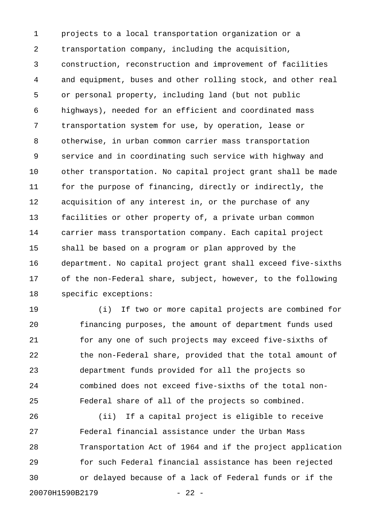1 projects to a local transportation organization or a 2 transportation company, including the acquisition, 3 construction, reconstruction and improvement of facilities 4 and equipment, buses and other rolling stock, and other real 5 or personal property, including land (but not public 6 highways), needed for an efficient and coordinated mass 7 transportation system for use, by operation, lease or 8 otherwise, in urban common carrier mass transportation 9 service and in coordinating such service with highway and 10 other transportation. No capital project grant shall be made 11 for the purpose of financing, directly or indirectly, the 12 acquisition of any interest in, or the purchase of any 13 facilities or other property of, a private urban common 14 carrier mass transportation company. Each capital project 15 shall be based on a program or plan approved by the 16 department. No capital project grant shall exceed five-sixths 17 of the non-Federal share, subject, however, to the following 18 specific exceptions:

19 (i) If two or more capital projects are combined for 20 financing purposes, the amount of department funds used 21 for any one of such projects may exceed five-sixths of 22 the non-Federal share, provided that the total amount of 23 department funds provided for all the projects so 24 combined does not exceed five-sixths of the total non-25 Federal share of all of the projects so combined.

26 (ii) If a capital project is eligible to receive 27 Federal financial assistance under the Urban Mass 28 Transportation Act of 1964 and if the project application 29 for such Federal financial assistance has been rejected 30 or delayed because of a lack of Federal funds or if the 20070H1590B2179 - 22 -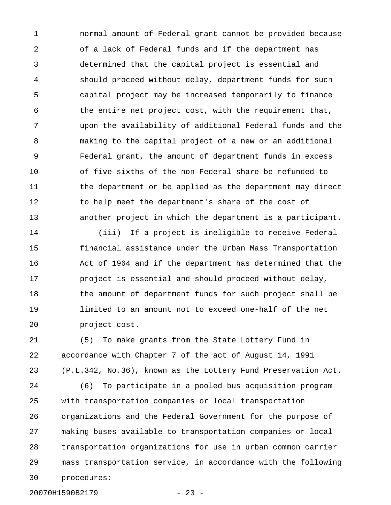1 normal amount of Federal grant cannot be provided because 2 of a lack of Federal funds and if the department has 3 determined that the capital project is essential and 4 should proceed without delay, department funds for such 5 capital project may be increased temporarily to finance 6 the entire net project cost, with the requirement that, 7 upon the availability of additional Federal funds and the 8 making to the capital project of a new or an additional 9 Federal grant, the amount of department funds in excess 10 of five-sixths of the non-Federal share be refunded to 11 the department or be applied as the department may direct 12 to help meet the department's share of the cost of 13 another project in which the department is a participant.

14 (iii) If a project is ineligible to receive Federal 15 financial assistance under the Urban Mass Transportation 16 Act of 1964 and if the department has determined that the 17 project is essential and should proceed without delay, 18 the amount of department funds for such project shall be 19 limited to an amount not to exceed one-half of the net 20 project cost.

21 (5) To make grants from the State Lottery Fund in 22 accordance with Chapter 7 of the act of August 14, 1991 23 (P.L.342, No.36), known as the Lottery Fund Preservation Act.

24 (6) To participate in a pooled bus acquisition program 25 with transportation companies or local transportation 26 organizations and the Federal Government for the purpose of 27 making buses available to transportation companies or local 28 transportation organizations for use in urban common carrier 29 mass transportation service, in accordance with the following 30 procedures:

20070H1590B2179 - 23 -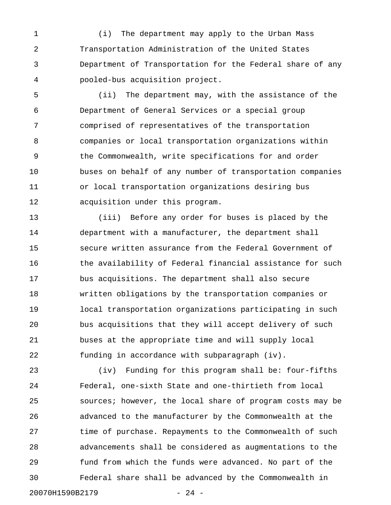1 (i) The department may apply to the Urban Mass 2 Transportation Administration of the United States 3 Department of Transportation for the Federal share of any 4 pooled-bus acquisition project.

5 (ii) The department may, with the assistance of the 6 Department of General Services or a special group 7 comprised of representatives of the transportation 8 companies or local transportation organizations within 9 the Commonwealth, write specifications for and order 10 buses on behalf of any number of transportation companies 11 or local transportation organizations desiring bus 12 acquisition under this program.

13 (iii) Before any order for buses is placed by the 14 department with a manufacturer, the department shall 15 secure written assurance from the Federal Government of 16 the availability of Federal financial assistance for such 17 bus acquisitions. The department shall also secure 18 written obligations by the transportation companies or 19 local transportation organizations participating in such 20 bus acquisitions that they will accept delivery of such 21 buses at the appropriate time and will supply local 22 funding in accordance with subparagraph (iv).

23 (iv) Funding for this program shall be: four-fifths 24 Federal, one-sixth State and one-thirtieth from local 25 sources; however, the local share of program costs may be 26 advanced to the manufacturer by the Commonwealth at the 27 time of purchase. Repayments to the Commonwealth of such 28 advancements shall be considered as augmentations to the 29 fund from which the funds were advanced. No part of the 30 Federal share shall be advanced by the Commonwealth in 20070H1590B2179 - 24 -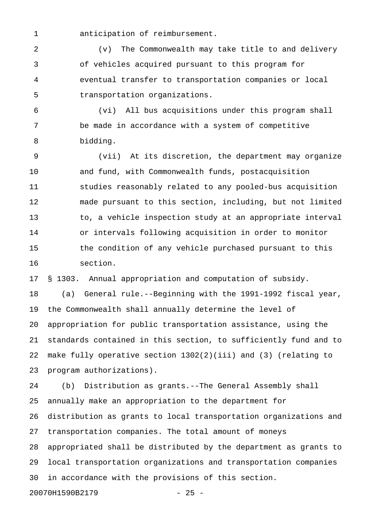1 anticipation of reimbursement.

2 (v) The Commonwealth may take title to and delivery 3 of vehicles acquired pursuant to this program for 4 eventual transfer to transportation companies or local 5 transportation organizations.

6 (vi) All bus acquisitions under this program shall 7 be made in accordance with a system of competitive 8 bidding.

9 (vii) At its discretion, the department may organize 10 and fund, with Commonwealth funds, postacquisition 11 studies reasonably related to any pooled-bus acquisition 12 made pursuant to this section, including, but not limited 13 to, a vehicle inspection study at an appropriate interval 14 or intervals following acquisition in order to monitor 15 the condition of any vehicle purchased pursuant to this 16 section.

17 § 1303. Annual appropriation and computation of subsidy.

18 (a) General rule.--Beginning with the 1991-1992 fiscal year, 19 the Commonwealth shall annually determine the level of 20 appropriation for public transportation assistance, using the 21 standards contained in this section, to sufficiently fund and to 22 make fully operative section 1302(2)(iii) and (3) (relating to 23 program authorizations).

24 (b) Distribution as grants.--The General Assembly shall 25 annually make an appropriation to the department for 26 distribution as grants to local transportation organizations and 27 transportation companies. The total amount of moneys 28 appropriated shall be distributed by the department as grants to 29 local transportation organizations and transportation companies 30 in accordance with the provisions of this section. 20070H1590B2179 - 25 -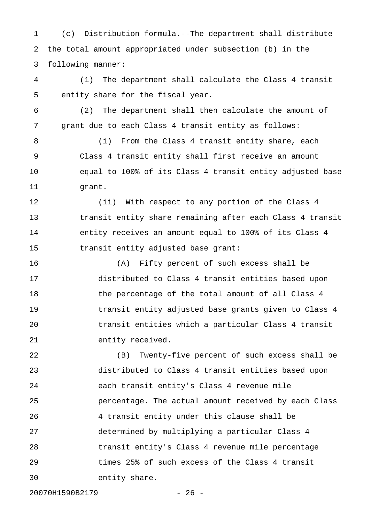1 (c) Distribution formula.--The department shall distribute 2 the total amount appropriated under subsection (b) in the 3 following manner:

4 (1) The department shall calculate the Class 4 transit 5 entity share for the fiscal year.

6 (2) The department shall then calculate the amount of 7 grant due to each Class 4 transit entity as follows:

8 (i) From the Class 4 transit entity share, each 9 Class 4 transit entity shall first receive an amount 10 equal to 100% of its Class 4 transit entity adjusted base 11 grant.

12 (ii) With respect to any portion of the Class 4 13 transit entity share remaining after each Class 4 transit 14 entity receives an amount equal to 100% of its Class 4 15 transit entity adjusted base grant:

16 (A) Fifty percent of such excess shall be 17 distributed to Class 4 transit entities based upon 18 the percentage of the total amount of all Class 4 19 transit entity adjusted base grants given to Class 4 20 transit entities which a particular Class 4 transit 21 entity received.

22 (B) Twenty-five percent of such excess shall be 23 distributed to Class 4 transit entities based upon 24 each transit entity's Class 4 revenue mile 25 percentage. The actual amount received by each Class 26 4 transit entity under this clause shall be 27 determined by multiplying a particular Class 4 28 transit entity's Class 4 revenue mile percentage 29 times 25% of such excess of the Class 4 transit 30 entity share.

20070H1590B2179 - 26 -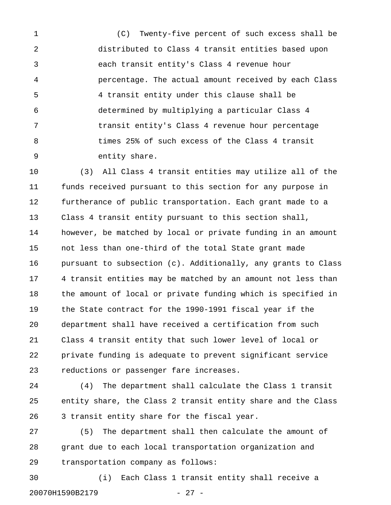1 (C) Twenty-five percent of such excess shall be 2 distributed to Class 4 transit entities based upon 3 each transit entity's Class 4 revenue hour 4 percentage. The actual amount received by each Class 5 4 transit entity under this clause shall be 6 determined by multiplying a particular Class 4 7 transit entity's Class 4 revenue hour percentage 8 times 25% of such excess of the Class 4 transit 9 entity share.

10 (3) All Class 4 transit entities may utilize all of the 11 funds received pursuant to this section for any purpose in 12 furtherance of public transportation. Each grant made to a 13 Class 4 transit entity pursuant to this section shall, 14 however, be matched by local or private funding in an amount 15 not less than one-third of the total State grant made 16 pursuant to subsection (c). Additionally, any grants to Class 17 4 transit entities may be matched by an amount not less than 18 the amount of local or private funding which is specified in 19 the State contract for the 1990-1991 fiscal year if the 20 department shall have received a certification from such 21 Class 4 transit entity that such lower level of local or 22 private funding is adequate to prevent significant service 23 reductions or passenger fare increases.

24 (4) The department shall calculate the Class 1 transit 25 entity share, the Class 2 transit entity share and the Class 26 3 transit entity share for the fiscal year.

27 (5) The department shall then calculate the amount of 28 grant due to each local transportation organization and 29 transportation company as follows:

30 (i) Each Class 1 transit entity shall receive a 20070H1590B2179 - 27 -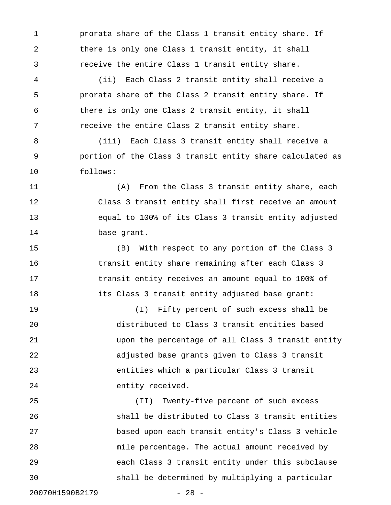1 prorata share of the Class 1 transit entity share. If 2 there is only one Class 1 transit entity, it shall 3 receive the entire Class 1 transit entity share.

4 (ii) Each Class 2 transit entity shall receive a 5 prorata share of the Class 2 transit entity share. If 6 there is only one Class 2 transit entity, it shall 7 **receive the entire Class 2 transit entity share.** 

8 (iii) Each Class 3 transit entity shall receive a 9 portion of the Class 3 transit entity share calculated as 10 follows:

11 (A) From the Class 3 transit entity share, each 12 Class 3 transit entity shall first receive an amount 13 equal to 100% of its Class 3 transit entity adjusted 14 base grant.

15 (B) With respect to any portion of the Class 3 16 transit entity share remaining after each Class 3 17 transit entity receives an amount equal to 100% of 18 its Class 3 transit entity adjusted base grant:

19 (I) Fifty percent of such excess shall be 20 distributed to Class 3 transit entities based 21 upon the percentage of all Class 3 transit entity 22 adjusted base grants given to Class 3 transit 23 entities which a particular Class 3 transit 24 entity received.

25 (II) Twenty-five percent of such excess 26 shall be distributed to Class 3 transit entities 27 based upon each transit entity's Class 3 vehicle 28 mile percentage. The actual amount received by 29 each Class 3 transit entity under this subclause 30 shall be determined by multiplying a particular

20070H1590B2179 - 28 -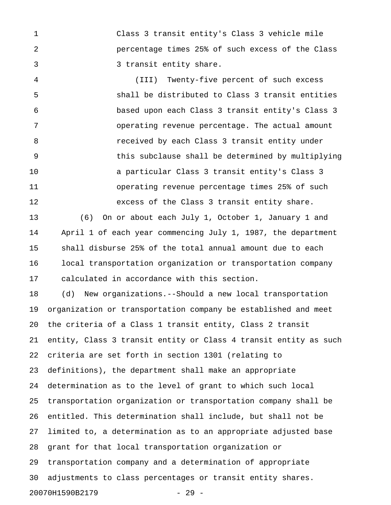1 Class 3 transit entity's Class 3 vehicle mile 2 percentage times 25% of such excess of the Class 3 3 transit entity share.

4 (III) Twenty-five percent of such excess 5 shall be distributed to Class 3 transit entities 6 based upon each Class 3 transit entity's Class 3 7 operating revenue percentage. The actual amount 8 received by each Class 3 transit entity under 9 this subclause shall be determined by multiplying 10 a particular Class 3 transit entity's Class 3 11 operating revenue percentage times 25% of such 12 excess of the Class 3 transit entity share.

13 (6) On or about each July 1, October 1, January 1 and 14 April 1 of each year commencing July 1, 1987, the department 15 shall disburse 25% of the total annual amount due to each 16 local transportation organization or transportation company 17 calculated in accordance with this section.

18 (d) New organizations.--Should a new local transportation 19 organization or transportation company be established and meet 20 the criteria of a Class 1 transit entity, Class 2 transit 21 entity, Class 3 transit entity or Class 4 transit entity as such 22 criteria are set forth in section 1301 (relating to 23 definitions), the department shall make an appropriate 24 determination as to the level of grant to which such local 25 transportation organization or transportation company shall be 26 entitled. This determination shall include, but shall not be 27 limited to, a determination as to an appropriate adjusted base 28 grant for that local transportation organization or 29 transportation company and a determination of appropriate 30 adjustments to class percentages or transit entity shares. 20070H1590B2179 - 29 -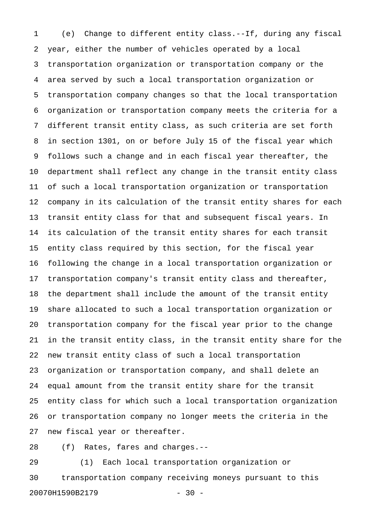1 (e) Change to different entity class.--If, during any fiscal 2 year, either the number of vehicles operated by a local 3 transportation organization or transportation company or the 4 area served by such a local transportation organization or 5 transportation company changes so that the local transportation 6 organization or transportation company meets the criteria for a 7 different transit entity class, as such criteria are set forth 8 in section 1301, on or before July 15 of the fiscal year which 9 follows such a change and in each fiscal year thereafter, the 10 department shall reflect any change in the transit entity class 11 of such a local transportation organization or transportation 12 company in its calculation of the transit entity shares for each 13 transit entity class for that and subsequent fiscal years. In 14 its calculation of the transit entity shares for each transit 15 entity class required by this section, for the fiscal year 16 following the change in a local transportation organization or 17 transportation company's transit entity class and thereafter, 18 the department shall include the amount of the transit entity 19 share allocated to such a local transportation organization or 20 transportation company for the fiscal year prior to the change 21 in the transit entity class, in the transit entity share for the 22 new transit entity class of such a local transportation 23 organization or transportation company, and shall delete an 24 equal amount from the transit entity share for the transit 25 entity class for which such a local transportation organization 26 or transportation company no longer meets the criteria in the 27 new fiscal year or thereafter.

28 (f) Rates, fares and charges.--

29 (1) Each local transportation organization or 30 transportation company receiving moneys pursuant to this 20070H1590B2179 - 30 -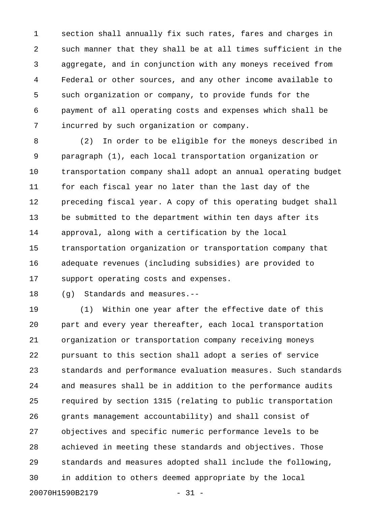1 section shall annually fix such rates, fares and charges in 2 such manner that they shall be at all times sufficient in the 3 aggregate, and in conjunction with any moneys received from 4 Federal or other sources, and any other income available to 5 such organization or company, to provide funds for the 6 payment of all operating costs and expenses which shall be 7 incurred by such organization or company.

8 (2) In order to be eligible for the moneys described in 9 paragraph (1), each local transportation organization or 10 transportation company shall adopt an annual operating budget 11 for each fiscal year no later than the last day of the 12 preceding fiscal year. A copy of this operating budget shall 13 be submitted to the department within ten days after its 14 approval, along with a certification by the local 15 transportation organization or transportation company that 16 adequate revenues (including subsidies) are provided to 17 support operating costs and expenses.

18 (g) Standards and measures.--

19 (1) Within one year after the effective date of this 20 part and every year thereafter, each local transportation 21 organization or transportation company receiving moneys 22 pursuant to this section shall adopt a series of service 23 standards and performance evaluation measures. Such standards 24 and measures shall be in addition to the performance audits 25 required by section 1315 (relating to public transportation 26 grants management accountability) and shall consist of 27 objectives and specific numeric performance levels to be 28 achieved in meeting these standards and objectives. Those 29 standards and measures adopted shall include the following, 30 in addition to others deemed appropriate by the local 20070H1590B2179 - 31 -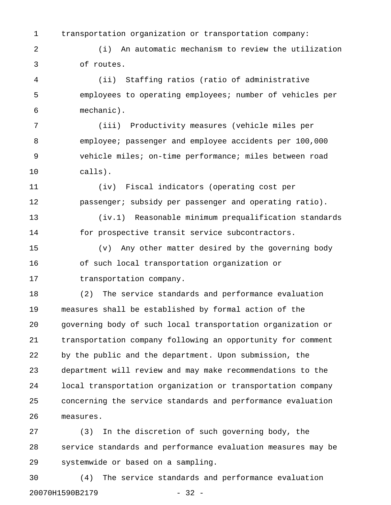1 transportation organization or transportation company:

2 (i) An automatic mechanism to review the utilization 3 of routes.

4 (ii) Staffing ratios (ratio of administrative 5 employees to operating employees; number of vehicles per 6 mechanic).

7 (iii) Productivity measures (vehicle miles per 8 employee; passenger and employee accidents per 100,000 9 vehicle miles; on-time performance; miles between road 10 calls).

11 (iv) Fiscal indicators (operating cost per 12 passenger; subsidy per passenger and operating ratio).

13 (iv.1) Reasonable minimum prequalification standards 14 for prospective transit service subcontractors.

15 (v) Any other matter desired by the governing body 16 of such local transportation organization or 17 transportation company.

18 (2) The service standards and performance evaluation 19 measures shall be established by formal action of the 20 governing body of such local transportation organization or 21 transportation company following an opportunity for comment 22 by the public and the department. Upon submission, the 23 department will review and may make recommendations to the 24 local transportation organization or transportation company 25 concerning the service standards and performance evaluation 26 measures.

27 (3) In the discretion of such governing body, the 28 service standards and performance evaluation measures may be 29 systemwide or based on a sampling.

30 (4) The service standards and performance evaluation 20070H1590B2179 - 32 -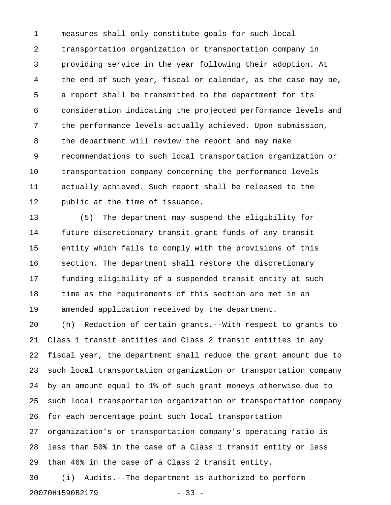1 measures shall only constitute goals for such local 2 transportation organization or transportation company in 3 providing service in the year following their adoption. At 4 the end of such year, fiscal or calendar, as the case may be, 5 a report shall be transmitted to the department for its 6 consideration indicating the projected performance levels and 7 the performance levels actually achieved. Upon submission, 8 the department will review the report and may make 9 recommendations to such local transportation organization or 10 transportation company concerning the performance levels 11 actually achieved. Such report shall be released to the 12 public at the time of issuance.

13 (5) The department may suspend the eligibility for 14 future discretionary transit grant funds of any transit 15 entity which fails to comply with the provisions of this 16 section. The department shall restore the discretionary 17 funding eligibility of a suspended transit entity at such 18 time as the requirements of this section are met in an 19 amended application received by the department.

20 (h) Reduction of certain grants.--With respect to grants to 21 Class 1 transit entities and Class 2 transit entities in any 22 fiscal year, the department shall reduce the grant amount due to 23 such local transportation organization or transportation company 24 by an amount equal to 1% of such grant moneys otherwise due to 25 such local transportation organization or transportation company 26 for each percentage point such local transportation 27 organization's or transportation company's operating ratio is 28 less than 50% in the case of a Class 1 transit entity or less 29 than 46% in the case of a Class 2 transit entity. 30 (i) Audits.--The department is authorized to perform

20070H1590B2179 - 33 -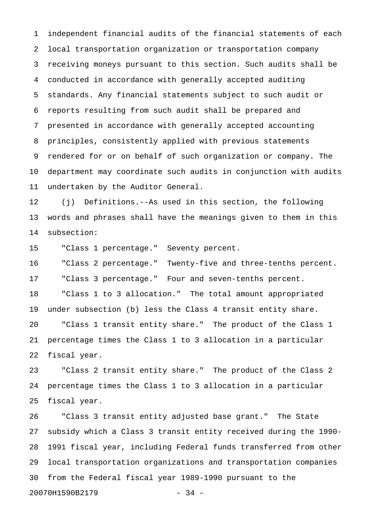1 independent financial audits of the financial statements of each 2 local transportation organization or transportation company 3 receiving moneys pursuant to this section. Such audits shall be 4 conducted in accordance with generally accepted auditing 5 standards. Any financial statements subject to such audit or 6 reports resulting from such audit shall be prepared and 7 presented in accordance with generally accepted accounting 8 principles, consistently applied with previous statements 9 rendered for or on behalf of such organization or company. The 10 department may coordinate such audits in conjunction with audits 11 undertaken by the Auditor General.

12 (j) Definitions.--As used in this section, the following 13 words and phrases shall have the meanings given to them in this 14 subsection:

15 "Class 1 percentage." Seventy percent.

16 "Class 2 percentage." Twenty-five and three-tenths percent. 17 "Class 3 percentage." Four and seven-tenths percent. 18 "Class 1 to 3 allocation." The total amount appropriated 19 under subsection (b) less the Class 4 transit entity share. 20 "Class 1 transit entity share." The product of the Class 1 21 percentage times the Class 1 to 3 allocation in a particular 22 fiscal year.

23 "Class 2 transit entity share." The product of the Class 2 24 percentage times the Class 1 to 3 allocation in a particular 25 fiscal year.

26 "Class 3 transit entity adjusted base grant." The State 27 subsidy which a Class 3 transit entity received during the 1990- 28 1991 fiscal year, including Federal funds transferred from other 29 local transportation organizations and transportation companies 30 from the Federal fiscal year 1989-1990 pursuant to the 20070H1590B2179 - 34 -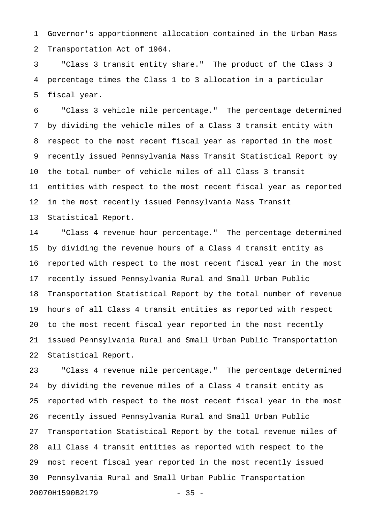1 Governor's apportionment allocation contained in the Urban Mass 2 Transportation Act of 1964.

3 "Class 3 transit entity share." The product of the Class 3 4 percentage times the Class 1 to 3 allocation in a particular 5 fiscal year.

6 "Class 3 vehicle mile percentage." The percentage determined 7 by dividing the vehicle miles of a Class 3 transit entity with 8 respect to the most recent fiscal year as reported in the most 9 recently issued Pennsylvania Mass Transit Statistical Report by 10 the total number of vehicle miles of all Class 3 transit 11 entities with respect to the most recent fiscal year as reported 12 in the most recently issued Pennsylvania Mass Transit 13 Statistical Report.

14 "Class 4 revenue hour percentage." The percentage determined 15 by dividing the revenue hours of a Class 4 transit entity as 16 reported with respect to the most recent fiscal year in the most 17 recently issued Pennsylvania Rural and Small Urban Public 18 Transportation Statistical Report by the total number of revenue 19 hours of all Class 4 transit entities as reported with respect 20 to the most recent fiscal year reported in the most recently 21 issued Pennsylvania Rural and Small Urban Public Transportation 22 Statistical Report.

23 "Class 4 revenue mile percentage." The percentage determined 24 by dividing the revenue miles of a Class 4 transit entity as 25 reported with respect to the most recent fiscal year in the most 26 recently issued Pennsylvania Rural and Small Urban Public 27 Transportation Statistical Report by the total revenue miles of 28 all Class 4 transit entities as reported with respect to the 29 most recent fiscal year reported in the most recently issued 30 Pennsylvania Rural and Small Urban Public Transportation 20070H1590B2179 - 35 -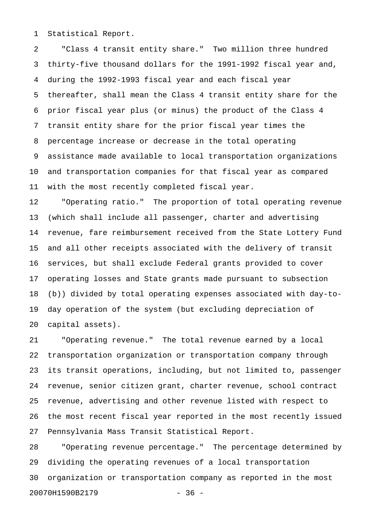1 Statistical Report.

2 "Class 4 transit entity share." Two million three hundred 3 thirty-five thousand dollars for the 1991-1992 fiscal year and, 4 during the 1992-1993 fiscal year and each fiscal year 5 thereafter, shall mean the Class 4 transit entity share for the 6 prior fiscal year plus (or minus) the product of the Class 4 7 transit entity share for the prior fiscal year times the 8 percentage increase or decrease in the total operating 9 assistance made available to local transportation organizations 10 and transportation companies for that fiscal year as compared 11 with the most recently completed fiscal year.

12 "Operating ratio." The proportion of total operating revenue 13 (which shall include all passenger, charter and advertising 14 revenue, fare reimbursement received from the State Lottery Fund 15 and all other receipts associated with the delivery of transit 16 services, but shall exclude Federal grants provided to cover 17 operating losses and State grants made pursuant to subsection 18 (b)) divided by total operating expenses associated with day-to-19 day operation of the system (but excluding depreciation of 20 capital assets).

21 "Operating revenue." The total revenue earned by a local 22 transportation organization or transportation company through 23 its transit operations, including, but not limited to, passenger 24 revenue, senior citizen grant, charter revenue, school contract 25 revenue, advertising and other revenue listed with respect to 26 the most recent fiscal year reported in the most recently issued 27 Pennsylvania Mass Transit Statistical Report.

28 "Operating revenue percentage." The percentage determined by 29 dividing the operating revenues of a local transportation 30 organization or transportation company as reported in the most 20070H1590B2179 - 36 -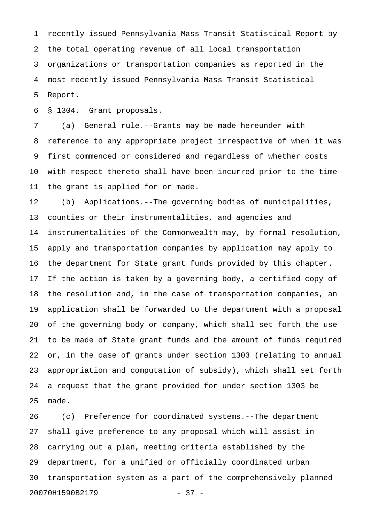1 recently issued Pennsylvania Mass Transit Statistical Report by 2 the total operating revenue of all local transportation 3 organizations or transportation companies as reported in the 4 most recently issued Pennsylvania Mass Transit Statistical 5 Report.

6 § 1304. Grant proposals.

7 (a) General rule.--Grants may be made hereunder with 8 reference to any appropriate project irrespective of when it was 9 first commenced or considered and regardless of whether costs 10 with respect thereto shall have been incurred prior to the time 11 the grant is applied for or made.

12 (b) Applications.--The governing bodies of municipalities, 13 counties or their instrumentalities, and agencies and 14 instrumentalities of the Commonwealth may, by formal resolution, 15 apply and transportation companies by application may apply to 16 the department for State grant funds provided by this chapter. 17 If the action is taken by a governing body, a certified copy of 18 the resolution and, in the case of transportation companies, an 19 application shall be forwarded to the department with a proposal 20 of the governing body or company, which shall set forth the use 21 to be made of State grant funds and the amount of funds required 22 or, in the case of grants under section 1303 (relating to annual 23 appropriation and computation of subsidy), which shall set forth 24 a request that the grant provided for under section 1303 be 25 made.

26 (c) Preference for coordinated systems.--The department 27 shall give preference to any proposal which will assist in 28 carrying out a plan, meeting criteria established by the 29 department, for a unified or officially coordinated urban 30 transportation system as a part of the comprehensively planned 20070H1590B2179 - 37 -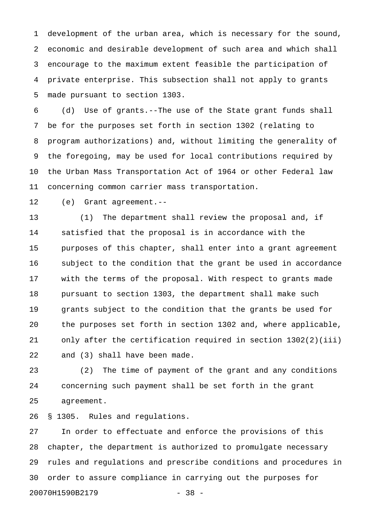1 development of the urban area, which is necessary for the sound, 2 economic and desirable development of such area and which shall 3 encourage to the maximum extent feasible the participation of 4 private enterprise. This subsection shall not apply to grants 5 made pursuant to section 1303.

6 (d) Use of grants.--The use of the State grant funds shall 7 be for the purposes set forth in section 1302 (relating to 8 program authorizations) and, without limiting the generality of 9 the foregoing, may be used for local contributions required by 10 the Urban Mass Transportation Act of 1964 or other Federal law 11 concerning common carrier mass transportation.

12 (e) Grant agreement.--

13 (1) The department shall review the proposal and, if 14 satisfied that the proposal is in accordance with the 15 purposes of this chapter, shall enter into a grant agreement 16 subject to the condition that the grant be used in accordance 17 with the terms of the proposal. With respect to grants made 18 pursuant to section 1303, the department shall make such 19 grants subject to the condition that the grants be used for 20 the purposes set forth in section 1302 and, where applicable, 21 only after the certification required in section 1302(2)(iii) 22 and (3) shall have been made.

23 (2) The time of payment of the grant and any conditions 24 concerning such payment shall be set forth in the grant 25 agreement.

26 § 1305. Rules and regulations.

27 In order to effectuate and enforce the provisions of this 28 chapter, the department is authorized to promulgate necessary 29 rules and regulations and prescribe conditions and procedures in 30 order to assure compliance in carrying out the purposes for 20070H1590B2179 - 38 -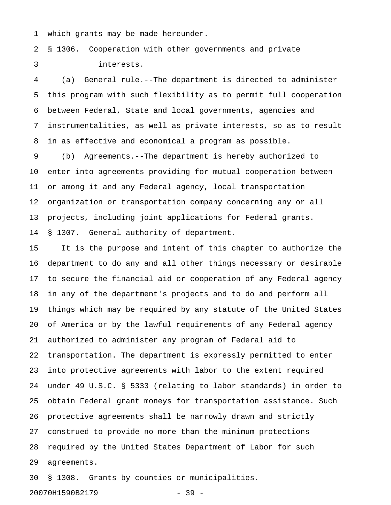1 which grants may be made hereunder.

2 § 1306. Cooperation with other governments and private 3 interests.

4 (a) General rule.--The department is directed to administer 5 this program with such flexibility as to permit full cooperation 6 between Federal, State and local governments, agencies and 7 instrumentalities, as well as private interests, so as to result 8 in as effective and economical a program as possible.

9 (b) Agreements.--The department is hereby authorized to 10 enter into agreements providing for mutual cooperation between 11 or among it and any Federal agency, local transportation 12 organization or transportation company concerning any or all 13 projects, including joint applications for Federal grants. 14 § 1307. General authority of department.

15 It is the purpose and intent of this chapter to authorize the 16 department to do any and all other things necessary or desirable 17 to secure the financial aid or cooperation of any Federal agency 18 in any of the department's projects and to do and perform all 19 things which may be required by any statute of the United States 20 of America or by the lawful requirements of any Federal agency 21 authorized to administer any program of Federal aid to 22 transportation. The department is expressly permitted to enter 23 into protective agreements with labor to the extent required 24 under 49 U.S.C. § 5333 (relating to labor standards) in order to 25 obtain Federal grant moneys for transportation assistance. Such 26 protective agreements shall be narrowly drawn and strictly 27 construed to provide no more than the minimum protections 28 required by the United States Department of Labor for such 29 agreements.

30 § 1308. Grants by counties or municipalities.

20070H1590B2179 - 39 -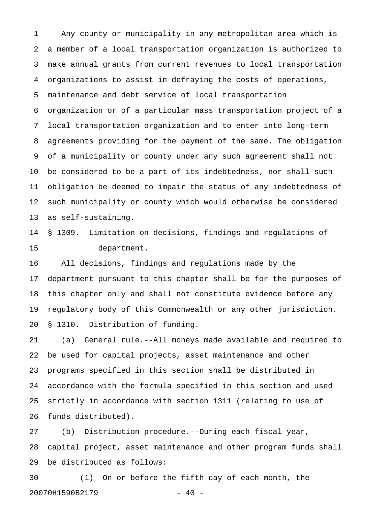1 Any county or municipality in any metropolitan area which is 2 a member of a local transportation organization is authorized to 3 make annual grants from current revenues to local transportation 4 organizations to assist in defraying the costs of operations, 5 maintenance and debt service of local transportation 6 organization or of a particular mass transportation project of a 7 local transportation organization and to enter into long-term 8 agreements providing for the payment of the same. The obligation 9 of a municipality or county under any such agreement shall not 10 be considered to be a part of its indebtedness, nor shall such 11 obligation be deemed to impair the status of any indebtedness of 12 such municipality or county which would otherwise be considered 13 as self-sustaining.

14 § 1309. Limitation on decisions, findings and regulations of 15 department.

16 All decisions, findings and regulations made by the 17 department pursuant to this chapter shall be for the purposes of 18 this chapter only and shall not constitute evidence before any 19 regulatory body of this Commonwealth or any other jurisdiction. 20 § 1310. Distribution of funding.

21 (a) General rule.--All moneys made available and required to 22 be used for capital projects, asset maintenance and other 23 programs specified in this section shall be distributed in 24 accordance with the formula specified in this section and used 25 strictly in accordance with section 1311 (relating to use of 26 funds distributed).

27 (b) Distribution procedure.--During each fiscal year, 28 capital project, asset maintenance and other program funds shall 29 be distributed as follows:

30 (1) On or before the fifth day of each month, the 20070H1590B2179 - 40 -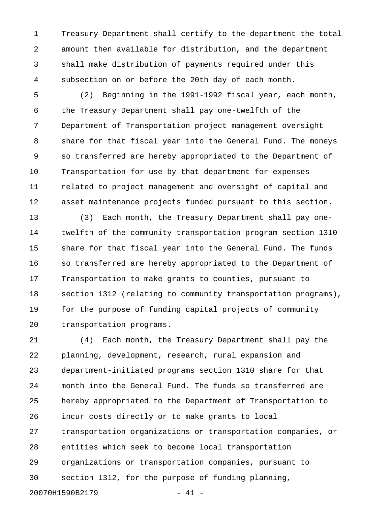1 Treasury Department shall certify to the department the total 2 amount then available for distribution, and the department 3 shall make distribution of payments required under this 4 subsection on or before the 20th day of each month.

5 (2) Beginning in the 1991-1992 fiscal year, each month, 6 the Treasury Department shall pay one-twelfth of the 7 Department of Transportation project management oversight 8 share for that fiscal year into the General Fund. The moneys 9 so transferred are hereby appropriated to the Department of 10 Transportation for use by that department for expenses 11 related to project management and oversight of capital and 12 asset maintenance projects funded pursuant to this section.

13 (3) Each month, the Treasury Department shall pay one-14 twelfth of the community transportation program section 1310 15 share for that fiscal year into the General Fund. The funds 16 so transferred are hereby appropriated to the Department of 17 Transportation to make grants to counties, pursuant to 18 section 1312 (relating to community transportation programs), 19 for the purpose of funding capital projects of community 20 transportation programs.

21 (4) Each month, the Treasury Department shall pay the 22 planning, development, research, rural expansion and 23 department-initiated programs section 1310 share for that 24 month into the General Fund. The funds so transferred are 25 hereby appropriated to the Department of Transportation to 26 incur costs directly or to make grants to local 27 transportation organizations or transportation companies, or 28 entities which seek to become local transportation 29 organizations or transportation companies, pursuant to 30 section 1312, for the purpose of funding planning, 20070H1590B2179 - 41 -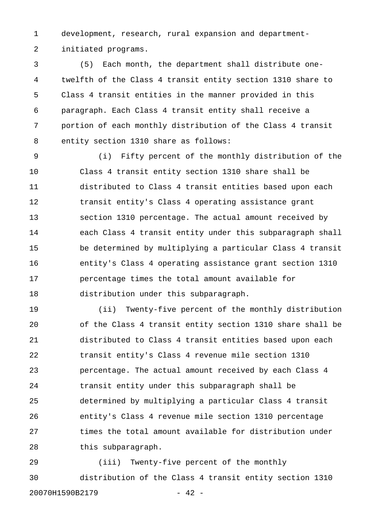1 development, research, rural expansion and department-2 initiated programs.

3 (5) Each month, the department shall distribute one-4 twelfth of the Class 4 transit entity section 1310 share to 5 Class 4 transit entities in the manner provided in this 6 paragraph. Each Class 4 transit entity shall receive a 7 portion of each monthly distribution of the Class 4 transit 8 entity section 1310 share as follows:

9 (i) Fifty percent of the monthly distribution of the 10 Class 4 transit entity section 1310 share shall be 11 distributed to Class 4 transit entities based upon each 12 transit entity's Class 4 operating assistance grant 13 section 1310 percentage. The actual amount received by 14 each Class 4 transit entity under this subparagraph shall 15 be determined by multiplying a particular Class 4 transit 16 entity's Class 4 operating assistance grant section 1310 17 percentage times the total amount available for 18 distribution under this subparagraph.

19 (ii) Twenty-five percent of the monthly distribution 20 of the Class 4 transit entity section 1310 share shall be 21 distributed to Class 4 transit entities based upon each 22 transit entity's Class 4 revenue mile section 1310 23 percentage. The actual amount received by each Class 4 24 transit entity under this subparagraph shall be 25 determined by multiplying a particular Class 4 transit 26 entity's Class 4 revenue mile section 1310 percentage 27 times the total amount available for distribution under 28 this subparagraph.

29 (iii) Twenty-five percent of the monthly 30 distribution of the Class 4 transit entity section 1310 20070H1590B2179 - 42 -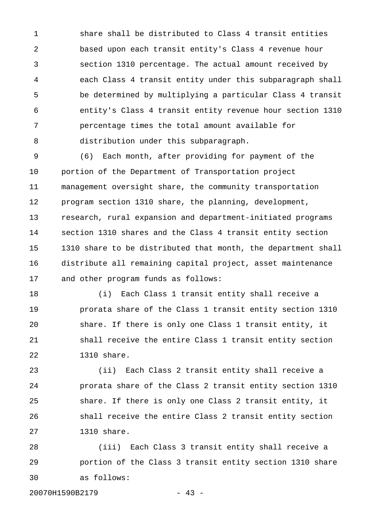1 share shall be distributed to Class 4 transit entities 2 based upon each transit entity's Class 4 revenue hour 3 section 1310 percentage. The actual amount received by 4 each Class 4 transit entity under this subparagraph shall 5 be determined by multiplying a particular Class 4 transit 6 entity's Class 4 transit entity revenue hour section 1310 7 percentage times the total amount available for 8 distribution under this subparagraph.

9 (6) Each month, after providing for payment of the 10 portion of the Department of Transportation project 11 management oversight share, the community transportation 12 program section 1310 share, the planning, development, 13 research, rural expansion and department-initiated programs 14 section 1310 shares and the Class 4 transit entity section 15 1310 share to be distributed that month, the department shall 16 distribute all remaining capital project, asset maintenance 17 and other program funds as follows:

18 (i) Each Class 1 transit entity shall receive a 19 prorata share of the Class 1 transit entity section 1310 20 share. If there is only one Class 1 transit entity, it 21 shall receive the entire Class 1 transit entity section 22 1310 share.

23 (ii) Each Class 2 transit entity shall receive a 24 prorata share of the Class 2 transit entity section 1310 25 share. If there is only one Class 2 transit entity, it 26 shall receive the entire Class 2 transit entity section 27 1310 share.

28 (iii) Each Class 3 transit entity shall receive a 29 portion of the Class 3 transit entity section 1310 share 30 as follows:

20070H1590B2179 - 43 -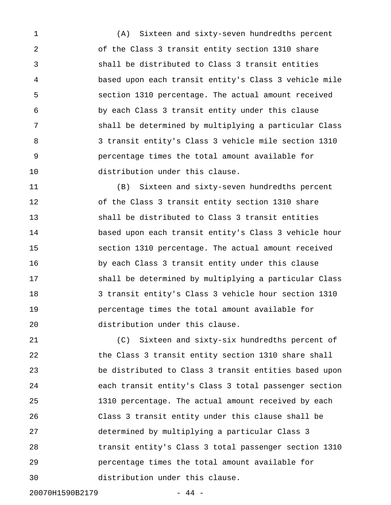1 (A) Sixteen and sixty-seven hundredths percent 2 of the Class 3 transit entity section 1310 share 3 shall be distributed to Class 3 transit entities 4 based upon each transit entity's Class 3 vehicle mile 5 section 1310 percentage. The actual amount received 6 by each Class 3 transit entity under this clause 7 shall be determined by multiplying a particular Class 8 3 transit entity's Class 3 vehicle mile section 1310 9 percentage times the total amount available for 10 distribution under this clause.

11 (B) Sixteen and sixty-seven hundredths percent 12 of the Class 3 transit entity section 1310 share 13 shall be distributed to Class 3 transit entities 14 based upon each transit entity's Class 3 vehicle hour 15 section 1310 percentage. The actual amount received 16 by each Class 3 transit entity under this clause 17 shall be determined by multiplying a particular Class 18 3 transit entity's Class 3 vehicle hour section 1310 19 percentage times the total amount available for 20 distribution under this clause.

21 (C) Sixteen and sixty-six hundredths percent of 22 the Class 3 transit entity section 1310 share shall 23 be distributed to Class 3 transit entities based upon 24 each transit entity's Class 3 total passenger section 25 1310 percentage. The actual amount received by each 26 Class 3 transit entity under this clause shall be 27 determined by multiplying a particular Class 3 28 transit entity's Class 3 total passenger section 1310 29 percentage times the total amount available for 30 distribution under this clause.

20070H1590B2179 - 44 -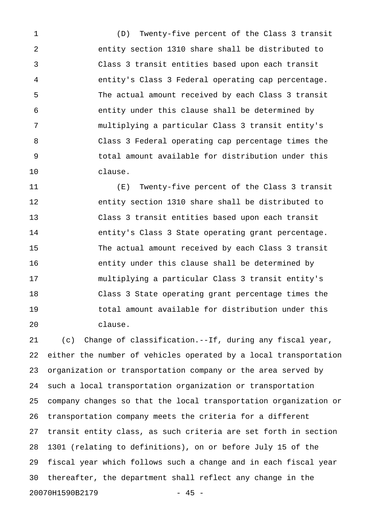1 (D) Twenty-five percent of the Class 3 transit 2 entity section 1310 share shall be distributed to 3 Class 3 transit entities based upon each transit 4 entity's Class 3 Federal operating cap percentage. 5 The actual amount received by each Class 3 transit 6 entity under this clause shall be determined by 7 multiplying a particular Class 3 transit entity's 8 Class 3 Federal operating cap percentage times the 9 total amount available for distribution under this 10 clause.

11 (E) Twenty-five percent of the Class 3 transit 12 entity section 1310 share shall be distributed to 13 Class 3 transit entities based upon each transit 14 entity's Class 3 State operating grant percentage. 15 The actual amount received by each Class 3 transit 16 entity under this clause shall be determined by 17 multiplying a particular Class 3 transit entity's 18 Class 3 State operating grant percentage times the 19 total amount available for distribution under this 20 clause.

21 (c) Change of classification.--If, during any fiscal year, 22 either the number of vehicles operated by a local transportation 23 organization or transportation company or the area served by 24 such a local transportation organization or transportation 25 company changes so that the local transportation organization or 26 transportation company meets the criteria for a different 27 transit entity class, as such criteria are set forth in section 28 1301 (relating to definitions), on or before July 15 of the 29 fiscal year which follows such a change and in each fiscal year 30 thereafter, the department shall reflect any change in the 20070H1590B2179 - 45 -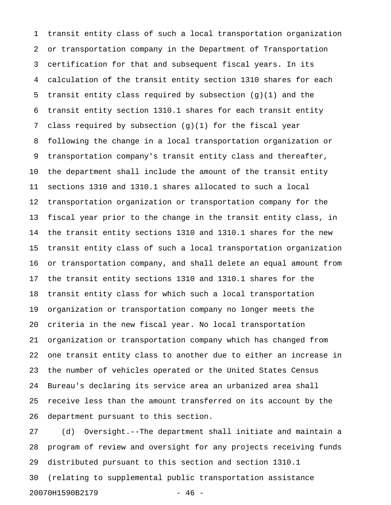1 transit entity class of such a local transportation organization 2 or transportation company in the Department of Transportation 3 certification for that and subsequent fiscal years. In its 4 calculation of the transit entity section 1310 shares for each 5 transit entity class required by subsection (g)(1) and the 6 transit entity section 1310.1 shares for each transit entity 7 class required by subsection (g)(1) for the fiscal year 8 following the change in a local transportation organization or 9 transportation company's transit entity class and thereafter, 10 the department shall include the amount of the transit entity 11 sections 1310 and 1310.1 shares allocated to such a local 12 transportation organization or transportation company for the 13 fiscal year prior to the change in the transit entity class, in 14 the transit entity sections 1310 and 1310.1 shares for the new 15 transit entity class of such a local transportation organization 16 or transportation company, and shall delete an equal amount from 17 the transit entity sections 1310 and 1310.1 shares for the 18 transit entity class for which such a local transportation 19 organization or transportation company no longer meets the 20 criteria in the new fiscal year. No local transportation 21 organization or transportation company which has changed from 22 one transit entity class to another due to either an increase in 23 the number of vehicles operated or the United States Census 24 Bureau's declaring its service area an urbanized area shall 25 receive less than the amount transferred on its account by the 26 department pursuant to this section.

27 (d) Oversight.--The department shall initiate and maintain a 28 program of review and oversight for any projects receiving funds 29 distributed pursuant to this section and section 1310.1 30 (relating to supplemental public transportation assistance 20070H1590B2179 - 46 -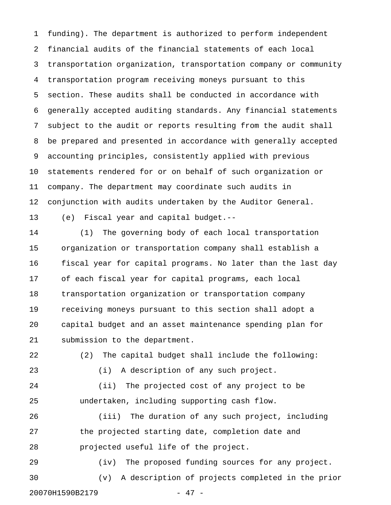1 funding). The department is authorized to perform independent 2 financial audits of the financial statements of each local 3 transportation organization, transportation company or community 4 transportation program receiving moneys pursuant to this 5 section. These audits shall be conducted in accordance with 6 generally accepted auditing standards. Any financial statements 7 subject to the audit or reports resulting from the audit shall 8 be prepared and presented in accordance with generally accepted 9 accounting principles, consistently applied with previous 10 statements rendered for or on behalf of such organization or 11 company. The department may coordinate such audits in 12 conjunction with audits undertaken by the Auditor General. 13 (e) Fiscal year and capital budget.--

14 (1) The governing body of each local transportation 15 organization or transportation company shall establish a 16 fiscal year for capital programs. No later than the last day 17 of each fiscal year for capital programs, each local 18 transportation organization or transportation company 19 receiving moneys pursuant to this section shall adopt a 20 capital budget and an asset maintenance spending plan for 21 submission to the department.

22 (2) The capital budget shall include the following: 23 (i) A description of any such project.

24 (ii) The projected cost of any project to be 25 undertaken, including supporting cash flow.

26 (iii) The duration of any such project, including 27 the projected starting date, completion date and 28 projected useful life of the project.

29 (iv) The proposed funding sources for any project. 30 (v) A description of projects completed in the prior 20070H1590B2179 - 47 -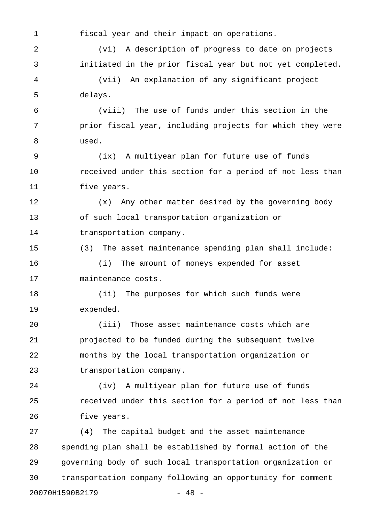1 fiscal year and their impact on operations. 2 (vi) A description of progress to date on projects 3 initiated in the prior fiscal year but not yet completed. 4 (vii) An explanation of any significant project 5 delays. 6 (viii) The use of funds under this section in the 7 prior fiscal year, including projects for which they were 8 used. 9 (ix) A multiyear plan for future use of funds 10 received under this section for a period of not less than 11 five years. 12 (x) Any other matter desired by the governing body 13 of such local transportation organization or 14 transportation company. 15 (3) The asset maintenance spending plan shall include: 16 (i) The amount of moneys expended for asset 17 maintenance costs. 18 (ii) The purposes for which such funds were 19 expended. 20 (iii) Those asset maintenance costs which are 21 projected to be funded during the subsequent twelve 22 months by the local transportation organization or 23 transportation company. 24 (iv) A multiyear plan for future use of funds 25 received under this section for a period of not less than 26 five years. 27 (4) The capital budget and the asset maintenance 28 spending plan shall be established by formal action of the 29 governing body of such local transportation organization or

20070H1590B2179 - 48 -

30 transportation company following an opportunity for comment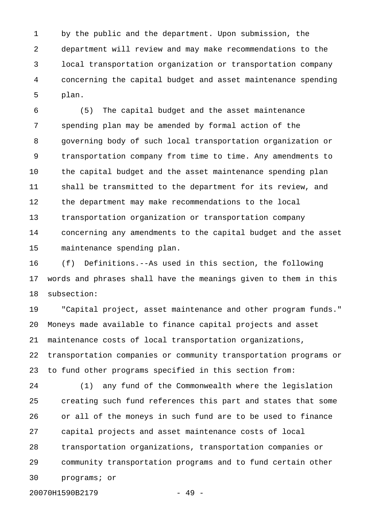1 by the public and the department. Upon submission, the 2 department will review and may make recommendations to the 3 local transportation organization or transportation company 4 concerning the capital budget and asset maintenance spending 5 plan.

6 (5) The capital budget and the asset maintenance 7 spending plan may be amended by formal action of the 8 governing body of such local transportation organization or 9 transportation company from time to time. Any amendments to 10 the capital budget and the asset maintenance spending plan 11 shall be transmitted to the department for its review, and 12 the department may make recommendations to the local 13 transportation organization or transportation company 14 concerning any amendments to the capital budget and the asset 15 maintenance spending plan.

16 (f) Definitions.--As used in this section, the following 17 words and phrases shall have the meanings given to them in this 18 subsection:

19 "Capital project, asset maintenance and other program funds." 20 Moneys made available to finance capital projects and asset 21 maintenance costs of local transportation organizations, 22 transportation companies or community transportation programs or 23 to fund other programs specified in this section from:

24 (1) any fund of the Commonwealth where the legislation 25 creating such fund references this part and states that some 26 or all of the moneys in such fund are to be used to finance 27 capital projects and asset maintenance costs of local 28 transportation organizations, transportation companies or 29 community transportation programs and to fund certain other 30 programs; or

20070H1590B2179 - 49 -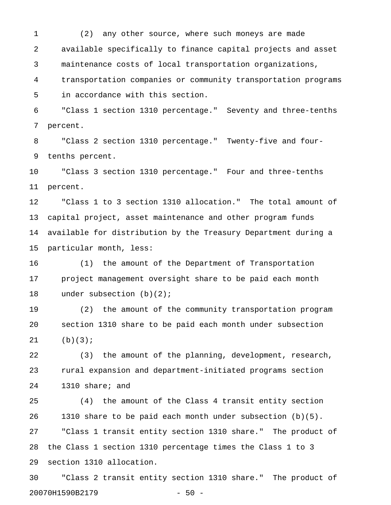1 (2) any other source, where such moneys are made 2 available specifically to finance capital projects and asset 3 maintenance costs of local transportation organizations, 4 transportation companies or community transportation programs 5 in accordance with this section.

6 "Class 1 section 1310 percentage." Seventy and three-tenths 7 percent.

8 "Class 2 section 1310 percentage." Twenty-five and four-9 tenths percent.

10 "Class 3 section 1310 percentage." Four and three-tenths 11 percent.

12 "Class 1 to 3 section 1310 allocation." The total amount of 13 capital project, asset maintenance and other program funds 14 available for distribution by the Treasury Department during a 15 particular month, less:

16 (1) the amount of the Department of Transportation 17 project management oversight share to be paid each month 18 under subsection (b)(2);

19 (2) the amount of the community transportation program 20 section 1310 share to be paid each month under subsection 21 (b)(3);

22 (3) the amount of the planning, development, research, 23 rural expansion and department-initiated programs section 24 1310 share; and

25 (4) the amount of the Class 4 transit entity section 26 1310 share to be paid each month under subsection (b)(5). 27 "Class 1 transit entity section 1310 share." The product of 28 the Class 1 section 1310 percentage times the Class 1 to 3 29 section 1310 allocation.

30 "Class 2 transit entity section 1310 share." The product of 20070H1590B2179 - 50 -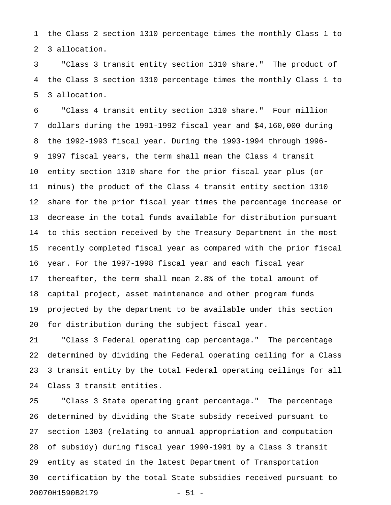1 the Class 2 section 1310 percentage times the monthly Class 1 to 2 3 allocation.

3 "Class 3 transit entity section 1310 share." The product of 4 the Class 3 section 1310 percentage times the monthly Class 1 to 5 3 allocation.

6 "Class 4 transit entity section 1310 share." Four million 7 dollars during the 1991-1992 fiscal year and \$4,160,000 during 8 the 1992-1993 fiscal year. During the 1993-1994 through 1996- 9 1997 fiscal years, the term shall mean the Class 4 transit 10 entity section 1310 share for the prior fiscal year plus (or 11 minus) the product of the Class 4 transit entity section 1310 12 share for the prior fiscal year times the percentage increase or 13 decrease in the total funds available for distribution pursuant 14 to this section received by the Treasury Department in the most 15 recently completed fiscal year as compared with the prior fiscal 16 year. For the 1997-1998 fiscal year and each fiscal year 17 thereafter, the term shall mean 2.8% of the total amount of 18 capital project, asset maintenance and other program funds 19 projected by the department to be available under this section 20 for distribution during the subject fiscal year.

21 "Class 3 Federal operating cap percentage." The percentage 22 determined by dividing the Federal operating ceiling for a Class 23 3 transit entity by the total Federal operating ceilings for all 24 Class 3 transit entities.

25 "Class 3 State operating grant percentage." The percentage 26 determined by dividing the State subsidy received pursuant to 27 section 1303 (relating to annual appropriation and computation 28 of subsidy) during fiscal year 1990-1991 by a Class 3 transit 29 entity as stated in the latest Department of Transportation 30 certification by the total State subsidies received pursuant to 20070H1590B2179 - 51 -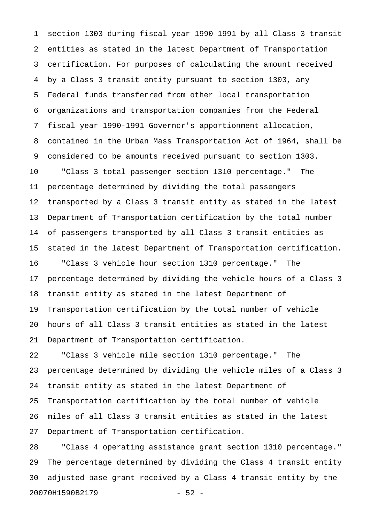1 section 1303 during fiscal year 1990-1991 by all Class 3 transit 2 entities as stated in the latest Department of Transportation 3 certification. For purposes of calculating the amount received 4 by a Class 3 transit entity pursuant to section 1303, any 5 Federal funds transferred from other local transportation 6 organizations and transportation companies from the Federal 7 fiscal year 1990-1991 Governor's apportionment allocation, 8 contained in the Urban Mass Transportation Act of 1964, shall be 9 considered to be amounts received pursuant to section 1303. 10 "Class 3 total passenger section 1310 percentage." The 11 percentage determined by dividing the total passengers 12 transported by a Class 3 transit entity as stated in the latest 13 Department of Transportation certification by the total number 14 of passengers transported by all Class 3 transit entities as 15 stated in the latest Department of Transportation certification. 16 "Class 3 vehicle hour section 1310 percentage." The 17 percentage determined by dividing the vehicle hours of a Class 3 18 transit entity as stated in the latest Department of 19 Transportation certification by the total number of vehicle 20 hours of all Class 3 transit entities as stated in the latest 21 Department of Transportation certification.

22 "Class 3 vehicle mile section 1310 percentage." The 23 percentage determined by dividing the vehicle miles of a Class 3 24 transit entity as stated in the latest Department of 25 Transportation certification by the total number of vehicle 26 miles of all Class 3 transit entities as stated in the latest 27 Department of Transportation certification.

28 "Class 4 operating assistance grant section 1310 percentage." 29 The percentage determined by dividing the Class 4 transit entity 30 adjusted base grant received by a Class 4 transit entity by the 20070H1590B2179 - 52 -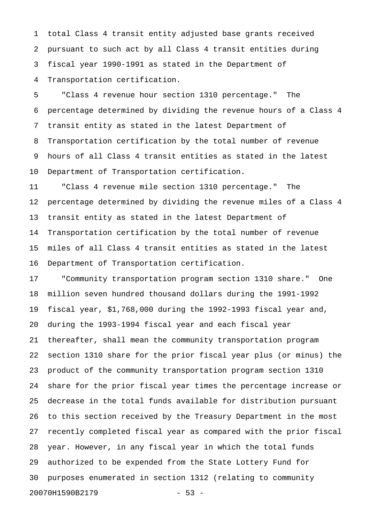1 total Class 4 transit entity adjusted base grants received 2 pursuant to such act by all Class 4 transit entities during 3 fiscal year 1990-1991 as stated in the Department of 4 Transportation certification.

5 "Class 4 revenue hour section 1310 percentage." The 6 percentage determined by dividing the revenue hours of a Class 4 7 transit entity as stated in the latest Department of 8 Transportation certification by the total number of revenue 9 hours of all Class 4 transit entities as stated in the latest 10 Department of Transportation certification.

11 "Class 4 revenue mile section 1310 percentage." The 12 percentage determined by dividing the revenue miles of a Class 4 13 transit entity as stated in the latest Department of 14 Transportation certification by the total number of revenue 15 miles of all Class 4 transit entities as stated in the latest 16 Department of Transportation certification.

17 "Community transportation program section 1310 share." One 18 million seven hundred thousand dollars during the 1991-1992 19 fiscal year, \$1,768,000 during the 1992-1993 fiscal year and, 20 during the 1993-1994 fiscal year and each fiscal year 21 thereafter, shall mean the community transportation program 22 section 1310 share for the prior fiscal year plus (or minus) the 23 product of the community transportation program section 1310 24 share for the prior fiscal year times the percentage increase or 25 decrease in the total funds available for distribution pursuant 26 to this section received by the Treasury Department in the most 27 recently completed fiscal year as compared with the prior fiscal 28 year. However, in any fiscal year in which the total funds 29 authorized to be expended from the State Lottery Fund for 30 purposes enumerated in section 1312 (relating to community 20070H1590B2179 - 53 -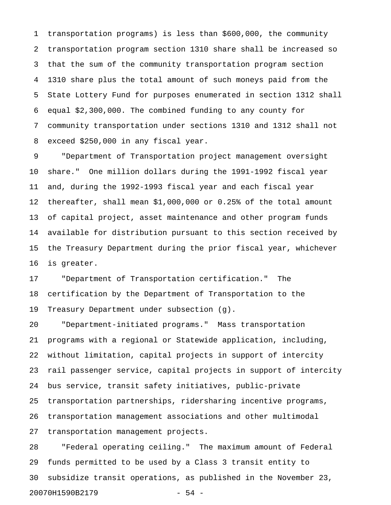1 transportation programs) is less than \$600,000, the community 2 transportation program section 1310 share shall be increased so 3 that the sum of the community transportation program section 4 1310 share plus the total amount of such moneys paid from the 5 State Lottery Fund for purposes enumerated in section 1312 shall 6 equal \$2,300,000. The combined funding to any county for 7 community transportation under sections 1310 and 1312 shall not 8 exceed \$250,000 in any fiscal year.

9 "Department of Transportation project management oversight 10 share." One million dollars during the 1991-1992 fiscal year 11 and, during the 1992-1993 fiscal year and each fiscal year 12 thereafter, shall mean \$1,000,000 or 0.25% of the total amount 13 of capital project, asset maintenance and other program funds 14 available for distribution pursuant to this section received by 15 the Treasury Department during the prior fiscal year, whichever 16 is greater.

17 "Department of Transportation certification." The 18 certification by the Department of Transportation to the 19 Treasury Department under subsection (g).

20 "Department-initiated programs." Mass transportation 21 programs with a regional or Statewide application, including, 22 without limitation, capital projects in support of intercity 23 rail passenger service, capital projects in support of intercity 24 bus service, transit safety initiatives, public-private 25 transportation partnerships, ridersharing incentive programs, 26 transportation management associations and other multimodal 27 transportation management projects.

28 "Federal operating ceiling." The maximum amount of Federal 29 funds permitted to be used by a Class 3 transit entity to 30 subsidize transit operations, as published in the November 23, 20070H1590B2179 - 54 -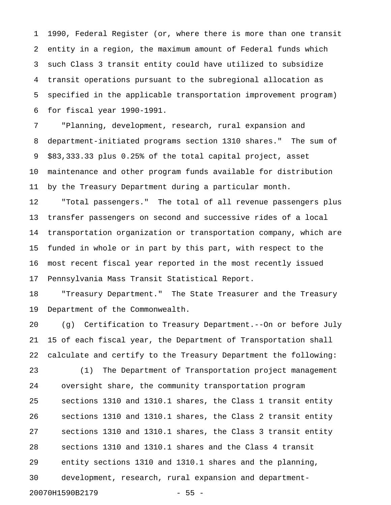1 1990, Federal Register (or, where there is more than one transit 2 entity in a region, the maximum amount of Federal funds which 3 such Class 3 transit entity could have utilized to subsidize 4 transit operations pursuant to the subregional allocation as 5 specified in the applicable transportation improvement program) 6 for fiscal year 1990-1991.

7 "Planning, development, research, rural expansion and 8 department-initiated programs section 1310 shares." The sum of 9 \$83,333.33 plus 0.25% of the total capital project, asset 10 maintenance and other program funds available for distribution 11 by the Treasury Department during a particular month.

12 "Total passengers." The total of all revenue passengers plus 13 transfer passengers on second and successive rides of a local 14 transportation organization or transportation company, which are 15 funded in whole or in part by this part, with respect to the 16 most recent fiscal year reported in the most recently issued 17 Pennsylvania Mass Transit Statistical Report.

18 "Treasury Department." The State Treasurer and the Treasury 19 Department of the Commonwealth.

20 (g) Certification to Treasury Department.--On or before July 21 15 of each fiscal year, the Department of Transportation shall 22 calculate and certify to the Treasury Department the following:

23 (1) The Department of Transportation project management 24 oversight share, the community transportation program 25 sections 1310 and 1310.1 shares, the Class 1 transit entity 26 sections 1310 and 1310.1 shares, the Class 2 transit entity 27 sections 1310 and 1310.1 shares, the Class 3 transit entity 28 sections 1310 and 1310.1 shares and the Class 4 transit 29 entity sections 1310 and 1310.1 shares and the planning, 30 development, research, rural expansion and department-20070H1590B2179 - 55 -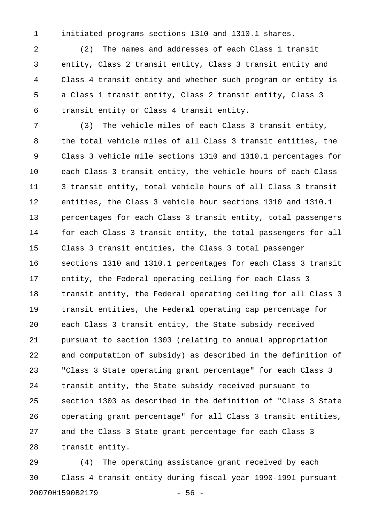1 initiated programs sections 1310 and 1310.1 shares.

2 (2) The names and addresses of each Class 1 transit 3 entity, Class 2 transit entity, Class 3 transit entity and 4 Class 4 transit entity and whether such program or entity is 5 a Class 1 transit entity, Class 2 transit entity, Class 3 6 transit entity or Class 4 transit entity.

7 (3) The vehicle miles of each Class 3 transit entity, 8 the total vehicle miles of all Class 3 transit entities, the 9 Class 3 vehicle mile sections 1310 and 1310.1 percentages for 10 each Class 3 transit entity, the vehicle hours of each Class 11 3 transit entity, total vehicle hours of all Class 3 transit 12 entities, the Class 3 vehicle hour sections 1310 and 1310.1 13 percentages for each Class 3 transit entity, total passengers 14 for each Class 3 transit entity, the total passengers for all 15 Class 3 transit entities, the Class 3 total passenger 16 sections 1310 and 1310.1 percentages for each Class 3 transit 17 entity, the Federal operating ceiling for each Class 3 18 transit entity, the Federal operating ceiling for all Class 3 19 transit entities, the Federal operating cap percentage for 20 each Class 3 transit entity, the State subsidy received 21 pursuant to section 1303 (relating to annual appropriation 22 and computation of subsidy) as described in the definition of 23 "Class 3 State operating grant percentage" for each Class 3 24 transit entity, the State subsidy received pursuant to 25 section 1303 as described in the definition of "Class 3 State 26 operating grant percentage" for all Class 3 transit entities, 27 and the Class 3 State grant percentage for each Class 3 28 transit entity.

29 (4) The operating assistance grant received by each 30 Class 4 transit entity during fiscal year 1990-1991 pursuant 20070H1590B2179 - 56 -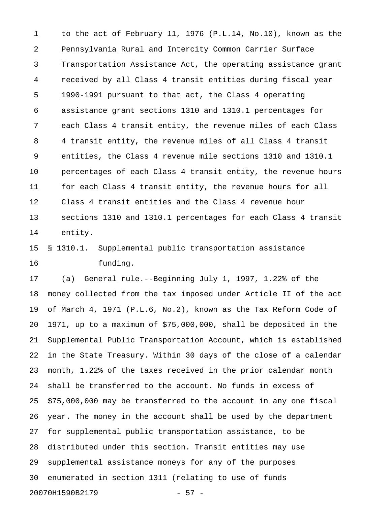1 to the act of February 11, 1976 (P.L.14, No.10), known as the 2 Pennsylvania Rural and Intercity Common Carrier Surface 3 Transportation Assistance Act, the operating assistance grant 4 received by all Class 4 transit entities during fiscal year 5 1990-1991 pursuant to that act, the Class 4 operating 6 assistance grant sections 1310 and 1310.1 percentages for 7 each Class 4 transit entity, the revenue miles of each Class 8 4 transit entity, the revenue miles of all Class 4 transit 9 entities, the Class 4 revenue mile sections 1310 and 1310.1 10 percentages of each Class 4 transit entity, the revenue hours 11 for each Class 4 transit entity, the revenue hours for all 12 Class 4 transit entities and the Class 4 revenue hour 13 sections 1310 and 1310.1 percentages for each Class 4 transit 14 entity.

## 15 § 1310.1. Supplemental public transportation assistance 16 funding.

17 (a) General rule.--Beginning July 1, 1997, 1.22% of the 18 money collected from the tax imposed under Article II of the act 19 of March 4, 1971 (P.L.6, No.2), known as the Tax Reform Code of 20 1971, up to a maximum of \$75,000,000, shall be deposited in the 21 Supplemental Public Transportation Account, which is established 22 in the State Treasury. Within 30 days of the close of a calendar 23 month, 1.22% of the taxes received in the prior calendar month 24 shall be transferred to the account. No funds in excess of 25 \$75,000,000 may be transferred to the account in any one fiscal 26 year. The money in the account shall be used by the department 27 for supplemental public transportation assistance, to be 28 distributed under this section. Transit entities may use 29 supplemental assistance moneys for any of the purposes 30 enumerated in section 1311 (relating to use of funds 20070H1590B2179 - 57 -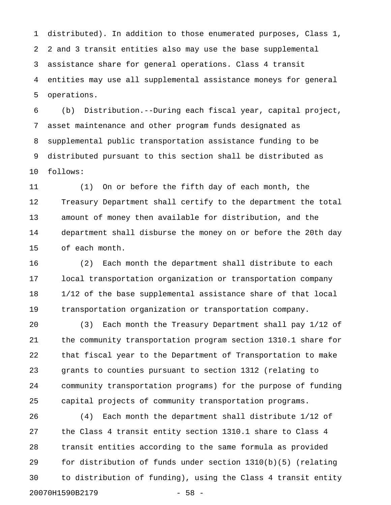1 distributed). In addition to those enumerated purposes, Class 1, 2 2 and 3 transit entities also may use the base supplemental 3 assistance share for general operations. Class 4 transit 4 entities may use all supplemental assistance moneys for general 5 operations.

6 (b) Distribution.--During each fiscal year, capital project, 7 asset maintenance and other program funds designated as 8 supplemental public transportation assistance funding to be 9 distributed pursuant to this section shall be distributed as 10 follows:

11 (1) On or before the fifth day of each month, the 12 Treasury Department shall certify to the department the total 13 amount of money then available for distribution, and the 14 department shall disburse the money on or before the 20th day 15 of each month.

16 (2) Each month the department shall distribute to each 17 local transportation organization or transportation company 18 1/12 of the base supplemental assistance share of that local 19 transportation organization or transportation company.

20 (3) Each month the Treasury Department shall pay 1/12 of 21 the community transportation program section 1310.1 share for 22 that fiscal year to the Department of Transportation to make 23 grants to counties pursuant to section 1312 (relating to 24 community transportation programs) for the purpose of funding 25 capital projects of community transportation programs.

26 (4) Each month the department shall distribute 1/12 of 27 the Class 4 transit entity section 1310.1 share to Class 4 28 transit entities according to the same formula as provided 29 for distribution of funds under section 1310(b)(5) (relating 30 to distribution of funding), using the Class 4 transit entity 20070H1590B2179 - 58 -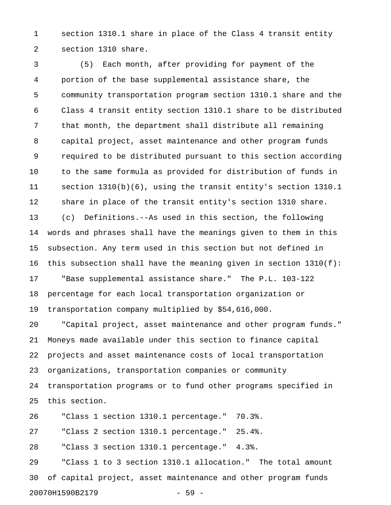1 section 1310.1 share in place of the Class 4 transit entity 2 section 1310 share.

3 (5) Each month, after providing for payment of the 4 portion of the base supplemental assistance share, the 5 community transportation program section 1310.1 share and the 6 Class 4 transit entity section 1310.1 share to be distributed 7 that month, the department shall distribute all remaining 8 capital project, asset maintenance and other program funds 9 required to be distributed pursuant to this section according 10 to the same formula as provided for distribution of funds in 11 section 1310(b)(6), using the transit entity's section 1310.1 12 share in place of the transit entity's section 1310 share. 13 (c) Definitions.--As used in this section, the following 14 words and phrases shall have the meanings given to them in this 15 subsection. Any term used in this section but not defined in 16 this subsection shall have the meaning given in section 1310(f): 17 "Base supplemental assistance share." The P.L. 103-122 18 percentage for each local transportation organization or 19 transportation company multiplied by \$54,616,000. 20 "Capital project, asset maintenance and other program funds." 21 Moneys made available under this section to finance capital 22 projects and asset maintenance costs of local transportation 23 organizations, transportation companies or community

24 transportation programs or to fund other programs specified in 25 this section.

26 "Class 1 section 1310.1 percentage." 70.3%.

27 "Class 2 section 1310.1 percentage." 25.4%.

28 "Class 3 section 1310.1 percentage." 4.3%.

29 "Class 1 to 3 section 1310.1 allocation." The total amount 30 of capital project, asset maintenance and other program funds 20070H1590B2179 - 59 -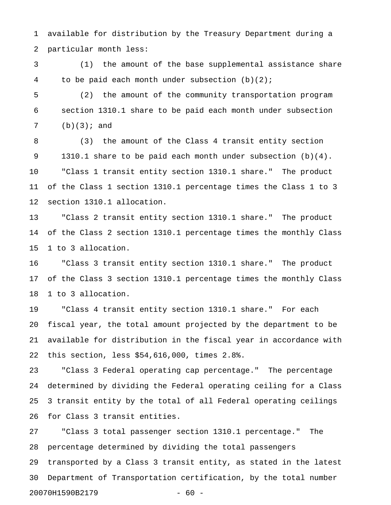1 available for distribution by the Treasury Department during a 2 particular month less:

3 (1) the amount of the base supplemental assistance share 4 to be paid each month under subsection (b)(2);

5 (2) the amount of the community transportation program 6 section 1310.1 share to be paid each month under subsection 7 (b)(3); and

8 (3) the amount of the Class 4 transit entity section 9 1310.1 share to be paid each month under subsection (b)(4). 10 "Class 1 transit entity section 1310.1 share." The product 11 of the Class 1 section 1310.1 percentage times the Class 1 to 3 12 section 1310.1 allocation.

13 "Class 2 transit entity section 1310.1 share." The product 14 of the Class 2 section 1310.1 percentage times the monthly Class 15 1 to 3 allocation.

16 "Class 3 transit entity section 1310.1 share." The product 17 of the Class 3 section 1310.1 percentage times the monthly Class 18 1 to 3 allocation.

19 "Class 4 transit entity section 1310.1 share." For each 20 fiscal year, the total amount projected by the department to be 21 available for distribution in the fiscal year in accordance with 22 this section, less \$54,616,000, times 2.8%.

23 "Class 3 Federal operating cap percentage." The percentage 24 determined by dividing the Federal operating ceiling for a Class 25 3 transit entity by the total of all Federal operating ceilings 26 for Class 3 transit entities.

27 "Class 3 total passenger section 1310.1 percentage." The 28 percentage determined by dividing the total passengers 29 transported by a Class 3 transit entity, as stated in the latest 30 Department of Transportation certification, by the total number 20070H1590B2179 - 60 -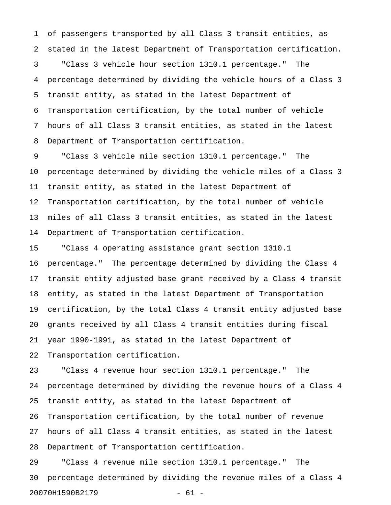1 of passengers transported by all Class 3 transit entities, as 2 stated in the latest Department of Transportation certification.

3 "Class 3 vehicle hour section 1310.1 percentage." The 4 percentage determined by dividing the vehicle hours of a Class 3 5 transit entity, as stated in the latest Department of 6 Transportation certification, by the total number of vehicle 7 hours of all Class 3 transit entities, as stated in the latest 8 Department of Transportation certification.

9 "Class 3 vehicle mile section 1310.1 percentage." The 10 percentage determined by dividing the vehicle miles of a Class 3 11 transit entity, as stated in the latest Department of 12 Transportation certification, by the total number of vehicle 13 miles of all Class 3 transit entities, as stated in the latest 14 Department of Transportation certification.

15 "Class 4 operating assistance grant section 1310.1 16 percentage." The percentage determined by dividing the Class 4 17 transit entity adjusted base grant received by a Class 4 transit 18 entity, as stated in the latest Department of Transportation 19 certification, by the total Class 4 transit entity adjusted base 20 grants received by all Class 4 transit entities during fiscal 21 year 1990-1991, as stated in the latest Department of 22 Transportation certification.

23 "Class 4 revenue hour section 1310.1 percentage." The 24 percentage determined by dividing the revenue hours of a Class 4 25 transit entity, as stated in the latest Department of 26 Transportation certification, by the total number of revenue 27 hours of all Class 4 transit entities, as stated in the latest 28 Department of Transportation certification.

29 "Class 4 revenue mile section 1310.1 percentage." The 30 percentage determined by dividing the revenue miles of a Class 4 20070H1590B2179 - 61 -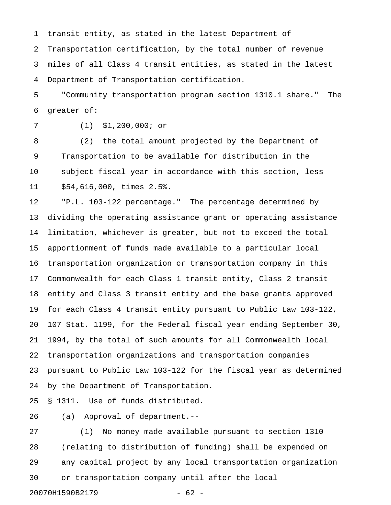1 transit entity, as stated in the latest Department of 2 Transportation certification, by the total number of revenue 3 miles of all Class 4 transit entities, as stated in the latest 4 Department of Transportation certification.

5 "Community transportation program section 1310.1 share." The 6 greater of:

7 (1) \$1,200,000; or

8 (2) the total amount projected by the Department of 9 Transportation to be available for distribution in the 10 subject fiscal year in accordance with this section, less 11 \$54,616,000, times 2.5%.

12 "P.L. 103-122 percentage." The percentage determined by 13 dividing the operating assistance grant or operating assistance 14 limitation, whichever is greater, but not to exceed the total 15 apportionment of funds made available to a particular local 16 transportation organization or transportation company in this 17 Commonwealth for each Class 1 transit entity, Class 2 transit 18 entity and Class 3 transit entity and the base grants approved 19 for each Class 4 transit entity pursuant to Public Law 103-122, 20 107 Stat. 1199, for the Federal fiscal year ending September 30, 21 1994, by the total of such amounts for all Commonwealth local 22 transportation organizations and transportation companies 23 pursuant to Public Law 103-122 for the fiscal year as determined 24 by the Department of Transportation.

25 § 1311. Use of funds distributed.

26 (a) Approval of department.--

27 (1) No money made available pursuant to section 1310 28 (relating to distribution of funding) shall be expended on 29 any capital project by any local transportation organization 30 or transportation company until after the local 20070H1590B2179 - 62 -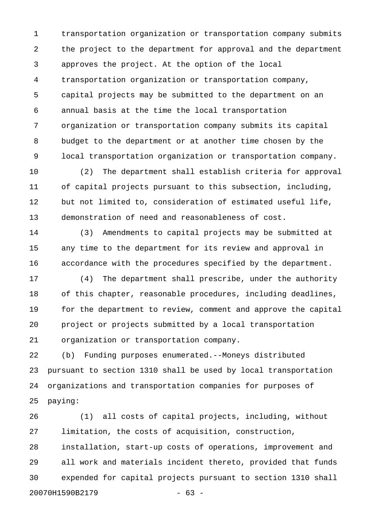1 transportation organization or transportation company submits 2 the project to the department for approval and the department 3 approves the project. At the option of the local 4 transportation organization or transportation company, 5 capital projects may be submitted to the department on an 6 annual basis at the time the local transportation 7 organization or transportation company submits its capital 8 budget to the department or at another time chosen by the 9 local transportation organization or transportation company.

10 (2) The department shall establish criteria for approval 11 of capital projects pursuant to this subsection, including, 12 but not limited to, consideration of estimated useful life, 13 demonstration of need and reasonableness of cost.

14 (3) Amendments to capital projects may be submitted at 15 any time to the department for its review and approval in 16 accordance with the procedures specified by the department.

17 (4) The department shall prescribe, under the authority 18 of this chapter, reasonable procedures, including deadlines, 19 for the department to review, comment and approve the capital 20 project or projects submitted by a local transportation 21 organization or transportation company.

22 (b) Funding purposes enumerated.--Moneys distributed 23 pursuant to section 1310 shall be used by local transportation 24 organizations and transportation companies for purposes of 25 paying:

26 (1) all costs of capital projects, including, without 27 limitation, the costs of acquisition, construction, 28 installation, start-up costs of operations, improvement and 29 all work and materials incident thereto, provided that funds 30 expended for capital projects pursuant to section 1310 shall 20070H1590B2179 - 63 -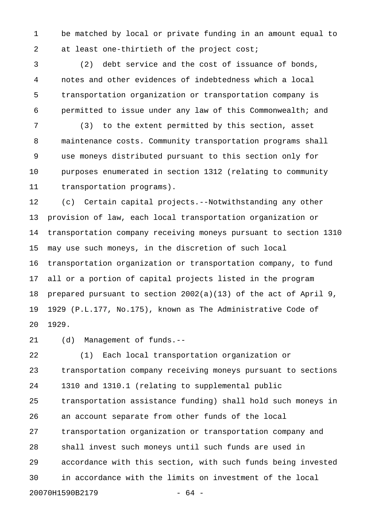1 be matched by local or private funding in an amount equal to 2 at least one-thirtieth of the project cost;

3 (2) debt service and the cost of issuance of bonds, 4 notes and other evidences of indebtedness which a local 5 transportation organization or transportation company is 6 permitted to issue under any law of this Commonwealth; and

7 (3) to the extent permitted by this section, asset 8 maintenance costs. Community transportation programs shall 9 use moneys distributed pursuant to this section only for 10 purposes enumerated in section 1312 (relating to community 11 transportation programs).

12 (c) Certain capital projects.--Notwithstanding any other 13 provision of law, each local transportation organization or 14 transportation company receiving moneys pursuant to section 1310 15 may use such moneys, in the discretion of such local 16 transportation organization or transportation company, to fund 17 all or a portion of capital projects listed in the program 18 prepared pursuant to section 2002(a)(13) of the act of April 9, 19 1929 (P.L.177, No.175), known as The Administrative Code of 20 1929.

21 (d) Management of funds.--

22 (1) Each local transportation organization or 23 transportation company receiving moneys pursuant to sections 24 1310 and 1310.1 (relating to supplemental public 25 transportation assistance funding) shall hold such moneys in 26 an account separate from other funds of the local 27 transportation organization or transportation company and 28 shall invest such moneys until such funds are used in 29 accordance with this section, with such funds being invested 30 in accordance with the limits on investment of the local 20070H1590B2179 - 64 -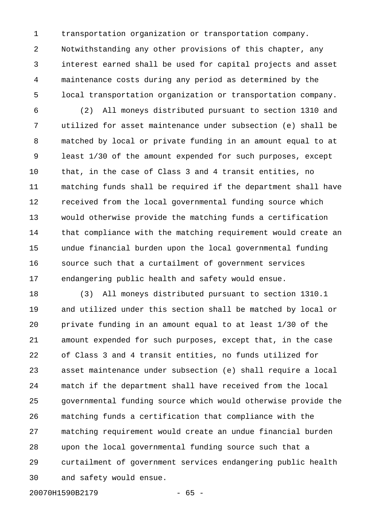1 transportation organization or transportation company. 2 Notwithstanding any other provisions of this chapter, any 3 interest earned shall be used for capital projects and asset 4 maintenance costs during any period as determined by the 5 local transportation organization or transportation company.

6 (2) All moneys distributed pursuant to section 1310 and 7 utilized for asset maintenance under subsection (e) shall be 8 matched by local or private funding in an amount equal to at 9 least 1/30 of the amount expended for such purposes, except 10 that, in the case of Class 3 and 4 transit entities, no 11 matching funds shall be required if the department shall have 12 received from the local governmental funding source which 13 would otherwise provide the matching funds a certification 14 that compliance with the matching requirement would create an 15 undue financial burden upon the local governmental funding 16 source such that a curtailment of government services 17 endangering public health and safety would ensue.

18 (3) All moneys distributed pursuant to section 1310.1 19 and utilized under this section shall be matched by local or 20 private funding in an amount equal to at least 1/30 of the 21 amount expended for such purposes, except that, in the case 22 of Class 3 and 4 transit entities, no funds utilized for 23 asset maintenance under subsection (e) shall require a local 24 match if the department shall have received from the local 25 governmental funding source which would otherwise provide the 26 matching funds a certification that compliance with the 27 matching requirement would create an undue financial burden 28 upon the local governmental funding source such that a 29 curtailment of government services endangering public health 30 and safety would ensue.

20070H1590B2179 - 65 -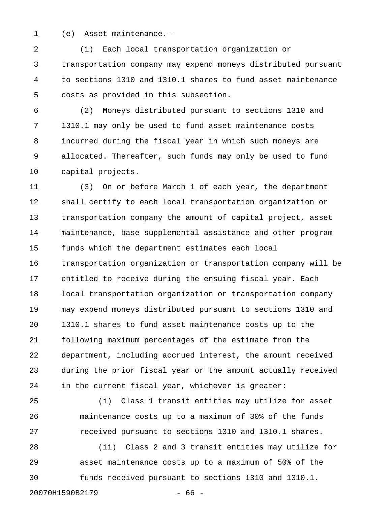1 (e) Asset maintenance.--

2 (1) Each local transportation organization or 3 transportation company may expend moneys distributed pursuant 4 to sections 1310 and 1310.1 shares to fund asset maintenance 5 costs as provided in this subsection.

6 (2) Moneys distributed pursuant to sections 1310 and 7 1310.1 may only be used to fund asset maintenance costs 8 incurred during the fiscal year in which such moneys are 9 allocated. Thereafter, such funds may only be used to fund 10 capital projects.

11 (3) On or before March 1 of each year, the department 12 shall certify to each local transportation organization or 13 transportation company the amount of capital project, asset 14 maintenance, base supplemental assistance and other program 15 funds which the department estimates each local 16 transportation organization or transportation company will be 17 entitled to receive during the ensuing fiscal year. Each 18 local transportation organization or transportation company 19 may expend moneys distributed pursuant to sections 1310 and 20 1310.1 shares to fund asset maintenance costs up to the 21 following maximum percentages of the estimate from the 22 department, including accrued interest, the amount received 23 during the prior fiscal year or the amount actually received 24 in the current fiscal year, whichever is greater:

25 (i) Class 1 transit entities may utilize for asset 26 maintenance costs up to a maximum of 30% of the funds 27 received pursuant to sections 1310 and 1310.1 shares.

28 (ii) Class 2 and 3 transit entities may utilize for 29 asset maintenance costs up to a maximum of 50% of the 30 funds received pursuant to sections 1310 and 1310.1. 20070H1590B2179 - 66 -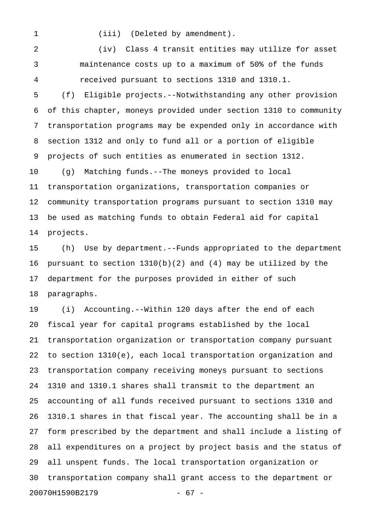1 (iii) (Deleted by amendment).

2 (iv) Class 4 transit entities may utilize for asset 3 maintenance costs up to a maximum of 50% of the funds 4 received pursuant to sections 1310 and 1310.1.

5 (f) Eligible projects.--Notwithstanding any other provision 6 of this chapter, moneys provided under section 1310 to community 7 transportation programs may be expended only in accordance with 8 section 1312 and only to fund all or a portion of eligible 9 projects of such entities as enumerated in section 1312.

10 (g) Matching funds.--The moneys provided to local 11 transportation organizations, transportation companies or 12 community transportation programs pursuant to section 1310 may 13 be used as matching funds to obtain Federal aid for capital 14 projects.

15 (h) Use by department.--Funds appropriated to the department 16 pursuant to section 1310(b)(2) and (4) may be utilized by the 17 department for the purposes provided in either of such 18 paragraphs.

19 (i) Accounting.--Within 120 days after the end of each 20 fiscal year for capital programs established by the local 21 transportation organization or transportation company pursuant 22 to section 1310(e), each local transportation organization and 23 transportation company receiving moneys pursuant to sections 24 1310 and 1310.1 shares shall transmit to the department an 25 accounting of all funds received pursuant to sections 1310 and 26 1310.1 shares in that fiscal year. The accounting shall be in a 27 form prescribed by the department and shall include a listing of 28 all expenditures on a project by project basis and the status of 29 all unspent funds. The local transportation organization or 30 transportation company shall grant access to the department or 20070H1590B2179 - 67 -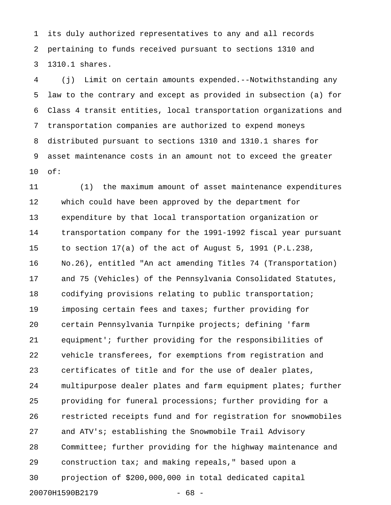1 its duly authorized representatives to any and all records 2 pertaining to funds received pursuant to sections 1310 and 3 1310.1 shares.

4 (j) Limit on certain amounts expended.--Notwithstanding any 5 law to the contrary and except as provided in subsection (a) for 6 Class 4 transit entities, local transportation organizations and 7 transportation companies are authorized to expend moneys 8 distributed pursuant to sections 1310 and 1310.1 shares for 9 asset maintenance costs in an amount not to exceed the greater 10 of:

11 (1) the maximum amount of asset maintenance expenditures 12 which could have been approved by the department for 13 expenditure by that local transportation organization or 14 transportation company for the 1991-1992 fiscal year pursuant 15 to section 17(a) of the act of August 5, 1991 (P.L.238, 16 No.26), entitled "An act amending Titles 74 (Transportation) 17 and 75 (Vehicles) of the Pennsylvania Consolidated Statutes, 18 codifying provisions relating to public transportation; 19 imposing certain fees and taxes; further providing for 20 certain Pennsylvania Turnpike projects; defining 'farm 21 equipment'; further providing for the responsibilities of 22 vehicle transferees, for exemptions from registration and 23 certificates of title and for the use of dealer plates, 24 multipurpose dealer plates and farm equipment plates; further 25 providing for funeral processions; further providing for a 26 restricted receipts fund and for registration for snowmobiles 27 and ATV's; establishing the Snowmobile Trail Advisory 28 Committee; further providing for the highway maintenance and 29 construction tax; and making repeals," based upon a 30 projection of \$200,000,000 in total dedicated capital 20070H1590B2179 - 68 -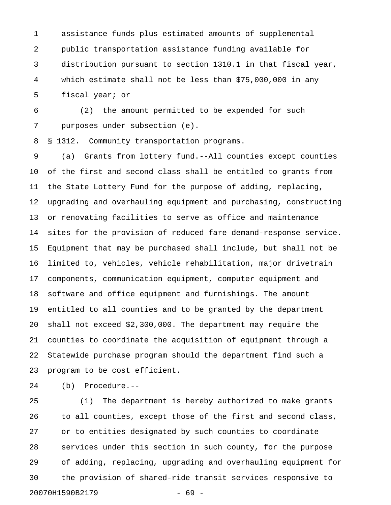1 assistance funds plus estimated amounts of supplemental 2 public transportation assistance funding available for 3 distribution pursuant to section 1310.1 in that fiscal year, 4 which estimate shall not be less than \$75,000,000 in any 5 fiscal year; or

6 (2) the amount permitted to be expended for such 7 purposes under subsection (e).

8 § 1312. Community transportation programs.

9 (a) Grants from lottery fund.--All counties except counties 10 of the first and second class shall be entitled to grants from 11 the State Lottery Fund for the purpose of adding, replacing, 12 upgrading and overhauling equipment and purchasing, constructing 13 or renovating facilities to serve as office and maintenance 14 sites for the provision of reduced fare demand-response service. 15 Equipment that may be purchased shall include, but shall not be 16 limited to, vehicles, vehicle rehabilitation, major drivetrain 17 components, communication equipment, computer equipment and 18 software and office equipment and furnishings. The amount 19 entitled to all counties and to be granted by the department 20 shall not exceed \$2,300,000. The department may require the 21 counties to coordinate the acquisition of equipment through a 22 Statewide purchase program should the department find such a 23 program to be cost efficient.

24 (b) Procedure.--

25 (1) The department is hereby authorized to make grants 26 to all counties, except those of the first and second class, 27 or to entities designated by such counties to coordinate 28 services under this section in such county, for the purpose 29 of adding, replacing, upgrading and overhauling equipment for 30 the provision of shared-ride transit services responsive to 20070H1590B2179 - 69 -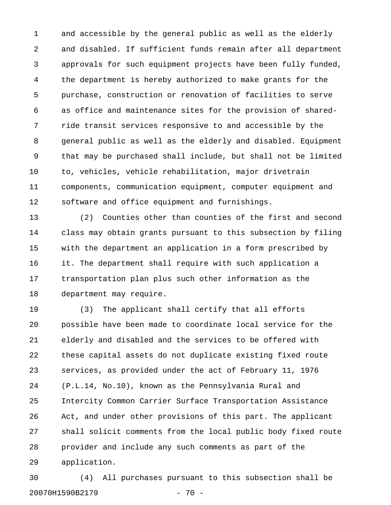1 and accessible by the general public as well as the elderly 2 and disabled. If sufficient funds remain after all department 3 approvals for such equipment projects have been fully funded, 4 the department is hereby authorized to make grants for the 5 purchase, construction or renovation of facilities to serve 6 as office and maintenance sites for the provision of shared-7 ride transit services responsive to and accessible by the 8 general public as well as the elderly and disabled. Equipment 9 that may be purchased shall include, but shall not be limited 10 to, vehicles, vehicle rehabilitation, major drivetrain 11 components, communication equipment, computer equipment and 12 software and office equipment and furnishings.

13 (2) Counties other than counties of the first and second 14 class may obtain grants pursuant to this subsection by filing 15 with the department an application in a form prescribed by 16 it. The department shall require with such application a 17 transportation plan plus such other information as the 18 department may require.

19 (3) The applicant shall certify that all efforts 20 possible have been made to coordinate local service for the 21 elderly and disabled and the services to be offered with 22 these capital assets do not duplicate existing fixed route 23 services, as provided under the act of February 11, 1976 24 (P.L.14, No.10), known as the Pennsylvania Rural and 25 Intercity Common Carrier Surface Transportation Assistance 26 Act, and under other provisions of this part. The applicant 27 shall solicit comments from the local public body fixed route 28 provider and include any such comments as part of the 29 application.

30 (4) All purchases pursuant to this subsection shall be 20070H1590B2179 - 70 -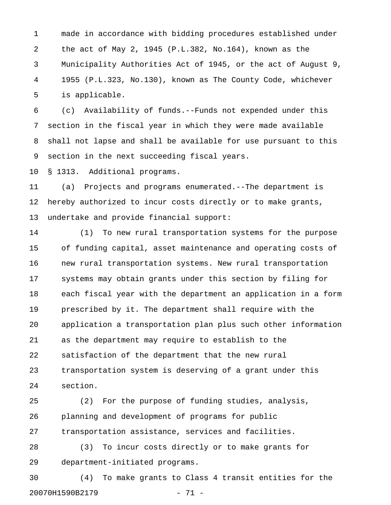1 made in accordance with bidding procedures established under 2 the act of May 2, 1945 (P.L.382, No.164), known as the 3 Municipality Authorities Act of 1945, or the act of August 9, 4 1955 (P.L.323, No.130), known as The County Code, whichever 5 is applicable.

6 (c) Availability of funds.--Funds not expended under this 7 section in the fiscal year in which they were made available 8 shall not lapse and shall be available for use pursuant to this 9 section in the next succeeding fiscal years.

10 § 1313. Additional programs.

11 (a) Projects and programs enumerated.--The department is 12 hereby authorized to incur costs directly or to make grants, 13 undertake and provide financial support:

14 (1) To new rural transportation systems for the purpose 15 of funding capital, asset maintenance and operating costs of 16 new rural transportation systems. New rural transportation 17 systems may obtain grants under this section by filing for 18 each fiscal year with the department an application in a form 19 prescribed by it. The department shall require with the 20 application a transportation plan plus such other information 21 as the department may require to establish to the 22 satisfaction of the department that the new rural 23 transportation system is deserving of a grant under this 24 section.

25 (2) For the purpose of funding studies, analysis, 26 planning and development of programs for public 27 transportation assistance, services and facilities.

28 (3) To incur costs directly or to make grants for 29 department-initiated programs.

30 (4) To make grants to Class 4 transit entities for the 20070H1590B2179 - 71 -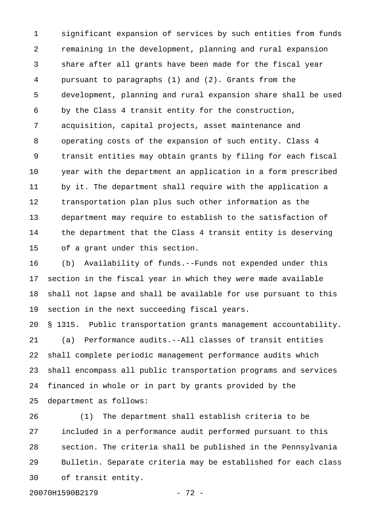1 significant expansion of services by such entities from funds 2 remaining in the development, planning and rural expansion 3 share after all grants have been made for the fiscal year 4 pursuant to paragraphs (1) and (2). Grants from the 5 development, planning and rural expansion share shall be used 6 by the Class 4 transit entity for the construction, 7 acquisition, capital projects, asset maintenance and 8 operating costs of the expansion of such entity. Class 4 9 transit entities may obtain grants by filing for each fiscal 10 year with the department an application in a form prescribed 11 by it. The department shall require with the application a 12 transportation plan plus such other information as the 13 department may require to establish to the satisfaction of 14 the department that the Class 4 transit entity is deserving 15 of a grant under this section.

16 (b) Availability of funds.--Funds not expended under this 17 section in the fiscal year in which they were made available 18 shall not lapse and shall be available for use pursuant to this 19 section in the next succeeding fiscal years.

20 § 1315. Public transportation grants management accountability. 21 (a) Performance audits.--All classes of transit entities 22 shall complete periodic management performance audits which 23 shall encompass all public transportation programs and services 24 financed in whole or in part by grants provided by the 25 department as follows:

26 (1) The department shall establish criteria to be 27 included in a performance audit performed pursuant to this 28 section. The criteria shall be published in the Pennsylvania 29 Bulletin. Separate criteria may be established for each class 30 of transit entity.

20070H1590B2179 - 72 -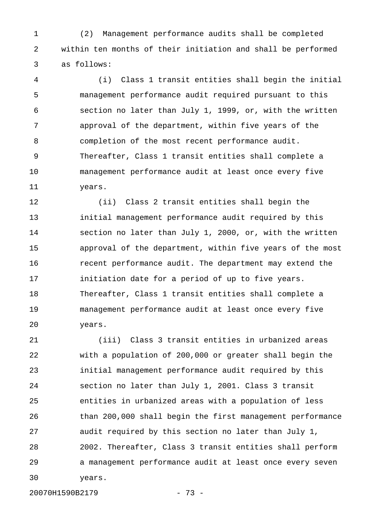1 (2) Management performance audits shall be completed 2 within ten months of their initiation and shall be performed 3 as follows:

4 (i) Class 1 transit entities shall begin the initial 5 management performance audit required pursuant to this 6 section no later than July 1, 1999, or, with the written 7 approval of the department, within five years of the 8 completion of the most recent performance audit. 9 Thereafter, Class 1 transit entities shall complete a 10 management performance audit at least once every five 11 years.

12 (ii) Class 2 transit entities shall begin the 13 initial management performance audit required by this 14 section no later than July 1, 2000, or, with the written 15 approval of the department, within five years of the most 16 recent performance audit. The department may extend the 17 **initiation date for a period of up to five years.** 18 Thereafter, Class 1 transit entities shall complete a 19 management performance audit at least once every five 20 years.

21 (iii) Class 3 transit entities in urbanized areas 22 with a population of 200,000 or greater shall begin the 23 initial management performance audit required by this 24 section no later than July 1, 2001. Class 3 transit 25 entities in urbanized areas with a population of less 26 than 200,000 shall begin the first management performance 27 audit required by this section no later than July 1, 28 2002. Thereafter, Class 3 transit entities shall perform 29 a management performance audit at least once every seven 30 years.

20070H1590B2179 - 73 -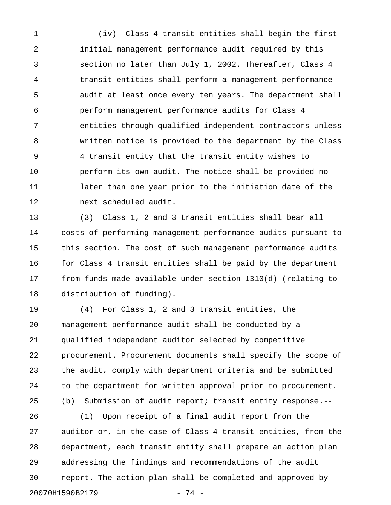1 (iv) Class 4 transit entities shall begin the first 2 initial management performance audit required by this 3 section no later than July 1, 2002. Thereafter, Class 4 4 transit entities shall perform a management performance 5 audit at least once every ten years. The department shall 6 perform management performance audits for Class 4 7 entities through qualified independent contractors unless 8 written notice is provided to the department by the Class 9 4 transit entity that the transit entity wishes to 10 perform its own audit. The notice shall be provided no 11 later than one year prior to the initiation date of the 12 next scheduled audit.

13 (3) Class 1, 2 and 3 transit entities shall bear all 14 costs of performing management performance audits pursuant to 15 this section. The cost of such management performance audits 16 for Class 4 transit entities shall be paid by the department 17 from funds made available under section 1310(d) (relating to 18 distribution of funding).

19 (4) For Class 1, 2 and 3 transit entities, the 20 management performance audit shall be conducted by a 21 qualified independent auditor selected by competitive 22 procurement. Procurement documents shall specify the scope of 23 the audit, comply with department criteria and be submitted 24 to the department for written approval prior to procurement. 25 (b) Submission of audit report; transit entity response.--

26 (1) Upon receipt of a final audit report from the 27 auditor or, in the case of Class 4 transit entities, from the 28 department, each transit entity shall prepare an action plan 29 addressing the findings and recommendations of the audit 30 report. The action plan shall be completed and approved by 20070H1590B2179 - 74 -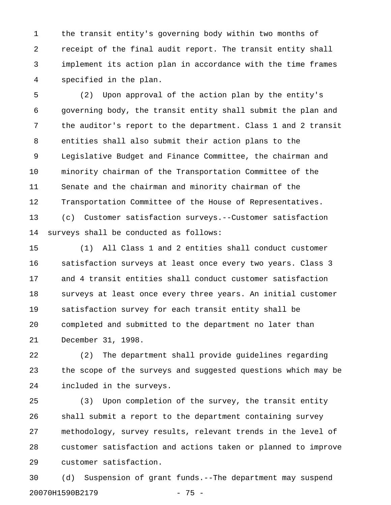1 the transit entity's governing body within two months of 2 receipt of the final audit report. The transit entity shall 3 implement its action plan in accordance with the time frames 4 specified in the plan.

5 (2) Upon approval of the action plan by the entity's 6 governing body, the transit entity shall submit the plan and 7 the auditor's report to the department. Class 1 and 2 transit 8 entities shall also submit their action plans to the 9 Legislative Budget and Finance Committee, the chairman and 10 minority chairman of the Transportation Committee of the 11 Senate and the chairman and minority chairman of the 12 Transportation Committee of the House of Representatives. 13 (c) Customer satisfaction surveys.--Customer satisfaction 14 surveys shall be conducted as follows:

15 (1) All Class 1 and 2 entities shall conduct customer 16 satisfaction surveys at least once every two years. Class 3 17 and 4 transit entities shall conduct customer satisfaction 18 surveys at least once every three years. An initial customer 19 satisfaction survey for each transit entity shall be 20 completed and submitted to the department no later than 21 December 31, 1998.

22 (2) The department shall provide guidelines regarding 23 the scope of the surveys and suggested questions which may be 24 included in the surveys.

25 (3) Upon completion of the survey, the transit entity 26 shall submit a report to the department containing survey 27 methodology, survey results, relevant trends in the level of 28 customer satisfaction and actions taken or planned to improve 29 customer satisfaction.

30 (d) Suspension of grant funds.--The department may suspend 20070H1590B2179 - 75 -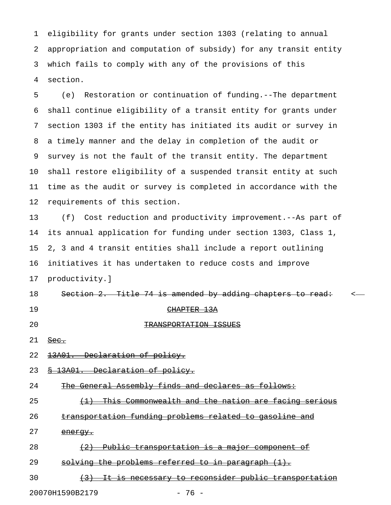1 eligibility for grants under section 1303 (relating to annual 2 appropriation and computation of subsidy) for any transit entity 3 which fails to comply with any of the provisions of this 4 section.

5 (e) Restoration or continuation of funding.--The department 6 shall continue eligibility of a transit entity for grants under 7 section 1303 if the entity has initiated its audit or survey in 8 a timely manner and the delay in completion of the audit or 9 survey is not the fault of the transit entity. The department 10 shall restore eligibility of a suspended transit entity at such 11 time as the audit or survey is completed in accordance with the 12 requirements of this section.

13 (f) Cost reduction and productivity improvement.--As part of 14 its annual application for funding under section 1303, Class 1, 15 2, 3 and 4 transit entities shall include a report outlining 16 initiatives it has undertaken to reduce costs and improve 17 productivity.]

18 Section 2. Title 74 is amended by adding chapters to read: 19 CHAPTER 13A 20 TRANSPORTATION ISSUES

- $21$  Sec.
- 22 13A01. Declaration of policy.
- 23 § 13A01. Declaration of policy.

24 The General Assembly finds and declares as follows:

25  $(1)$  This Commonwealth and the nation are facing serious

- 26 transportation funding problems related to gasoline and
- 27 energy.
- 28  $(2)$  Public transportation is a major component of
- 29 solving the problems referred to in paragraph  $(1)$ .
- 30 (3) It is necessary to reconsider public transportation

20070H1590B2179 - 76 -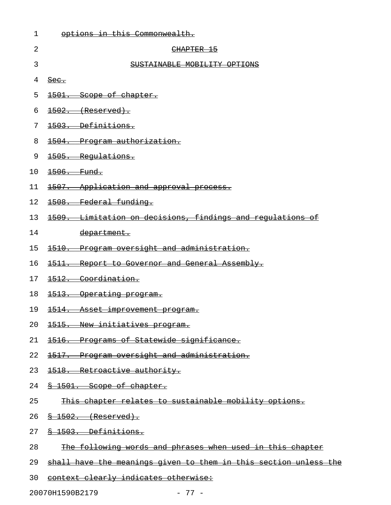| 1  | options in this Commonwealth.                                              |
|----|----------------------------------------------------------------------------|
| 2  | CHAPTER 15                                                                 |
| 3  | SUSTAINABLE MOBILITY OPTIONS                                               |
| 4  | $\frac{\text{Sec.}}{\text{Sec.}}$                                          |
| 5  | 1501. Scope of chapter.                                                    |
| 6  | $1502.$ (Reserved).                                                        |
| 7  | 1503. Definitions.                                                         |
| 8  | 1504. Program authorization.                                               |
| 9  | 1505. Regulations.                                                         |
| 10 | 1506. Fund.                                                                |
| 11 | 1507. Application and approval process.                                    |
| 12 | 1508. Federal funding.                                                     |
| 13 | 1509. Limitation on decisions, findings and regulations of                 |
| 14 | department.                                                                |
| 15 | 1510. Program oversight and administration.                                |
| 16 | 1511. Report to Governor and General Assembly.                             |
| 17 | 1512. Coordination.                                                        |
| 18 | 1513. Operating program.                                                   |
| 19 | 1514. Asset improvement program.                                           |
|    | 20 1515. New initiatives program.                                          |
| 21 | 1516. Programs of Statewide significance.                                  |
| 22 | 1517. Program oversight and administration.                                |
| 23 | 1518. Retroactive authority.                                               |
| 24 | <del>§ 1501. Scope of chapter.</del>                                       |
| 25 | This chapter relates to sustainable mobility options.                      |
| 26 | <del>§ 1502. (Reserved).</del>                                             |
| 27 | § 1503. Definitions.                                                       |
| 28 | The following words and phrases when used in this chapter                  |
|    | 29 <u>shall have the meanings given to them in this section unless the</u> |

30 context clearly indicates otherwise:

20070H1590B2179 - 77 -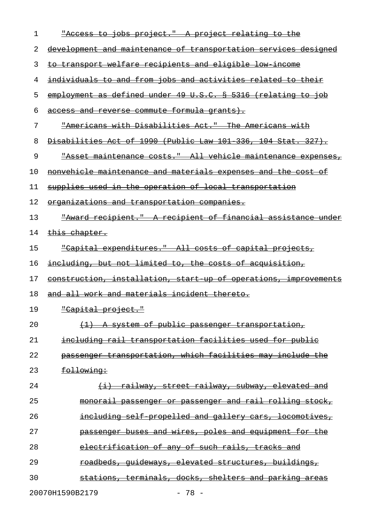| 1  | <u>"Access to jobs project." A project relating to the</u>           |
|----|----------------------------------------------------------------------|
| 2  | development and maintenance of transportation services designed      |
| 3  | to transport welfare recipients and eligible low income              |
| 4  | individuals to and from jobs and activities related to their         |
| 5  | employment as defined under 49 U.S.C. § 5316 (relating to job        |
| 6  | access and reverse commute formula grants).                          |
| 7  | "Americans with Disabilities Act." The Americans with                |
| 8  | Disabilities Act of 1990 (Public Law 101 336, 104 Stat. 327).        |
| 9  | "Asset maintenance costs." All vehicle maintenance expenses,         |
| 10 | <u>nonvehicle maintenance and materials expenses and the cost of</u> |
| 11 | supplies used in the operation of local transportation               |
| 12 | organizations and transportation companies.                          |
| 13 | <u> "Award recipient." A recipient of financial assistance under</u> |
| 14 | <del>this chapter.</del>                                             |
| 15 | "Capital expenditures." All costs of capital projects,               |
| 16 | <u>including, but not limited to, the costs of acquisition, </u>     |
| 17 | construction, installation, start up of operations, improvements     |
| 18 | and all work and materials incident thereto.                         |
| 19 | <del>"Capital project."</del>                                        |
| 20 | (1) A system of public passenger transportation,                     |
| 21 | including rail transportation facilities used for public             |
| 22 | passenger transportation, which facilities may include the           |
| 23 | following:                                                           |
| 24 | (i) railway, street railway, subway, elevated and                    |
| 25 | monorail passenger or passenger and rail rolling stock,              |
| 26 | including self propelled and gallery cars, locomotives,              |
| 27 | passenger buses and wires, poles and equipment for the               |
| 28 | electrification of any of such rails, tracks and                     |
| 29 | roadbeds, quideways, elevated structures, buildings,                 |
| 30 | stations, terminals, docks, shelters and parking areas               |
|    | 20070H1590B2179<br>$-78 -$                                           |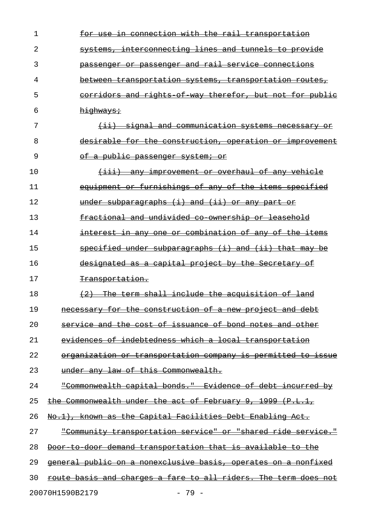| 1  | <del>-with the rail</del><br><del>10n</del><br><del>transportation</del>  |
|----|---------------------------------------------------------------------------|
| 2  | interconnecting lines and tunnels to provide<br><del>svstems,</del>       |
| 3  | passenger or passenger and rail service connections                       |
| 4  | between transportation systems, transportation routes,                    |
| 5  | corridors and rights of way therefor, but not for public                  |
| 6  | highways:                                                                 |
| 7  | <del>(ii) signal and communication systems necessary</del><br>−O£         |
| 8  | desirable for the<br>construction, operation or<br><del>improvement</del> |
| 9  | of a public passenger system; or                                          |
| 10 | any improvement or overhaul of any vehicle                                |
| 11 | equipment or furnishings of any of the items specified                    |
| 12 | under subparagraphs (i) and (ii) or any part or                           |
| 13 | fractional and undivided co ownership or leasehold                        |
| 14 | interest in any one or combination of any of the items                    |
| 15 | specified under subparagraphs (i) and (ii) that may                       |
| 16 | designated as a capital project by the Secretary of                       |
| 17 | <del>Transportation.</del>                                                |
| 18 | term shall include the acquisition of land<br><del>The</del>              |
| 19 | for the construction of a new project and debt<br><del>necessarv</del>    |
| 20 | service and the cost of issuance of bond notes and other                  |
| 21 | evidences of indebtedness which a local transportation                    |
| 22 | organization or transportation company is permitted to issue              |
| 23 | under any law of this Commonwealth.                                       |
| 24 | "Commonwealth capital bonds." Evidence of debt incurred by                |
| 25 | the Commonwealth under the act of February 9, 1999 (P.L.1,                |
| 26 | No.1), known as the Capital Facilities Debt Enabling Act.                 |
| 27 | "Community transportation service" or "shared ride service."              |
| 28 | Door to door demand transportation that is available to the               |
| 29 | general public on a nonexclusive basis, operates on a nonfixed            |
| 30 | route basis and charges a fare to all riders. The term does not           |
|    | 20070H1590B2179<br>$-79-$                                                 |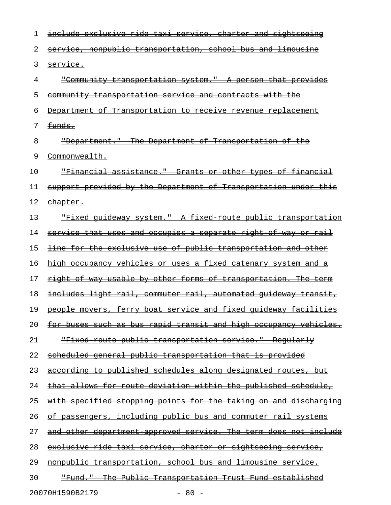| 1  | <u>include exclusive ride taxi service, charter and sightseeing</u>   |
|----|-----------------------------------------------------------------------|
| 2  | service, nonpublic transportation, school bus and limousine           |
| 3  | service.                                                              |
| 4  | <u> "Community transportation system." A person that provides</u>     |
| 5  | <u>community transportation service and contracts with the</u>        |
| 6  | <u> Department of Transportation to receive revenue replacement</u>   |
| 7  | <del>funds.</del>                                                     |
| 8  | "Department." The Department of Transportation of the                 |
| 9  | <del>Commonwealth.</del>                                              |
| 10 | "Financial assistance." Grants or other types of financial            |
| 11 | support provided by the Department of Transportation under this       |
| 12 | <u>ehapter.</u>                                                       |
| 13 | <u> "Fixed guideway system." A fixed route public transportation</u>  |
| 14 | <u>service that uses and occupies a separate right of way or rail</u> |
| 15 | <u>line for the exclusive use of public transportation and other</u>  |
| 16 | <u>high occupancy vehicles or uses a fixed catenary system and a</u>  |
| 17 | right of way usable by other forms of transportation. The term        |
| 18 | includes light rail, commuter rail, automated guideway transit,       |
| 19 | people movers, ferry boat service and fixed quideway facilities       |
| 20 | for buses such as bus rapid transit and high occupancy vehicles.      |
| 21 | <u> "Fixed route public transportation service." Regularly</u>        |
| 22 | <u>scheduled general public transportation that is provided</u>       |
| 23 | according to published schedules along designated routes, but         |
| 24 | that allows for route deviation within the published schedule,        |
| 25 | with specified stopping points for the taking on and discharging      |
| 26 | of passengers, including public bus and commuter rail systems         |
| 27 | and other department approved service. The term does not include      |
| 28 | <u>exclusive ride taxi service, charter or sightseeing service, </u>  |
| 29 | nonpublic transportation, school bus and limousine service.           |
| 30 | <u> "Fund." The Public Transportation Trust Fund established</u>      |
|    |                                                                       |

20070H1590B2179 - 80 -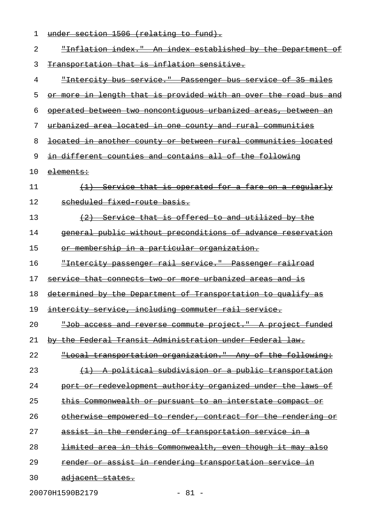| 1  | under section 1506 (relating to fund).                               |
|----|----------------------------------------------------------------------|
| 2  | <u> "Inflation index." An index established by the Department of</u> |
| 3  | Transportation that is inflation sensitive.                          |
| 4  | "Intercity bus service." Passenger bus service of 35 miles           |
| 5  | or more in length that is provided with an over the road bus and     |
| 6  | operated between two noncontiquous urbanized areas, between an       |
| 7  | <u>urbanized area located in one county and rural communities</u>    |
| 8  | located in another county or between rural communities located       |
| 9  | in different counties and contains all of the following              |
| 10 | <del>elements:</del>                                                 |
| 11 | (1) Service that is operated for a fare on a regularly               |
| 12 | scheduled fixed route basis.                                         |
| 13 | (2) Service that is offered to and utilized by the                   |
| 14 | general public without preconditions of advance reservation          |
| 15 | or membership in a particular organization.                          |
| 16 | "Intercity passenger rail service." Passenger railroad               |
| 17 | service that connects two or more urbanized areas and is             |
| 18 | determined by the Department of Transportation to qualify as         |
| 19 | intercity service, including commuter rail service.                  |
| 20 | "Job access and reverse commute project." A project funded           |
| 21 | by the Federal Transit Administration under Federal law.             |
| 22 | "Local transportation organization." Any of the following:           |
| 23 | (1) A political subdivision or a public transportation               |
| 24 | port or redevelopment authority organized under the laws of          |
| 25 | this Commonwealth or pursuant to an interstate compact or            |
| 26 | otherwise empowered to render, contract for the rendering or         |
| 27 | assist in the rendering of transportation service in a               |
| 28 | <u>limited area in this Commonwealth, even though it may also</u>    |
| 29 | render or assist in rendering transportation service in              |
| 30 | <del>adjacent states.</del>                                          |
|    | 20070H1590B2179<br>$-81 -$                                           |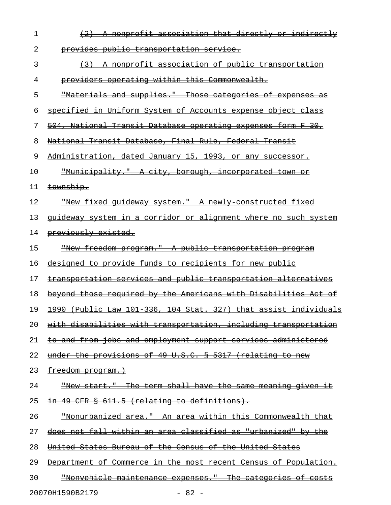| 1  | $(2)$ A nonprofit association that directly or indirectly                  |
|----|----------------------------------------------------------------------------|
| 2  | provides public transportation service.                                    |
| 3  | (3) A nonprofit association of public transportation                       |
| 4  | providers operating within this Commonwealth.                              |
| 5  | "Materials and supplies." Those categories of expenses as                  |
| 6  | specified in Uniform System of Accounts expense object class               |
| 7  | <del>504, National Transit Database operating expenses form F 30,</del>    |
| 8  | <del>National Transit Database, Final Rule, Federal Transit</del>          |
| 9  | Administration, dated January 15, 1993, or any successor.                  |
| 10 | <u> "Municipality." A city, borough, incorporated town or</u>              |
| 11 | township.                                                                  |
| 12 | "New fixed quideway system." A newly constructed fixed                     |
| 13 | quideway system in a corridor or alignment where no such system            |
| 14 | previously existed.                                                        |
| 15 | <u> "New freedom program." A public transportation program</u>             |
| 16 | designed to provide funds to recipients for new public                     |
| 17 | transportation services and public transportation alternatives             |
| 18 | <del>beyond those required by the Americans with Disabilities Act of</del> |
| 19 | 1990 (Public Law 101 336, 104 Stat. 327) that assist individuals           |
| 20 | with disabilities with transportation, including transportation            |
| 21 | <u>to and from jobs and employment support services administered</u>       |
| 22 | under the provisions of 49 U.S.C. § 5317 (relating to new                  |
| 23 | freedom program.)                                                          |
| 24 | "New start." The term shall have the same meaning given it                 |
| 25 | in 49 CFR § 611.5 (relating to definitions).                               |
| 26 | <u> "Nonurbanized area." An area within this Commonwealth that</u>         |
| 27 | does not fall within an area classified as "urbanized" by the              |
| 28 | United States Bureau of the Census of the United States                    |
| 29 | Department of Commerce in the most recent Census of Population.            |
| 30 | "Nonvehicle maintenance expenses." The categories of costs                 |

20070H1590B2179 - 82 -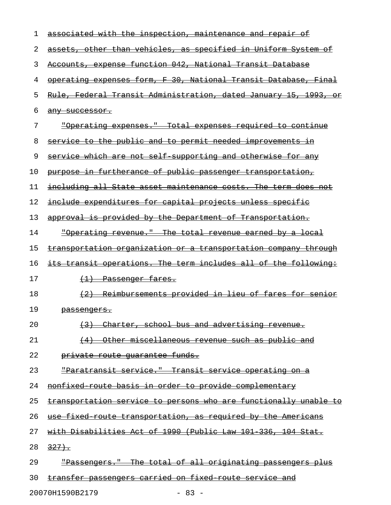| 1  | associated with the inspection, maintenance and repair of              |
|----|------------------------------------------------------------------------|
| 2  | assets, other than vehicles, as specified in Uniform System of         |
| 3  | Accounts, expense function 042, National Transit Database              |
| 4  | operating expenses form, F 30, National Transit Database, Final        |
| 5  | Rule, Federal Transit Administration, dated January 15, 1993, or       |
| 6  | any successor.                                                         |
| 7  | <u> "Operating expenses." Total expenses required to continue</u>      |
| 8  | service to the public and to permit needed improvements in             |
| 9  | service which are not self supporting and otherwise for any            |
| 10 | purpose in furtherance of public passenger transportation,             |
| 11 | including all State asset maintenance costs. The term does not         |
| 12 | include expenditures for capital projects unless specific              |
| 13 | approval is provided by the Department of Transportation.              |
| 14 | <u> "Operating revenue." The total revenue earned by a local</u>       |
| 15 | <u>transportation organization or a transportation company through</u> |
| 16 | its transit operations. The term includes all of the following:        |
| 17 | <del>(1) Passenger fares.</del>                                        |
| 18 | (2) Reimbursements provided in lieu of fares for senior                |
| 19 | <del>passengers.</del>                                                 |
| 20 | (3) Charter, school bus and advertising revenue.                       |
| 21 | <u>(4) Other miscellaneous revenue such as public and</u>              |
| 22 | private route quarantee funds.                                         |
| 23 | "Paratransit service." Transit service operating on a                  |
| 24 | nonfixed route basis in order to provide complementary                 |
| 25 | transportation service to persons who are functionally unable to       |
| 26 | use fixed route transportation, as required by the Americans           |
| 27 | with Disabilities Act of 1990 (Public Law 101 336, 104 Stat.           |
| 28 | $327 +$                                                                |
| 29 | "Passengers." The total of all originating passengers plus             |
| 30 | transfer passengers carried on fixed route service and                 |
|    |                                                                        |

20070H1590B2179 - 83 -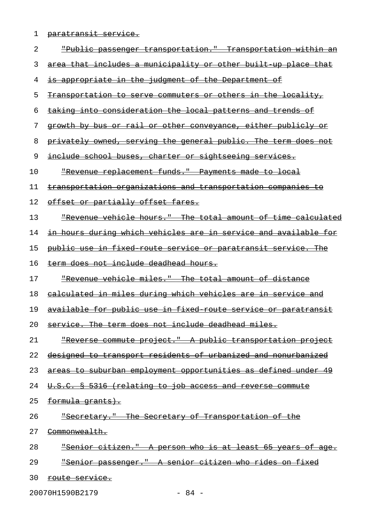1 paratransit service.

| 2  | <u> "Public passenger transportation."  Transportation within an</u>   |
|----|------------------------------------------------------------------------|
| 3  | <u>area that includes a municipality or other built up place that</u>  |
| 4  | is appropriate in the judgment of the Department of                    |
| 5  | <u>Transportation to serve commuters or others in the locality, </u>   |
| 6  | taking into consideration the local patterns and trends of             |
| 7  | <u>growth by bus or rail or other conveyance, either publicly or</u>   |
| 8  | privately owned, serving the general public. The term does not         |
| 9  | <u>include school buses, charter or sightseeing services.</u>          |
| 10 | "Revenue replacement funds." Payments made to local                    |
| 11 | <u>transportation organizations and transportation companies to</u>    |
| 12 | offset or partially offset fares.                                      |
| 13 | "Revenue vehicle hours." The total amount of time calculated           |
| 14 | <u>in hours during which vehicles are in service and available for</u> |
| 15 | public use in fixed route service or paratransit service. The          |
| 16 | term does not include deadhead hours.                                  |
| 17 | "Revenue vehicle miles." The total amount of distance                  |
| 18 | <u>calculated in miles during which vehicles are in service and</u>    |
| 19 | available for public use in fixed route service or paratransit         |
| 20 | service. The term does not include deadhead miles.                     |
| 21 | <u> "Reverse commute project." A public transportation project</u>     |
| 22 | designed to transport residents of urbanized and nonurbanized          |
| 23 | areas to suburban employment opportunities as defined under 49         |
| 24 | U.S.C. § 5316 (relating to job access and reverse commute              |
| 25 | <del>formula grants).</del>                                            |
| 26 | "Secretary." The Secretary of Transportation of the                    |
| 27 | <del>Commonwealth.</del>                                               |
| 28 | "Senior citizen." A person who is at least 65 years of age.            |
| 29 | <u> "Senior passenger." A senior citizen who rides on fixed</u>        |
| 30 | <u>route service.</u>                                                  |
|    | 20070H1590B2179<br>$-84 -$                                             |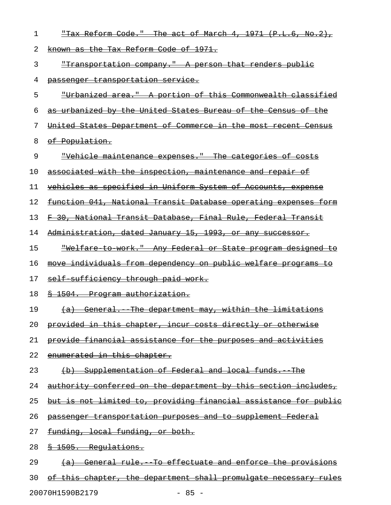| 1  | <u> "Tax Reform Code." The act of March 4, 1971 (P.L.6, No.2),</u>      |
|----|-------------------------------------------------------------------------|
| 2  | <u>known as the Tax Reform Code of 1971.</u>                            |
| 3  | <u> "Transportation company." A person that renders public</u>          |
| 4  | passenger transportation service.                                       |
| 5  | <u> "Urbanized area." A portion of this Commonwealth classified</u>     |
| 6  | as urbanized by the United States Bureau of the Census of the           |
| 7  | United States Department of Commerce in the most recent Census          |
| 8  | <del>of Population.</del>                                               |
| 9  | "Vehicle maintenance expenses." The categories of costs                 |
| 10 | associated with the inspection, maintenance and repair of               |
| 11 | vehicles as specified in Uniform System of Accounts, expense            |
| 12 | <u>function 041, National Transit Database operating expenses form</u>  |
| 13 | F 30, National Transit Database, Final Rule, Federal Transit            |
| 14 | Administration, dated January 15, 1993, or any successor.               |
| 15 | "Welfare to work." Any Federal or State program designed to             |
| 16 | move individuals from dependency on public welfare programs to          |
| 17 | self sufficiency through paid work.                                     |
| 18 | § 1504. Program authorization.                                          |
| 19 | (a) General. The department may, within the limitations                 |
| 20 | provided in this chapter, incur costs directly or otherwise             |
| 21 | provide financial assistance for the purposes and activities            |
| 22 | enumerated in this chapter.                                             |
| 23 | (b) Supplementation of Federal and local funds. The                     |
| 24 | authority conferred on the department by this section includes,         |
| 25 | <u>but is not limited to, providing financial assistance for public</u> |
| 26 | passenger transportation purposes and to supplement Federal             |
| 27 | funding, local funding, or both.                                        |
| 28 | 8 1505. Regulations.                                                    |
| 29 | (a) General rule. To effectuate and enforce the provisions              |
| 30 | of this chapter, the department shall promulgate necessary rules        |

20070H1590B2179 - 85 -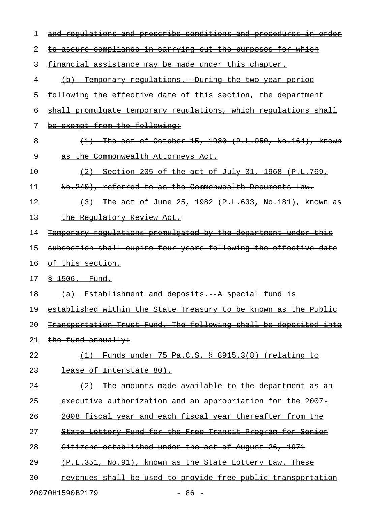| 1  | and regulations and prescribe conditions and procedures in order       |
|----|------------------------------------------------------------------------|
| 2  | to assure compliance in carrying out the purposes for which            |
| 3  | financial assistance may be made under this chapter.                   |
| 4  | Temporary regulations. During the two year period<br>$\leftrightarrow$ |
| 5  | following the effective date of this section, the department           |
| 6  | shall promulgate temporary regulations, which regulations shall        |
| 7  | be exempt from the following:                                          |
| 8  | The act of October 15, 1980 (P.L.950, No.164), known                   |
| 9  | as the Commonwealth Attorneys Act.                                     |
| 10 | Section 205 of the act of July 31, 1968 $(P,L,769)$ .<br>(2)           |
| 11 | No.240), referred to as the Commonwealth Documents Law.                |
| 12 | The act of June 25, 1982 (P.L.633, No.181), known as<br>(3)            |
| 13 | the Regulatory Review Act.                                             |
| 14 | Temporary regulations promulgated by the department under this         |
| 15 | subsection shall expire four years following the effective date        |
| 16 | <del>of this section.</del>                                            |
| 17 | $$-1506.$ Fund.                                                        |
| 18 | Establishment and deposits. A special fund is<br><del>(a)</del>        |
| 19 | established within the State Treasury to be known as the Public        |
| 20 | Transportation Trust Fund. The following shall be deposited into       |
| 21 | the fund annually:                                                     |
| 22 | $(1)$ Funds under 75 Pa.C.S. $\frac{8}{3}$ 8915.3(8) (relating to      |
| 23 | <del>lease of Interstate 80).</del>                                    |
| 24 | The amounts made available to the department as an<br>$+2+$            |
| 25 | executive authorization and an appropriation for the 2007-             |
| 26 | 2008 fiscal year and each fiscal year thereafter from the              |
| 27 | <u>State Lottery Fund for the Free Transit Program for Senior</u>      |
| 28 | Citizens established under the act of August 26, 1971                  |
| 29 | (P.L.351, No.91), known as the State Lottery Law. These                |
| 30 | revenues shall be used to provide free public transportation           |
|    | 20070H1590B2179<br>$-86 -$                                             |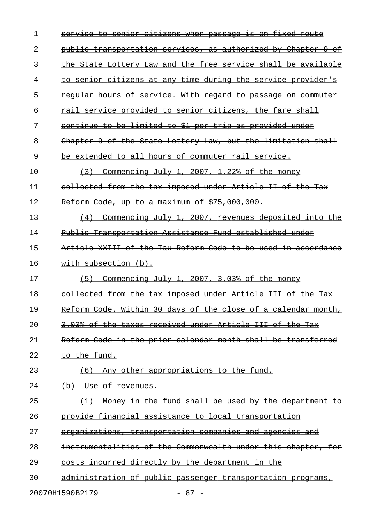| 1  | fixed<br>when<br><del>is on</del><br><del>citizens</del><br><del>senıor</del><br><del>passage</del> |
|----|-----------------------------------------------------------------------------------------------------|
| 2  | public transportation services, as authorized by<br>Chapter 9<br>Θ£                                 |
| 3  | State Lottery Law and the free service shall be available<br><del>the</del>                         |
| 4  | to senior citizens at any time during the service provider's                                        |
| 5  | regular hours of service. With regard to passage on commuter                                        |
| 6  | rail service provided to senior citizens, the fare shall                                            |
| 7  | continue to be limited to \$1 per trip as provided under                                            |
| 8  | Chapter 9 of the State Lottery Law, but the limitation shall                                        |
| 9  | be extended to all hours of commuter rail service.                                                  |
| 10 | Commencing July 1, 2007, 1.22% of the money                                                         |
| 11 | collected from the tax imposed under Article II of<br><u>the</u>                                    |
| 12 | Reform Code, up to a maximum of \$75,000,000.                                                       |
| 13 | Commencing July 1, 2007, revenues deposited into the                                                |
| 14 | Public Transportation Assistance Fund established under                                             |
| 15 | XXIII of the Tax Reform Code to be used<br><del>Article</del><br><del>accordance</del><br>±n−       |
| 16 | with subsection $(b)$ .                                                                             |
| 17 | Commencing July 1, 2007, 3.03% of the money<br>$+5+$                                                |
| 18 | collected from the tax imposed under Article III of the<br><del>Тах</del>                           |
| 19 | Reform Code. Within 30 days of the close of a calendar month,                                       |
| 20 | 3.03% of the taxes received under Article III of the Tax                                            |
| 21 | Reform Code in the prior calendar month shall be transferred                                        |
| 22 | to the fund.                                                                                        |
| 23 | Any other appropriations to the fund.<br>$+6$                                                       |
| 24 | $(b)$ Use of revenues.                                                                              |
| 25 | in the fund shall be used by the department to<br><del>Monev</del>                                  |
| 26 | provide financial assistance to local transportation                                                |
| 27 | organizations, transportation companies and agencies and                                            |
| 28 | instrumentalities of the Commonwealth under this chapter, for                                       |
| 29 | costs incurred directly by the department in the                                                    |
| 30 | administration of public passenger transportation programs,                                         |
|    | 20070H1590B2179<br>$-87 -$                                                                          |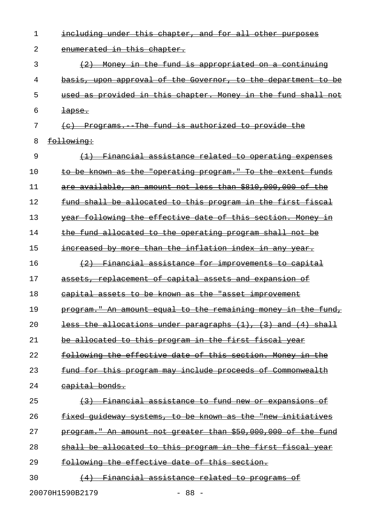| 1  | including under this chapter, and for all other purposes                                |
|----|-----------------------------------------------------------------------------------------|
| 2  | enumerated in this chapter.                                                             |
| 3  | (2) Money in the fund is appropriated on a continuing                                   |
| 4  | basis, upon approval of the Governor, to the department to be                           |
| 5  | used as provided in this chapter. Money in the fund shall not                           |
| 6  | $\frac{1}{2}$ apse.                                                                     |
| 7  | The fund is authorized to provide the<br><del>Programs.</del><br>$\leftarrow$           |
| 8  | following:                                                                              |
| 9  | <u>Financial assistance related to operating expenses</u><br>$\left(\frac{1}{2}\right)$ |
| 10 | to be known as the "operating program." To the extent funds                             |
| 11 | are available, an amount not less than \$810,000,000 of the                             |
| 12 | fund shall be allocated to this program in the first fiscal                             |
| 13 | year following the effective date of this section. Money in                             |
| 14 | the fund allocated to the operating program shall not be                                |
| 15 | increased by more than the inflation index in any year.                                 |
| 16 | (2) Financial assistance for improvements to capital                                    |
| 17 | assets, replacement of capital assets and expansion of                                  |
| 18 | capital assets to be known as the "asset improvement                                    |
| 19 | program." An amount equal to the remaining money in the fund,                           |
| 20 | <u>less the allocations under paragraphs (1), (3) and (4) shall</u>                     |
| 21 | be allocated to this program in the first fiscal year                                   |
| 22 | <u>following the effective date of this section. Money in the </u>                      |
| 23 | fund for this program may include proceeds of Commonwealth                              |
| 24 | capital bonds.                                                                          |
| 25 | (3) Financial assistance to fund new or expansions of                                   |
| 26 | fixed quideway systems, to be known as the "new initiatives                             |
| 27 | program." An amount not greater than \$50,000,000 of the fund                           |
| 28 | shall be allocated to this program in the first fiscal year                             |
| 29 | following the effective date of this section.                                           |
| 30 | Financial assistance related to programs of<br>$+4$                                     |
|    |                                                                                         |

20070H1590B2179 - 88 -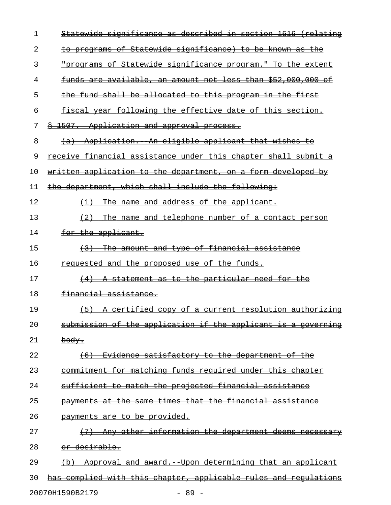| $\mathbf 1$ | Statewide significance as described in section 1516 (relating               |
|-------------|-----------------------------------------------------------------------------|
| 2           | to programs of Statewide significance) to be known as the                   |
| 3           | "programs of Statewide significance program." To the extent                 |
| 4           | funds are available, an amount not less than \$52,000,000 of                |
| 5           | the fund shall be allocated to this program in the first                    |
| 6           | fiscal year following the effective date of this section.                   |
| 7           | § 1507. Application and approval process.                                   |
| 8           | (a) Application. An eligible applicant that wishes to                       |
| 9           | receive financial assistance under this chapter shall submit a              |
| 10          | written application to the department, on a form developed by               |
| 11          | the department, which shall include the following:                          |
| 12          | $(1)$ The name and address of the applicant.                                |
| 13          | $(2)$ The name and telephone number of a contact person                     |
| 14          | for the applicant.                                                          |
| 15          | (3) The amount and type of financial assistance                             |
| 16          | requested and the proposed use of the funds.                                |
| 17          | $(4)$ A statement as to the particular need for the                         |
| 18          | financial assistance.                                                       |
| 19          | (5) A certified copy of a current resolution authorizing                    |
| 20          | submission of the application if the applicant is a governing               |
| 21          | $\overline{\text{body}}$ .                                                  |
| 22          | (6) Evidence satisfactory to the department of the                          |
| 23          | commitment for matching funds required under this chapter                   |
| 24          | sufficient to match the projected financial assistance                      |
| 25          | payments at the same times that the financial assistance                    |
| 26          | payments are to be provided.                                                |
| 27          | Any other information the department deems necessary                        |
| 28          | or desirable.                                                               |
| 29          | Approval and award. Upon determining that an applicant<br>$\leftrightarrow$ |
| 30          | has complied with this chapter, applicable rules and requlations            |
|             |                                                                             |

20070H1590B2179 - 89 -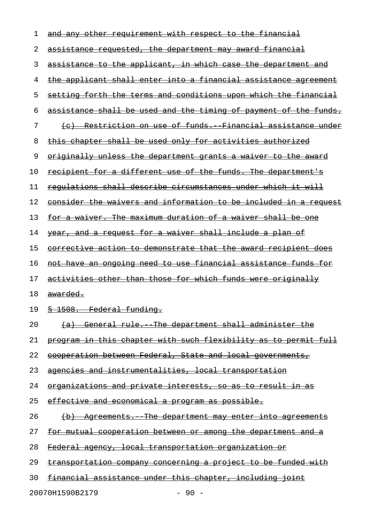| 1  | and any other requirement with respect to the financial              |
|----|----------------------------------------------------------------------|
| 2  | assistance requested, the department may award financial             |
| 3  | assistance to the applicant, in which case the department and        |
| 4  | the applicant shall enter into a financial assistance agreement      |
| 5  | setting forth the terms and conditions upon which the financial      |
| 6  | assistance shall be used and the timing of payment of the funds.     |
| 7  | (c) Restriction on use of funds. Financial assistance under          |
| 8  | this chapter shall be used only for activities authorized            |
| 9  | <u>originally unless the department grants a waiver to the award</u> |
| 10 | recipient for a different use of the funds. The department's         |
| 11 | requlations shall describe circumstances under which it will         |
| 12 | consider the waivers and information to be included in a request     |
| 13 | for a waiver. The maximum duration of a waiver shall be one          |
| 14 | year, and a request for a waiver shall include a plan of             |
| 15 | corrective action to demonstrate that the award recipient does       |
| 16 | not have an ongoing need to use financial assistance funds for       |
| 17 | activities other than those for which funds were originally          |
| 18 | awarded.                                                             |
| 19 | § 1508. Federal funding.                                             |
| 20 | (a) General rule. The department shall administer the                |
| 21 | program in this chapter with such flexibility as to permit full      |
| 22 | cooperation between Federal, State and local governments,            |
| 23 | agencies and instrumentalities, local transportation                 |
| 24 | organizations and private interests, so as to result in as           |
| 25 | effective and economical a program as possible.                      |
| 26 | (b) Agreements. The department may enter into agreements             |
| 27 | for mutual cooperation between or among the department and a         |
| 28 | Federal agency, local transportation organization or                 |
| 29 | transportation company concerning a project to be funded with        |
| 30 | financial assistance under this chapter, including joint             |

20070H1590B2179 - 90 -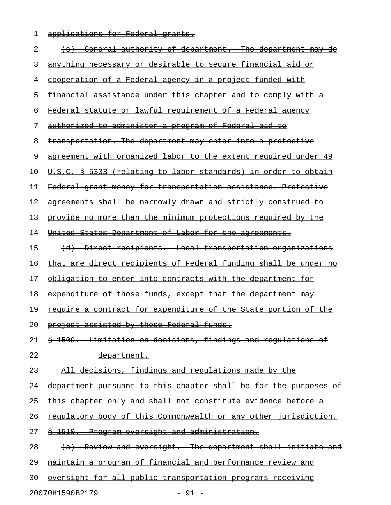1 applications for Federal grants.

| 2  | (c) General authority of department. The department may do                    |
|----|-------------------------------------------------------------------------------|
| 3  | anything necessary or desirable to secure financial aid or                    |
| 4  | cooperation of a Federal agency in a project funded with                      |
| 5  | <u>financial assistance under this chapter and to comply with a</u>           |
| 6  | Federal statute or lawful requirement of a Federal agency                     |
| 7  | authorized to administer a program of Federal aid to                          |
| 8  | transportation. The department may enter into a protective                    |
| 9  | agreement with organized labor to the extent required under 49                |
| 10 | U.S.C. § 5333 (relating to labor standards) in order to obtain                |
| 11 | Federal grant money for transportation assistance. Protective                 |
| 12 | agreements shall be narrowly drawn and strictly construed to                  |
| 13 | provide no more than the minimum protections required by the                  |
| 14 | United States Department of Labor for the agreements.                         |
| 15 | (d) Direct recipients. Local transportation organizations                     |
| 16 | that are direct recipients of Federal funding shall be under no               |
| 17 | obligation to enter into contracts with the department for                    |
| 18 | expenditure of those funds, except that the department may                    |
| 19 | require a contract for expenditure of the State portion of the                |
| 20 | project assisted by those Federal funds.                                      |
| 21 | <u>Limitation on decisions, findings and regulations of</u><br><u> 1509. </u> |
| 22 | <del>department.</del>                                                        |
| 23 | All decisions, findings and regulations made by the                           |
| 24 | department pursuant to this chapter shall be for the purposes of              |
| 25 | this chapter only and shall not constitute evidence before a                  |
| 26 | requlatory body of this Commonwealth or any other jurisdiction.               |
| 27 | Program oversight and administration.<br>$\overline{1510}$ .                  |
| 28 | Review and oversight. The department shall initiate and                       |
| 29 | maintain a program of financial and performance review and                    |
| 30 | oversight for all public transportation programs receiving                    |
|    |                                                                               |

20070H1590B2179 - 91 -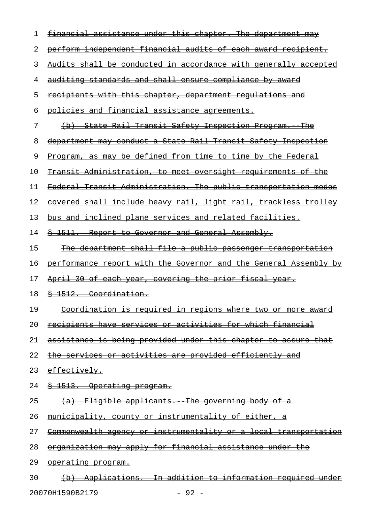| 1  | financial assistance under this chapter. The department may             |
|----|-------------------------------------------------------------------------|
| 2  | perform independent financial audits of each award recipient.           |
| 3  | Audits shall be conducted in accordance with generally accepted         |
| 4  | auditing standards and shall ensure compliance by award                 |
| 5  | recipients with this chapter, department requlations and                |
| 6  | policies and financial assistance agreements.                           |
| 7  | (b) State Rail Transit Safety Inspection Program. The                   |
| 8  | department may conduct a State Rail Transit Safety Inspection           |
| 9  | Program, as may be defined from time to time by the Federal             |
| 10 | Transit Administration, to meet oversight requirements of the           |
| 11 | Federal Transit Administration. The public transportation modes         |
| 12 | covered shall include heavy rail, light rail, trackless trolley         |
| 13 | bus and inclined plane services and related facilities.                 |
| 14 | <u>§ 1511. Report to Governor and General Assembly,</u>                 |
| 15 | The department shall file a public passenger transportation             |
| 16 | performance report with the Governor and the General Assembly by        |
| 17 | <u>April 30 of each year, covering the prior fiscal year.</u>           |
| 18 | § 1512. Coordination.                                                   |
| 19 | <u>Coordination is required in regions where two or more award</u>      |
| 20 | recipients have services or activities for which financial              |
| 21 | assistance is being provided under this chapter to assure that          |
| 22 | the services or activities are provided efficiently and                 |
| 23 | effectively.                                                            |
| 24 | 8 1513. Operating program.                                              |
| 25 | <u>(a) Eligible applicants. The governing body of a</u>                 |
| 26 | <u>municipality, county or instrumentality of either, a</u>             |
| 27 | <u>Commonwealth agency or instrumentality or a local transportation</u> |
| 28 | organization may apply for financial assistance under the               |
| 29 | operating program.                                                      |
| 30 | (b) Applications. In addition to information required under             |

20070H1590B2179 - 92 -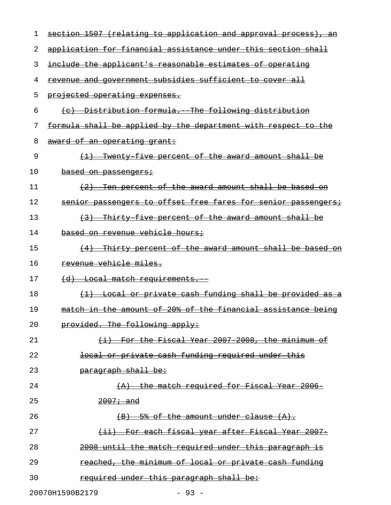| 1  | section 1507 (relating to application and approval process), an |
|----|-----------------------------------------------------------------|
| 2  | application for financial assistance under this section shall   |
| 3  | include the applicant's reasonable estimates of operating       |
| 4  | revenue and government subsidies sufficient to cover all        |
| 5  | projected operating expenses.                                   |
| 6  | (c) Distribution formula. The following distribution            |
| 7  | formula shall be applied by the department with respect to the  |
| 8  | award of an operating grant:                                    |
| 9  | (1) Twenty five percent of the award amount shall be            |
| 10 | based on passengers;                                            |
| 11 | (2) Ten percent of the award amount shall be based on           |
| 12 | senior passengers to offset free fares for senior passengers;   |
| 13 | (3) Thirty five percent of the award amount shall be            |
| 14 | based on revenue vehicle hours;                                 |
| 15 | (4) Thirty percent of the award amount shall be based on        |
| 16 | revenue vehicle miles.                                          |
| 17 | (d) Local match requirements.                                   |
| 18 | (1) Local or private cash funding shall be provided as a        |
| 19 | match in the amount of 20% of the financial assistance being    |
| 20 | provided. The following apply:                                  |
| 21 | $(i)$ For the Fiscal Year 2007-2008, the minimum of             |
| 22 | local or private cash funding required under this               |
| 23 | paragraph shall be:                                             |
| 24 | (A) the match required for Fiscal Year 2006-                    |
| 25 | $2007 - and$                                                    |
| 26 | (B) 5% of the amount under clause (A).                          |
| 27 | (ii) For each fiscal year after Fiscal Year 2007                |
| 28 | 2008 until the match required under this paragraph is           |
| 29 | reached, the minimum of local or private cash funding           |
| 30 | required under this paragraph shall be:                         |
|    | 20070H1590B2179<br>$-93 -$                                      |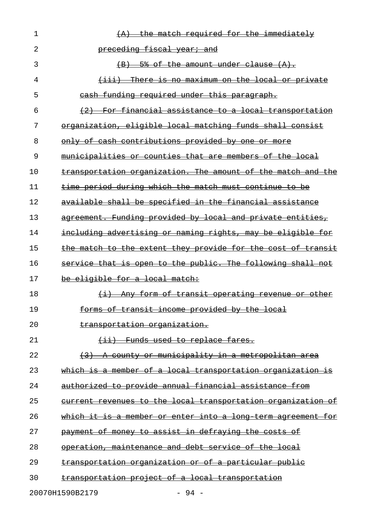| 1              | the match required for the immediately                       |
|----------------|--------------------------------------------------------------|
| $\mathfrak{D}$ | preceding fiscal year; and                                   |
| 3              | $(B)$ 5% of the amount under clause $(A)$ .                  |
| 4              | (iii) There is no maximum on the local or private            |
| 5              | cash funding required under this paragraph.                  |
| 6              | (2) For financial assistance to a local transportation       |
| 7              | organization, eligible local matching funds shall consist    |
| 8              | only of cash contributions provided by one or more           |
| 9              | municipalities or counties that are members of the local     |
| 10             | transportation organization. The amount of the match and the |
| 11             | time period during which the match must continue to be       |
| 12             | available shall be specified in the financial assistance     |
| 13             | agreement. Funding provided by local and private entities,   |
| 14             | including advertising or naming rights, may be eligible for  |
| 15             | the match to the extent they provide for the cost of transit |
| 16             | service that is open to the public. The following shall not  |
| 17             | be eligible for a local match:                               |
| 18             | (i) Any form of transit operating revenue or other           |
| 19             | forms of transit income provided by the local                |
| 20             | transportation organization.                                 |
| 21             | (ii) Funds used to replace fares.                            |
| 22             | (3) A county or municipality in a metropolitan area          |
| 23             | which is a member of a local transportation organization is  |
| 24             | authorized to provide annual financial assistance from       |
| 25             | current revenues to the local transportation organization of |
| 26             | which it is a member or enter into a long term agreement for |
| 27             | payment of money to assist in defraying the costs of         |
| 28             | operation, maintenance and debt service of the local         |
| 29             | transportation organization or of a particular public        |
| 30             | transportation project of a local transportation             |
|                | 20070H1590B2179<br>$-94 -$                                   |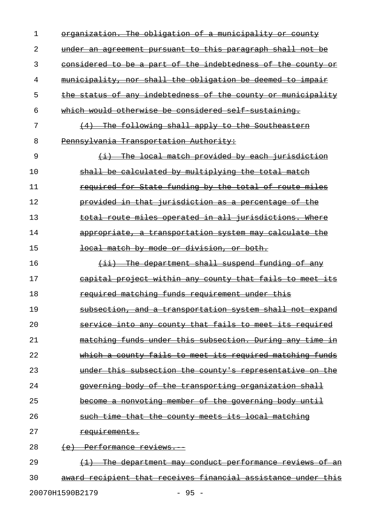| 1  | <u>organization. The obligation of a municipality or county</u>   |
|----|-------------------------------------------------------------------|
| 2  | <u>under an agreement pursuant to this paragraph shall not be</u> |
| 3  | considered to be a part of the indebtedness of the county or      |
| 4  | municipality, nor shall the obligation be deemed to impair        |
| 5  | the status of any indebtedness of the county or municipality      |
| 6  | which would otherwise be considered self sustaining.              |
| 7  | (4) The following shall apply to the Southeastern                 |
| 8  | Pennsylvania Transportation Authority:                            |
| 9  | (i) The local match provided by each jurisdiction                 |
| 10 | shall be calculated by multiplying the total match                |
| 11 | required for State funding by the total of route miles            |
| 12 | provided in that jurisdiction as a percentage of the              |
| 13 | total route miles operated in all jurisdictions. Where            |
| 14 | appropriate, a transportation system may calculate the            |
| 15 | local match by mode or division, or both.                         |
| 16 | (ii) The department shall suspend funding of any                  |
| 17 | capital project within any county that fails to meet its          |
| 18 | required matching funds requirement under this                    |
| 19 | subsection, and a transportation system shall not expand          |
| 20 | service into any county that fails to meet its required           |
| 21 | matching funds under this subsection. During any time in          |
| 22 | which a county fails to meet its required matching funds          |
| 23 | under this subsection the county's representative on the          |
| 24 | governing body of the transporting organization shall             |
| 25 | become a nonvoting member of the governing body until             |
| 26 | such time that the county meets its local matching                |
| 27 | <u>requirements.</u>                                              |
| 28 | (e) Performance reviews.                                          |
| 29 | (1) The department may conduct performance reviews of an          |
| 30 | award recipient that receives financial assistance under this     |
|    |                                                                   |

20070H1590B2179 - 95 -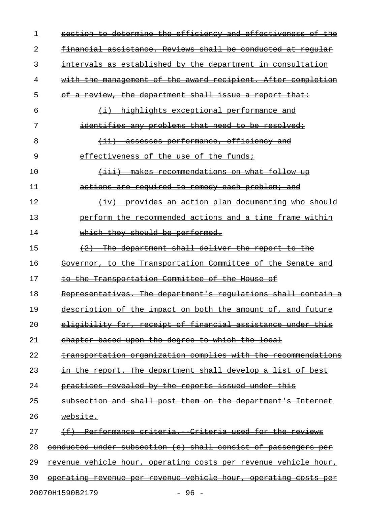| 1  | section to determine the efficiency and effectiveness of the       |
|----|--------------------------------------------------------------------|
| 2  | <u>financial assistance. Reviews shall be conducted at reqular</u> |
| 3  | intervals as established by the department in consultation         |
| 4  | with the management of the award recipient. After completion       |
| 5  | of a review, the department shall issue a report that:             |
| 6  | (i) highlights exceptional performance and                         |
| 7  | identifies any problems that need to be resolved;                  |
| 8  | (ii) assesses performance, efficiency and                          |
| 9  | effectiveness of the use of the funds;                             |
| 10 | (iii) makes recommendations on what follow up                      |
| 11 | actions are required to remedy each problem; and                   |
| 12 | (iv) provides an action plan documenting who should                |
| 13 | perform the recommended actions and a time frame within            |
| 14 | which they should be performed.                                    |
| 15 | (2) The department shall deliver the report to the                 |
| 16 | Governor, to the Transportation Committee of the Senate and        |
| 17 | to the Transportation Committee of the House of                    |
| 18 | Representatives. The department's requlations shall contain a      |
| 19 | description of the impact on both the amount of, and future        |
| 20 | eligibility for, receipt of financial assistance under this        |
| 21 | chapter based upon the degree to which the local                   |
| 22 | transportation organization complies with the recommendations      |
| 23 | in the report. The department shall develop a list of best         |
| 24 | practices revealed by the reports issued under this                |
| 25 | subsection and shall post them on the department's Internet        |
| 26 | website.                                                           |
| 27 | Performance criteria. Criteria used for the reviews                |
| 28 | conducted under subsection (e) shall consist of passengers per     |
| 29 | revenue vehicle hour, operating costs per revenue vehicle hour,    |
| 30 | operating revenue per revenue vehicle hour, operating costs per    |
|    | 20070H1590B2179<br>$-96 -$                                         |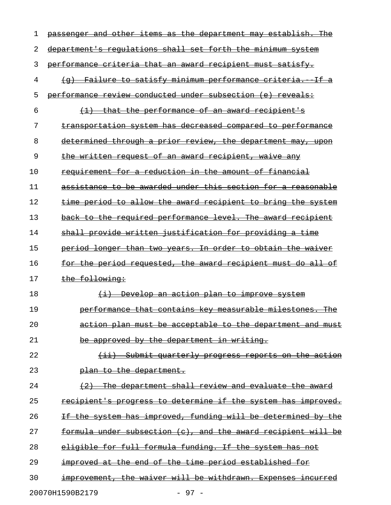| 1  | $-$ the $-$<br>other<br>department<br><del>establish.</del><br><del>and</del><br><del>items as</del><br>may           |
|----|-----------------------------------------------------------------------------------------------------------------------|
| 2  | department's requlations shall set forth the minimum system                                                           |
| 3  | criteria that an award recipient must satisfy.<br>performance                                                         |
| 4  | <u>Failure to satisfy minimum performance criteria.</u><br>$\leftarrow \dashv$<br>a                                   |
| 5  | conducted under subsection (e) reveals:<br>performance<br>review                                                      |
| 6  | the performance of an award recipient's<br><del>that-</del>                                                           |
| 7  | transportation system has decreased compared to performance                                                           |
| 8  | determined through a prior review, the department may,<br><del>upon</del>                                             |
| 9  | written request of an award recipient, waive<br><del>the -</del><br><del>-any</del>                                   |
| 10 | requirement for a reduction in the amount of<br><del>financial</del>                                                  |
| 11 | assistance to be awarded under this section for a reasonable                                                          |
| 12 | time period to allow the award recipient to bring<br><del>the system</del>                                            |
| 13 | back to the required performance level. The award recipient                                                           |
| 14 | shall provide written justification for providing<br><del>a time</del>                                                |
| 15 | period longer than two years. In order to obtain the waiver                                                           |
| 16 | the period requested, the award recipient<br><u>do all</u><br>±or<br><del>must</del>                                  |
| 17 | the following:                                                                                                        |
| 18 | Develop an action plan to improve<br>$\leftrightarrow$<br><del>svstem</del>                                           |
| 19 | performance that contains key measurable milestones.                                                                  |
| 20 | action plan must be acceptable to the department and must                                                             |
| 21 | be approved by the department in writing.                                                                             |
| 22 | Submit quarterly progress reports on the action<br>$\overline{ \left( + \frac{1}{2} + \frac{1}{2} + \cdots \right) }$ |
| 23 | plan to the department.                                                                                               |
| 24 | The department shall review and evaluate the award<br>(2)                                                             |
| 25 | recipient's progress to determine if the system has improved.                                                         |
| 26 | If the system has improved, funding will be determined by the                                                         |
| 27 | formula under subsection (c), and the award recipient will be                                                         |
| 28 | eligible for full formula funding. If the system has not                                                              |
| 29 | improved at the end of the time period established for                                                                |
| 30 | improvement, the waiver will be withdrawn. Expenses incurred                                                          |
|    | 20070H1590B2179<br>$-97 -$                                                                                            |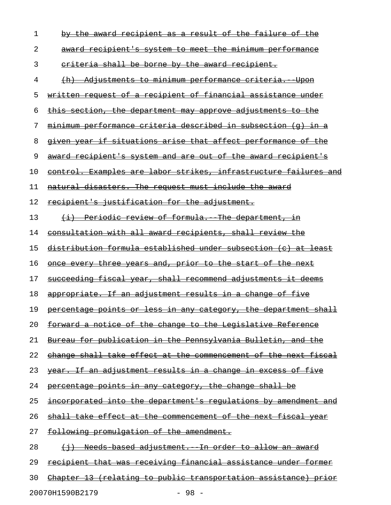| 1  | by the award recipient as a result of the failure of the               |
|----|------------------------------------------------------------------------|
| 2  | <u>award recipient's system to meet the minimum performance</u>        |
| 3  | eriteria shall be borne by the award recipient.                        |
| 4  | <u>(h) Adjustments to minimum performance criteria. Upon</u>           |
| 5  | written request of a recipient of financial assistance under           |
| 6  | <u>this section, the department may approve adjustments to the </u>    |
| 7  | <u>minimum performance criteria described in subsection (q) in a</u>   |
| 8  | <u>given year if situations arise that affect performance of the </u>  |
| 9  | award recipient's system and are out of the award recipient's          |
| 10 | control. Examples are labor strikes, infrastructure failures and       |
| 11 | natural disasters. The request must include the award                  |
| 12 | recipient's justification for the adjustment.                          |
| 13 | <u>(i) Periodic review of formula. The department, in</u>              |
| 14 | consultation with all award recipients, shall review the               |
| 15 | distribution formula established under subsection (c) at least         |
| 16 | once every three years and, prior to the start of the next             |
| 17 | succeeding fiscal year, shall recommend adjustments it deems           |
| 18 | appropriate. If an adjustment results in a change of five              |
| 19 | percentage points or less in any category, the department shall        |
| 20 | <u>forward a notice of the change to the Legislative Reference</u>     |
| 21 | <u>Bureau for publication in the Pennsylvania Bulletin, and the </u>   |
| 22 | change shall take effect at the commencement of the next fiscal        |
| 23 | <u>year. If an adjustment results in a change in excess of five</u>    |
| 24 | <u>percentage points in any category, the change shall be</u>          |
| 25 | <u>incorporated into the department's regulations by amendment and</u> |
| 26 | <u>shall take effect at the commencement of the next fiscal year</u>   |
| 27 | following promulgation of the amendment.                               |
| 28 | (i) Needs based adjustment. In order to allow an award                 |
| 29 | recipient that was receiving financial assistance under former         |
| 30 | Chapter 13 (relating to public transportation assistance) prior        |

20070H1590B2179 - 98 -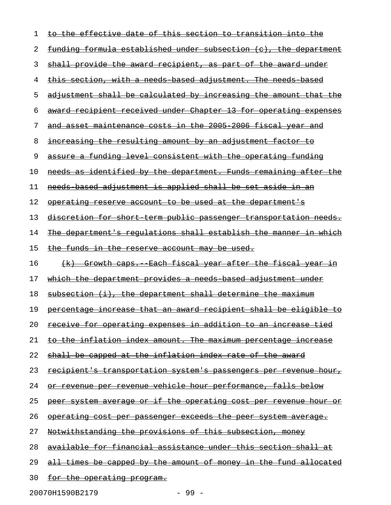| ı  | <u>to the effective date of this section to transition into the </u>    |
|----|-------------------------------------------------------------------------|
| 2  | <u>funding formula established under subsection (c), the department</u> |
| 3  | <u>shall provide the award recipient, as part of the award under</u>    |
| 4  | <u>this section, with a needs based adjustment. The needs based</u>     |
| 5  | <u>adjustment shall be calculated by increasing the amount that the</u> |
| 6  | <u>award recipient received under Chapter 13 for operating expenses</u> |
| 7  | and asset maintenance costs in the 2005 2006 fiscal year and            |
| 8  | <u>increasing the resulting amount by an adjustment factor to</u>       |
| 9  | assure a funding level consistent with the operating funding            |
| 10 | <u>needs as identified by the department. Funds remaining after the</u> |
| 11 | <u>needs based adjustment is applied shall be set aside in an</u>       |
| 12 | <u>operating reserve account to be used at the department's</u>         |
| 13 | discretion for short term public passenger transportation needs.        |
| 14 | The department's regulations shall establish the manner in which        |
| 15 | <u>the funds in the reserve account may be used.</u>                    |
| 16 | (k) Growth caps. Each fiscal year after the fiscal year in              |
| 17 | <u>which the department provides a needs based adjustment under</u>     |
| 18 | <u>subsection (i), the department shall determine the maximum</u>       |
| 19 | percentage increase that an award recipient shall be eligible to        |
| 20 | receive for operating expenses in addition to an increase tied          |
| 21 | <u>to the inflation index amount. The maximum percentage increase</u>   |
| 22 | shall be capped at the inflation index rate of the award                |
| 23 |                                                                         |
|    | <u>recipient's transportation system's passengers per revenue hour,</u> |
| 24 | <u>or revenue per revenue vehicle hour performance, falls below</u>     |
| 25 | <u>peer system average or if the operating cost per revenue hour or</u> |
| 26 | <u>operating cost per passenger exceeds the peer system average.</u>    |
| 27 | <u>Notwithstanding the provisions of this subsection, money</u>         |
| 28 | <u>available for financial assistance under this section shall at</u>   |
| 29 | <u>all times be capped by the amount of money in the fund allocated</u> |

20070H1590B2179 - 99 -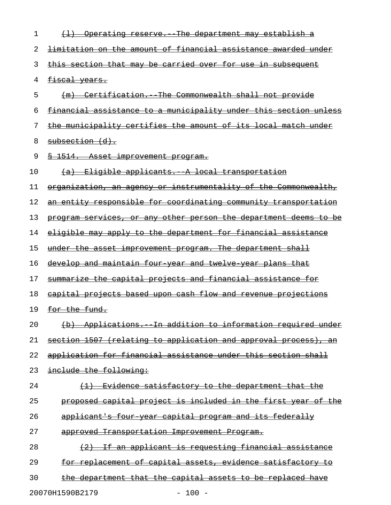| 1  | <u>(1) Operating reserve. The department may establish a</u>          |
|----|-----------------------------------------------------------------------|
| 2  | <u>limitation on the amount of financial assistance awarded under</u> |
| 3  | this section that may be carried over for use in subsequent           |
| 4  | fiscal years.                                                         |
| 5  | (m) Certification. The Commonwealth shall not provide                 |
| 6  | financial assistance to a municipality under this section unless      |
| 7  | <u>the municipality certifies the amount of its local match under</u> |
| 8  | subsection (d).                                                       |
| 9  | 8 1514. Asset improvement program.                                    |
| 10 | <u>(a) Eligible applicants. A local transportation</u>                |
| 11 | organization, an agency or instrumentality of the Commonwealth,       |
| 12 | an entity responsible for coordinating community transportation       |
| 13 | program services, or any other person the department deems to be      |
| 14 | <u>eligible may apply to the department for financial assistance</u>  |
| 15 | under the asset improvement program. The department shall             |
| 16 | develop and maintain four year and twelve year plans that             |
| 17 | summarize the capital projects and financial assistance for           |
| 18 | capital projects based upon cash flow and revenue projections         |
| 19 | for the fund.                                                         |
| 20 | (b) Applications. In addition to information required under           |
| 21 | section 1507 (relating to application and approval process), an       |
| 22 | application for financial assistance under this section shall         |
| 23 | include the following:                                                |
| 24 | (1) Evidence satisfactory to the department that the                  |
| 25 | proposed capital project is included in the first year of the         |
| 26 | applicant's four year capital program and its federally               |
| 27 | approved Transportation Improvement Program.                          |
| 28 | (2) If an applicant is requesting financial assistance                |
| 29 | for replacement of capital assets, evidence satisfactory to           |
| 30 | the department that the capital assets to be replaced have            |
|    | 20070H1590B2179<br>$-100 -$                                           |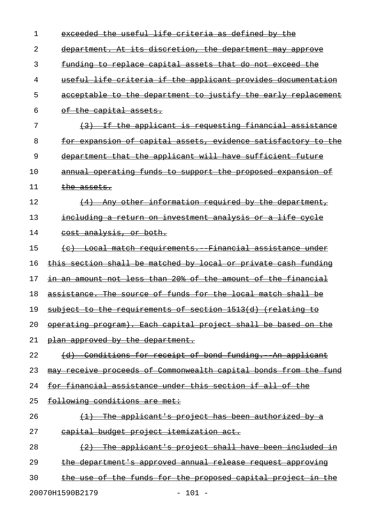| 1  | exceeded the useful life criteria as defined by the                  |
|----|----------------------------------------------------------------------|
| 2  | department. At its discretion, the department may approve            |
| 3  | funding to replace capital assets that do not exceed the             |
| 4  | useful life criteria if the applicant provides documentation         |
| 5  | acceptable to the department to justify the early replacement        |
| 6  | of the capital assets.                                               |
| 7  | (3) If the applicant is requesting financial assistance              |
| 8  | <u>for expansion of capital assets, evidence satisfactory to the</u> |
| 9  | department that the applicant will have sufficient future            |
| 10 | annual operating funds to support the proposed expansion of          |
| 11 | the assets.                                                          |
| 12 | (4) Any other information required by the department,                |
| 13 | <u>including a return on investment analysis or a life cycle</u>     |
| 14 | <del>cost analysis, or both.</del>                                   |
| 15 | (c) Local match requirements. Financial assistance under             |
| 16 | this section shall be matched by local or private cash funding       |
| 17 | in an amount not less than 20% of the amount of the financial        |
| 18 | assistance. The source of funds for the local match shall be         |
| 19 | subject to the requirements of section 1513(d) (relating to          |
| 20 | operating program). Each capital project shall be based on the       |
| 21 | plan approved by the department.                                     |
| 22 | (d) Conditions for receipt of bond funding. An applicant             |
| 23 | may receive proceeds of Commonwealth capital bonds from the fund     |
| 24 | for financial assistance under this section if all of the            |
| 25 | following conditions are met:                                        |
| 26 | $\{1\}$ The applicant's project has been authorized by a             |
| 27 | capital budget project itemization act.                              |
| 28 | (2) The applicant's project shall have been included in              |
| 29 | the department's approved annual release request approving           |
| 30 | the use of the funds for the proposed capital project in the         |
|    |                                                                      |

20070H1590B2179 - 101 -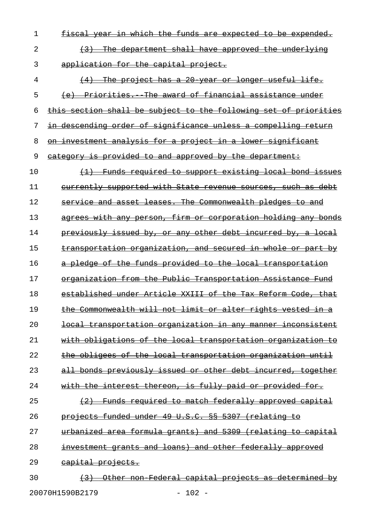| 1  | fiscal year in which the funds are expected to be expended.         |
|----|---------------------------------------------------------------------|
| 2  | The department shall have approved the underlying<br>$+3$           |
| 3  | application for the capital project.                                |
| 4  | (4) The project has a 20 year or longer useful life.                |
| 5  | (e) Priorities. The award of financial assistance under             |
| 6  | this section shall be subject to the following set of priorities    |
| 7  | in descending order of significance unless a compelling return      |
| 8  | <u>on investment analysis for a project in a lower significant</u>  |
| 9  | <u>eategory is provided to and approved by the department:</u>      |
| 10 | (1) Funds required to support existing local bond issues            |
| 11 | currently supported with State revenue sources, such as debt        |
| 12 | service and asset leases. The Commonwealth pledges to and           |
| 13 | agrees with any person, firm or corporation holding any bonds       |
| 14 | previously issued by, or any other debt incurred by, a local        |
| 15 | transportation organization, and secured in whole or part by        |
| 16 | a pledge of the funds provided to the local transportation          |
| 17 | organization from the Public Transportation Assistance Fund         |
| 18 | established under Article XXIII of the Tax Reform Code, that        |
| 19 | the Commonwealth will not limit or alter rights vested in a         |
| 20 | <u>local transportation organization in any manner inconsistent</u> |
| 21 | with obligations of the local transportation organization to        |
| 22 | the obligees of the local transportation organization until         |
| 23 | all bonds previously issued or other debt incurred, together        |
| 24 | with the interest thereon, is fully paid or provided for.           |
| 25 | (2) Funds required to match federally approved capital              |
| 26 | projects funded under 49 U.S.C. §§ 5307 (relating to                |
| 27 | urbanized area formula grants) and 5309 (relating to capital        |
| 28 | investment grants and loans) and other federally approved           |
| 29 | capital projects.                                                   |
| 30 | <u>Other non Federal capital projects as determined by</u>          |

20070H1590B2179 - 102 -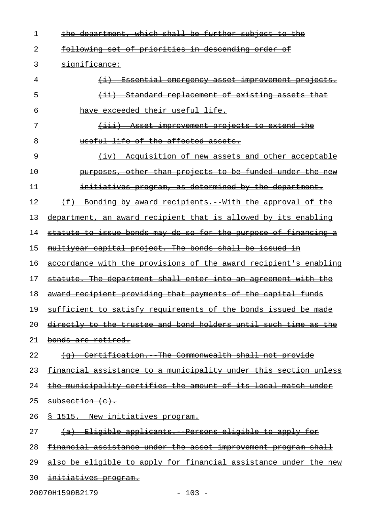| 1  | the department, which shall be further subject to the                         |
|----|-------------------------------------------------------------------------------|
| 2  | following set of priorities in descending order of                            |
| 3  | significance:                                                                 |
| 4  | (i) Essential emergency asset improvement projects.                           |
| 5  | Standard replacement of existing assets that<br>$\leftarrow$ ii) $\leftarrow$ |
| 6  | have exceeded their useful life.                                              |
| 7  | <del>(iii) Asset improvement projects to extend the</del>                     |
| 8  | useful life of the affected assets.                                           |
| 9  | (iv) Acquisition of new assets and other acceptable                           |
| 10 | purposes, other than projects to be funded under the new                      |
| 11 | initiatives program, as determined by the department.                         |
| 12 | (f) Bonding by award recipients. With the approval of the                     |
| 13 | department, an award recipient that is allowed by its enabling                |
| 14 | statute to issue bonds may do so for the purpose of financing a               |
| 15 | multiyear capital project. The bonds shall be issued in                       |
| 16 | accordance with the provisions of the award recipient's enabling              |
| 17 | statute. The department shall enter into an agreement with the                |
| 18 | award recipient providing that payments of the capital funds                  |
| 19 | sufficient to satisfy requirements of the bonds issued be made                |
| 20 | directly to the trustee and bond holders until such time as the               |
| 21 | <del>bonds are retired.</del>                                                 |
| 22 | (g) Certification. The Commonwealth shall not provide                         |
| 23 | financial assistance to a municipality under this section unless              |
| 24 | the municipality certifies the amount of its local match under                |
| 25 | subsection (c).                                                               |
| 26 | § 1515. New initiatives program.                                              |
| 27 | (a) Eligible applicants. Persons eligible to apply for                        |
| 28 | financial assistance under the asset improvement program shall                |
| 29 | also be eligible to apply for financial assistance under the new              |
| 30 | <u>initiatives program.</u>                                                   |

20070H1590B2179 - 103 -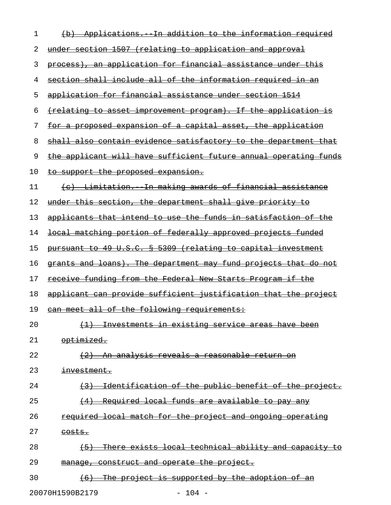| 1  | In addition to the information required<br>Applications.                 |
|----|--------------------------------------------------------------------------|
| 2  | under section 1507 (relating to application and approval                 |
| 3  | process), an application for financial assistance under this             |
| 4  | section shall include all of the information required in an              |
| 5  | application for financial assistance under section 1514                  |
| 6  | (relating to asset improvement program). If the application is           |
| 7  | for a proposed expansion of a capital asset, the application             |
| 8  | shall also contain evidence satisfactory to the department that          |
| 9  | the applicant will have sufficient future annual operating funds         |
| 10 | to support the proposed expansion.                                       |
| 11 | (c) Limitation. In making awards of financial assistance                 |
| 12 | under this section, the department shall give priority to                |
| 13 | applicants that intend to use the funds in satisfaction of the           |
| 14 | local matching portion of federally approved projects funded             |
| 15 | pursuant to 49 U.S.C. § 5309 (relating to capital investment             |
| 16 | grants and loans). The department may fund projects that do not          |
| 17 | receive funding from the Federal New Starts Program if the               |
| 18 | applicant can provide sufficient justification that the project          |
| 19 | can meet all of the following requirements:                              |
| 20 | <del>Investments in existing service areas have</del>                    |
| 21 | <del>optimized.</del>                                                    |
| 22 | (2) An analysis reveals a reasonable return on                           |
| 23 | investment.                                                              |
| 24 | Identification of the public benefit of the project.                     |
| 25 | <u>Required local funds are available to pay any</u>                     |
| 26 | required local match for the project and ongoing<br><del>operating</del> |
| 27 | <del>costs.</del>                                                        |
| 28 | There exists local technical ability and capacity to<br>(5)              |
| 29 | <u>construct and operate the project.</u><br><del>manage.</del>          |
| 30 | <u>The project is supported by the adoption of an</u><br>$+6$            |
|    |                                                                          |

20070H1590B2179 - 104 -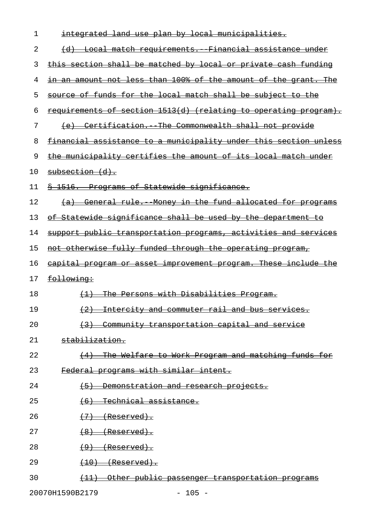| 1  | integrated land use plan by local municipalities.                      |
|----|------------------------------------------------------------------------|
| 2  | (d) Local match requirements. Financial assistance under               |
| 3  | this section shall be matched by local or private cash funding         |
| 4  | in an amount not less than 100% of the amount of the grant. The        |
| 5  | source of funds for the local match shall be subject to the            |
| 6  | requirements of section 1513(d) (relating to operating program).       |
| 7  | (e) Certification. The Commonwealth shall not provide                  |
| 8  | financial assistance to a municipality under this section unless       |
| 9  | the municipality certifies the amount of its local match under         |
| 10 | subsection (d).                                                        |
| 11 | § 1516. Programs of Statewide significance.                            |
| 12 | (a) General rule. Money in the fund allocated for programs             |
| 13 | of Statewide significance shall be used by the department to           |
| 14 | <u>support public transportation programs, activities and services</u> |
| 15 | not otherwise fully funded through the operating program,              |
| 16 | capital program or asset improvement program. These include the        |
| 17 | following:                                                             |
| 18 | (1) The Persons with Disabilities Program.                             |
| 19 | Intercity and commuter rail and bus services.<br>(2)                   |
| 20 | Community transportation capital and service                           |
| 21 | stabilization.                                                         |
| 22 | The Welfare to Work Program and matching funds for                     |
| 23 | Federal programs with similar intent.                                  |
| 24 | Demonstration and research projects.                                   |
| 25 | <del>Technical assistance.</del><br>$+6+$                              |
| 26 | (7)<br><del>(Reserved).</del>                                          |
| 27 | $+8$<br><del>(Reserved).</del>                                         |
| 28 | $(9)$ (Reserved).                                                      |
| 29 | $(10)$ (Reserved).                                                     |
| 30 | Other public passenger transportation programs                         |

20070H1590B2179 - 105 -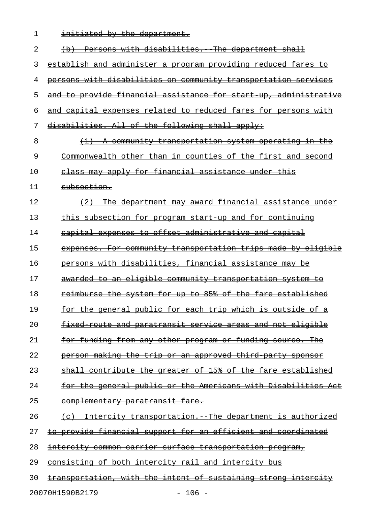1 initiated by the department.

| 2  | (b) Persons with disabilities. The department shall                                            |
|----|------------------------------------------------------------------------------------------------|
| 3  | establish and administer a program providing reduced fares to                                  |
| 4  | persons with disabilities on community transportation services                                 |
| 5  | and to provide financial assistance for start up, administrative                               |
| 6  | and capital expenses related to reduced fares for persons with                                 |
| 7  | disabilities. All of the following shall apply:                                                |
| 8  | (1) A community transportation system operating in the                                         |
| 9  | Commonwealth other than in counties of the first and second                                    |
| 10 | class may apply for financial assistance under this                                            |
| 11 | subsection.                                                                                    |
| 12 | (2) The department may award financial assistance under                                        |
| 13 | this subsection for program start up and for continuing                                        |
| 14 | capital expenses to offset administrative and capital                                          |
| 15 | expenses. For community transportation trips made by eligible                                  |
| 16 | persons with disabilities, financial assistance may be                                         |
| 17 | awarded to an eligible community transportation system to                                      |
| 18 | reimburse the system for up to 85% of the fare established                                     |
| 19 | for the general public for each trip which is outside of a                                     |
| 20 | <u>fixed route and paratransit service areas and not eligible</u>                              |
| 21 | <del>for funding from any other program or</del><br><del>funding</del><br><u>-sour</u> ce. The |
| 22 | person making the trip<br><del>or an approved third party sponsor</del>                        |
| 23 | shall contribute the greater of 15% of the fare established                                    |
| 24 | for the general public or the Americans with Disabilities Act                                  |
| 25 | complementary paratransit fare.                                                                |
| 26 | Intercity transportation. The department is authorized                                         |
| 27 | to provide financial support for an efficient and coordinated                                  |
| 28 | intercity common carrier surface transportation program,                                       |
| 29 | <u>consisting of both intercity rail and intercity bus</u>                                     |
| 30 | transportation, with the intent of sustaining strong intercity                                 |
|    | $-106 -$<br>20070H1590B2179                                                                    |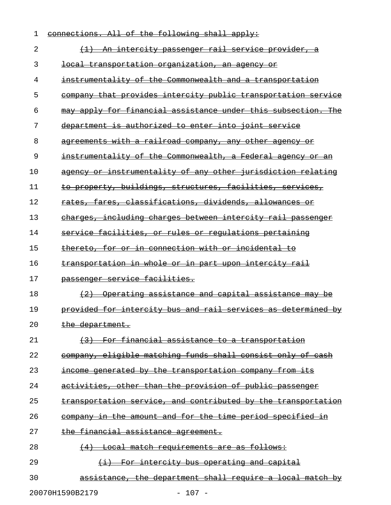| 1                           | connections. All of the following shall apply:                |
|-----------------------------|---------------------------------------------------------------|
| 2                           | An intercity passenger rail service provider, a               |
| 3                           | <del>local transportation organization, an agency or</del>    |
| 4                           | instrumentality of the Commonwealth and a transportation      |
| 5                           | company that provides intercity public transportation service |
| 6                           | may apply for financial assistance under this subsection. The |
| 7                           | department is authorized to enter into joint service          |
| 8                           | agreements with a railroad company, any other agency or       |
| 9                           | instrumentality of the Commonwealth, a Federal agency or an   |
| 10                          | agency or instrumentality of any other jurisdiction relating  |
| 11                          | to property, buildings, structures, facilities, services,     |
| 12                          | rates, fares, classifications, dividends, allowances or       |
| 13                          | charges, including charges between intercity rail passenger   |
| 14                          | service facilities, or rules or requlations pertaining        |
| 15                          | thereto, for or in connection with or incidental to           |
| 16                          | transportation in whole or in part upon intercity rail        |
| 17                          | passenger service facilities.                                 |
| 18                          | (2) Operating assistance and capital assistance may           |
| 19                          | provided for intercity bus and rail services as determined by |
| 20                          | the department.                                               |
| 21                          | (3) For financial assistance to a transportation              |
| 22                          | company, eligible matching funds shall consist only of cash   |
| 23                          | income generated by the transportation company from its       |
| 24                          | activities, other than the provision of public passenger      |
| 25                          | transportation service, and contributed by the transportation |
| 26                          | company in the amount and for the time period specified in    |
| 27                          | the financial assistance agreement.                           |
| 28                          | (4) Local match requirements are as follows:                  |
| 29                          | $(i)$ For intercity bus operating and capital                 |
| 30                          | assistance, the department shall require a local match by     |
| 20070H1590B2179<br>$-107 -$ |                                                               |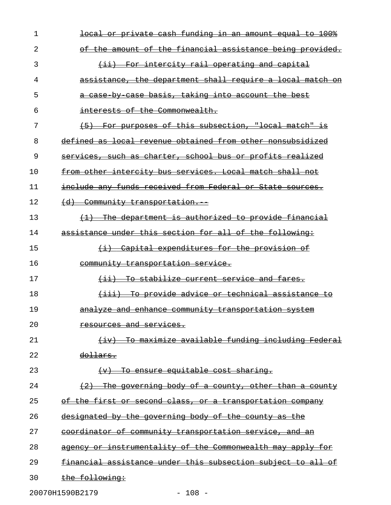| 1  | local or private cash funding in an amount equal to 100%     |
|----|--------------------------------------------------------------|
| 2  | of the amount of the financial assistance being provided.    |
| 3  | (ii) For intercity rail operating and capital                |
| 4  | assistance, the department shall require a local match on    |
| 5  | a case by case basis, taking into account the best           |
| 6  | interests of the Commonwealth.                               |
| 7  | (5) For purposes of this subsection, "local match" is        |
| 8  | defined as local revenue obtained from other nonsubsidized   |
| 9  | services, such as charter, school bus or profits realized    |
| 10 | from other intercity bus services. Local match shall not     |
| 11 | include any funds received from Federal or State sources.    |
| 12 | (d) Community transportation.                                |
| 13 | (1) The department is authorized to provide financial        |
| 14 | assistance under this section for all of the following:      |
| 15 | (i) Capital expenditures for the provision of                |
| 16 | community transportation service.                            |
| 17 | (ii) To stabilize current service and fares.                 |
| 18 | (iii) To provide advice or technical assistance to           |
| 19 | analyze and enhance community transportation system          |
| 20 | resources and services.                                      |
| 21 | (iv) To maximize available funding including Federal         |
| 22 | dollars.                                                     |
| 23 | (v) To ensure equitable cost sharing.                        |
| 24 | $\{2\}$ The governing body of a county, other than a county  |
| 25 | of the first or second class, or a transportation company    |
| 26 | designated by the governing body of the county as the        |
| 27 | coordinator of community transportation service, and an      |
| 28 | agency or instrumentality of the Commonwealth may apply for  |
| 29 | financial assistance under this subsection subject to all of |
| 30 | the following:                                               |
|    | 20070H1590B2179<br>$-108 -$                                  |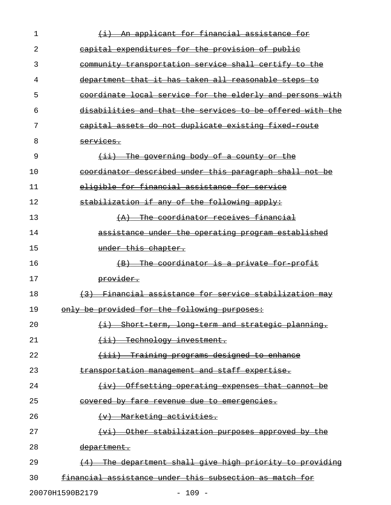| 1  | An applicant for financial assistance for                 |
|----|-----------------------------------------------------------|
| 2  | capital expenditures for the provision of public          |
| 3  | community transportation service shall certify to the     |
| 4  | department that it has taken all reasonable steps to      |
| 5  | coordinate local service for the elderly and persons with |
| 6  | disabilities and that the services to be offered with the |
| 7  | capital assets do not duplicate existing fixed route      |
| 8  | services.                                                 |
| 9  | (ii) The governing body of a county or the                |
| 10 | coordinator described under this paragraph shall not be   |
| 11 | eligible for financial assistance for service             |
| 12 | stabilization if any of the following apply:              |
| 13 | $(A)$ The coordinator receives financial                  |
| 14 | assistance under the operating program established        |
| 15 | under this chapter.                                       |
| 16 | (B) The coordinator is a private for profit               |
| 17 | provider.                                                 |
| 18 | (3) Financial assistance for service stabilization may    |
| 19 | only be provided for the following purposes:              |
| 20 | (i) Short term, long term and strategic planning.         |
| 21 | $(iii)$ Technology investment.                            |
| 22 | (iii) Training programs designed to enhance               |
| 23 | transportation management and staff expertise.            |
| 24 | (iv) Offsetting operating expenses that cannot be         |
| 25 | covered by fare revenue due to emergencies.               |
| 26 | $(v)$ Marketing activities.                               |
| 27 | (vi) Other stabilization purposes approved by the         |
| 28 | <del>department.</del>                                    |
| 29 | The department shall give high priority to providing      |
| 30 | financial assistance under this subsection as match for   |
|    |                                                           |

20070H1590B2179 - 109 -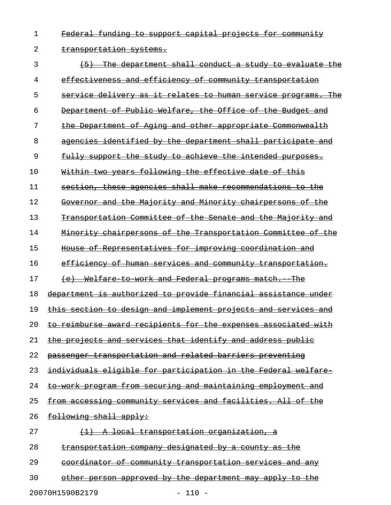1 Federal funding to support capital projects for community

## 2 transportation systems.

3 (5) The department shall conduct a study to evaluate the 4 effectiveness and efficiency of community transportation 5 service delivery as it relates to human service programs. The 6 Department of Public Welfare, the Office of the Budget and 7 the Department of Aging and other appropriate Commonwealth 8 agencies identified by the department shall participate and 9 fully support the study to achieve the intended purposes. 10 Within two years following the effective date of this 11 section, these agencies shall make recommendations to the 12 Governor and the Majority and Minority chairpersons of the 13 Transportation Committee of the Senate and the Majority and 14 Minority chairpersons of the Transportation Committee of the 15 House of Representatives for improving coordination and 16 efficiency of human services and community transportation. 17 (e) Welfare to work and Federal programs match. The 18 department is authorized to provide financial assistance under 19 this section to design and implement projects and services and 20 to reimburse award recipients for the expenses associated with 21 the projects and services that identify and address public 22 passenger transportation and related barriers preventing 23 individuals eligible for participation in the Federal welfare-24 to work program from securing and maintaining employment and 25 from accessing community services and facilities. All of the 26 following shall apply: 27  $(1)$  A local transportation organization, a 28 transportation company designated by a county as the 29 coordinator of community transportation services and 30 other person approved by the department may apply to the

20070H1590B2179 - 110 -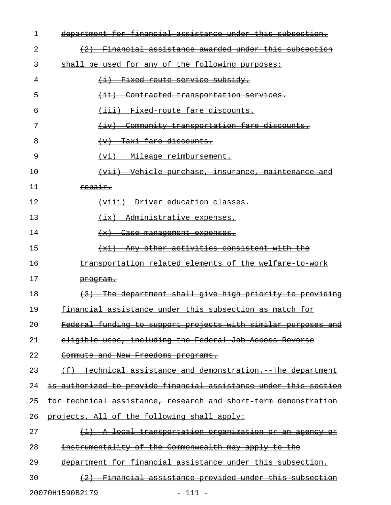| 1  | department for financial assistance under this subsection.       |
|----|------------------------------------------------------------------|
| 2  | Financial assistance awarded under this subsection               |
| 3  | shall be used for any of the following purposes:                 |
| 4  | <del>(i) Fixed route service subsidy.</del>                      |
| 5  | <del>(ii) Contracted transportation services.</del>              |
| 6  | (iii) Fixed route fare discounts.                                |
| 7  | (iv) Community transportation fare discounts.                    |
| 8  | (v) Taxi fare discounts.                                         |
| 9  | Mileage reimbursement.<br>$(v_i)$                                |
| 10 | (vii) Vehicle purchase, insurance, maintenance and               |
| 11 | repair.                                                          |
| 12 | (viii) Driver education classes.                                 |
| 13 | (ix) Administrative expenses.                                    |
| 14 | (x) Case management expenses.                                    |
| 15 | (xi) Any other activities consistent with the                    |
| 16 | transportation related elements of the welfare to work           |
| 17 | <del>program.</del>                                              |
| 18 | (3) The department shall give high priority to providing         |
| 19 | financial assistance under this subsection as match for          |
| 20 | Federal funding to support projects with similar purposes and    |
| 21 | eligible uses, including the Federal Job Access Reverse          |
| 22 | Commute and New Freedoms programs.                               |
| 23 | (f) Technical assistance and demonstration. The department       |
| 24 | is authorized to provide financial assistance under this section |
| 25 | for technical assistance, research and short term demonstration  |
| 26 | projects. All of the following shall apply:                      |
| 27 | <u>(1) A local transportation organization or an agency or</u>   |
| 28 | instrumentality of the Commonwealth may apply to the             |
| 29 | department for financial assistance under this subsection.       |
| 30 | (2) Financial assistance provided under this subsection          |
|    |                                                                  |

20070H1590B2179 - 111 -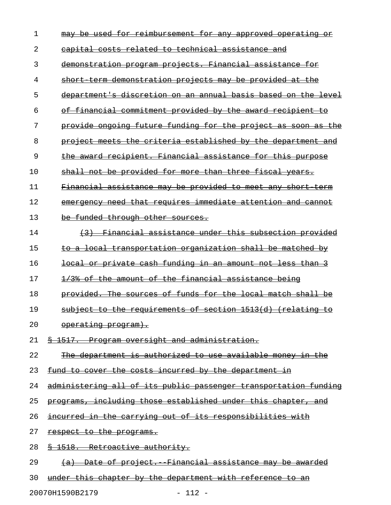| 1  | may be used for reimbursement for any approved operating or       |
|----|-------------------------------------------------------------------|
| 2  | capital costs related to technical assistance and                 |
| 3  | demonstration program projects. Financial assistance for          |
| 4  | short term demonstration projects may be provided at the          |
| 5  | department's discretion on an annual basis based on the level     |
| 6  | of financial commitment provided by the award recipient to        |
| 7  | provide ongoing future funding for the project as soon as the     |
| 8  | project meets the criteria established by the department and      |
| 9  | the award recipient. Financial assistance for this purpose        |
| 10 | shall not be provided for more than three fiscal years.           |
| 11 | Financial assistance may be provided to meet any short term       |
| 12 | emergency need that requires immediate attention and cannot       |
| 13 | be funded through other sources.                                  |
| 14 | (3) Financial assistance under this subsection provided           |
| 15 | to a local transportation organization shall be matched by        |
| 16 | <u>local or private cash funding in an amount not less than 3</u> |
| 17 | 1/3% of the amount of the financial assistance being              |
| 18 | provided. The sources of funds for the local match shall be       |
| 19 | subject to the requirements of section 1513(d) (relating to       |
| 20 | <u>operating program).</u>                                        |
| 21 | <u> § 1517. Program oversight and administration.</u>             |
| 22 | The department is authorized to use available money in the        |
| 23 | fund to cover the costs incurred by the department in             |
| 24 | administering all of its public passenger transportation funding  |
| 25 | programs, including those established under this chapter, and     |
| 26 | incurred in the carrying out of its responsibilities with         |
| 27 | respect to the programs.                                          |
| 28 | § 1518. Retroactive authority.                                    |
| 29 | (a) Date of project. Financial assistance may be awarded          |
| 30 | under this chapter by the department with reference to an         |
|    |                                                                   |

20070H1590B2179 - 112 -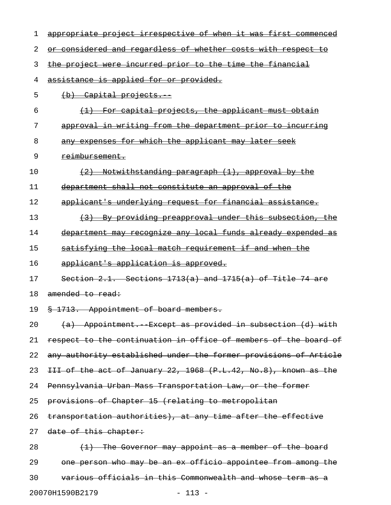| ı  | appropriate project irrespective of when it was first commenced  |
|----|------------------------------------------------------------------|
| 2  | or considered and regardless of whether costs with respect to    |
| 3  | the project were incurred prior to the time the financial        |
| 4  | assistance is applied for or provided.                           |
| 5  | $(b)$ Capital projects.                                          |
| 6  | (1) For capital projects, the applicant must obtain              |
| 7  | approval in writing from the department prior to incurring       |
| 8  | any expenses for which the applicant may later seek              |
| 9  | reimbursement.                                                   |
| 10 | $(2)$ Notwithstanding paragraph $(1)$ , approval by the          |
| 11 | department shall not constitute an approval of the               |
| 12 | applicant's underlying request for financial assistance.         |
| 13 | (3) By providing preapproval under this subsection, the          |
| 14 | department may recognize any local funds already expended as     |
| 15 | satisfying the local match requirement if and when the           |
|    | applicant's application is approved.                             |
| 16 |                                                                  |
| 17 | Section $2.1.$ Sections $1713(a)$ and $1715(a)$ of Title 74 are  |
| 18 | amended to read:                                                 |
| 19 | § 1713. Appointment of board members.                            |
| 20 | (a) Appointment. Except as provided in subsection (d) with       |
| 21 | respect to the continuation in office of members of the board of |
| 22 | any authority established under the former provisions of Article |
| 23 | III of the act of January 22, 1968 (P.L.42, No.8), known as the  |
| 24 | Pennsylvania Urban Mass Transportation Law, or the former        |
| 25 | provisions of Chapter 15 (relating to metropolitan               |
| 26 | transportation authorities), at any time after the effective     |
| 27 | date of this chapter:                                            |
| 28 | $(1)$ The Governor may appoint as a member of the board          |
| 29 | one person who may be an ex officio appointee from among the     |

20070H1590B2179 - 113 -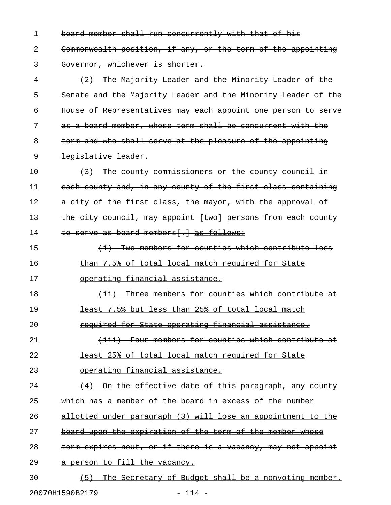1 board member shall run concurrently with that of his 2 Commonwealth position, if any, or the term of the appointing 3 Governor, whichever is shorter. 4 (2) The Majority Leader and the Minority Leader of the 5 Senate and the Majority Leader and the Minority Leader of the 6 House of Representatives may each appoint one person to serve 7 as a board member, whose term shall be concurrent with the 8 term and who shall serve at the pleasure of the appointing 9 legislative leader.  $10$  (3) The county commissioners or the county council in 11 each county and, in any county of the first class containing 12 a city of the first class, the mayor, with the approval of 13 the city council, may appoint [two] persons from each county 14 to serve as board members[.] as follows: 15 (i) Two members for counties which contribute less 16 than 7.5% of total local match required for State 17 operating financial assistance. 18 (ii) Three members for counties which contribute at 19 **least 7.5% but less than 25% of total local match** 20 **required for State operating financial assistance.** 21 (iii) Four members for counties which contribute at 22 **least 25% of total local match required for State** 23 operating financial assistance. \_\_\_\_\_\_\_\_\_\_\_\_\_\_\_\_\_\_\_\_\_\_\_\_\_\_\_\_\_\_\_ 24 (4) On the effective date of this paragraph, any county 25 which has a member of the board in excess of the number 26 allotted under paragraph (3) will lose an appointment to the 27 board upon the expiration of the term of the member whose 28 term expires next, or if there is a vacancy, may not appoint 29 a person to fill the vacancy. 30 (5) The Secretary of Budget shall be a nonvoting member.

20070H1590B2179 - 114 -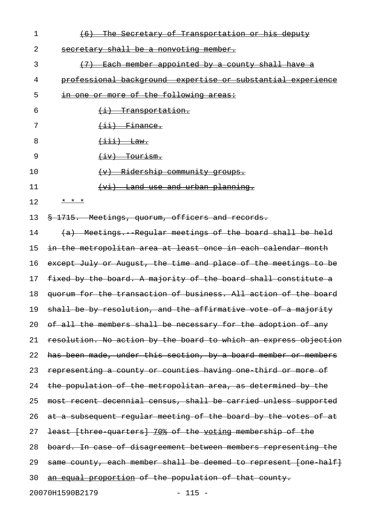| $\mathbf 1$ | (6) The Secretary of Transportation or his deputy                  |
|-------------|--------------------------------------------------------------------|
| 2           | secretary shall be a nonvoting member.                             |
| 3           | (7) Each member appointed by a county shall have a                 |
| 4           | <u>professional background expertise or substantial experience</u> |
| 5           | in one or more of the following areas:                             |
| 6           | <u>(i) Transportation.</u>                                         |
| 7           | $\overline{$ <b>(ii)</b> Finance.                                  |
| 8           | $\overline{\text{+iii}}$ Law.                                      |
| 9           | $\overline{+iv}$ Tourism.                                          |
| 10          | (v) Ridership community groups.                                    |
| 11          | <u>(vi) Land use and urban planning.</u>                           |
| 12          | * * *                                                              |
| 13          | \$ 1715. Meetings, quorum, officers and records.                   |
| 14          | (a) Meetings. Regular meetings of the board shall be held          |
| 15          | in the metropolitan area at least once in each calendar month      |
| 16          | except July or August, the time and place of the meetings to be    |
| 17          | fixed by the board. A majority of the board shall constitute a     |
| 18          | quorum for the transaction of business. All action of the board    |
| 19          | shall be by resolution, and the affirmative vote of a majority     |
| 20          | of all the members shall be necessary for the adoption of any      |
| 21          | resolution. No action by the board to which an express objection   |
| 22          | has been made, under this section, by a board member or members    |
| 23          | representing a county or counties having one third or more of      |
| 24          | the population of the metropolitan area, as determined by the      |
| 25          | most recent decennial census, shall be carried unless supported    |
| 26          | at a subsequent regular meeting of the board by the votes of at    |
| 27          | least (three quarters) 70% of the voting membership of the         |
| 28          | board. In case of disagreement between members representing the    |
| 29          | same county, each member shall be deemed to represent [one half]   |
| 30          | an equal proportion of the population of that county.              |
|             | 20070H1590B2179<br>$-115 -$                                        |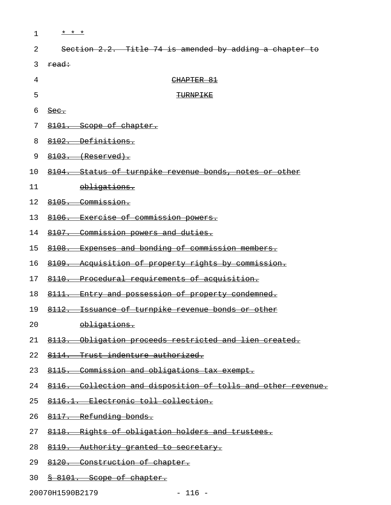| $\mathbf{1}$ | * * *                                                        |
|--------------|--------------------------------------------------------------|
| 2            | Section 2.2. Title 74 is amended by adding a chapter to      |
| 3            | read:                                                        |
| 4            | CHAPTER 81                                                   |
| 5            | <b>TURNPIKE</b>                                              |
| 6            | $\frac{\text{Sec.}}{\text{Sec.}}$                            |
| 7            | 8101. Scope of chapter.                                      |
| 8            | 8102. Definitions.                                           |
| 9            | $8103.$ (Reserved).                                          |
| 10           | 8104. Status of turnpike revenue bonds, notes or other       |
| 11           | <u>obligations.</u>                                          |
| 12           | 8105. Commission.                                            |
| 13           | 8106. Exercise of commission powers.                         |
| 14           | 8107. Commission powers and duties.                          |
| 15           | 8108. Expenses and bonding of commission members.            |
| 16           | 8109. Acquisition of property rights by commission.          |
| 17           | 8110. Procedural requirements of acquisition.                |
| 18           | 8111. Entry and possession of property condemned.            |
| 19           | 8112. Issuance of turnpike revenue bonds or other            |
| 20           | <u>obligations.</u>                                          |
| 21           | 8113. Obligation proceeds restricted and lien created.       |
| 22           | 8114. Trust indenture authorized.                            |
| 23           | 8115. Commission and obligations tax exempt.                 |
| 24           | 8116. Collection and disposition of tolls and other revenue. |
| 25           | 8116.1. Electronic toll collection.                          |
| 26           | 8117. Refunding bonds.                                       |
| 27           | 8118. Rights of obligation holders and trustees.             |
| 28           | <u>8119. Authority granted to secretary.</u>                 |
|              |                                                              |

- 29 8120. Construction of chapter.
- 30 <u>§ 8101. Scope of chapter.</u>

20070H1590B2179 - 116 -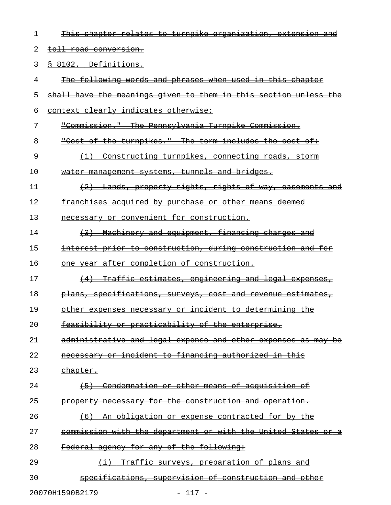| 1  | This chapter relates to turnpike organization, extension and     |
|----|------------------------------------------------------------------|
| 2  | <del>toll road conversion.</del>                                 |
| 3  | 8 8102. Definitions.                                             |
| 4  | The following words and phrases when used in this chapter        |
| 5  | shall have the meanings given to them in this section unless the |
| 6  | context clearly indicates otherwise:                             |
| 7  | "Commission." The Pennsylvania Turnpike Commission.              |
| 8  | "Cost of the turnpikes." The term includes the cost of:          |
| 9  | (1) Constructing turnpikes, connecting roads, storm              |
| 10 | water management systems, tunnels and bridges.                   |
| 11 | (2) Lands, property rights, rights of way, casements and         |
| 12 | franchises acquired by purchase or other means deemed            |
| 13 | necessary or convenient for construction.                        |
| 14 | (3) Machinery and equipment, financing charges and               |
| 15 | interest prior to construction, during construction and for      |
| 16 | one year after completion of construction.                       |
| 17 | (4) Traffic estimates, engineering and legal expenses,           |
| 18 | plans, specifications, surveys, cost and revenue estimates,      |
| 19 | other expenses necessary or incident to determining the          |
| 20 | feasibility or practicability of the enterprise,                 |
| 21 | administrative and legal expense and other expenses as may be    |
| 22 | necessary or incident to financing authorized in this            |
| 23 | <del>chapter.</del>                                              |
| 24 | (5) Condemnation or other means of acquisition of                |
| 25 | property necessary for the construction and operation.           |
| 26 | <del>(6) An obligation or expense contracted for by the</del>    |
| 27 | commission with the department or with the United States or a    |
| 28 | Federal agency for any of the following:                         |
| 29 | Traffic surveys, preparation of plans and                        |
| 30 | specifications, supervision of construction and other            |
|    |                                                                  |

20070H1590B2179 - 117 -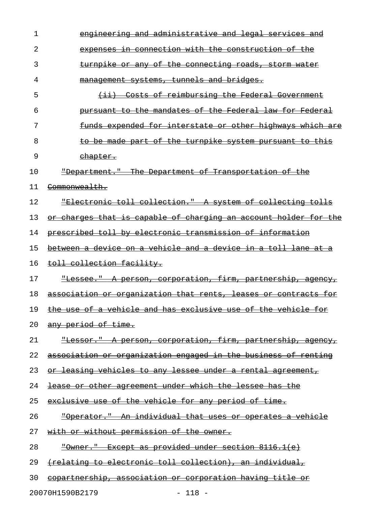| 1  | engineering and administrative and legal services and                   |
|----|-------------------------------------------------------------------------|
| 2  | expenses in connection with the construction of the                     |
| 3  | <u>turnpike or any of the connecting roads, storm water</u>             |
| 4  | management systems, tunnels and bridges.                                |
| 5  | (ii) Costs of reimbursing the Federal Government                        |
| 6  | pursuant to the mandates of the Federal law for Federal                 |
| 7  | funds expended for interstate or other highways which are               |
| 8  | to be made part of the turnpike system pursuant to this                 |
| 9  | <del>chapter.</del>                                                     |
| 10 | "Department." The Department of Transportation of the                   |
| 11 | Commonwealth.                                                           |
| 12 | "Electronic toll collection." A system of collecting tolls              |
| 13 | <u>or charges that is capable of charging an account holder for the</u> |
| 14 | prescribed toll by electronic transmission of information               |
| 15 | between a device on a vehicle and a device in a toll lane at a          |
| 16 | toll collection facility.                                               |
| 17 | "Lessee." A person, corporation, firm, partnership, agency,             |
| 18 | association or organization that rents, leases or contracts for         |
| 19 | the use of a vehicle and has exclusive use of the vehicle for           |
| 20 | any period of time.                                                     |
| 21 | "Lessor." A person, corporation, firm, partnership, agency,             |
| 22 | association or organization engaged in the business of renting          |
| 23 | or leasing vehicles to any lessee under a rental agreement,             |
| 24 | lease or other agreement under which the lessee has the                 |
| 25 | exclusive use of the vehicle for any period of time.                    |
| 26 | <u> "Operator." An individual that uses or operates a vehicle</u>       |
| 27 | with or without permission of the owner.                                |
| 28 | "Owner." Except as provided under section 8116.1(e)                     |
| 29 | (relating to electronic toll collection), an individual,                |
| 30 | <u>copartnership, association or corporation having title or</u>        |

20070H1590B2179 - 118 -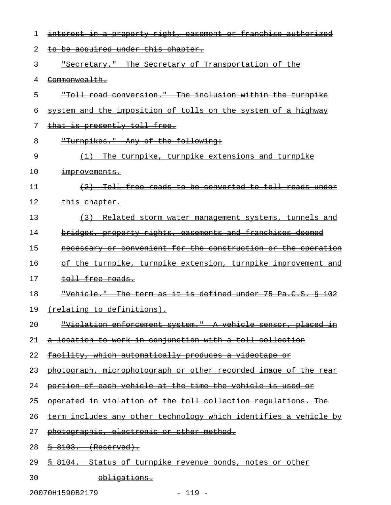| ı  | interest in a property right, easement or franchise authorized          |
|----|-------------------------------------------------------------------------|
| 2  | to be acquired under this chapter.                                      |
| 3  | "Secretary." The Secretary of Transportation of the                     |
| 4  | Commonwealth.                                                           |
| 5  | "Toll road conversion." The inclusion within the turnpike               |
| 6  | system and the imposition of tolls on the system of a highway           |
| 7  | that is presently toll free.                                            |
| 8  | "Turnpikes." Any of the following:                                      |
| 9  | (1) The turnpike, turnpike extensions and turnpike                      |
| 10 | improvements.                                                           |
| 11 | (2) Toll free roads to be converted to toll roads under                 |
| 12 | this chapter.                                                           |
| 13 | <u> {3} Related storm water management systems, tunnels and</u>         |
| 14 | bridges, property rights, easements and franchises deemed               |
| 15 | necessary or convenient for the construction or the operation           |
| 16 | of the turnpike, turnpike extension, turnpike improvement and           |
| 17 | toll free roads.                                                        |
| 18 | <u> "Vehicle." The term as it is defined under 75 Pa.C.S. § 102</u>     |
| 19 | <u>(relating to definitions).</u>                                       |
| 20 | <u> "Violation enforcement system." A vehicle sensor, placed in</u>     |
| 21 | a location to work in conjunction with a toll collection                |
| 22 | <u>facility, which automatically produces a videotape or</u>            |
| 23 | <u>photograph, microphotograph or other recorded image of the rear</u>  |
| 24 | <u>portion of each vehicle at the time the vehicle is used or</u>       |
| 25 | operated in violation of the toll collection requlations. The           |
| 26 | <u>term includes any other technology which identifies a vehicle by</u> |
| 27 | photographic, electronic or other method.                               |
| 28 | $8$ 8103. (Reserved).                                                   |
| 29 | 8104. Status of turnpike revenue bonds, notes or other                  |
| 30 | <del>obligations.</del>                                                 |

20070H1590B2179 - 119 -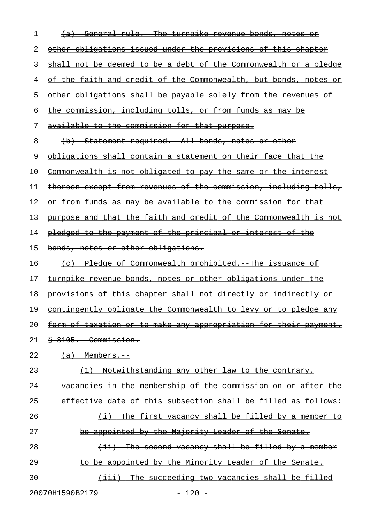| 1  | (a) General rule. The turnpike revenue bonds, notes or                  |
|----|-------------------------------------------------------------------------|
| 2  | other obligations issued under the provisions of this chapter           |
| 3  | <u>shall not be deemed to be a debt of the Commonwealth or a pledge</u> |
| 4  | <u>of the faith and credit of the Commonwealth, but bonds, notes or</u> |
| 5  | other obligations shall be payable solely from the revenues of          |
| 6  | the commission, including tolls, or from funds as may be                |
| 7  | available to the commission for that purpose.                           |
| 8  | (b) Statement required. All bonds, notes or other                       |
| 9  | obligations shall contain a statement on their face that the            |
| 10 | <u>Commonwealth is not obligated to pay the same or the interest</u>    |
| 11 | <u>thereon except from revenues of the commission, including tolls,</u> |
| 12 | or from funds as may be available to the commission for that            |
| 13 | purpose and that the faith and credit of the Commonwealth is not        |
| 14 | pledged to the payment of the principal or interest of the              |
| 15 | <u>bonds, notes or other obligations.</u>                               |
| 16 | (c) Pledge of Commonwealth prohibited. The issuance of                  |
| 17 | <u>turnpike revenue bonds, notes or other obligations under the </u>    |
| 18 | provisions of this chapter shall not directly or indirectly or          |
| 19 | <u>contingently obligate the Commonwealth to levy or to pledge any</u>  |
| 20 | <u>form of taxation or to make any appropriation for their payment.</u> |
| 21 | 8 8105. Commission.                                                     |
| 22 | $(a)$ Members.                                                          |
| 23 | (1) Notwithstanding any other law to the contrary,                      |
| 24 | vacancies in the membership of the commission on or after the           |
| 25 | effective date of this subsection shall be filled as follows:           |
| 26 | (i) The first vacancy shall be filled by a member to                    |
| 27 | be appointed by the Majority Leader of the Senate.                      |
| 28 | $(i)$ The second vacancy shall be filled by a member                    |
| 29 | to be appointed by the Minority Leader of the Senate.                   |
| 30 | (iii) The succeeding two vacancies shall be filled                      |
|    | 20070H1590B2179<br>$-120 -$                                             |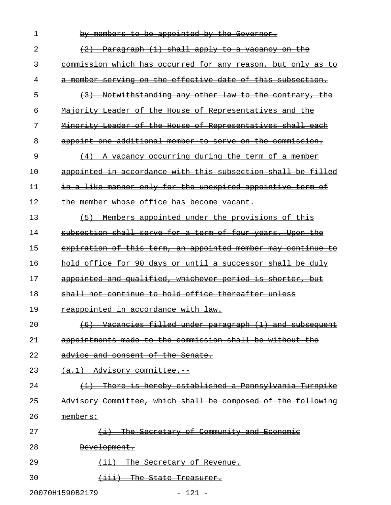| 1              | by members to be appointed by the Governor.                                       |
|----------------|-----------------------------------------------------------------------------------|
| 2              | Paragraph (1) shall apply to a vacancy on the                                     |
| 3              | commission which has occurred for any reason, but only as to                      |
| 4              | a member serving on the effective date of this subsection.                        |
| 5              | $\left(3\right)$<br>Notwithstanding any other law to the contrary, the            |
| 6              | Majority Leader of the House of Representatives and the                           |
| 7              | Minority Leader of the House of Representatives shall each                        |
| 8              | appoint one additional member to serve on the commission.                         |
| 9              | vacancy occurring during the term of a member<br>$\left(4\right)$<br>A            |
| 1 <sub>0</sub> | appointed in accordance with this subsection shall<br>be filled                   |
| 11             | in a like manner only for the unexpired appointive term of                        |
| 12             | the member whose office has become vacant.                                        |
| 13             | $+5+$<br><u>Members appointed under the provisions of this</u>                    |
| 14             | subsection shall serve for a term of four years.<br><del>Upon the</del>           |
| 15             | expiration of this term, an appointed member<br>—mav<br><del>continue</del><br>€o |
| 16             | hold office for 90 days or until a successor shall be duly                        |
| 17             | appointed and qualified, whichever period is shorter, but                         |
| 18             | shall not continue to hold office thereafter unless                               |
| 19             | reappointed in accordance with law.                                               |
| 20             | (6) Vacancies filled under paragraph (1) and subsequent                           |
| 21             | appointments made to the commission shall be without the                          |
| 22             | advice and consent of the Senate.                                                 |
| 23             | $(a,1)$ Advisory committee.                                                       |
| 24             | (1) There is hereby established a Pennsylvania Turnpike                           |
| 25             | Advisory Committee, which shall be composed of the following                      |
| 26             | members:                                                                          |
| 27             | $(i)$ The Secretary of Community and Economic                                     |
| 28             | Development.                                                                      |
| 29             | (ii) The Secretary of Revenue.                                                    |
| 30             | <del>(iii) The State Treasurer.</del>                                             |
|                |                                                                                   |

20070H1590B2179 - 121 -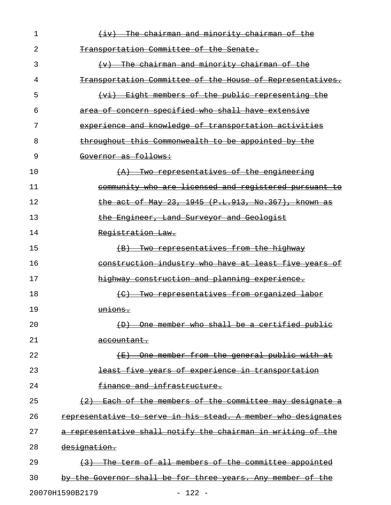| 1  | chairman and minority chairman of the                                               |
|----|-------------------------------------------------------------------------------------|
| 2  | Transportation Committee of the Senate.                                             |
| 3  | chairman and minority chairman of the<br><del>-The</del>                            |
| 4  | Transportation Committee of the House of Representatives.                           |
| 5  | Eight members of the public representing the<br>$\leftarrow \leftarrow \rightarrow$ |
| 6  | area of concern specified who shall have extensive                                  |
| 7  | experience and knowledge of transportation activities                               |
| 8  | throughout this Commonwealth to be appointed by the                                 |
| 9  | Governor as follows:                                                                |
| 10 | Two representatives of the engineering                                              |
| 11 | community who are licensed and registered pursuant to                               |
| 12 | the act of May 23, 1945 (P.L.913, No.367), known                                    |
| 13 | the Engineer, Land Surveyor and Geologist                                           |
| 14 | Registration Law.                                                                   |
| 15 | (B) Two representatives from the highway                                            |
| 16 | construction industry who have at least five years of                               |
| 17 | highway construction and planning experience.                                       |
| 18 | (C) Two representatives from organized labor                                        |
| 19 | <del>unlons.</del>                                                                  |
| 20 | One member who shall be a certified public<br>$\left( \mathrm{D} \right)$           |
| 21 | accountant.                                                                         |
| 22 | One member from the general public with at<br>$+E$ )                                |
| 23 | least five years of experience in transportation                                    |
| 24 | finance and infrastructure.                                                         |
| 25 | Each of the members of the committee may designate a<br>(2)                         |
| 26 | representative to serve in his stead. A member who designates                       |
| 27 | representative shall notify the chairman in writing of the                          |
| 28 | designation.                                                                        |
| 29 | The term of all members of the committee appointed                                  |
| 30 | by the Governor shall be for three years. Any member of the                         |
|    | 20070H1590B2179<br>$-122 -$                                                         |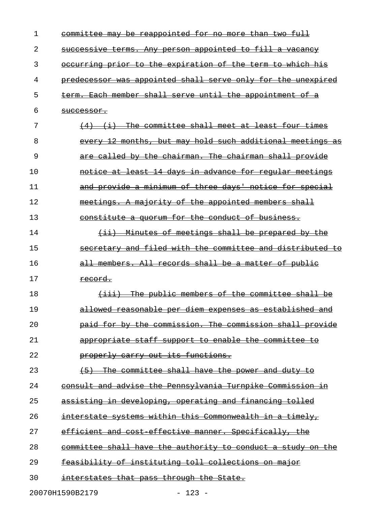| 1  | <u>reappointed for no</u><br><del>than two full</del><br><del>committee</del><br>юe<br>ma∀<br><del>more</del>         |
|----|-----------------------------------------------------------------------------------------------------------------------|
| 2  | person appointed to fill a<br><del>Anv</del><br>successive<br><del>terms.</del><br><del>-vacancv</del>                |
| 3  | occurring prior to the expiration of the term to which his                                                            |
| 4  | predecessor was appointed shall serve only for the unexpired                                                          |
| 5  | term. Each member shall serve until<br>the appointment                                                                |
| 6  | <del>successor.</del>                                                                                                 |
| 7  | The committee shall meet at least four times<br>$\left( \frac{1}{2} \right)$                                          |
| 8  | every 12 months, but may hold such additional meetings<br>-as                                                         |
| 9  | called by the chairman. The chairman shall<br><del>provide</del>                                                      |
| 10 | notice at least 14 days in advance for regular meetings                                                               |
| 11 | and provide a minimum of three days' notice for special                                                               |
| 12 | meetings. A majority of the appointed members shall                                                                   |
| 13 | constitute a quorum for the conduct of business.                                                                      |
| 14 | Minutes of meetings shall be prepared by the<br>$\overline{\phantom{0}}$                                              |
| 15 | secretary and filed with the committee and distributed<br><del>-to</del>                                              |
| 16 | all members. All records shall be a matter of public                                                                  |
| 17 | <del>record.</del>                                                                                                    |
| 18 | <del>The public members of</del><br><u>the</u><br><del>shall</del><br><del>committee</del><br>-be<br><del>(111)</del> |
| 19 | allowed reasonable per diem expenses as established and                                                               |
| 20 | paid for by the commission. The commission shall provide                                                              |
| 21 | appropriate staff support to enable the committee to                                                                  |
| 22 | properly carry out its functions.                                                                                     |
| 23 | The committee shall have the power and duty to<br>$+5$                                                                |
| 24 | consult and advise the Pennsylvania Turnpike Commission in                                                            |
| 25 | assisting in developing, operating and financing tolled                                                               |
| 26 | interstate systems within this Commonwealth in a timely,                                                              |
| 27 | efficient and cost effective manner. Specifically, the                                                                |
| 28 | committee shall have the authority to conduct a study on the                                                          |
| 29 | feasibility of instituting toll collections on major                                                                  |
| 30 | interstates that pass through the State.                                                                              |
|    | 20070H1590B2179<br>$-123 -$                                                                                           |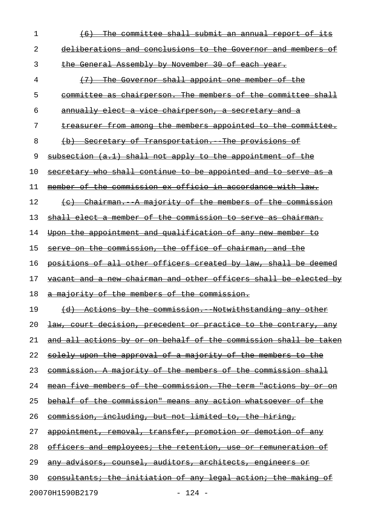| 1  | The committee shall submit an annual report of its<br>(6)              |
|----|------------------------------------------------------------------------|
| 2  | deliberations and conclusions to the Governor and members of           |
| 3  | the General Assembly by November 30 of each year.                      |
| 4  | (7) The Governor shall appoint one member of the                       |
| 5  | committee as chairperson. The members of the committee shall           |
| 6  | annually elect a vice chairperson, a secretary and a                   |
| 7  | treasurer from among the members appointed to the committee.           |
| 8  | (b) Secretary of Transportation. The provisions of                     |
| 9  | $subsection (a.1)$ shall not apply to the appointment of the           |
| 10 | secretary who shall continue to be appointed and to serve as a         |
| 11 | member of the commission ex officio in accordance with law.            |
| 12 | (c) Chairman. A majority of the members of the commission              |
| 13 | shall elect a member of the commission to serve as chairman.           |
| 14 | Upon the appointment and qualification of any new member to            |
| 15 | serve on the commission, the office of chairman, and the               |
| 16 | positions of all other officers created by law, shall be deemed        |
| 17 | vacant and a new chairman and other officers shall be elected by       |
| 18 | a majority of the members of the commission.                           |
| 19 | (d) Actions by the commission. Notwithstanding any other               |
| 20 | <u>law, court decision, precedent or practice to the contrary, any</u> |
| 21 | and all actions by or on behalf of the commission shall be taken       |
| 22 | solely upon the approval of a majority of the members to the           |
| 23 | <u>commission. A majority of the members of the commission shall</u>   |
| 24 | mean five members of the commission. The term "actions by or on        |
| 25 | behalf of the commission" means any action whatsoever of the           |
| 26 | commission, including, but not limited to, the hiring,                 |
| 27 | appointment, removal, transfer, promotion or demotion of any           |
| 28 | <u>officers and employees; the retention, use or remuneration of</u>   |
| 29 | <u>any advisors, counsel, auditors, architects, engineers or</u>       |
| 30 | consultants; the initiation of any legal action; the making of         |
|    |                                                                        |

20070H1590B2179 - 124 -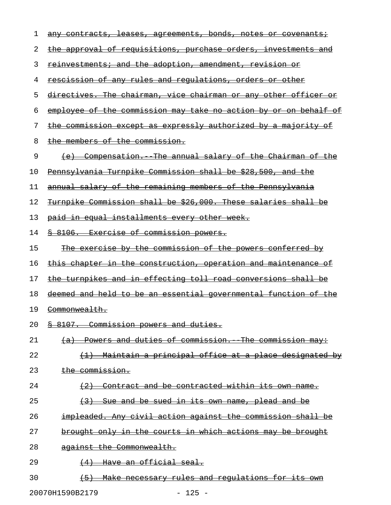| 1  | any contracts, leases, agreements, bonds, notes or covenants;           |
|----|-------------------------------------------------------------------------|
| 2  | <u>the approval of requisitions, purchase orders, investments and</u>   |
| 3  | <u>reinvestments; and the adoption, amendment, revision or</u>          |
| 4  | rescission of any rules and regulations, orders or other                |
| 5  | directives. The chairman, vice chairman or any other officer or         |
| 6  | employee of the commission may take no action by or on behalf of        |
| 7  | the commission except as expressly authorized by a majority of          |
| 8  | the members of the commission.                                          |
| 9  | (e) Compensation. The annual salary of the Chairman of the              |
| 10 | Pennsylvania Turnpike Commission shall be \$28,500, and the             |
| 11 | <u>annual salary of the remaining members of the Pennsylvania</u>       |
| 12 | Turnpike Commission shall be \$26,000. These salaries shall be          |
| 13 | paid in equal installments every other week.                            |
| 14 | <u>§ 8106. Exercise of commission powers.</u>                           |
| 15 | The exercise by the commission of the powers conferred by               |
| 16 | <u>this chapter in the construction, operation and maintenance of</u>   |
| 17 | the turnpikes and in effecting toll road conversions shall be           |
| 18 | <u>deemed and held to be an essential governmental function of the </u> |
| 19 | Commonwealth.                                                           |
| 20 | § 8107. Commission powers and duties.                                   |
| 21 | (a) Powers and duties of commission. The commission may:                |
| 22 | (1) Maintain a principal office at a place designated by                |
| 23 | the commission.                                                         |
| 24 | (2) Contract and be contracted within its own name.                     |
| 25 | (3) Sue and be sued in its own name, plead and be                       |
| 26 | impleaded. Any civil action against the commission shall be             |
| 27 | brought only in the courts in which actions may be brought              |
| 28 | against the Commonwealth.                                               |
| 29 | (4) Have an official seal.                                              |
| 30 | (5) Make necessary rules and requiations for its own                    |
|    |                                                                         |

20070H1590B2179 - 125 -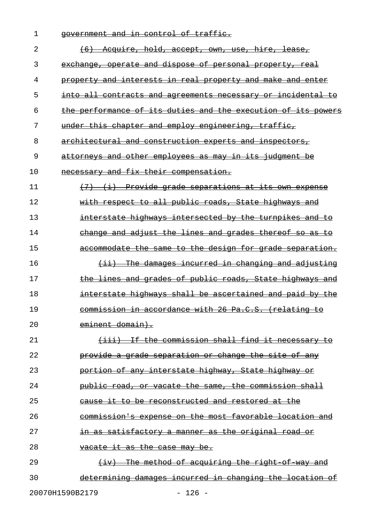| 1  | government and in control of traffic.                               |
|----|---------------------------------------------------------------------|
| 2  | <u>(6) Acquire, hold, accept, own, use, hire, lease,</u>            |
| 3  | exchange, operate and dispose of personal property, real            |
| 4  | property and interests in real property and make and enter          |
| 5  | <u>into all contracts and agreements necessary or incidental to</u> |
| 6  | the performance of its duties and the execution of its powers       |
| 7  | under this chapter and employ engineering, traffic,                 |
| 8  | architectural and construction experts and inspectors,              |
| 9  | attorneys and other employees as may in its judgment be             |
| 10 | necessary and fix their compensation.                               |
| 11 | (7) (i) Provide grade separations at its own expense                |
| 12 | with respect to all public roads, State highways and                |
| 13 | interstate highways intersected by the turnpikes and to             |
| 14 | change and adjust the lines and grades thereof so as to             |
| 15 | accommodate the same to the design for grade separation.            |
| 16 | <u>(ii) The damages incurred in changing and adjusting</u>          |
| 17 | the lines and grades of public roads, State highways and            |
| 18 | interstate highways shall be ascertained and paid by the            |
| 19 | commission in accordance with 26 Pa.C.S. (relating to               |
| 20 | eminent domain).                                                    |
| 21 | (iii) If the commission shall find it necessary to                  |
| 22 | provide a grade separation or change the site of any                |
| 23 | portion of any interstate highway, State highway or                 |
| 24 | public road, or vacate the same, the commission shall               |
| 25 | cause it to be reconstructed and restored at the                    |
| 26 | commission's expense on the most favorable location and             |
| 27 | <u>in as satisfactory a manner as the original road or</u>          |
| 28 | vacate it as the case may be.                                       |
| 29 | (iv) The method of acquiring the right of way and                   |
| 30 | determining damages incurred in changing the location of            |
|    |                                                                     |

20070H1590B2179 - 126 -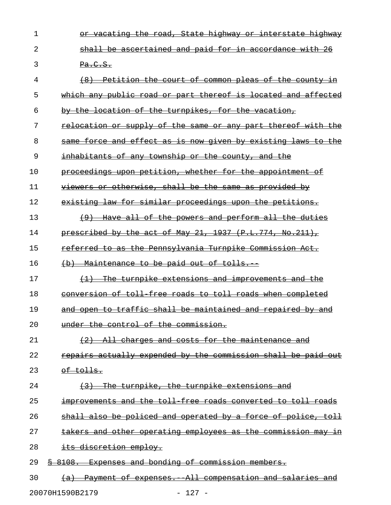| 1  | or vacating the road, State highway or interstate highway                   |
|----|-----------------------------------------------------------------------------|
| 2  | shall be ascertained and paid for in accordance with 26                     |
| 3  | Pa.C.S.                                                                     |
| 4  | (8) Petition the court of common pleas of the county in                     |
| 5  | which any public road or part thereof is located and affected               |
| 6  | by the location of the turnpikes, for the vacation,                         |
| 7  | relocation or supply of the same or any part thereof with the               |
| 8  | same force and effect as is now given by existing laws to the               |
| 9  | inhabitants of any township or the county, and the                          |
| 10 | proceedings upon petition, whether for the appointment of                   |
| 11 | viewers or otherwise, shall be the same as provided by                      |
| 12 | existing law for similar proceedings upon the petitions.                    |
| 13 | (9) Have all of the powers and perform all the duties                       |
| 14 | prescribed by the act of May 21, 1937 (P.L.774, No.211),                    |
| 15 | <u>referred to as the Pennsylvania Turnpike Commission Act.</u>             |
| 16 | (b) Maintenance to be paid out of tolls.                                    |
| 17 | (1) The turnpike extensions and improvements and the                        |
| 18 | conversion of toll free roads to toll roads when completed                  |
| 19 | and open to traffic shall be maintained and repaired by and                 |
| 20 | under the control of the commission.                                        |
| 21 | charges and costs for the maintenance<br><del>All</del>                     |
| 22 | repairs actually expended by the commission shall be paid                   |
| 23 | <del>of tolls.</del>                                                        |
| 24 | <u>The turnpike, the turnpike extensions and</u>                            |
| 25 | improvements and the toll free roads converted to toll roads                |
| 26 | also be policed and operated by a force of police, toll<br><del>sha H</del> |
| 27 | <u>takers and other operating employees as the commission may</u><br>±n.    |
| 28 | <del>its discretion employ.</del>                                           |
| 29 | Expenses and bonding of commission members.<br>8108.                        |
| 30 | Payment of expenses. All compensation and salaries and                      |
|    | 20070H1590B2179<br>127 -                                                    |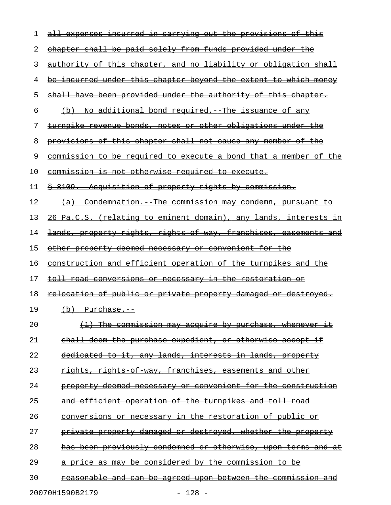| 1  | <u>all expenses incurred in carrying out the provisions of this</u>      |
|----|--------------------------------------------------------------------------|
| 2  | chapter shall be paid solely from funds provided under the               |
| 3  | authority of this chapter, and no liability or obligation shall          |
| 4  | <u>be incurred under this chapter beyond the extent to which money</u>   |
| 5  | shall have been provided under the authority of this chapter.            |
| 6  | (b) No additional bond required. The issuance of any                     |
| 7  | <u>turnpike revenue bonds, notes or other obligations under the </u>     |
| 8  | provisions of this chapter shall not cause any member of the             |
| 9  | commission to be required to execute a bond that a member of the         |
| 10 | commission is not otherwise required to execute.                         |
| 11 | <u>§ 8109. Acquisition of property rights by commission.</u>             |
| 12 | (a) Condemnation. The commission may condemn, pursuant to                |
| 13 | <u> 26 Pa.C.S. (relating to eminent domain), any lands, interests in</u> |
| 14 | <u>lands, property rights, rights of way, franchises, easements and </u> |
| 15 | <u>other property deemed necessary or convenient for the</u>             |
| 16 | <u>construction and efficient operation of the turnpikes and the</u>     |
| 17 | toll road conversions or necessary in the restoration or                 |
| 18 | <u>relocation of public or private property damaged or destroyed.</u>    |
| 19 | (b) Purchase.                                                            |
| 20 | (1) The commission may acquire by purchase, whenever it                  |
| 21 | shall deem the purchase expedient, or otherwise accept if                |
| 22 | dedicated to it, any lands, interests in lands, property                 |
| 23 | rights, rights of way, franchises, easements and other                   |
| 24 | property deemed necessary or convenient for the construction             |
| 25 | and efficient operation of the turnpikes and toll road                   |
| 26 | <u>conversions or necessary in the restoration of public or</u>          |
| 27 | private property damaged or destroyed, whether the property              |
| 28 | has been previously condemned or otherwise, upon terms and at            |
| 29 | a price as may be considered by the commission to be                     |
| 30 | reasonable and can be agreed upon between the commission and             |
|    |                                                                          |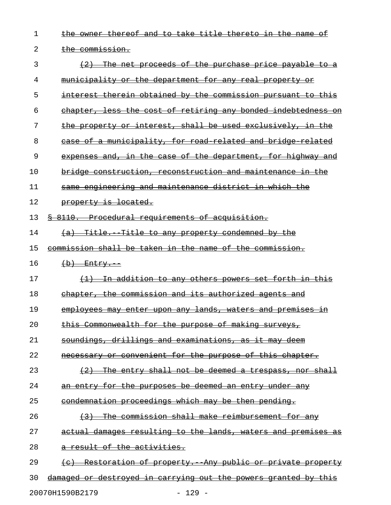| 1  | the owner thereof and to take title thereto in the name of      |
|----|-----------------------------------------------------------------|
| 2  | the commission.                                                 |
| 3  | (2) The net proceeds of the purchase price payable to a         |
| 4  | municipality or the department for any real property or         |
| 5  | interest therein obtained by the commission pursuant to this    |
| 6  | chapter, less the cost of retiring any bonded indebtedness on   |
| 7  | the property or interest, shall be used exclusively, in the     |
| 8  | case of a municipality, for road related and bridge related     |
| 9  | expenses and, in the case of the department, for highway and    |
| 10 | bridge construction, reconstruction and maintenance in the      |
| 11 | same engineering and maintenance district in which the          |
| 12 | property is located.                                            |
| 13 | \$ 8110. Procedural requirements of acquisition.                |
| 14 | (a) Title. Title to any property condemned by the               |
| 15 | commission shall be taken in the name of the commission.        |
| 16 | $(b)$ Entry.                                                    |
| 17 | (1) In addition to any others powers set forth in this          |
| 18 | chapter, the commission and its authorized agents and           |
| 19 | employees may enter upon any lands, waters and premises in      |
| 20 | this Commonwealth for the purpose of making surveys,            |
| 21 | soundings, drillings and examinations, as it may deem           |
| 22 | necessary or convenient for the purpose of this chapter.        |
| 23 | The entry shall not be deemed a trespass, nor shall<br>$+2$     |
| 24 | an entry for the purposes be deemed an entry under any          |
| 25 | condemnation proceedings which may be then pending.             |
| 26 | The commission shall make reimbursement for any                 |
| 27 | actual damages resulting to the lands, waters and premises as   |
| 28 | a result of the activities.                                     |
| 29 | Restoration of property. Any public or private property         |
| 30 | damaged or destroyed in carrying out the powers granted by this |
|    |                                                                 |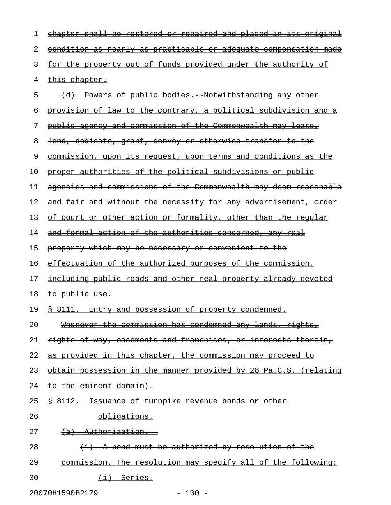| 1  | chapter shall be restored or repaired and placed in its original       |
|----|------------------------------------------------------------------------|
| 2  | condition as nearly as practicable or adequate compensation made       |
| 3  | for the property out of funds provided under the authority of          |
| 4  | this chapter.                                                          |
| 5  | (d) Powers of public bodies. Notwithstanding any other                 |
| 6  | <u>provision of law to the contrary, a political subdivision and a</u> |
| 7  | public agency and commission of the Commonwealth may lease,            |
| 8  | <u>lend, dedicate, grant, convey or otherwise transfer to the </u>     |
| 9  | commission, upon its request, upon terms and conditions as the         |
| 10 | proper authorities of the political subdivisions or public             |
| 11 | agencies and commissions of the Commonwealth may deem reasonable       |
| 12 | and fair and without the necessity for any advertisement, order        |
| 13 | of court or other action or formality, other than the regular          |
| 14 | and formal action of the authorities concerned, any real               |
| 15 | property which may be necessary or convenient to the                   |
| 16 | effectuation of the authorized purposes of the commission,             |
| 17 | including public roads and other real property already devoted         |
| 18 | to public use.                                                         |
| 19 | \$ 8111. Entry and possession of property condemned.                   |
| 20 | Whenever the commission has condemned any lands, rights,               |
| 21 | rights of way, easements and franchises, or interests therein,         |
| 22 | as provided in this chapter, the commission may proceed to             |
| 23 | obtain possession in the manner provided by 26 Pa.C.S. (relating       |
| 24 | to the eminent domain).                                                |
| 25 | <u>§ 8112. Issuance of turnpike revenue bonds or other</u>             |
| 26 | obligations.                                                           |
| 27 | $(a)$ Authorization.                                                   |
| 28 | (1) A bond must be authorized by resolution of the                     |
| 29 | commission. The resolution may specify all of the following:           |
| 30 | $\overline{\texttt{(i)}}$ Series.                                      |

20070H1590B2179 - 130 -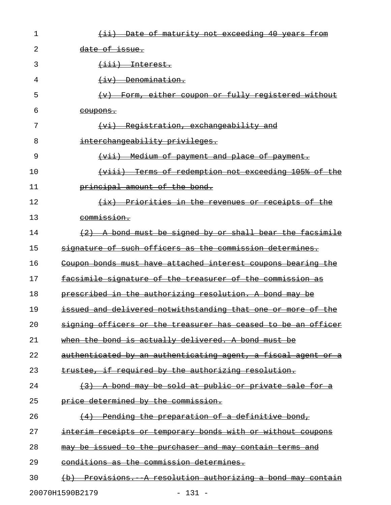| 1  | Date of maturity not exceeding 40 years from                         |
|----|----------------------------------------------------------------------|
| 2  | date of issue.                                                       |
| 3  | <del>(iii) Interest.</del>                                           |
| 4  | Denomination.<br>(iv)                                                |
| 5  | Form, either coupon or fully registered without<br>$\leftarrow$      |
| 6  | <del>coupons.</del>                                                  |
| 7  | Registration, exchangeability and<br>$\leftarrow$                    |
| 8  | interchangeability privileges.                                       |
| 9  | - Medium of payment and place of payment.<br><del>(vii) -</del>      |
| 10 | Terms of redemption not exceeding 105% of the<br>$\leftarrow$ iii)   |
| 11 | principal amount of the bond.                                        |
| 12 | (ix) Priorities in the revenues or receipts of the                   |
| 13 | commission.                                                          |
| 14 | bond must be signed by or shall bear the facsimile                   |
| 15 | signature of such officers as the commission determines.             |
| 16 | Coupon bonds must have attached interest coupons bearing the         |
| 17 | facsimile signature of the treasurer of the commission as            |
| 18 | prescribed in the authorizing resolution. A bond may be              |
| 19 | issued and delivered notwithstanding that one or more of the         |
| 20 | signing officers or the treasurer has ceased to be an officer        |
| 21 | when the bond is actually delivered. A bond must be                  |
| 22 | <u>authenticated by an authenticating agent, a fiscal agent or a</u> |
| 23 | trustee, if required by the authorizing resolution.                  |
| 24 | (3) A bond may be sold at public or private sale for a               |
| 25 | price determined by the commission.                                  |
| 26 | (4) Pending the preparation of a definitive bond,                    |
| 27 | interim receipts or temporary bonds with or without coupons          |
| 28 | may be issued to the purchaser and may contain terms and             |
| 29 | conditions as the commission determines.                             |
| 30 | (b) Provisions. A resolution authorizing a bond may contain          |
|    | 20070H1590B2179<br>$-131 -$                                          |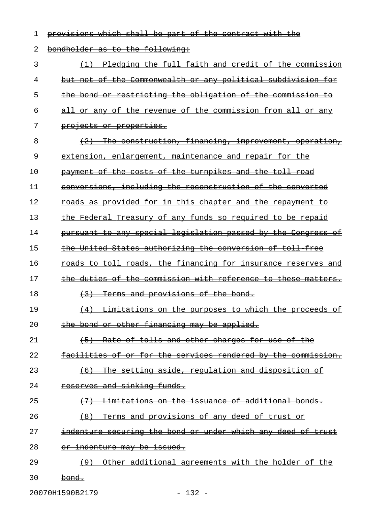1 provisions which shall be part of the contract with the 2 bondholder as to the following: 3 (1) Pledging the full faith and credit of the commission 4 but not of the Commonwealth or any political subdivision for 5 the bond or restricting the obligation of the commission to 6 all or any of the revenue of the commission from all or any 7 projects or properties.  $8$   $(2)$  The construction, financing, improvement, operation, 9 extension, enlargement, maintenance and repair for the 10 payment of the costs of the turnpikes and the toll road 11 conversions, including the reconstruction of the converted 12 roads as provided for in this chapter and the repayment to 13 the Federal Treasury of any funds so required to be repaid 14 pursuant to any special legislation passed by the Congress of 15 the United States authorizing the conversion of toll free 16 roads to toll roads, the financing for insurance reserves and 17 the duties of the commission with reference to these matters. 18  $\overline{3}$  Terms and provisions of the bond. 19 (4) Limitations on the purposes to which the proceeds of 20 the bond or other financing may be applied. 21 (5) Rate of tolls and other charges for use of the 22 facilities of or for the services rendered by the commission. 23 (6) The setting aside, regulation and disposition of \_\_\_\_\_\_\_\_\_\_\_\_\_\_\_\_\_\_\_\_\_\_\_\_\_\_\_\_\_\_\_\_\_\_\_\_\_\_\_\_\_\_\_\_\_\_\_\_\_\_\_\_\_ 24 reserves and sinking funds.  $25$   $\longleftrightarrow$   $\overline{27}$   $\rightarrow$   $\overline{12}$   $\overline{24}$   $\overline{25}$   $\overline{29}$   $\overline{21}$   $\overline{21}$   $\overline{21}$   $\overline{22}$   $\overline{23}$   $\overline{24}$   $\overline{25}$   $\overline{27}$   $\overline{28}$   $\overline{29}$   $\overline{21}$   $\overline{21}$   $\overline{21}$   $\overline{23}$   $\overline{24}$   $\overline{2$ 26 (8) Terms and provisions of any deed of trust or 27 indenture securing the bond or under which any deed of trust 28 or indenture may be issued. 29 (9) Other additional agreements with the holder of the 30 bond.

20070H1590B2179 - 132 -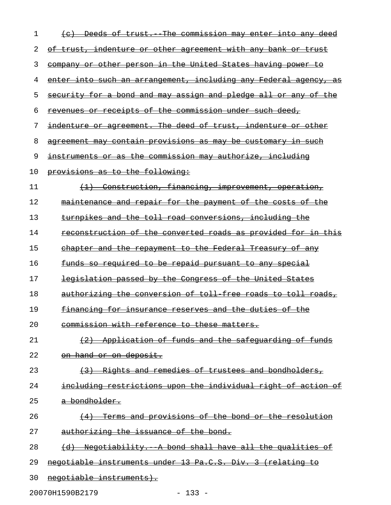| 1  | The commission may enter<br><del>Deeds of trust.</del><br><del>into any deed</del><br><del>(c)</del> |
|----|------------------------------------------------------------------------------------------------------|
| 2  | of trust, indenture or other agreement with any bank or trust                                        |
| 3  | company or other person in the United States having power to                                         |
| 4  | enter into such an arrangement, including any Federal agency,<br>-as                                 |
| 5  | security for a bond and may assign and pledge all or any of                                          |
| 6  | revenues or receipts of the commission under such deed,                                              |
| 7  | indenture or agreement. The deed of trust, indenture or other                                        |
| 8  | <del>agreement may contain provisions as may be customary in such</del>                              |
| 9  | instruments or as the commission may authorize, including                                            |
| 10 | provisions as to the following:                                                                      |
| 11 | (1) Construction, financing, improvement, operation,                                                 |
| 12 | maintenance and repair for the payment of the costs of the                                           |
| 13 | turnpikes and the toll road conversions, including the                                               |
| 14 | reconstruction of the converted roads as provided for in this                                        |
| 15 | chapter and the repayment to the Federal Treasury of any                                             |
| 16 | <u>funds so required to be repaid pursuant to any special</u>                                        |
| 17 | legislation passed by the Congress of the United States                                              |
| 18 | authorizing the conversion of toll free roads to toll roads,                                         |
| 19 | financing for insurance reserves and the duties of the                                               |
| 20 | commission with reference to these matters.                                                          |
| 21 | (2) Application of funds and the safeguarding of funds                                               |
| 22 | on hand or on deposit.                                                                               |
| 23 | (3) Rights and remedies of trustees and bondholders,                                                 |
| 24 | including restrictions upon the individual right of action of                                        |
| 25 | a bondholder.                                                                                        |
| 26 | Terms and provisions of the bond or the resolution<br>$\leftarrow$ $\leftarrow$                      |
| 27 | authorizing the issuance of the bond.                                                                |
| 28 | (d) Negotiability. A bond shall have all the qualities of                                            |
| 29 | negotiable instruments under 13 Pa.C.S. Div. 3 (relating to                                          |
| 30 | negotiable instruments).                                                                             |

20070H1590B2179 - 133 -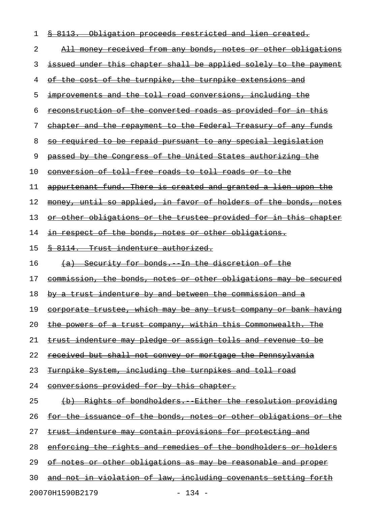| 1  | Obligation proceeds restricted and lien created.<br><del>s 8113.</del>   |
|----|--------------------------------------------------------------------------|
| 2  | <u>All money received from any bonds, notes or other obligations</u>     |
| 3  | issued under this chapter shall be applied solely to the payment         |
| 4  | of the cost of the turnpike, the turnpike extensions and                 |
| 5  | improvements and the toll road conversions, including the                |
| 6  | reconstruction of the converted roads as provided for in this            |
| 7  | chapter and the repayment to the Federal Treasury of any funds           |
| 8  | <u>so required to be repaid pursuant to any special legislation</u>      |
| 9  | passed by the Congress of the United States authorizing the              |
| 10 | conversion of toll free roads to toll roads or to the                    |
| 11 | appurtenant fund. There is created and granted a lien upon the           |
| 12 | money, until so applied, in favor of holders of the bonds, notes         |
| 13 | or other obligations or the trustee provided for in this chapter         |
| 14 | <u>in respect of the bonds, notes or other obligations.</u>              |
| 15 | <u> § 8114.  Trust indenture authorized.</u>                             |
| 16 | (a) Security for bonds. In the discretion of the                         |
| 17 | commission, the bonds, notes or other obligations may be secured         |
| 18 | by a trust indenture by and between the commission and a                 |
| 19 | <u>corporate trustee, which may be any trust company or bank having</u>  |
| 20 | <u>the powers of a trust company, within this Commonwealth. The </u>     |
| 21 | <u>trust indenture may pledge or assign tolls and revenue to be</u>      |
| 22 | <u>received but shall not convey or mortgage the Pennsylvania</u>        |
| 23 | Turnpike System, including the turnpikes and toll road                   |
| 24 | conversions provided for by this chapter.                                |
| 25 | (b) Rights of bondholders. Either the resolution providing               |
| 26 | <u>for the issuance of the bonds, notes or other obligations or the </u> |
| 27 | trust indenture may contain provisions for protecting and                |
| 28 | enforcing the rights and remedies of the bondholders or holders          |
| 29 | <u>of notes or other obligations as may be reasonable and proper</u>     |
| 30 | and not in violation of law, including covenants setting forth           |
|    | 20070H1590B2179<br>$-134 -$                                              |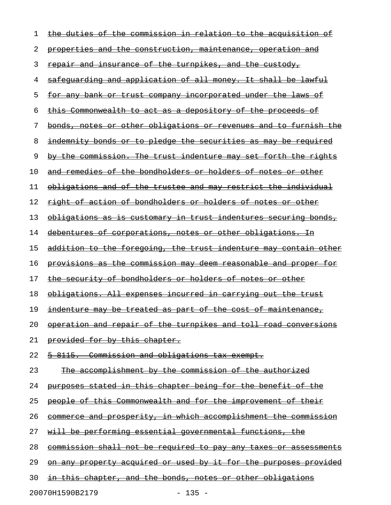| 1  | the duties of the commission in relation to the acquisition             |
|----|-------------------------------------------------------------------------|
| 2  | <u>properties and the construction, maintenance, operation and</u>      |
| 3  | repair and insurance of the turnpikes, and the custody,                 |
| 4  | safequarding and application of all money. It shall be lawful           |
| 5  | <u>for any bank or trust company incorporated under the laws of</u>     |
| 6  | this Commonwealth to act as a depository of the proceeds of             |
| 7  | bonds, notes or other obligations or revenues and to furnish the        |
| 8  | indemnity bonds or to pledge the securities as may be required          |
| 9  | by the commission. The trust indenture may set forth the rights         |
| 10 | and remedies of the bondholders or holders of notes or other            |
| 11 | obligations and of the trustee and may restrict the individual          |
| 12 | <u>right of action of bondholders or holders of notes or other</u>      |
| 13 | obligations as is customary in trust indentures securing bonds,         |
| 14 | debentures of corporations, notes or other obligations. In              |
| 15 | addition to the foregoing, the trust indenture may contain other        |
| 16 | <u>provisions as the commission may deem reasonable and proper for</u>  |
| 17 | the security of bondholders or holders of notes or other                |
| 18 | <u>obligations. All expenses incurred in carrying out the trust</u>     |
| 19 | indenture may be treated as part of the cost of maintenance,            |
| 20 | operation and repair of the turnpikes and toll road conversions         |
| 21 | provided for by this chapter.                                           |
| 22 | \$ 8115. Commission and obligations tax exempt.                         |
| 23 | <u>The accomplishment by the commission of the authorized</u>           |
| 24 | <u>purposes stated in this chapter being for the benefit of the </u>    |
| 25 | people of this Commonwealth and for the improvement of their            |
| 26 | <u>commerce and prosperity, in which accomplishment the commission</u>  |
| 27 | <u>will be performing essential governmental functions, the</u>         |
| 28 | commission shall not be required to pay any taxes or assessments        |
| 29 | <u>on any property acquired or used by it for the purposes provided</u> |
| 30 | in this chapter, and the bonds, notes or other obligations              |
|    |                                                                         |

20070H1590B2179 - 135 -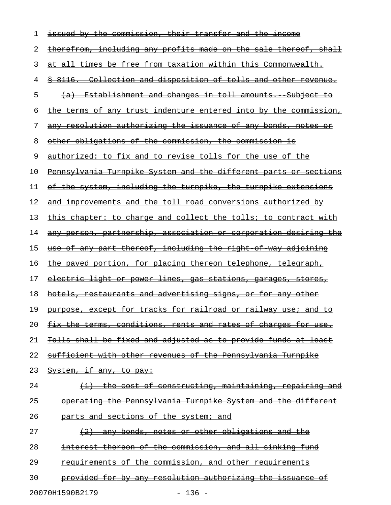| 1  | issued by the commission, their transfer and the income                 |
|----|-------------------------------------------------------------------------|
| 2  | therefrom, including any profits made on the sale thereof, shall        |
| 3  | at all times be free from taxation within this Commonwealth.            |
| 4  | \$ 8116. Collection and disposition of tolls and other revenue.         |
| 5  | (a) Establishment and changes in toll amounts. Subject to               |
| 6  | <u>the terms of any trust indenture entered into by the commission,</u> |
| 7  | any resolution authorizing the issuance of any bonds, notes or          |
| 8  | other obligations of the commission, the commission is                  |
| 9  | authorized: to fix and to revise tolls for the use of the               |
| 10 | Pennsylvania Turnpike System and the different parts or sections        |
| 11 | of the system, including the turnpike, the turnpike extensions          |
| 12 | and improvements and the toll road conversions authorized by            |
| 13 | this chapter: to charge and collect the tolls; to contract with         |
| 14 | any person, partnership, association or corporation desiring the        |
| 15 | use of any part thereof, including the right of way adjoining           |
| 16 | the paved portion, for placing thereon telephone, telegraph,            |
| 17 | <u>electric light or power lines, gas stations, garages, stores, </u>   |
| 18 | <u>hotels, restaurants and advertising signs, or for any other</u>      |
| 19 | purpose, except for tracks for railroad or railway use; and to          |
| 20 | <u>fix the terms, conditions, rents and rates of charges for use.</u>   |
| 21 | Tolls shall be fixed and adjusted as to provide funds at least          |
| 22 | sufficient with other revenues of the Pennsylvania Turnpike             |
| 23 | System, if any, to pay:                                                 |
| 24 | (1) the cost of constructing, maintaining, repairing and                |
| 25 | operating the Pennsylvania Turnpike System and the different            |
| 26 | parts and sections of the system; and                                   |
| 27 | (2) any bonds, notes or other obligations and the                       |
| 28 | interest thereon of the commission, and all sinking fund                |
| 29 | requirements of the commission, and other requirements                  |
| 30 | <u>provided for by any resolution authorizing the issuance of </u>      |
|    |                                                                         |

20070H1590B2179 - 136 -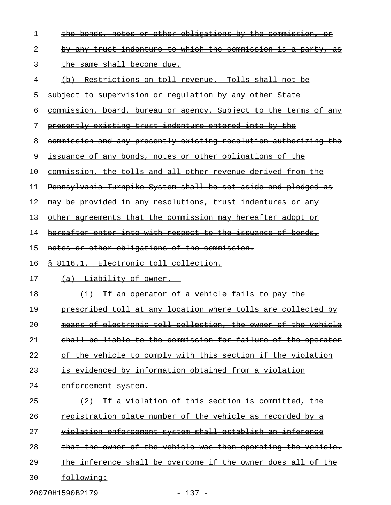| 1  | the bonds, notes or other obligations by the commission, or             |
|----|-------------------------------------------------------------------------|
| 2  | by any trust indenture to which the commission is a party, as           |
| 3  | the same shall become due.                                              |
| 4  | (b) Restrictions on toll revenue. Tolls shall not be                    |
| 5  | subject to supervision or regulation by any other State                 |
| 6  | <u>commission, board, bureau or agency. Subject to the terms of any</u> |
| 7  | presently existing trust indenture entered into by the                  |
| 8  | commission and any presently existing resolution authorizing the        |
| 9  | issuance of any bonds, notes or other obligations of the                |
| 10 | commission, the tolls and all other revenue derived from the            |
| 11 | Pennsylvania Turnpike System shall be set aside and pledged as          |
| 12 | may be provided in any resolutions, trust indentures or any             |
| 13 | <u>other agreements that the commission may hereafter adopt or</u>      |
| 14 | hereafter enter into with respect to the issuance of bonds,             |
| 15 | notes or other obligations of the commission.                           |
| 16 | 8 8116.1. Electronic toll collection.                                   |
| 17 | (a) Liability of owner.                                                 |
| 18 | (1) If an operator of a vehicle fails to pay the                        |
| 19 | prescribed toll at any location where tolls are collected by            |
| 20 | means of electronic toll collection, the owner of the vehicle           |
| 21 | shall be liable to the commission for failure of the operator           |
| 22 | of the vehicle to comply with this section if the violation             |
| 23 | is evidenced by information obtained from a violation                   |
| 24 | <del>enforcement system.</del>                                          |
| 25 | <u>If a violation of this section is committed, the </u>                |
| 26 | registration plate number of the vehicle as recorded by a               |
| 27 | violation enforcement system shall establish an inference               |
| 28 | that the owner of the vehicle was then operating the vehicle.           |
| 29 | The inference shall be overcome if the owner does all of the            |
| 30 | following:                                                              |
|    |                                                                         |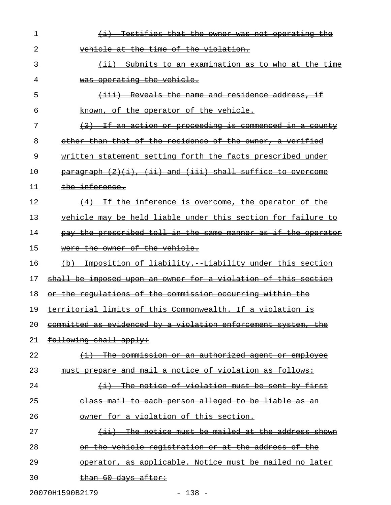| 1  | Testifies that the owner was not operating the<br>$\overline{+i}$                        |
|----|------------------------------------------------------------------------------------------|
| 2  | vehicle at the time of the violation.                                                    |
| 3  | (ii) Submits to an examination as to who at the time                                     |
| 4  | was operating the vehicle.                                                               |
| 5  | (iii) Reveals the name and residence address, if                                         |
| 6  | known, of the operator of the vehicle.                                                   |
| 7  | <u> If an action or proceeding is commenced in a county</u><br>$\leftarrow$ $\leftarrow$ |
| 8  | other than that of the residence of the owner, a verified                                |
| 9  | written statement setting forth the facts prescribed under                               |
| 10 | $\frac{1}{2}$ paragraph $(2)(i)$ , $(ii)$ and $(iii)$ shall suffice to overcome          |
| 11 | the inference.                                                                           |
| 12 | (4) If the inference is overcome, the operator of the                                    |
| 13 | vehicle may be held liable under this section for failure to                             |
| 14 | pay the prescribed toll in the same manner as if the operator                            |
| 15 | were the owner of the vehicle.                                                           |
| 16 | Imposition of liability. Liability under this section<br>$\left( \mathrm{b}\right)$      |
| 17 | shall be imposed upon an owner for a violation of this section                           |
| 18 | or the requlations of the commission occurring within the                                |
| 19 | territorial limits of this Commonwealth. If a violation is                               |
| 20 | committed as evidenced by a violation enforcement system, the                            |
| 21 | following shall apply:                                                                   |
| 22 | (1) The commission or an authorized agent or employee                                    |
| 23 | must prepare and mail a notice of violation as follows:                                  |
| 24 | (i) The notice of violation must be sent by first                                        |
| 25 | class mail to each person alleged to be liable as an                                     |
| 26 | owner for a violation of this section.                                                   |
| 27 | (ii) The notice must be mailed at the address shown                                      |
| 28 | on the vehicle registration or at the address of the                                     |
| 29 | operator, as applicable. Notice must be mailed no later                                  |
| 30 | than 60 days after:                                                                      |

20070H1590B2179 - 138 -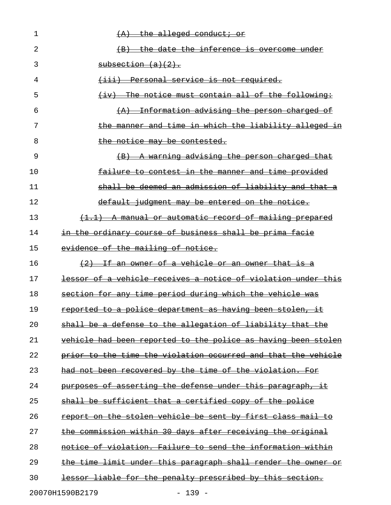| 1  | $(A)$ the alleged conduct; or                                 |
|----|---------------------------------------------------------------|
| 2  | (B) the date the inference is overcome under                  |
| 3  | subsection (a)(2).                                            |
| 4  | (iii) Personal service is not required.                       |
| 5  | $(iv)$ The notice must contain all of the following:          |
| 6  | (A) Information advising the person charged of                |
| 7  | the manner and time in which the liability alleged in         |
| 8  | the notice may be contested.                                  |
| 9  | (B) A warning advising the person charged that                |
| 10 | failure to contest in the manner and time provided            |
| 11 | shall be deemed an admission of liability and that a          |
| 12 | default judgment may be entered on the notice.                |
| 13 | (1.1) A manual or automatic record of mailing prepared        |
| 14 | in the ordinary course of business shall be prima facie       |
| 15 | evidence of the mailing of notice.                            |
| 16 | (2) If an owner of a vehicle or an owner that is a            |
| 17 | lessor of a vehicle receives a notice of violation under this |
| 18 | section for any time period during which the vehicle was      |
| 19 | reported to a police department as having been stolen, it     |
| 20 | shall be a defense to the allegation of liability that the    |
| 21 | vehicle had been reported to the police as having been stolen |
| 22 | prior to the time the violation occurred and that the vehicle |
| 23 | had not been recovered by the time of the violation. For      |
| 24 | purposes of asserting the defense under this paragraph, it    |
| 25 | shall be sufficient that a certified copy of the police       |
| 26 | report on the stolen vehicle be sent by first class mail to   |
| 27 | the commission within 30 days after receiving the original    |
| 28 | notice of violation. Failure to send the information within   |
| 29 | the time limit under this paragraph shall render the owner or |
| 30 | lessor liable for the penalty prescribed by this section.     |
|    | 20070H1590B2179<br>$-139 -$                                   |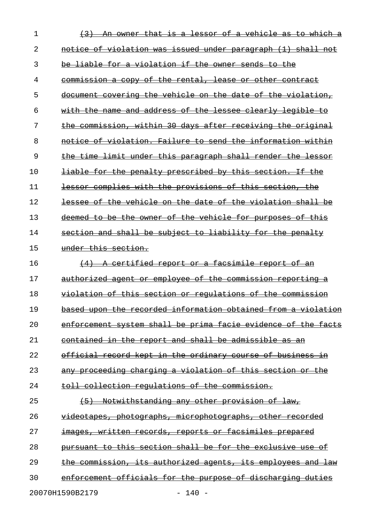| 1  | θ£<br><del>that</del><br><del>lessor</del><br><del>vehicle</del><br>±s⊢<br>$-\mathbf{a}$<br>а             |
|----|-----------------------------------------------------------------------------------------------------------|
| 2  | of violation was issued under paragraph<br>(1)<br><del>shall</del><br><del>notice</del><br><del>not</del> |
| 3  | liable for a violation if the owner sends to<br>bе<br><del>the</del>                                      |
| 4  | commission a copy of the rental, lease or other contract                                                  |
| 5  | the vehicle on the date of the<br><del>violation,</del><br>document covering                              |
| 6  | with the name and address of the lessee clearly<br><del>legible to</del>                                  |
| 7  | commission, within 30 days after receiving the original                                                   |
| 8  | notice of violation. Failure to send the information within                                               |
| 9  | time limit under this paragraph shall render the lessor<br><del>the -</del>                               |
| 10 | liable for the penalty prescribed by this section. If                                                     |
| 11 | lessor complies with the provisions of this section,                                                      |
| 12 | the vehicle on the date of the violation shall<br><u>lessee</u> of                                        |
| 13 | <u>owner of</u><br>the vehicle for purposes<br><del>deemed to be the</del><br>-o£<br><del>this</del>      |
| 14 | section and shall be subject to liability for the<br><del>penaltv</del>                                   |
| 15 | under this section.                                                                                       |
| 16 | A certified report or a facsimile report<br><del>of an</del>                                              |
| 17 | employee of the commission reporting<br><del>authorized agent</del><br>⊖r—<br><del>a</del>                |
| 18 | section or regulations of the<br><del>violation of this</del><br><del>commission</del>                    |
| 19 | based upon the recorded information obtained from a violation                                             |
| 20 | enforcement system shall be prima facie evidence of the facts                                             |
| 21 | contained in the report and shall be admissible as an                                                     |
| 22 | official record kept in the ordinary course of business in                                                |
| 23 | proceeding charging a violation of this section or the<br><del>an∨</del>                                  |
| 24 | toll collection requiations of the commission.                                                            |
| 25 | $(+5)$<br>Notwithstanding any other provision of law,                                                     |
| 26 | videotapes, photographs, microphotographs, other recorded                                                 |
| 27 | images, written records, reports or facsimiles prepared                                                   |
| 28 | pursuant to this section shall be for the exclusive use of                                                |
| 29 | the commission, its authorized agents, its employees and law                                              |
| 30 | enforcement officials for the purpose of discharging duties                                               |
|    | 20070H1590B2179<br>$-140 -$                                                                               |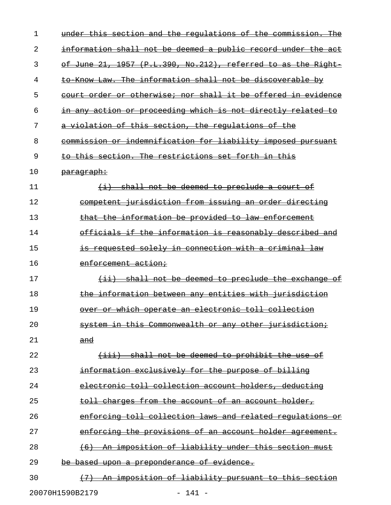| 1  | this section and the regulations of the commission. The<br><del>under</del> |
|----|-----------------------------------------------------------------------------|
| 2  | information shall not be deemed a public record under the act               |
| 3  | of June 21, 1957 (P.L.390, No.212), referred to as the Right                |
| 4  | to Know Law. The information shall not be discoverable by                   |
| 5  | court order or otherwise; nor shall it be offered in evidence               |
| 6  | in any action or proceeding which is not directly related to                |
| 7  | a violation of this section, the regulations of the                         |
| 8  | commission or indemnification for liability imposed pursuant                |
| 9  | to this section. The restrictions set forth in this                         |
| 10 | <del>paragraph:</del>                                                       |
| 11 | (i) shall not be deemed to preclude a court of                              |
| 12 | competent jurisdiction from issuing an order directing                      |
| 13 | that the information be provided to law enforcement                         |
| 14 | officials if the information is reasonably described and                    |
| 15 | is requested solely in connection with a criminal law                       |
| 16 | <del>enforcement action;</del>                                              |
| 17 | shall not be deemed to preclude the exchange<br>$\leftrightarrow$<br>−o±    |
| 18 | the information between any entities with jurisdiction                      |
| 19 | over or which operate an electronic toll collection                         |
| 20 | system in this Commonwealth or any other jurisdiction;                      |
| 21 | and                                                                         |
| 22 | (iii) shall not be deemed to prohibit the use of                            |
| 23 | information exclusively for the purpose of billing                          |
| 24 | electronic toll collection account holders, deducting                       |
| 25 | toll charges from the account of an account holder,                         |
| 26 | enforcing toll collection laws and related regulations or                   |
| 27 | enforcing the provisions of an account holder agreement.                    |
| 28 | (6) An imposition of liability under this section must                      |
| 29 | be based upon a preponderance of evidence.                                  |
| 30 | An imposition of liability pursuant to this section                         |
|    |                                                                             |

20070H1590B2179 - 141 -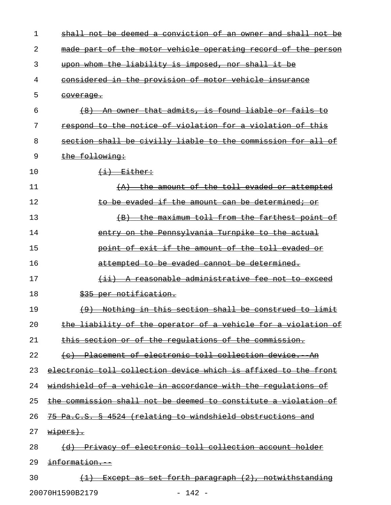| 1  | shall not be deemed a conviction of an owner and shall not<br>bе                      |
|----|---------------------------------------------------------------------------------------|
| 2  | <u>the motor vehicle operating record of the person</u><br>⊖£<br><del>made part</del> |
| 3  | upon whom the liability is imposed, nor shall it be                                   |
| 4  | considered in the provision of motor vehicle insurance                                |
| 5  | <del>coverage.</del>                                                                  |
| 6  | An owner that admits, is found liable or fails to                                     |
| 7  | respond to the notice of violation for a violation of this                            |
| 8  | section shall be civilly liable to the commission for all of                          |
| 9  | the following:                                                                        |
| 10 | $\leftarrow$ $\leftarrow$ $\frac{E\text{it} + E\text{it}}{E\text{it}}$                |
| 11 | <u>the amount of the toll evaded or attempted</u><br>$+A$                             |
| 12 | <u>to be evaded if the amount can be determined; or </u>                              |
| 13 | the maximum toll from the farthest point of<br>$\left( \text{B} \right)$              |
| 14 | entry on the Pennsylvania Turnpike to the actual                                      |
| 15 | <u>point of exit if the amount of the toll evaded or</u>                              |
| 16 | attempted to be evaded cannot be determined.                                          |
| 17 | <del>(ii) - A reasonable administrative fee not to exceed</del>                       |
| 18 | \$35 per notification.                                                                |
| 19 | Nothing in this section shall be construed to limit<br>$\leftarrow$                   |
| 20 | the liability of the operator of a vehicle for a violation of                         |
| 21 | this section or of the regulations of the commission.                                 |
| 22 | (c) Placement of electronic toll collection device. An                                |
| 23 | electronic toll collection device which is affixed to the front                       |
| 24 | windshield of a vehicle in accordance with the regulations of                         |
| 25 | the commission shall not be deemed to constitute a violation of                       |
| 26 | 75 Pa.C.S. § 4524 (relating to windshield obstructions and                            |
| 27 | <del>wipers).</del>                                                                   |
| 28 | (d) Privacy of electronic toll collection account holder                              |
| 29 | <del>information.</del>                                                               |
| 30 | $(1)$ Except as set forth paragraph $(2)$ , notwithstanding                           |

20070H1590B2179 - 142 -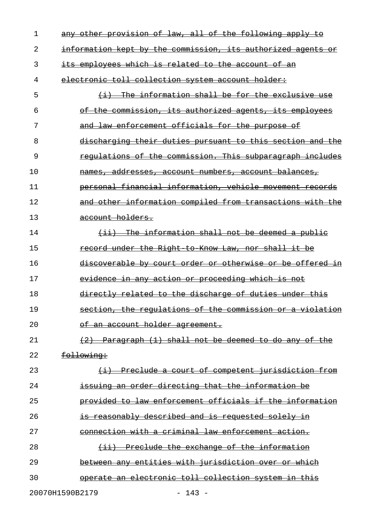| 1  | other provision of law, all of the following apply to               |
|----|---------------------------------------------------------------------|
| 2  | information kept by the commission, its authorized agents or        |
| 3  | its employees which is related to the account of an                 |
| 4  | electronic toll collection system account holder:                   |
| 5  | The information shall be for the exclusive use<br>$\leftrightarrow$ |
| 6  | of the commission, its authorized agents, its employees             |
| 7  | and law enforcement officials for the purpose of                    |
| 8  | discharging their duties pursuant to this section and the           |
| 9  | regulations of the commission. This subparagraph includes           |
| 10 | names, addresses, account numbers, account balances,                |
| 11 | personal financial information, vehicle movement records            |
| 12 | and other information compiled from transactions with the           |
| 13 | account holders.                                                    |
| 14 | (ii) The information shall not be deemed a public                   |
| 15 | record under the Right to Know Law, nor shall it be                 |
| 16 | discoverable by court order or otherwise or be offered in           |
| 17 | evidence in any action or proceeding which is not                   |
| 18 | directly related to the discharge of duties under this              |
| 19 | section, the regulations of the commission or a violation           |
| 20 | of an account holder agreement.                                     |
| 21 | (2) Paragraph (1) shall not be deemed to do any of the              |
| 22 | following:                                                          |
| 23 | (i) Preclude a court of competent jurisdiction from                 |
| 24 | issuing an order directing that the information be                  |
| 25 | provided to law enforcement officials if the information            |
| 26 | is reasonably described and is requested solely in                  |
| 27 | connection with a criminal law enforcement action.                  |
| 28 | (ii) Preclude the exchange of the information                       |
| 29 | between any entities with jurisdiction over or which                |
| 30 | operate an electronic toll collection system in this                |
|    | 20070H1590B2179<br>$-143 -$                                         |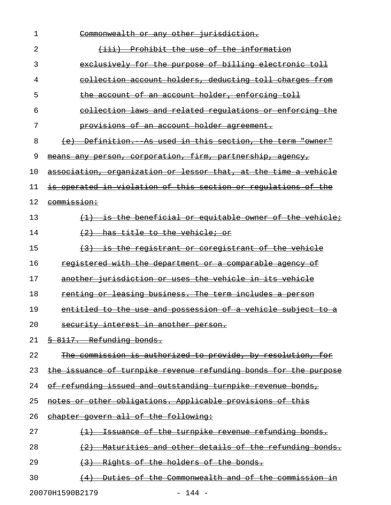| 1  | Commonwealth or any other jurisdiction.                                |
|----|------------------------------------------------------------------------|
| 2  | (iii) Prohibit the use of the information                              |
| 3  | exclusively for the purpose of billing electronic toll                 |
| 4  | collection account holders, deducting toll charges from                |
| 5  | the account of an account holder, enforcing toll                       |
| 6  | collection laws and related requlations or enforcing the               |
| 7  | provisions of an account holder agreement.                             |
| 8  | (e) Definition. As used in this section, the term "owner"              |
| 9  | means any person, corporation, firm, partnership, agency,              |
| 10 | association, organization or lessor that, at the time a vehicle        |
| 11 | is operated in violation of this section or regulations of the         |
| 12 | <del>commission:</del>                                                 |
| 13 | (1) is the beneficial or equitable owner of the vehicle;               |
| 14 | (2) has title to the vehicle; or                                       |
| 15 | (3) is the registrant or coregistrant of the vehicle                   |
| 16 | <u>registered with the department or a comparable agency of</u>        |
| 17 | another jurisdiction or uses the vehicle in its vehicle                |
| 18 | <u>renting or leasing business. The term includes a person</u>         |
| 19 | entitled to the use and possession of a vehicle subject to a           |
| 20 | security interest in another person.                                   |
| 21 | \$ 8117. Refunding bonds.                                              |
| 22 | The commission is authorized to provide, by resolution, for            |
| 23 | the issuance of turnpike revenue refunding bonds for the purpose       |
| 24 | of refunding issued and outstanding turnpike revenue bonds,            |
| 25 | notes or other obligations. Applicable provisions of this              |
| 26 | chapter govern all of the following:                                   |
| 27 | Issuance of the turnpike revenue refunding bonds.<br>$\leftrightarrow$ |
| 28 | <u>Maturities and other details of the refunding bonds.</u><br>(2)     |
| 29 | (3) Rights of the holders of the bonds.                                |
| 30 | (4) Duties of the Commonwealth and of the commission in                |
|    |                                                                        |

20070H1590B2179 - 144 -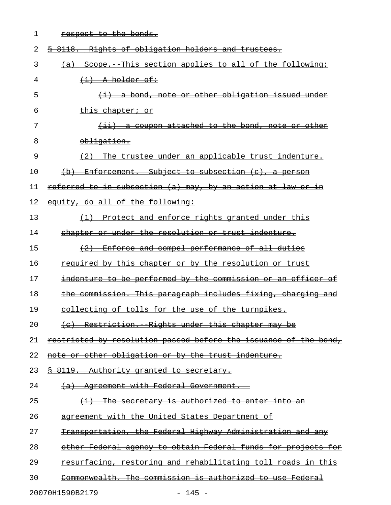| 1  | respect to the bonds.                                                |
|----|----------------------------------------------------------------------|
| 2  | \$ 8118. Rights of obligation holders and trustees.                  |
| 3  | (a) Scope. This section applies to all of the following:             |
| 4  | $(1)$ A holder of:                                                   |
| 5  | (i) a bond, note or other obligation issued under                    |
| 6  | this chapter; or                                                     |
| 7  | $(i)$ a coupon attached to the bond, note or other                   |
| 8  | obligation.                                                          |
| 9  | (2) The trustee under an applicable trust indenture.                 |
| 10 | $(b)$ Enforcement. Subject to subsection $(c)$ , a person            |
| 11 | <u>referred to in subsection (a) may, by an action at law or in</u>  |
| 12 | equity, do all of the following:                                     |
| 13 | (1) Protect and enforce rights granted under this                    |
| 14 | chapter or under the resolution or trust indenture.                  |
| 15 | (2) Enforce and compel performance of all duties                     |
| 16 | required by this chapter or by the resolution or trust               |
| 17 | indenture to be performed by the commission or an officer of         |
| 18 | the commission. This paragraph includes fixing, charging and         |
| 19 | collecting of tolls for the use of the turnpikes.                    |
| 20 | (c) Restriction. Rights under this chapter may be                    |
| 21 | restricted by resolution passed before the issuance of the bond,     |
| 22 | note or other obligation or by the trust indenture.                  |
| 23 | § 8119. Authority granted to secretary.                              |
| 24 | (a) Agreement with Federal Government.                               |
| 25 | (1) The secretary is authorized to enter into an                     |
| 26 | agreement with the United States Department of                       |
| 27 | Transportation, the Federal Highway Administration and any           |
| 28 | <u>other Federal agency to obtain Federal funds for projects for</u> |
| 29 | resurfacing, restoring and rehabilitating toll roads in this         |
| 30 | Commonwealth. The commission is authorized to use Federal            |
|    |                                                                      |

20070H1590B2179 - 145 -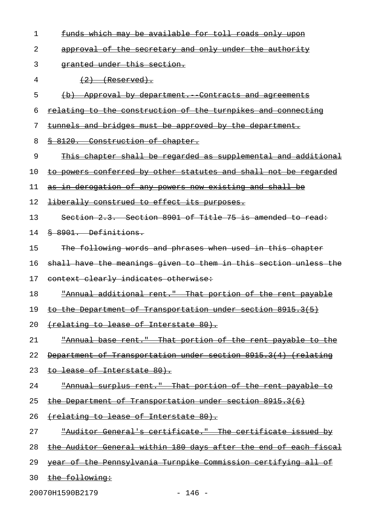| 1  | funds which may be available for toll roads only upon                |
|----|----------------------------------------------------------------------|
| 2  | approval of the secretary and only under the authority               |
| 3  | granted under this section.                                          |
| 4  | $\{2\}$ (Reserved).                                                  |
| 5  | (b) Approval by department. Contracts and agreements                 |
| 6  | relating to the construction of the turnpikes and connecting         |
| 7  | tunnels and bridges must be approved by the department.              |
| 8  | § 8120. Construction of chapter.                                     |
| 9  | This chapter shall be regarded as supplemental and additional        |
| 10 | to powers conferred by other statutes and shall not be regarded      |
| 11 | <u>as in derogation of any powers now existing and shall be</u>      |
| 12 | liberally construed to effect its purposes.                          |
| 13 | Section 2.3. Section 8901 of Title 75 is amended to read:            |
| 14 | 8 8901. Definitions.                                                 |
| 15 | The following words and phrases when used in this chapter            |
| 16 | shall have the meanings given to them in this section unless the     |
| 17 | context clearly indicates otherwise:                                 |
| 18 | "Annual additional rent." That portion of the rent payable           |
| 19 | to the Department of Transportation under section 8915.3(5)          |
| 20 | (relating to lease of Interstate 80).                                |
| 21 | <u> "Annual base rent." That portion of the rent payable to the </u> |
| 22 | Department of Transportation under section 8915.3(4) (relating       |
| 23 | to lease of Interstate 80).                                          |
| 24 | <u> "Annual surplus rent." That portion of the rent payable to</u>   |
| 25 | <u>the Department of Transportation under section 8915.3(6)</u>      |
| 26 | <u>(relating to lease of Interstate 80).</u>                         |
| 27 | <u> "Auditor General's certificate." The certificate issued by</u>   |
| 28 | the Auditor General within 180 days after the end of each fiscal     |
| 29 | year of the Pennsylvania Turnpike Commission certifying all of       |
| 30 | the following:                                                       |
|    |                                                                      |

20070H1590B2179 - 146 -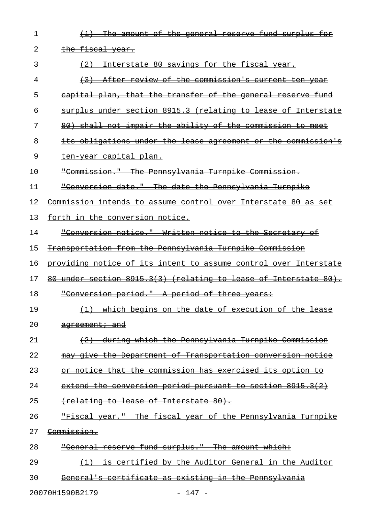| 1  | The amount of the general reserve fund surplus for                               |
|----|----------------------------------------------------------------------------------|
| 2  | the fiscal year.                                                                 |
| 3  | Interstate 80 savings for the fiscal year.                                       |
| 4  | After review of the commission's current ten year                                |
| 5  | eapital plan, that the transfer of the general reserve fund                      |
| 6  | surplus under section 8915.3 (relating to lease of Interstate                    |
| 7  | 80) shall not impair the ability of the commission to meet                       |
| 8  | its obligations under the lease agreement or the commission's                    |
| 9  | ten year capital plan.                                                           |
| 10 | "Commission." The Pennsylvania Turnpike Commission.                              |
| 11 | "Conversion date." The date the Pennsylvania Turnpike                            |
| 12 | Commission intends to assume control over Interstate 80 as set                   |
| 13 | forth in the conversion notice.                                                  |
| 14 | "Conversion notice." Written notice to the Secretary of                          |
| 15 | Transportation from the Pennsylvania Turnpike Commission                         |
| 16 | providing notice of its intent to assume control over Interstate                 |
| 17 | 80 under section 8915.3(3) (relating to lease of Interstate 80).                 |
| 18 | "Conversion period." A period of three years:                                    |
| 19 | (1) which begins on the date of execution of the lease                           |
| 20 | agreement; and                                                                   |
| 21 | (2) during which the Pennsylvania Turnpike Commission                            |
| 22 | may give the Department of Transportation conversion notice                      |
| 23 | or notice that the commission has exercised its option to                        |
| 24 | extend the conversion period pursuant to section $8915.3(2)$                     |
| 25 | (relating to lease of Interstate 80).                                            |
| 26 | "Fiscal year." The fiscal year of the Pennsylvania Turnpike                      |
| 27 | Commission.                                                                      |
| 28 | "General reserve fund surplus." The amount which:                                |
| 29 | is certified by the Auditor General in the Auditor<br>$\left(\frac{1}{2}\right)$ |
| 30 | General's certificate as existing in the Pennsylvania                            |
|    |                                                                                  |

20070H1590B2179 - 147 -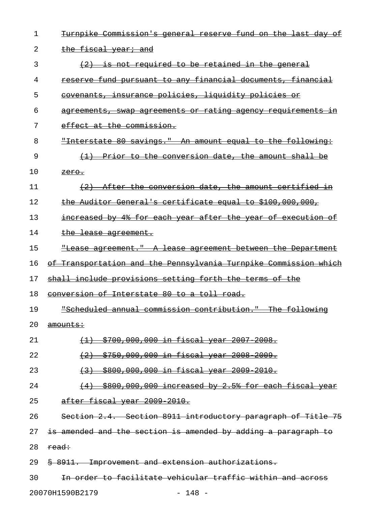| 1  | Turnpike Commission's general reserve fund on the last day of                   |
|----|---------------------------------------------------------------------------------|
| 2  | the fiscal year; and                                                            |
| 3  | is not required to be retained in the general                                   |
| 4  | reserve fund pursuant to any financial documents, financial                     |
| 5  | covenants, insurance policies, liquidity policies or                            |
| 6  | agreements, swap agreements or rating agency requirements in                    |
| 7  | effect at the commission.                                                       |
| 8  | "Interstate 80 savings." An amount equal to the following:                      |
| 9  | Prior to the conversion date, the amount shall be<br>$\left(\frac{1}{2}\right)$ |
| 10 | zero.                                                                           |
| 11 | (2) After the conversion date, the amount certified in                          |
| 12 | the Auditor General's certificate equal to \$100,000,000,                       |
| 13 | increased by 4% for each year after the year of execution of                    |
| 14 | the lease agreement.                                                            |
| 15 | "Lease agreement." A lease agreement between the Department                     |
| 16 | of Transportation and the Pennsylvania Turnpike Commission which                |
| 17 | shall include provisions setting forth the terms of the                         |
| 18 | conversion of Interstate 80 to a toll road.                                     |
| 19 | "Scheduled annual commission contribution." The following                       |
| 20 | <del>amounts:</del>                                                             |
| 21 | (1) \$700,000,000 in fiscal year 2007 2008.                                     |
| 22 | (2) \$750,000,000 in fiscal year 2008 2009.                                     |
| 23 | (3) \$800,000,000 in fiscal year 2009 2010.                                     |
| 24 | $(4)$ \$800,000,000 increased by 2.5% for each fiscal year                      |
| 25 | after fiscal year 2009 2010.                                                    |
| 26 | Section 2.4. Section 8911 introductory paragraph of Title 75                    |
| 27 | is amended and the section is amended by adding a paragraph to                  |
| 28 | <del>read:</del>                                                                |
| 29 | \$ 8911. Improvement and extension authorizations.                              |
| 30 | In order to facilitate vehicular traffic within and across                      |
|    | 20070H1590B2179<br>$-148 -$                                                     |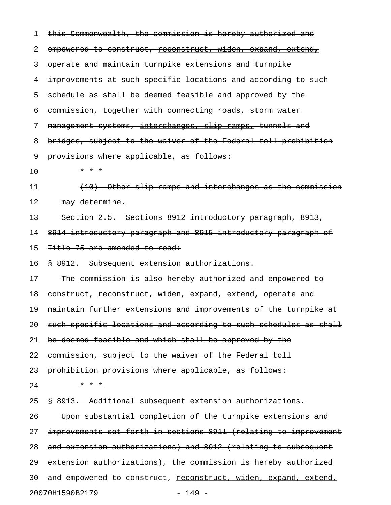| 1  | this Commonwealth, the commission is hereby authorized and       |
|----|------------------------------------------------------------------|
| 2  | empowered to construct, reconstruct, widen, expand, extend,      |
| 3  | operate and maintain turnpike extensions and turnpike            |
| 4  | improvements at such specific locations and according to such    |
| 5  | schedule as shall be deemed feasible and approved by the         |
| 6  | commission, together with connecting roads, storm water          |
| 7  | management systems, interchanges, slip ramps, tunnels and        |
| 8  | bridges, subject to the waiver of the Federal toll prohibition   |
| 9  | provisions where applicable, as follows:                         |
| 10 | * * *                                                            |
| 11 | Other slip ramps and interchanges as the commission              |
| 12 | may determine.                                                   |
| 13 | Section 2.5. Sections 8912 introductory paragraph, 8913,         |
| 14 | 8914 introductory paragraph and 8915 introductory paragraph of   |
| 15 | Title 75 are amended to read:                                    |
| 16 | § 8912. Subsequent extension authorizations.                     |
| 17 | The commission is also hereby authorized and empowered to        |
| 18 | construct, reconstruct, widen, expand, extend, operate and       |
| 19 | maintain further extensions and improvements of the turnpike at  |
| 20 | such specific locations and according to such schedules as shall |
| 21 | be deemed feasible and which shall be approved by the            |
| 22 | commission, subject to the waiver of the Federal toll            |
| 23 | prohibition provisions where applicable, as follows:             |
| 24 | * * *                                                            |
| 25 | § 8913. Additional subsequent extension authorizations.          |
| 26 | Upon substantial completion of the turnpike extensions and       |
| 27 | improvements set forth in sections 8911 (relating to improvement |
| 28 | and extension authorizations) and 8912 (relating to subsequent   |
| 29 | extension authorizations), the commission is hereby authorized   |
| 30 | and empowered to construct, reconstruct, widen, expand, extend,  |
|    | 20070H1590B2179<br>$-149 -$                                      |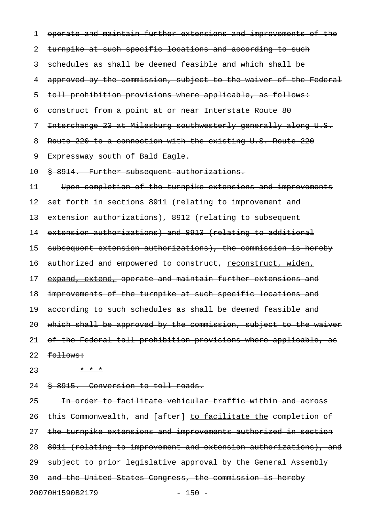| 1  | operate and maintain further extensions and improvements of the   |
|----|-------------------------------------------------------------------|
| 2  | turnpike at such specific locations and according to such         |
| 3  | schedules as shall be deemed feasible and which shall be          |
| 4  | approved by the commission, subject to the waiver of the Federal  |
| 5  | toll prohibition provisions where applicable, as follows:         |
| 6  | construct from a point at or near Interstate Route 80             |
| 7  | Interchange 23 at Milesburg southwesterly generally along U.S.    |
| 8  | Route 220 to a connection with the existing U.S. Route 220        |
| 9  | Expressway south of Bald Eagle.                                   |
| 10 | § 8914. Further subsequent authorizations.                        |
| 11 | Upon completion of the turnpike extensions and improvements       |
| 12 | set forth in sections 8911 (relating to improvement and           |
| 13 | extension authorizations), 8912 (relating to subsequent           |
| 14 | extension authorizations) and 8913 (relating to additional        |
| 15 | subsequent extension authorizations), the commission is hereby    |
| 16 | authorized and empowered to construct, <u>reconstruct, widen,</u> |
| 17 | expand, extend, operate and maintain further extensions and       |
| 18 | improvements of the turnpike at such specific locations and       |
| 19 | according to such schedules as shall be deemed feasible and       |
| 20 | which shall be approved by the commission, subject to the waiver  |
| 21 | of the Federal toll prohibition provisions where applicable, as   |
| 22 | follows:                                                          |
| 23 | * * *                                                             |
| 24 | \$ 8915. Conversion to toll roads.                                |
| 25 | In order to facilitate vehicular traffic within and across        |

26 this Commonwealth, and [after] to facilitate the completion of 27 the turnpike extensions and improvements authorized in section 28 8911 (relating to improvement and extension authorizations), and 29 subject to prior legislative approval by the General Assembly 30 and the United States Congress, the commission is hereby 20070H1590B2179 - 150 -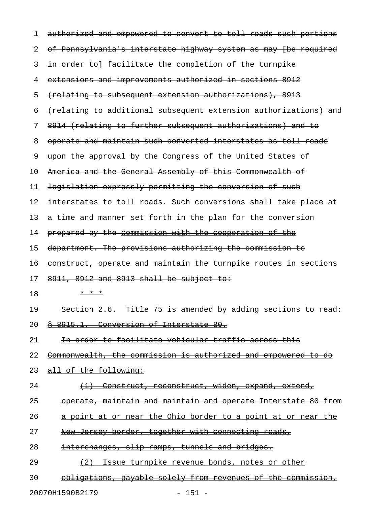| 1  | authorized and empowered to convert to toll roads such portions  |
|----|------------------------------------------------------------------|
| 2  | of Pennsylvania's interstate highway system as may [be required  |
| 3  | in order to] facilitate the completion of the turnpike           |
| 4  | extensions and improvements authorized in sections 8912          |
| 5  | (relating to subsequent extension authorizations), 8913          |
| 6  | (relating to additional subsequent extension authorizations) and |
| 7  | 8914 (relating to further subsequent authorizations) and to      |
| 8  | operate and maintain such converted interstates as toll roads    |
| 9  | upon the approval by the Congress of the United States of        |
| 10 | America and the General Assembly of this Commonwealth of         |
| 11 | legislation expressly permitting the conversion of such          |
| 12 | interstates to toll roads. Such conversions shall take place at  |
| 13 | a time and manner set forth in the plan for the conversion       |
| 14 | prepared by the commission with the cooperation of the           |
| 15 | department. The provisions authorizing the commission to         |
| 16 | construct, operate and maintain the turnpike routes in sections  |
| 17 | 8911, 8912 and 8913 shall be subject to:                         |
| 18 | * * *                                                            |
| 19 | Section 2.6. Title 75 is amended by adding sections to read:     |
| 20 | § 8915.1. Conversion of Interstate 80.                           |
| 21 | In order to facilitate vehicular traffic across this             |
| 22 | Commonwealth, the commission is authorized and empowered to do   |
| 23 | all of the following:                                            |
| 24 | (1) Construct, reconstruct, widen, expand, extend,               |
| 25 | operate, maintain and maintain and operate Interstate 80 from    |
| 26 | a point at or near the Ohio border to a point at or near the     |
| 27 | New Jersey border, together with connecting roads,               |
| 28 | interchanges, slip ramps, tunnels and bridges.                   |
| 29 | (2) Issue turnpike revenue bonds, notes or other                 |
| 30 | obligations, payable solely from revenues of the commission,     |
|    |                                                                  |

20070H1590B2179 - 151 -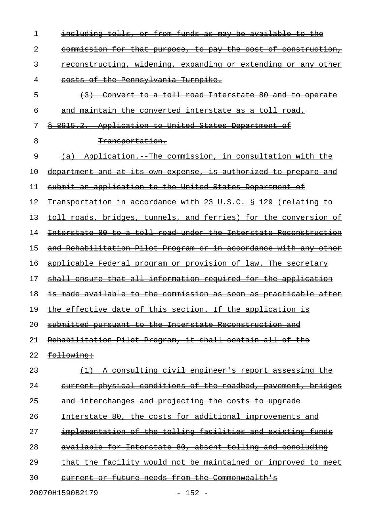| 1  | <u>including tolls, or from funds as may be available to the </u>       |
|----|-------------------------------------------------------------------------|
| 2  | commission for that purpose, to pay the cost of construction,           |
| 3  | reconstructing, widening, expanding or extending or any other           |
| 4  | costs of the Pennsylvania Turnpike.                                     |
| 5  | (3) Convert to a toll road Interstate 80 and to operate                 |
| 6  | <u>and maintain the converted interstate as a toll road.</u>            |
| 7  | 8915.2. Application to United States Department of                      |
| 8  | <del>Transportation.</del>                                              |
| 9  | (a) Application. The commission, in consultation with the               |
| 10 | <u>department and at its own expense, is authorized to prepare and </u> |
| 11 | submit an application to the United States Department of                |
| 12 | Transportation in accordance with 23 U.S.C. § 129 (relating to          |
| 13 | toll roads, bridges, tunnels, and ferries) for the conversion of        |
| 14 | Interstate 80 to a toll road under the Interstate Reconstruction        |
| 15 | and Rehabilitation Pilot Program or in accordance with any other        |
| 16 | applicable Federal program or provision of law. The secretary           |
| 17 | shall ensure that all information required for the application          |
| 18 | <u>is made available to the commission as soon as practicable after</u> |
| 19 | the effective date of this section. If the application is               |
| 20 | submitted pursuant to the Interstate Reconstruction and                 |
| 21 | Rehabilitation Pilot Program, it shall contain all of the               |
| 22 | following:                                                              |
| 23 | A consulting civil engineer's report assessing the                      |
| 24 | current physical conditions of the roadbed, pavement, bridges           |
| 25 | and interchanges and projecting the costs to upgrade                    |
| 26 | Interstate 80, the costs for additional improvements and                |
| 27 | implementation of the tolling facilities and existing funds             |
| 28 | available for Interstate 80, absent tolling and concluding              |
| 29 | that the facility would not be maintained or improved to meet           |
| 30 | eurrent or future needs from the Commonwealth's                         |
|    |                                                                         |

20070H1590B2179 - 152 -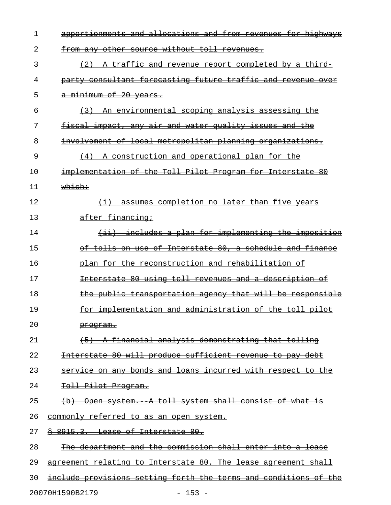| 1   | allocations and from revenues<br>for<br><del>hiqhways</del><br><del>ìonments and</del> |
|-----|----------------------------------------------------------------------------------------|
| 2   | from any other source without toll revenues.                                           |
| 3   | A traffic and revenue report completed by a third-                                     |
| 4   | party consultant forecasting future traffic and revenue<br><del>over</del>             |
| 5   | a minimum of 20 years.                                                                 |
| 6   | An environmental scoping analysis assessing the<br>$\leftarrow$ 3 $\leftarrow$         |
| 7   | fiscal impact, any air and water quality issues and the                                |
| 8   | involvement of local metropolitan planning organizations.                              |
| 9   | (4)<br>A construction and operational plan for the                                     |
| 10  | implementation of the Toll Pilot Program for Interstate                                |
| 11  | <del>which:</del>                                                                      |
| 12  | assumes completion no later than five years<br>$\leftrightarrow$                       |
| 13  | after financing;                                                                       |
| 14  | <u>includes a plan for implementing the imposition</u><br>$\overline{\phantom{0}}$     |
| 15  | of tolls on use of Interstate 80, a schedule and finance                               |
| 16  | <u>plan for the reconstruction and rehabilitation of</u>                               |
| 17  | Interstate 80 using toll revenues and a description of                                 |
| 18  | the public transportation agency that will be responsible                              |
| 19  | for implementation and administration of the toll pilot                                |
| 20  | <del>program.</del>                                                                    |
| 21  | <u>A financial analysis demonstrating that tolling</u><br>$+5$ )                       |
| 22  | Interstate 80 will produce sufficient revenue to pay debt                              |
| 23  | service on any bonds and loans incurred with respect to the                            |
| 24  | Toll Pilot Program.                                                                    |
| 25  | Open system. A toll system shall consist of what is<br>$\leftrightarrow$               |
| 26  | commonly referred to as an open system.                                                |
| 27  | 8915.3. Lease of Interstate 80.                                                        |
| 28  | The department and the commission shall enter into a lease                             |
| 29  | agreement relating to Interstate 80. The lease agreement shall                         |
| 30. | include provisions setting forth the terms and conditions of the                       |
|     | 20070H1590B2179<br>$-153 -$                                                            |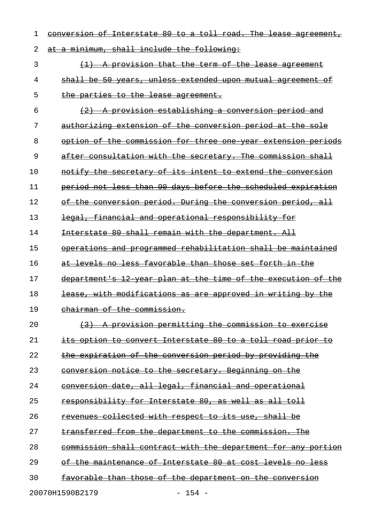| 1  | conversion of Interstate 80 to a toll road. The lease agreement,                                                 |
|----|------------------------------------------------------------------------------------------------------------------|
| 2  | at a minimum, shall include the following:                                                                       |
| 3  | (1) A provision that the term of the lease agreement                                                             |
| 4  | shall be 50 years, unless extended upon mutual agreement of                                                      |
| 5  | the parties to the lease agreement.                                                                              |
| 6  | (2) A provision establishing a conversion period and                                                             |
| 7  | authorizing extension of the conversion period at the sole                                                       |
| 8  | option of the commission for three one year extension periods                                                    |
| 9  | after consultation with the secretary. The commission shall                                                      |
| 10 | notify the secretary of its intent to extend the conversion                                                      |
| 11 | period not less than 90 days before the scheduled expiration                                                     |
| 12 | of the conversion period. During the conversion period, all                                                      |
| 13 | legal, financial and operational responsibility for                                                              |
| 14 | Interstate 80 shall remain with the department. All                                                              |
| 15 | operations and programmed rehabilitation shall be maintained                                                     |
| 16 | at levels no less favorable than those set forth in the                                                          |
| 17 | department's 12 year plan at the time of the execution of the                                                    |
| 18 | lease, with modifications as are approved in writing by the                                                      |
| 19 | chairman of the commission.                                                                                      |
| 20 | <del>permitting the</del><br><del>commission</del><br><del>provision</del>                                       |
| 21 | Interstate 80 to a toll road<br><del>convert</del><br><del>its option</del><br><del>to</del><br><del>prior</del> |
| 22 | <u>expiration of</u><br>the conversion period by providing                                                       |
| 23 | to the secretary. Beginning<br><del>conversion notice</del><br><del>on</del>                                     |
| 24 | date, all legal,<br><del>financial and</del><br><del>conversion</del><br><del>operational</del>                  |
| 25 | Interstate 80, as well<br><del>sponsibilitv</del><br><del>for</del><br><del>as all</del>                         |
| 26 | collected with respect to<br><del>its use,</del><br><del>shall</del><br>venues                                   |
| 27 | transferred from the department to the commission.                                                               |
| 28 | contract with the department<br><del>commission shall</del><br>for<br>anv                                        |
| 29 | $80$ at<br>⊖£<br><del>Interstate</del><br><del>levels</del><br><del>cost</del><br><del>maintenance</del><br>nθ   |
| 30 | favorable than those of the department on the<br>conversion                                                      |

20070H1590B2179 - 154 -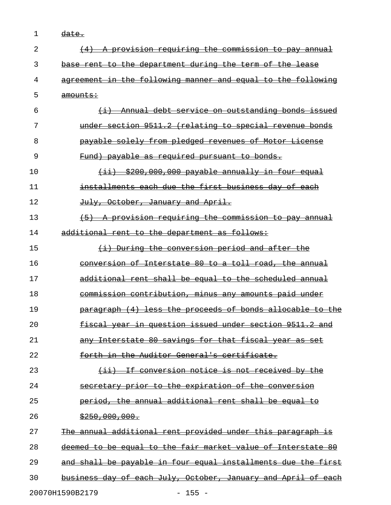1 <del>date.</del>

| 2  | (4) A provision requiring the commission to pay annual                  |
|----|-------------------------------------------------------------------------|
| 3  | base rent to the department during the term of the lease                |
| 4  | agreement in the following manner and equal to the following            |
| 5  | <del>amounts:</del>                                                     |
| 6  | (i) Annual debt service on outstanding bonds issued                     |
| 7  | under section 9511.2 (relating to special revenue bonds                 |
| 8  | payable solely from pledged revenues of Motor License                   |
| 9  | <u>Fund) payable as required pursuant to bonds.</u>                     |
| 10 | $\{ii\}$ \$200,000,000 payable annually in four equal                   |
| 11 | installments each due the first business day of each                    |
| 12 | July, October, January and April.                                       |
| 13 | (5) A provision requiring the commission to pay annual                  |
| 14 | additional rent to the department as follows:                           |
| 15 | <u>(i) During the conversion period and after the</u>                   |
| 16 | conversion of Interstate 80 to a toll road, the annual                  |
| 17 | additional rent shall be equal to the scheduled annual                  |
| 18 | commission contribution, minus any amounts paid under                   |
| 19 | paragraph (4) less the proceeds of bonds allocable to the               |
| 20 | fiscal year in question issued under section 9511.2 and                 |
| 21 | any Interstate 80 savings for that fiscal year as set                   |
| 22 | forth in the Auditor General's certificate.                             |
| 23 | <u>If conversion notice is not received by the </u><br>$\overline{+i}$  |
| 24 | secretary prior to the expiration of the conversion                     |
| 25 | period, the annual additional rent shall be equal to                    |
| 26 | \$250,000,000.                                                          |
| 27 | The annual additional rent provided under this paragraph is             |
| 28 | <del>deemed to be equal to the fair market value of Interstate 80</del> |
| 29 | and shall be payable in four equal installments due the first           |
| 30 | business day of each July, October, January and April of each           |
|    | 20070H1590B2179<br>$-155 -$                                             |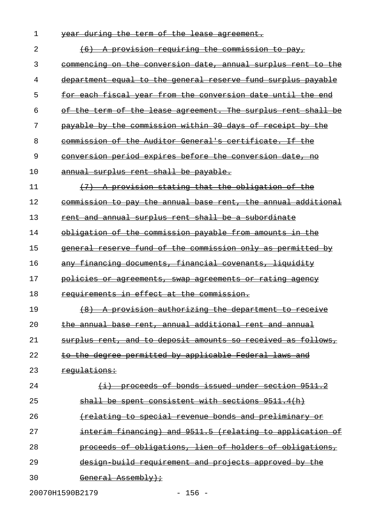| 1  | year during the term of the lease agreement.                         |
|----|----------------------------------------------------------------------|
| 2  | (6) A provision requiring the commission to pay,                     |
| 3  | <u>commencing on the conversion date, annual surplus rent to the</u> |
| 4  | department equal to the general reserve fund surplus payable         |
| 5  | for each fiscal year from the conversion date until the end          |
| 6  | of the term of the lease agreement. The surplus rent shall be        |
| 7  | payable by the commission within 30 days of receipt by the           |
| 8  | commission of the Auditor General's certificate. If the              |
| 9  | conversion period expires before the conversion date, no             |
| 10 | annual surplus rent shall be payable.                                |
| 11 | (7) A provision stating that the obligation of the                   |
| 12 | commission to pay the annual base rent, the annual additional        |
| 13 | rent and annual surplus rent shall be a subordinate                  |
| 14 | obligation of the commission payable from amounts in the             |
| 15 | general reserve fund of the commission only as permitted by          |
| 16 | any financing documents, financial covenants, liquidity              |
| 17 | <u>policies or agreements, swap agreements or rating agency</u>      |
| 18 | requirements in effect at the commission.                            |
| 19 | (8) A provision authorizing the department to receive                |
| 20 | the annual base rent, annual additional rent and annual              |
| 21 | surplus rent, and to deposit amounts so received as follows,         |
| 22 | to the degree permitted by applicable Federal laws and               |
| 23 | regulations:                                                         |
| 24 | proceeds of bonds issued under section 9511.2                        |
| 25 | $shall$ be spent consistent with sections $9511.4(h)$                |
| 26 | (relating to special revenue bonds and preliminary or                |
| 27 | interim financing) and 9511.5 (relating to application of            |
| 28 | proceeds of obligations, lien of holders of obligations,             |
| 29 | design build requirement and projects approved by the                |
| 30 | <del>General Assembly);</del>                                        |
|    |                                                                      |

20070H1590B2179 - 156 -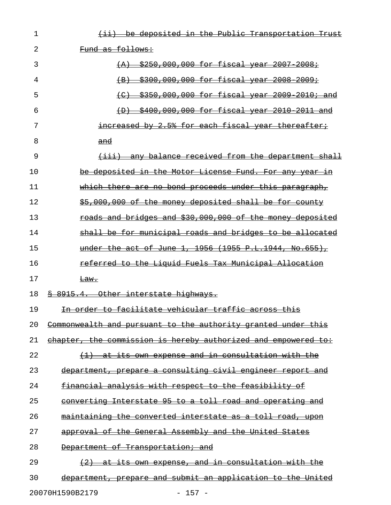| 1  | <del>deposited in</del><br>$-$ the<br><del>Public</del><br><del>Transı</del><br><del>tation</del>                                                                                    |
|----|--------------------------------------------------------------------------------------------------------------------------------------------------------------------------------------|
| 2  | Fund as follows:                                                                                                                                                                     |
| 3  | \$250.000.000 for fiscal year 2007-2008:                                                                                                                                             |
| 4  | \$300,000,000 for fiscal year<br><del>2008</del><br>$\left( \mathrm{B}\right)$                                                                                                       |
| 5  | \$350,000,000 for fiscal year<br><del>2009</del><br>$\left( \begin{smallmatrix} \begin{array}{c} \text{c} \end{array} \\ \text{c} \end{smallmatrix} \right)$<br><del>2010; and</del> |
| 6  | \$400,000,000 for fiscal year 2010<br>$-2011$ and<br>$\left(\text{D}\right)$                                                                                                         |
| 7  | increased by 2.5% for each fiscal year thereafter;                                                                                                                                   |
| 8  | $\frac{\text{and}}{\text{and}}$                                                                                                                                                      |
| 9  | any balance received from the department shall<br>$\overline{\left( \pm \pm \pm \right)}$                                                                                            |
| 10 | be deposited in the Motor License Fund. For any year                                                                                                                                 |
| 11 | proceeds under this paragraph,<br>which there are no bond                                                                                                                            |
| 12 | \$5,000,000 of the money deposited shall be for<br><del>county</del>                                                                                                                 |
| 13 | roads and bridges and \$30,000,000 of the money<br><del>deposited</del>                                                                                                              |
| 14 | shall be for municipal roads and bridges to be<br><del>allocated</del>                                                                                                               |
| 15 | under the act of June<br><del>1956</del><br><del>(1955 P.L.1944,</del><br>$No.655$ ),<br>$\pm$ ,                                                                                     |
| 16 | referred to the Liquid Fuels Tax Municipal Allocation                                                                                                                                |
| 17 | <del>Law.</del>                                                                                                                                                                      |
| 18 | Other interstate highways.                                                                                                                                                           |
| 19 | In order to facilitate vehicular traffic across this                                                                                                                                 |
| 20 | Commonwealth and pursuant to the authority granted under this                                                                                                                        |
| 21 | chapter, the commission is hereby authorized and empowered to:                                                                                                                       |
| 22 | at its own expense and in consultation with the<br>(1)                                                                                                                               |
| 23 | department, prepare a consulting civil engineer report and                                                                                                                           |
| 24 | financial analysis with respect to the feasibility of                                                                                                                                |
| 25 | converting Interstate 95 to a toll road and operating and                                                                                                                            |
| 26 | maintaining the converted interstate as a toll road, upon                                                                                                                            |
| 27 | approval of the General Assembly and the United States                                                                                                                               |
| 28 | Department of Transportation; and                                                                                                                                                    |
| 29 | at its own expense, and in consultation with the                                                                                                                                     |
| 30 | department, prepare and submit an application to the United                                                                                                                          |
|    | 20070H1590B2179<br>$-157 -$                                                                                                                                                          |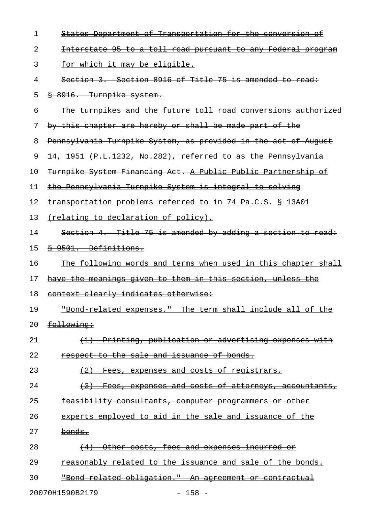| 1  | States Department of Transportation for the conversion of               |
|----|-------------------------------------------------------------------------|
| 2  | Interstate 95 to a toll road pursuant to any Federal program            |
| 3  | for which it may be eligible.                                           |
| 4  | Section 3. Section 8916 of Title 75 is amended to read:                 |
| 5  | § 8916. Turnpike system.                                                |
| 6  | The turnpikes and the future toll road conversions authorized           |
| 7  | by this chapter are hereby or shall be made part of the                 |
| 8  | Pennsylvania Turnpike System, as provided in the act of August          |
| 9  | 14, 1951 (P.L.1232, No.282), referred to as the Pennsylvania            |
| 10 | Turnpike System Financing Act. A Public Public Partnership of           |
| 11 | the Pennsylvania Turnpike System is integral to solving                 |
| 12 | transportation problems referred to in 74 Pa.C.S. § 13A01               |
| 13 | (relating to declaration of policy).                                    |
| 14 | Section 4. Title 75 is amended by adding a section to read:             |
| 15 | 8 9501. Definitions.                                                    |
| 16 | The following words and terms when used in this chapter shall           |
| 17 | have the meanings given to them in this section, unless the             |
| 18 | context clearly indicates otherwise:                                    |
| 19 | "Bond related expenses." The term shall include all of the              |
| 20 | following:                                                              |
| 21 | (1) Printing, publication or advertising expenses with                  |
| 22 | respect to the sale and issuance of bonds.                              |
| 23 | Fees, expenses and costs of registrars.<br>(2)                          |
| 24 | Fees, expenses and costs of attorneys, accountants,<br>$\left(3\right)$ |
| 25 | feasibility consultants, computer programmers or other                  |
| 26 | experts employed to aid in the sale and issuance of the                 |
| 27 | <del>bonds.</del>                                                       |
| 28 | Other costs, fees and expenses incurred or<br>(4)                       |
| 29 | reasonably related to the issuance and sale of the bonds.               |
| 30 | "Bond related obligation." An agreement or contractual                  |
|    | 20070H1590B2179<br>$-158 -$                                             |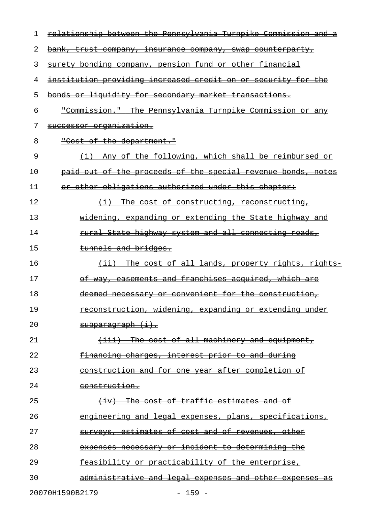| 1  | relationship between the Pennsylvania Turnpike Commission and<br><del>a</del> |
|----|-------------------------------------------------------------------------------|
| 2  | bank, trust company, insurance company, swap counterparty,                    |
| 3  | surety bonding company, pension fund or other financial                       |
| 4  | institution providing increased credit on or security for the                 |
| 5  | bonds or liquidity for secondary market transactions.                         |
| 6  | "Commission." The Pennsylvania Turnpike Commission or any                     |
| 7  | successor organization.                                                       |
| 8  | "Cost of the department."                                                     |
| 9  | Any of the following, which shall be reimbursed or                            |
| 10 | paid out of the proceeds of the special revenue bonds, notes                  |
| 11 | or other obligations authorized under this chapter:                           |
| 12 | $(i)$ The cost of constructing, reconstructing,                               |
| 13 | widening, expanding or extending the State highway and                        |
| 14 | rural State highway system and all connecting roads,                          |
| 15 | tunnels and bridges.                                                          |
| 16 | (ii) The cost of all lands, property rights, rights                           |
| 17 | of way, easements and franchises acquired, which are                          |
| 18 | deemed necessary or convenient for the construction,                          |
| 19 | reconstruction, widening, expanding or extending under                        |
| 20 | subparagraph (i).                                                             |
| 21 | $(iii)$ The cost of all machinery and equipment,                              |
| 22 | financing charges, interest prior to and during                               |
| 23 | construction and for one year after completion of                             |
| 24 | construction.                                                                 |
| 25 | $(iv)$ The cost of traffic estimates and of                                   |
| 26 | engineering and legal expenses, plans, specifications,                        |
| 27 | surveys, estimates of cost and of revenues, other                             |
| 28 | expenses necessary or incident to determining the                             |
| 29 | feasibility or practicability of the enterprise,                              |
| 30 | administrative and legal expenses and other expenses as                       |
|    | 20070H1590B2179<br>$-159 -$                                                   |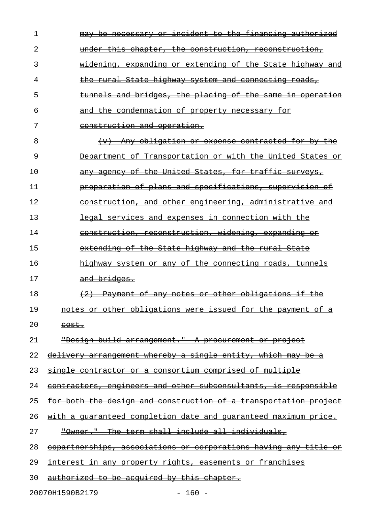| 1  | may be necessary or incident to the financing authorized                |
|----|-------------------------------------------------------------------------|
| 2  | under this chapter, the construction, reconstruction,                   |
| 3  | <u>widening, expanding or extending of the State highway and </u>       |
| 4  | the rural State highway system and connecting roads,                    |
| 5  | tunnels and bridges, the placing of the same in operation               |
| 6  | and the condemnation of property necessary for                          |
| 7  | construction and operation.                                             |
| 8  | (v) Any obligation or expense contracted for by the                     |
| 9  | <u> Department of Transportation or with the United States or </u>      |
| 10 | any agency of the United States, for traffic surveys,                   |
| 11 | preparation of plans and specifications, supervision of                 |
| 12 | construction, and other engineering, administrative and                 |
| 13 | legal services and expenses in connection with the                      |
| 14 | construction, reconstruction, widening, expanding or                    |
| 15 | extending of the State highway and the rural State                      |
| 16 | highway system or any of the connecting roads, tunnels                  |
| 17 | and bridges.                                                            |
| 18 | <u>(2) Payment of any notes or other obligations if the</u>             |
| 19 | notes or other obligations were issued for the payment of a             |
| 20 | $\frac{\text{cost}}{\text{}}$                                           |
| 21 | "Design build arrangement." A procurement or project                    |
| 22 | <u>delivery arrangement whereby a single entity, which may be a</u>     |
| 23 | single contractor or a consortium comprised of multiple                 |
| 24 | contractors, engineers and other subconsultants, is responsible         |
| 25 | for both the design and construction of a transportation project        |
| 26 | with a quaranteed completion date and quaranteed maximum price.         |
| 27 | "Owner." The term shall include all individuals,                        |
| 28 | <u>copartnerships, associations or corporations having any title or</u> |
| 29 | interest in any property rights, easements or franchises                |
| 30 | authorized to be acquired by this chapter.                              |

20070H1590B2179 - 160 -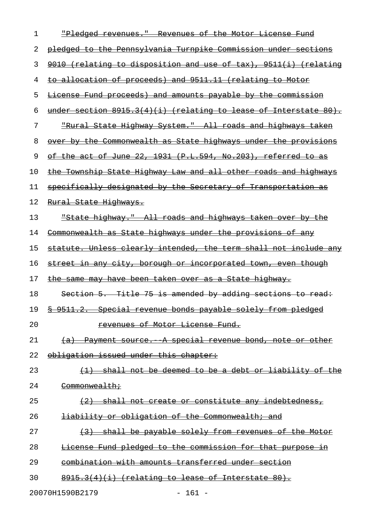| 1  | "Pledged revenues." Revenues of the Motor License Fund                |
|----|-----------------------------------------------------------------------|
| 2  | pledged to the Pennsylvania Turnpike Commission under sections        |
| 3  | 9010 (relating to disposition and use of tax), 9511(i) (relating      |
| 4  | to allocation of proceeds) and 9511.11 (relating to Motor             |
| 5  | <u>License Fund proceeds) and amounts payable by the commission</u>   |
| 6  | under section $8915.3(4)(i)$ (relating to lease of Interstate $80$ ). |
| 7  | "Rural State Highway System." All roads and highways taken            |
| 8  | over by the Commonwealth as State highways under the provisions       |
| 9  | of the act of June 22, 1931 (P.L.594, No.203), referred to as         |
| 10 | the Township State Highway Law and all other roads and highways       |
| 11 | specifically designated by the Secretary of Transportation as         |
| 12 | <del>Rural State Highways.</del>                                      |
| 13 | "State highway." All roads and highways taken over by the             |
| 14 | Commonwealth as State highways under the provisions of any            |
| 15 | statute. Unless clearly intended, the term shall not include any      |
| 16 | street in any city, borough or incorporated town, even though         |
| 17 | <u>the same may have been taken over as a State highway.</u>          |
| 18 | Section 5. Title 75 is amended by adding sections to read:            |
| 19 | \$ 9511.2. Special revenue bonds payable solely from pledged          |
| 20 | <u>revenues of Motor License Fund.</u>                                |
| 21 | (a) Payment source. A special revenue bond, note or other             |
| 22 | obligation issued under this chapter:                                 |
| 23 | (1) shall not be deemed to be a debt or liability of the              |
| 24 | Commonwealth;                                                         |
| 25 | (2) shall not create or constitute any indebtedness,                  |
| 26 | liability or obligation of the Commonwealth; and                      |
| 27 | (3) shall be payable solely from revenues of the Motor                |
| 28 | License Fund pledged to the commission for that purpose in            |
| 29 | combination with amounts transferred under section                    |
| 30 | $8915.3(4)(i)$ (relating to lease of Interstate 80).                  |

20070H1590B2179 - 161 -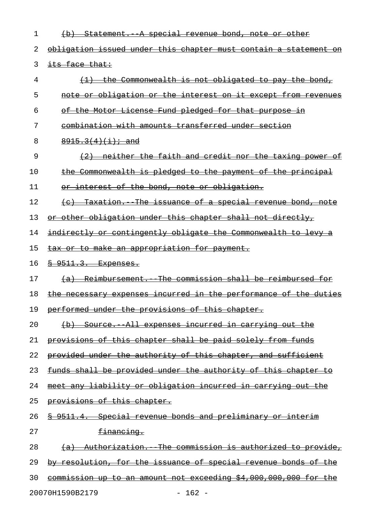| 1  | (b) Statement. A special revenue bond, note or other                    |
|----|-------------------------------------------------------------------------|
| 2  | obligation issued under this chapter must contain a statement on        |
| 3  | <del>its face that:</del>                                               |
| 4  | the Commonwealth is not obligated to pay the bond,                      |
| 5  | note or obligation or the interest on it except from revenues           |
| 6  | of the Motor License Fund pledged for that purpose in                   |
| 7  | combination with amounts transferred under section                      |
| 8  | $8915.3(4)(i)$ ; and                                                    |
| 9  | (2) neither the faith and credit nor the taxing power of                |
| 10 | the Commonwealth is pledged to the payment of the principal             |
| 11 | or interest of the bond, note or obligation.                            |
| 12 | (c) Taxation. The issuance of a special revenue bond, note              |
| 13 | or other obligation under this chapter shall not directly,              |
| 14 | indirectly or contingently obligate the Commonwealth to levy a          |
| 15 | tax or to make an appropriation for payment.                            |
| 16 | <del>§ 9511.3. Expenses.</del>                                          |
| 17 | (a) Reimbursement. The commission shall be reimbursed for               |
| 18 | the necessary expenses incurred in the performance of the duties        |
| 19 | performed under the provisions of this chapter.                         |
| 20 | <u>(b) Source. All expenses incurred in carrying out the</u>            |
| 21 | provisions of this chapter shall be paid solely from funds              |
| 22 | provided under the authority of this chapter, and sufficient            |
| 23 | funds shall be provided under the authority of this chapter to          |
| 24 | meet any liability or obligation incurred in carrying out the           |
| 25 | provisions of this chapter.                                             |
| 26 | <u>§ 9511.4. Special revenue bonds and preliminary or interim</u>       |
| 27 | <del>financing.</del>                                                   |
| 28 | (a) Authorization. The commission is authorized to provide,             |
| 29 | by resolution, for the issuance of special revenue bonds of the         |
| 30 | <u>commission up to an amount not exceeding \$4,000,000,000 for the</u> |
|    |                                                                         |

20070H1590B2179 - 162 -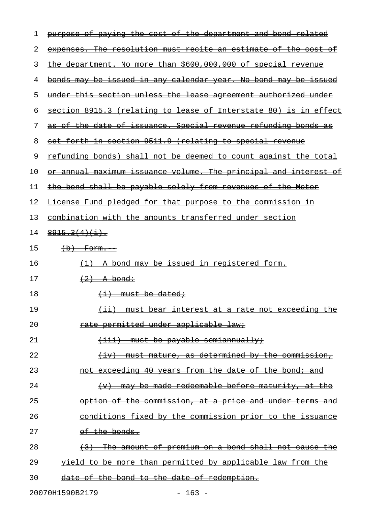| 1  | purpose of paying the cost of the department and bond related           |
|----|-------------------------------------------------------------------------|
| 2  | expenses. The resolution must recite an estimate of the cost of         |
| 3  | the department. No more than \$600,000,000 of special revenue           |
| 4  | <u>bonds may be issued in any calendar year. No bond may be issued</u>  |
| 5  | under this section unless the lease agreement authorized under          |
| 6  | section 8915.3 (relating to lease of Interstate 80) is in effect        |
| 7  | as of the date of issuance. Special revenue refunding bonds as          |
| 8  | set forth in section 9511.9 (relating to special revenue                |
| 9  | <u>refunding bonds) shall not be deemed to count against the total</u>  |
| 10 | <u>or annual maximum issuance volume. The principal and interest of</u> |
| 11 | the bond shall be payable solely from revenues of the Motor             |
| 12 | <u>License Fund pledged for that purpose to the commission in</u>       |
| 13 | <u>combination with the amounts transferred under section</u>           |
| 14 | $8915.3(4)(1)$ .                                                        |
| 15 | $(b)$ Form.                                                             |
| 16 | <u>A bond may be issued in registered form.</u><br>$\leftarrow$         |
| 17 | $\left(2\right)$ A bond:                                                |
| 18 | <del>(i) must be dated;</del>                                           |
| 19 | <u>(ii) must bear interest at a rate not exceeding the</u>              |
| 20 | rate permitted under applicable law;                                    |
| 21 | <u>(iii) must be payable semiannually;</u>                              |
| 22 | $\{iv\}$ must mature, as determined by the commission,                  |
| 23 | not exceeding 40 years from the date of the bond; and                   |
| 24 | (v) may be made redeemable before maturity, at the                      |
| 25 | option of the commission, at a price and under terms and                |
| 26 | conditions fixed by the commission prior to the issuance                |
| 27 | of the bonds.                                                           |
| 28 | (3) The amount of premium on a bond shall not cause the                 |
| 29 | yield to be more than permitted by applicable law from the              |
| 30 | date of the bond to the date of redemption.                             |
|    |                                                                         |

20070H1590B2179 - 163 -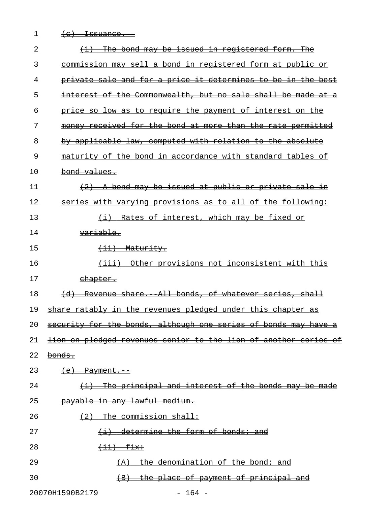|  | $\sim$ $\sim$ $\sim$ $\sim$ |
|--|-----------------------------|
|  | roou <del>ance.</del>       |

| 2  | (1) The bond may be issued in registered form. The                                |
|----|-----------------------------------------------------------------------------------|
| 3  | commission may sell a bond in registered form at public or                        |
| 4  | private sale and for a price it determines to be in the best                      |
| 5  | interest of the Commonwealth, but no sale shall be made at a                      |
| 6  | price so low as to require the payment of interest on the                         |
| 7  | money received for the bond at more than the rate permitted                       |
| 8  | by applicable law, computed with relation to the absolute                         |
| 9  | maturity of the bond in accordance with standard tables of                        |
| 10 | bond values.                                                                      |
| 11 | $(2)$ A bond may be issued at public or private sale in                           |
| 12 | series with varying provisions as to all of the following:                        |
| 13 | (i) Rates of interest, which may be fixed or                                      |
| 14 | <del>variable.</del>                                                              |
| 15 | <del>(ii) Maturity.</del>                                                         |
| 16 | (iii) Other provisions not inconsistent with this                                 |
| 17 | <del>chapter.</del>                                                               |
| 18 | (d) Revenue share. All bonds, of whatever series, shall                           |
| 19 | share ratably in the revenues pledged under this chapter as                       |
| 20 | security for the bonds, although one series of bonds may have a                   |
| 21 | lien on pledged revenues senior to the lien of another series of                  |
| 22 | <del>bonds.</del>                                                                 |
| 23 | (e) Payment.                                                                      |
| 24 | The principal and interest of the bonds may be made<br>$\left(\frac{1}{2}\right)$ |
| 25 | payable in any lawful medium.                                                     |
| 26 | $(2)$ The commission shall:                                                       |
| 27 | (i) determine the form of bonds; and                                              |
| 28 | $\overbrace{++}$ $\overbrace{++}$                                                 |
| 29 | $(A)$ the denomination of the bond; and                                           |
| 30 | (B) the place of payment of principal and                                         |
|    | 20070H1590B2179<br>$-164 -$                                                       |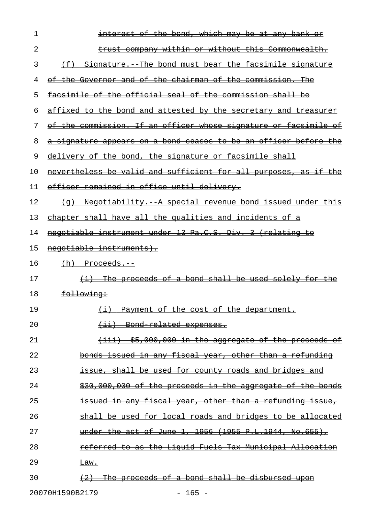| 1  | interest of the bond, which may be at any bank or                                             |
|----|-----------------------------------------------------------------------------------------------|
| 2  | trust company within or without this Commonwealth.                                            |
| 3  | (f) Signature. The bond must bear the facsimile signature                                     |
| 4  | of the Governor and of the chairman of the commission. The                                    |
| 5  | facsimile of the official seal of the commission shall be                                     |
| 6  | affixed to the bond and attested by the secretary and treasurer                               |
| 7  | of the commission. If an officer whose signature or facsimile of                              |
| 8  | a signature appears on a bond ceases to be an officer before the                              |
| 9  | delivery of the bond, the signature or facsimile shall                                        |
| 10 | nevertheless be valid and sufficient for all purposes, as if the                              |
| 11 | officer remained in office until delivery.                                                    |
| 12 | (g) Negotiability. A special revenue bond issued under this                                   |
| 13 | chapter shall have all the qualities and incidents of a                                       |
| 14 | negotiable instrument under 13 Pa.C.S. Div. 3 (relating to                                    |
| 15 | negotiable instruments).                                                                      |
| 16 | $(h)$ Proceeds.                                                                               |
| 17 | (1) The proceeds of a bond shall be used solely for the                                       |
| 18 | following:                                                                                    |
| 19 | (i) Payment of the cost of the department.                                                    |
| 20 | (ii) Bond related expenses.                                                                   |
| 21 | $\frac{1}{5}$ 5,000,000 in the aggregate of the proceeds of<br>$\leftarrow$ iii $\rightarrow$ |
| 22 | <del>bonds issued in any fiscal year, other than a refunding</del>                            |
|    |                                                                                               |
| 23 | issue, shall be used for county roads and bridges and                                         |
| 24 | \$30,000,000 of the proceeds in the aggregate of the bonds                                    |
| 25 | issued in any fiscal year, other than a refunding issue,                                      |
| 26 | shall be used for local roads and bridges to be allocated                                     |
| 27 | under the act of June 1, 1956 (1955 P.L.1944, No.655),                                        |
| 28 | referred to as the Liquid Fuels Tax Municipal Allocation                                      |
| 29 | <del>Law.</del>                                                                               |

20070H1590B2179 - 165 -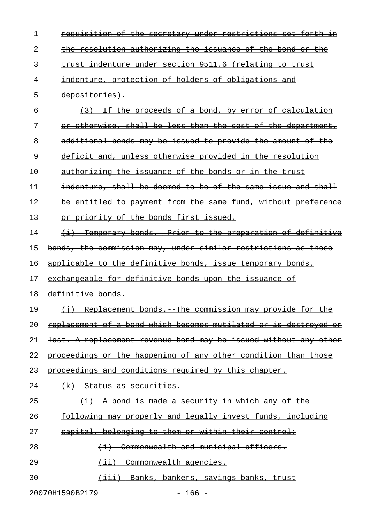| 1              | requisition of the secretary under restrictions set forth<br>±'n             |
|----------------|------------------------------------------------------------------------------|
| 2              | the resolution authorizing the issuance of the bond or the                   |
| 3              | trust indenture under section 9511.6 (relating to trust                      |
| 4              | indenture, protection of holders of obligations and                          |
| 5              | depositories).                                                               |
| 6              | If the proceeds of a bond, by error of calculation<br>(3)                    |
| 7              | or otherwise, shall<br>be less than the cost of the department,              |
| 8              | additional bonds may be issued to provide the amount of the                  |
| 9              | deficit and, unless otherwise provided in the resolution                     |
| 1 <sub>0</sub> | authorizing the issuance of the bonds or in the trust                        |
| 11             | indenture, shall be deemed to be of the same issue and shall                 |
| 12             | be entitled to payment from the same fund, without preference                |
| 13             | or priority of the bonds first issued.                                       |
| 14             | Temporary bonds. Prior to the preparation of definitive<br>$\leftrightarrow$ |
| 15             | bonds, the commission may, under similar restrictions as those               |
| 16             | applicable to the definitive bonds, issue temporary bonds,                   |
| 17             | exchangeable for definitive bonds upon the issuance                          |
| 18             | definitive bonds.                                                            |
| 19             | The commission may provide for the<br>(i) Replacement bonds.                 |
|                |                                                                              |
| 20             | replacement of a bond which becomes mutilated or is destroyed or             |
| 21             | lost. A replacement revenue bond may be issued without any other             |
| 22             | proceedings or the happening of any other condition than those               |
| 23             | proceedings and conditions required by this chapter.                         |
| 24             | <del>(k) Status as securities.</del>                                         |
| 25             | (1) A bond is made a security in which any of the                            |
| 26             | following may properly and legally invest funds, including                   |
| 27             | capital, belonging to them or within their control:                          |
| 28             | Commonwealth and municipal officers.                                         |
| 29             | (ii) Commonwealth agencies.                                                  |

20070H1590B2179 - 166 -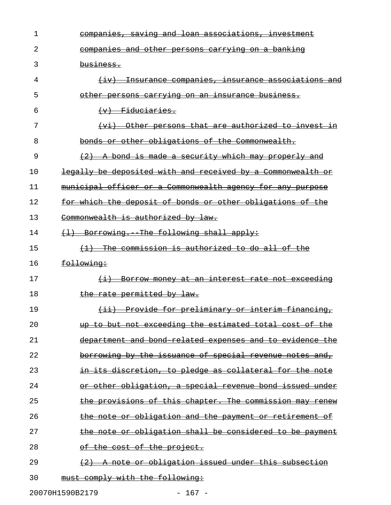| 1. | <del>-loan assoc</del> i<br><del>and</del><br><del>10ns.</del><br><del>ınvestment</del><br>sav |
|----|------------------------------------------------------------------------------------------------|
| 2  | <u>companies and other persons carrying on a banking</u>                                       |
| 3  | business.                                                                                      |
| 4  | <u>(iv) Insurance companies, insurance associations and</u>                                    |
| 5  | <u>other persons carrying on an insurance business.</u>                                        |
| 6  | <del>(v) Fiduciaries.</del>                                                                    |
| 7  | <u>Other persons that are authorized to invest</u>                                             |
| 8  | bonds or other obligations of the Commonwealth.                                                |
| 9  | bond is made a security which may properly and                                                 |
| 10 | legally be deposited with and received by a Commonwealth or                                    |
| 11 | municipal officer or a Commonwealth agency for any purpose                                     |
| 12 | for which the deposit of bonds or other obligations of the                                     |
| 13 | Commonwealth is authorized by law.                                                             |
| 14 | Borrowing. The following shall apply:                                                          |
| 15 | The commission is authorized to do all of the                                                  |
|    |                                                                                                |
| 16 | following:                                                                                     |
| 17 | Borrow money at an interest rate not exceeding                                                 |
| 18 | the rate permitted by law.                                                                     |
| 19 | Provide for preliminary or interim financing,                                                  |
| 20 | up to but not exceeding the estimated total cost of the                                        |
| 21 | department and bond related expenses and to evidence the                                       |
| 22 | borrowing by the issuance of special revenue notes and,                                        |
| 23 | in its discretion, to pledge as collateral for the note                                        |
| 24 | or other obligation, a special revenue bond issued under                                       |
| 25 | the provisions of this chapter. The commission may renew                                       |
| 26 | the note or obligation and the payment or retirement of                                        |
| 27 | the note or obligation shall be considered to be payment                                       |
| 28 | of the cost of the project.                                                                    |
| 29 | (2) A note or obligation issued under this subsection                                          |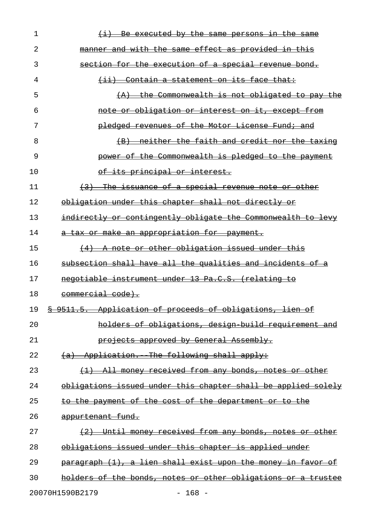| 1  | $\leftrightarrow$<br><u>Be executed by the same persons in the same</u> |
|----|-------------------------------------------------------------------------|
| 2  | manner and with the same effect as provided in this                     |
| 3  | section for the execution of a special revenue bond.                    |
| 4  | (ii) Contain a statement on its face that:                              |
| 5  | $(A)$ the Commonwealth is not obligated to pay the                      |
| 6  | note or obligation or interest on it, except from                       |
| 7  | pledged revenues of the Motor License Fund; and                         |
| 8  | (B) neither the faith and credit nor the taxing                         |
| 9  | power of the Commonwealth is pledged to the payment                     |
| 10 | of its principal or interest.                                           |
| 11 | (3) The issuance of a special revenue note or other                     |
| 12 | obligation under this chapter shall not directly or                     |
| 13 | indirectly or contingently obligate the Commonwealth to levy            |
| 14 | a tax or make an appropriation for payment.                             |
| 15 | (4) A note or other obligation issued under this                        |
| 16 | subsection shall have all the qualities and incidents of a              |
| 17 | negotiable instrument under 13 Pa.C.S. (relating to                     |
| 18 | commercial code).                                                       |
| 19 | \$ 9511.5. Application of proceeds of obligations, lien of              |
| 20 | holders of obligations, design build requirement and                    |
| 21 | projects approved by General Assembly.                                  |
| 22 | (a) Application. The following shall apply:                             |
| 23 | All money received from any bonds, notes or other                       |
| 24 | obligations issued under this chapter shall be applied solely           |
| 25 | to the payment of the cost of the department or to the                  |
| 26 | appurtenant fund.                                                       |
| 27 | Until money received from any bonds, notes or other                     |
| 28 | obligations issued under this chapter is applied under                  |
| 29 | paragraph (1), a lien shall exist upon the money in favor of            |
| 30 | holders of the bonds, notes or other obligations or a trustee           |
|    | 20070H1590B2179<br>$-168 -$                                             |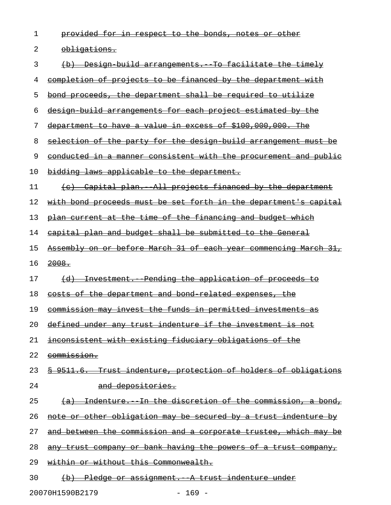| 1  | provided for in respect to the bonds, notes or other               |
|----|--------------------------------------------------------------------|
| 2  | <del>obligations.</del>                                            |
| 3  | (b) Design build arrangements. To facilitate the timely            |
| 4  | completion of projects to be financed by the department with       |
| 5  | bond proceeds, the department shall be required to utilize         |
| 6  | design build arrangements for each project estimated by the        |
| 7  | department to have a value in excess of \$100,000,000. The         |
| 8  | selection of the party for the design build arrangement must be    |
| 9  | conducted in a manner consistent with the procurement and public   |
| 10 | bidding laws applicable to the department.                         |
| 11 | (c) Capital plan. All projects financed by the department          |
| 12 | with bond proceeds must be set forth in the department's capital   |
| 13 | plan current at the time of the financing and budget which         |
| 14 | capital plan and budget shall be submitted to the General          |
| 15 | Assembly on or before March 31 of each year commencing March 31,   |
| 16 | 2008.                                                              |
| 17 | (d) Investment. Pending the application of proceeds to             |
| 18 | costs of the department and bond related expenses, the             |
| 19 | commission may invest the funds in permitted investments as        |
| 20 | defined under any trust indenture if the investment is not         |
| 21 | inconsistent with existing fiduciary obligations of the            |
| 22 | commission.                                                        |
| 23 | \$ 9511.6. Trust indenture, protection of holders of obligations   |
| 24 | and depositories.                                                  |
| 25 | <u>(a) Indenture. In the discretion of the commission, a bond,</u> |
| 26 | note or other obligation may be secured by a trust indenture by    |
| 27 | and between the commission and a corporate trustee, which may be   |
| 28 | any trust company or bank having the powers of a trust company,    |
| 29 | within or without this Commonwealth.                               |
| 30 | (b) Pledge or assignment. A trust indenture under                  |

20070H1590B2179 - 169 -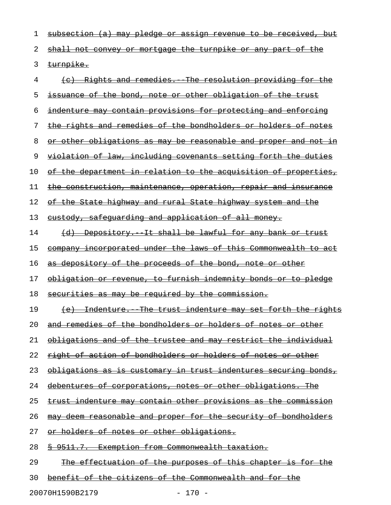| 1  | subsection (a) may pledge or assign<br>received, but<br><del>venue</del><br>-be<br>ᡄᠥ                             |
|----|-------------------------------------------------------------------------------------------------------------------|
| 2  | mortgage the turnpike or any<br><del>shall not</del><br><u>of</u><br><del>-part</del><br><del>convey</del><br>-or |
| 3  | <u>turnpike.</u>                                                                                                  |
| 4  | Rights and remedies. The resolution providing for the                                                             |
| 5  | issuance of the bond, note or other obligation of the<br><del>trust</del>                                         |
| 6  | indenture may contain provisions for protecting and enforcing                                                     |
| 7  | rights and remedies of the bondholders or holders of notes<br><del>the -</del>                                    |
| 8  | other obligations as may be reasonable and proper and not in<br>or−                                               |
| 9  | violation of law, including covenants setting forth the duties                                                    |
| 10 | the department in relation to the acquisition of properties,<br>⊖±                                                |
| 11 | the construction, maintenance, operation, repair and insurance                                                    |
| 12 | the State highway and rural State highway system and the<br>⊖±                                                    |
| 13 | eustody, safequarding and application of all money.                                                               |
| 14 | (d) Depository. It shall be lawful for any bank or trust                                                          |
| 15 | company incorporated under the laws of this Commonwealth to act                                                   |
| 16 | as depository of the proceeds of the bond, note or other                                                          |
| 17 | obligation or revenue, to furnish indemnity bonds or to pledge                                                    |
| 18 | securities as may be required by the commission.                                                                  |
| 19 | (e) Indenture. The trust indenture may set forth the rights                                                       |
| 20 | and remedies of the bondholders or holders of notes or other                                                      |
| 21 | obligations and of the trustee and may restrict the individual                                                    |
| 22 | right of action of bondholders or holders of notes or other                                                       |
| 23 | obligations as is customary in trust indentures securing bonds,                                                   |
| 24 | debentures of corporations, notes or other obligations. The                                                       |
| 25 | trust indenture may contain other provisions as the commission                                                    |
| 26 | may deem reasonable and proper for the security of bondholders                                                    |
| 27 | or holders of notes or other obligations.                                                                         |
| 28 | \$ 9511.7. Exemption from Commonwealth taxation.                                                                  |
| 29 | The effectuation of the purposes of this chapter is for the                                                       |
| 30 | benefit of the citizens of the Commonwealth and for the                                                           |

20070H1590B2179 - 170 -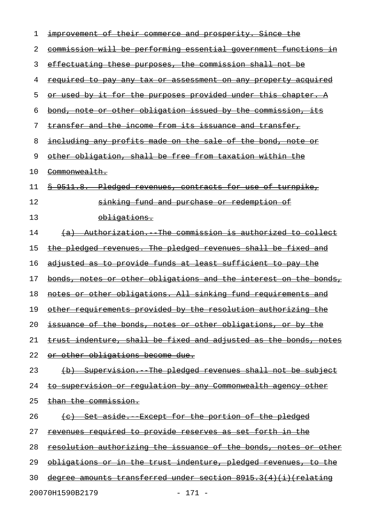| 1  | <u>improvement of their commerce and prosperity. Since the</u>          |
|----|-------------------------------------------------------------------------|
| 2  | commission will be performing essential government functions in         |
| 3  | effectuating these purposes, the commission shall not be                |
| 4  | <u>required to pay any tax or assessment on any property acquired</u>   |
| 5  | or used by it for the purposes provided under this chapter. A           |
| 6  | bond, note or other obligation issued by the commission, its            |
| 7  | transfer and the income from its issuance and transfer,                 |
| 8  | including any profits made on the sale of the bond, note or             |
| 9  | other obligation, shall be free from taxation within the                |
| 10 | Commonwealth.                                                           |
| 11 | <u> § 9511.8. Pledged revenues, contracts for use of turnpike,</u>      |
| 12 | sinking fund and purchase or redemption of                              |
| 13 | obligations.                                                            |
| 14 | (a) Authorization. The commission is authorized to collect              |
| 15 | the pledged revenues. The pledged revenues shall be fixed and           |
| 16 | adjusted as to provide funds at least sufficient to pay the             |
| 17 | bonds, notes or other obligations and the interest on the bonds,        |
| 18 | notes or other obligations. All sinking fund requirements and           |
| 19 | <u>other requirements provided by the resolution authorizing the</u>    |
| 20 | <u>issuance of the bonds, notes or other obligations, or by the</u>     |
| 21 | trust indenture, shall be fixed and adjusted as the bonds, notes        |
| 22 | <u>or other obligations become due.</u>                                 |
| 23 | (b) Supervision. The pledged revenues shall not be subject              |
| 24 | <u>to supervision or regulation by any Commonwealth agency other</u>    |
| 25 | <u>than the commission.</u>                                             |
| 26 | <u>(c) Set aside. Except for the portion of the pledged</u>             |
| 27 | <u>revenues required to provide reserves as set forth in the </u>       |
| 28 | <u>resolution authorizing the issuance of the bonds, notes or other</u> |
| 29 | <u>obligations or in the trust indenture, pledged revenues, to the</u>  |
| 30 | degree amounts transferred under section 8915.3(4)(i) (relating         |
|    | 20070H1590B2179<br>$-171 -$                                             |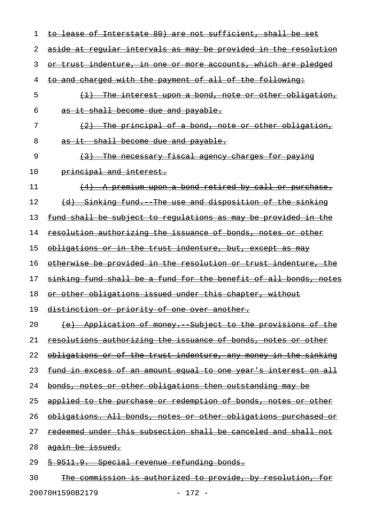| 1  | to lease of Interstate 80) are not sufficient, shall be set            |
|----|------------------------------------------------------------------------|
| 2  | aside at regular intervals as may be provided in the resolution        |
| 3  | or trust indenture, in one or more accounts, which are pledged         |
| 4  | to and charged with the payment of all of the following:               |
| 5  | (1) The interest upon a bond, note or other obligation,                |
| 6  | as it shall become due and payable.                                    |
| 7  | $(2)$ The principal of a bond, note or other obligation,               |
| 8  | as it shall become due and payable.                                    |
| 9  | (3) The necessary fiscal agency charges for paying                     |
| 10 | principal and interest.                                                |
| 11 | (4) A premium upon a bond retired by call or purchase.                 |
| 12 | (d) Sinking fund. The use and disposition of the sinking               |
| 13 | fund shall be subject to regulations as may be provided in the         |
| 14 | resolution authorizing the issuance of bonds, notes or other           |
| 15 | obligations or in the trust indenture, but, except as may              |
| 16 | otherwise be provided in the resolution or trust indenture, the        |
| 17 | sinking fund shall be a fund for the benefit of all bonds, notes       |
| 18 | <u>or other obligations issued under this chapter, without</u>         |
| 19 | distinction or priority of one over another.                           |
| 20 | (e) Application of money. Subject to the provisions of the             |
| 21 | resolutions authorizing the issuance of bonds, notes or other          |
| 22 | obligations or of the trust indenture, any money in the sinking        |
| 23 | <u>fund in excess of an amount equal to one year's interest on all</u> |
| 24 | bonds, notes or other obligations then outstanding may be              |
| 25 | applied to the purchase or redemption of bonds, notes or other         |
| 26 | obligations. All bonds, notes or other obligations purchased or        |
| 27 | redeemed under this subsection shall be canceled and shall not         |
| 28 | again be issued.                                                       |
| 29 | <u> § 9511.9. Special revenue refunding bonds.</u>                     |
| 30 | <u>The commission is authorized to provide, by resolution, for</u>     |

20070H1590B2179 - 172 -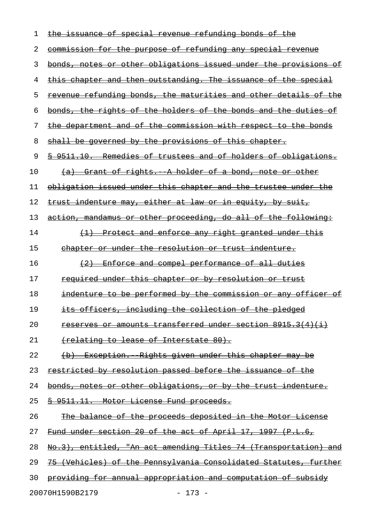| 1  | the issuance of special revenue refunding bonds of the                   |
|----|--------------------------------------------------------------------------|
| 2  | commission for the purpose of refunding any special revenue              |
| 3  | bonds, notes or other obligations issued under the provisions of         |
| 4  | this chapter and then outstanding. The issuance of the special           |
| 5  | <u>revenue refunding bonds, the maturities and other details of the </u> |
| 6  | bonds, the rights of the holders of the bonds and the duties of          |
| 7  | the department and of the commission with respect to the bonds           |
| 8  | shall be governed by the provisions of this chapter.                     |
| 9  | \$ 9511.10. Remedies of trustees and of holders of obligations.          |
| 10 | (a) Grant of rights. A holder of a bond, note or other                   |
| 11 | <u>obligation issued under this chapter and the trustee under the</u>    |
| 12 | trust indenture may, either at law or in equity, by suit,                |
| 13 | action, mandamus or other proceeding, do all of the following:           |
| 14 | <u>(1) Protect and enforce any right granted under this</u>              |
| 15 | chapter or under the resolution or trust indenture.                      |
| 16 | (2) Enforce and compel performance of all duties                         |
| 17 | <u>required under this chapter or by resolution or trust</u>             |
| 18 | indenture to be performed by the commission or any officer of            |
| 19 | its officers, including the collection of the pledged                    |
| 20 | reserves or amounts transferred under section 8915.3(4)(i)               |
| 21 | (relating to lease of Interstate 80).                                    |
| 22 | (b) Exception. Rights given under this chapter may be                    |
| 23 | restricted by resolution passed before the issuance of the               |
| 24 | bonds, notes or other obligations, or by the trust indenture.            |
| 25 | § 9511.11. Motor License Fund proceeds.                                  |
| 26 | The balance of the proceeds deposited in the Motor License               |
| 27 | Fund under section 20 of the act of April 17, 1997 $(P.L.6, p.1)$        |
| 28 | No.3), entitled, "An act amending Titles 74 (Transportation) and         |
| 29 | 75 (Vehicles) of the Pennsylvania Consolidated Statutes, further         |
| 30 | providing for annual appropriation and computation of subsidy            |
|    | 20070H1590B2179<br>$-173 -$                                              |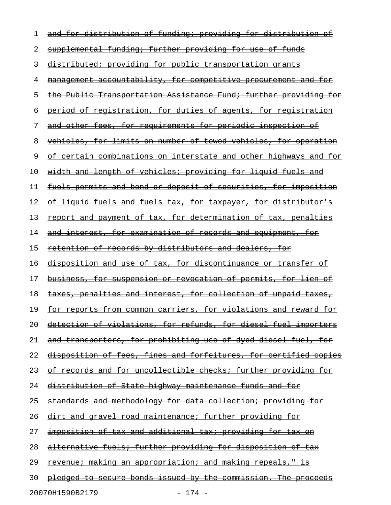| 1  | and for distribution of funding; providing for distribution of          |
|----|-------------------------------------------------------------------------|
| 2  | supplemental funding; further providing for use of funds                |
| 3  | distributed; providing for public transportation grants                 |
| 4  | management accountability, for competitive procurement and for          |
| 5  | <u>the Public Transportation Assistance Fund; further providing for</u> |
| 6  | period of registration, for duties of agents, for registration          |
| 7  | and other fees, for requirements for periodic inspection of             |
| 8  | vehicles, for limits on number of towed vehicles, for operation         |
| 9  | <u>of certain combinations on interstate and other highways and for</u> |
| 10 | <u>width and length of vehicles; providing for liquid fuels and</u>     |
| 11 | <u>fuels permits and bond or deposit of securities, for imposition</u>  |
| 12 | <u>of liquid fuels and fuels tax, for taxpayer, for distributor's</u>   |
| 13 | <u>report and payment of tax, for determination of tax, penalties</u>   |
| 14 | <u>and interest, for examination of records and equipment, for</u>      |
| 15 | retention of records by distributors and dealers, for                   |
| 16 | <u>disposition and use of tax, for discontinuance or transfer of</u>    |
| 17 | business, for suspension or revocation of permits, for lien of          |
| 18 | taxes, penalties and interest, for collection of unpaid taxes,          |
| 19 | <u>for reports from common carriers, for violations and reward for</u>  |
| 20 | detection of violations, for refunds, for diesel fuel importers         |
| 21 | and transporters, for prohibiting use of dyed diesel fuel, for          |
| 22 | disposition of fees, fines and forfeitures, for certified copies        |
| 23 | of records and for uncollectible checks; further providing for          |
| 24 | <u>distribution of State highway maintenance funds and for</u>          |
| 25 | standards and methodology for data collection; providing for            |
| 26 | <u>dirt and gravel road maintenance; further providing for</u>          |
| 27 | <u>imposition of tax and additional tax; providing for tax on</u>       |
| 28 | alternative fuels; further providing for disposition of tax             |
| 29 | <u>revenue; making an appropriation; and making repeals," is</u>        |
| 30 | pledged to secure bonds issued by the commission. The proceeds          |
|    | 20070H1590B2179<br>$-174 -$                                             |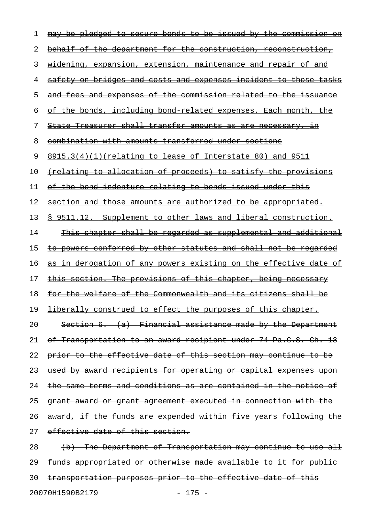| 1  | may be pledged to secure bonds to be issued by the commission<br><del>on</del> |
|----|--------------------------------------------------------------------------------|
| 2  | behalf of the department for the construction, reconstruction,                 |
| 3  | <u>widening, expansion, extension, maintenance and repair of and</u>           |
| 4  | <u>safety on bridges and costs and expenses incident to those tasks</u>        |
| 5  | <u>and fees and expenses of the commission related to the issuance</u>         |
| 6  | of the bonds, including bond related expenses. Each month, the                 |
| 7  | State Treasurer shall transfer amounts as are necessary, in                    |
| 8  | <u>combination with amounts transferred under sections</u>                     |
| 9  | <u>8915.3(4)(i)(relating to lease of Interstate 80) and 9511</u>               |
| 10 | <u>(relating to allocation of proceeds) to satisfy the provisions</u>          |
| 11 | <u>of the bond indenture relating to bonds issued under this </u>              |
| 12 | section and those amounts are authorized to be appropriated.                   |
| 13 | <u> § 9511.12. Supplement to other laws and liberal construction.</u>          |
| 14 | <u>This chapter shall be regarded as supplemental and additional</u>           |
| 15 | to powers conferred by other statutes and shall not be regarded                |
| 16 | as in derogation of any powers existing on the effective date of               |
| 17 | this section. The provisions of this chapter, being necessary                  |
| 18 | <u>for the welfare of the Commonwealth and its citizens shall be</u>           |
| 19 | liberally construed to effect the purposes of this chapter.                    |
| 20 | Section 6. (a) Financial assistance made by the Department                     |
| 21 | of Transportation to an award recipient under 74 Pa.C.S. Ch. 13                |
| 22 | prior to the effective date of this section may continue to be                 |
| 23 | used by award recipients for operating or capital expenses upon                |
| 24 | the same terms and conditions as are contained in the notice of                |
| 25 | grant award or grant agreement executed in connection with the                 |
| 26 | award, if the funds are expended within five years following the               |
| 27 | effective date of this section.                                                |
| 28 | (b) The Department of Transportation may continue to use all                   |
| 29 | funds appropriated or otherwise made available to it for public                |
| 30 | transportation purposes prior to the effective date of this                    |

20070H1590B2179 - 175 -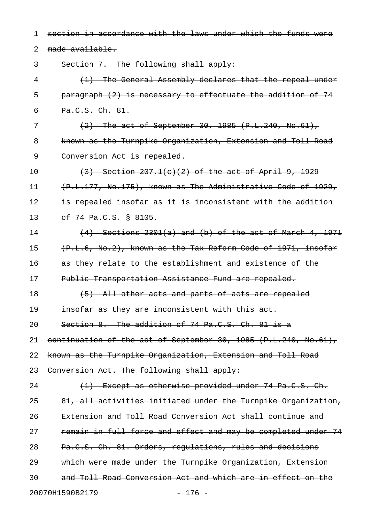1 section in accordance with the laws under which the funds were

2 made available.

3 Section 7. The following shall apply:

4 (1) The General Assembly declares that the repeal under 5 paragraph (2) is necessary to effectuate the addition of 74 6 Pa.C.S. Ch. 81.

7 (2) The act of September 30, 1985 (P.L.240, No.61), 8 known as the Turnpike Organization, Extension and Toll Road 9 Conversion Act is repealed.

10 (3) Section 207.1(c)(2) of the act of April 9, 1929 11 (P.L.177, No.175), known as The Administrative Code of 1929, 12 is repealed insofar as it is inconsistent with the addition 13 of 74 Pa.C.S. § 8105.

14 (4) Sections 2301(a) and (b) of the act of March 4, 1971 15 (P.L.6, No.2), known as the Tax Reform Code of 1971, insofar 16 as they relate to the establishment and existence of the 17 Public Transportation Assistance Fund are repealed.

18 (5) All other acts and parts of acts are repealed 19 insofar as they are inconsistent with this act. 20 Section 8. The addition of 74 Pa.C.S. Ch. 81 is a

21 continuation of the act of September 30, 1985 (P.L.240, No.61),

22 known as the Turnpike Organization, Extension and Toll Road

23 Conversion Act. The following shall apply:

24 (1) Except as otherwise provided under 74 Pa.C.S. Ch. 25 81, all activities initiated under the Turnpike Organization, 26 Extension and Toll Road Conversion Act shall continue and 27 remain in full force and effect and may be completed under 74 28 Pa.C.S. Ch. 81. Orders, regulations, rules and decisions 29 which were made under the Turnpike Organization, Extension 30 and Toll Road Conversion Act and which are in effect on the 20070H1590B2179 - 176 -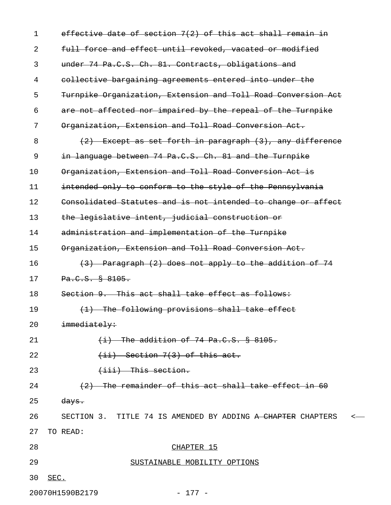| $\mathbf{1}$ | effective date of section 7(2) of this act shall remain in    |
|--------------|---------------------------------------------------------------|
| 2            | full force and effect until revoked, vacated or modified      |
| 3            | under 74 Pa.C.S. Ch. 81. Contracts, obligations and           |
| 4            | collective bargaining agreements entered into under the       |
| 5            | Turnpike Organization, Extension and Toll Road Conversion Act |
| 6            | are not affected nor impaired by the repeal of the Turnpike   |
| 7            | Organization, Extension and Toll Road Conversion Act.         |
| 8            | $(2)$ Except as set forth in paragraph $(3)$ , any difference |
| 9            | in language between 74 Pa.C.S. Ch. 81 and the Turnpike        |
| 10           | Organization, Extension and Toll Road Conversion Act is       |
| 11           | intended only to conform to the style of the Pennsylvania     |
| 12           | Consolidated Statutes and is not intended to change or affect |
| 13           | the legislative intent, judicial construction or              |
| 14           | administration and implementation of the Turnpike             |
| 15           | Organization, Extension and Toll Road Conversion Act.         |
| 16           | (3) Paragraph (2) does not apply to the addition of 74        |
| 17           | Pa.C.S. § 8105.                                               |
| 18           | Section 9. This act shall take effect as follows:             |
| 19           | (1) The following provisions shall take effect                |
| 20           | immediately:                                                  |
| 21           | $(i)$ The addition of 74 Pa.C.S. $§$ 8105.                    |
| 22           | $(iii)$ Section 7(3) of this act.                             |
| 23           | $\overline{\text{+iii}}$ This section.                        |
| 24           | (2) The remainder of this act shall take effect in 60         |
| 25           | <del>days.</del>                                              |
| 26           | SECTION 3. TITLE 74 IS AMENDED BY ADDING A CHAPTER CHAPTERS   |
| 27           | TO READ:                                                      |
| 28           | CHAPTER 15                                                    |
| 29           | SUSTAINABLE MOBILITY OPTIONS                                  |
| 30           | SEC.                                                          |
|              | 20070H1590B2179<br>$-177 -$                                   |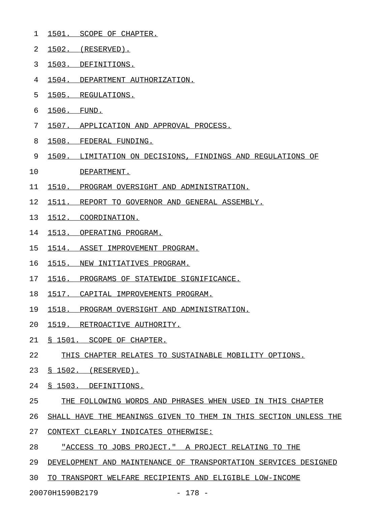- 1 1501. SCOPE OF CHAPTER.
- 2 1502. (RESERVED).
- 3 1503. DEFINITIONS.
- 4 1504. DEPARTMENT AUTHORIZATION.
- 5 1505. REGULATIONS.
- 6 1506. FUND.
- 7 1507. APPLICATION AND APPROVAL PROCESS.
- 8 1508. FEDERAL FUNDING.
- 9 1509. LIMITATION ON DECISIONS, FINDINGS AND REGULATIONS OF
- 10 DEPARTMENT.
- 11 1510. PROGRAM OVERSIGHT AND ADMINISTRATION.
- 12 1511. REPORT TO GOVERNOR AND GENERAL ASSEMBLY.
- 13 1512. COORDINATION.
- 14 1513. OPERATING PROGRAM.
- 15 1514. ASSET IMPROVEMENT PROGRAM.
- 16 1515. NEW INITIATIVES PROGRAM.
- 17 1516. PROGRAMS OF STATEWIDE SIGNIFICANCE.
- 18 1517. CAPITAL IMPROVEMENTS PROGRAM.
- 19 1518. PROGRAM OVERSIGHT AND ADMINISTRATION.
- 20 1519. RETROACTIVE AUTHORITY.
- 21 § 1501. SCOPE OF CHAPTER.
- 22 THIS CHAPTER RELATES TO SUSTAINABLE MOBILITY OPTIONS.
- 23 § 1502. (RESERVED).
- 24 § 1503. DEFINITIONS.
- 25 THE FOLLOWING WORDS AND PHRASES WHEN USED IN THIS CHAPTER
- 26 SHALL HAVE THE MEANINGS GIVEN TO THEM IN THIS SECTION UNLESS THE
- 27 CONTEXT CLEARLY INDICATES OTHERWISE:
- 28 "ACCESS TO JOBS PROJECT." A PROJECT RELATING TO THE
- 29 DEVELOPMENT AND MAINTENANCE OF TRANSPORTATION SERVICES DESIGNED
- 30 TO TRANSPORT WELFARE RECIPIENTS AND ELIGIBLE LOW-INCOME

20070H1590B2179 - 178 -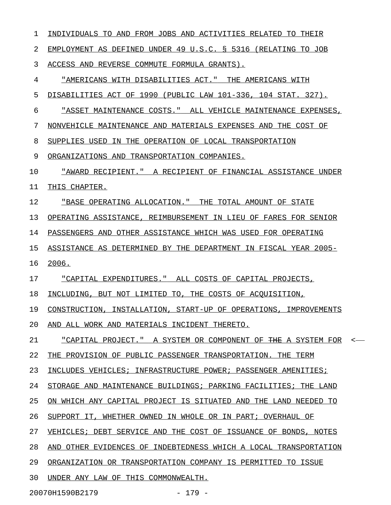1 INDIVIDUALS TO AND FROM JOBS AND ACTIVITIES RELATED TO THEIR 2 EMPLOYMENT AS DEFINED UNDER 49 U.S.C. § 5316 (RELATING TO JOB 3 ACCESS AND REVERSE COMMUTE FORMULA GRANTS). 4 "AMERICANS WITH DISABILITIES ACT." THE AMERICANS WITH 5 DISABILITIES ACT OF 1990 (PUBLIC LAW 101-336, 104 STAT. 327). 6 "ASSET MAINTENANCE COSTS." ALL VEHICLE MAINTENANCE EXPENSES, 7 NONVEHICLE MAINTENANCE AND MATERIALS EXPENSES AND THE COST OF 8 SUPPLIES USED IN THE OPERATION OF LOCAL TRANSPORTATION 9 ORGANIZATIONS AND TRANSPORTATION COMPANIES. 10 <u>"AWARD RECIPIENT." A RECIPIENT OF FINANCIAL ASSISTANCE UNDER</u> 11 THIS CHAPTER. 12 <u>"BASE OPERATING ALLOCATION." THE TOTAL AMOUNT OF STATE</u> 13 OPERATING ASSISTANCE, REIMBURSEMENT IN LIEU OF FARES FOR SENIOR 14 PASSENGERS AND OTHER ASSISTANCE WHICH WAS USED FOR OPERATING 15 ASSISTANCE AS DETERMINED BY THE DEPARTMENT IN FISCAL YEAR 2005-16 2006. 17 "CAPITAL EXPENDITURES." ALL COSTS OF CAPITAL PROJECTS, 18 INCLUDING, BUT NOT LIMITED TO, THE COSTS OF ACQUISITION, 19 CONSTRUCTION, INSTALLATION, START-UP OF OPERATIONS, IMPROVEMENTS 20 AND ALL WORK AND MATERIALS INCIDENT THERETO. 21 "CAPITAL PROJECT." A SYSTEM OR COMPONENT OF THE A SYSTEM FOR < \_\_\_\_\_\_\_\_\_\_\_\_\_\_\_\_\_\_\_\_\_\_\_\_\_\_\_\_\_\_\_\_\_\_\_\_\_\_\_\_\_\_\_\_\_\_\_\_\_\_\_\_\_\_\_\_\_\_\_\_\_ 22 THE PROVISION OF PUBLIC PASSENGER TRANSPORTATION. THE TERM 23 INCLUDES VEHICLES; INFRASTRUCTURE POWER; PASSENGER AMENITIES; 24 STORAGE AND MAINTENANCE BUILDINGS; PARKING FACILITIES; THE LAND 25 ON WHICH ANY CAPITAL PROJECT IS SITUATED AND THE LAND NEEDED TO 26 SUPPORT IT, WHETHER OWNED IN WHOLE OR IN PART; OVERHAUL OF 27 VEHICLES; DEBT SERVICE AND THE COST OF ISSUANCE OF BONDS, NOTES 28 AND OTHER EVIDENCES OF INDEBTEDNESS WHICH A LOCAL TRANSPORTATION 29 ORGANIZATION OR TRANSPORTATION COMPANY IS PERMITTED TO ISSUE 30 UNDER ANY LAW OF THIS COMMONWEALTH.

20070H1590B2179 - 179 -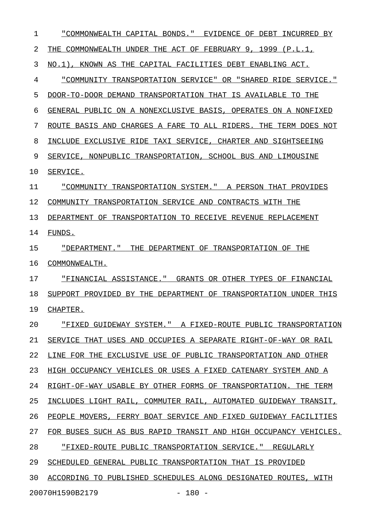| 1  | "COMMONWEALTH CAPITAL BONDS."<br>EVIDENCE OF DEBT INCURRED BY        |
|----|----------------------------------------------------------------------|
| 2  | THE COMMONWEALTH UNDER THE ACT OF FEBRUARY 9, 1999 (P.L.1,           |
| 3  | NO.1), KNOWN AS THE CAPITAL FACILITIES DEBT ENABLING ACT.            |
| 4  | "COMMUNITY TRANSPORTATION SERVICE" OR "SHARED RIDE SERVICE."         |
| 5  | DOOR-TO-DOOR DEMAND TRANSPORTATION THAT IS AVAILABLE TO THE          |
| 6  | GENERAL PUBLIC ON A NONEXCLUSIVE BASIS, OPERATES ON A NONFIXED       |
| 7  | ROUTE BASIS AND CHARGES A FARE TO ALL RIDERS. THE TERM DOES NOT      |
| 8  | INCLUDE EXCLUSIVE RIDE TAXI SERVICE, CHARTER AND SIGHTSEEING         |
| 9  | SERVICE, NONPUBLIC TRANSPORTATION, SCHOOL BUS AND LIMOUSINE          |
| 10 | SERVICE.                                                             |
| 11 | "COMMUNITY TRANSPORTATION SYSTEM." A PERSON THAT PROVIDES            |
| 12 | COMMUNITY TRANSPORTATION SERVICE AND CONTRACTS WITH THE              |
| 13 | DEPARTMENT OF TRANSPORTATION TO RECEIVE REVENUE REPLACEMENT          |
| 14 | FUNDS.                                                               |
| 15 | "DEPARTMENT." THE DEPARTMENT OF TRANSPORTATION OF THE                |
| 16 | COMMONWEALTH.                                                        |
| 17 | "FINANCIAL ASSISTANCE." GRANTS OR OTHER TYPES OF FINANCIAL           |
| 18 | SUPPORT PROVIDED BY THE DEPARTMENT OF TRANSPORTATION UNDER THIS      |
| 19 | CHAPTER.                                                             |
| 20 | <u> "FIXED GUIDEWAY SYSTEM." A FIXED-ROUTE PUBLIC TRANSPORTATION</u> |
| 21 | SERVICE THAT USES AND OCCUPIES A SEPARATE RIGHT-OF-WAY OR RAIL       |
| 22 | LINE FOR THE EXCLUSIVE USE OF PUBLIC TRANSPORTATION AND OTHER        |
| 23 | HIGH OCCUPANCY VEHICLES OR USES A FIXED CATENARY SYSTEM AND A        |
| 24 | RIGHT-OF-WAY USABLE BY OTHER FORMS OF TRANSPORTATION. THE TERM       |
| 25 | INCLUDES LIGHT RAIL, COMMUTER RAIL, AUTOMATED GUIDEWAY TRANSIT,      |
| 26 | PEOPLE MOVERS, FERRY BOAT SERVICE AND FIXED GUIDEWAY FACILITIES      |
| 27 | FOR BUSES SUCH AS BUS RAPID TRANSIT AND HIGH OCCUPANCY VEHICLES.     |
| 28 | <u> "FIXED-ROUTE PUBLIC TRANSPORTATION SERVICE." REGULARLY</u>       |
| 29 | SCHEDULED GENERAL PUBLIC TRANSPORTATION THAT IS PROVIDED             |
| 30 | ACCORDING TO PUBLISHED SCHEDULES ALONG DESIGNATED ROUTES, WITH       |
|    | 20070H1590B2179<br>- 180 -                                           |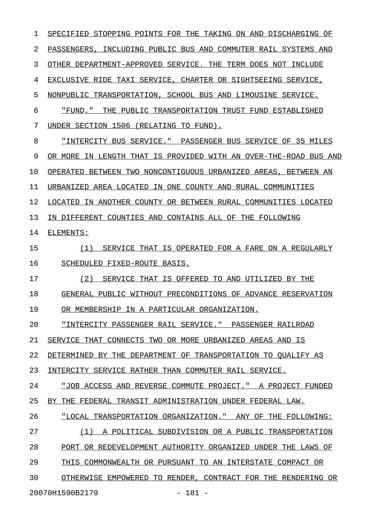1 SPECIFIED STOPPING POINTS FOR THE TAKING ON AND DISCHARGING OF 2 PASSENGERS, INCLUDING PUBLIC BUS AND COMMUTER RAIL SYSTEMS AND 3 OTHER DEPARTMENT-APPROVED SERVICE. THE TERM DOES NOT INCLUDE 4 EXCLUSIVE RIDE TAXI SERVICE, CHARTER OR SIGHTSEEING SERVICE, 5 NONPUBLIC TRANSPORTATION, SCHOOL BUS AND LIMOUSINE SERVICE.  $6$  "FUND." THE PUBLIC TRANSPORTATION TRUST FUND ESTABLISHED 7 UNDER SECTION 1506 (RELATING TO FUND). 8 "INTERCITY BUS SERVICE." PASSENGER BUS SERVICE OF 35 MILES 9 OR MORE IN LENGTH THAT IS PROVIDED WITH AN OVER-THE-ROAD BUS AND 10 OPERATED BETWEEN TWO NONCONTIGUOUS URBANIZED AREAS, BETWEEN AN 11 URBANIZED AREA LOCATED IN ONE COUNTY AND RURAL COMMUNITIES 12 LOCATED IN ANOTHER COUNTY OR BETWEEN RURAL COMMUNITIES LOCATED 13 IN DIFFERENT COUNTIES AND CONTAINS ALL OF THE FOLLOWING 14 ELEMENTS: 15  $(1)$  SERVICE THAT IS OPERATED FOR A FARE ON A REGULARLY 16 SCHEDULED FIXED-ROUTE BASIS. 17 (2) SERVICE THAT IS OFFERED TO AND UTILIZED BY THE 18 GENERAL PUBLIC WITHOUT PRECONDITIONS OF ADVANCE RESERVATION 19 OR MEMBERSHIP IN A PARTICULAR ORGANIZATION. 20 **"INTERCITY PASSENGER RAIL SERVICE." PASSENGER RAILROAD** 21 SERVICE THAT CONNECTS TWO OR MORE URBANIZED AREAS AND IS 22 DETERMINED BY THE DEPARTMENT OF TRANSPORTATION TO QUALIFY AS 23 INTERCITY SERVICE RATHER THAN COMMUTER RAIL SERVICE. 24 "JOB ACCESS AND REVERSE COMMUTE PROJECT." A PROJECT FUNDED 25 BY THE FEDERAL TRANSIT ADMINISTRATION UNDER FEDERAL LAW. 26 "LOCAL TRANSPORTATION ORGANIZATION." ANY OF THE FOLLOWING: 27 (1) A POLITICAL SUBDIVISION OR A PUBLIC TRANSPORTATION 28 PORT OR REDEVELOPMENT AUTHORITY ORGANIZED UNDER THE LAWS OF 29 THIS COMMONWEALTH OR PURSUANT TO AN INTERSTATE COMPACT OR 30 OTHERWISE EMPOWERED TO RENDER, CONTRACT FOR THE RENDERING OR 20070H1590B2179 - 181 -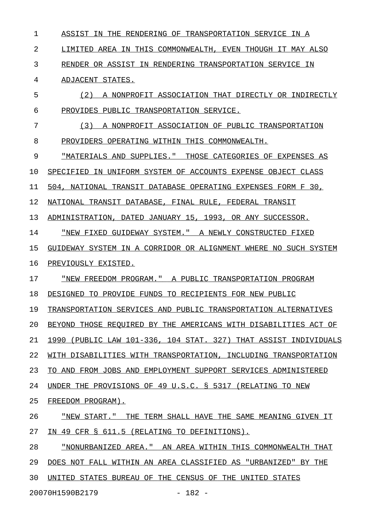1 ASSIST IN THE RENDERING OF TRANSPORTATION SERVICE IN A 2 LIMITED AREA IN THIS COMMONWEALTH, EVEN THOUGH IT MAY ALSO 3 RENDER OR ASSIST IN RENDERING TRANSPORTATION SERVICE IN 4 ADJACENT STATES. 5 (2) A NONPROFIT ASSOCIATION THAT DIRECTLY OR INDIRECTLY 6 PROVIDES PUBLIC TRANSPORTATION SERVICE. 7 (3) A NONPROFIT ASSOCIATION OF PUBLIC TRANSPORTATION 8 PROVIDERS OPERATING WITHIN THIS COMMONWEALTH. 9 TMATERIALS AND SUPPLIES." THOSE CATEGORIES OF EXPENSES AS 10 SPECIFIED IN UNIFORM SYSTEM OF ACCOUNTS EXPENSE OBJECT CLASS 11 504, NATIONAL TRANSIT DATABASE OPERATING EXPENSES FORM F 30, 12 NATIONAL TRANSIT DATABASE, FINAL RULE, FEDERAL TRANSIT 13 ADMINISTRATION, DATED JANUARY 15, 1993, OR ANY SUCCESSOR. 14 "NEW FIXED GUIDEWAY SYSTEM." A NEWLY CONSTRUCTED FIXED 15 GUIDEWAY SYSTEM IN A CORRIDOR OR ALIGNMENT WHERE NO SUCH SYSTEM 16 PREVIOUSLY EXISTED. 17 • "NEW FREEDOM PROGRAM." A PUBLIC TRANSPORTATION PROGRAM 18 DESIGNED TO PROVIDE FUNDS TO RECIPIENTS FOR NEW PUBLIC 19 TRANSPORTATION SERVICES AND PUBLIC TRANSPORTATION ALTERNATIVES 20 BEYOND THOSE REQUIRED BY THE AMERICANS WITH DISABILITIES ACT OF 21 1990 (PUBLIC LAW 101-336, 104 STAT. 327) THAT ASSIST INDIVIDUALS 22 WITH DISABILITIES WITH TRANSPORTATION, INCLUDING TRANSPORTATION 23 TO AND FROM JOBS AND EMPLOYMENT SUPPORT SERVICES ADMINISTERED 24 UNDER THE PROVISIONS OF 49 U.S.C. § 5317 (RELATING TO NEW 25 FREEDOM PROGRAM). 26 "NEW START." THE TERM SHALL HAVE THE SAME MEANING GIVEN IT \_\_\_\_\_\_\_\_\_\_\_\_\_\_\_\_\_\_\_\_\_\_\_\_\_\_\_\_\_\_\_\_\_\_\_\_\_\_\_\_\_\_\_\_\_\_\_\_\_\_\_\_\_\_\_\_\_\_\_ 27 IN 49 CFR § 611.5 (RELATING TO DEFINITIONS). 28 "NONURBANIZED AREA." AN AREA WITHIN THIS COMMONWEALTH THAT 29 DOES NOT FALL WITHIN AN AREA CLASSIFIED AS "URBANIZED" BY THE 30 UNITED STATES BUREAU OF THE CENSUS OF THE UNITED STATES

20070H1590B2179 - 182 -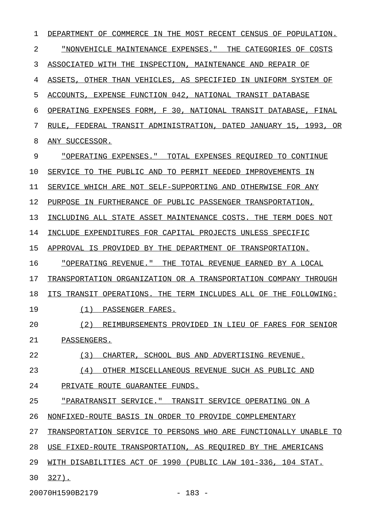1 DEPARTMENT OF COMMERCE IN THE MOST RECENT CENSUS OF POPULATION. 2 "NONVEHICLE MAINTENANCE EXPENSES." THE CATEGORIES OF COSTS \_\_\_\_\_\_\_\_\_\_\_\_\_\_\_\_\_\_\_\_\_\_\_\_\_\_\_\_\_\_\_\_\_\_\_\_\_\_\_\_\_\_\_\_\_\_\_\_\_\_\_\_\_\_\_\_\_\_\_ 3 ASSOCIATED WITH THE INSPECTION, MAINTENANCE AND REPAIR OF 4 ASSETS, OTHER THAN VEHICLES, AS SPECIFIED IN UNIFORM SYSTEM OF 5 ACCOUNTS, EXPENSE FUNCTION 042, NATIONAL TRANSIT DATABASE 6 OPERATING EXPENSES FORM, F 30, NATIONAL TRANSIT DATABASE, FINAL 7 RULE, FEDERAL TRANSIT ADMINISTRATION, DATED JANUARY 15, 1993, OR 8 ANY SUCCESSOR. 9 " OPERATING EXPENSES." TOTAL EXPENSES REQUIRED TO CONTINUE 10 SERVICE TO THE PUBLIC AND TO PERMIT NEEDED IMPROVEMENTS IN 11 SERVICE WHICH ARE NOT SELF-SUPPORTING AND OTHERWISE FOR ANY 12 PURPOSE IN FURTHERANCE OF PUBLIC PASSENGER TRANSPORTATION, 13 INCLUDING ALL STATE ASSET MAINTENANCE COSTS. THE TERM DOES NOT 14 INCLUDE EXPENDITURES FOR CAPITAL PROJECTS UNLESS SPECIFIC 15 APPROVAL IS PROVIDED BY THE DEPARTMENT OF TRANSPORTATION. 16 "OPERATING REVENUE." THE TOTAL REVENUE EARNED BY A LOCAL 17 TRANSPORTATION ORGANIZATION OR A TRANSPORTATION COMPANY THROUGH 18 ITS TRANSIT OPERATIONS. THE TERM INCLUDES ALL OF THE FOLLOWING: 19 (1) PASSENGER FARES. 20 (2) REIMBURSEMENTS PROVIDED IN LIEU OF FARES FOR SENIOR 21 PASSENGERS. 22 (3) CHARTER, SCHOOL BUS AND ADVERTISING REVENUE. 23 (4) OTHER MISCELLANEOUS REVENUE SUCH AS PUBLIC AND 24 PRIVATE ROUTE GUARANTEE FUNDS. 25 "PARATRANSIT SERVICE." TRANSIT SERVICE OPERATING ON A 26 NONFIXED-ROUTE BASIS IN ORDER TO PROVIDE COMPLEMENTARY 27 TRANSPORTATION SERVICE TO PERSONS WHO ARE FUNCTIONALLY UNABLE TO 28 USE FIXED-ROUTE TRANSPORTATION, AS REQUIRED BY THE AMERICANS 29 WITH DISABILITIES ACT OF 1990 (PUBLIC LAW 101-336, 104 STAT. 30 327). \_\_\_\_\_

20070H1590B2179 - 183 -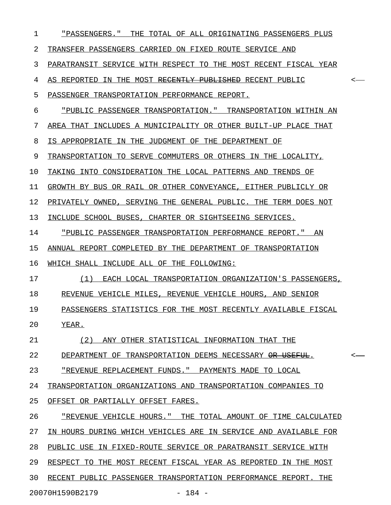| 1  | "PASSENGERS." THE TOTAL OF ALL ORIGINATING PASSENGERS PLUS                       |
|----|----------------------------------------------------------------------------------|
| 2  | TRANSFER PASSENGERS CARRIED ON FIXED ROUTE SERVICE AND                           |
| 3  | PARATRANSIT SERVICE WITH RESPECT TO THE MOST RECENT FISCAL YEAR                  |
| 4  | AS REPORTED IN THE MOST RECENTLY PUBLISHED RECENT PUBLIC<br><-                   |
| 5  | PASSENGER TRANSPORTATION PERFORMANCE REPORT.                                     |
| 6  | "PUBLIC PASSENGER TRANSPORTATION." TRANSPORTATION WITHIN AN                      |
| 7  | AREA THAT INCLUDES A MUNICIPALITY OR OTHER BUILT-UP PLACE THAT                   |
| 8  | IS APPROPRIATE IN THE JUDGMENT OF THE DEPARTMENT OF                              |
| 9  | TRANSPORTATION TO SERVE COMMUTERS OR OTHERS IN THE LOCALITY,                     |
| 10 | TAKING INTO CONSIDERATION THE LOCAL PATTERNS AND TRENDS OF                       |
| 11 | GROWTH BY BUS OR RAIL OR OTHER CONVEYANCE, EITHER PUBLICLY OR                    |
| 12 | PRIVATELY OWNED, SERVING THE GENERAL PUBLIC. THE TERM DOES NOT                   |
| 13 | INCLUDE SCHOOL BUSES, CHARTER OR SIGHTSEEING SERVICES.                           |
| 14 | "PUBLIC PASSENGER TRANSPORTATION PERFORMANCE REPORT." AN                         |
| 15 | ANNUAL REPORT COMPLETED BY THE DEPARTMENT OF TRANSPORTATION                      |
| 16 | WHICH SHALL INCLUDE ALL OF THE FOLLOWING:                                        |
| 17 | (1)<br>EACH LOCAL TRANSPORTATION ORGANIZATION'S PASSENGERS,                      |
| 18 | REVENUE VEHICLE MILES, REVENUE VEHICLE HOURS, AND SENIOR                         |
| 19 | PASSENGERS STATISTICS FOR THE MOST RECENTLY AVAILABLE FISCAL                     |
| 20 | YEAR.                                                                            |
| 21 | (2) ANY OTHER STATISTICAL INFORMATION THAT THE                                   |
| 22 | DEPARTMENT OF TRANSPORTATION DEEMS NECESSARY <del>OR USEFUL</del> .<br>$\prec$ - |
| 23 | "REVENUE REPLACEMENT FUNDS." PAYMENTS MADE TO LOCAL                              |
| 24 | TRANSPORTATION ORGANIZATIONS AND TRANSPORTATION COMPANIES TO                     |
| 25 | OFFSET OR PARTIALLY OFFSET FARES.                                                |
| 26 | "REVENUE VEHICLE HOURS." THE TOTAL AMOUNT OF TIME CALCULATED                     |
| 27 | IN HOURS DURING WHICH VEHICLES ARE IN SERVICE AND AVAILABLE FOR                  |
| 28 | PUBLIC USE IN FIXED-ROUTE SERVICE OR PARATRANSIT SERVICE WITH                    |
| 29 | RESPECT TO THE MOST RECENT FISCAL YEAR AS REPORTED IN THE MOST                   |
| 30 | RECENT PUBLIC PASSENGER TRANSPORTATION PERFORMANCE REPORT. THE                   |
|    | 20070H1590B2179<br>$-184 -$                                                      |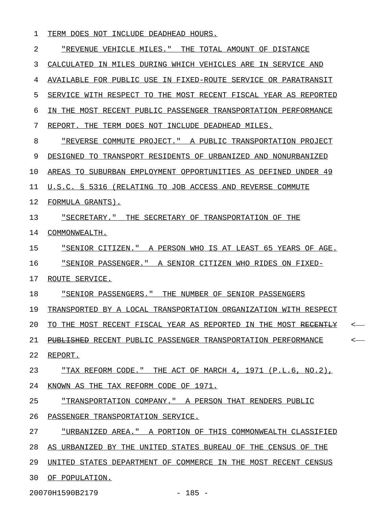1 TERM DOES NOT INCLUDE DEADHEAD HOURS.

2 "REVENUE VEHICLE MILES." THE TOTAL AMOUNT OF DISTANCE 3 CALCULATED IN MILES DURING WHICH VEHICLES ARE IN SERVICE AND 4 AVAILABLE FOR PUBLIC USE IN FIXED-ROUTE SERVICE OR PARATRANSIT 5 SERVICE WITH RESPECT TO THE MOST RECENT FISCAL YEAR AS REPORTED 6 IN THE MOST RECENT PUBLIC PASSENGER TRANSPORTATION PERFORMANCE 7 REPORT. THE TERM DOES NOT INCLUDE DEADHEAD MILES. 8 "REVERSE COMMUTE PROJECT." A PUBLIC TRANSPORTATION PROJECT 9 DESIGNED TO TRANSPORT RESIDENTS OF URBANIZED AND NONURBANIZED 10 AREAS TO SUBURBAN EMPLOYMENT OPPORTUNITIES AS DEFINED UNDER 49 11 U.S.C. § 5316 (RELATING TO JOB ACCESS AND REVERSE COMMUTE 12 FORMULA GRANTS). 13 "SECRETARY." THE SECRETARY OF TRANSPORTATION OF THE 14 COMMONWEALTH. 15 "SENIOR CITIZEN." A PERSON WHO IS AT LEAST 65 YEARS OF AGE. 16 "SENIOR PASSENGER." A SENIOR CITIZEN WHO RIDES ON FIXED-17 ROUTE SERVICE. 18 • SENIOR PASSENGERS. " THE NUMBER OF SENIOR PASSENGERS 19 TRANSPORTED BY A LOCAL TRANSPORTATION ORGANIZATION WITH RESPECT 20 TO THE MOST RECENT FISCAL YEAR AS REPORTED IN THE MOST R<del>ECENTLY</del> <-21 PUBLISHED RECENT PUBLIC PASSENGER TRANSPORTATION PERFORMANCE <-22 REPORT. 23 THAX REFORM CODE." THE ACT OF MARCH 4, 1971 (P.L.6, NO.2), 24 KNOWN AS THE TAX REFORM CODE OF 1971. 25 "TRANSPORTATION COMPANY." A PERSON THAT RENDERS PUBLIC 26 PASSENGER TRANSPORTATION SERVICE. 27 "URBANIZED AREA." A PORTION OF THIS COMMONWEALTH CLASSIFIED 28 AS URBANIZED BY THE UNITED STATES BUREAU OF THE CENSUS OF THE 29 UNITED STATES DEPARTMENT OF COMMERCE IN THE MOST RECENT CENSUS

20070H1590B2179 - 185 -

30 OF POPULATION.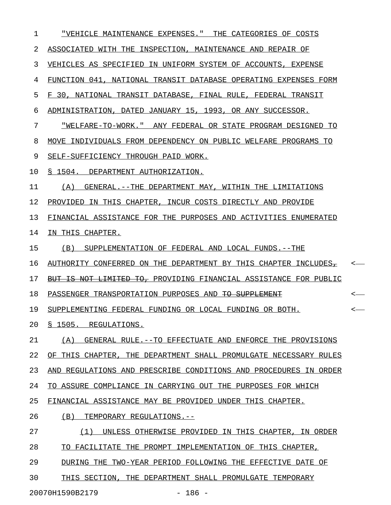| 1  | <u> "VEHICLE MAINTENANCE EXPENSES." THE CATEGORIES OF COSTS</u>             |                  |
|----|-----------------------------------------------------------------------------|------------------|
| 2  | ASSOCIATED WITH THE INSPECTION, MAINTENANCE AND REPAIR OF                   |                  |
| 3  | VEHICLES AS SPECIFIED IN UNIFORM SYSTEM OF ACCOUNTS, EXPENSE                |                  |
| 4  | FUNCTION 041, NATIONAL TRANSIT DATABASE OPERATING EXPENSES FORM             |                  |
| 5  | F 30, NATIONAL TRANSIT DATABASE, FINAL RULE, FEDERAL TRANSIT                |                  |
| 6  | ADMINISTRATION, DATED JANUARY 15, 1993, OR ANY SUCCESSOR.                   |                  |
| 7  | <u> "WELFARE-TO-WORK." ANY FEDERAL OR STATE PROGRAM DESIGNED TO</u>         |                  |
| 8  | MOVE INDIVIDUALS FROM DEPENDENCY ON PUBLIC WELFARE PROGRAMS TO              |                  |
| 9  | SELF-SUFFICIENCY THROUGH PAID WORK.                                         |                  |
| 10 | S 1504. DEPARTMENT AUTHORIZATION.                                           |                  |
| 11 | GENERAL. -- THE DEPARTMENT MAY, WITHIN THE LIMITATIONS<br>(A)               |                  |
| 12 | PROVIDED IN THIS CHAPTER, INCUR COSTS DIRECTLY AND PROVIDE                  |                  |
| 13 | FINANCIAL ASSISTANCE FOR THE PURPOSES AND ACTIVITIES ENUMERATED             |                  |
| 14 | IN THIS CHAPTER.                                                            |                  |
| 15 | SUPPLEMENTATION OF FEDERAL AND LOCAL FUNDS. --THE<br>(B)                    |                  |
| 16 | AUTHORITY CONFERRED ON THE DEPARTMENT BY THIS CHAPTER INCLUDES <sub>7</sub> | $\longleftarrow$ |
| 17 | BUT IS NOT LIMITED TO, PROVIDING FINANCIAL ASSISTANCE FOR PUBLIC            |                  |
| 18 | PASSENGER TRANSPORTATION PURPOSES AND TO SUPPLEMENT                         | <—               |
| 19 | SUPPLEMENTING FEDERAL FUNDING OR LOCAL FUNDING OR BOTH.                     | <—               |
| 20 | § 1505. REGULATIONS.                                                        |                  |
| 21 | GENERAL RULE. -- TO EFFECTUATE AND ENFORCE THE PROVISIONS<br>(A)            |                  |
| 22 | OF THIS CHAPTER, THE DEPARTMENT SHALL PROMULGATE NECESSARY RULES            |                  |
| 23 | AND REGULATIONS AND PRESCRIBE CONDITIONS AND PROCEDURES IN ORDER            |                  |
| 24 | TO ASSURE COMPLIANCE IN CARRYING OUT THE PURPOSES FOR WHICH                 |                  |
| 25 | FINANCIAL ASSISTANCE MAY BE PROVIDED UNDER THIS CHAPTER.                    |                  |
| 26 | (B)<br>TEMPORARY REGULATIONS.--                                             |                  |
| 27 | UNLESS OTHERWISE PROVIDED IN THIS CHAPTER, IN ORDER<br>(1)                  |                  |
| 28 | TO FACILITATE THE PROMPT IMPLEMENTATION OF THIS CHAPTER,                    |                  |
| 29 | DURING THE TWO-YEAR PERIOD FOLLOWING THE EFFECTIVE DATE OF                  |                  |
| 30 | THIS SECTION, THE DEPARTMENT SHALL PROMULGATE TEMPORARY                     |                  |

20070H1590B2179 - 186 -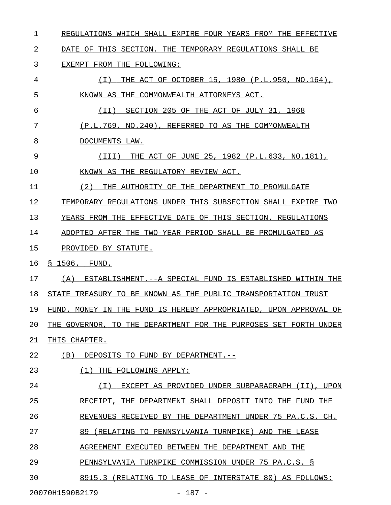1 REGULATIONS WHICH SHALL EXPIRE FOUR YEARS FROM THE EFFECTIVE

2 DATE OF THIS SECTION. THE TEMPORARY REGULATIONS SHALL BE

## 3 EXEMPT FROM THE FOLLOWING:

4 (I) THE ACT OF OCTOBER 15, 1980 (P.L.950, NO.164), \_\_\_\_\_\_\_\_\_\_\_\_\_\_\_\_\_\_\_\_\_\_\_\_\_\_\_\_\_\_\_\_\_\_\_\_\_\_\_\_\_\_\_\_\_\_\_\_\_\_\_ 5 KNOWN AS THE COMMONWEALTH ATTORNEYS ACT. 6 • (II) SECTION 205 OF THE ACT OF JULY 31, 1968 7 (P.L.769, NO.240), REFERRED TO AS THE COMMONWEALTH \_\_\_\_\_\_\_\_\_\_\_\_\_\_\_\_\_\_\_\_\_\_\_\_\_\_\_\_\_\_\_\_\_\_\_\_\_\_\_\_\_\_\_\_\_\_\_\_\_\_ 8 DOCUMENTS LAW.

9 (III) THE ACT OF JUNE 25, 1982 (P.L.633, NO.181), 10 KNOWN AS THE REGULATORY REVIEW ACT.

11 (2) THE AUTHORITY OF THE DEPARTMENT TO PROMULGATE

12 TEMPORARY REGULATIONS UNDER THIS SUBSECTION SHALL EXPIRE TWO

13 YEARS FROM THE EFFECTIVE DATE OF THIS SECTION. REGULATIONS

14 ADOPTED AFTER THE TWO-YEAR PERIOD SHALL BE PROMULGATED AS

15 PROVIDED BY STATUTE.

16 § 1506. FUND.

17 (A) ESTABLISHMENT.--A SPECIAL FUND IS ESTABLISHED WITHIN THE 18 STATE TREASURY TO BE KNOWN AS THE PUBLIC TRANSPORTATION TRUST

19 FUND. MONEY IN THE FUND IS HEREBY APPROPRIATED, UPON APPROVAL OF

20 THE GOVERNOR, TO THE DEPARTMENT FOR THE PURPOSES SET FORTH UNDER

- 21 THIS CHAPTER.
- 22 (B) DEPOSITS TO FUND BY DEPARTMENT.--
- 

23 (1) THE FOLLOWING APPLY:

24 (I) EXCEPT AS PROVIDED UNDER SUBPARAGRAPH (II), UPON 25 RECEIPT, THE DEPARTMENT SHALL DEPOSIT INTO THE FUND THE 26 REVENUES RECEIVED BY THE DEPARTMENT UNDER 75 PA.C.S. CH. 27 89 (RELATING TO PENNSYLVANIA TURNPIKE) AND THE LEASE 28 AGREEMENT EXECUTED BETWEEN THE DEPARTMENT AND THE 29 PENNSYLVANIA TURNPIKE COMMISSION UNDER 75 PA.C.S. § 30 8915.3 (RELATING TO LEASE OF INTERSTATE 80) AS FOLLOWS: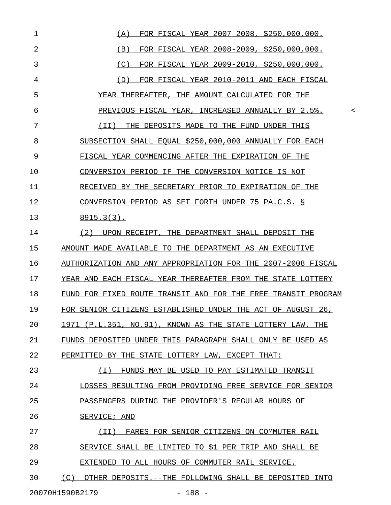| $\mathbf 1$ | FOR FISCAL YEAR 2007-2008, \$250,000,000.<br>(A)              |       |
|-------------|---------------------------------------------------------------|-------|
| 2           | FOR FISCAL YEAR 2008-2009, \$250,000,000.<br>(B)              |       |
| 3           | FOR FISCAL YEAR 2009-2010, \$250,000,000.<br>(C)              |       |
| 4           | FOR FISCAL YEAR 2010-2011 AND EACH FISCAL<br>(D)              |       |
| 5           | YEAR THEREAFTER, THE AMOUNT CALCULATED FOR THE                |       |
| 6           | PREVIOUS FISCAL YEAR, INCREASED ANNUALLY BY 2.5%.             | $\,<$ |
| 7           | (II)<br>THE DEPOSITS MADE TO THE FUND UNDER THIS              |       |
| 8           | SUBSECTION SHALL EQUAL \$250,000,000 ANNUALLY FOR EACH        |       |
| 9           | FISCAL YEAR COMMENCING AFTER THE EXPIRATION OF THE            |       |
| 10          | CONVERSION PERIOD IF THE CONVERSION NOTICE IS NOT             |       |
| 11          | RECEIVED BY THE SECRETARY PRIOR TO EXPIRATION OF THE          |       |
| 12          | CONVERSION PERIOD AS SET FORTH UNDER 75 PA.C.S. §             |       |
| 13          | $8915.3(3)$ .                                                 |       |
| 14          | (2)<br>UPON RECEIPT, THE DEPARTMENT SHALL DEPOSIT THE         |       |
| 15          | AMOUNT MADE AVAILABLE TO THE DEPARTMENT AS AN EXECUTIVE       |       |
| 16          | AUTHORIZATION AND ANY APPROPRIATION FOR THE 2007-2008 FISCAL  |       |
| 17          | YEAR AND EACH FISCAL YEAR THEREAFTER FROM THE STATE LOTTERY   |       |
| 18          | FUND FOR FIXED ROUTE TRANSIT AND FOR THE FREE TRANSIT PROGRAM |       |
| 19          | FOR SENIOR CITIZENS ESTABLISHED UNDER THE ACT OF AUGUST 26,   |       |
| 20          | 1971 (P.L.351, NO.91), KNOWN AS THE STATE LOTTERY LAW. THE    |       |
| 21          | FUNDS DEPOSITED UNDER THIS PARAGRAPH SHALL ONLY BE USED AS    |       |
| 22          | PERMITTED BY THE STATE LOTTERY LAW, EXCEPT THAT:              |       |
| 23          | ( I )<br>FUNDS MAY BE USED TO PAY ESTIMATED TRANSIT           |       |
| 24          | LOSSES RESULTING FROM PROVIDING FREE SERVICE FOR SENIOR       |       |
| 25          | PASSENGERS DURING THE PROVIDER'S REGULAR HOURS OF             |       |
| 26          | SERVICE; AND                                                  |       |
| 27          | (II)<br>FARES FOR SENIOR CITIZENS ON COMMUTER RAIL            |       |
| 28          | SERVICE SHALL BE LIMITED TO \$1 PER TRIP AND SHALL BE         |       |
| 29          | EXTENDED TO ALL HOURS OF COMMUTER RAIL SERVICE.               |       |
| 30          | (C)<br>OTHER DEPOSITS.--THE FOLLOWING SHALL BE DEPOSITED INTO |       |
|             |                                                               |       |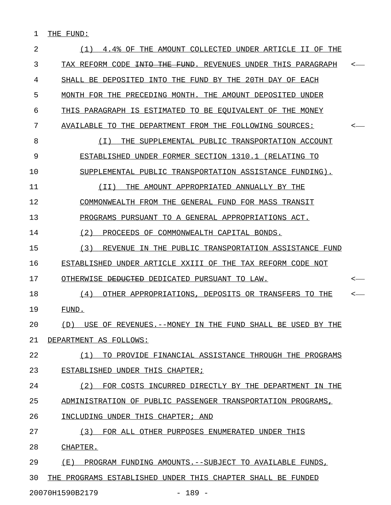## 1 THE FUND:

| 2  | 4.4% OF THE AMOUNT COLLECTED UNDER ARTICLE II OF THE<br>(1)              |  |
|----|--------------------------------------------------------------------------|--|
| 3  | TAX REFORM CODE <del>INTO THE FUND</del> . REVENUES UNDER THIS PARAGRAPH |  |
| 4  | SHALL BE DEPOSITED INTO THE FUND BY THE 20TH DAY OF EACH                 |  |
| 5  | MONTH FOR THE PRECEDING MONTH. THE AMOUNT DEPOSITED UNDER                |  |
| 6  | THIS PARAGRAPH IS ESTIMATED TO BE EOUIVALENT OF THE MONEY                |  |
| 7  | AVAILABLE TO THE DEPARTMENT FROM THE FOLLOWING SOURCES:                  |  |
| 8  | ( I )<br>THE SUPPLEMENTAL PUBLIC TRANSPORTATION ACCOUNT                  |  |
| 9  | ESTABLISHED UNDER FORMER SECTION 1310.1 (RELATING TO                     |  |
| 10 | SUPPLEMENTAL PUBLIC TRANSPORTATION ASSISTANCE FUNDING).                  |  |
| 11 | ( I I )<br>THE AMOUNT APPROPRIATED ANNUALLY BY THE                       |  |
| 12 | COMMONWEALTH FROM THE GENERAL FUND FOR MASS TRANSIT                      |  |
| 13 | PROGRAMS PURSUANT TO A GENERAL APPROPRIATIONS ACT.                       |  |
| 14 | (2)<br>PROCEEDS OF COMMONWEALTH CAPITAL BONDS.                           |  |
| 15 | REVENUE IN THE PUBLIC TRANSPORTATION ASSISTANCE FUND<br>(3)              |  |
| 16 | ESTABLISHED UNDER ARTICLE XXIII OF THE TAX REFORM CODE NOT               |  |
| 17 | OTHERWISE DEDUCTED DEDICATED PURSUANT TO LAW.                            |  |
| 18 | OTHER APPROPRIATIONS, DEPOSITS OR TRANSFERS TO THE<br>(4)                |  |
| 19 | FUND.                                                                    |  |
| 20 | (D) USE OF REVENUES.--MONEY IN THE FUND SHALL BE USED BY THE             |  |
| 21 | DEPARTMENT AS FOLLOWS:                                                   |  |
| 22 | (1) TO PROVIDE FINANCIAL ASSISTANCE THROUGH THE PROGRAMS                 |  |
| 23 | ESTABLISHED UNDER THIS CHAPTER;                                          |  |
|    |                                                                          |  |
| 24 | (2) FOR COSTS INCURRED DIRECTLY BY THE DEPARTMENT IN THE                 |  |
| 25 | ADMINISTRATION OF PUBLIC PASSENGER TRANSPORTATION PROGRAMS,              |  |
| 26 | INCLUDING UNDER THIS CHAPTER; AND                                        |  |
| 27 | (3) FOR ALL OTHER PURPOSES ENUMERATED UNDER THIS                         |  |
| 28 | CHAPTER.                                                                 |  |
| 29 | (E) PROGRAM FUNDING AMOUNTS.--SUBJECT TO AVAILABLE FUNDS,                |  |
| 30 | THE PROGRAMS ESTABLISHED UNDER THIS CHAPTER SHALL BE FUNDED              |  |

20070H1590B2179 - 189 -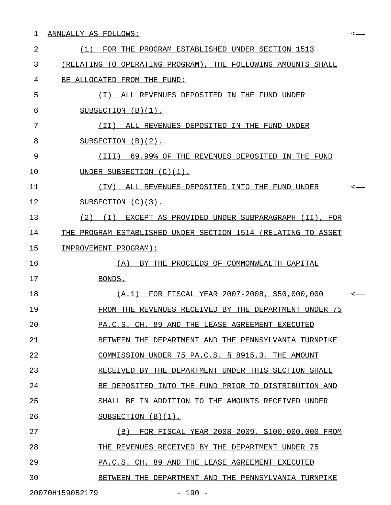## 1 ANNUALLY AS FOLLOWS:  $\leftarrow$

| 2  | (1) FOR THE PROGRAM ESTABLISHED UNDER SECTION 1513            |              |
|----|---------------------------------------------------------------|--------------|
| 3  | (RELATING TO OPERATING PROGRAM), THE FOLLOWING AMOUNTS SHALL  |              |
| 4  | BE ALLOCATED FROM THE FUND:                                   |              |
| 5  | ALL REVENUES DEPOSITED IN THE FUND UNDER<br>(T)               |              |
| 6  | SUBSECTION $(B)(1)$ .                                         |              |
| 7  | (II) ALL REVENUES DEPOSITED IN THE FUND UNDER                 |              |
| 8  | SUBSECTION $(B)(2)$ .                                         |              |
| 9  | (III) 69.99% OF THE REVENUES DEPOSITED IN THE FUND            |              |
| 10 | UNDER SUBSECTION (C)(1).                                      |              |
| 11 | (IV) ALL REVENUES DEPOSITED INTO THE FUND UNDER               | $\leftarrow$ |
| 12 | SUBSECTION $(C)(3)$ .                                         |              |
| 13 | (2) (I) EXCEPT AS PROVIDED UNDER SUBPARAGRAPH (II), FOR       |              |
| 14 | THE PROGRAM ESTABLISHED UNDER SECTION 1514 (RELATING TO ASSET |              |
| 15 | IMPROVEMENT PROGRAM):                                         |              |
| 16 | BY THE PROCEEDS OF COMMONWEALTH CAPITAL<br>(A)                |              |
| 17 | BONDS.                                                        |              |
| 18 | $(A.1)$ FOR FISCAL YEAR 2007-2008, \$50,000,000               | $\leftarrow$ |
| 19 | FROM THE REVENUES RECEIVED BY THE DEPARTMENT UNDER 75         |              |
| 20 | PA.C.S. CH. 89 AND THE LEASE AGREEMENT EXECUTED               |              |
| 21 | BETWEEN THE DEPARTMENT AND THE PENNSYLVANIA TURNPIKE          |              |
| 22 | COMMISSION UNDER 75 PA.C.S. § 8915.3. THE AMOUNT              |              |
| 23 | RECEIVED BY THE DEPARTMENT UNDER THIS SECTION SHALL           |              |
| 24 | BE DEPOSITED INTO THE FUND PRIOR TO DISTRIBUTION AND          |              |
| 25 | SHALL BE IN ADDITION TO THE AMOUNTS RECEIVED UNDER            |              |
| 26 | SUBSECTION $(B)(1)$ .                                         |              |
| 27 | FOR FISCAL YEAR 2008-2009, \$100,000,000 FROM<br>(B)          |              |
| 28 | THE REVENUES RECEIVED BY THE DEPARTMENT UNDER 75              |              |
| 29 | PA.C.S. CH. 89 AND THE LEASE AGREEMENT EXECUTED               |              |
| 30 | BETWEEN THE DEPARTMENT AND THE PENNSYLVANIA TURNPIKE          |              |
|    | 20070H1590B2179<br>$-190 -$                                   |              |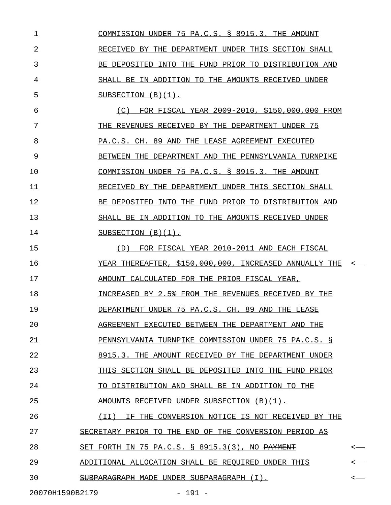1 COMMISSION UNDER 75 PA.C.S. § 8915.3. THE AMOUNT 2 RECEIVED BY THE DEPARTMENT UNDER THIS SECTION SHALL 3 BE DEPOSITED INTO THE FUND PRIOR TO DISTRIBUTION AND 4 SHALL BE IN ADDITION TO THE AMOUNTS RECEIVED UNDER \_\_\_\_\_\_\_\_\_\_\_\_\_\_\_\_\_\_\_\_\_\_\_\_\_\_\_\_\_\_\_\_\_\_\_\_\_\_\_\_\_\_\_\_\_\_\_\_\_\_ 5 SUBSECTION (B)(1). 6 (C) FOR FISCAL YEAR 2009-2010, \$150,000,000 FROM 7 THE REVENUES RECEIVED BY THE DEPARTMENT UNDER 75 8 PA.C.S. CH. 89 AND THE LEASE AGREEMENT EXECUTED 9 BETWEEN THE DEPARTMENT AND THE PENNSYLVANIA TURNPIKE 10 COMMISSION UNDER 75 PA.C.S. § 8915.3. THE AMOUNT 11 RECEIVED BY THE DEPARTMENT UNDER THIS SECTION SHALL 12 BE DEPOSITED INTO THE FUND PRIOR TO DISTRIBUTION AND 13 SHALL BE IN ADDITION TO THE AMOUNTS RECEIVED UNDER 14 SUBSECTION (B)(1). 15 (D) FOR FISCAL YEAR 2010-2011 AND EACH FISCAL \_\_\_\_\_\_\_\_\_\_\_\_\_\_\_\_\_\_\_\_\_\_\_\_\_\_\_\_\_\_\_\_\_\_\_\_\_\_\_\_\_\_\_\_\_\_ 16 YEAR THEREAFTER,  $\frac{150}{1000}$ ,  $\frac{1500}{1000}$ ,  $\frac{1000}{1000}$   $\frac{1000}{1000}$   $\frac{1000}{1000}$   $\frac{1000}{1000}$   $\frac{1000}{1000}$ 17 AMOUNT CALCULATED FOR THE PRIOR FISCAL YEAR, 18 INCREASED BY 2.5% FROM THE REVENUES RECEIVED BY THE 19 DEPARTMENT UNDER 75 PA.C.S. CH. 89 AND THE LEASE 20 AGREEMENT EXECUTED BETWEEN THE DEPARTMENT AND THE 21 PENNSYLVANIA TURNPIKE COMMISSION UNDER 75 PA.C.S. § 22 8915.3. THE AMOUNT RECEIVED BY THE DEPARTMENT UNDER 23 THIS SECTION SHALL BE DEPOSITED INTO THE FUND PRIOR 24 TO DISTRIBUTION AND SHALL BE IN ADDITION TO THE 25 AMOUNTS RECEIVED UNDER SUBSECTION (B)(1). 26 (II) IF THE CONVERSION NOTICE IS NOT RECEIVED BY THE \_\_\_\_\_\_\_\_\_\_\_\_\_\_\_\_\_\_\_\_\_\_\_\_\_\_\_\_\_\_\_\_\_\_\_\_\_\_\_\_\_\_\_\_\_\_\_\_\_\_\_\_\_ 27 SECRETARY PRIOR TO THE END OF THE CONVERSION PERIOD AS 28 SET FORTH IN 75 PA.C.S. § 8915.3(3), NO <del>PAYMENT</del> <-29 ADDITIONAL ALLOCATION SHALL BE REQUIRED UNDER THIS 30 SUBPARAGRAPH MADE UNDER SUBPARAGRAPH (I). < \_\_\_\_\_\_\_\_\_\_\_\_\_\_\_\_\_\_\_\_\_\_\_\_\_\_\_\_\_\_\_\_\_\_\_\_\_\_\_\_\_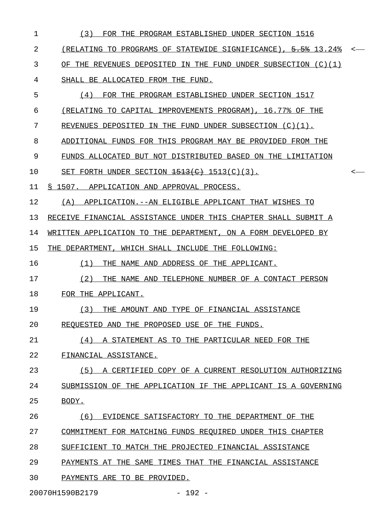| 1  | (3)<br>FOR THE PROGRAM ESTABLISHED UNDER SECTION 1516           |    |
|----|-----------------------------------------------------------------|----|
| 2  | (RELATING TO PROGRAMS OF STATEWIDE SIGNIFICANCE), 5.5% 13.24%   |    |
| 3  | OF THE REVENUES DEPOSITED IN THE FUND UNDER SUBSECTION $(C)(1)$ |    |
| 4  | SHALL BE ALLOCATED FROM THE FUND.                               |    |
| 5  | (4)<br>FOR THE PROGRAM ESTABLISHED UNDER SECTION 1517           |    |
| 6  | (RELATING TO CAPITAL IMPROVEMENTS PROGRAM), 16.77% OF THE       |    |
| 7  | REVENUES DEPOSITED IN THE FUND UNDER SUBSECTION $(C)(1)$ .      |    |
| 8  | ADDITIONAL FUNDS FOR THIS PROGRAM MAY BE PROVIDED FROM THE      |    |
| 9  | FUNDS ALLOCATED BUT NOT DISTRIBUTED BASED ON THE LIMITATION     |    |
| 10 | SET FORTH UNDER SECTION $1513(C)(3)$ .                          | <— |
| 11 | S 1507. APPLICATION AND APPROVAL PROCESS.                       |    |
| 12 | APPLICATION. --AN ELIGIBLE APPLICANT THAT WISHES TO<br>(A)      |    |
| 13 | RECEIVE FINANCIAL ASSISTANCE UNDER THIS CHAPTER SHALL SUBMIT A  |    |
| 14 | WRITTEN APPLICATION TO THE DEPARTMENT, ON A FORM DEVELOPED BY   |    |
| 15 | THE DEPARTMENT, WHICH SHALL INCLUDE THE FOLLOWING:              |    |
| 16 | (1)<br>THE NAME AND ADDRESS OF THE APPLICANT.                   |    |
| 17 | (2)<br>THE NAME AND TELEPHONE NUMBER OF A CONTACT PERSON        |    |
| 18 | FOR THE APPLICANT.                                              |    |
| 19 | (3)<br>THE AMOUNT AND TYPE OF FINANCIAL ASSISTANCE              |    |
| 20 | REOUESTED AND THE PROPOSED USE OF THE FUNDS.                    |    |
| 21 | (4) A STATEMENT AS TO THE PARTICULAR NEED FOR THE               |    |
| 22 | FINANCIAL ASSISTANCE.                                           |    |
| 23 | (5) A CERTIFIED COPY OF A CURRENT RESOLUTION AUTHORIZING        |    |
| 24 | SUBMISSION OF THE APPLICATION IF THE APPLICANT IS A GOVERNING   |    |
| 25 | BODY.                                                           |    |
| 26 | (6) EVIDENCE SATISFACTORY TO THE DEPARTMENT OF THE              |    |
| 27 | COMMITMENT FOR MATCHING FUNDS REQUIRED UNDER THIS CHAPTER       |    |
| 28 | SUFFICIENT TO MATCH THE PROJECTED FINANCIAL ASSISTANCE          |    |
| 29 | PAYMENTS AT THE SAME TIMES THAT THE FINANCIAL ASSISTANCE        |    |
| 30 | PAYMENTS ARE TO BE PROVIDED.                                    |    |
|    | 20070H1590B2179<br>$-192 -$                                     |    |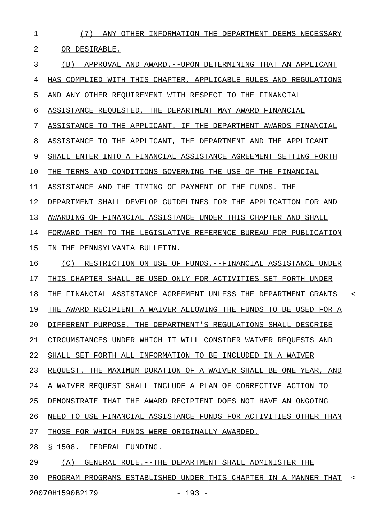1 (7) ANY OTHER INFORMATION THE DEPARTMENT DEEMS NECESSARY \_\_\_\_\_\_\_\_\_\_\_\_\_\_\_\_\_\_\_\_\_\_\_\_\_\_\_\_\_\_\_\_\_\_\_\_\_\_\_\_\_\_\_\_\_\_\_\_\_\_\_\_\_\_\_\_\_

2 OR DESIRABLE.

3 (B) APPROVAL AND AWARD.--UPON DETERMINING THAT AN APPLICANT 4 HAS COMPLIED WITH THIS CHAPTER, APPLICABLE RULES AND REGULATIONS 5 AND ANY OTHER REQUIREMENT WITH RESPECT TO THE FINANCIAL 6 ASSISTANCE REQUESTED, THE DEPARTMENT MAY AWARD FINANCIAL 7 ASSISTANCE TO THE APPLICANT. IF THE DEPARTMENT AWARDS FINANCIAL 8 ASSISTANCE TO THE APPLICANT, THE DEPARTMENT AND THE APPLICANT 9 SHALL ENTER INTO A FINANCIAL ASSISTANCE AGREEMENT SETTING FORTH 10 THE TERMS AND CONDITIONS GOVERNING THE USE OF THE FINANCIAL 11 ASSISTANCE AND THE TIMING OF PAYMENT OF THE FUNDS. THE 12 DEPARTMENT SHALL DEVELOP GUIDELINES FOR THE APPLICATION FOR AND 13 AWARDING OF FINANCIAL ASSISTANCE UNDER THIS CHAPTER AND SHALL 14 FORWARD THEM TO THE LEGISLATIVE REFERENCE BUREAU FOR PUBLICATION 15 IN THE PENNSYLVANIA BULLETIN. 16 (C) RESTRICTION ON USE OF FUNDS.--FINANCIAL ASSISTANCE UNDER 17 THIS CHAPTER SHALL BE USED ONLY FOR ACTIVITIES SET FORTH UNDER 18 THE FINANCIAL ASSISTANCE AGREEMENT UNLESS THE DEPARTMENT GRANTS 19 THE AWARD RECIPIENT A WAIVER ALLOWING THE FUNDS TO BE USED FOR A 20 DIFFERENT PURPOSE. THE DEPARTMENT'S REGULATIONS SHALL DESCRIBE 21 CIRCUMSTANCES UNDER WHICH IT WILL CONSIDER WAIVER REQUESTS AND 22 SHALL SET FORTH ALL INFORMATION TO BE INCLUDED IN A WAIVER 23 REQUEST. THE MAXIMUM DURATION OF A WAIVER SHALL BE ONE YEAR, AND 24 A WAIVER REQUEST SHALL INCLUDE A PLAN OF CORRECTIVE ACTION TO 25 DEMONSTRATE THAT THE AWARD RECIPIENT DOES NOT HAVE AN ONGOING 26 NEED TO USE FINANCIAL ASSISTANCE FUNDS FOR ACTIVITIES OTHER THAN 27 THOSE FOR WHICH FUNDS WERE ORIGINALLY AWARDED. 28 § 1508. FEDERAL FUNDING. 29 (A) GENERAL RULE.--THE DEPARTMENT SHALL ADMINISTER THE 30 PROGRAM PROGRAMS ESTABLISHED UNDER THIS CHAPTER IN A MANNER THAT <-

20070H1590B2179 - 193 -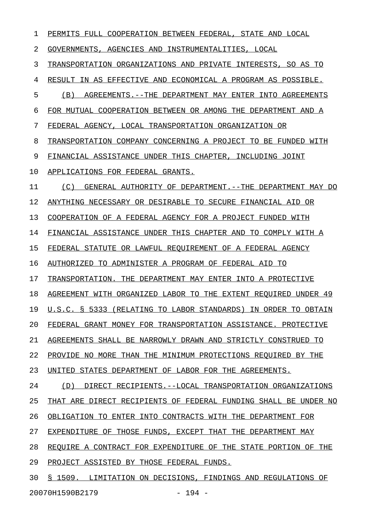| T  | PERMITS FULL COOPERATION BETWEEN FEDERAL, STATE AND LOCAL           |
|----|---------------------------------------------------------------------|
| 2  | GOVERNMENTS, AGENCIES AND INSTRUMENTALITIES, LOCAL                  |
| 3  | TRANSPORTATION ORGANIZATIONS AND PRIVATE INTERESTS, SO AS TO        |
| 4  | <u>RESULT IN AS EFFECTIVE AND ECONOMICAL A PROGRAM AS POSSIBLE.</u> |
| 5  | (B)<br>AGREEMENTS. --THE DEPARTMENT MAY ENTER INTO AGREEMENTS       |
| 6  | FOR MUTUAL COOPERATION BETWEEN OR AMONG THE DEPARTMENT AND A        |
| 7  | FEDERAL AGENCY, LOCAL TRANSPORTATION ORGANIZATION OR                |
| 8  | TRANSPORTATION COMPANY CONCERNING A PROJECT TO BE FUNDED WITH       |
| 9  | FINANCIAL ASSISTANCE UNDER THIS CHAPTER, INCLUDING JOINT            |
| 10 | APPLICATIONS FOR FEDERAL GRANTS.                                    |
| 11 | (C)<br>GENERAL AUTHORITY OF DEPARTMENT. --THE DEPARTMENT MAY DO     |
| 12 | ANYTHING NECESSARY OR DESIRABLE TO SECURE FINANCIAL AID OR          |
| 13 | COOPERATION OF A FEDERAL AGENCY FOR A PROJECT FUNDED WITH           |
| 14 | FINANCIAL ASSISTANCE UNDER THIS CHAPTER AND TO COMPLY WITH A        |
| 15 | FEDERAL STATUTE OR LAWFUL REQUIREMENT OF A FEDERAL AGENCY           |
| 16 | AUTHORIZED TO ADMINISTER A PROGRAM OF FEDERAL AID TO                |
| 17 | TRANSPORTATION. THE DEPARTMENT MAY ENTER INTO A PROTECTIVE          |
| 18 | AGREEMENT WITH ORGANIZED LABOR TO THE EXTENT REQUIRED UNDER 49      |
| 19 | U.S.C. § 5333 (RELATING TO LABOR STANDARDS) IN ORDER TO OBTAIN      |
| 20 | FEDERAL GRANT MONEY FOR TRANSPORTATION ASSISTANCE. PROTECTIVE       |
| 21 | AGREEMENTS SHALL BE NARROWLY DRAWN AND STRICTLY CONSTRUED TO        |
| 22 | PROVIDE NO MORE THAN THE MINIMUM PROTECTIONS REQUIRED BY THE        |
| 23 | UNITED STATES DEPARTMENT OF LABOR FOR THE AGREEMENTS.               |
| 24 | (D) DIRECT RECIPIENTS.--LOCAL TRANSPORTATION ORGANIZATIONS          |
| 25 | THAT ARE DIRECT RECIPIENTS OF FEDERAL FUNDING SHALL BE UNDER NO     |
| 26 | OBLIGATION TO ENTER INTO CONTRACTS WITH THE DEPARTMENT FOR          |
| 27 | EXPENDITURE OF THOSE FUNDS, EXCEPT THAT THE DEPARTMENT MAY          |
| 28 | REQUIRE A CONTRACT FOR EXPENDITURE OF THE STATE PORTION OF THE      |
| 29 | PROJECT ASSISTED BY THOSE FEDERAL FUNDS.                            |
| 30 | § 1509. LIMITATION ON DECISIONS, FINDINGS AND REGULATIONS OF        |
|    | 20070H1590B2179<br>$-194 -$                                         |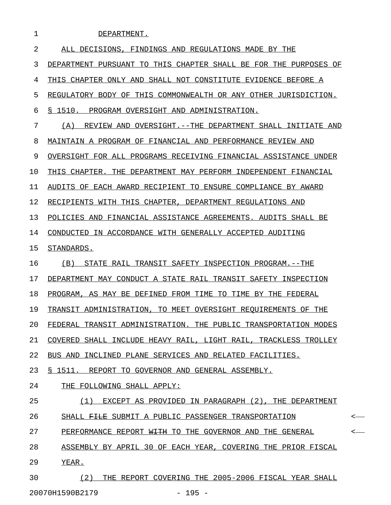| 1  | DEPARTMENT.                                                        |
|----|--------------------------------------------------------------------|
| 2  | ALL DECISIONS, FINDINGS AND REGULATIONS MADE BY THE                |
| 3  | DEPARTMENT PURSUANT TO THIS CHAPTER SHALL BE FOR THE PURPOSES OF   |
| 4  | THIS CHAPTER ONLY AND SHALL NOT CONSTITUTE EVIDENCE BEFORE A       |
| 5  | REGULATORY BODY OF THIS COMMONWEALTH OR ANY OTHER JURISDICTION.    |
| 6  | S 1510.<br>PROGRAM OVERSIGHT AND ADMINISTRATION.                   |
| 7  | REVIEW AND OVERSIGHT. -- THE DEPARTMENT SHALL INITIATE AND<br>(A)  |
| 8  | MAINTAIN A PROGRAM OF FINANCIAL AND PERFORMANCE REVIEW AND         |
| 9  | OVERSIGHT FOR ALL PROGRAMS RECEIVING FINANCIAL ASSISTANCE UNDER    |
| 10 | THIS CHAPTER. THE DEPARTMENT MAY PERFORM INDEPENDENT FINANCIAL     |
| 11 | AUDITS OF EACH AWARD RECIPIENT TO ENSURE COMPLIANCE BY AWARD       |
| 12 | RECIPIENTS WITH THIS CHAPTER, DEPARTMENT REGULATIONS AND           |
| 13 | POLICIES AND FINANCIAL ASSISTANCE AGREEMENTS. AUDITS SHALL BE      |
| 14 | CONDUCTED IN ACCORDANCE WITH GENERALLY ACCEPTED AUDITING           |
| 15 | STANDARDS.                                                         |
| 16 | STATE RAIL TRANSIT SAFETY INSPECTION PROGRAM. --THE<br>(B)         |
| 17 | DEPARTMENT MAY CONDUCT A STATE RAIL TRANSIT SAFETY INSPECTION      |
| 18 | PROGRAM, AS MAY BE DEFINED FROM TIME TO TIME BY THE FEDERAL        |
| 19 | TRANSIT ADMINISTRATION, TO MEET OVERSIGHT REOUIREMENTS OF THE      |
| 20 | FEDERAL TRANSIT ADMINISTRATION. THE PUBLIC TRANSPORTATION MODES    |
| 21 | COVERED SHALL INCLUDE HEAVY RAIL, LIGHT RAIL, TRACKLESS TROLLEY    |
| 22 | BUS AND INCLINED PLANE SERVICES AND RELATED FACILITIES.            |
| 23 | § 1511. REPORT TO GOVERNOR AND GENERAL ASSEMBLY.                   |
| 24 | THE FOLLOWING SHALL APPLY:                                         |
| 25 | (1) EXCEPT AS PROVIDED IN PARAGRAPH (2), THE DEPARTMENT            |
| 26 | SHALL FILE SUBMIT A PUBLIC PASSENGER TRANSPORTATION<br>$\,<$       |
| 27 | PERFORMANCE REPORT WITH TO THE GOVERNOR AND THE GENERAL<br>$\prec$ |
| 28 | ASSEMBLY BY APRIL 30 OF EACH YEAR, COVERING THE PRIOR FISCAL       |
| 29 | YEAR.                                                              |
|    |                                                                    |

30 (2) THE REPORT COVERING THE 2005-2006 FISCAL YEAR SHALL 20070H1590B2179 - 195 -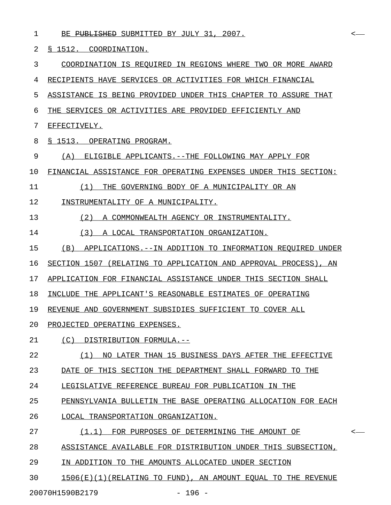| 1  | BE PUBLISHED SUBMITTED BY JULY 31, 2007.                        | <—           |
|----|-----------------------------------------------------------------|--------------|
| 2  | § 1512. COORDINATION.                                           |              |
| 3  | COORDINATION IS REQUIRED IN REGIONS WHERE TWO OR MORE AWARD     |              |
| 4  | RECIPIENTS HAVE SERVICES OR ACTIVITIES FOR WHICH FINANCIAL      |              |
| 5  | ASSISTANCE IS BEING PROVIDED UNDER THIS CHAPTER TO ASSURE THAT  |              |
| 6  | THE SERVICES OR ACTIVITIES ARE PROVIDED EFFICIENTLY AND         |              |
| 7  | EFFECTIVELY.                                                    |              |
| 8  | § 1513. OPERATING PROGRAM.                                      |              |
| 9  | ELIGIBLE APPLICANTS. -- THE FOLLOWING MAY APPLY FOR<br>(A)      |              |
| 10 | FINANCIAL ASSISTANCE FOR OPERATING EXPENSES UNDER THIS SECTION: |              |
| 11 | (1)<br>THE GOVERNING BODY OF A MUNICIPALITY OR AN               |              |
| 12 | INSTRUMENTALITY OF A MUNICIPALITY.                              |              |
| 13 | (2)<br>A COMMONWEALTH AGENCY OR INSTRUMENTALITY.                |              |
| 14 | (3)<br>A LOCAL TRANSPORTATION ORGANIZATION.                     |              |
| 15 | (B) APPLICATIONS. --IN ADDITION TO INFORMATION REQUIRED UNDER   |              |
| 16 | SECTION 1507 (RELATING TO APPLICATION AND APPROVAL PROCESS), AN |              |
| 17 | APPLICATION FOR FINANCIAL ASSISTANCE UNDER THIS SECTION SHALL   |              |
| 18 | INCLUDE THE APPLICANT'S REASONABLE ESTIMATES OF OPERATING       |              |
| 19 | REVENUE AND GOVERNMENT SUBSIDIES SUFFICIENT TO COVER ALL        |              |
| 20 | PROJECTED OPERATING EXPENSES.                                   |              |
| 21 | (C) DISTRIBUTION FORMULA.--                                     |              |
| 22 | NO LATER THAN 15 BUSINESS DAYS AFTER THE EFFECTIVE<br>(1)       |              |
| 23 | DATE OF THIS SECTION THE DEPARTMENT SHALL FORWARD TO THE        |              |
| 24 | LEGISLATIVE REFERENCE BUREAU FOR PUBLICATION IN THE             |              |
| 25 | PENNSYLVANIA BULLETIN THE BASE OPERATING ALLOCATION FOR EACH    |              |
| 26 | LOCAL TRANSPORTATION ORGANIZATION.                              |              |
| 27 | $(1.1)$ FOR PURPOSES OF DETERMINING THE AMOUNT OF               | $\leftarrow$ |
| 28 | ASSISTANCE AVAILABLE FOR DISTRIBUTION UNDER THIS SUBSECTION,    |              |
| 29 | IN ADDITION TO THE AMOUNTS ALLOCATED UNDER SECTION              |              |
| 30 | $1506(E)(1)$ (RELATING TO FUND), AN AMOUNT EQUAL TO THE REVENUE |              |

20070H1590B2179 - 196 -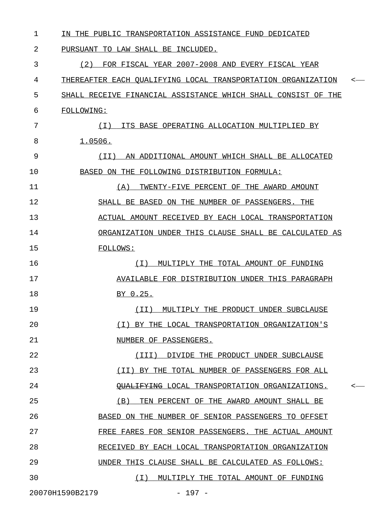| 1  | IN THE PUBLIC TRANSPORTATION ASSISTANCE FUND DEDICATED        |         |
|----|---------------------------------------------------------------|---------|
| 2  | PURSUANT TO LAW SHALL BE INCLUDED.                            |         |
| 3  | (2)<br>FOR FISCAL YEAR 2007-2008 AND EVERY FISCAL YEAR        |         |
| 4  | THEREAFTER EACH QUALIFYING LOCAL TRANSPORTATION ORGANIZATION  | <       |
| 5  | SHALL RECEIVE FINANCIAL ASSISTANCE WHICH SHALL CONSIST OF THE |         |
| 6  | FOLLOWING:                                                    |         |
| 7  | ( I )<br>ITS BASE OPERATING ALLOCATION MULTIPLIED BY          |         |
| 8  | 1.0506.                                                       |         |
| 9  | AN ADDITIONAL AMOUNT WHICH SHALL BE ALLOCATED<br>( I I )      |         |
| 10 | BASED ON THE FOLLOWING DISTRIBUTION FORMULA:                  |         |
| 11 | (A)<br>TWENTY-FIVE PERCENT OF THE AWARD AMOUNT                |         |
| 12 | SHALL BE BASED ON THE NUMBER OF PASSENGERS. THE               |         |
| 13 | ACTUAL AMOUNT RECEIVED BY EACH LOCAL TRANSPORTATION           |         |
| 14 | ORGANIZATION UNDER THIS CLAUSE SHALL BE CALCULATED AS         |         |
| 15 | <b>FOLLOWS:</b>                                               |         |
| 16 | MULTIPLY THE TOTAL AMOUNT OF FUNDING<br>( I )                 |         |
| 17 | AVAILABLE FOR DISTRIBUTION UNDER THIS PARAGRAPH               |         |
| 18 | BY 0.25.                                                      |         |
| 19 | MULTIPLY THE PRODUCT UNDER SUBCLAUSE<br>(TT)                  |         |
| 20 | (I) BY THE LOCAL TRANSPORTATION ORGANIZATION'S                |         |
| 21 | NUMBER OF PASSENGERS.                                         |         |
| 22 | DIVIDE THE PRODUCT UNDER SUBCLAUSE<br>(III)                   |         |
| 23 | (II) BY THE TOTAL NUMBER OF PASSENGERS FOR ALL                |         |
| 24 | OUALIFYING LOCAL TRANSPORTATION ORGANIZATIONS.                | $\,<\,$ |
| 25 | (B)<br>TEN PERCENT OF THE AWARD AMOUNT SHALL BE               |         |
| 26 | BASED ON THE NUMBER OF SENIOR PASSENGERS TO OFFSET            |         |
| 27 | FREE FARES FOR SENIOR PASSENGERS. THE ACTUAL AMOUNT           |         |
| 28 | RECEIVED BY EACH LOCAL TRANSPORTATION ORGANIZATION            |         |
| 29 | UNDER THIS CLAUSE SHALL BE CALCULATED AS FOLLOWS:             |         |
| 30 | MULTIPLY THE TOTAL AMOUNT OF FUNDING<br>( I )                 |         |
|    | 20070H1590B2179<br>$-197 -$                                   |         |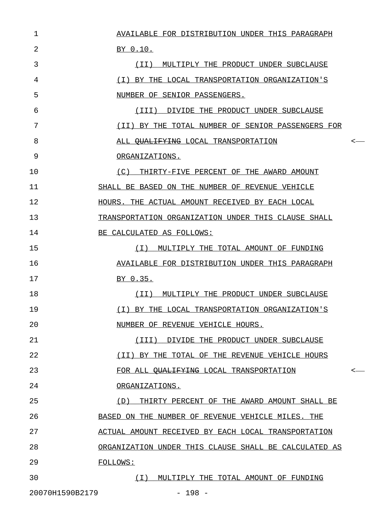1 AVAILABLE FOR DISTRIBUTION UNDER THIS PARAGRAPH 2 BY 0.10. 3 (II) MULTIPLY THE PRODUCT UNDER SUBCLAUSE 4 (I) BY THE LOCAL TRANSPORTATION ORGANIZATION'S 5 NUMBER OF SENIOR PASSENGERS. 6 (III) DIVIDE THE PRODUCT UNDER SUBCLAUSE 7 (II) BY THE TOTAL NUMBER OF SENIOR PASSENGERS FOR 8 ALL <del>OUALIFYING</del> LOCAL TRANSPORTATION <-9 ORGANIZATIONS. 10  $(C)$  THIRTY-FIVE PERCENT OF THE AWARD AMOUNT 11 SHALL BE BASED ON THE NUMBER OF REVENUE VEHICLE 12 HOURS. THE ACTUAL AMOUNT RECEIVED BY EACH LOCAL \_\_\_\_\_\_\_\_\_\_\_\_\_\_\_\_\_\_\_\_\_\_\_\_\_\_\_\_\_\_\_\_\_\_\_\_\_\_\_\_\_\_\_\_\_\_\_ 13 TRANSPORTATION ORGANIZATION UNDER THIS CLAUSE SHALL 14 BE CALCULATED AS FOLLOWS: 15  $(1)$  MULTIPLY THE TOTAL AMOUNT OF FUNDING 16 AVAILABLE FOR DISTRIBUTION UNDER THIS PARAGRAPH \_\_\_\_\_\_\_\_\_\_\_\_\_\_\_\_\_\_\_\_\_\_\_\_\_\_\_\_\_\_\_\_\_\_\_\_\_\_\_\_\_\_\_\_\_\_\_ 17 BY 0.35. 18 (II) MULTIPLY THE PRODUCT UNDER SUBCLAUSE \_\_\_\_\_\_\_\_\_\_\_\_\_\_\_\_\_\_\_\_\_\_\_\_\_\_\_\_\_\_\_\_\_\_\_\_\_\_\_\_\_\_ 19 (I) BY THE LOCAL TRANSPORTATION ORGANIZATION'S \_\_\_\_\_\_\_\_\_\_\_\_\_\_\_\_\_\_\_\_\_\_\_\_\_\_\_\_\_\_\_\_\_\_\_\_\_\_\_\_\_\_\_\_\_\_ 20 NUMBER OF REVENUE VEHICLE HOURS. 21 (III) DIVIDE THE PRODUCT UNDER SUBCLAUSE \_\_\_\_\_\_\_\_\_\_\_\_\_\_\_\_\_\_\_\_\_\_\_\_\_\_\_\_\_\_\_\_\_\_\_\_\_\_\_\_\_ 22 (II) BY THE TOTAL OF THE REVENUE VEHICLE HOURS \_\_\_\_\_\_\_\_\_\_\_\_\_\_\_\_\_\_\_\_\_\_\_\_\_\_\_\_\_\_\_\_\_\_\_\_\_\_\_\_\_\_\_\_\_\_ 23 FOR ALL <del>OUALIFYING</del> LOCAL TRANSPORTATION <-24 ORGANIZATIONS. 25 (D) THIRTY PERCENT OF THE AWARD AMOUNT SHALL BE 26 BASED ON THE NUMBER OF REVENUE VEHICLE MILES. THE 27 ACTUAL AMOUNT RECEIVED BY EACH LOCAL TRANSPORTATION 28 ORGANIZATION UNDER THIS CLAUSE SHALL BE CALCULATED AS \_\_\_\_\_\_\_\_\_\_\_\_\_\_\_\_\_\_\_\_\_\_\_\_\_\_\_\_\_\_\_\_\_\_\_\_\_\_\_\_\_\_\_\_\_\_\_\_\_\_\_\_\_ 29 FOLLOWS: 30  $(1)$  MULTIPLY THE TOTAL AMOUNT OF FUNDING 20070H1590B2179 - 198 -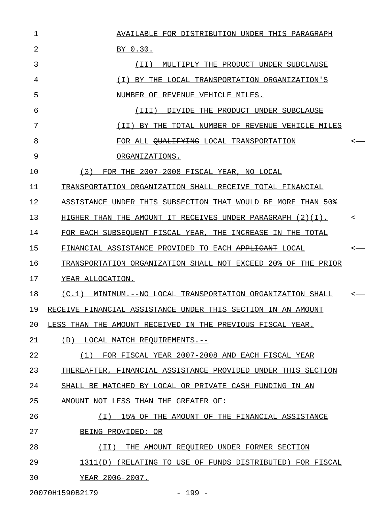1 AVAILABLE FOR DISTRIBUTION UNDER THIS PARAGRAPH 2 BY 0.30. 3 (II) MULTIPLY THE PRODUCT UNDER SUBCLAUSE 4 (I) BY THE LOCAL TRANSPORTATION ORGANIZATION'S 5 NUMBER OF REVENUE VEHICLE MILES. 6 (III) DIVIDE THE PRODUCT UNDER SUBCLAUSE 7 (II) BY THE TOTAL NUMBER OF REVENUE VEHICLE MILES 8 FOR ALL <del>OUALIFYING</del> LOCAL TRANSPORTATION <-9 ORGANIZATIONS. 10 63) FOR THE 2007-2008 FISCAL YEAR, NO LOCAL 11 TRANSPORTATION ORGANIZATION SHALL RECEIVE TOTAL FINANCIAL 12 ASSISTANCE UNDER THIS SUBSECTION THAT WOULD BE MORE THAN 50% 13 HIGHER THAN THE AMOUNT IT RECEIVES UNDER PARAGRAPH  $(2)(1)$ . <-14 FOR EACH SUBSEQUENT FISCAL YEAR, THE INCREASE IN THE TOTAL 15 FINANCIAL ASSISTANCE PROVIDED TO EACH <del>APPLICANT</del> LOCAL < 16 TRANSPORTATION ORGANIZATION SHALL NOT EXCEED 20% OF THE PRIOR 17 YEAR ALLOCATION. 18  $(C.1)$  MINIMUM.--NO LOCAL TRANSPORTATION ORGANIZATION SHALL 19 RECEIVE FINANCIAL ASSISTANCE UNDER THIS SECTION IN AN AMOUNT 20 LESS THAN THE AMOUNT RECEIVED IN THE PREVIOUS FISCAL YEAR. 21 (D) LOCAL MATCH REOUIREMENTS.--22 (1) FOR FISCAL YEAR 2007-2008 AND EACH FISCAL YEAR \_\_\_\_\_\_\_\_\_\_\_\_\_\_\_\_\_\_\_\_\_\_\_\_\_\_\_\_\_\_\_\_\_\_\_\_\_\_\_\_\_\_\_\_\_\_\_\_\_\_\_ 23 THEREAFTER, FINANCIAL ASSISTANCE PROVIDED UNDER THIS SECTION 24 SHALL BE MATCHED BY LOCAL OR PRIVATE CASH FUNDING IN AN 25 AMOUNT NOT LESS THAN THE GREATER OF: 26 (I) 15% OF THE AMOUNT OF THE FINANCIAL ASSISTANCE \_\_\_\_\_\_\_\_\_\_\_\_\_\_\_\_\_\_\_\_\_\_\_\_\_\_\_\_\_\_\_\_\_\_\_\_\_\_\_\_\_\_\_\_\_\_\_\_\_\_ 27 BEING PROVIDED; OR 28 (II) THE AMOUNT REQUIRED UNDER FORMER SECTION 29 1311(D) (RELATING TO USE OF FUNDS DISTRIBUTED) FOR FISCAL 30 YEAR 2006-2007.

20070H1590B2179 - 199 -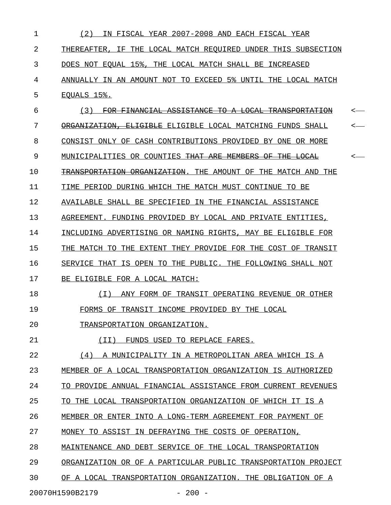| 1  | (2)<br>IN FISCAL YEAR 2007-2008 AND EACH FISCAL YEAR                |  |
|----|---------------------------------------------------------------------|--|
| 2  | THEREAFTER, IF THE LOCAL MATCH REQUIRED UNDER THIS SUBSECTION       |  |
| 3  | DOES NOT EQUAL 15%, THE LOCAL MATCH SHALL BE INCREASED              |  |
| 4  | ANNUALLY IN AN AMOUNT NOT TO EXCEED 5% UNTIL THE LOCAL MATCH        |  |
| 5  | EQUALS 15%.                                                         |  |
| 6  | FOR FINANCIAL ASSISTANCE TO A LOCAL TRANSPORTATION<br>(3)           |  |
| 7  | ORGANIZATION, ELIGIBLE ELIGIBLE LOCAL MATCHING FUNDS SHALL          |  |
| 8  | CONSIST ONLY OF CASH CONTRIBUTIONS PROVIDED BY ONE OR MORE          |  |
| 9  | MUNICIPALITIES OR COUNTIES <del>THAT ARE MEMBERS OF THE LOCAL</del> |  |
| 10 | TRANSPORTATION ORGANIZATION. THE AMOUNT OF THE MATCH AND THE        |  |
| 11 | TIME PERIOD DURING WHICH THE MATCH MUST CONTINUE TO BE              |  |
| 12 | AVAILABLE SHALL BE SPECIFIED IN THE FINANCIAL ASSISTANCE            |  |
| 13 | AGREEMENT. FUNDING PROVIDED BY LOCAL AND PRIVATE ENTITIES,          |  |
| 14 | INCLUDING ADVERTISING OR NAMING RIGHTS, MAY BE ELIGIBLE FOR         |  |
| 15 | THE MATCH TO THE EXTENT THEY PROVIDE FOR THE COST OF TRANSIT        |  |
| 16 | SERVICE THAT IS OPEN TO THE PUBLIC. THE FOLLOWING SHALL NOT         |  |
| 17 | BE ELIGIBLE FOR A LOCAL MATCH:                                      |  |
| 18 | ANY FORM OF TRANSIT OPERATING REVENUE OR OTHER<br>( I )             |  |
| 19 | FORMS OF TRANSIT INCOME PROVIDED BY THE LOCAL                       |  |
| 20 | TRANSPORTATION ORGANIZATION.                                        |  |
| 21 | FUNDS USED TO REPLACE FARES.<br>(II)                                |  |
| 22 | (4) A MUNICIPALITY IN A METROPOLITAN AREA WHICH IS A                |  |
| 23 | MEMBER OF A LOCAL TRANSPORTATION ORGANIZATION IS AUTHORIZED         |  |
| 24 | TO PROVIDE ANNUAL FINANCIAL ASSISTANCE FROM CURRENT REVENUES        |  |
| 25 | TO THE LOCAL TRANSPORTATION ORGANIZATION OF WHICH IT IS A           |  |
| 26 | MEMBER OR ENTER INTO A LONG-TERM AGREEMENT FOR PAYMENT OF           |  |
| 27 | MONEY TO ASSIST IN DEFRAYING THE COSTS OF OPERATION,                |  |
| 28 | MAINTENANCE AND DEBT SERVICE OF THE LOCAL TRANSPORTATION            |  |
| 29 | ORGANIZATION OR OF A PARTICULAR PUBLIC TRANSPORTATION PROJECT       |  |
| 30 | OF A LOCAL TRANSPORTATION ORGANIZATION. THE OBLIGATION OF A         |  |
|    | 20070H1590B2179<br>$-200 -$                                         |  |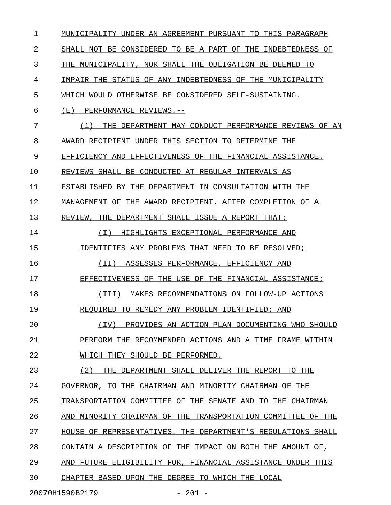1 MUNICIPALITY UNDER AN AGREEMENT PURSUANT TO THIS PARAGRAPH 2 SHALL NOT BE CONSIDERED TO BE A PART OF THE INDEBTEDNESS OF 3 THE MUNICIPALITY, NOR SHALL THE OBLIGATION BE DEEMED TO 4 IMPAIR THE STATUS OF ANY INDEBTEDNESS OF THE MUNICIPALITY 5 WHICH WOULD OTHERWISE BE CONSIDERED SELF-SUSTAINING. 6 (E) PERFORMANCE REVIEWS.--7 (1) THE DEPARTMENT MAY CONDUCT PERFORMANCE REVIEWS OF AN \_\_\_\_\_\_\_\_\_\_\_\_\_\_\_\_\_\_\_\_\_\_\_\_\_\_\_\_\_\_\_\_\_\_\_\_\_\_\_\_\_\_\_\_\_\_\_\_\_\_\_\_\_\_\_\_\_ 8 AWARD RECIPIENT UNDER THIS SECTION TO DETERMINE THE 9 EFFICIENCY AND EFFECTIVENESS OF THE FINANCIAL ASSISTANCE. 10 REVIEWS SHALL BE CONDUCTED AT REGULAR INTERVALS AS 11 ESTABLISHED BY THE DEPARTMENT IN CONSULTATION WITH THE 12 MANAGEMENT OF THE AWARD RECIPIENT. AFTER COMPLETION OF A 13 REVIEW, THE DEPARTMENT SHALL ISSUE A REPORT THAT: 14 (I) HIGHLIGHTS EXCEPTIONAL PERFORMANCE AND \_\_\_\_\_\_\_\_\_\_\_\_\_\_\_\_\_\_\_\_\_\_\_\_\_\_\_\_\_\_\_\_\_\_\_\_\_\_\_\_\_\_\_ 15 IDENTIFIES ANY PROBLEMS THAT NEED TO BE RESOLVED; 16 (II) ASSESSES PERFORMANCE, EFFICIENCY AND \_\_\_\_\_\_\_\_\_\_\_\_\_\_\_\_\_\_\_\_\_\_\_\_\_\_\_\_\_\_\_\_\_\_\_\_\_\_\_\_\_\_ 17 EFFECTIVENESS OF THE USE OF THE FINANCIAL ASSISTANCE; 18 (III) MAKES RECOMMENDATIONS ON FOLLOW-UP ACTIONS \_\_\_\_\_\_\_\_\_\_\_\_\_\_\_\_\_\_\_\_\_\_\_\_\_\_\_\_\_\_\_\_\_\_\_\_\_\_\_\_\_\_\_\_\_\_\_\_\_ 19 REQUIRED TO REMEDY ANY PROBLEM IDENTIFIED; AND 20 (IV) PROVIDES AN ACTION PLAN DOCUMENTING WHO SHOULD 21 PERFORM THE RECOMMENDED ACTIONS AND A TIME FRAME WITHIN 22 WHICH THEY SHOULD BE PERFORMED. 23 (2) THE DEPARTMENT SHALL DELIVER THE REPORT TO THE 24 GOVERNOR, TO THE CHAIRMAN AND MINORITY CHAIRMAN OF THE 25 TRANSPORTATION COMMITTEE OF THE SENATE AND TO THE CHAIRMAN 26 AND MINORITY CHAIRMAN OF THE TRANSPORTATION COMMITTEE OF THE 27 HOUSE OF REPRESENTATIVES. THE DEPARTMENT'S REGULATIONS SHALL 28 CONTAIN A DESCRIPTION OF THE IMPACT ON BOTH THE AMOUNT OF, 29 AND FUTURE ELIGIBILITY FOR, FINANCIAL ASSISTANCE UNDER THIS 30 CHAPTER BASED UPON THE DEGREE TO WHICH THE LOCAL 20070H1590B2179 - 201 -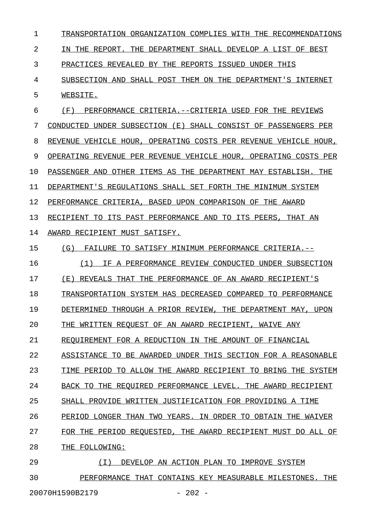| 1  | TRANSPORTATION ORGANIZATION COMPLIES WITH THE RECOMMENDATIONS   |
|----|-----------------------------------------------------------------|
| 2  | THE REPORT. THE DEPARTMENT SHALL DEVELOP A LIST OF BEST<br>ΤM.  |
| 3  | PRACTICES REVEALED BY THE REPORTS ISSUED UNDER THIS             |
| 4  | SUBSECTION AND SHALL POST THEM ON THE DEPARTMENT'S INTERNET     |
| 5  | WEBSITE.                                                        |
| 6  | (F)<br>PERFORMANCE CRITERIA.--CRITERIA USED FOR THE REVIEWS     |
| 7  | CONDUCTED UNDER SUBSECTION (E) SHALL CONSIST OF PASSENGERS PER  |
| 8  | REVENUE VEHICLE HOUR, OPERATING COSTS PER REVENUE VEHICLE HOUR, |
| 9  | OPERATING REVENUE PER REVENUE VEHICLE HOUR, OPERATING COSTS PER |
| 10 | PASSENGER AND OTHER ITEMS AS THE DEPARTMENT MAY ESTABLISH. THE  |
| 11 | DEPARTMENT'S REGULATIONS SHALL SET FORTH THE MINIMUM SYSTEM     |
| 12 | PERFORMANCE CRITERIA, BASED UPON COMPARISON OF THE AWARD        |
| 13 | RECIPIENT TO ITS PAST PERFORMANCE AND TO ITS PEERS, THAT AN     |
| 14 | AWARD RECIPIENT MUST SATISFY.                                   |
| 15 | (G)<br>FAILURE TO SATISFY MINIMUM PERFORMANCE CRITERIA.--       |
| 16 | IF A PERFORMANCE REVIEW CONDUCTED UNDER SUBSECTION<br>(工)       |
| 17 | ( E )<br>REVEALS THAT THE PERFORMANCE OF AN AWARD RECIPIENT'S   |
| 18 | TRANSPORTATION SYSTEM HAS DECREASED COMPARED TO PERFORMANCE     |
| 19 | DETERMINED THROUGH A PRIOR REVIEW, THE DEPARTMENT MAY, UPON     |
| 20 | THE WRITTEN REQUEST OF AN AWARD RECIPIENT, WAIVE ANY            |
| 21 | REOUIREMENT FOR A REDUCTION IN THE AMOUNT OF FINANCIAL          |
| 22 | ASSISTANCE TO BE AWARDED UNDER THIS SECTION FOR A REASONABLE    |
| 23 | TIME PERIOD TO ALLOW THE AWARD RECIPIENT TO BRING THE SYSTEM    |
| 24 | BACK TO THE REQUIRED PERFORMANCE LEVEL. THE AWARD RECIPIENT     |
| 25 | SHALL PROVIDE WRITTEN JUSTIFICATION FOR PROVIDING A TIME        |
| 26 | PERIOD LONGER THAN TWO YEARS. IN ORDER TO OBTAIN THE WAIVER     |
| 27 | FOR THE PERIOD REQUESTED, THE AWARD RECIPIENT MUST DO ALL OF    |
| 28 | THE FOLLOWING:                                                  |
| 29 | DEVELOP AN ACTION PLAN TO IMPROVE SYSTEM<br>(T)                 |
| 30 | PERFORMANCE THAT CONTAINS KEY MEASURABLE MILESTONES. THE        |

20070H1590B2179 - 202 -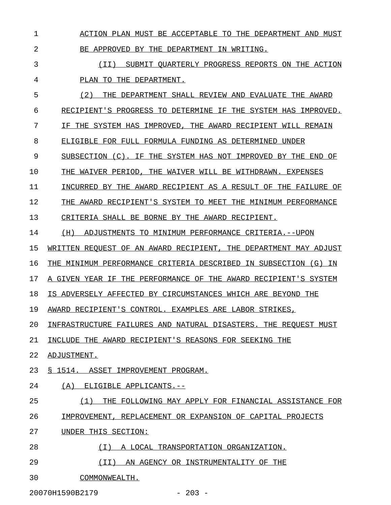1 ACTION PLAN MUST BE ACCEPTABLE TO THE DEPARTMENT AND MUST 2 BE APPROVED BY THE DEPARTMENT IN WRITING.

3 (II) SUBMIT QUARTERLY PROGRESS REPORTS ON THE ACTION 4 PLAN TO THE DEPARTMENT.

5 (2) THE DEPARTMENT SHALL REVIEW AND EVALUATE THE AWARD 6 RECIPIENT'S PROGRESS TO DETERMINE IF THE SYSTEM HAS IMPROVED. 7 IF THE SYSTEM HAS IMPROVED, THE AWARD RECIPIENT WILL REMAIN 8 ELIGIBLE FOR FULL FORMULA FUNDING AS DETERMINED UNDER 9 SUBSECTION (C). IF THE SYSTEM HAS NOT IMPROVED BY THE END OF

10 THE WAIVER PERIOD, THE WAIVER WILL BE WITHDRAWN. EXPENSES

11 INCURRED BY THE AWARD RECIPIENT AS A RESULT OF THE FAILURE OF

12 THE AWARD RECIPIENT'S SYSTEM TO MEET THE MINIMUM PERFORMANCE

13 CRITERIA SHALL BE BORNE BY THE AWARD RECIPIENT.

14 (H) ADJUSTMENTS TO MINIMUM PERFORMANCE CRITERIA.--UPON

15 WRITTEN REQUEST OF AN AWARD RECIPIENT, THE DEPARTMENT MAY ADJUST

16 THE MINIMUM PERFORMANCE CRITERIA DESCRIBED IN SUBSECTION (G) IN

17 A GIVEN YEAR IF THE PERFORMANCE OF THE AWARD RECIPIENT'S SYSTEM

18 IS ADVERSELY AFFECTED BY CIRCUMSTANCES WHICH ARE BEYOND THE

19 AWARD RECIPIENT'S CONTROL. EXAMPLES ARE LABOR STRIKES,

20 INFRASTRUCTURE FAILURES AND NATURAL DISASTERS. THE REQUEST MUST

21 INCLUDE THE AWARD RECIPIENT'S REASONS FOR SEEKING THE

- 22 ADJUSTMENT.
- 23 § 1514. ASSET IMPROVEMENT PROGRAM.

24 (A) ELIGIBLE APPLICANTS.--

25 (1) THE FOLLOWING MAY APPLY FOR FINANCIAL ASSISTANCE FOR \_\_\_\_\_\_\_\_\_\_\_\_\_\_\_\_\_\_\_\_\_\_\_\_\_\_\_\_\_\_\_\_\_\_\_\_\_\_\_\_\_\_\_\_\_\_\_\_\_\_\_\_\_\_\_\_\_

26 IMPROVEMENT, REPLACEMENT OR EXPANSION OF CAPITAL PROJECTS

27 UNDER THIS SECTION:

- 28  $(I)$  A LOCAL TRANSPORTATION ORGANIZATION.
- 29 (II) AN AGENCY OR INSTRUMENTALITY OF THE \_\_\_\_\_\_\_\_\_\_\_\_\_\_\_\_\_\_\_\_\_\_\_\_\_\_\_\_\_\_\_\_\_\_\_\_\_\_\_\_\_

30 COMMONWEALTH.

20070H1590B2179 - 203 -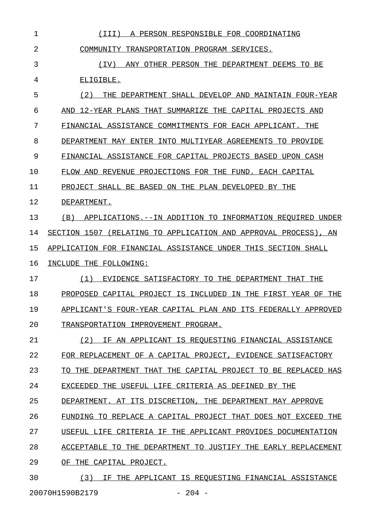| 1             | A PERSON RESPONSIBLE FOR COORDINATING<br>(III)                  |
|---------------|-----------------------------------------------------------------|
| 2             | COMMUNITY TRANSPORTATION PROGRAM SERVICES.                      |
| 3             | ANY OTHER PERSON THE DEPARTMENT DEEMS TO BE<br>(IV)             |
| 4             | ELIGIBLE.                                                       |
| 5             | (2)<br>THE DEPARTMENT SHALL DEVELOP AND MAINTAIN FOUR-YEAR      |
| 6             | AND 12-YEAR PLANS THAT SUMMARIZE THE CAPITAL PROJECTS AND       |
| 7             | FINANCIAL ASSISTANCE COMMITMENTS FOR EACH APPLICANT. THE        |
| 8             | DEPARTMENT MAY ENTER INTO MULTIYEAR AGREEMENTS TO PROVIDE       |
| 9             | FINANCIAL ASSISTANCE FOR CAPITAL PROJECTS BASED UPON CASH       |
| 10            | FLOW AND REVENUE PROJECTIONS FOR THE FUND. EACH CAPITAL         |
| 11            | PROJECT SHALL BE BASED ON THE PLAN DEVELOPED BY THE             |
| 12            | DEPARTMENT.                                                     |
| 13            | APPLICATIONS.--IN ADDITION TO INFORMATION REOUIRED UNDER<br>(B) |
| 14            | SECTION 1507 (RELATING TO APPLICATION AND APPROVAL PROCESS), AN |
| 15            | APPLICATION FOR FINANCIAL ASSISTANCE UNDER THIS SECTION SHALL   |
| 16            | INCLUDE THE FOLLOWING:                                          |
| 17            | EVIDENCE SATISFACTORY TO THE DEPARTMENT THAT THE<br>(1)         |
| 18            | PROPOSED CAPITAL PROJECT IS INCLUDED IN THE FIRST YEAR OF THE   |
| 19            | APPLICANT'S FOUR-YEAR CAPITAL PLAN AND ITS FEDERALLY APPROVED   |
| 20            | TRANSPORTATION IMPROVEMENT PROGRAM.                             |
| 21            | IF AN APPLICANT IS REOUESTING FINANCIAL ASSISTANCE<br>(2)       |
| 22            | FOR REPLACEMENT OF A CAPITAL PROJECT, EVIDENCE SATISFACTORY     |
| 23            | TO THE DEPARTMENT THAT THE CAPITAL PROJECT TO BE REPLACED HAS   |
| 24            | EXCEEDED THE USEFUL LIFE CRITERIA AS DEFINED BY THE             |
| 25            | DEPARTMENT. AT ITS DISCRETION, THE DEPARTMENT MAY APPROVE       |
| 26            | FUNDING TO REPLACE A CAPITAL PROJECT THAT DOES NOT EXCEED THE   |
| 27            | USEFUL LIFE CRITERIA IF THE APPLICANT PROVIDES DOCUMENTATION    |
| 28            | ACCEPTABLE TO THE DEPARTMENT TO JUSTIFY THE EARLY REPLACEMENT   |
| 29            | OF THE CAPITAL PROJECT.                                         |
| $\sim$ $\sim$ |                                                                 |

30 (3) IF THE APPLICANT IS REQUESTING FINANCIAL ASSISTANCE 20070H1590B2179 - 204 -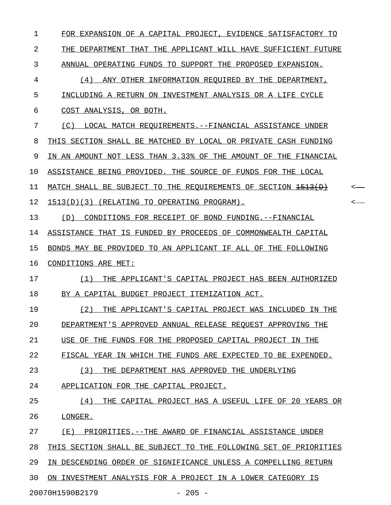1 FOR EXPANSION OF A CAPITAL PROJECT, EVIDENCE SATISFACTORY TO 2 THE DEPARTMENT THAT THE APPLICANT WILL HAVE SUFFICIENT FUTURE 3 ANNUAL OPERATING FUNDS TO SUPPORT THE PROPOSED EXPANSION. 4 (4) ANY OTHER INFORMATION REQUIRED BY THE DEPARTMENT, 5 INCLUDING A RETURN ON INVESTMENT ANALYSIS OR A LIFE CYCLE 6 COST ANALYSIS, OR BOTH. 7 (C) LOCAL MATCH REQUIREMENTS.--FINANCIAL ASSISTANCE UNDER 8 THIS SECTION SHALL BE MATCHED BY LOCAL OR PRIVATE CASH FUNDING 9 IN AN AMOUNT NOT LESS THAN 3.33% OF THE AMOUNT OF THE FINANCIAL 10 ASSISTANCE BEING PROVIDED. THE SOURCE OF FUNDS FOR THE LOCAL 11 MATCH SHALL BE SUBJECT TO THE REQUIREMENTS OF SECTION  $\overline{1513(D)}$  <-12 1513(D)(3) (RELATING TO OPERATING PROGRAM). 13 (D) CONDITIONS FOR RECEIPT OF BOND FUNDING. --FINANCIAL 14 ASSISTANCE THAT IS FUNDED BY PROCEEDS OF COMMONWEALTH CAPITAL 15 BONDS MAY BE PROVIDED TO AN APPLICANT IF ALL OF THE FOLLOWING 16 CONDITIONS ARE MET: 17 (1) THE APPLICANT'S CAPITAL PROJECT HAS BEEN AUTHORIZED \_\_\_\_\_\_\_\_\_\_\_\_\_\_\_\_\_\_\_\_\_\_\_\_\_\_\_\_\_\_\_\_\_\_\_\_\_\_\_\_\_\_\_\_\_\_\_\_\_\_\_\_\_\_\_\_ 18 BY A CAPITAL BUDGET PROJECT ITEMIZATION ACT. 19 (2) THE APPLICANT'S CAPITAL PROJECT WAS INCLUDED IN THE 20 DEPARTMENT'S APPROVED ANNUAL RELEASE REQUEST APPROVING THE 21 USE OF THE FUNDS FOR THE PROPOSED CAPITAL PROJECT IN THE 22 FISCAL YEAR IN WHICH THE FUNDS ARE EXPECTED TO BE EXPENDED. 23 (3) THE DEPARTMENT HAS APPROVED THE UNDERLYING 24 APPLICATION FOR THE CAPITAL PROJECT. 25 (4) THE CAPITAL PROJECT HAS A USEFUL LIFE OF 20 YEARS OR \_\_\_\_\_\_\_\_\_\_\_\_\_\_\_\_\_\_\_\_\_\_\_\_\_\_\_\_\_\_\_\_\_\_\_\_\_\_\_\_\_\_\_\_\_\_\_\_\_\_\_\_\_\_\_\_\_ 26 LONGER. 27 (E) PRIORITIES.--THE AWARD OF FINANCIAL ASSISTANCE UNDER 28 THIS SECTION SHALL BE SUBJECT TO THE FOLLOWING SET OF PRIORITIES 29 IN DESCENDING ORDER OF SIGNIFICANCE UNLESS A COMPELLING RETURN 30 ON INVESTMENT ANALYSIS FOR A PROJECT IN A LOWER CATEGORY IS 20070H1590B2179 - 205 -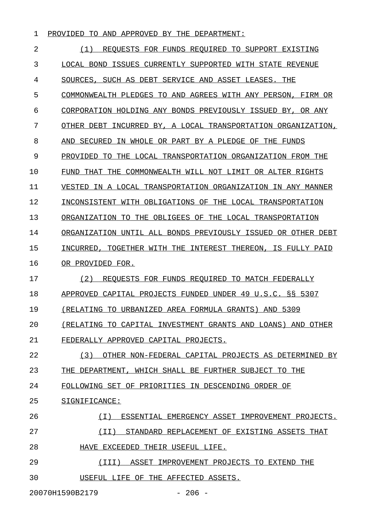## 1 PROVIDED TO AND APPROVED BY THE DEPARTMENT:

| 2  | REOUESTS FOR FUNDS REOUIRED TO SUPPORT EXISTING<br>(1)       |
|----|--------------------------------------------------------------|
| 3  | LOCAL BOND ISSUES CURRENTLY SUPPORTED WITH STATE REVENUE     |
| 4  | SOURCES, SUCH AS DEBT SERVICE AND ASSET LEASES. THE          |
| 5  | COMMONWEALTH PLEDGES TO AND AGREES WITH ANY PERSON, FIRM OR  |
| 6  | CORPORATION HOLDING ANY BONDS PREVIOUSLY ISSUED BY, OR ANY   |
| 7  | OTHER DEBT INCURRED BY, A LOCAL TRANSPORTATION ORGANIZATION, |
| 8  | AND SECURED IN WHOLE OR PART BY A PLEDGE OF THE FUNDS        |
| 9  | PROVIDED TO THE LOCAL TRANSPORTATION ORGANIZATION FROM THE   |
| 10 | FUND THAT THE COMMONWEALTH WILL NOT LIMIT OR ALTER RIGHTS    |
| 11 | VESTED IN A LOCAL TRANSPORTATION ORGANIZATION IN ANY MANNER  |
| 12 | INCONSISTENT WITH OBLIGATIONS OF THE LOCAL TRANSPORTATION    |
| 13 | ORGANIZATION TO THE OBLIGEES OF THE LOCAL TRANSPORTATION     |
| 14 | ORGANIZATION UNTIL ALL BONDS PREVIOUSLY ISSUED OR OTHER DEBT |
| 15 | INCURRED, TOGETHER WITH THE INTEREST THEREON, IS FULLY PAID  |
| 16 | OR PROVIDED FOR.                                             |
| 17 | (2)<br>REQUESTS FOR FUNDS REQUIRED TO MATCH FEDERALLY        |
| 18 | APPROVED CAPITAL PROJECTS FUNDED UNDER 49 U.S.C. §§ 5307     |
| 19 | (RELATING TO URBANIZED AREA FORMULA GRANTS) AND 5309         |
| 20 | (RELATING TO CAPITAL INVESTMENT GRANTS AND LOANS) AND OTHER  |
| 21 | FEDERALLY APPROVED CAPITAL PROJECTS.                         |
| 22 | OTHER NON-FEDERAL CAPITAL PROJECTS AS DETERMINED BY<br>(3)   |
| 23 | THE DEPARTMENT, WHICH SHALL BE FURTHER SUBJECT TO THE        |
| 24 | FOLLOWING SET OF PRIORITIES IN DESCENDING ORDER OF           |
| 25 | SIGNIFICANCE:                                                |
| 26 | ESSENTIAL EMERGENCY ASSET IMPROVEMENT PROJECTS.<br>( I )     |
| 27 | (II)<br>STANDARD REPLACEMENT OF EXISTING ASSETS THAT         |
| 28 | HAVE EXCEEDED THEIR USEFUL LIFE.                             |
| 29 | ASSET IMPROVEMENT PROJECTS TO EXTEND THE<br>(III)            |
| 30 | USEFUL LIFE OF THE AFFECTED ASSETS.                          |
|    |                                                              |

20070H1590B2179 - 206 -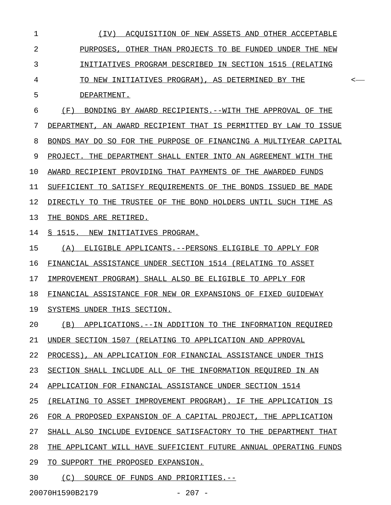| $\mathbf 1$    | (IV) ACQUISITION OF NEW ASSETS AND OTHER ACCEPTABLE              |         |
|----------------|------------------------------------------------------------------|---------|
| $\overline{2}$ | PURPOSES, OTHER THAN PROJECTS TO BE FUNDED UNDER THE NEW         |         |
| 3              | INITIATIVES PROGRAM DESCRIBED IN SECTION 1515 (RELATING          |         |
| 4              | TO NEW INITIATIVES PROGRAM), AS DETERMINED BY THE                | $\,<\,$ |
| 5              | DEPARTMENT.                                                      |         |
| 6              | (F) BONDING BY AWARD RECIPIENTS. -- WITH THE APPROVAL OF THE     |         |
| 7              | DEPARTMENT, AN AWARD RECIPIENT THAT IS PERMITTED BY LAW TO ISSUE |         |
| 8              | BONDS MAY DO SO FOR THE PURPOSE OF FINANCING A MULTIYEAR CAPITAL |         |
| 9              | PROJECT. THE DEPARTMENT SHALL ENTER INTO AN AGREEMENT WITH THE   |         |
| 10             | AWARD RECIPIENT PROVIDING THAT PAYMENTS OF THE AWARDED FUNDS     |         |
| 11             | SUFFICIENT TO SATISFY REQUIREMENTS OF THE BONDS ISSUED BE MADE   |         |
| 12             | DIRECTLY TO THE TRUSTEE OF THE BOND HOLDERS UNTIL SUCH TIME AS   |         |
| 13             | THE BONDS ARE RETIRED.                                           |         |
| 14             | § 1515. NEW INITIATIVES PROGRAM.                                 |         |
| 15             | (A) ELIGIBLE APPLICANTS. -- PERSONS ELIGIBLE TO APPLY FOR        |         |
| 16             | FINANCIAL ASSISTANCE UNDER SECTION 1514 (RELATING TO ASSET       |         |
| 17             | IMPROVEMENT PROGRAM) SHALL ALSO BE ELIGIBLE TO APPLY FOR         |         |
| 18             | FINANCIAL ASSISTANCE FOR NEW OR EXPANSIONS OF FIXED GUIDEWAY     |         |
| 19             | SYSTEMS UNDER THIS SECTION.                                      |         |
| 20             | (B)<br>APPLICATIONS.--IN ADDITION TO THE INFORMATION REOUIRED    |         |
| 21             | UNDER SECTION 1507 (RELATING TO APPLICATION AND APPROVAL         |         |
| 22             | PROCESS), AN APPLICATION FOR FINANCIAL ASSISTANCE UNDER THIS     |         |
| 23             | SECTION SHALL INCLUDE ALL OF THE INFORMATION REOUIRED IN AN      |         |
| 24             | APPLICATION FOR FINANCIAL ASSISTANCE UNDER SECTION 1514          |         |
| 25             | (RELATING TO ASSET IMPROVEMENT PROGRAM). IF THE APPLICATION IS   |         |
| 26             | FOR A PROPOSED EXPANSION OF A CAPITAL PROJECT, THE APPLICATION   |         |
| 27             | SHALL ALSO INCLUDE EVIDENCE SATISFACTORY TO THE DEPARTMENT THAT  |         |
| 28             | THE APPLICANT WILL HAVE SUFFICIENT FUTURE ANNUAL OPERATING FUNDS |         |
| 29             | SUPPORT THE PROPOSED EXPANSION.<br>TO.                           |         |
| 30             | (C)<br>SOURCE OF FUNDS AND PRIORITIES.--                         |         |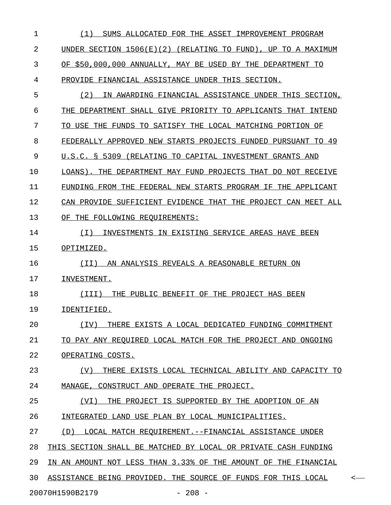| 1  | (1)<br>SUMS ALLOCATED FOR THE ASSET IMPROVEMENT PROGRAM            |
|----|--------------------------------------------------------------------|
| 2  | UNDER SECTION $1506(E)(2)$ (RELATING TO FUND), UP TO A MAXIMUM     |
| 3  | OF \$50,000,000 ANNUALLY, MAY BE USED BY THE DEPARTMENT TO         |
| 4  | PROVIDE FINANCIAL ASSISTANCE UNDER THIS SECTION.                   |
| 5  | (2)<br>IN AWARDING FINANCIAL ASSISTANCE UNDER THIS SECTION,        |
| 6  | THE DEPARTMENT SHALL GIVE PRIORITY TO APPLICANTS THAT INTEND       |
| 7  | TO USE THE FUNDS TO SATISFY THE LOCAL MATCHING PORTION OF          |
| 8  | FEDERALLY APPROVED NEW STARTS PROJECTS FUNDED PURSUANT TO 49       |
| 9  | U.S.C. § 5309 (RELATING TO CAPITAL INVESTMENT GRANTS AND           |
| 10 | LOANS). THE DEPARTMENT MAY FUND PROJECTS THAT DO NOT RECEIVE       |
| 11 | FUNDING FROM THE FEDERAL NEW STARTS PROGRAM IF THE APPLICANT       |
| 12 | CAN PROVIDE SUFFICIENT EVIDENCE THAT THE PROJECT CAN MEET ALL      |
| 13 | OF THE FOLLOWING REQUIREMENTS:                                     |
| 14 | INVESTMENTS IN EXISTING SERVICE AREAS HAVE BEEN<br>( I )           |
| 15 | OPTIMIZED.                                                         |
| 16 | AN ANALYSIS REVEALS A REASONABLE RETURN ON<br>(II)                 |
| 17 | INVESTMENT.                                                        |
| 18 | THE PUBLIC BENEFIT OF THE PROJECT HAS BEEN<br>(III)                |
| 19 | IDENTIFIED.                                                        |
| 20 | THERE EXISTS A LOCAL DEDICATED FUNDING COMMITMENT<br>(IV)          |
| 21 | TO PAY ANY REOUIRED LOCAL MATCH FOR THE PROJECT AND ONGOING        |
| 22 | OPERATING COSTS.                                                   |
| 23 | THERE EXISTS LOCAL TECHNICAL ABILITY AND CAPACITY TO<br>(V)        |
| 24 | MANAGE, CONSTRUCT AND OPERATE THE PROJECT.                         |
| 25 | (VI)<br>THE PROJECT IS SUPPORTED BY THE ADOPTION OF AN             |
| 26 | INTEGRATED LAND USE PLAN BY LOCAL MUNICIPALITIES.                  |
| 27 | LOCAL MATCH REOUIREMENT.--FINANCIAL ASSISTANCE UNDER<br>(D)        |
| 28 | THIS SECTION SHALL BE MATCHED BY LOCAL OR PRIVATE CASH FUNDING     |
| 29 | IN AN AMOUNT NOT LESS THAN 3.33% OF THE AMOUNT OF THE FINANCIAL    |
| 30 | ASSISTANCE BEING PROVIDED. THE SOURCE OF FUNDS FOR THIS LOCAL<br>≺ |
|    |                                                                    |

20070H1590B2179 - 208 -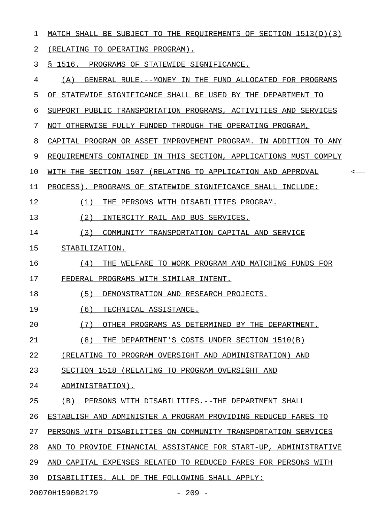1 MATCH SHALL BE SUBJECT TO THE REQUIREMENTS OF SECTION 1513(D)(3)

2 (RELATING TO OPERATING PROGRAM).

3 § 1516. PROGRAMS OF STATEWIDE SIGNIFICANCE.

4 (A) GENERAL RULE.--MONEY IN THE FUND ALLOCATED FOR PROGRAMS 5 OF STATEWIDE SIGNIFICANCE SHALL BE USED BY THE DEPARTMENT TO 6 SUPPORT PUBLIC TRANSPORTATION PROGRAMS, ACTIVITIES AND SERVICES 7 NOT OTHERWISE FULLY FUNDED THROUGH THE OPERATING PROGRAM, 8 CAPITAL PROGRAM OR ASSET IMPROVEMENT PROGRAM. IN ADDITION TO ANY 9 REOUIREMENTS CONTAINED IN THIS SECTION, APPLICATIONS MUST COMPLY 10 WITH THE SECTION 1507 (RELATING TO APPLICATION AND APPROVAL  $\sim$ 11 PROCESS). PROGRAMS OF STATEWIDE SIGNIFICANCE SHALL INCLUDE: 12 (1) THE PERSONS WITH DISABILITIES PROGRAM. 13 (2) INTERCITY RAIL AND BUS SERVICES. 14 (3) COMMUNITY TRANSPORTATION CAPITAL AND SERVICE 15 STABILIZATION. 16 (4) THE WELFARE TO WORK PROGRAM AND MATCHING FUNDS FOR \_\_\_\_\_\_\_\_\_\_\_\_\_\_\_\_\_\_\_\_\_\_\_\_\_\_\_\_\_\_\_\_\_\_\_\_\_\_\_\_\_\_\_\_\_\_\_\_\_\_\_\_\_\_\_ 17 FEDERAL PROGRAMS WITH SIMILAR INTENT. 18 (5) DEMONSTRATION AND RESEARCH PROJECTS. 19 (6) TECHNICAL ASSISTANCE. 20 (7) OTHER PROGRAMS AS DETERMINED BY THE DEPARTMENT. 21 (8) THE DEPARTMENT'S COSTS UNDER SECTION 1510(B) 22 (RELATING TO PROGRAM OVERSIGHT AND ADMINISTRATION) AND 23 SECTION 1518 (RELATING TO PROGRAM OVERSIGHT AND 24 ADMINISTRATION). 25 (B) PERSONS WITH DISABILITIES.--THE DEPARTMENT SHALL 26 ESTABLISH AND ADMINISTER A PROGRAM PROVIDING REDUCED FARES TO 27 PERSONS WITH DISABILITIES ON COMMUNITY TRANSPORTATION SERVICES 28 AND TO PROVIDE FINANCIAL ASSISTANCE FOR START-UP, ADMINISTRATIVE 29 AND CAPITAL EXPENSES RELATED TO REDUCED FARES FOR PERSONS WITH 30 DISABILITIES. ALL OF THE FOLLOWING SHALL APPLY: 20070H1590B2179 - 209 -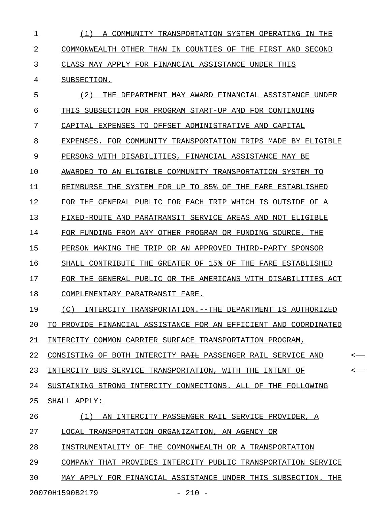| 1  | (1) A COMMUNITY TRANSPORTATION SYSTEM OPERATING IN THE                  |   |
|----|-------------------------------------------------------------------------|---|
| 2  | COMMONWEALTH OTHER THAN IN COUNTIES OF THE FIRST AND SECOND             |   |
| 3  | CLASS MAY APPLY FOR FINANCIAL ASSISTANCE UNDER THIS                     |   |
| 4  | SUBSECTION.                                                             |   |
| 5  | (2)<br>THE DEPARTMENT MAY AWARD FINANCIAL ASSISTANCE UNDER              |   |
| 6  | THIS SUBSECTION FOR PROGRAM START-UP AND FOR CONTINUING                 |   |
| 7  | CAPITAL EXPENSES TO OFFSET ADMINISTRATIVE AND CAPITAL                   |   |
| 8  | EXPENSES. FOR COMMUNITY TRANSPORTATION TRIPS MADE BY ELIGIBLE           |   |
| 9  | PERSONS WITH DISABILITIES, FINANCIAL ASSISTANCE MAY BE                  |   |
| 10 | AWARDED TO AN ELIGIBLE COMMUNITY TRANSPORTATION SYSTEM TO               |   |
| 11 | REIMBURSE THE SYSTEM FOR UP TO 85% OF THE FARE ESTABLISHED              |   |
| 12 | FOR THE GENERAL PUBLIC FOR EACH TRIP WHICH IS OUTSIDE OF A              |   |
| 13 | FIXED-ROUTE AND PARATRANSIT SERVICE AREAS AND NOT ELIGIBLE              |   |
| 14 | FOR FUNDING FROM ANY OTHER PROGRAM OR FUNDING SOURCE. THE               |   |
| 15 | PERSON MAKING THE TRIP OR AN APPROVED THIRD-PARTY SPONSOR               |   |
| 16 | SHALL CONTRIBUTE THE GREATER OF 15% OF THE FARE ESTABLISHED             |   |
| 17 | FOR THE GENERAL PUBLIC OR THE AMERICANS WITH DISABILITIES ACT           |   |
| 18 | COMPLEMENTARY PARATRANSIT FARE.                                         |   |
| 19 | INTERCITY TRANSPORTATION. --THE DEPARTMENT IS AUTHORIZED<br>(C)         |   |
| 20 | TO PROVIDE FINANCIAL ASSISTANCE FOR AN EFFICIENT AND COORDINATED        |   |
| 21 | INTERCITY COMMON CARRIER SURFACE TRANSPORTATION PROGRAM,                |   |
| 22 | CONSISTING OF BOTH INTERCITY <del>RAIL</del> PASSENGER RAIL SERVICE AND |   |
| 23 | INTERCITY BUS SERVICE TRANSPORTATION, WITH THE INTENT OF                | < |
| 24 | SUSTAINING STRONG INTERCITY CONNECTIONS. ALL OF THE FOLLOWING           |   |
| 25 | SHALL APPLY:                                                            |   |
| 26 | AN INTERCITY PASSENGER RAIL SERVICE PROVIDER, A<br>(1)                  |   |
| 27 | LOCAL TRANSPORTATION ORGANIZATION, AN AGENCY OR                         |   |
| 28 | INSTRUMENTALITY OF THE COMMONWEALTH OR A TRANSPORTATION                 |   |
| 29 | COMPANY THAT PROVIDES INTERCITY PUBLIC TRANSPORTATION SERVICE           |   |
| 30 | MAY APPLY FOR FINANCIAL ASSISTANCE UNDER THIS SUBSECTION. THE           |   |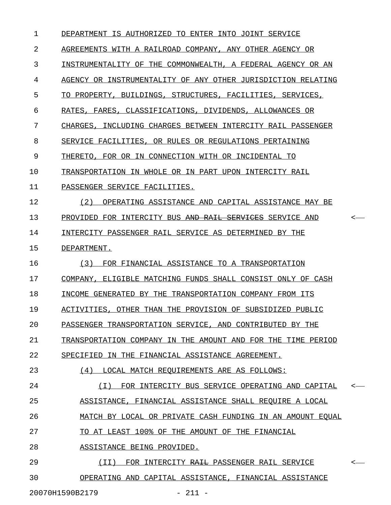| 1  | DEPARTMENT IS AUTHORIZED TO ENTER INTO JOINT SERVICE         |         |
|----|--------------------------------------------------------------|---------|
| 2  | AGREEMENTS WITH A RAILROAD COMPANY, ANY OTHER AGENCY OR      |         |
| 3  | INSTRUMENTALITY OF THE COMMONWEALTH, A FEDERAL AGENCY OR AN  |         |
| 4  | AGENCY OR INSTRUMENTALITY OF ANY OTHER JURISDICTION RELATING |         |
| 5  | TO PROPERTY, BUILDINGS, STRUCTURES, FACILITIES, SERVICES,    |         |
| 6  | RATES, FARES, CLASSIFICATIONS, DIVIDENDS, ALLOWANCES OR      |         |
| 7  | CHARGES, INCLUDING CHARGES BETWEEN INTERCITY RAIL PASSENGER  |         |
| 8  | SERVICE FACILITIES, OR RULES OR REGULATIONS PERTAINING       |         |
| 9  | THERETO, FOR OR IN CONNECTION WITH OR INCIDENTAL TO          |         |
| 10 | TRANSPORTATION IN WHOLE OR IN PART UPON INTERCITY RAIL       |         |
| 11 | PASSENGER SERVICE FACILITIES.                                |         |
| 12 | (2)<br>OPERATING ASSISTANCE AND CAPITAL ASSISTANCE MAY BE    |         |
| 13 | PROVIDED FOR INTERCITY BUS AND RAIL SERVICES SERVICE AND     | $\,<$   |
| 14 | INTERCITY PASSENGER RAIL SERVICE AS DETERMINED BY THE        |         |
| 15 | DEPARTMENT.                                                  |         |
| 16 | (3)<br>FOR FINANCIAL ASSISTANCE TO A TRANSPORTATION          |         |
| 17 | COMPANY, ELIGIBLE MATCHING FUNDS SHALL CONSIST ONLY OF CASH  |         |
| 18 | INCOME GENERATED BY THE TRANSPORTATION COMPANY FROM ITS      |         |
| 19 | ACTIVITIES, OTHER THAN THE PROVISION OF SUBSIDIZED PUBLIC    |         |
| 20 | PASSENGER TRANSPORTATION SERVICE, AND CONTRIBUTED BY THE     |         |
| 21 | TRANSPORTATION COMPANY IN THE AMOUNT AND FOR THE TIME PERIOD |         |
| 22 | SPECIFIED IN THE FINANCIAL ASSISTANCE AGREEMENT.             |         |
| 23 | (4) LOCAL MATCH REQUIREMENTS ARE AS FOLLOWS:                 |         |
| 24 | FOR INTERCITY BUS SERVICE OPERATING AND CAPITAL<br>( I )     | $\,<\,$ |
| 25 | ASSISTANCE, FINANCIAL ASSISTANCE SHALL REQUIRE A LOCAL       |         |
| 26 | MATCH BY LOCAL OR PRIVATE CASH FUNDING IN AN AMOUNT EQUAL    |         |
| 27 | TO AT LEAST 100% OF THE AMOUNT OF THE FINANCIAL              |         |
| 28 | ASSISTANCE BEING PROVIDED.                                   |         |
| 29 | FOR INTERCITY RAIL PASSENGER RAIL SERVICE<br>(II)            | $\prec$ |
| 30 | OPERATING AND CAPITAL ASSISTANCE, FINANCIAL ASSISTANCE       |         |
|    |                                                              |         |

20070H1590B2179 - 211 -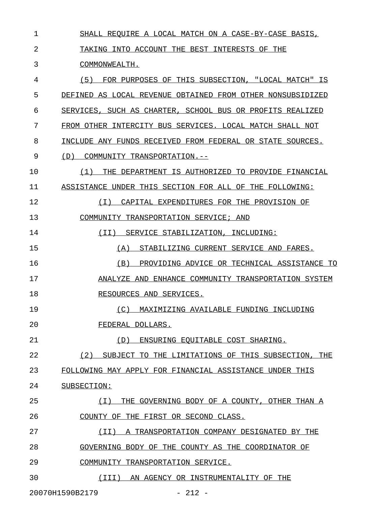| 1              | SHALL REQUIRE A LOCAL MATCH ON A CASE-BY-CASE BASIS,       |
|----------------|------------------------------------------------------------|
| $\overline{2}$ | TAKING INTO ACCOUNT THE BEST INTERESTS OF THE              |
| 3              | COMMONWEALTH.                                              |
| 4              | (5) FOR PURPOSES OF THIS SUBSECTION, "LOCAL MATCH" IS      |
| 5              | DEFINED AS LOCAL REVENUE OBTAINED FROM OTHER NONSUBSIDIZED |
| 6              | SERVICES, SUCH AS CHARTER, SCHOOL BUS OR PROFITS REALIZED  |
| 7              | FROM OTHER INTERCITY BUS SERVICES. LOCAL MATCH SHALL NOT   |
| 8              | INCLUDE ANY FUNDS RECEIVED FROM FEDERAL OR STATE SOURCES.  |
| 9              | (D)<br>COMMUNITY TRANSPORTATION.--                         |
| 10             | (1)<br>THE DEPARTMENT IS AUTHORIZED TO PROVIDE FINANCIAL   |
| 11             | ASSISTANCE UNDER THIS SECTION FOR ALL OF THE FOLLOWING:    |
| 12             | ( I )<br>CAPITAL EXPENDITURES FOR THE PROVISION OF         |
| 13             | COMMUNITY TRANSPORTATION SERVICE; AND                      |
| 14             | (II) SERVICE STABILIZATION, INCLUDING:                     |
| 15             | STABILIZING CURRENT SERVICE AND FARES.<br>(A)              |
| 16             | PROVIDING ADVICE OR TECHNICAL ASSISTANCE TO<br>(B)         |
| 17             | ANALYZE AND ENHANCE COMMUNITY TRANSPORTATION SYSTEM        |
| 18             | RESOURCES AND SERVICES.                                    |
| 19             | (C) MAXIMIZING AVAILABLE FUNDING INCLUDING                 |
| 20             | FEDERAL DOLLARS.                                           |
| 21             | (D) ENSURING EQUITABLE COST SHARING.                       |
| 22             | (2) SUBJECT TO THE LIMITATIONS OF THIS SUBSECTION, THE     |
| 23             | FOLLOWING MAY APPLY FOR FINANCIAL ASSISTANCE UNDER THIS    |
| 24             | SUBSECTION:                                                |
| 25             | (I) THE GOVERNING BODY OF A COUNTY, OTHER THAN A           |
| 26             | COUNTY OF THE FIRST OR SECOND CLASS.                       |
| 27             | (II) A TRANSPORTATION COMPANY DESIGNATED BY THE            |
| 28             | GOVERNING BODY OF THE COUNTY AS THE COORDINATOR OF         |
| 29             | COMMUNITY TRANSPORTATION SERVICE.                          |
| 30             | (III) AN AGENCY OR INSTRUMENTALITY OF THE                  |
|                |                                                            |

20070H1590B2179 - 212 -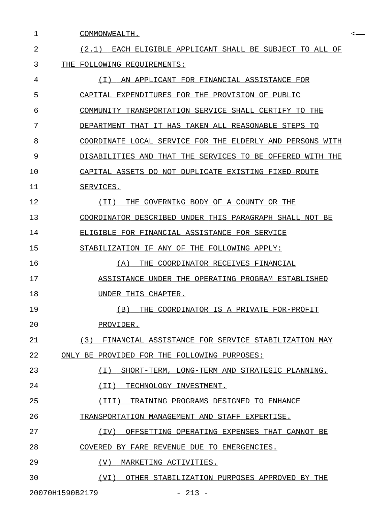| 1  | COMMONWEALTH.<br>$\,<$                                    |
|----|-----------------------------------------------------------|
| 2  | (2.1) EACH ELIGIBLE APPLICANT SHALL BE SUBJECT TO ALL OF  |
| 3  | THE FOLLOWING REOUIREMENTS:                               |
| 4  | AN APPLICANT FOR FINANCIAL ASSISTANCE FOR<br>( I )        |
| 5  | CAPITAL EXPENDITURES FOR THE PROVISION OF PUBLIC          |
| 6  | COMMUNITY TRANSPORTATION SERVICE SHALL CERTIFY TO THE     |
| 7  | DEPARTMENT THAT IT HAS TAKEN ALL REASONABLE STEPS TO      |
| 8  | COORDINATE LOCAL SERVICE FOR THE ELDERLY AND PERSONS WITH |
| 9  | DISABILITIES AND THAT THE SERVICES TO BE OFFERED WITH THE |
| 10 | CAPITAL ASSETS DO NOT DUPLICATE EXISTING FIXED-ROUTE      |
| 11 | SERVICES.                                                 |
| 12 | THE GOVERNING BODY OF A COUNTY OR THE<br>( I I )          |
| 13 | COORDINATOR DESCRIBED UNDER THIS PARAGRAPH SHALL NOT BE   |
| 14 | ELIGIBLE FOR FINANCIAL ASSISTANCE FOR SERVICE             |
| 15 | STABILIZATION IF ANY OF THE FOLLOWING APPLY:              |
| 16 | THE COORDINATOR RECEIVES FINANCIAL<br>(A)                 |
| 17 | ASSISTANCE UNDER THE OPERATING PROGRAM ESTABLISHED        |
| 18 | UNDER THIS CHAPTER.                                       |
| 19 | (B)<br>THE COORDINATOR IS A PRIVATE FOR-PROFIT            |
| 20 | PROVIDER.                                                 |
| 21 | (3)<br>FINANCIAL ASSISTANCE FOR SERVICE STABILIZATION MAY |
| 22 | ONLY BE PROVIDED FOR THE FOLLOWING PURPOSES:              |
| 23 | ( I )<br>SHORT-TERM, LONG-TERM AND STRATEGIC PLANNING.    |
| 24 | (II)<br>TECHNOLOGY INVESTMENT.                            |
| 25 | (III)<br>TRAINING PROGRAMS DESIGNED TO ENHANCE            |
| 26 | TRANSPORTATION MANAGEMENT AND STAFF EXPERTISE.            |
| 27 | (TV)<br>OFFSETTING OPERATING EXPENSES THAT CANNOT BE      |
| 28 | BY FARE REVENUE DUE TO EMERGENCIES.<br>COVERED            |
| 29 | (V)<br>MARKETING ACTIVITIES.                              |
| 30 | (VI)<br>OTHER STABILIZATION PURPOSES APPROVED BY THE      |

20070H1590B2179 - 213 -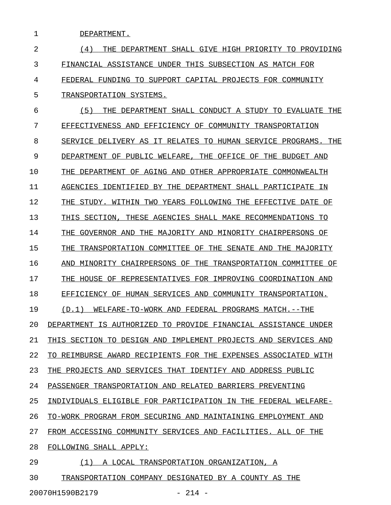1 DEPARTMENT.

| 2  | (4)<br>SHALL GIVE HIGH PRIORITY TO<br>PROVIDING<br>THE.<br>DEPARTMENT            |
|----|----------------------------------------------------------------------------------|
| 3  | FINANCIAL ASSISTANCE UNDER<br>THIS SUBSECTION AS MATCH FOR                       |
| 4  | FEDERAL FUNDING<br>TO SUPPORT CAPITAL PROJECTS FOR COMMUNITY                     |
| 5  | TRANSPORTATION SYSTEMS.                                                          |
| 6  | (5)<br>DFPARTMENT<br>SHALL CONDUCT A STUDY<br>THE<br>THE<br>TO.<br>EVALLIATE.    |
| 7  | EFFECTIVENESS AND<br>EFFICIENCY OF<br>COMMUNITY<br>TRANSPORTATION                |
| 8  | THE<br>SERVICE DELIVERY AS IT<br>RELATES TO<br>HUMAN SERVICE PROGRAMS.           |
| 9  | DEPARTMENT OF PUBLIC WELFARE<br>THE<br>OFFICE OF<br>THE BUDGET AND               |
| 10 | THE<br>DEPARTMENT<br>OF AGING AND OTHER APPROPRIATE<br>COMMONWEALTH              |
| 11 | AGENCIES<br>IDENTIFIED<br>BY THE<br>DEPARTMENT<br>SHALL PARTICIPATE<br>ΙN        |
| 12 | ΟF<br>THE<br>TWO<br>YEARS FOLLOWING THE<br>EFFECTIVE DATE<br>STUDY.<br>WITHIN    |
| 13 | THESE<br>AGENCIES SHALL MAKE RECOMMENDATIONS<br>THIS<br>SECTION.<br>TО           |
| 14 | THE<br>GOVERNOR AND<br>THE<br>MAJORITY AND<br>MINORITY CHAIRPERSONS<br>ΟF        |
| 15 | THE<br>TRANSPORTATION COMMITTEE<br>ΟF<br>THE<br>SENATE<br>AND<br>THE<br>MAJORITY |
| 16 | MINORITY CHAIRPERSONS<br>ΟF<br>THE<br>TRANSPORTATION COMMITTEE<br>ΟF<br>AND      |
| 17 | THE<br>HOUSE<br>OF<br>REPRESENTATIVES<br>FOR<br>IMPROVING COORDINATION AND       |
| 18 | EFFICIENCY OF<br>HUMAN SERVICES AND COMMUNITY<br>TRANSPORTATION.                 |
| 19 | (D,1)<br>WELFARE-TO-WORK AND FEDERAL PROGRAMS MATCH.--THE                        |
| 20 | TO PROVIDE FINANCIAL ASSISTANCE UNDER<br>DEPARTMENT<br>IS AUTHORIZED             |
| 21 | THIS SECTION TO DESIGN AND IMPLEMENT PROJECTS AND SERVICES AND                   |
| 22 | TO REIMBURSE AWARD RECIPIENTS FOR THE EXPENSES ASSOCIATED WITH                   |
| 23 | THE PROJECTS AND SERVICES THAT IDENTIFY AND ADDRESS PUBLIC                       |
| 24 | PASSENGER TRANSPORTATION AND RELATED BARRIERS PREVENTING                         |
| 25 | INDIVIDUALS ELIGIBLE FOR PARTICIPATION IN THE FEDERAL WELFARE-                   |
| 26 | TO-WORK PROGRAM FROM SECURING AND MAINTAINING EMPLOYMENT AND                     |
| 27 | FROM ACCESSING COMMUNITY SERVICES AND FACILITIES. ALL OF THE                     |
| 28 | FOLLOWING SHALL APPLY:                                                           |
| 29 | (1) A LOCAL TRANSPORTATION ORGANIZATION, A                                       |
| 30 | TRANSPORTATION COMPANY DESIGNATED BY A COUNTY AS THE                             |
|    | 20070H1590B2179<br>$-214 -$                                                      |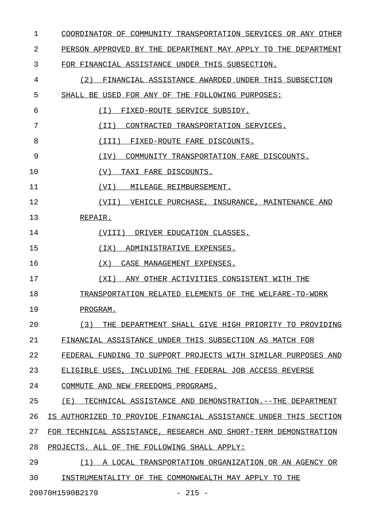| $\mathbf 1$ | COORDINATOR OF COMMUNITY TRANSPORTATION SERVICES OR ANY OTHER    |
|-------------|------------------------------------------------------------------|
| 2           | PERSON APPROVED BY THE DEPARTMENT MAY APPLY TO THE DEPARTMENT    |
| 3           | FOR FINANCIAL ASSISTANCE UNDER THIS SUBSECTION.                  |
| 4           | (2)<br>FINANCIAL ASSISTANCE AWARDED UNDER THIS SUBSECTION        |
| 5           | SHALL BE USED FOR ANY OF THE FOLLOWING PURPOSES:                 |
| 6           | (T)<br>FIXED-ROUTE SERVICE SUBSIDY.                              |
| 7           | ( I I )<br>CONTRACTED TRANSPORTATION SERVICES.                   |
| 8           | (III)<br>FIXED-ROUTE FARE DISCOUNTS.                             |
| 9           | (TV)<br>COMMUNITY TRANSPORTATION FARE DISCOUNTS.                 |
| 10          | (V)<br>TAXI FARE DISCOUNTS.                                      |
| 11          | (VI)<br>MILEAGE REIMBURSEMENT.                                   |
| 12          | (VII) VEHICLE PURCHASE, INSURANCE, MAINTENANCE AND               |
| 13          | REPAIR.                                                          |
| 14          | (VIII) DRIVER EDUCATION CLASSES.                                 |
| 15          | ( IX )<br>ADMINISTRATIVE EXPENSES.                               |
| 16          | (X)<br>CASE MANAGEMENT EXPENSES.                                 |
| 17          | ANY OTHER ACTIVITIES CONSISTENT WITH THE<br>( X I )              |
| 18          | TRANSPORTATION RELATED ELEMENTS OF THE WELFARE-TO-WORK           |
| 19          | PROGRAM.                                                         |
| 20          | (3)<br>THE DEPARTMENT SHALL GIVE HIGH PRIORITY TO PROVIDING      |
| 21          | FINANCIAL ASSISTANCE UNDER THIS SUBSECTION AS MATCH FOR          |
| 22          | FEDERAL FUNDING TO SUPPORT PROJECTS WITH SIMILAR PURPOSES AND    |
| 23          | ELIGIBLE USES, INCLUDING THE FEDERAL JOB ACCESS REVERSE          |
| 24          | COMMUTE AND NEW FREEDOMS PROGRAMS.                               |
| 25          | ( E )<br>TECHNICAL ASSISTANCE AND DEMONSTRATION.--THE DEPARTMENT |
| 26          | IS AUTHORIZED TO PROVIDE FINANCIAL ASSISTANCE UNDER THIS SECTION |
| 27          | FOR TECHNICAL ASSISTANCE, RESEARCH AND SHORT-TERM DEMONSTRATION  |
| 28          | PROJECTS. ALL OF THE FOLLOWING SHALL APPLY:                      |
| 29          | (1)<br>A LOCAL TRANSPORTATION ORGANIZATION OR AN AGENCY OR       |
| 30          | THE<br>INSTRUMENTALITY OF THE COMMONWEALTH MAY APPLY TO          |

20070H1590B2179 - 215 -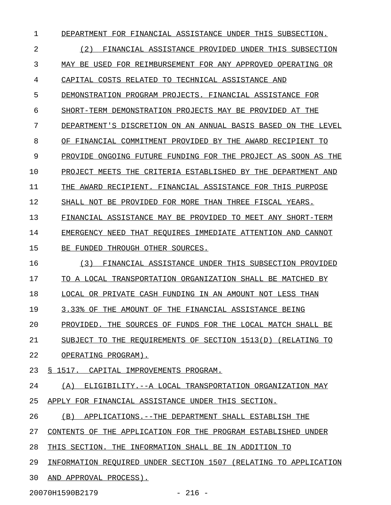| 1  | DEPARTMENT FOR FINANCIAL ASSISTANCE UNDER THIS SUBSECTION.       |
|----|------------------------------------------------------------------|
| 2  | (2)<br>FINANCIAL ASSISTANCE PROVIDED UNDER THIS SUBSECTION       |
| 3  | MAY BE USED FOR REIMBURSEMENT FOR ANY APPROVED OPERATING OR      |
| 4  | CAPITAL COSTS RELATED TO TECHNICAL ASSISTANCE AND                |
| 5  | DEMONSTRATION PROGRAM PROJECTS. FINANCIAL ASSISTANCE FOR         |
| 6  | SHORT-TERM DEMONSTRATION PROJECTS MAY BE PROVIDED AT THE         |
| 7  | DEPARTMENT'S DISCRETION ON AN ANNUAL BASIS BASED ON THE LEVEL    |
| 8  | OF FINANCIAL COMMITMENT PROVIDED BY THE AWARD RECIPIENT TO       |
| 9  | PROVIDE ONGOING FUTURE FUNDING FOR THE PROJECT AS SOON AS THE    |
| 10 | PROJECT MEETS THE CRITERIA ESTABLISHED BY THE DEPARTMENT AND     |
| 11 | THE AWARD RECIPIENT. FINANCIAL ASSISTANCE FOR THIS PURPOSE       |
| 12 | SHALL NOT BE PROVIDED FOR MORE THAN THREE FISCAL YEARS.          |
| 13 | FINANCIAL ASSISTANCE MAY BE PROVIDED TO MEET ANY SHORT-TERM      |
| 14 | EMERGENCY NEED THAT REOUIRES IMMEDIATE ATTENTION AND CANNOT      |
| 15 | BE FUNDED THROUGH OTHER SOURCES.                                 |
| 16 | FINANCIAL ASSISTANCE UNDER THIS SUBSECTION PROVIDED<br>(3)       |
| 17 | TO A LOCAL TRANSPORTATION ORGANIZATION SHALL BE MATCHED BY       |
| 18 | LOCAL OR PRIVATE CASH FUNDING IN AN AMOUNT NOT LESS THAN         |
| 19 | 3.33% OF THE AMOUNT OF THE FINANCIAL ASSISTANCE BEING            |
| 20 | PROVIDED. THE SOURCES OF FUNDS FOR THE LOCAL MATCH SHALL BE      |
| 21 | SUBJECT TO THE REQUIREMENTS OF SECTION 1513(D) (RELATING TO      |
| 22 | OPERATING PROGRAM).                                              |
| 23 | S 1517. CAPITAL IMPROVEMENTS PROGRAM.                            |
| 24 | (A) ELIGIBILITY.--A LOCAL TRANSPORTATION ORGANIZATION MAY        |
| 25 | APPLY FOR FINANCIAL ASSISTANCE UNDER THIS SECTION.               |
| 26 | (B) APPLICATIONS. -- THE DEPARTMENT SHALL ESTABLISH THE          |
| 27 | CONTENTS OF THE APPLICATION FOR THE PROGRAM ESTABLISHED UNDER    |
| 28 | THIS SECTION. THE INFORMATION SHALL BE IN ADDITION TO            |
| 29 | INFORMATION REQUIRED UNDER SECTION 1507 (RELATING TO APPLICATION |
| 30 | AND APPROVAL PROCESS).                                           |
|    | 20070H1590B2179<br>$-216 -$                                      |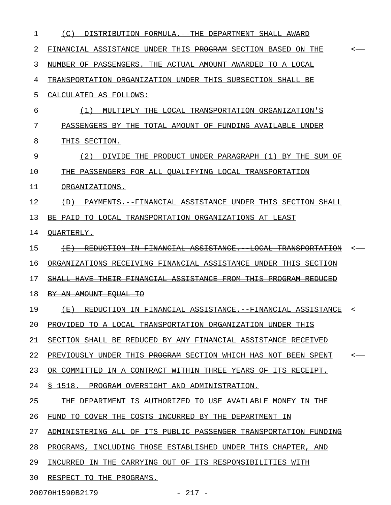| 1  | (C)<br>DISTRIBUTION FORMULA. -- THE DEPARTMENT SHALL AWARD                               |                  |
|----|------------------------------------------------------------------------------------------|------------------|
| 2  | FINANCIAL ASSISTANCE UNDER THIS PROGRAM SECTION BASED ON THE                             |                  |
| 3  | NUMBER OF PASSENGERS. THE ACTUAL AMOUNT AWARDED TO A LOCAL                               |                  |
| 4  | TRANSPORTATION ORGANIZATION UNDER THIS SUBSECTION SHALL BE                               |                  |
| 5  | CALCULATED AS FOLLOWS:                                                                   |                  |
| 6  | (1)<br>MULTIPLY THE LOCAL TRANSPORTATION ORGANIZATION'S                                  |                  |
| 7  | PASSENGERS BY THE TOTAL AMOUNT OF FUNDING AVAILABLE UNDER                                |                  |
| 8  | THIS SECTION.                                                                            |                  |
| 9  | (2)<br>DIVIDE THE PRODUCT UNDER PARAGRAPH (1) BY THE SUM OF                              |                  |
| 10 | THE PASSENGERS FOR ALL OUALIFYING LOCAL TRANSPORTATION                                   |                  |
| 11 | ORGANIZATIONS.                                                                           |                  |
| 12 | PAYMENTS.--FINANCIAL ASSISTANCE UNDER THIS SECTION SHALL<br>(D)                          |                  |
| 13 | BE PAID TO LOCAL TRANSPORTATION ORGANIZATIONS AT LEAST                                   |                  |
| 14 | <b>OUARTERLY.</b>                                                                        |                  |
| 15 | REDUCTION IN FINANCIAL ASSISTANCE. LOCAL TRANSPORTATION<br>$+$ $+$ $+$                   |                  |
| 16 | <del>ORGANIZATIONS RECEIVING FINANCIAL ASSISTANCE UNDER THIS</del><br><del>SECTION</del> |                  |
| 17 | SHALL HAVE THEIR FINANCIAL ASSISTANCE FROM THIS PROGRAM REDUCED                          |                  |
| 18 | BY AN AMOUNT EQUAL TO                                                                    |                  |
| 19 | (E)<br>REDUCTION IN FINANCIAL ASSISTANCE.--FINANCIAL ASSISTANCE                          | <—               |
| 20 | PROVIDED TO A LOCAL TRANSPORTATION ORGANIZATION UNDER THIS                               |                  |
| 21 | SECTION SHALL BE REDUCED BY ANY FINANCIAL ASSISTANCE RECEIVED                            |                  |
| 22 | PREVIOUSLY UNDER THIS PROGRAM SECTION WHICH HAS NOT BEEN SPENT                           | $\longleftarrow$ |
| 23 | OR COMMITTED IN A CONTRACT WITHIN THREE YEARS OF ITS RECEIPT.                            |                  |
| 24 | § 1518. PROGRAM OVERSIGHT AND ADMINISTRATION.                                            |                  |
| 25 | THE DEPARTMENT IS AUTHORIZED TO USE AVAILABLE MONEY IN THE                               |                  |
| 26 | FUND TO COVER THE COSTS INCURRED BY THE DEPARTMENT IN                                    |                  |
| 27 | ADMINISTERING ALL OF ITS PUBLIC PASSENGER TRANSPORTATION FUNDING                         |                  |
| 28 | PROGRAMS, INCLUDING THOSE ESTABLISHED UNDER THIS CHAPTER, AND                            |                  |
| 29 | INCURRED IN THE CARRYING OUT OF ITS RESPONSIBILITIES WITH                                |                  |
| 30 | RESPECT TO THE PROGRAMS.                                                                 |                  |

20070H1590B2179 - 217 -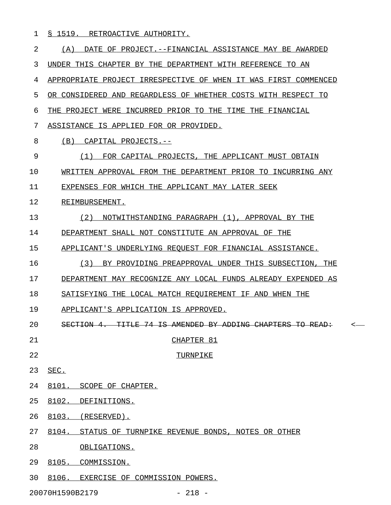1 § 1519. RETROACTIVE AUTHORITY.

| 2  | (A) DATE OF PROJECT. -- FINANCIAL ASSISTANCE MAY BE AWARDED     |
|----|-----------------------------------------------------------------|
| 3  | UNDER THIS CHAPTER BY THE DEPARTMENT WITH REFERENCE TO AN       |
| 4  | APPROPRIATE PROJECT IRRESPECTIVE OF WHEN IT WAS FIRST COMMENCED |
| 5  | OR CONSIDERED AND REGARDLESS OF WHETHER COSTS WITH RESPECT TO   |
| 6  | THE PROJECT WERE INCURRED PRIOR TO THE TIME THE FINANCIAL       |
| 7  | ASSISTANCE IS APPLIED FOR OR PROVIDED.                          |
| 8  | (B) CAPITAL PROJECTS.--                                         |
| 9  | (1) FOR CAPITAL PROJECTS, THE APPLICANT MUST OBTAIN             |
| 10 | WRITTEN APPROVAL FROM THE DEPARTMENT PRIOR TO INCURRING ANY     |
| 11 | EXPENSES FOR WHICH THE APPLICANT MAY LATER SEEK                 |
| 12 | REIMBURSEMENT.                                                  |
| 13 | NOTWITHSTANDING PARAGRAPH (1), APPROVAL BY THE<br>(2)           |
| 14 | DEPARTMENT SHALL NOT CONSTITUTE AN APPROVAL OF THE              |
| 15 | APPLICANT'S UNDERLYING REQUEST FOR FINANCIAL ASSISTANCE.        |
| 16 | BY PROVIDING PREAPPROVAL UNDER THIS SUBSECTION, THE<br>(3)      |
| 17 | DEPARTMENT MAY RECOGNIZE ANY LOCAL FUNDS ALREADY EXPENDED AS    |
| 18 | SATISFYING THE LOCAL MATCH REQUIREMENT IF AND WHEN THE          |
| 19 | APPLICANT'S APPLICATION IS APPROVED.                            |
| 20 | SECTION 4. TITLE 74 IS AMENDED BY ADDING CHAPTERS TO READ:<br>< |
| 21 | CHAPTER 81                                                      |
| 22 | TURNPIKE                                                        |
| 23 | SEC.                                                            |
| 24 | 8101. SCOPE OF CHAPTER.                                         |
| 25 | 8102.<br>DEFINITIONS.                                           |
| 26 | 8103. (RESERVED).                                               |
| 27 | 8104. STATUS OF TURNPIKE REVENUE BONDS, NOTES OR OTHER          |
| 28 | OBLIGATIONS.                                                    |
| 29 | 8105.<br>COMMISSION.                                            |
| 30 | 8106. EXERCISE OF COMMISSION POWERS.                            |

20070H1590B2179 - 218 -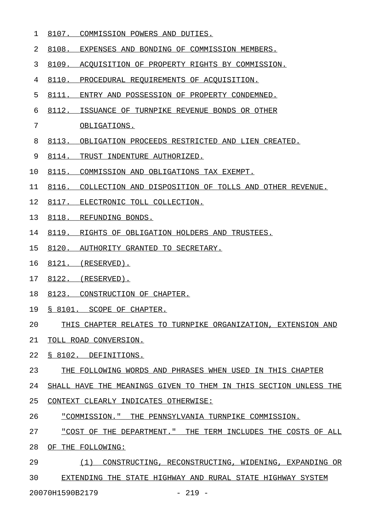- 1 8107. COMMISSION POWERS AND DUTIES.
- 2 8108. EXPENSES AND BONDING OF COMMISSION MEMBERS.
- 3 8109. ACQUISITION OF PROPERTY RIGHTS BY COMMISSION.
- 4 8110. PROCEDURAL REQUIREMENTS OF ACQUISITION.
- 5 8111. ENTRY AND POSSESSION OF PROPERTY CONDEMNED.
- 6 8112. ISSUANCE OF TURNPIKE REVENUE BONDS OR OTHER
- 7 OBLIGATIONS.
- 8 8113. OBLIGATION PROCEEDS RESTRICTED AND LIEN CREATED.
- 9 8114. TRUST INDENTURE AUTHORIZED.
- 10 8115. COMMISSION AND OBLIGATIONS TAX EXEMPT.
- 11 8116. COLLECTION AND DISPOSITION OF TOLLS AND OTHER REVENUE.
- 12 8117. ELECTRONIC TOLL COLLECTION.
- 13 8118. REFUNDING BONDS.
- 14 8119. RIGHTS OF OBLIGATION HOLDERS AND TRUSTEES.
- 15 8120. AUTHORITY GRANTED TO SECRETARY.
- 16 8121. (RESERVED).
- 17 8122. (RESERVED).
- 18 8123. CONSTRUCTION OF CHAPTER.
- 19 § 8101. SCOPE OF CHAPTER.
- 20 THIS CHAPTER RELATES TO TURNPIKE ORGANIZATION, EXTENSION AND
- 21 TOLL ROAD CONVERSION.
- 22 § 8102. DEFINITIONS.
- 23 THE FOLLOWING WORDS AND PHRASES WHEN USED IN THIS CHAPTER
- 24 SHALL HAVE THE MEANINGS GIVEN TO THEM IN THIS SECTION UNLESS THE
- 25 CONTEXT CLEARLY INDICATES OTHERWISE:
- 26 "COMMISSION." THE PENNSYLVANIA TURNPIKE COMMISSION.
- 27 "COST OF THE DEPARTMENT." THE TERM INCLUDES THE COSTS OF ALL \_\_\_\_\_\_\_\_\_\_\_\_\_\_\_\_\_\_\_\_\_\_\_\_\_\_\_\_\_\_\_\_\_\_\_\_\_\_\_\_\_\_\_\_\_\_\_\_\_\_\_\_\_\_\_\_\_\_\_\_\_
- 28 OF THE FOLLOWING:
- 29 (1) CONSTRUCTING, RECONSTRUCTING, WIDENING, EXPANDING OR \_\_\_\_\_\_\_\_\_\_\_\_\_\_\_\_\_\_\_\_\_\_\_\_\_\_\_\_\_\_\_\_\_\_\_\_\_\_\_\_\_\_\_\_\_\_\_\_\_\_\_\_\_\_\_\_\_ 30 EXTENDING THE STATE HIGHWAY AND RURAL STATE HIGHWAY SYSTEM

20070H1590B2179 - 219 -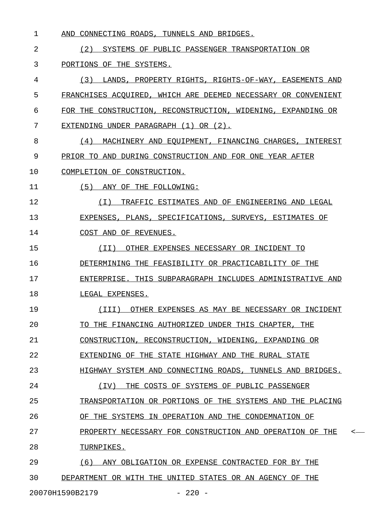1 AND CONNECTING ROADS, TUNNELS AND BRIDGES.

2 (2) SYSTEMS OF PUBLIC PASSENGER TRANSPORTATION OR \_\_\_\_\_\_\_\_\_\_\_\_\_\_\_\_\_\_\_\_\_\_\_\_\_\_\_\_\_\_\_\_\_\_\_\_\_\_\_\_\_\_\_\_\_\_\_\_\_\_ 3 PORTIONS OF THE SYSTEMS. 4 (3) LANDS, PROPERTY RIGHTS, RIGHTS-OF-WAY, EASEMENTS AND 5 FRANCHISES ACOUIRED, WHICH ARE DEEMED NECESSARY OR CONVENIENT 6 FOR THE CONSTRUCTION, RECONSTRUCTION, WIDENING, EXPANDING OR 7 EXTENDING UNDER PARAGRAPH (1) OR (2). 8 (4) MACHINERY AND EQUIPMENT, FINANCING CHARGES, INTEREST \_\_\_\_\_\_\_\_\_\_\_\_\_\_\_\_\_\_\_\_\_\_\_\_\_\_\_\_\_\_\_\_\_\_\_\_\_\_\_\_\_\_\_\_\_\_\_\_\_\_\_\_\_\_\_\_\_ 9 PRIOR TO AND DURING CONSTRUCTION AND FOR ONE YEAR AFTER 10 COMPLETION OF CONSTRUCTION. 11 (5) ANY OF THE FOLLOWING: 12 (I) TRAFFIC ESTIMATES AND OF ENGINEERING AND LEGAL \_\_\_\_\_\_\_\_\_\_\_\_\_\_\_\_\_\_\_\_\_\_\_\_\_\_\_\_\_\_\_\_\_\_\_\_\_\_\_\_\_\_\_\_\_\_\_\_\_\_\_ 13 EXPENSES, PLANS, SPECIFICATIONS, SURVEYS, ESTIMATES OF 14 COST AND OF REVENUES. 15 (II) OTHER EXPENSES NECESSARY OR INCIDENT TO \_\_\_\_\_\_\_\_\_\_\_\_\_\_\_\_\_\_\_\_\_\_\_\_\_\_\_\_\_\_\_\_\_\_\_\_\_\_\_\_\_\_\_\_\_ 16 DETERMINING THE FEASIBILITY OR PRACTICABILITY OF THE 17 ENTERPRISE. THIS SUBPARAGRAPH INCLUDES ADMINISTRATIVE AND 18 LEGAL EXPENSES. 19 (III) OTHER EXPENSES AS MAY BE NECESSARY OR INCIDENT \_\_\_\_\_\_\_\_\_\_\_\_\_\_\_\_\_\_\_\_\_\_\_\_\_\_\_\_\_\_\_\_\_\_\_\_\_\_\_\_\_\_\_\_\_\_\_\_\_\_\_\_\_ 20 TO THE FINANCING AUTHORIZED UNDER THIS CHAPTER, THE 21 CONSTRUCTION, RECONSTRUCTION, WIDENING, EXPANDING OR 22 EXTENDING OF THE STATE HIGHWAY AND THE RURAL STATE 23 HIGHWAY SYSTEM AND CONNECTING ROADS, TUNNELS AND BRIDGES. 24 (IV) THE COSTS OF SYSTEMS OF PUBLIC PASSENGER 25 TRANSPORTATION OR PORTIONS OF THE SYSTEMS AND THE PLACING 26 OF THE SYSTEMS IN OPERATION AND THE CONDEMNATION OF 27 PROPERTY NECESSARY FOR CONSTRUCTION AND OPERATION OF THE 28 TURNPIKES. 29 (6) ANY OBLIGATION OR EXPENSE CONTRACTED FOR BY THE 30 DEPARTMENT OR WITH THE UNITED STATES OR AN AGENCY OF THE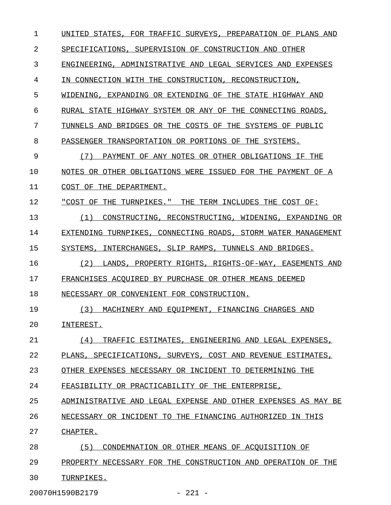| 1  | UNITED STATES, FOR TRAFFIC SURVEYS, PREPARATION OF PLANS AND  |
|----|---------------------------------------------------------------|
| 2  | SPECIFICATIONS, SUPERVISION OF CONSTRUCTION AND OTHER         |
| 3  | ENGINEERING, ADMINISTRATIVE AND LEGAL SERVICES AND EXPENSES   |
| 4  | IN CONNECTION WITH THE CONSTRUCTION, RECONSTRUCTION,          |
| 5  | WIDENING, EXPANDING OR EXTENDING OF THE STATE HIGHWAY AND     |
| 6  | RURAL STATE HIGHWAY SYSTEM OR ANY OF THE CONNECTING ROADS,    |
| 7  | TUNNELS AND BRIDGES OR THE COSTS OF THE SYSTEMS OF PUBLIC     |
| 8  | PASSENGER TRANSPORTATION OR PORTIONS OF THE SYSTEMS.          |
| 9  | PAYMENT OF ANY NOTES OR OTHER OBLIGATIONS IF THE<br>(7)       |
| 10 | NOTES OR OTHER OBLIGATIONS WERE ISSUED FOR THE PAYMENT OF A   |
| 11 | COST OF THE DEPARTMENT.                                       |
| 12 | "COST OF THE TURNPIKES." THE TERM INCLUDES THE COST OF:       |
| 13 | CONSTRUCTING, RECONSTRUCTING, WIDENING, EXPANDING OR<br>(1)   |
| 14 | EXTENDING TURNPIKES, CONNECTING ROADS, STORM WATER MANAGEMENT |
| 15 | SYSTEMS, INTERCHANGES, SLIP RAMPS, TUNNELS AND BRIDGES.       |
| 16 | (2)<br>LANDS, PROPERTY RIGHTS, RIGHTS-OF-WAY, EASEMENTS AND   |
| 17 | FRANCHISES ACOUIRED BY PURCHASE OR OTHER MEANS DEEMED         |
| 18 | NECESSARY OR CONVENIENT FOR CONSTRUCTION.                     |
| 19 | MACHINERY AND EQUIPMENT, FINANCING CHARGES AND<br>(3)         |
| 20 | INTEREST.                                                     |
| 21 | TRAFFIC ESTIMATES, ENGINEERING AND LEGAL EXPENSES,<br>(4)     |
| 22 | PLANS, SPECIFICATIONS, SURVEYS, COST AND REVENUE ESTIMATES,   |
| 23 | OTHER EXPENSES NECESSARY OR INCIDENT TO DETERMINING THE       |
| 24 | FEASIBILITY OR PRACTICABILITY OF THE ENTERPRISE,              |
| 25 | ADMINISTRATIVE AND LEGAL EXPENSE AND OTHER EXPENSES AS MAY BE |
| 26 | NECESSARY OR INCIDENT TO THE FINANCING AUTHORIZED IN THIS     |
| 27 | CHAPTER.                                                      |
| 28 | (5)<br>CONDEMNATION OR OTHER MEANS OF ACOUISITION OF          |
| 29 | PROPERTY NECESSARY FOR THE CONSTRUCTION AND OPERATION OF THE  |
| 30 | TURNPIKES.                                                    |

20070H1590B2179 - 221 -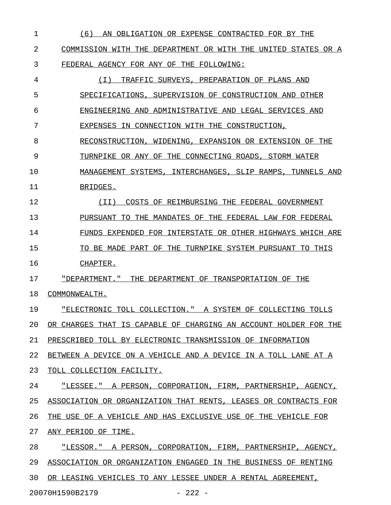1 (6) AN OBLIGATION OR EXPENSE CONTRACTED FOR BY THE 2 COMMISSION WITH THE DEPARTMENT OR WITH THE UNITED STATES OR A 3 FEDERAL AGENCY FOR ANY OF THE FOLLOWING: 4 (I) TRAFFIC SURVEYS, PREPARATION OF PLANS AND 5 SPECIFICATIONS, SUPERVISION OF CONSTRUCTION AND OTHER 6 ENGINEERING AND ADMINISTRATIVE AND LEGAL SERVICES AND 7 EXPENSES IN CONNECTION WITH THE CONSTRUCTION, 8 RECONSTRUCTION, WIDENING, EXPANSION OR EXTENSION OF THE 9 TURNPIKE OR ANY OF THE CONNECTING ROADS, STORM WATER 10 MANAGEMENT SYSTEMS, INTERCHANGES, SLIP RAMPS, TUNNELS AND 11 BRIDGES. 12 (II) COSTS OF REIMBURSING THE FEDERAL GOVERNMENT \_\_\_\_\_\_\_\_\_\_\_\_\_\_\_\_\_\_\_\_\_\_\_\_\_\_\_\_\_\_\_\_\_\_\_\_\_\_\_\_\_\_\_\_\_\_\_\_\_ 13 PURSUANT TO THE MANDATES OF THE FEDERAL LAW FOR FEDERAL 14 FUNDS EXPENDED FOR INTERSTATE OR OTHER HIGHWAYS WHICH ARE 15 TO BE MADE PART OF THE TURNPIKE SYSTEM PURSUANT TO THIS 16 CHAPTER. 17 "DEPARTMENT." THE DEPARTMENT OF TRANSPORTATION OF THE 18 COMMONWEALTH. 19 FELECTRONIC TOLL COLLECTION." A SYSTEM OF COLLECTING TOLLS 20 OR CHARGES THAT IS CAPABLE OF CHARGING AN ACCOUNT HOLDER FOR THE 21 PRESCRIBED TOLL BY ELECTRONIC TRANSMISSION OF INFORMATION 22 BETWEEN A DEVICE ON A VEHICLE AND A DEVICE IN A TOLL LANE AT A 23 TOLL COLLECTION FACILITY. 24 "LESSEE." A PERSON, CORPORATION, FIRM, PARTNERSHIP, AGENCY, 25 ASSOCIATION OR ORGANIZATION THAT RENTS, LEASES OR CONTRACTS FOR 26 THE USE OF A VEHICLE AND HAS EXCLUSIVE USE OF THE VEHICLE FOR 27 ANY PERIOD OF TIME. 28 "LESSOR." A PERSON, CORPORATION, FIRM, PARTNERSHIP, AGENCY, 29 ASSOCIATION OR ORGANIZATION ENGAGED IN THE BUSINESS OF RENTING 30 OR LEASING VEHICLES TO ANY LESSEE UNDER A RENTAL AGREEMENT,

20070H1590B2179 - 222 -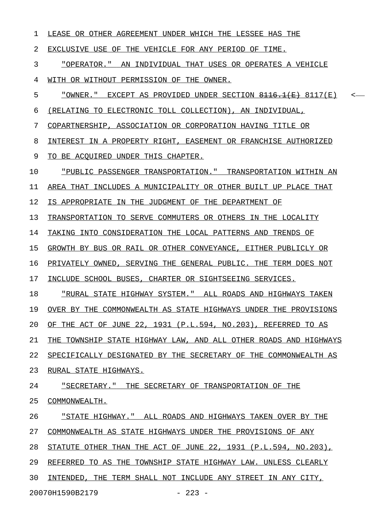| 1  | LEASE OR OTHER AGREEMENT UNDER WHICH THE LESSEE HAS THE                                |
|----|----------------------------------------------------------------------------------------|
| 2  | EXCLUSIVE USE OF THE VEHICLE FOR ANY PERIOD OF TIME.                                   |
| 3  | "OPERATOR." AN INDIVIDUAL THAT USES OR OPERATES A VEHICLE                              |
| 4  | WITH OR WITHOUT PERMISSION OF THE OWNER.                                               |
| 5  | "OWNER." EXCEPT AS PROVIDED UNDER SECTION $\frac{0.116}{0.16}$ 8117(E)<br>$\leftarrow$ |
| 6  | (RELATING TO ELECTRONIC TOLL COLLECTION), AN INDIVIDUAL,                               |
| 7  | COPARTNERSHIP, ASSOCIATION OR CORPORATION HAVING TITLE OR                              |
| 8  | INTEREST IN A PROPERTY RIGHT, EASEMENT OR FRANCHISE AUTHORIZED                         |
| 9  | TO BE ACQUIRED UNDER THIS CHAPTER.                                                     |
| 10 | "PUBLIC PASSENGER TRANSPORTATION." TRANSPORTATION WITHIN AN                            |
| 11 | AREA THAT INCLUDES A MUNICIPALITY OR OTHER BUILT UP PLACE THAT                         |
| 12 | IS APPROPRIATE IN THE JUDGMENT OF THE DEPARTMENT OF                                    |
| 13 | TRANSPORTATION TO SERVE COMMUTERS OR OTHERS IN THE LOCALITY                            |
| 14 | TAKING INTO CONSIDERATION THE LOCAL PATTERNS AND TRENDS OF                             |
| 15 | GROWTH BY BUS OR RAIL OR OTHER CONVEYANCE, EITHER PUBLICLY OR                          |
| 16 | PRIVATELY OWNED, SERVING THE GENERAL PUBLIC. THE TERM DOES NOT                         |
| 17 | INCLUDE SCHOOL BUSES, CHARTER OR SIGHTSEEING SERVICES.                                 |
| 18 | "RURAL STATE HIGHWAY SYSTEM." ALL ROADS AND HIGHWAYS TAKEN                             |
| 19 | OVER BY THE COMMONWEALTH AS STATE HIGHWAYS UNDER THE PROVISIONS                        |
| 20 | OF THE ACT OF JUNE 22, 1931 (P.L.594, NO.203), REFERRED TO AS                          |
| 21 | THE TOWNSHIP STATE HIGHWAY LAW, AND ALL OTHER ROADS AND HIGHWAYS                       |
| 22 | SPECIFICALLY DESIGNATED BY THE SECRETARY OF THE COMMONWEALTH AS                        |
| 23 | RURAL STATE HIGHWAYS.                                                                  |
| 24 | "SECRETARY." THE SECRETARY OF TRANSPORTATION OF THE                                    |
| 25 | COMMONWEALTH.                                                                          |
| 26 | "STATE HIGHWAY." ALL ROADS AND HIGHWAYS TAKEN OVER BY THE                              |
| 27 | COMMONWEALTH AS STATE HIGHWAYS UNDER THE PROVISIONS OF ANY                             |
| 28 | STATUTE OTHER THAN THE ACT OF JUNE 22, 1931 (P.L.594, NO.203),                         |
| 29 | REFERRED TO AS THE TOWNSHIP STATE HIGHWAY LAW. UNLESS CLEARLY                          |
| 30 | INTENDED, THE TERM SHALL NOT INCLUDE ANY STREET IN ANY CITY,                           |
|    | 20070H1590B2179<br>$-223 -$                                                            |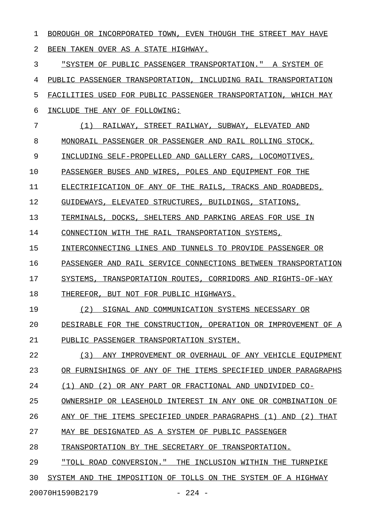1 BOROUGH OR INCORPORATED TOWN, EVEN THOUGH THE STREET MAY HAVE 2 BEEN TAKEN OVER AS A STATE HIGHWAY.

3 "SYSTEM OF PUBLIC PASSENGER TRANSPORTATION." A SYSTEM OF 4 PUBLIC PASSENGER TRANSPORTATION, INCLUDING RAIL TRANSPORTATION 5 FACILITIES USED FOR PUBLIC PASSENGER TRANSPORTATION, WHICH MAY 6 INCLUDE THE ANY OF FOLLOWING:

- 7 (1) RAILWAY, STREET RAILWAY, SUBWAY, ELEVATED AND
- 8 MONORAIL PASSENGER OR PASSENGER AND RAIL ROLLING STOCK,

9 INCLUDING SELF-PROPELLED AND GALLERY CARS, LOCOMOTIVES,

10 PASSENGER BUSES AND WIRES, POLES AND EQUIPMENT FOR THE

11 ELECTRIFICATION OF ANY OF THE RAILS, TRACKS AND ROADBEDS,

12 GUIDEWAYS, ELEVATED STRUCTURES, BUILDINGS, STATIONS,

13 TERMINALS, DOCKS, SHELTERS AND PARKING AREAS FOR USE IN

14 CONNECTION WITH THE RAIL TRANSPORTATION SYSTEMS,

15 INTERCONNECTING LINES AND TUNNELS TO PROVIDE PASSENGER OR

16 PASSENGER AND RAIL SERVICE CONNECTIONS BETWEEN TRANSPORTATION

17 SYSTEMS, TRANSPORTATION ROUTES, CORRIDORS AND RIGHTS-OF-WAY

18 THEREFOR, BUT NOT FOR PUBLIC HIGHWAYS.

19 (2) SIGNAL AND COMMUNICATION SYSTEMS NECESSARY OR

20 DESIRABLE FOR THE CONSTRUCTION, OPERATION OR IMPROVEMENT OF A

21 PUBLIC PASSENGER TRANSPORTATION SYSTEM.

22 (3) ANY IMPROVEMENT OR OVERHAUL OF ANY VEHICLE EOUIPMENT 23 OR FURNISHINGS OF ANY OF THE ITEMS SPECIFIED UNDER PARAGRAPHS

24 (1) AND (2) OR ANY PART OR FRACTIONAL AND UNDIVIDED CO-

25 OWNERSHIP OR LEASEHOLD INTEREST IN ANY ONE OR COMBINATION OF

26 ANY OF THE ITEMS SPECIFIED UNDER PARAGRAPHS (1) AND (2) THAT

27 MAY BE DESIGNATED AS A SYSTEM OF PUBLIC PASSENGER

28 TRANSPORTATION BY THE SECRETARY OF TRANSPORTATION.

29 "TOLL ROAD CONVERSION." THE INCLUSION WITHIN THE TURNPIKE

30 SYSTEM AND THE IMPOSITION OF TOLLS ON THE SYSTEM OF A HIGHWAY

20070H1590B2179 - 224 -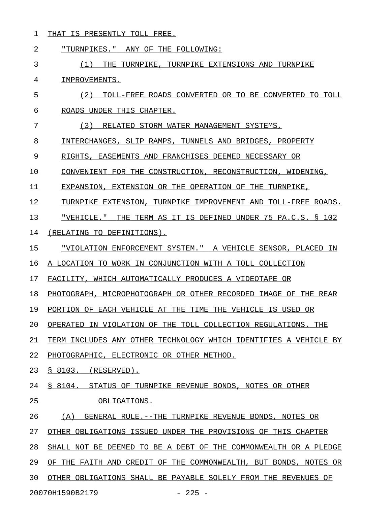1 THAT IS PRESENTLY TOLL FREE.

| 2  | "TURNPIKES." ANY OF THE FOLLOWING:                               |
|----|------------------------------------------------------------------|
| 3  | (1)<br>THE TURNPIKE, TURNPIKE EXTENSIONS AND TURNPIKE            |
| 4  | IMPROVEMENTS.                                                    |
| 5  | TOLL-FREE ROADS CONVERTED OR TO BE CONVERTED TO TOLL<br>(2)      |
| 6  | ROADS UNDER THIS CHAPTER.                                        |
| 7  | (3)<br>RELATED STORM WATER MANAGEMENT SYSTEMS,                   |
| 8  | INTERCHANGES, SLIP RAMPS, TUNNELS AND BRIDGES, PROPERTY          |
| 9  | RIGHTS, EASEMENTS AND FRANCHISES DEEMED NECESSARY OR             |
| 10 | CONVENIENT FOR THE CONSTRUCTION, RECONSTRUCTION, WIDENING,       |
| 11 | EXPANSION, EXTENSION OR THE OPERATION OF THE TURNPIKE,           |
| 12 | TURNPIKE EXTENSION, TURNPIKE IMPROVEMENT AND TOLL-FREE ROADS.    |
| 13 | "VEHICLE."<br>THE TERM AS IT IS DEFINED UNDER 75 PA.C.S. § 102   |
| 14 | (RELATING TO DEFINITIONS).                                       |
| 15 | "VIOLATION ENFORCEMENT SYSTEM." A VEHICLE SENSOR, PLACED IN      |
| 16 | A LOCATION TO WORK IN CONJUNCTION WITH A TOLL COLLECTION         |
| 17 | FACILITY, WHICH AUTOMATICALLY PRODUCES A VIDEOTAPE OR            |
| 18 | PHOTOGRAPH, MICROPHOTOGRAPH OR OTHER RECORDED IMAGE OF THE REAR  |
| 19 | PORTION OF EACH VEHICLE AT THE TIME THE VEHICLE IS USED OR       |
| 20 | OPERATED IN VIOLATION OF THE TOLL COLLECTION REGULATIONS. THE    |
| 21 | TERM INCLUDES ANY OTHER TECHNOLOGY WHICH IDENTIFIES A VEHICLE BY |
| 22 | PHOTOGRAPHIC, ELECTRONIC OR OTHER METHOD.                        |
| 23 | $\S$ 8103. (RESERVED).                                           |
| 24 | § 8104. STATUS OF TURNPIKE REVENUE BONDS, NOTES OR OTHER         |
| 25 | OBLIGATIONS.                                                     |
| 26 | (A) GENERAL RULE.--THE TURNPIKE REVENUE BONDS, NOTES OR          |
| 27 | OTHER OBLIGATIONS ISSUED UNDER THE PROVISIONS OF THIS CHAPTER    |
| 28 | SHALL NOT BE DEEMED TO BE A DEBT OF THE COMMONWEALTH OR A PLEDGE |
| 29 | OF THE FAITH AND CREDIT OF THE COMMONWEALTH, BUT BONDS, NOTES OR |
| 30 | OTHER OBLIGATIONS SHALL BE PAYABLE SOLELY FROM THE REVENUES OF   |
|    | 20070H1590B2179<br>$-225 -$                                      |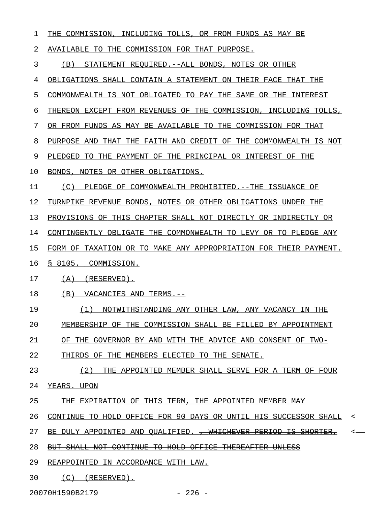| 1  | THE COMMISSION, INCLUDING TOLLS, OR FROM FUNDS AS MAY BE                                                              |
|----|-----------------------------------------------------------------------------------------------------------------------|
| 2  | AVAILABLE TO THE COMMISSION FOR THAT PURPOSE.                                                                         |
| 3  | STATEMENT REQUIRED. -- ALL BONDS, NOTES OR OTHER<br>(B)                                                               |
| 4  | OBLIGATIONS SHALL CONTAIN A STATEMENT ON THEIR FACE THAT THE                                                          |
| 5  | COMMONWEALTH IS NOT OBLIGATED TO PAY THE SAME OR THE INTEREST                                                         |
| 6  | THEREON EXCEPT FROM REVENUES OF THE COMMISSION, INCLUDING TOLLS,                                                      |
| 7  | OR FROM FUNDS AS MAY BE AVAILABLE TO THE COMMISSION FOR THAT                                                          |
| 8  | PURPOSE AND THAT THE FAITH AND CREDIT OF THE COMMONWEALTH IS NOT                                                      |
| 9  | PLEDGED TO THE PAYMENT OF THE PRINCIPAL OR INTEREST OF THE                                                            |
| 10 | BONDS, NOTES OR OTHER OBLIGATIONS.                                                                                    |
| 11 | (C) PLEDGE OF COMMONWEALTH PROHIBITED. -- THE ISSUANCE OF                                                             |
| 12 | TURNPIKE REVENUE BONDS, NOTES OR OTHER OBLIGATIONS UNDER THE                                                          |
| 13 | PROVISIONS OF THIS CHAPTER SHALL NOT DIRECTLY OR INDIRECTLY OR                                                        |
| 14 | CONTINGENTLY OBLIGATE THE COMMONWEALTH TO LEVY OR TO PLEDGE ANY                                                       |
| 15 | FORM OF TAXATION OR TO MAKE ANY APPROPRIATION FOR THEIR PAYMENT.                                                      |
| 16 | § 8105. COMMISSION.                                                                                                   |
| 17 | $(A)$ (RESERVED).                                                                                                     |
| 18 | (B) VACANCIES AND TERMS.--                                                                                            |
| 19 | NOTWITHSTANDING ANY OTHER LAW, ANY VACANCY IN THE<br>(1)                                                              |
| 20 | MEMBERSHIP OF THE COMMISSION SHALL BE FILLED BY APPOINTMENT                                                           |
| 21 | OF THE GOVERNOR BY AND WITH THE ADVICE AND CONSENT OF TWO-                                                            |
| 22 | THIRDS OF THE MEMBERS ELECTED TO THE SENATE.                                                                          |
| 23 | (2)<br>THE APPOINTED MEMBER SHALL SERVE FOR A TERM OF FOUR                                                            |
| 24 | YEARS. UPON                                                                                                           |
| 25 | THE EXPIRATION OF THIS TERM, THE APPOINTED MEMBER MAY                                                                 |
| 26 | CONTINUE TO HOLD OFFICE <del>FOR 90 DAYS OR</del> UNTIL HIS SUCCESSOR SHALL<br>$\longleftarrow$                       |
| 27 | $\hspace{0.1em} <\hspace{0.1em} \cdots$<br>BE DULY APPOINTED AND QUALIFIED. <del>, WHICHEVER PERIOD IS SHORTER,</del> |
| 28 | BUT SHALL NOT CONTINUE TO HOLD OFFICE THEREAFTER UNLESS                                                               |
| 29 | REAPPOINTED IN ACCORDANCE WITH LAW.                                                                                   |
| 30 | $(C)$ (RESERVED).                                                                                                     |

20070H1590B2179 - 226 -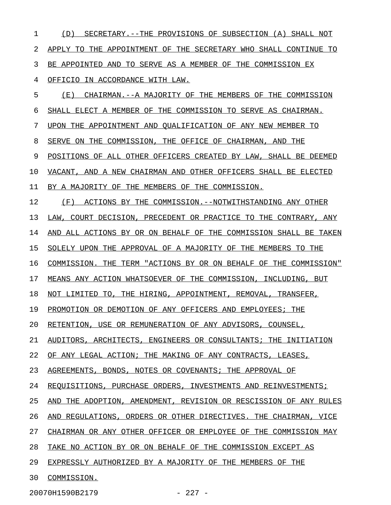| 1  | (D)<br>SECRETARY.--THE PROVISIONS OF SUBSECTION (A) SHALL NOT       |
|----|---------------------------------------------------------------------|
| 2  | APPLY TO THE APPOINTMENT OF THE SECRETARY WHO SHALL CONTINUE TO     |
| 3  | BE APPOINTED AND TO SERVE AS A MEMBER OF THE COMMISSION EX          |
| 4  | OFFICIO IN ACCORDANCE WITH LAW.                                     |
| 5  | CHAIRMAN.--A MAJORITY OF THE MEMBERS OF THE COMMISSION<br>(E)       |
| 6  | SHALL ELECT A MEMBER OF THE COMMISSION TO SERVE AS CHAIRMAN.        |
| 7  | UPON THE APPOINTMENT AND QUALIFICATION OF ANY NEW MEMBER TO         |
| 8  | SERVE ON THE COMMISSION, THE OFFICE OF CHAIRMAN, AND THE            |
| 9  | POSITIONS OF ALL OTHER OFFICERS CREATED BY LAW, SHALL BE DEEMED     |
| 10 | VACANT, AND A NEW CHAIRMAN AND OTHER OFFICERS SHALL BE ELECTED      |
| 11 | BY A MAJORITY OF THE MEMBERS OF THE COMMISSION.                     |
| 12 | (F)<br>ACTIONS BY THE COMMISSION. -- NOTWITHSTANDING ANY OTHER      |
| 13 | LAW, COURT DECISION, PRECEDENT OR PRACTICE TO THE CONTRARY, ANY     |
| 14 | AND ALL ACTIONS BY OR ON BEHALF OF THE COMMISSION SHALL BE TAKEN    |
| 15 | SOLELY UPON THE APPROVAL OF A MAJORITY OF THE MEMBERS TO THE        |
| 16 | COMMISSION. THE TERM "ACTIONS BY OR ON BEHALF OF THE COMMISSION"    |
| 17 | MEANS ANY ACTION WHATSOEVER OF THE COMMISSION, INCLUDING, BUT       |
| 18 | NOT LIMITED TO, THE HIRING, APPOINTMENT, REMOVAL, TRANSFER,         |
| 19 | PROMOTION OR DEMOTION OF ANY OFFICERS AND EMPLOYEES; THE            |
| 20 | RETENTION, USE OR REMUNERATION OF ANY ADVISORS, COUNSEL,            |
| 21 | AUDITORS, ARCHITECTS, ENGINEERS OR CONSULTANTS; THE INITIATION      |
| 22 | OF ANY LEGAL ACTION; THE MAKING OF ANY CONTRACTS, LEASES,           |
| 23 | AGREEMENTS, BONDS, NOTES OR COVENANTS; THE APPROVAL OF              |
| 24 | REOUISITIONS, PURCHASE ORDERS, INVESTMENTS AND REINVESTMENTS;       |
| 25 | THE ADOPTION, AMENDMENT, REVISION OR RESCISSION OF ANY RULES<br>AND |
| 26 | REGULATIONS, ORDERS OR OTHER DIRECTIVES. THE CHAIRMAN, VICE<br>AND  |
| 27 | CHAIRMAN OR ANY OTHER OFFICER OR EMPLOYEE OF THE COMMISSION MAY     |
| 28 | TAKE NO ACTION BY OR ON BEHALF OF THE COMMISSION EXCEPT AS          |
| 29 | EXPRESSLY AUTHORIZED BY A MAJORITY OF THE MEMBERS OF THE            |
| 30 | COMMISSION.                                                         |

20070H1590B2179 - 227 -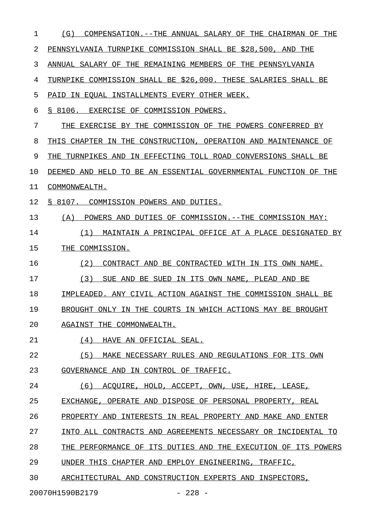| 1  | (G)<br>COMPENSATION.--THE ANNUAL SALARY OF THE CHAIRMAN OF THE  |
|----|-----------------------------------------------------------------|
| 2  | PENNSYLVANIA TURNPIKE COMMISSION SHALL BE \$28,500, AND THE     |
| 3  | ANNUAL SALARY OF THE REMAINING MEMBERS OF THE PENNSYLVANIA      |
| 4  | TURNPIKE COMMISSION SHALL BE \$26,000. THESE SALARIES SHALL BE  |
| 5  | PAID IN EQUAL INSTALLMENTS EVERY OTHER WEEK.                    |
| 6  | S 8106. EXERCISE OF COMMISSION POWERS.                          |
| 7  | THE EXERCISE BY THE COMMISSION OF THE POWERS CONFERRED BY       |
| 8  | THIS CHAPTER IN THE CONSTRUCTION, OPERATION AND MAINTENANCE OF  |
| 9  | THE TURNPIKES AND IN EFFECTING TOLL ROAD CONVERSIONS SHALL BE   |
| 10 | DEEMED AND HELD TO BE AN ESSENTIAL GOVERNMENTAL FUNCTION OF THE |
| 11 | COMMONWEALTH.                                                   |
| 12 | S 8107. COMMISSION POWERS AND DUTIES.                           |
| 13 | POWERS AND DUTIES OF COMMISSION. -- THE COMMISSION MAY:<br>(A)  |
| 14 | MAINTAIN A PRINCIPAL OFFICE AT A PLACE DESIGNATED BY<br>(1)     |
| 15 | THE COMMISSION.                                                 |
| 16 | (2)<br>CONTRACT AND BE CONTRACTED WITH IN ITS OWN NAME.         |
| 17 | (3)<br>SUE AND BE SUED IN ITS OWN NAME, PLEAD AND BE            |
| 18 | IMPLEADED. ANY CIVIL ACTION AGAINST THE COMMISSION SHALL BE     |
| 19 | BROUGHT ONLY IN THE COURTS IN WHICH ACTIONS MAY BE BROUGHT      |
| 20 | AGAINST THE COMMONWEALTH.                                       |
| 21 | (4)<br>HAVE AN OFFICIAL SEAL.                                   |
| 22 | (5)<br>MAKE NECESSARY RULES AND REGULATIONS FOR ITS OWN         |
| 23 | GOVERNANCE AND IN CONTROL OF TRAFFIC.                           |
| 24 | (6)<br>ACOUIRE, HOLD, ACCEPT, OWN, USE, HIRE, LEASE,            |
| 25 | EXCHANGE, OPERATE AND DISPOSE OF PERSONAL PROPERTY, REAL        |
| 26 | PROPERTY AND INTERESTS IN REAL PROPERTY AND MAKE AND ENTER      |
| 27 | INTO ALL CONTRACTS AND AGREEMENTS NECESSARY OR INCIDENTAL TO    |
| 28 | THE PERFORMANCE OF ITS DUTIES AND THE EXECUTION OF ITS POWERS   |
| 29 | UNDER THIS CHAPTER AND EMPLOY ENGINEERING, TRAFFIC,             |
| 30 | ARCHITECTURAL AND CONSTRUCTION EXPERTS AND INSPECTORS,          |
|    | 20070H1590B2179<br>$-228 -$                                     |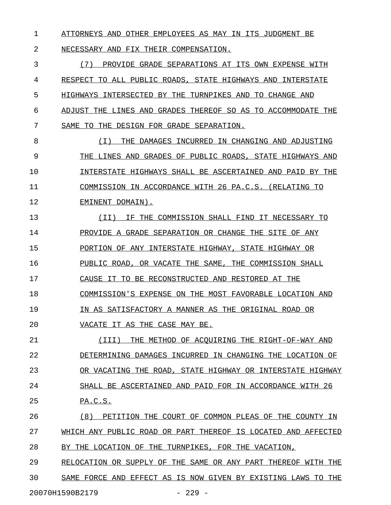1 ATTORNEYS AND OTHER EMPLOYEES AS MAY IN ITS JUDGMENT BE

2 NECESSARY AND FIX THEIR COMPENSATION.

3 (7) PROVIDE GRADE SEPARATIONS AT ITS OWN EXPENSE WITH 4 RESPECT TO ALL PUBLIC ROADS, STATE HIGHWAYS AND INTERSTATE 5 HIGHWAYS INTERSECTED BY THE TURNPIKES AND TO CHANGE AND 6 ADJUST THE LINES AND GRADES THEREOF SO AS TO ACCOMMODATE THE 7 SAME TO THE DESIGN FOR GRADE SEPARATION.

8 (I) THE DAMAGES INCURRED IN CHANGING AND ADJUSTING \_\_\_\_\_\_\_\_\_\_\_\_\_\_\_\_\_\_\_\_\_\_\_\_\_\_\_\_\_\_\_\_\_\_\_\_\_\_\_\_\_\_\_\_\_\_\_\_\_\_\_ 9 THE LINES AND GRADES OF PUBLIC ROADS, STATE HIGHWAYS AND 10 INTERSTATE HIGHWAYS SHALL BE ASCERTAINED AND PAID BY THE 11 COMMISSION IN ACCORDANCE WITH 26 PA.C.S. (RELATING TO 12 EMINENT DOMAIN).

13 (II) IF THE COMMISSION SHALL FIND IT NECESSARY TO \_\_\_\_\_\_\_\_\_\_\_\_\_\_\_\_\_\_\_\_\_\_\_\_\_\_\_\_\_\_\_\_\_\_\_\_\_\_\_\_\_\_\_\_\_\_\_\_\_\_ 14 PROVIDE A GRADE SEPARATION OR CHANGE THE SITE OF ANY 15 PORTION OF ANY INTERSTATE HIGHWAY, STATE HIGHWAY OR 16 PUBLIC ROAD, OR VACATE THE SAME, THE COMMISSION SHALL 17 CAUSE IT TO BE RECONSTRUCTED AND RESTORED AT THE 18 COMMISSION'S EXPENSE ON THE MOST FAVORABLE LOCATION AND 19 IN AS SATISFACTORY A MANNER AS THE ORIGINAL ROAD OR 20 VACATE IT AS THE CASE MAY BE. \_\_\_\_\_\_\_\_\_\_\_\_\_\_\_\_\_\_\_\_\_\_\_\_\_\_\_\_\_

21 (III) THE METHOD OF ACOUIRING THE RIGHT-OF-WAY AND 22 DETERMINING DAMAGES INCURRED IN CHANGING THE LOCATION OF 23 OR VACATING THE ROAD, STATE HIGHWAY OR INTERSTATE HIGHWAY 24 SHALL BE ASCERTAINED AND PAID FOR IN ACCORDANCE WITH 26 25 PA.C.S.

26  $(8)$  PETITION THE COURT OF COMMON PLEAS OF THE COUNTY IN 27 WHICH ANY PUBLIC ROAD OR PART THEREOF IS LOCATED AND AFFECTED 28 BY THE LOCATION OF THE TURNPIKES, FOR THE VACATION,

29 RELOCATION OR SUPPLY OF THE SAME OR ANY PART THEREOF WITH THE 30 SAME FORCE AND EFFECT AS IS NOW GIVEN BY EXISTING LAWS TO THE 20070H1590B2179 - 229 -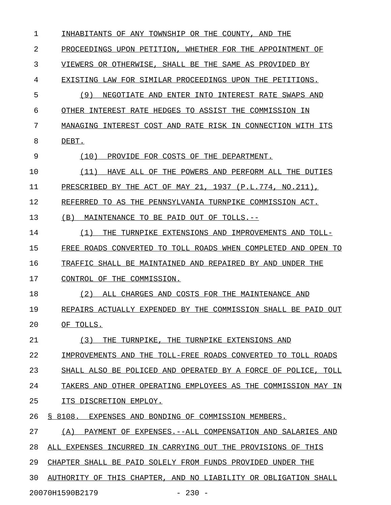1 INHABITANTS OF ANY TOWNSHIP OR THE COUNTY, AND THE 2 PROCEEDINGS UPON PETITION, WHETHER FOR THE APPOINTMENT OF 3 VIEWERS OR OTHERWISE, SHALL BE THE SAME AS PROVIDED BY 4 EXISTING LAW FOR SIMILAR PROCEEDINGS UPON THE PETITIONS. 5 (9) NEGOTIATE AND ENTER INTO INTEREST RATE SWAPS AND 6 OTHER INTEREST RATE HEDGES TO ASSIST THE COMMISSION IN 7 MANAGING INTEREST COST AND RATE RISK IN CONNECTION WITH ITS 8 DEBT. 9 (10) PROVIDE FOR COSTS OF THE DEPARTMENT. 10 (11) HAVE ALL OF THE POWERS AND PERFORM ALL THE DUTIES \_\_\_\_\_\_\_\_\_\_\_\_\_\_\_\_\_\_\_\_\_\_\_\_\_\_\_\_\_\_\_\_\_\_\_\_\_\_\_\_\_\_\_\_\_\_\_\_\_\_\_\_\_\_\_ 11 PRESCRIBED BY THE ACT OF MAY 21, 1937 (P.L.774, NO.211), 12 REFERRED TO AS THE PENNSYLVANIA TURNPIKE COMMISSION ACT. 13 (B) MAINTENANCE TO BE PAID OUT OF TOLLS.--14 (1) THE TURNPIKE EXTENSIONS AND IMPROVEMENTS AND TOLL-15 FREE ROADS CONVERTED TO TOLL ROADS WHEN COMPLETED AND OPEN TO 16 TRAFFIC SHALL BE MAINTAINED AND REPAIRED BY AND UNDER THE 17 CONTROL OF THE COMMISSION. 18 (2) ALL CHARGES AND COSTS FOR THE MAINTENANCE AND 19 REPAIRS ACTUALLY EXPENDED BY THE COMMISSION SHALL BE PAID OUT 20 OF TOLLS. 21 (3) THE TURNPIKE, THE TURNPIKE EXTENSIONS AND 22 IMPROVEMENTS AND THE TOLL-FREE ROADS CONVERTED TO TOLL ROADS 23 SHALL ALSO BE POLICED AND OPERATED BY A FORCE OF POLICE, TOLL 24 TAKERS AND OTHER OPERATING EMPLOYEES AS THE COMMISSION MAY IN 25 ITS DISCRETION EMPLOY. 26 § 8108. EXPENSES AND BONDING OF COMMISSION MEMBERS. 27 (A) PAYMENT OF EXPENSES.--ALL COMPENSATION AND SALARIES AND 28 ALL EXPENSES INCURRED IN CARRYING OUT THE PROVISIONS OF THIS 29 CHAPTER SHALL BE PAID SOLELY FROM FUNDS PROVIDED UNDER THE 30 AUTHORITY OF THIS CHAPTER, AND NO LIABILITY OR OBLIGATION SHALL 20070H1590B2179 - 230 -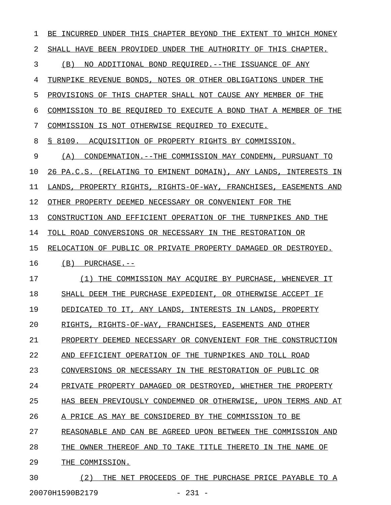| ı  | INCURRED UNDER THIS CHAPTER BEYOND THE EXTENT TO WHICH MONEY<br>BЕ |
|----|--------------------------------------------------------------------|
| 2  | SHALL HAVE BEEN PROVIDED UNDER THE AUTHORITY OF THIS CHAPTER.      |
| 3  | (B)<br>NO ADDITIONAL BOND REQUIRED. --THE ISSUANCE OF ANY          |
| 4  | TURNPIKE REVENUE BONDS, NOTES OR OTHER OBLIGATIONS UNDER THE       |
| 5  | PROVISIONS OF THIS CHAPTER SHALL NOT CAUSE ANY MEMBER OF THE       |
| 6  | COMMISSION TO BE REQUIRED TO EXECUTE A BOND THAT A MEMBER OF THE   |
| 7  | COMMISSION IS NOT OTHERWISE REQUIRED TO EXECUTE.                   |
| 8  | S 8109. ACQUISITION OF PROPERTY RIGHTS BY COMMISSION.              |
| 9  | (A)<br>CONDEMNATION.--THE COMMISSION MAY CONDEMN, PURSUANT TO      |
| 10 | 26 PA.C.S. (RELATING TO EMINENT DOMAIN), ANY LANDS, INTERESTS IN   |
| 11 | LANDS, PROPERTY RIGHTS, RIGHTS-OF-WAY, FRANCHISES, EASEMENTS AND   |
| 12 | OTHER PROPERTY DEEMED NECESSARY OR CONVENIENT FOR THE              |
| 13 | CONSTRUCTION AND EFFICIENT OPERATION OF THE TURNPIKES AND THE      |
| 14 | TOLL ROAD CONVERSIONS OR NECESSARY IN THE RESTORATION OR           |
| 15 | RELOCATION OF PUBLIC OR PRIVATE PROPERTY DAMAGED OR DESTROYED.     |
| 16 | (B) PURCHASE.--                                                    |
| 17 | (1) THE COMMISSION MAY ACOUIRE BY PURCHASE, WHENEVER IT            |
| 18 | SHALL DEEM THE PURCHASE EXPEDIENT, OR OTHERWISE ACCEPT IF          |
| 19 | DEDICATED TO IT, ANY LANDS, INTERESTS IN LANDS, PROPERTY           |
| 20 | RIGHTS, RIGHTS-OF-WAY, FRANCHISES, EASEMENTS AND OTHER             |
| 21 | PROPERTY DEEMED NECESSARY OR CONVENIENT FOR THE CONSTRUCTION       |
| 22 | AND EFFICIENT OPERATION OF THE TURNPIKES AND TOLL ROAD             |
| 23 | CONVERSIONS OR NECESSARY IN THE RESTORATION OF PUBLIC OR           |
| 24 | PRIVATE PROPERTY DAMAGED OR DESTROYED, WHETHER THE PROPERTY        |
| 25 | HAS BEEN PREVIOUSLY CONDEMNED OR OTHERWISE, UPON TERMS AND AT      |
| 26 | A PRICE AS MAY BE CONSIDERED BY THE COMMISSION TO BE               |
| 27 | REASONABLE AND CAN BE AGREED UPON BETWEEN THE COMMISSION AND       |
| 28 | THE OWNER THEREOF AND TO TAKE TITLE THERETO IN THE NAME OF         |
| 29 | THE COMMISSION.                                                    |
| 30 | THE NET PROCEEDS OF THE PURCHASE PRICE PAYABLE TO A<br>(2)         |

20070H1590B2179 - 231 -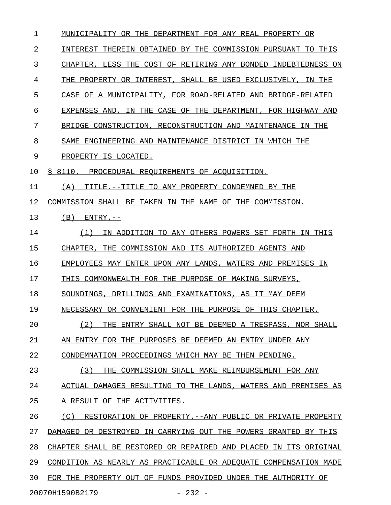| 1  | MUNICIPALITY OR THE DEPARTMENT FOR ANY REAL PROPERTY OR          |
|----|------------------------------------------------------------------|
| 2  | INTEREST THEREIN OBTAINED BY THE COMMISSION PURSUANT TO<br>THIS  |
| 3  | CHAPTER, LESS THE COST OF RETIRING ANY BONDED INDEBTEDNESS ON    |
| 4  | THE PROPERTY OR INTEREST, SHALL BE USED EXCLUSIVELY, IN THE      |
| 5  | CASE OF A MUNICIPALITY, FOR ROAD-RELATED AND BRIDGE-RELATED      |
| 6  | EXPENSES AND, IN THE CASE OF THE DEPARTMENT, FOR HIGHWAY AND     |
| 7  | BRIDGE CONSTRUCTION, RECONSTRUCTION AND MAINTENANCE IN THE       |
| 8  | SAME ENGINEERING AND MAINTENANCE DISTRICT IN WHICH THE           |
| 9  | PROPERTY IS LOCATED.                                             |
| 10 | \$8110.<br>PROCEDURAL REOUIREMENTS OF ACOUISITION.               |
| 11 | TITLE.--TITLE TO ANY PROPERTY CONDEMNED BY THE<br>(A)            |
| 12 | COMMISSION SHALL BE TAKEN IN THE NAME OF THE COMMISSION.         |
| 13 | (B)<br>$ENTRY. --$                                               |
| 14 | IN ADDITION TO ANY OTHERS POWERS SET FORTH IN THIS<br>(1)        |
| 15 | THE COMMISSION AND ITS AUTHORIZED AGENTS AND<br>CHAPTER.         |
| 16 | EMPLOYEES MAY ENTER UPON ANY LANDS, WATERS AND PREMISES IN       |
| 17 | THIS COMMONWEALTH FOR THE PURPOSE OF MAKING SURVEYS,             |
| 18 | SOUNDINGS, DRILLINGS AND EXAMINATIONS, AS IT MAY DEEM            |
| 19 | NECESSARY OR CONVENIENT FOR THE PURPOSE OF THIS CHAPTER.         |
| 20 | (2)<br>THE ENTRY SHALL NOT BE DEEMED A TRESPASS, NOR SHALL       |
| 21 | AN ENTRY FOR THE PURPOSES BE DEEMED AN ENTRY UNDER ANY           |
| 22 | CONDEMNATION PROCEEDINGS WHICH MAY BE THEN PENDING.              |
| 23 | (3)<br>THE COMMISSION SHALL MAKE REIMBURSEMENT FOR ANY           |
| 24 | ACTUAL DAMAGES RESULTING TO THE LANDS, WATERS AND PREMISES AS    |
| 25 | A RESULT OF THE ACTIVITIES.                                      |
| 26 | (C) RESTORATION OF PROPERTY.--ANY PUBLIC OR PRIVATE PROPERTY     |
| 27 | DAMAGED OR DESTROYED IN CARRYING OUT THE POWERS GRANTED BY THIS  |
| 28 | CHAPTER SHALL BE RESTORED OR REPAIRED AND PLACED IN ITS ORIGINAL |
| 29 | CONDITION AS NEARLY AS PRACTICABLE OR ADEQUATE COMPENSATION MADE |
| 30 | FOR THE PROPERTY OUT OF FUNDS PROVIDED UNDER THE AUTHORITY OF    |
|    | 20070H1590B2179<br>$-232 -$                                      |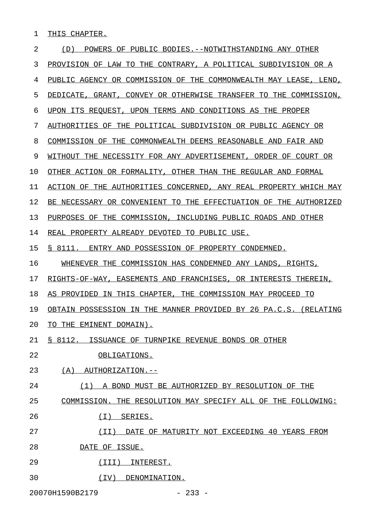1 THIS CHAPTER.

| 2  | POWERS<br>(D)<br>OF<br>PUBLIC BODIES.--NOTWITHSTANDING ANY OTHER        |
|----|-------------------------------------------------------------------------|
| 3  | PROVISION OF LAW TO THE CONTRARY, A POLITICAL SUBDIVISION OR A          |
| 4  | PUBLIC AGENCY OR COMMISSION OF THE COMMONWEALTH MAY LEASE,<br>LEND,     |
| 5  | DEDICATE.<br>GRANT.<br>CONVEY OR OTHERWISE TRANSFER TO THE COMMISSION,  |
| 6  | UPON ITS REQUEST, UPON TERMS AND CONDITIONS AS THE PROPER               |
| 7  | AUTHORITIES OF THE POLITICAL SUBDIVISION OR PUBLIC AGENCY OR            |
| 8  | COMMISSION OF THE COMMONWEALTH DEEMS REASONABLE AND FAIR AND            |
| 9  | NECESSITY FOR ANY ADVERTISEMENT,<br>WITHOUT THE<br>ORDER OF COURT OR    |
| 10 | OTHER ACTION OR FORMALITY, OTHER THAN THE REGULAR AND<br>FORMAL         |
| 11 | THE AUTHORITIES CONCERNED, ANY REAL PROPERTY WHICH MAY<br>ACTION OF     |
| 12 | NECESSARY OR CONVENIENT TO THE EFFECTUATION OF THE<br>AUTHORIZED<br>BE. |
| 13 | PURPOSES OF THE COMMISSION, INCLUDING PUBLIC ROADS AND OTHER            |
| 14 | REAL PROPERTY ALREADY DEVOTED TO PUBLIC USE.                            |
| 15 | S 8111.<br>ENTRY AND POSSESSION OF PROPERTY CONDEMNED.                  |
| 16 | WHENEVER THE COMMISSION HAS CONDEMNED ANY LANDS, RIGHTS,                |
| 17 | RIGHTS-OF-WAY, EASEMENTS AND FRANCHISES, OR INTERESTS THEREIN,          |
| 18 | THIS CHAPTER.<br>THE COMMISSION MAY PROCEED<br>AS PROVIDED IN<br>TО     |
| 19 | OBTAIN POSSESSION IN THE MANNER PROVIDED BY 26 PA.C.S.<br>(RELATING     |
| 20 | TO<br>THE EMINENT DOMAIN).                                              |
| 21 | § 8112. ISSUANCE OF TURNPIKE REVENUE BONDS OR OTHER                     |
| 22 | OBLIGATIONS.                                                            |
| 23 | $(A)$ AUTHORIZATION.--                                                  |
| 24 | (1) A BOND MUST BE AUTHORIZED BY RESOLUTION OF THE                      |
| 25 | COMMISSION. THE RESOLUTION MAY SPECIFY ALL OF THE FOLLOWING:            |
| 26 | $(I)$ SERIES.                                                           |
| 27 | (II) DATE OF MATURITY NOT EXCEEDING 40 YEARS FROM                       |
| 28 | DATE OF ISSUE.                                                          |
| 29 | (III) INTEREST.                                                         |
| 30 | (IV) DENOMINATION.                                                      |
|    |                                                                         |

20070H1590B2179 - 233 -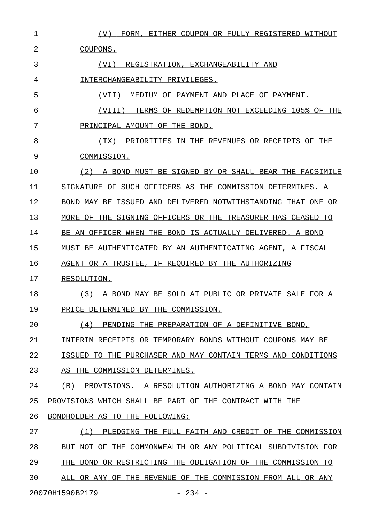| 1  | FORM.<br>(V)<br>EITHER COUPON OR FULLY REGISTERED WITHOUT         |
|----|-------------------------------------------------------------------|
| 2  | COUPONS.                                                          |
| 3  | REGISTRATION, EXCHANGEABILITY AND<br>(VT)                         |
| 4  | INTERCHANGEABILITY PRIVILEGES.                                    |
| 5  | MEDIUM OF PAYMENT AND PLACE OF PAYMENT.<br>(VII)                  |
| 6  | TERMS OF REDEMPTION NOT EXCEEDING 105% OF THE<br>(VIII)           |
| 7  | PRINCIPAL AMOUNT OF THE BOND.                                     |
| 8  | PRIORITIES IN THE REVENUES OR RECEIPTS OF THE<br>(IX)             |
| 9  | COMMISSION.                                                       |
| 10 | (2) A BOND MUST BE SIGNED BY OR SHALL BEAR THE FACSIMILE          |
| 11 | SIGNATURE OF SUCH OFFICERS AS THE COMMISSION DETERMINES. A        |
| 12 | BOND MAY BE ISSUED AND DELIVERED NOTWITHSTANDING THAT ONE OR      |
| 13 | MORE OF THE SIGNING OFFICERS OR THE TREASURER HAS CEASED TO       |
| 14 | BE AN OFFICER WHEN THE BOND IS ACTUALLY DELIVERED. A BOND         |
| 15 | MUST BE AUTHENTICATED BY AN AUTHENTICATING AGENT, A FISCAL        |
| 16 | AGENT OR A TRUSTEE, IF REQUIRED BY THE AUTHORIZING                |
| 17 | RESOLUTION.                                                       |
| 18 | A BOND MAY BE SOLD AT PUBLIC OR PRIVATE SALE FOR A<br>(3)         |
| 19 | PRICE DETERMINED BY THE COMMISSION.                               |
| 20 | (4)<br>PENDING THE PREPARATION OF A DEFINITIVE BOND,              |
| 21 | INTERIM RECEIPTS OR TEMPORARY BONDS WITHOUT COUPONS MAY BE        |
| 22 | ISSUED TO THE PURCHASER AND MAY CONTAIN TERMS AND CONDITIONS      |
| 23 | AS THE COMMISSION DETERMINES.                                     |
| 24 | PROVISIONS. -- A RESOLUTION AUTHORIZING A BOND MAY CONTAIN<br>(B) |
| 25 | PROVISIONS WHICH SHALL BE PART OF THE CONTRACT WITH THE           |
| 26 | BONDHOLDER AS TO THE FOLLOWING:                                   |
| 27 | (1)<br>PLEDGING THE FULL FAITH AND CREDIT OF THE COMMISSION       |
| 28 | BUT NOT OF THE COMMONWEALTH OR ANY POLITICAL SUBDIVISION FOR      |
| 29 | THE BOND OR RESTRICTING THE OBLIGATION OF THE COMMISSION TO       |
| 30 | ALL OR ANY OF THE REVENUE OF THE COMMISSION FROM ALL OR ANY       |
|    |                                                                   |

20070H1590B2179 - 234 -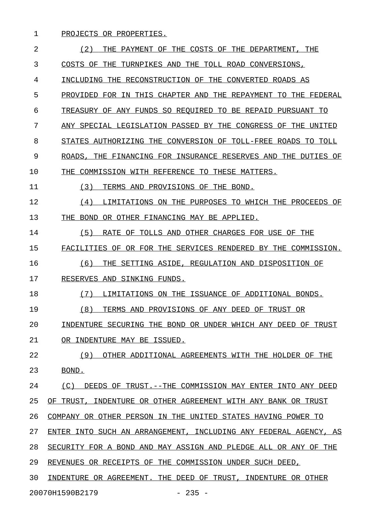## 1 PROJECTS OR PROPERTIES.

| 2  | (2)<br>COSTS OF<br>THE<br>DEPARTMENT<br>THE<br>THE.<br>PAYMENT<br>ΟF<br>THE        |
|----|------------------------------------------------------------------------------------|
| 3  | COSTS<br>OF<br>THE<br>TURNPIKES AND<br>THE TOLL ROAD CONVERSIONS,                  |
| 4  | INCLUDING THE RECONSTRUCTION OF<br>THE<br>CONVERTED ROADS AS                       |
| 5  | THIS CHAPTER AND<br>THE<br>PROVIDED<br>FOR IN<br>THE<br>REPAYMENT<br>TО<br>FEDERAL |
| 6  | TREASURY OF ANY FUNDS SO REQUIRED<br>TO.<br>BE.<br>REPAID<br>PURSUANT<br>TО        |
| 7  | ANY SPECIAL LEGISLATION PASSED BY THE CONGRESS<br>ΟF<br>THE<br>UNITED              |
| 8  | STATES AUTHORIZING THE CONVERSION OF TOLL-FREE ROADS TO<br>TOLL                    |
| 9  | FINANCING FOR INSURANCE RESERVES AND<br>THE<br>ΟF<br>ROADS.<br>THE<br>DUTIES       |
| 10 | THE<br>COMMISSION WITH REFERENCE TO<br>THESE MATTERS.                              |
| 11 | (3)<br>TERMS AND PROVISIONS OF<br>THE<br>BOND.                                     |
| 12 | (4)<br>LIMITATIONS ON THE PURPOSES TO WHICH THE PROCEEDS<br>ΟF                     |
| 13 | OR OTHER FINANCING MAY BE APPLIED.<br>THE<br><b>BOND</b>                           |
| 14 | (5)<br>RATE OF<br>TOLLS AND OTHER CHARGES FOR USE OF THE                           |
| 15 | BY THE COMMISSION.<br>FACILITIES OF<br>OR FOR THE SERVICES RENDERED                |
| 16 | (6)<br>SETTING ASIDE, REGULATION AND DISPOSITION OF<br>THE                         |
| 17 | RESERVES<br>AND SINKING FUNDS.                                                     |
| 18 | (7)<br>ISSUANCE OF ADDITIONAL BONDS.<br>LIMITATIONS<br>ON THE                      |
| 19 | (8)<br>PROVISIONS OF ANY DEED<br>TERMS AND<br>OF<br>TRUST OR                       |
| 20 | INDENTURE SECURING<br>THE BOND OR UNDER WHICH ANY DEED OF<br>TRUST                 |
| 21 | OR INDENTURE MAY BE ISSUED.                                                        |
| 22 | (9)<br>OTHER ADDITIONAL AGREEMENTS WITH THE HOLDER OF THE                          |
| 23 | BOND.                                                                              |
| 24 | (C)<br>DEEDS OF TRUST. --THE COMMISSION MAY ENTER INTO ANY DEED                    |
| 25 | OF TRUST, INDENTURE OR OTHER AGREEMENT WITH ANY BANK OR TRUST                      |
| 26 | COMPANY OR OTHER PERSON IN THE UNITED STATES HAVING POWER TO                       |
| 27 | ENTER INTO SUCH AN ARRANGEMENT, INCLUDING ANY FEDERAL AGENCY, AS                   |
| 28 | SECURITY FOR A BOND AND MAY ASSIGN AND PLEDGE ALL OR ANY OF THE                    |
| 29 | REVENUES OR RECEIPTS OF THE COMMISSION UNDER SUCH DEED,                            |
| 30 | INDENTURE OR AGREEMENT. THE DEED OF TRUST, INDENTURE OR OTHER                      |
|    | 20070H1590B2179<br>$-235 -$                                                        |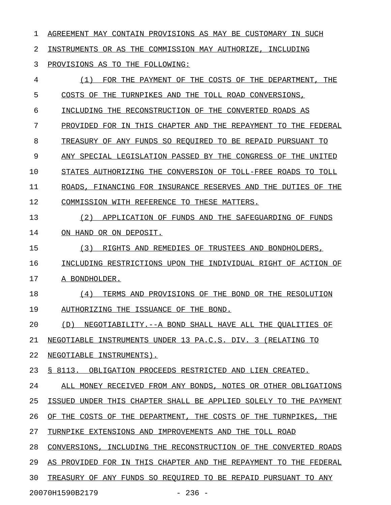1 AGREEMENT MAY CONTAIN PROVISIONS AS MAY BE CUSTOMARY IN SUCH

2 INSTRUMENTS OR AS THE COMMISSION MAY AUTHORIZE, INCLUDING

3 PROVISIONS AS TO THE FOLLOWING:

4  $(1)$  FOR THE PAYMENT OF THE COSTS OF THE DEPARTMENT, THE 5 COSTS OF THE TURNPIKES AND THE TOLL ROAD CONVERSIONS, 6 INCLUDING THE RECONSTRUCTION OF THE CONVERTED ROADS AS 7 PROVIDED FOR IN THIS CHAPTER AND THE REPAYMENT TO THE FEDERAL 8 TREASURY OF ANY FUNDS SO REOUIRED TO BE REPAID PURSUANT TO 9 ANY SPECIAL LEGISLATION PASSED BY THE CONGRESS OF THE UNITED 10 STATES AUTHORIZING THE CONVERSION OF TOLL-FREE ROADS TO TOLL 11 ROADS, FINANCING FOR INSURANCE RESERVES AND THE DUTIES OF THE 12 COMMISSION WITH REFERENCE TO THESE MATTERS. 13 (2) APPLICATION OF FUNDS AND THE SAFEGUARDING OF FUNDS 14 ON HAND OR ON DEPOSIT. 15 (3) RIGHTS AND REMEDIES OF TRUSTEES AND BONDHOLDERS, 16 INCLUDING RESTRICTIONS UPON THE INDIVIDUAL RIGHT OF ACTION OF 17 A BONDHOLDER. 18 (4) TERMS AND PROVISIONS OF THE BOND OR THE RESOLUTION 19 AUTHORIZING THE ISSUANCE OF THE BOND. 20 (D) NEGOTIABILITY.--A BOND SHALL HAVE ALL THE QUALITIES OF 21 NEGOTIABLE INSTRUMENTS UNDER 13 PA.C.S. DIV. 3 (RELATING TO 22 NEGOTIABLE INSTRUMENTS). 23 § 8113. OBLIGATION PROCEEDS RESTRICTED AND LIEN CREATED. 24 ALL MONEY RECEIVED FROM ANY BONDS, NOTES OR OTHER OBLIGATIONS 25 ISSUED UNDER THIS CHAPTER SHALL BE APPLIED SOLELY TO THE PAYMENT 26 OF THE COSTS OF THE DEPARTMENT, THE COSTS OF THE TURNPIKES, THE 27 TURNPIKE EXTENSIONS AND IMPROVEMENTS AND THE TOLL ROAD 28 CONVERSIONS, INCLUDING THE RECONSTRUCTION OF THE CONVERTED ROADS 29 AS PROVIDED FOR IN THIS CHAPTER AND THE REPAYMENT TO THE FEDERAL 30 TREASURY OF ANY FUNDS SO REOUIRED TO BE REPAID PURSUANT TO ANY 20070H1590B2179 - 236 -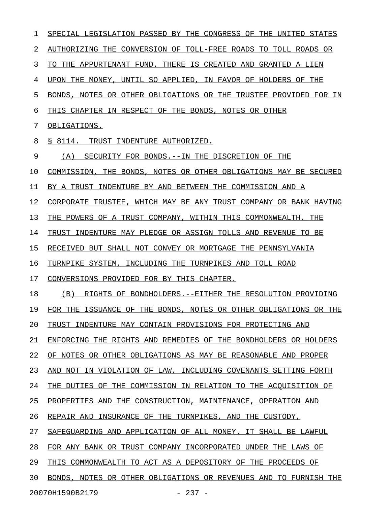| 1  | SPECIAL LEGISLATION PASSED BY THE CONGRESS OF THE UNITED STATES  |
|----|------------------------------------------------------------------|
| 2  | AUTHORIZING THE CONVERSION OF TOLL-FREE ROADS TO TOLL ROADS OR   |
| 3  | TO THE APPURTENANT FUND. THERE IS CREATED AND GRANTED A LIEN     |
| 4  | UPON THE MONEY, UNTIL SO APPLIED, IN FAVOR OF HOLDERS OF THE     |
| 5  | BONDS, NOTES OR OTHER OBLIGATIONS OR THE TRUSTEE PROVIDED FOR IN |
| 6  | THIS CHAPTER IN RESPECT OF THE BONDS, NOTES OR OTHER             |
| 7  | OBLIGATIONS.                                                     |
| 8  | S 8114.<br>TRUST INDENTURE AUTHORIZED.                           |
| 9  | (A)<br>SECURITY FOR BONDS.--IN THE DISCRETION OF THE             |
| 10 | COMMISSION, THE BONDS, NOTES OR OTHER OBLIGATIONS MAY BE SECURED |
| 11 | INDENTURE BY AND BETWEEN THE COMMISSION AND A<br>BY A TRUST      |
| 12 | CORPORATE TRUSTEE, WHICH MAY BE ANY TRUST COMPANY OR BANK HAVING |
| 13 | THE POWERS OF A TRUST COMPANY, WITHIN THIS COMMONWEALTH. THE     |
| 14 | TRUST INDENTURE MAY PLEDGE OR ASSIGN TOLLS AND REVENUE TO BE     |
| 15 | RECEIVED BUT SHALL NOT CONVEY OR MORTGAGE THE PENNSYLVANIA       |
| 16 | TURNPIKE SYSTEM, INCLUDING THE TURNPIKES AND TOLL ROAD           |
| 17 | CONVERSIONS PROVIDED FOR BY THIS CHAPTER.                        |
| 18 | (B)<br>RIGHTS OF BONDHOLDERS. -- EITHER THE RESOLUTION PROVIDING |
| 19 | FOR THE ISSUANCE OF THE BONDS, NOTES OR OTHER OBLIGATIONS OR THE |
| 20 | TRUST INDENTURE MAY CONTAIN PROVISIONS FOR PROTECTING AND        |
| 21 | ENFORCING THE RIGHTS AND REMEDIES OF THE BONDHOLDERS OR HOLDERS  |
| 22 | OF NOTES OR OTHER OBLIGATIONS AS MAY BE REASONABLE AND PROPER    |
| 23 | AND NOT IN VIOLATION OF LAW, INCLUDING COVENANTS SETTING FORTH   |
| 24 | THE DUTIES OF THE COMMISSION IN RELATION TO THE ACOUISITION OF   |
| 25 | PROPERTIES AND THE CONSTRUCTION, MAINTENANCE, OPERATION AND      |
| 26 | REPAIR AND INSURANCE OF THE TURNPIKES, AND THE CUSTODY,          |
| 27 | SAFEGUARDING AND APPLICATION OF ALL MONEY. IT SHALL BE LAWFUL    |
| 28 | FOR ANY BANK OR TRUST COMPANY INCORPORATED UNDER THE LAWS OF     |
| 29 | THIS COMMONWEALTH TO ACT AS A DEPOSITORY OF THE PROCEEDS OF      |
| 30 | BONDS, NOTES OR OTHER OBLIGATIONS OR REVENUES AND TO FURNISH THE |
|    | 20070H1590B2179<br>$-237 -$                                      |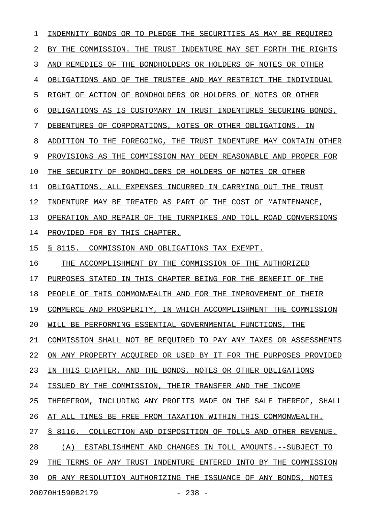1 INDEMNITY BONDS OR TO PLEDGE THE SECURITIES AS MAY BE REQUIRED 2 BY THE COMMISSION. THE TRUST INDENTURE MAY SET FORTH THE RIGHTS 3 AND REMEDIES OF THE BONDHOLDERS OR HOLDERS OF NOTES OR OTHER 4 OBLIGATIONS AND OF THE TRUSTEE AND MAY RESTRICT THE INDIVIDUAL 5 RIGHT OF ACTION OF BONDHOLDERS OR HOLDERS OF NOTES OR OTHER 6 OBLIGATIONS AS IS CUSTOMARY IN TRUST INDENTURES SECURING BONDS, 7 DEBENTURES OF CORPORATIONS, NOTES OR OTHER OBLIGATIONS. IN 8 ADDITION TO THE FOREGOING, THE TRUST INDENTURE MAY CONTAIN OTHER 9 PROVISIONS AS THE COMMISSION MAY DEEM REASONABLE AND PROPER FOR 10 THE SECURITY OF BONDHOLDERS OR HOLDERS OF NOTES OR OTHER 11 OBLIGATIONS. ALL EXPENSES INCURRED IN CARRYING OUT THE TRUST 12 INDENTURE MAY BE TREATED AS PART OF THE COST OF MAINTENANCE, 13 OPERATION AND REPAIR OF THE TURNPIKES AND TOLL ROAD CONVERSIONS 14 PROVIDED FOR BY THIS CHAPTER. 15 § 8115. COMMISSION AND OBLIGATIONS TAX EXEMPT. 16 THE ACCOMPLISHMENT BY THE COMMISSION OF THE AUTHORIZED 17 PURPOSES STATED IN THIS CHAPTER BEING FOR THE BENEFIT OF THE 18 PEOPLE OF THIS COMMONWEALTH AND FOR THE IMPROVEMENT OF THEIR 19 COMMERCE AND PROSPERITY, IN WHICH ACCOMPLISHMENT THE COMMISSION 20 WILL BE PERFORMING ESSENTIAL GOVERNMENTAL FUNCTIONS, THE 21 COMMISSION SHALL NOT BE REQUIRED TO PAY ANY TAXES OR ASSESSMENTS 22 ON ANY PROPERTY ACOUIRED OR USED BY IT FOR THE PURPOSES PROVIDED 23 IN THIS CHAPTER, AND THE BONDS, NOTES OR OTHER OBLIGATIONS 24 ISSUED BY THE COMMISSION, THEIR TRANSFER AND THE INCOME 25 THEREFROM, INCLUDING ANY PROFITS MADE ON THE SALE THEREOF, SHALL 26 AT ALL TIMES BE FREE FROM TAXATION WITHIN THIS COMMONWEALTH. 27 § 8116. COLLECTION AND DISPOSITION OF TOLLS AND OTHER REVENUE. 28 (A) ESTABLISHMENT AND CHANGES IN TOLL AMOUNTS. --SUBJECT TO 29 THE TERMS OF ANY TRUST INDENTURE ENTERED INTO BY THE COMMISSION 30 OR ANY RESOLUTION AUTHORIZING THE ISSUANCE OF ANY BONDS, NOTES

20070H1590B2179 - 238 -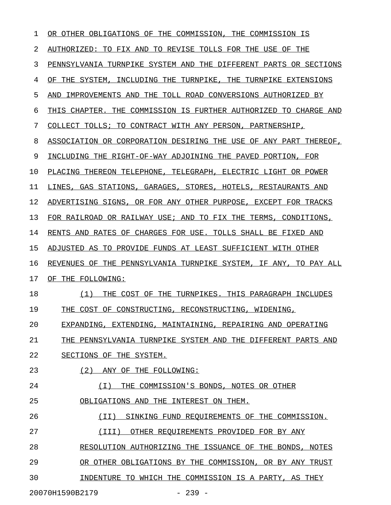| $\mathbf 1$ | OR OTHER OBLIGATIONS OF THE COMMISSION,<br>THE COMMISSION IS                  |
|-------------|-------------------------------------------------------------------------------|
| 2           | TO REVISE TOLLS FOR THE USE OF<br>AUTHORIZED: TO FIX AND<br>THE               |
| 3           | PENNSYLVANIA TURNPIKE SYSTEM AND<br>THE DIFFERENT PARTS OR SECTIONS           |
| 4           | INCLUDING THE<br>THE TURNPIKE EXTENSIONS<br>THE<br>SYSTEM,<br>TURNPIKE,<br>ΟF |
| 5           | IMPROVEMENTS AND<br>TOLL ROAD CONVERSIONS AUTHORIZED BY<br>THE<br>AND         |
| 6           | THIS CHAPTER.<br>THE.<br>COMMISSION IS FURTHER AUTHORIZED TO CHARGE AND       |
| 7           | COLLECT TOLLS; TO CONTRACT WITH ANY PERSON,<br>PARTNERSHIP,                   |
| 8           | ASSOCIATION OR CORPORATION DESIRING THE USE OF ANY PART THEREOF,              |
| 9           | INCLUDING THE RIGHT-OF-WAY ADJOINING THE PAVED<br>PORTION.<br>FOR             |
| 10          | PLACING THEREON TELEPHONE, TELEGRAPH,<br>ELECTRIC LIGHT OR POWER              |
| 11          | GAS STATIONS, GARAGES, STORES,<br>LINES.<br>HOTELS,<br>RESTAURANTS AND        |
| 12          | ADVERTISING SIGNS, OR FOR ANY OTHER PURPOSE,<br>EXCEPT FOR TRACKS             |
| 13          | FOR RAILROAD OR RAILWAY USE; AND TO FIX THE TERMS,<br>CONDITIONS,             |
| 14          | RENTS AND RATES OF CHARGES FOR USE. TOLLS SHALL BE FIXED AND                  |
| 15          | ADJUSTED AS TO PROVIDE FUNDS AT LEAST SUFFICIENT WITH OTHER                   |
| 16          | REVENUES OF<br>THE PENNSYLVANIA TURNPIKE SYSTEM, IF ANY,<br>TO PAY ALL        |
| 17          | OF THE FOLLOWING:                                                             |
| 18          | (1)<br>THE COST OF<br>THE<br>TURNPIKES. THIS PARAGRAPH INCLUDES               |
| 19          | COST OF CONSTRUCTING, RECONSTRUCTING, WIDENING,<br>THE.                       |
| 20          | EXPANDING, EXTENDING, MAINTAINING, REPAIRING AND OPERATING                    |
| 21          | THE PENNSYLVANIA TURNPIKE SYSTEM AND THE DIFFERENT PARTS AND                  |
| 22          | SECTIONS OF THE SYSTEM.                                                       |
| 23          | (2)<br>ANY OF THE FOLLOWING:                                                  |
| 24          | (T)<br>THE COMMISSION'S BONDS, NOTES OR OTHER                                 |
| 25          | OBLIGATIONS AND THE INTEREST ON THEM.                                         |
| 26          | SINKING FUND REQUIREMENTS OF THE COMMISSION.<br>(II)                          |
| 27          | (III)<br>OTHER REQUIREMENTS PROVIDED FOR BY ANY                               |
| 28          | RESOLUTION AUTHORIZING THE ISSUANCE OF THE BONDS, NOTES                       |
| 29          | OR OTHER OBLIGATIONS BY THE COMMISSION, OR BY ANY TRUST                       |
| 30          | INDENTURE TO WHICH THE COMMISSION IS A PARTY, AS THEY                         |
|             | $-239 -$<br>20070H1590B2179                                                   |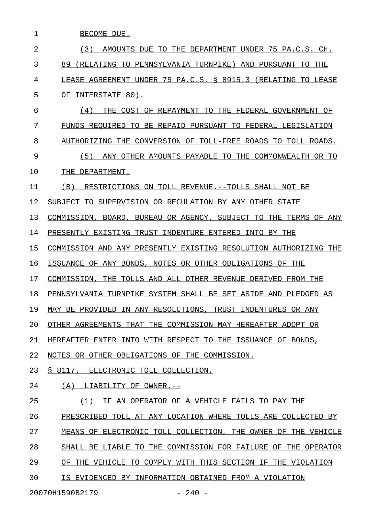| 1  | BECOME DUE.                                                      |
|----|------------------------------------------------------------------|
| 2  | (3)<br>AMOUNTS DUE TO THE DEPARTMENT UNDER 75 PA.C.S. CH.        |
| 3  | 89<br>(RELATING TO PENNSYLVANIA TURNPIKE) AND PURSUANT TO THE    |
| 4  | LEASE AGREEMENT UNDER 75 PA.C.S. § 8915.3 (RELATING TO LEASE     |
| 5  | INTERSTATE 80).<br>OF                                            |
| 6  | (4)<br>THE COST OF REPAYMENT TO THE FEDERAL GOVERNMENT OF        |
| 7  | FUNDS REOUIRED TO BE REPAID PURSUANT TO FEDERAL LEGISLATION      |
| 8  | AUTHORIZING THE CONVERSION OF TOLL-FREE ROADS TO TOLL ROADS.     |
| 9  | (5)<br>ANY OTHER AMOUNTS PAYABLE TO THE COMMONWEALTH OR TO       |
| 10 | THE DEPARTMENT.                                                  |
| 11 | RESTRICTIONS ON TOLL REVENUE. -- TOLLS SHALL NOT BE<br>(B)       |
| 12 | SUBJECT TO SUPERVISION OR REGULATION BY ANY OTHER STATE          |
| 13 | COMMISSION, BOARD, BUREAU OR AGENCY. SUBJECT TO THE TERMS OF ANY |
| 14 | PRESENTLY EXISTING TRUST INDENTURE ENTERED INTO BY THE           |
| 15 | COMMISSION AND ANY PRESENTLY EXISTING RESOLUTION AUTHORIZING THE |
| 16 | ISSUANCE OF ANY BONDS, NOTES OR OTHER OBLIGATIONS OF THE         |
| 17 | COMMISSION, THE TOLLS AND ALL OTHER REVENUE DERIVED FROM THE     |
| 18 | PENNSYLVANIA TURNPIKE SYSTEM SHALL BE SET ASIDE AND PLEDGED AS   |
| 19 | MAY BE PROVIDED IN ANY RESOLUTIONS, TRUST INDENTURES OR ANY      |
| 20 | OTHER AGREEMENTS THAT THE COMMISSION MAY HEREAFTER ADOPT OR      |
| 21 | HEREAFTER ENTER INTO WITH RESPECT TO THE ISSUANCE OF BONDS,      |
| 22 | NOTES OR OTHER OBLIGATIONS OF THE COMMISSION.                    |
| 23 | § 8117. ELECTRONIC TOLL COLLECTION.                              |
| 24 | (A) LIABILITY OF OWNER.--                                        |
| 25 | (1) IF AN OPERATOR OF A VEHICLE FAILS TO PAY THE                 |
| 26 | PRESCRIBED TOLL AT ANY LOCATION WHERE TOLLS ARE COLLECTED BY     |
| 27 | MEANS OF ELECTRONIC TOLL COLLECTION, THE OWNER OF THE VEHICLE    |
| 28 | SHALL BE LIABLE TO THE COMMISSION FOR FAILURE OF THE OPERATOR    |
| 29 | OF THE VEHICLE TO COMPLY WITH THIS SECTION IF THE VIOLATION      |
| 30 | IS EVIDENCED BY INFORMATION OBTAINED FROM A VIOLATION            |

20070H1590B2179 - 240 -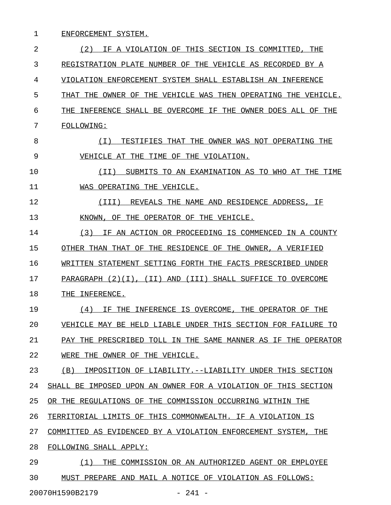## 1 ENFORCEMENT SYSTEM.

2 (2) IF A VIOLATION OF THIS SECTION IS COMMITTED, THE 3 REGISTRATION PLATE NUMBER OF THE VEHICLE AS RECORDED BY A 4 VIOLATION ENFORCEMENT SYSTEM SHALL ESTABLISH AN INFERENCE 5 THAT THE OWNER OF THE VEHICLE WAS THEN OPERATING THE VEHICLE. 6 THE INFERENCE SHALL BE OVERCOME IF THE OWNER DOES ALL OF THE 7 FOLLOWING: \_\_\_\_\_\_\_\_\_\_ 8 (I) TESTIFIES THAT THE OWNER WAS NOT OPERATING THE \_\_\_\_\_\_\_\_\_\_\_\_\_\_\_\_\_\_\_\_\_\_\_\_\_\_\_\_\_\_\_\_\_\_\_\_\_\_\_\_\_\_\_\_\_\_\_\_\_\_\_ 9 VEHICLE AT THE TIME OF THE VIOLATION. \_\_\_\_\_\_\_\_\_\_\_\_\_\_\_\_\_\_\_\_\_\_\_\_\_\_\_\_\_\_\_\_\_\_\_\_\_ 10  $(II)$  SUBMITS TO AN EXAMINATION AS TO WHO AT THE TIME 11 WAS OPERATING THE VEHICLE. 12 (III) REVEALS THE NAME AND RESIDENCE ADDRESS, IF \_\_\_\_\_\_\_\_\_\_\_\_\_\_\_\_\_\_\_\_\_\_\_\_\_\_\_\_\_\_\_\_\_\_\_\_\_\_\_\_\_\_\_\_\_\_\_\_\_ 13 KNOWN, OF THE OPERATOR OF THE VEHICLE. 14 (3) IF AN ACTION OR PROCEEDING IS COMMENCED IN A COUNTY 15 OTHER THAN THAT OF THE RESIDENCE OF THE OWNER, A VERIFIED 16 WRITTEN STATEMENT SETTING FORTH THE FACTS PRESCRIBED UNDER 17 PARAGRAPH (2)(I), (II) AND (III) SHALL SUFFICE TO OVERCOME 18 THE INFERENCE. 19 (4) IF THE INFERENCE IS OVERCOME, THE OPERATOR OF THE 20 VEHICLE MAY BE HELD LIABLE UNDER THIS SECTION FOR FAILURE TO 21 PAY THE PRESCRIBED TOLL IN THE SAME MANNER AS IF THE OPERATOR 22 WERE THE OWNER OF THE VEHICLE. 23 (B) IMPOSITION OF LIABILITY.--LIABILITY UNDER THIS SECTION 24 SHALL BE IMPOSED UPON AN OWNER FOR A VIOLATION OF THIS SECTION 25 OR THE REGULATIONS OF THE COMMISSION OCCURRING WITHIN THE 26 TERRITORIAL LIMITS OF THIS COMMONWEALTH. IF A VIOLATION IS 27 COMMITTED AS EVIDENCED BY A VIOLATION ENFORCEMENT SYSTEM, THE 28 FOLLOWING SHALL APPLY: 29 (1) THE COMMISSION OR AN AUTHORIZED AGENT OR EMPLOYEE \_\_\_\_\_\_\_\_\_\_\_\_\_\_\_\_\_\_\_\_\_\_\_\_\_\_\_\_\_\_\_\_\_\_\_\_\_\_\_\_\_\_\_\_\_\_\_\_\_\_\_\_\_\_ 30 MUST PREPARE AND MAIL A NOTICE OF VIOLATION AS FOLLOWS:

20070H1590B2179 - 241 -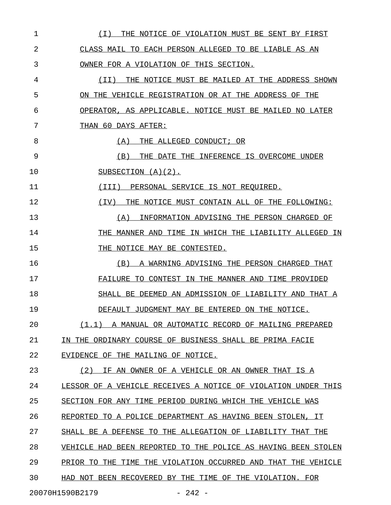| 1  | THE NOTICE OF VIOLATION MUST BE SENT BY FIRST<br>( I )        |
|----|---------------------------------------------------------------|
| 2  | CLASS MAIL TO EACH PERSON ALLEGED TO BE LIABLE AS AN          |
| 3  | OWNER FOR A VIOLATION OF THIS SECTION.                        |
| 4  | THE NOTICE MUST BE MAILED AT THE ADDRESS SHOWN<br>( I I )     |
| 5  | ON THE VEHICLE REGISTRATION OR AT THE ADDRESS OF THE          |
| 6  | OPERATOR, AS APPLICABLE. NOTICE MUST BE MAILED NO LATER       |
| 7  | THAN 60 DAYS AFTER:                                           |
| 8  | THE ALLEGED CONDUCT; OR<br>(A)                                |
| 9  | THE DATE THE INFERENCE IS OVERCOME UNDER<br>(B)               |
| 10 | SUBSECTION $(A)(2)$ .                                         |
| 11 | (III) PERSONAL SERVICE IS NOT REQUIRED.                       |
| 12 | THE NOTICE MUST CONTAIN ALL OF THE FOLLOWING:<br>(IV)         |
| 13 | INFORMATION ADVISING THE PERSON CHARGED OF<br>(A)             |
| 14 | THE MANNER AND TIME IN WHICH THE LIABILITY ALLEGED IN         |
| 15 | THE NOTICE MAY BE CONTESTED.                                  |
| 16 | A WARNING ADVISING THE PERSON CHARGED THAT<br>(B)             |
| 17 | FAILURE TO CONTEST IN THE MANNER AND TIME PROVIDED            |
| 18 | SHALL BE DEEMED AN ADMISSION OF LIABILITY AND THAT A          |
| 19 | DEFAULT JUDGMENT MAY BE ENTERED ON THE NOTICE.                |
| 20 | (1.1)<br>A MANUAL OR AUTOMATIC RECORD OF MAILING PREPARED     |
| 21 | IN THE ORDINARY COURSE OF BUSINESS SHALL BE PRIMA FACIE       |
| 22 | EVIDENCE OF THE MAILING OF NOTICE.                            |
| 23 | (2)<br>IF AN OWNER OF A VEHICLE OR AN OWNER THAT IS A         |
| 24 | LESSOR OF A VEHICLE RECEIVES A NOTICE OF VIOLATION UNDER THIS |
| 25 | SECTION FOR ANY TIME PERIOD DURING WHICH THE VEHICLE WAS      |
| 26 | REPORTED TO A POLICE DEPARTMENT AS HAVING BEEN STOLEN, IT     |
| 27 | SHALL BE A DEFENSE TO THE ALLEGATION OF LIABILITY THAT THE    |
| 28 | VEHICLE HAD BEEN REPORTED TO THE POLICE AS HAVING BEEN STOLEN |
| 29 | PRIOR TO THE TIME THE VIOLATION OCCURRED AND THAT THE VEHICLE |
| 30 | HAD NOT BEEN RECOVERED BY THE TIME OF THE VIOLATION. FOR      |
|    | $-242 -$<br>20070H1590B2179                                   |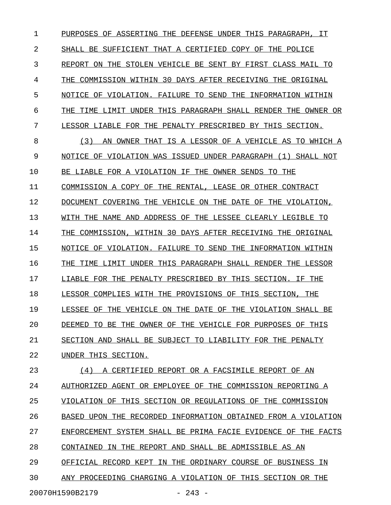1 PURPOSES OF ASSERTING THE DEFENSE UNDER THIS PARAGRAPH, IT 2 SHALL BE SUFFICIENT THAT A CERTIFIED COPY OF THE POLICE 3 REPORT ON THE STOLEN VEHICLE BE SENT BY FIRST CLASS MAIL TO 4 THE COMMISSION WITHIN 30 DAYS AFTER RECEIVING THE ORIGINAL 5 NOTICE OF VIOLATION. FAILURE TO SEND THE INFORMATION WITHIN 6 THE TIME LIMIT UNDER THIS PARAGRAPH SHALL RENDER THE OWNER OR 7 LESSOR LIABLE FOR THE PENALTY PRESCRIBED BY THIS SECTION. 8 (3) AN OWNER THAT IS A LESSOR OF A VEHICLE AS TO WHICH A 9 NOTICE OF VIOLATION WAS ISSUED UNDER PARAGRAPH (1) SHALL NOT 10 BE LIABLE FOR A VIOLATION IF THE OWNER SENDS TO THE 11 COMMISSION A COPY OF THE RENTAL, LEASE OR OTHER CONTRACT 12 DOCUMENT COVERING THE VEHICLE ON THE DATE OF THE VIOLATION, 13 WITH THE NAME AND ADDRESS OF THE LESSEE CLEARLY LEGIBLE TO 14 THE COMMISSION, WITHIN 30 DAYS AFTER RECEIVING THE ORIGINAL 15 NOTICE OF VIOLATION. FAILURE TO SEND THE INFORMATION WITHIN 16 THE TIME LIMIT UNDER THIS PARAGRAPH SHALL RENDER THE LESSOR 17 LIABLE FOR THE PENALTY PRESCRIBED BY THIS SECTION. IF THE 18 LESSOR COMPLIES WITH THE PROVISIONS OF THIS SECTION, THE 19 LESSEE OF THE VEHICLE ON THE DATE OF THE VIOLATION SHALL BE 20 DEEMED TO BE THE OWNER OF THE VEHICLE FOR PURPOSES OF THIS 21 SECTION AND SHALL BE SUBJECT TO LIABILITY FOR THE PENALTY 22 UNDER THIS SECTION. 23 (4) A CERTIFIED REPORT OR A FACSIMILE REPORT OF AN 24 AUTHORIZED AGENT OR EMPLOYEE OF THE COMMISSION REPORTING A 25 VIOLATION OF THIS SECTION OR REGULATIONS OF THE COMMISSION 26 BASED UPON THE RECORDED INFORMATION OBTAINED FROM A VIOLATION 27 ENFORCEMENT SYSTEM SHALL BE PRIMA FACIE EVIDENCE OF THE FACTS 28 CONTAINED IN THE REPORT AND SHALL BE ADMISSIBLE AS AN

29 OFFICIAL RECORD KEPT IN THE ORDINARY COURSE OF BUSINESS IN

30 ANY PROCEEDING CHARGING A VIOLATION OF THIS SECTION OR THE

20070H1590B2179 - 243 -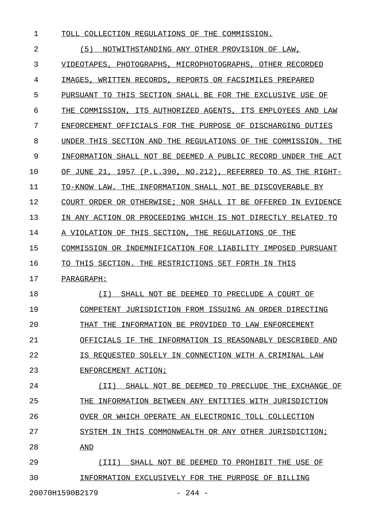1 TOLL COLLECTION REGULATIONS OF THE COMMISSION.

| 2  | (5)<br>NOTWITHSTANDING ANY OTHER PROVISION OF LAW.               |
|----|------------------------------------------------------------------|
| 3  | VIDEOTAPES, PHOTOGRAPHS, MICROPHOTOGRAPHS, OTHER RECORDED        |
| 4  | IMAGES, WRITTEN RECORDS, REPORTS OR FACSIMILES PREPARED          |
| 5  | PURSUANT TO THIS SECTION SHALL BE FOR THE EXCLUSIVE USE OF       |
| 6  | THE COMMISSION, ITS AUTHORIZED AGENTS, ITS EMPLOYEES AND LAW     |
| 7  | ENFORCEMENT OFFICIALS FOR THE PURPOSE OF DISCHARGING DUTIES      |
| 8  | UNDER THIS SECTION AND THE REGULATIONS OF THE COMMISSION. THE    |
| 9  | INFORMATION SHALL NOT BE DEEMED A PUBLIC RECORD UNDER THE ACT    |
| 10 | OF JUNE 21, 1957 (P.L.390, NO.212), REFERRED TO AS THE RIGHT-    |
| 11 | TO-KNOW LAW. THE INFORMATION SHALL NOT BE DISCOVERABLE BY        |
| 12 | COURT ORDER OR OTHERWISE; NOR SHALL IT BE OFFERED<br>IN EVIDENCE |
| 13 | IN ANY ACTION OR PROCEEDING WHICH IS NOT DIRECTLY RELATED TO     |
| 14 | A VIOLATION OF THIS SECTION, THE REGULATIONS OF THE              |
| 15 | COMMISSION OR INDEMNIFICATION FOR LIABILITY IMPOSED PURSUANT     |
| 16 | TO THIS SECTION. THE RESTRICTIONS SET FORTH IN THIS              |
| 17 | PARAGRAPH:                                                       |
| 18 | (T)<br>SHALL NOT BE DEEMED TO PRECLUDE A COURT OF                |
| 19 | COMPETENT JURISDICTION FROM ISSUING AN ORDER DIRECTING           |
| 20 | THAT THE INFORMATION BE PROVIDED TO LAW ENFORCEMENT              |
| 21 | OFFICIALS IF THE INFORMATION IS REASONABLY DESCRIBED AND         |
| 22 | IS REOUESTED SOLELY IN CONNECTION WITH A CRIMINAL LAW            |
| 23 | ENFORCEMENT ACTION;                                              |
| 24 | (II) SHALL NOT BE DEEMED TO PRECLUDE THE EXCHANGE OF             |
| 25 | THE INFORMATION BETWEEN ANY ENTITIES WITH JURISDICTION           |
| 26 | OVER OR WHICH OPERATE AN ELECTRONIC TOLL COLLECTION              |
| 27 | SYSTEM IN THIS COMMONWEALTH OR ANY OTHER JURISDICTION;           |
| 28 | AND                                                              |
| 29 | (III) SHALL NOT BE DEEMED TO PROHIBIT THE USE OF                 |
| 30 | INFORMATION EXCLUSIVELY FOR THE PURPOSE OF BILLING               |
|    |                                                                  |

20070H1590B2179 - 244 -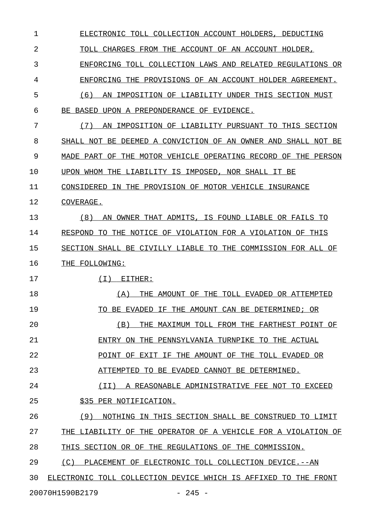| $\mathbf 1$ | ELECTRONIC TOLL COLLECTION ACCOUNT HOLDERS, DEDUCTING            |
|-------------|------------------------------------------------------------------|
| 2           | TOLL CHARGES FROM THE ACCOUNT OF AN ACCOUNT HOLDER,              |
| 3           | ENFORCING TOLL COLLECTION LAWS AND RELATED REGULATIONS OR        |
| 4           | ENFORCING THE PROVISIONS OF AN ACCOUNT HOLDER AGREEMENT.         |
| 5           | AN IMPOSITION OF LIABILITY UNDER THIS SECTION MUST<br>(6)        |
| 6           | BE BASED UPON A PREPONDERANCE OF EVIDENCE.                       |
| 7           | AN IMPOSITION OF LIABILITY PURSUANT TO THIS SECTION<br>(7)       |
| 8           | SHALL NOT BE DEEMED A CONVICTION OF AN OWNER AND SHALL NOT BE    |
| 9           | MADE PART OF THE MOTOR VEHICLE OPERATING RECORD OF THE PERSON    |
| 10          | UPON WHOM THE LIABILITY IS IMPOSED, NOR SHALL IT BE              |
| 11          | CONSIDERED IN THE PROVISION OF MOTOR VEHICLE INSURANCE           |
| 12          | COVERAGE.                                                        |
| 13          | AN OWNER THAT ADMITS, IS FOUND LIABLE OR FAILS TO<br>(8)         |
| 14          | RESPOND TO THE NOTICE OF VIOLATION FOR A VIOLATION OF THIS       |
| 15          | SECTION SHALL BE CIVILLY LIABLE TO THE COMMISSION FOR ALL OF     |
| 16          | THE FOLLOWING:                                                   |
| 17          | EITHER:<br>( I )                                                 |
| 18          | THE AMOUNT OF THE TOLL EVADED OR ATTEMPTED<br>(A)                |
| 19          | TO BE EVADED IF THE AMOUNT CAN BE DETERMINED; OR                 |
| 20          | (B)<br>THE MAXIMUM TOLL FROM THE FARTHEST POINT OF               |
| 21          | ENTRY ON THE PENNSYLVANIA TURNPIKE TO THE ACTUAL                 |
| 22          | POINT OF EXIT IF THE AMOUNT OF THE TOLL EVADED OR                |
| 23          | ATTEMPTED TO BE EVADED CANNOT BE DETERMINED.                     |
| 24          | (II)<br>A REASONABLE ADMINISTRATIVE FEE NOT<br>TO.<br>EXCEED     |
| 25          | \$35 PER NOTIFICATION.                                           |
| 26          | NOTHING IN THIS SECTION SHALL BE CONSTRUED TO LIMIT<br>(9)       |
| 27          | THE<br>LIABILITY OF THE OPERATOR OF A VEHICLE FOR A VIOLATION OF |
| 28          | THIS SECTION OR OF THE REGULATIONS OF THE COMMISSION.            |
| 29          | (C)<br>PLACEMENT OF ELECTRONIC TOLL COLLECTION DEVICE.--AN       |
| 30          | ELECTRONIC TOLL COLLECTION DEVICE WHICH IS AFFIXED TO THE FRONT  |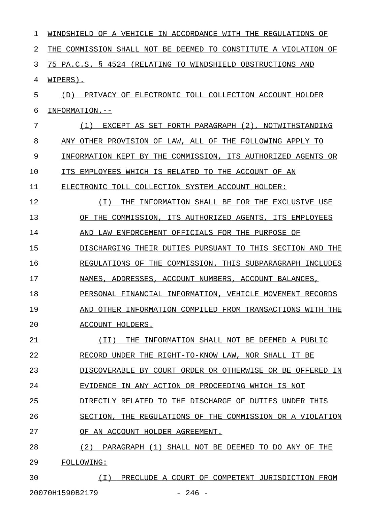| 1  | WINDSHIELD OF A VEHICLE IN ACCORDANCE WITH THE REGULATIONS OF   |
|----|-----------------------------------------------------------------|
| 2  | THE COMMISSION SHALL NOT BE DEEMED TO CONSTITUTE A VIOLATION OF |
| 3  | 75 PA.C.S. § 4524 (RELATING TO WINDSHIELD OBSTRUCTIONS AND      |
| 4  | WIPERS).                                                        |
| 5  | PRIVACY OF ELECTRONIC TOLL COLLECTION ACCOUNT HOLDER<br>(D)     |
| 6  | INFORMATION.--                                                  |
| 7  | EXCEPT AS SET FORTH PARAGRAPH (2), NOTWITHSTANDING<br>(1)       |
| 8  | ANY OTHER PROVISION OF LAW, ALL OF THE FOLLOWING APPLY TO       |
| 9  | INFORMATION KEPT BY THE COMMISSION, ITS AUTHORIZED AGENTS OR    |
| 10 | ITS EMPLOYEES WHICH IS RELATED TO THE ACCOUNT OF AN             |
| 11 | ELECTRONIC TOLL COLLECTION SYSTEM ACCOUNT HOLDER:               |
| 12 | ( I )<br>THE INFORMATION SHALL BE FOR THE EXCLUSIVE USE         |
| 13 | OF THE COMMISSION, ITS AUTHORIZED AGENTS, ITS EMPLOYEES         |
| 14 | AND LAW ENFORCEMENT OFFICIALS FOR THE PURPOSE OF                |
| 15 | DISCHARGING THEIR DUTIES PURSUANT TO THIS SECTION AND<br>THE    |
| 16 | REGULATIONS OF THE COMMISSION. THIS SUBPARAGRAPH INCLUDES       |
| 17 | NAMES, ADDRESSES, ACCOUNT NUMBERS, ACCOUNT BALANCES,            |
| 18 | PERSONAL FINANCIAL INFORMATION, VEHICLE MOVEMENT RECORDS        |
| 19 | OTHER INFORMATION COMPILED FROM TRANSACTIONS WITH<br>THE<br>AND |
| 20 | ACCOUNT HOLDERS.                                                |
| 21 | (II)<br>THE INFORMATION SHALL NOT BE DEEMED A PUBLIC            |
| 22 | RECORD UNDER THE RIGHT-TO-KNOW LAW, NOR SHALL IT BE             |
| 23 | DISCOVERABLE BY COURT ORDER OR OTHERWISE OR BE OFFERED IN       |
| 24 | EVIDENCE IN ANY ACTION OR PROCEEDING WHICH IS NOT               |
| 25 | DIRECTLY RELATED TO THE DISCHARGE OF DUTIES UNDER THIS          |
| 26 | SECTION, THE REGULATIONS OF THE COMMISSION OR A VIOLATION       |
| 27 | OF AN ACCOUNT HOLDER AGREEMENT.                                 |
| 28 | (2)<br>PARAGRAPH (1) SHALL NOT BE DEEMED TO DO ANY OF THE       |
| 29 | FOLLOWING:                                                      |
| 30 | PRECLUDE A COURT OF COMPETENT JURISDICTION FROM<br>(I)          |

20070H1590B2179 - 246 -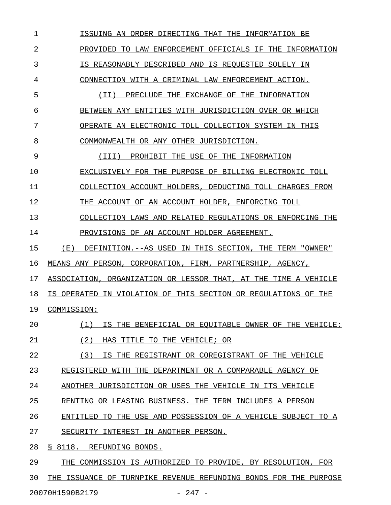1 **ISSUING AN ORDER DIRECTING THAT THE INFORMATION BE** 2 PROVIDED TO LAW ENFORCEMENT OFFICIALS IF THE INFORMATION 3 IS REASONABLY DESCRIBED AND IS REQUESTED SOLELY IN 4 CONNECTION WITH A CRIMINAL LAW ENFORCEMENT ACTION. 5 (II) PRECLUDE THE EXCHANGE OF THE INFORMATION \_\_\_\_\_\_\_\_\_\_\_\_\_\_\_\_\_\_\_\_\_\_\_\_\_\_\_\_\_\_\_\_\_\_\_\_\_\_\_\_\_\_\_\_\_\_ 6 BETWEEN ANY ENTITIES WITH JURISDICTION OVER OR WHICH 7 OPERATE AN ELECTRONIC TOLL COLLECTION SYSTEM IN THIS 8 COMMONWEALTH OR ANY OTHER JURISDICTION. 9 (III) PROHIBIT THE USE OF THE INFORMATION 10 EXCLUSIVELY FOR THE PURPOSE OF BILLING ELECTRONIC TOLL 11 COLLECTION ACCOUNT HOLDERS, DEDUCTING TOLL CHARGES FROM 12 THE ACCOUNT OF AN ACCOUNT HOLDER, ENFORCING TOLL 13 COLLECTION LAWS AND RELATED REGULATIONS OR ENFORCING THE 14 PROVISIONS OF AN ACCOUNT HOLDER AGREEMENT. 15 (E) DEFINITION.--AS USED IN THIS SECTION, THE TERM "OWNER" 16 MEANS ANY PERSON, CORPORATION, FIRM, PARTNERSHIP, AGENCY, 17 ASSOCIATION, ORGANIZATION OR LESSOR THAT, AT THE TIME A VEHICLE 18 IS OPERATED IN VIOLATION OF THIS SECTION OR REGULATIONS OF THE 19 COMMISSION: 20 (1) IS THE BENEFICIAL OR EQUITABLE OWNER OF THE VEHICLE; \_\_\_\_\_\_\_\_\_\_\_\_\_\_\_\_\_\_\_\_\_\_\_\_\_\_\_\_\_\_\_\_\_\_\_\_\_\_\_\_\_\_\_\_\_\_\_\_\_\_\_\_\_\_\_\_\_ 21 (2) HAS TITLE TO THE VEHICLE; OR 22 (3) IS THE REGISTRANT OR COREGISTRANT OF THE VEHICLE 23 REGISTERED WITH THE DEPARTMENT OR A COMPARABLE AGENCY OF 24 ANOTHER JURISDICTION OR USES THE VEHICLE IN ITS VEHICLE 25 RENTING OR LEASING BUSINESS. THE TERM INCLUDES A PERSON 26 ENTITLED TO THE USE AND POSSESSION OF A VEHICLE SUBJECT TO A 27 SECURITY INTEREST IN ANOTHER PERSON. 28 § 8118. REFUNDING BONDS. 29 THE COMMISSION IS AUTHORIZED TO PROVIDE, BY RESOLUTION, FOR 30 THE ISSUANCE OF TURNPIKE REVENUE REFUNDING BONDS FOR THE PURPOSE

20070H1590B2179 - 247 -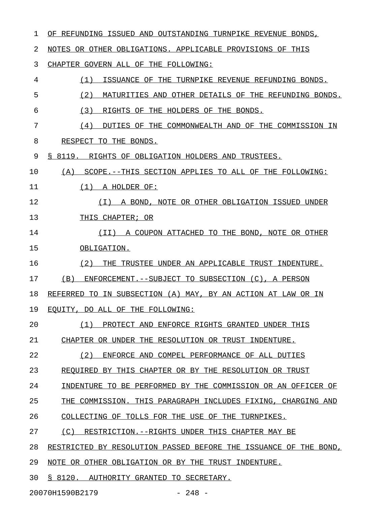| 1  | OF REFUNDING ISSUED AND OUTSTANDING TURNPIKE REVENUE BONDS,      |
|----|------------------------------------------------------------------|
| 2  | NOTES OR OTHER OBLIGATIONS. APPLICABLE PROVISIONS OF THIS        |
| 3  | CHAPTER GOVERN ALL OF THE FOLLOWING:                             |
| 4  | (1)<br>ISSUANCE OF THE TURNPIKE REVENUE REFUNDING BONDS.         |
| 5  | (2)<br>MATURITIES AND OTHER DETAILS OF THE REFUNDING BONDS.      |
| 6  | (3)<br>RIGHTS OF THE HOLDERS OF THE BONDS.                       |
| 7  | DUTIES OF THE COMMONWEALTH AND OF THE COMMISSION IN<br>(4)       |
| 8  | RESPECT TO THE BONDS.                                            |
| 9  | S 8119. RIGHTS OF OBLIGATION HOLDERS AND TRUSTEES.               |
| 10 | SCOPE.--THIS SECTION APPLIES TO ALL OF THE FOLLOWING:<br>(A)     |
| 11 | $(1)$ A HOLDER OF:                                               |
| 12 | (I) A BOND, NOTE OR OTHER OBLIGATION ISSUED UNDER                |
| 13 | THIS CHAPTER; OR                                                 |
| 14 | (II) A COUPON ATTACHED TO THE BOND, NOTE OR OTHER                |
| 15 | OBLIGATION.                                                      |
| 16 | (2)<br>THE TRUSTEE UNDER AN APPLICABLE TRUST INDENTURE.          |
| 17 | ENFORCEMENT. -- SUBJECT TO SUBSECTION (C), A PERSON<br>(B)       |
| 18 | REFERRED TO IN SUBSECTION (A) MAY, BY AN ACTION AT LAW OR IN     |
| 19 | EQUITY, DO ALL OF THE FOLLOWING:                                 |
| 20 | (1)<br>PROTECT AND ENFORCE RIGHTS GRANTED UNDER THIS             |
| 21 | CHAPTER OR UNDER THE RESOLUTION OR TRUST INDENTURE.              |
| 22 | (2)<br>ENFORCE AND COMPEL PERFORMANCE OF ALL DUTIES              |
| 23 | REQUIRED BY THIS CHAPTER OR BY THE RESOLUTION OR TRUST           |
| 24 | INDENTURE TO BE PERFORMED BY THE COMMISSION OR AN OFFICER OF     |
| 25 | THE COMMISSION. THIS PARAGRAPH INCLUDES FIXING, CHARGING AND     |
| 26 | COLLECTING OF TOLLS FOR THE USE OF THE TURNPIKES.                |
| 27 | (C) RESTRICTION. -- RIGHTS UNDER THIS CHAPTER MAY BE             |
| 28 | RESTRICTED BY RESOLUTION PASSED BEFORE THE ISSUANCE OF THE BOND, |
| 29 | NOTE OR OTHER OBLIGATION OR BY THE TRUST INDENTURE.              |
| 30 | § 8120. AUTHORITY GRANTED TO SECRETARY.                          |
|    |                                                                  |

20070H1590B2179 - 248 -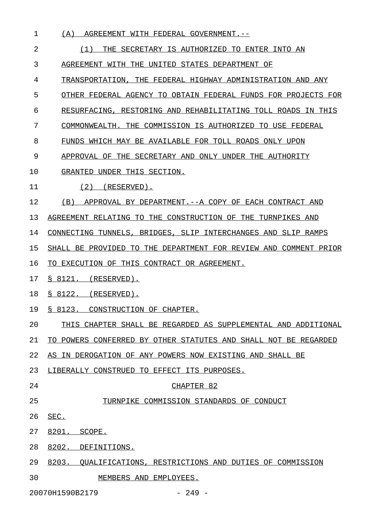| $\mathbf 1$ | (A)<br>AGREEMENT WITH FEDERAL GOVERNMENT.--                      |  |  |
|-------------|------------------------------------------------------------------|--|--|
| 2           | (1)<br>THE SECRETARY IS AUTHORIZED TO ENTER INTO AN              |  |  |
| 3           | AGREEMENT WITH THE UNITED STATES DEPARTMENT OF                   |  |  |
| 4           | TRANSPORTATION, THE FEDERAL HIGHWAY ADMINISTRATION AND ANY       |  |  |
| 5           | OTHER FEDERAL AGENCY TO OBTAIN FEDERAL FUNDS FOR PROJECTS FOR    |  |  |
| 6           | RESURFACING, RESTORING AND REHABILITATING TOLL ROADS IN THIS     |  |  |
| 7           | COMMONWEALTH. THE COMMISSION IS AUTHORIZED TO USE FEDERAL        |  |  |
| 8           | FUNDS WHICH MAY BE AVAILABLE FOR TOLL ROADS ONLY UPON            |  |  |
| 9           | APPROVAL OF THE SECRETARY AND ONLY UNDER THE AUTHORITY           |  |  |
| 10          | GRANTED UNDER THIS SECTION.                                      |  |  |
| 11          | (2)<br>(RESERVED).                                               |  |  |
| 12          | (B)<br>APPROVAL BY DEPARTMENT. -- A COPY OF EACH CONTRACT AND    |  |  |
| 13          | AGREEMENT RELATING TO THE CONSTRUCTION OF THE TURNPIKES AND      |  |  |
| 14          | CONNECTING TUNNELS, BRIDGES, SLIP INTERCHANGES AND SLIP RAMPS    |  |  |
| 15          | SHALL BE PROVIDED TO THE DEPARTMENT FOR REVIEW AND COMMENT PRIOR |  |  |
| 16          | TO EXECUTION OF THIS CONTRACT OR AGREEMENT.                      |  |  |
| 17          | \$ 8121.<br>(RESERVED).                                          |  |  |
| 18          | S 8122.<br>(RESERVED).                                           |  |  |
| 19          | S 8123.<br>CONSTRUCTION OF CHAPTER.                              |  |  |
| 20          | THIS CHAPTER SHALL BE REGARDED AS SUPPLEMENTAL AND ADDITIONAL    |  |  |
| 21          | TO POWERS CONFERRED BY OTHER STATUTES AND SHALL NOT BE REGARDED  |  |  |
| 22          | AS IN DEROGATION OF ANY POWERS NOW EXISTING AND SHALL BE         |  |  |
| 23          | LIBERALLY CONSTRUED TO EFFECT ITS PURPOSES.                      |  |  |
| 24          | CHAPTER 82                                                       |  |  |
| 25          | TURNPIKE COMMISSION STANDARDS OF CONDUCT                         |  |  |
| 26          | SEC.                                                             |  |  |
| 27          | 8201. SCOPE.                                                     |  |  |
| 28          | 8202. DEFINITIONS.                                               |  |  |
| 29          | 8203. QUALIFICATIONS, RESTRICTIONS AND DUTIES OF COMMISSION      |  |  |
| 30          | MEMBERS AND EMPLOYEES.                                           |  |  |
|             | 20070H1590B2179<br>$-249 -$                                      |  |  |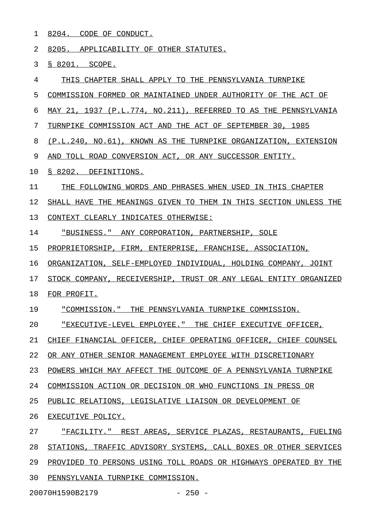1 8204. CODE OF CONDUCT.

2 8205. APPLICABILITY OF OTHER STATUTES.

3 § 8201. SCOPE.

4 THIS CHAPTER SHALL APPLY TO THE PENNSYLVANIA TURNPIKE

5 COMMISSION FORMED OR MAINTAINED UNDER AUTHORITY OF THE ACT OF

6 MAY 21, 1937 (P.L.774, NO.211), REFERRED TO AS THE PENNSYLVANIA

7 TURNPIKE COMMISSION ACT AND THE ACT OF SEPTEMBER 30, 1985

8 (P.L.240, NO.61), KNOWN AS THE TURNPIKE ORGANIZATION, EXTENSION

9 AND TOLL ROAD CONVERSION ACT, OR ANY SUCCESSOR ENTITY.

- 10 <u>§ 8202. DEFINITIONS.</u>
- 11 THE FOLLOWING WORDS AND PHRASES WHEN USED IN THIS CHAPTER

12 SHALL HAVE THE MEANINGS GIVEN TO THEM IN THIS SECTION UNLESS THE

13 CONTEXT CLEARLY INDICATES OTHERWISE:

20070H1590B2179 - 250 -

14 "BUSINESS." ANY CORPORATION, PARTNERSHIP, SOLE

15 PROPRIETORSHIP, FIRM, ENTERPRISE, FRANCHISE, ASSOCIATION,

16 ORGANIZATION, SELF-EMPLOYED INDIVIDUAL, HOLDING COMPANY, JOINT

17 STOCK COMPANY, RECEIVERSHIP, TRUST OR ANY LEGAL ENTITY ORGANIZED

18 FOR PROFIT.

19 "COMMISSION." THE PENNSYLVANIA TURNPIKE COMMISSION.

20 TEXECUTIVE-LEVEL EMPLOYEE." THE CHIEF EXECUTIVE OFFICER,

21 CHIEF FINANCIAL OFFICER, CHIEF OPERATING OFFICER, CHIEF COUNSEL

22 OR ANY OTHER SENIOR MANAGEMENT EMPLOYEE WITH DISCRETIONARY

23 POWERS WHICH MAY AFFECT THE OUTCOME OF A PENNSYLVANIA TURNPIKE

24 COMMISSION ACTION OR DECISION OR WHO FUNCTIONS IN PRESS OR

25 PUBLIC RELATIONS, LEGISLATIVE LIAISON OR DEVELOPMENT OF

26 EXECUTIVE POLICY.

27 FACILITY." REST AREAS, SERVICE PLAZAS, RESTAURANTS, FUELING 28 STATIONS, TRAFFIC ADVISORY SYSTEMS, CALL BOXES OR OTHER SERVICES 29 PROVIDED TO PERSONS USING TOLL ROADS OR HIGHWAYS OPERATED BY THE 30 PENNSYLVANIA TURNPIKE COMMISSION.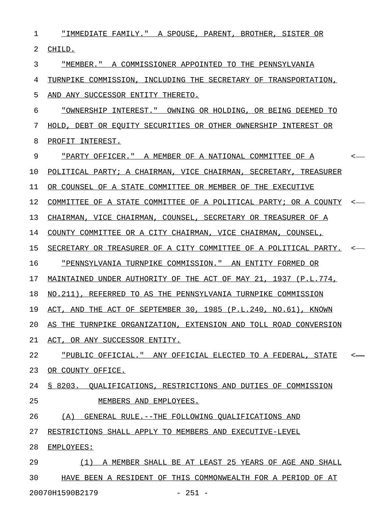| $\mathbf 1$ | "IMMEDIATE FAMILY." A SPOUSE, PARENT, BROTHER, SISTER OR            |              |
|-------------|---------------------------------------------------------------------|--------------|
| 2           | CHILD.                                                              |              |
| 3           | "MEMBER." A COMMISSIONER APPOINTED TO THE PENNSYLVANIA              |              |
| 4           | TURNPIKE COMMISSION, INCLUDING THE SECRETARY OF TRANSPORTATION,     |              |
| 5           | AND ANY SUCCESSOR ENTITY THERETO.                                   |              |
| 6           | "OWNERSHIP INTEREST." OWNING OR HOLDING, OR BEING DEEMED TO         |              |
| 7           | HOLD, DEBT OR EQUITY SECURITIES OR OTHER OWNERSHIP INTEREST OR      |              |
| 8           | PROFIT INTEREST.                                                    |              |
| 9           | "PARTY OFFICER." A MEMBER OF A NATIONAL COMMITTEE OF A              | $\leftarrow$ |
| 10          | POLITICAL PARTY; A CHAIRMAN, VICE CHAIRMAN, SECRETARY, TREASURER    |              |
| 11          | OR COUNSEL OF A STATE COMMITTEE OR MEMBER OF THE EXECUTIVE          |              |
| 12          | COMMITTEE OF A STATE COMMITTEE OF A POLITICAL PARTY; OR A COUNTY <- |              |
| 13          | CHAIRMAN, VICE CHAIRMAN, COUNSEL, SECRETARY OR TREASURER OF A       |              |
| 14          | COUNTY COMMITTEE OR A CITY CHAIRMAN, VICE CHAIRMAN, COUNSEL,        |              |
| 15          | SECRETARY OR TREASURER OF A CITY COMMITTEE OF A POLITICAL PARTY. <- |              |
| 16          | "PENNSYLVANIA TURNPIKE COMMISSION." AN ENTITY FORMED OR             |              |
| 17          | MAINTAINED UNDER AUTHORITY OF THE ACT OF MAY 21, 1937 (P.L.774,     |              |
| 18          | NO.211), REFERRED TO AS THE PENNSYLVANIA TURNPIKE COMMISSION        |              |
| 19          | ACT, AND THE ACT OF SEPTEMBER 30, 1985 (P.L.240, NO.61), KNOWN      |              |
| 20          | AS THE TURNPIKE ORGANIZATION, EXTENSION AND TOLL ROAD CONVERSION    |              |
| 21          | ACT, OR ANY SUCCESSOR ENTITY.                                       |              |
| 22          | "PUBLIC OFFICIAL." ANY OFFICIAL ELECTED TO A FEDERAL, STATE         |              |
| 23          | OR COUNTY OFFICE.                                                   |              |
| 24          | S 8203.<br>OUALIFICATIONS, RESTRICTIONS AND DUTIES OF COMMISSION    |              |
| 25          | MEMBERS AND EMPLOYEES.                                              |              |
| 26          | (A)<br>GENERAL RULE.--THE FOLLOWING OUALIFICATIONS AND              |              |
| 27          | RESTRICTIONS SHALL APPLY TO MEMBERS AND EXECUTIVE-LEVEL             |              |
| 28          | EMPLOYEES:                                                          |              |
| 29          | A MEMBER SHALL BE AT LEAST 25 YEARS OF AGE AND SHALL<br>(1)         |              |
| 30          | HAVE BEEN A RESIDENT OF THIS COMMONWEALTH FOR A PERIOD OF AT        |              |

20070H1590B2179 - 251 -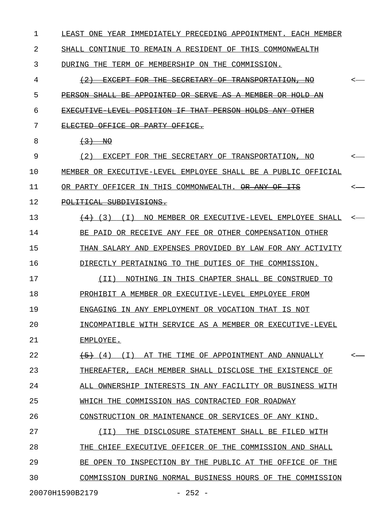| $\mathbf{1}$ | LEAST ONE YEAR IMMEDIATELY PRECEDING APPOINTMENT. EACH MEMBER         |    |
|--------------|-----------------------------------------------------------------------|----|
| 2            | SHALL CONTINUE TO REMAIN A RESIDENT OF THIS COMMONWEALTH              |    |
| 3            | DURING THE TERM OF MEMBERSHIP ON THE COMMISSION.                      |    |
| 4            | (2) EXCEPT FOR THE SECRETARY OF TRANSPORTATION, NO                    |    |
| 5            | PERSON SHALL BE APPOINTED OR SERVE AS A MEMBER OR HOLD AN             |    |
| 6            | EXECUTIVE LEVEL POSITION IF THAT PERSON HOLDS ANY OTHER               |    |
| 7            | ELECTED OFFICE OR PARTY OFFICE.                                       |    |
| 8            | $\left(3\right)$ No                                                   |    |
| 9            | EXCEPT FOR THE SECRETARY OF TRANSPORTATION, NO<br>(2)                 | <— |
| 10           | MEMBER OR EXECUTIVE-LEVEL EMPLOYEE SHALL BE A PUBLIC OFFICIAL         |    |
| 11           | OR PARTY OFFICER IN THIS COMMONWEALTH. OR ANY OF ITS                  | <– |
| 12           | POLITICAL SUBDIVISIONS.                                               |    |
| 13           | NO MEMBER OR EXECUTIVE-LEVEL EMPLOYEE SHALL<br><del>(4)</del> (3) (I) |    |
| 14           | BE PAID OR RECEIVE ANY FEE OR OTHER COMPENSATION OTHER                |    |
| 15           | THAN SALARY AND EXPENSES PROVIDED BY LAW FOR ANY ACTIVITY             |    |
| 16           | DIRECTLY PERTAINING TO THE DUTIES OF THE COMMISSION.                  |    |
| 17           | NOTHING IN THIS CHAPTER SHALL BE CONSTRUED TO<br>(II)                 |    |
| 18           | PROHIBIT A MEMBER OR EXECUTIVE-LEVEL EMPLOYEE FROM                    |    |
| 19           | ENGAGING IN ANY EMPLOYMENT OR VOCATION THAT IS NOT                    |    |
| 20           | INCOMPATIBLE WITH SERVICE AS A MEMBER OR EXECUTIVE-LEVEL              |    |
| 21           | EMPLOYEE.                                                             |    |
| 22           | <del>(5)</del> (4) (I)<br>AT THE TIME OF APPOINTMENT AND ANNUALLY     |    |
| 23           | THEREAFTER, EACH MEMBER SHALL DISCLOSE THE EXISTENCE OF               |    |
| 24           | ALL OWNERSHIP INTERESTS IN ANY FACILITY OR BUSINESS WITH              |    |
| 25           | WHICH THE COMMISSION HAS CONTRACTED FOR ROADWAY                       |    |
| 26           | CONSTRUCTION OR MAINTENANCE OR SERVICES OF ANY KIND.                  |    |
| 27           | THE DISCLOSURE STATEMENT SHALL BE FILED WITH<br>(TT)                  |    |
| 28           | THE CHIEF EXECUTIVE OFFICER OF THE COMMISSION AND SHALL               |    |
| 29           | BE OPEN TO INSPECTION BY THE PUBLIC AT THE OFFICE OF<br>THE           |    |
| 30           | COMMISSION DURING NORMAL BUSINESS HOURS OF THE COMMISSION             |    |
|              | 20070H1590B2179<br>$-252 -$                                           |    |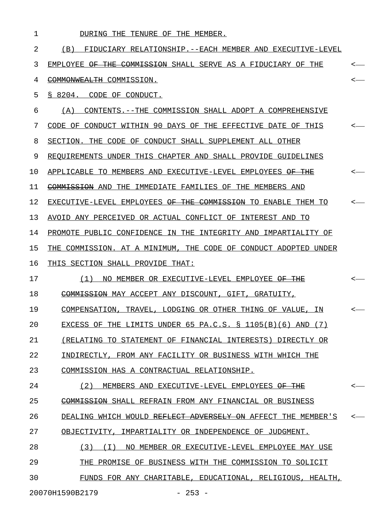| 1  | DURING THE TENURE OF THE MEMBER.                                         |                          |
|----|--------------------------------------------------------------------------|--------------------------|
| 2  | FIDUCIARY RELATIONSHIP.--EACH MEMBER AND EXECUTIVE-LEVEL<br>(B)          |                          |
| 3  | EMPLOYEE <del>OF THE COMMISSION</del> SHALL SERVE AS A FIDUCIARY OF THE  | <—                       |
| 4  | COMMONWEALTH COMMISSION.                                                 |                          |
| 5  | \$8204.<br>CODE OF CONDUCT.                                              |                          |
| 6  | CONTENTS. --THE COMMISSION SHALL ADOPT A COMPREHENSIVE<br>(A)            |                          |
| 7  | CODE OF CONDUCT WITHIN 90 DAYS OF THE EFFECTIVE DATE OF THIS             |                          |
| 8  | SECTION. THE CODE OF CONDUCT SHALL SUPPLEMENT ALL OTHER                  |                          |
| 9  | REOUIREMENTS UNDER THIS CHAPTER AND SHALL PROVIDE GUIDELINES             |                          |
| 10 | APPLICABLE TO MEMBERS AND EXECUTIVE-LEVEL EMPLOYEES <del>OF THE</del>    |                          |
| 11 | COMMISSION AND THE IMMEDIATE FAMILIES OF THE MEMBERS AND                 |                          |
| 12 | EXECUTIVE-LEVEL EMPLOYEES <del>OF THE COMMISSION</del> TO ENABLE THEM TO |                          |
| 13 | AVOID ANY PERCEIVED OR ACTUAL CONFLICT OF INTEREST AND TO                |                          |
| 14 | PROMOTE PUBLIC CONFIDENCE IN THE INTEGRITY AND IMPARTIALITY OF           |                          |
| 15 | THE COMMISSION. AT A MINIMUM, THE CODE OF CONDUCT ADOPTED UNDER          |                          |
| 16 | THIS SECTION SHALL PROVIDE THAT:                                         |                          |
| 17 | (1)<br>NO MEMBER OR EXECUTIVE-LEVEL EMPLOYEE <del>OF THE</del>           |                          |
| 18 | COMMISSION MAY ACCEPT ANY DISCOUNT, GIFT, GRATUITY,                      |                          |
| 19 | COMPENSATION, TRAVEL, LODGING OR OTHER THING OF VALUE, IN                | <—                       |
| 20 | EXCESS OF THE LIMITS UNDER 65 PA.C.S. $\S$ 1105(B)(6) AND (7)            |                          |
| 21 | (RELATING TO STATEMENT OF FINANCIAL INTERESTS) DIRECTLY OR               |                          |
| 22 | INDIRECTLY, FROM ANY FACILITY OR BUSINESS WITH WHICH THE                 |                          |
| 23 | COMMISSION HAS A CONTRACTUAL RELATIONSHIP.                               |                          |
| 24 | (2)<br>MEMBERS AND EXECUTIVE-LEVEL EMPLOYEES OF THE                      | $\overline{\phantom{a}}$ |
| 25 | COMMISSION SHALL REFRAIN FROM ANY FINANCIAL OR BUSINESS                  |                          |
| 26 | DEALING WHICH WOULD REFLECT ADVERSELY ON AFFECT THE MEMBER'S             | $\leftarrow$             |
| 27 | OBJECTIVITY, IMPARTIALITY OR INDEPENDENCE OF JUDGMENT.                   |                          |
| 28 | (3) (I) NO MEMBER OR EXECUTIVE-LEVEL EMPLOYEE MAY USE                    |                          |
| 29 | THE PROMISE OF BUSINESS WITH THE COMMISSION TO SOLICIT                   |                          |
| 30 | FUNDS FOR ANY CHARITABLE, EDUCATIONAL, RELIGIOUS, HEALTH,                |                          |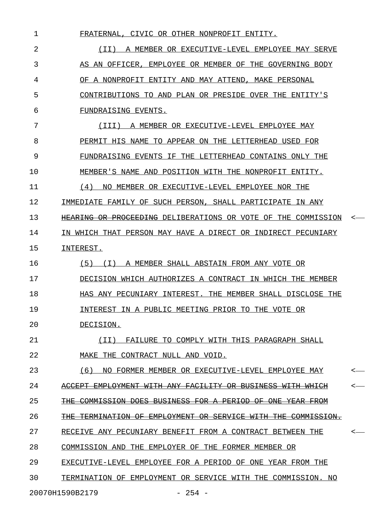| 1  | FRATERNAL, CIVIC OR OTHER NONPROFIT ENTITY.                                              |                          |
|----|------------------------------------------------------------------------------------------|--------------------------|
| 2  | ( I I )<br>A MEMBER OR EXECUTIVE-LEVEL EMPLOYEE MAY SERVE                                |                          |
| 3  | AS AN OFFICER, EMPLOYEE OR MEMBER OF THE GOVERNING BODY                                  |                          |
| 4  | OF A NONPROFIT ENTITY AND MAY ATTEND, MAKE PERSONAL                                      |                          |
| 5  | CONTRIBUTIONS TO AND PLAN OR PRESIDE OVER THE ENTITY'S                                   |                          |
| 6  | FUNDRAISING EVENTS.                                                                      |                          |
| 7  | (III) A MEMBER OR EXECUTIVE-LEVEL EMPLOYEE MAY                                           |                          |
| 8  | PERMIT HIS NAME TO APPEAR ON THE LETTERHEAD USED FOR                                     |                          |
| 9  | FUNDRAISING EVENTS IF THE LETTERHEAD CONTAINS ONLY THE                                   |                          |
| 10 | MEMBER'S NAME AND POSITION WITH THE NONPROFIT ENTITY.                                    |                          |
| 11 | (4)<br>NO MEMBER OR EXECUTIVE-LEVEL EMPLOYEE NOR THE                                     |                          |
| 12 | IMMEDIATE FAMILY OF SUCH PERSON, SHALL PARTICIPATE IN ANY                                |                          |
| 13 | HEARING OR PROCEEDING DELIBERATIONS OR VOTE OF THE COMMISSION                            | $\overline{\phantom{a}}$ |
| 14 | IN WHICH THAT PERSON MAY HAVE A DIRECT OR INDIRECT PECUNIARY                             |                          |
| 15 | INTEREST.                                                                                |                          |
| 16 | (5) (I) A MEMBER SHALL ABSTAIN FROM ANY VOTE OR                                          |                          |
| 17 | DECISION WHICH AUTHORIZES A CONTRACT IN WHICH THE MEMBER                                 |                          |
| 18 | HAS ANY PECUNIARY INTEREST. THE MEMBER SHALL DISCLOSE THE                                |                          |
| 19 | INTEREST IN A PUBLIC MEETING PRIOR TO THE VOTE OR                                        |                          |
| 20 | DECISION.                                                                                |                          |
| 21 | FAILURE TO COMPLY WITH THIS PARAGRAPH SHALL<br>(II)                                      |                          |
| 22 | MAKE THE CONTRACT NULL AND VOID.                                                         |                          |
| 23 | (6)<br>NO FORMER MEMBER OR EXECUTIVE-LEVEL EMPLOYEE MAY                                  | <—                       |
| 24 | <del>ACCEPT EMPLOYMENT WITH ANY FACILITY OR BUSINESS WITH WHICH</del>                    |                          |
| 25 | COMMISSION DOES BUSINESS FOR A PERIOD OF ONE YEAR<br><del>THE</del><br>-FROM             |                          |
| 26 | TERMINATION OF EMPLOYMENT OR SERVICE<br><del>WTTH</del><br><del>THE</del><br>COMMISSION. |                          |
| 27 | RECEIVE ANY PECUNIARY BENEFIT FROM A CONTRACT BETWEEN THE                                |                          |
| 28 | COMMISSION AND THE EMPLOYER OF THE FORMER MEMBER OR                                      |                          |
| 29 | EXECUTIVE-LEVEL EMPLOYEE FOR A PERIOD OF ONE YEAR FROM THE                               |                          |
| 30 | TERMINATION OF EMPLOYMENT OR SERVICE WITH THE COMMISSION. NO                             |                          |
|    | 20070H1590B2179<br>$-254 -$                                                              |                          |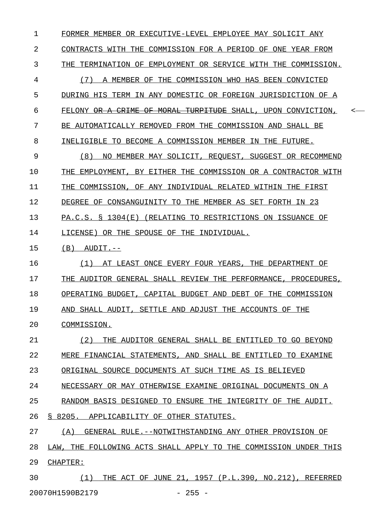1 FORMER MEMBER OR EXECUTIVE-LEVEL EMPLOYEE MAY SOLICIT ANY 2 CONTRACTS WITH THE COMMISSION FOR A PERIOD OF ONE YEAR FROM 3 THE TERMINATION OF EMPLOYMENT OR SERVICE WITH THE COMMISSION. 4 (7) A MEMBER OF THE COMMISSION WHO HAS BEEN CONVICTED 5 DURING HIS TERM IN ANY DOMESTIC OR FOREIGN JURISDICTION OF A 6 FELONY OR A CRIME OF MORAL TURPITUDE SHALL, UPON CONVICTION, <-7 BE AUTOMATICALLY REMOVED FROM THE COMMISSION AND SHALL BE 8 INELIGIBLE TO BECOME A COMMISSION MEMBER IN THE FUTURE. 9 (8) NO MEMBER MAY SOLICIT, REQUEST, SUGGEST OR RECOMMEND 10 THE EMPLOYMENT, BY EITHER THE COMMISSION OR A CONTRACTOR WITH 11 THE COMMISSION, OF ANY INDIVIDUAL RELATED WITHIN THE FIRST 12 DEGREE OF CONSANGUINITY TO THE MEMBER AS SET FORTH IN 23 13 PA.C.S. § 1304(E) (RELATING TO RESTRICTIONS ON ISSUANCE OF 14 LICENSE) OR THE SPOUSE OF THE INDIVIDUAL.  $15$  (B)  $AUDIT. --$ 16 (1) AT LEAST ONCE EVERY FOUR YEARS, THE DEPARTMENT OF 17 THE AUDITOR GENERAL SHALL REVIEW THE PERFORMANCE, PROCEDURES, 18 OPERATING BUDGET, CAPITAL BUDGET AND DEBT OF THE COMMISSION 19 AND SHALL AUDIT, SETTLE AND ADJUST THE ACCOUNTS OF THE 20 COMMISSION. 21 (2) THE AUDITOR GENERAL SHALL BE ENTITLED TO GO BEYOND 22 MERE FINANCIAL STATEMENTS, AND SHALL BE ENTITLED TO EXAMINE 23 ORIGINAL SOURCE DOCUMENTS AT SUCH TIME AS IS BELIEVED 24 NECESSARY OR MAY OTHERWISE EXAMINE ORIGINAL DOCUMENTS ON A 25 RANDOM BASIS DESIGNED TO ENSURE THE INTEGRITY OF THE AUDIT. 26 § 8205. APPLICABILITY OF OTHER STATUTES. 27 (A) GENERAL RULE.--NOTWITHSTANDING ANY OTHER PROVISION OF 28 LAW, THE FOLLOWING ACTS SHALL APPLY TO THE COMMISSION UNDER THIS 29 CHAPTER:

30 (1) THE ACT OF JUNE 21, 1957 (P.L.390, NO.212), REFERRED \_\_\_\_\_\_\_\_\_\_\_\_\_\_\_\_\_\_\_\_\_\_\_\_\_\_\_\_\_\_\_\_\_\_\_\_\_\_\_\_\_\_\_\_\_\_\_\_\_\_\_\_\_\_\_\_\_ 20070H1590B2179 - 255 -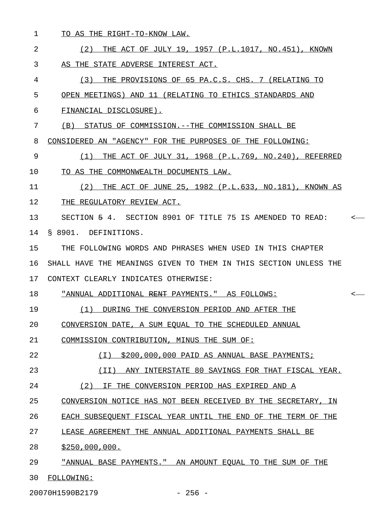1 TO AS THE RIGHT-TO-KNOW LAW. 2 (2) THE ACT OF JULY 19, 1957 (P.L.1017, NO.451), KNOWN 3 AS THE STATE ADVERSE INTEREST ACT. 4 (3) THE PROVISIONS OF 65 PA.C.S. CHS. 7 (RELATING TO 5 OPEN MEETINGS) AND 11 (RELATING TO ETHICS STANDARDS AND 6 FINANCIAL DISCLOSURE). 7 (B) STATUS OF COMMISSION.--THE COMMISSION SHALL BE 8 CONSIDERED AN "AGENCY" FOR THE PURPOSES OF THE FOLLOWING: 9 (1) THE ACT OF JULY 31, 1968 (P.L.769, NO.240), REFERRED \_\_\_\_\_\_\_\_\_\_\_\_\_\_\_\_\_\_\_\_\_\_\_\_\_\_\_\_\_\_\_\_\_\_\_\_\_\_\_\_\_\_\_\_\_\_\_\_\_\_\_\_\_\_\_\_\_ 10 TO AS THE COMMONWEALTH DOCUMENTS LAW. 11 (2) THE ACT OF JUNE 25, 1982 (P.L.633, NO.181), KNOWN AS 12 THE REGULATORY REVIEW ACT. 13 SECTION 5 4. SECTION 8901 OF TITLE 75 IS AMENDED TO READ: < 14 § 8901. DEFINITIONS. 15 THE FOLLOWING WORDS AND PHRASES WHEN USED IN THIS CHAPTER 16 SHALL HAVE THE MEANINGS GIVEN TO THEM IN THIS SECTION UNLESS THE 17 CONTEXT CLEARLY INDICATES OTHERWISE: 18 "ANNUAL ADDITIONAL <del>RENT</del> PAYMENTS." AS FOLLOWS: <-19 (1) DURING THE CONVERSION PERIOD AND AFTER THE \_\_\_\_\_\_\_\_\_\_\_\_\_\_\_\_\_\_\_\_\_\_\_\_\_\_\_\_\_\_\_\_\_\_\_\_\_\_\_\_\_\_\_\_\_\_\_ 20 CONVERSION DATE, A SUM EOUAL TO THE SCHEDULED ANNUAL 21 COMMISSION CONTRIBUTION, MINUS THE SUM OF: 22 (I) \$200,000,000 PAID AS ANNUAL BASE PAYMENTS; \_\_\_\_\_\_\_\_\_\_\_\_\_\_\_\_\_\_\_\_\_\_\_\_\_\_\_\_\_\_\_\_\_\_\_\_\_\_\_\_\_\_\_\_\_\_\_ 23 (II) ANY INTERSTATE 80 SAVINGS FOR THAT FISCAL YEAR. 24 (2) IF THE CONVERSION PERIOD HAS EXPIRED AND A 25 CONVERSION NOTICE HAS NOT BEEN RECEIVED BY THE SECRETARY, IN 26 EACH SUBSEQUENT FISCAL YEAR UNTIL THE END OF THE TERM OF THE 27 LEASE AGREEMENT THE ANNUAL ADDITIONAL PAYMENTS SHALL BE 28 \$250,000,000. 29 "ANNUAL BASE PAYMENTS." AN AMOUNT EQUAL TO THE SUM OF THE 30 FOLLOWING: \_\_\_\_\_\_\_\_\_\_

20070H1590B2179 - 256 -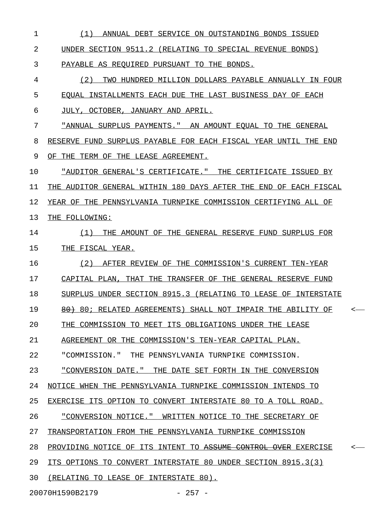1 (1) ANNUAL DEBT SERVICE ON OUTSTANDING BONDS ISSUED 2 UNDER SECTION 9511.2 (RELATING TO SPECIAL REVENUE BONDS) 3 PAYABLE AS REQUIRED PURSUANT TO THE BONDS. 4 (2) TWO HUNDRED MILLION DOLLARS PAYABLE ANNUALLY IN FOUR 5 EQUAL INSTALLMENTS EACH DUE THE LAST BUSINESS DAY OF EACH 6 JULY, OCTOBER, JANUARY AND APRIL. 7 "ANNUAL SURPLUS PAYMENTS." AN AMOUNT EQUAL TO THE GENERAL 8 RESERVE FUND SURPLUS PAYABLE FOR EACH FISCAL YEAR UNTIL THE END 9 OF THE TERM OF THE LEASE AGREEMENT. 10 "AUDITOR GENERAL'S CERTIFICATE." THE CERTIFICATE ISSUED BY \_\_\_\_\_\_\_\_\_\_\_\_\_\_\_\_\_\_\_\_\_\_\_\_\_\_\_\_\_\_\_\_\_\_\_\_\_\_\_\_\_\_\_\_\_\_\_\_\_\_\_\_\_\_\_\_\_\_\_ 11 THE AUDITOR GENERAL WITHIN 180 DAYS AFTER THE END OF EACH FISCAL 12 YEAR OF THE PENNSYLVANIA TURNPIKE COMMISSION CERTIFYING ALL OF 13 THE FOLLOWING: 14 (1) THE AMOUNT OF THE GENERAL RESERVE FUND SURPLUS FOR 15 THE FISCAL YEAR. 16 (2) AFTER REVIEW OF THE COMMISSION'S CURRENT TEN-YEAR 17 CAPITAL PLAN, THAT THE TRANSFER OF THE GENERAL RESERVE FUND 18 SURPLUS UNDER SECTION 8915.3 (RELATING TO LEASE OF INTERSTATE 19 80) RELATED AGREEMENTS) SHALL NOT IMPAIR THE ABILITY OF  $\sim$ 20 THE COMMISSION TO MEET ITS OBLIGATIONS UNDER THE LEASE 21 AGREEMENT OR THE COMMISSION'S TEN-YEAR CAPITAL PLAN. 22 "COMMISSION." THE PENNSYLVANIA TURNPIKE COMMISSION. 23 "CONVERSION DATE." THE DATE SET FORTH IN THE CONVERSION 24 NOTICE WHEN THE PENNSYLVANIA TURNPIKE COMMISSION INTENDS TO 25 EXERCISE ITS OPTION TO CONVERT INTERSTATE 80 TO A TOLL ROAD. 26 <u>"CONVERSION NOTICE." WRITTEN NOTICE TO THE SECRETARY OF</u> 27 TRANSPORTATION FROM THE PENNSYLVANIA TURNPIKE COMMISSION 28 PROVIDING NOTICE OF ITS INTENT TO ASSUME CONTROL OVER EXERCISE <-29 ITS OPTIONS TO CONVERT INTERSTATE 80 UNDER SECTION 8915.3(3) 30 (RELATING TO LEASE OF INTERSTATE 80).

20070H1590B2179 - 257 -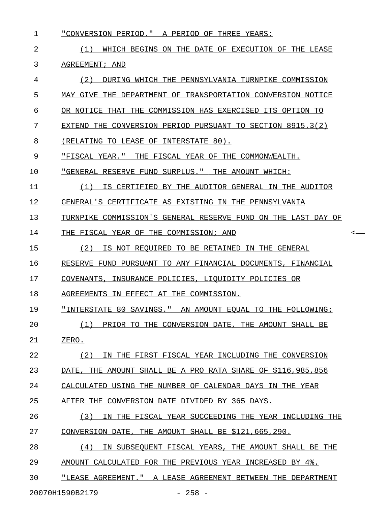| $\mathbf 1$ | "CONVERSION PERIOD." A PERIOD OF THREE YEARS:                 |                          |
|-------------|---------------------------------------------------------------|--------------------------|
| 2           | WHICH BEGINS ON THE DATE OF EXECUTION OF THE LEASE<br>(1)     |                          |
| 3           | AGREEMENT; AND                                                |                          |
| 4           | (2)<br>DURING WHICH THE PENNSYLVANIA TURNPIKE COMMISSION      |                          |
| 5           | MAY GIVE THE DEPARTMENT OF TRANSPORTATION CONVERSION NOTICE   |                          |
| 6           | OR NOTICE THAT THE COMMISSION HAS EXERCISED ITS OPTION TO     |                          |
| 7           | EXTEND THE CONVERSION PERIOD PURSUANT TO SECTION 8915.3(2)    |                          |
| 8           | (RELATING TO LEASE OF INTERSTATE 80).                         |                          |
| 9           | "FISCAL YEAR." THE FISCAL YEAR OF THE COMMONWEALTH.           |                          |
| 10          | "GENERAL RESERVE FUND SURPLUS." THE AMOUNT WHICH:             |                          |
| 11          | (1) IS CERTIFIED BY THE AUDITOR GENERAL IN THE AUDITOR        |                          |
| 12          | GENERAL'S CERTIFICATE AS EXISTING IN THE PENNSYLVANIA         |                          |
| 13          | TURNPIKE COMMISSION'S GENERAL RESERVE FUND ON THE LAST DAY OF |                          |
| 14          | THE FISCAL YEAR OF THE COMMISSION; AND                        | $\overline{\phantom{a}}$ |
| 15          | (2) IS NOT REQUIRED TO BE RETAINED IN THE GENERAL             |                          |
| 16          | RESERVE FUND PURSUANT TO ANY FINANCIAL DOCUMENTS, FINANCIAL   |                          |
| 17          | COVENANTS, INSURANCE POLICIES, LIQUIDITY POLICIES OR          |                          |
| 18          | AGREEMENTS IN EFFECT AT THE COMMISSION.                       |                          |
| 19          | "INTERSTATE 80 SAVINGS." AN AMOUNT EQUAL TO THE FOLLOWING:    |                          |
| 20          | (1) PRIOR TO THE CONVERSION DATE, THE AMOUNT SHALL BE         |                          |
| 21          | ZERO.                                                         |                          |
| 22          | (2) IN THE FIRST FISCAL YEAR INCLUDING THE CONVERSION         |                          |
| 23          | DATE, THE AMOUNT SHALL BE A PRO RATA SHARE OF \$116,985,856   |                          |
| 24          | CALCULATED USING THE NUMBER OF CALENDAR DAYS IN THE YEAR      |                          |
| 25          | AFTER THE CONVERSION DATE DIVIDED BY 365 DAYS.                |                          |
| 26          | (3) IN THE FISCAL YEAR SUCCEEDING THE YEAR INCLUDING THE      |                          |
| 27          | CONVERSION DATE, THE AMOUNT SHALL BE \$121,665,290.           |                          |
| 28          | (4) IN SUBSEQUENT FISCAL YEARS, THE AMOUNT SHALL BE THE       |                          |
| 29          | AMOUNT CALCULATED FOR THE PREVIOUS YEAR INCREASED BY 4%.      |                          |
| 30          | "LEASE AGREEMENT." A LEASE AGREEMENT BETWEEN THE DEPARTMENT   |                          |
|             | 20070H1590B2179<br>$-258 -$                                   |                          |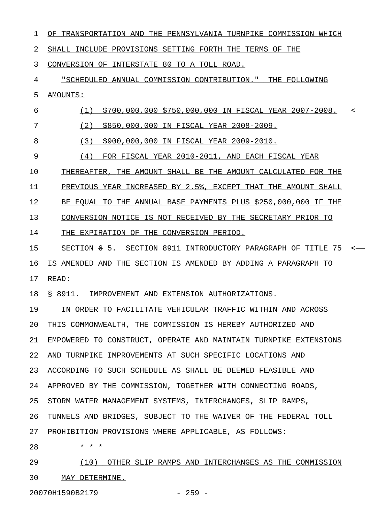1 OF TRANSPORTATION AND THE PENNSYLVANIA TURNPIKE COMMISSION WHICH 2 SHALL INCLUDE PROVISIONS SETTING FORTH THE TERMS OF THE 3 CONVERSION OF INTERSTATE 80 TO A TOLL ROAD. 4 "SCHEDULED ANNUAL COMMISSION CONTRIBUTION." THE FOLLOWING 5 AMOUNTS: 6  $(1)$   $\frac{2700,000,000}{5750,000}$   $\frac{5750,000}{5750,000}$  IN FISCAL YEAR 2007-2008.  $\leq$ 7 (2) \$850,000,000 IN FISCAL YEAR 2008-2009. 8 (3) \$900,000,000 IN FISCAL YEAR 2009-2010. 9 (4) FOR FISCAL YEAR 2010-2011, AND EACH FISCAL YEAR \_\_\_\_\_\_\_\_\_\_\_\_\_\_\_\_\_\_\_\_\_\_\_\_\_\_\_\_\_\_\_\_\_\_\_\_\_\_\_\_\_\_\_\_\_\_\_\_\_\_\_\_ 10 THEREAFTER, THE AMOUNT SHALL BE THE AMOUNT CALCULATED FOR THE 11 PREVIOUS YEAR INCREASED BY 2.5%, EXCEPT THAT THE AMOUNT SHALL 12 BE EQUAL TO THE ANNUAL BASE PAYMENTS PLUS \$250,000,000 IF THE 13 CONVERSION NOTICE IS NOT RECEIVED BY THE SECRETARY PRIOR TO 14 THE EXPIRATION OF THE CONVERSION PERIOD. 15 SECTION 6 5. SECTION 8911 INTRODUCTORY PARAGRAPH OF TITLE 75 < 16 IS AMENDED AND THE SECTION IS AMENDED BY ADDING A PARAGRAPH TO 17 READ: 18 § 8911. IMPROVEMENT AND EXTENSION AUTHORIZATIONS. 19 IN ORDER TO FACILITATE VEHICULAR TRAFFIC WITHIN AND ACROSS 20 THIS COMMONWEALTH, THE COMMISSION IS HEREBY AUTHORIZED AND 21 EMPOWERED TO CONSTRUCT, OPERATE AND MAINTAIN TURNPIKE EXTENSIONS 22 AND TURNPIKE IMPROVEMENTS AT SUCH SPECIFIC LOCATIONS AND 23 ACCORDING TO SUCH SCHEDULE AS SHALL BE DEEMED FEASIBLE AND 24 APPROVED BY THE COMMISSION, TOGETHER WITH CONNECTING ROADS, 25 STORM WATER MANAGEMENT SYSTEMS, INTERCHANGES, SLIP RAMPS, 26 TUNNELS AND BRIDGES, SUBJECT TO THE WAIVER OF THE FEDERAL TOLL 27 PROHIBITION PROVISIONS WHERE APPLICABLE, AS FOLLOWS: 28 \* \* \* 29 (10) OTHER SLIP RAMPS AND INTERCHANGES AS THE COMMISSION

30 MAY DETERMINE.

20070H1590B2179 - 259 -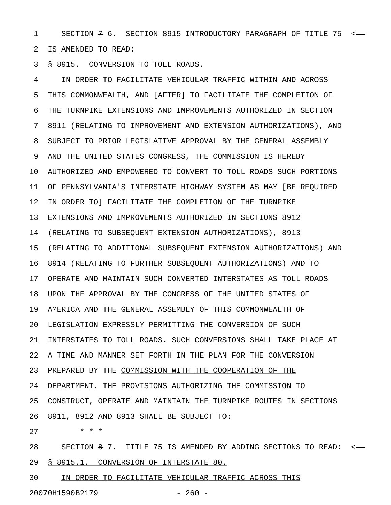1 SECTION 7 6. SECTION 8915 INTRODUCTORY PARAGRAPH OF TITLE 75 < 2 IS AMENDED TO READ:

3 § 8915. CONVERSION TO TOLL ROADS.

4 IN ORDER TO FACILITATE VEHICULAR TRAFFIC WITHIN AND ACROSS 5 THIS COMMONWEALTH, AND [AFTER] TO FACILITATE THE COMPLETION OF 6 THE TURNPIKE EXTENSIONS AND IMPROVEMENTS AUTHORIZED IN SECTION 7 8911 (RELATING TO IMPROVEMENT AND EXTENSION AUTHORIZATIONS), AND 8 SUBJECT TO PRIOR LEGISLATIVE APPROVAL BY THE GENERAL ASSEMBLY 9 AND THE UNITED STATES CONGRESS, THE COMMISSION IS HEREBY 10 AUTHORIZED AND EMPOWERED TO CONVERT TO TOLL ROADS SUCH PORTIONS 11 OF PENNSYLVANIA'S INTERSTATE HIGHWAY SYSTEM AS MAY [BE REQUIRED 12 IN ORDER TO] FACILITATE THE COMPLETION OF THE TURNPIKE 13 EXTENSIONS AND IMPROVEMENTS AUTHORIZED IN SECTIONS 8912 14 (RELATING TO SUBSEQUENT EXTENSION AUTHORIZATIONS), 8913 15 (RELATING TO ADDITIONAL SUBSEQUENT EXTENSION AUTHORIZATIONS) AND 16 8914 (RELATING TO FURTHER SUBSEQUENT AUTHORIZATIONS) AND TO 17 OPERATE AND MAINTAIN SUCH CONVERTED INTERSTATES AS TOLL ROADS 18 UPON THE APPROVAL BY THE CONGRESS OF THE UNITED STATES OF 19 AMERICA AND THE GENERAL ASSEMBLY OF THIS COMMONWEALTH OF 20 LEGISLATION EXPRESSLY PERMITTING THE CONVERSION OF SUCH 21 INTERSTATES TO TOLL ROADS. SUCH CONVERSIONS SHALL TAKE PLACE AT 22 A TIME AND MANNER SET FORTH IN THE PLAN FOR THE CONVERSION 23 PREPARED BY THE COMMISSION WITH THE COOPERATION OF THE 24 DEPARTMENT. THE PROVISIONS AUTHORIZING THE COMMISSION TO 25 CONSTRUCT, OPERATE AND MAINTAIN THE TURNPIKE ROUTES IN SECTIONS 26 8911, 8912 AND 8913 SHALL BE SUBJECT TO:

27 \* \* \*

28 SECTION 8 7. TITLE 75 IS AMENDED BY ADDING SECTIONS TO READ: < 29 § 8915.1. CONVERSION OF INTERSTATE 80.

30 IN ORDER TO FACILITATE VEHICULAR TRAFFIC ACROSS THIS 20070H1590B2179 - 260 -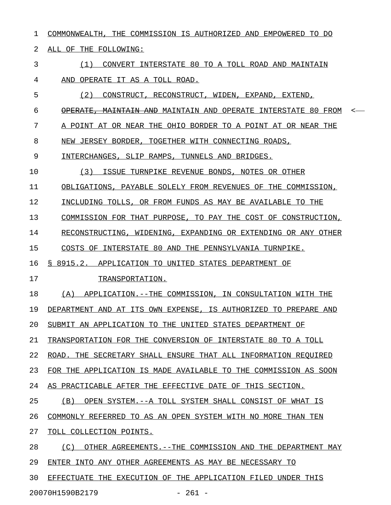1 COMMONWEALTH, THE COMMISSION IS AUTHORIZED AND EMPOWERED TO DO 2 ALL OF THE FOLLOWING: 3 6 (1) CONVERT INTERSTATE 80 TO A TOLL ROAD AND MAINTAIN 4 AND OPERATE IT AS A TOLL ROAD. 5 (2) CONSTRUCT, RECONSTRUCT, WIDEN, EXPAND, EXTEND, 6 OPERATE, MAINTAIN AND MAINTAIN AND OPERATE INTERSTATE 80 FROM <-7 A POINT AT OR NEAR THE OHIO BORDER TO A POINT AT OR NEAR THE 8 NEW JERSEY BORDER, TOGETHER WITH CONNECTING ROADS, 9 INTERCHANGES, SLIP RAMPS, TUNNELS AND BRIDGES. 10 (3) ISSUE TURNPIKE REVENUE BONDS, NOTES OR OTHER 11 OBLIGATIONS, PAYABLE SOLELY FROM REVENUES OF THE COMMISSION, 12 INCLUDING TOLLS, OR FROM FUNDS AS MAY BE AVAILABLE TO THE 13 COMMISSION FOR THAT PURPOSE, TO PAY THE COST OF CONSTRUCTION, 14 RECONSTRUCTING, WIDENING, EXPANDING OR EXTENDING OR ANY OTHER 15 COSTS OF INTERSTATE 80 AND THE PENNSYLVANIA TURNPIKE. 16 § 8915.2. APPLICATION TO UNITED STATES DEPARTMENT OF 17 TRANSPORTATION. 18 (A) APPLICATION.--THE COMMISSION, IN CONSULTATION WITH THE 19 DEPARTMENT AND AT ITS OWN EXPENSE, IS AUTHORIZED TO PREPARE AND 20 SUBMIT AN APPLICATION TO THE UNITED STATES DEPARTMENT OF 21 TRANSPORTATION FOR THE CONVERSION OF INTERSTATE 80 TO A TOLL 22 ROAD. THE SECRETARY SHALL ENSURE THAT ALL INFORMATION REQUIRED 23 FOR THE APPLICATION IS MADE AVAILABLE TO THE COMMISSION AS SOON 24 AS PRACTICABLE AFTER THE EFFECTIVE DATE OF THIS SECTION. 25 (B) OPEN SYSTEM.--A TOLL SYSTEM SHALL CONSIST OF WHAT IS 26 COMMONLY REFERRED TO AS AN OPEN SYSTEM WITH NO MORE THAN TEN 27 TOLL COLLECTION POINTS. 28 (C) OTHER AGREEMENTS.--THE COMMISSION AND THE DEPARTMENT MAY 29 ENTER INTO ANY OTHER AGREEMENTS AS MAY BE NECESSARY TO 30 EFFECTUATE THE EXECUTION OF THE APPLICATION FILED UNDER THIS

20070H1590B2179 - 261 -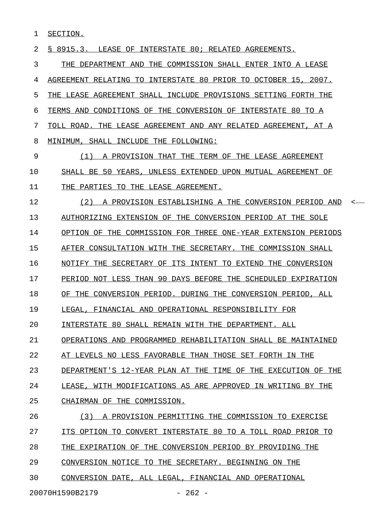1 SECTION.

2 § 8915.3. LEASE OF INTERSTATE 80; RELATED AGREEMENTS.

3 THE DEPARTMENT AND THE COMMISSION SHALL ENTER INTO A LEASE 4 AGREEMENT RELATING TO INTERSTATE 80 PRIOR TO OCTOBER 15, 2007. 5 THE LEASE AGREEMENT SHALL INCLUDE PROVISIONS SETTING FORTH THE 6 TERMS AND CONDITIONS OF THE CONVERSION OF INTERSTATE 80 TO A 7 TOLL ROAD. THE LEASE AGREEMENT AND ANY RELATED AGREEMENT, AT A 8 MINIMUM, SHALL INCLUDE THE FOLLOWING:

9 (1) A PROVISION THAT THE TERM OF THE LEASE AGREEMENT \_\_\_\_\_\_\_\_\_\_\_\_\_\_\_\_\_\_\_\_\_\_\_\_\_\_\_\_\_\_\_\_\_\_\_\_\_\_\_\_\_\_\_\_\_\_\_\_\_\_\_\_\_ 10 SHALL BE 50 YEARS, UNLESS EXTENDED UPON MUTUAL AGREEMENT OF 11 THE PARTIES TO THE LEASE AGREEMENT.

12 (2) A PROVISION ESTABLISHING A THE CONVERSION PERIOD AND < 13 AUTHORIZING EXTENSION OF THE CONVERSION PERIOD AT THE SOLE 14 OPTION OF THE COMMISSION FOR THREE ONE-YEAR EXTENSION PERIODS 15 AFTER CONSULTATION WITH THE SECRETARY. THE COMMISSION SHALL 16 NOTIFY THE SECRETARY OF ITS INTENT TO EXTEND THE CONVERSION 17 PERIOD NOT LESS THAN 90 DAYS BEFORE THE SCHEDULED EXPIRATION 18 OF THE CONVERSION PERIOD. DURING THE CONVERSION PERIOD, ALL 19 LEGAL, FINANCIAL AND OPERATIONAL RESPONSIBILITY FOR 20 INTERSTATE 80 SHALL REMAIN WITH THE DEPARTMENT. ALL 21 OPERATIONS AND PROGRAMMED REHABILITATION SHALL BE MAINTAINED 22 AT LEVELS NO LESS FAVORABLE THAN THOSE SET FORTH IN THE 23 DEPARTMENT'S 12-YEAR PLAN AT THE TIME OF THE EXECUTION OF THE 24 LEASE, WITH MODIFICATIONS AS ARE APPROVED IN WRITING BY THE 25 CHAIRMAN OF THE COMMISSION. 26 (3) A PROVISION PERMITTING THE COMMISSION TO EXERCISE 27 ITS OPTION TO CONVERT INTERSTATE 80 TO A TOLL ROAD PRIOR TO 28 THE EXPIRATION OF THE CONVERSION PERIOD BY PROVIDING THE 29 CONVERSION NOTICE TO THE SECRETARY. BEGINNING ON THE

30 CONVERSION DATE, ALL LEGAL, FINANCIAL AND OPERATIONAL

20070H1590B2179 - 262 -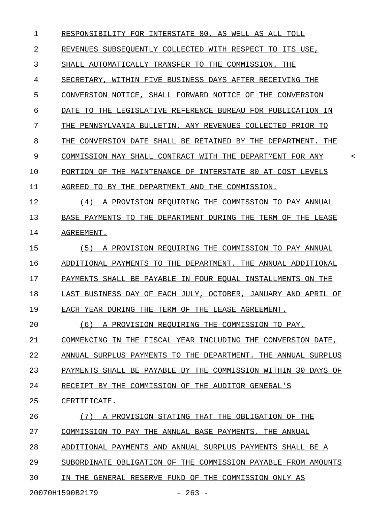1 RESPONSIBILITY FOR INTERSTATE 80, AS WELL AS ALL TOLL 2 REVENUES SUBSEQUENTLY COLLECTED WITH RESPECT TO ITS USE, 3 SHALL AUTOMATICALLY TRANSFER TO THE COMMISSION. THE 4 SECRETARY, WITHIN FIVE BUSINESS DAYS AFTER RECEIVING THE 5 CONVERSION NOTICE, SHALL FORWARD NOTICE OF THE CONVERSION 6 DATE TO THE LEGISLATIVE REFERENCE BUREAU FOR PUBLICATION IN 7 THE PENNSYLVANIA BULLETIN. ANY REVENUES COLLECTED PRIOR TO 8 THE CONVERSION DATE SHALL BE RETAINED BY THE DEPARTMENT. THE 9 COMMISSION <del>MAY</del> SHALL CONTRACT WITH THE DEPARTMENT FOR ANY  $\sim$ 10 PORTION OF THE MAINTENANCE OF INTERSTATE 80 AT COST LEVELS 11 AGREED TO BY THE DEPARTMENT AND THE COMMISSION. 12 (4) A PROVISION REQUIRING THE COMMISSION TO PAY ANNUAL 13 BASE PAYMENTS TO THE DEPARTMENT DURING THE TERM OF THE LEASE 14 AGREEMENT. 15 (5) A PROVISION REQUIRING THE COMMISSION TO PAY ANNUAL 16 ADDITIONAL PAYMENTS TO THE DEPARTMENT. THE ANNUAL ADDITIONAL 17 PAYMENTS SHALL BE PAYABLE IN FOUR EQUAL INSTALLMENTS ON THE 18 LAST BUSINESS DAY OF EACH JULY, OCTOBER, JANUARY AND APRIL OF 19 EACH YEAR DURING THE TERM OF THE LEASE AGREEMENT. 20  $(6)$  A PROVISION REQUIRING THE COMMISSION TO PAY, 21 COMMENCING IN THE FISCAL YEAR INCLUDING THE CONVERSION DATE, 22 ANNUAL SURPLUS PAYMENTS TO THE DEPARTMENT. THE ANNUAL SURPLUS 23 PAYMENTS SHALL BE PAYABLE BY THE COMMISSION WITHIN 30 DAYS OF 24 RECEIPT BY THE COMMISSION OF THE AUDITOR GENERAL'S 25 CERTIFICATE. 26 (7) A PROVISION STATING THAT THE OBLIGATION OF THE 27 COMMISSION TO PAY THE ANNUAL BASE PAYMENTS, THE ANNUAL 28 ADDITIONAL PAYMENTS AND ANNUAL SURPLUS PAYMENTS SHALL BE A 29 SUBORDINATE OBLIGATION OF THE COMMISSION PAYABLE FROM AMOUNTS 30 IN THE GENERAL RESERVE FUND OF THE COMMISSION ONLY AS

20070H1590B2179 - 263 -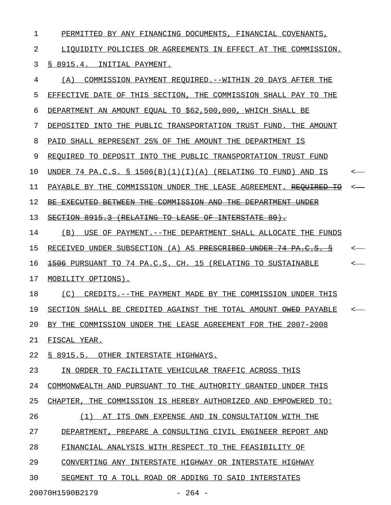1 PERMITTED BY ANY FINANCING DOCUMENTS, FINANCIAL COVENANTS,

2 LIQUIDITY POLICIES OR AGREEMENTS IN EFFECT AT THE COMMISSION.

## 3 § 8915.4. INITIAL PAYMENT.

4 (A) COMMISSION PAYMENT REQUIRED. -- WITHIN 20 DAYS AFTER THE 5 EFFECTIVE DATE OF THIS SECTION, THE COMMISSION SHALL PAY TO THE 6 DEPARTMENT AN AMOUNT EQUAL TO \$62,500,000, WHICH SHALL BE 7 DEPOSITED INTO THE PUBLIC TRANSPORTATION TRUST FUND. THE AMOUNT 8 PAID SHALL REPRESENT 25% OF THE AMOUNT THE DEPARTMENT IS 9 REQUIRED TO DEPOSIT INTO THE PUBLIC TRANSPORTATION TRUST FUND 10 UNDER 74 PA.C.S. § 1506(B)(1)(I)(A) (RELATING TO FUND) AND IS <-11 PAYABLE BY THE COMMISSION UNDER THE LEASE AGREEMENT. REQUIRED TO <-12 BE EXECUTED BETWEEN THE COMMISSION AND THE DEPARTMENT UNDER 13 SECTION 8915.3 (RELATING TO LEASE OF INTERSTATE 80). 14 (B) USE OF PAYMENT. --THE DEPARTMENT SHALL ALLOCATE THE FUNDS 15 RECEIVED UNDER SUBSECTION (A) AS PRESCRIBED UNDER 74 PA.C.S. § <-16 <del>1506</del> PURSUANT TO 74 PA.C.S. CH. 15 (RELATING TO SUSTAINABLE  $\sim$ 17 MOBILITY OPTIONS). 18 (C) CREDITS.--THE PAYMENT MADE BY THE COMMISSION UNDER THIS 19 SECTION SHALL BE CREDITED AGAINST THE TOTAL AMOUNT  $\Theta$ W<del>ED</del> PAYABLE <-20 BY THE COMMISSION UNDER THE LEASE AGREEMENT FOR THE 2007-2008 21 FISCAL YEAR. 22 § 8915.5. OTHER INTERSTATE HIGHWAYS. 23 IN ORDER TO FACILITATE VEHICULAR TRAFFIC ACROSS THIS 24 COMMONWEALTH AND PURSUANT TO THE AUTHORITY GRANTED UNDER THIS 25 CHAPTER, THE COMMISSION IS HEREBY AUTHORIZED AND EMPOWERED TO: 26 (1) AT ITS OWN EXPENSE AND IN CONSULTATION WITH THE 27 DEPARTMENT, PREPARE A CONSULTING CIVIL ENGINEER REPORT AND 28 FINANCIAL ANALYSIS WITH RESPECT TO THE FEASIBILITY OF 29 CONVERTING ANY INTERSTATE HIGHWAY OR INTERSTATE HIGHWAY

30 SEGMENT TO A TOLL ROAD OR ADDING TO SAID INTERSTATES

20070H1590B2179 - 264 -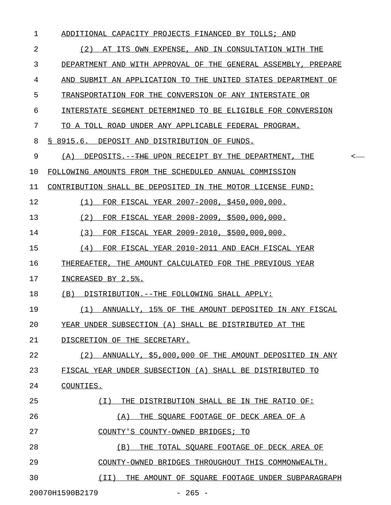| 1  | ADDITIONAL CAPACITY PROJECTS FINANCED BY TOLLS; AND                        |
|----|----------------------------------------------------------------------------|
| 2  | (2)<br>AT ITS OWN EXPENSE, AND IN CONSULTATION WITH THE                    |
| 3  | DEPARTMENT AND WITH APPROVAL OF THE GENERAL ASSEMBLY, PREPARE              |
| 4  | AND SUBMIT AN APPLICATION TO THE UNITED STATES DEPARTMENT OF               |
| 5  | TRANSPORTATION FOR THE CONVERSION OF ANY INTERSTATE OR                     |
| 6  | INTERSTATE SEGMENT DETERMINED TO BE ELIGIBLE FOR CONVERSION                |
| 7  | TO A TOLL ROAD UNDER ANY APPLICABLE FEDERAL PROGRAM.                       |
| 8  | § 8915.6. DEPOSIT AND DISTRIBUTION OF FUNDS.                               |
| 9  | DEPOSITS.-- <del>THE</del> UPON RECEIPT BY THE DEPARTMENT, THE<br>(A)<br>≺ |
| 10 | FOLLOWING AMOUNTS FROM THE SCHEDULED ANNUAL COMMISSION                     |
| 11 | CONTRIBUTION SHALL BE DEPOSITED IN THE MOTOR LICENSE FUND:                 |
| 12 | FOR FISCAL YEAR 2007-2008, \$450,000,000.<br>(1)                           |
| 13 | FOR FISCAL YEAR 2008-2009, \$500,000,000.<br>(2)                           |
| 14 | FOR FISCAL YEAR 2009-2010, \$500,000,000.<br>(3)                           |
| 15 | FOR FISCAL YEAR 2010-2011 AND EACH FISCAL YEAR<br>(4)                      |
| 16 | THEREAFTER, THE AMOUNT CALCULATED FOR THE PREVIOUS YEAR                    |
| 17 | INCREASED BY 2.5%.                                                         |
| 18 | (B)<br>DISTRIBUTION.--THE FOLLOWING SHALL APPLY:                           |
| 19 | ANNUALLY, 15% OF THE AMOUNT DEPOSITED IN ANY FISCAL<br>(1)                 |
| 20 | YEAR UNDER SUBSECTION (A) SHALL BE DISTRIBUTED AT THE                      |
| 21 | DISCRETION OF THE SECRETARY.                                               |
| 22 | ANNUALLY, \$5,000,000 OF THE AMOUNT DEPOSITED IN ANY<br>(2)                |
| 23 | FISCAL YEAR UNDER SUBSECTION (A) SHALL BE DISTRIBUTED TO                   |
| 24 | COUNTIES.                                                                  |
| 25 | ( I )<br>THE DISTRIBUTION SHALL BE IN THE RATIO OF:                        |
| 26 | THE SQUARE FOOTAGE OF DECK AREA OF A<br>(A)                                |
| 27 | COUNTY'S COUNTY-OWNED BRIDGES; TO                                          |
| 28 | (B)<br>THE TOTAL SOUARE FOOTAGE OF DECK AREA OF                            |
| 29 | COUNTY-OWNED BRIDGES THROUGHOUT THIS COMMONWEALTH.                         |
| 30 | THE AMOUNT OF SQUARE FOOTAGE UNDER SUBPARAGRAPH<br>(II)                    |
|    | 20070H1590B2179<br>$-265 -$                                                |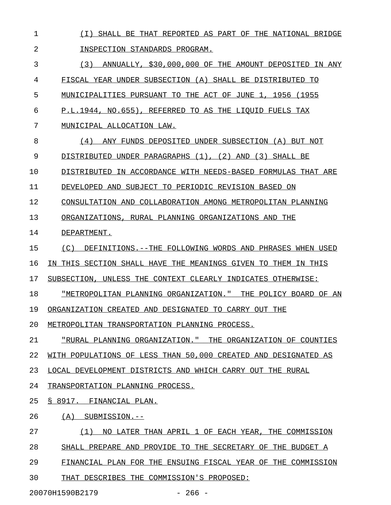1 (I) SHALL BE THAT REPORTED AS PART OF THE NATIONAL BRIDGE 2 INSPECTION STANDARDS PROGRAM.

3 (3) ANNUALLY, \$30,000,000 OF THE AMOUNT DEPOSITED IN ANY 4 FISCAL YEAR UNDER SUBSECTION (A) SHALL BE DISTRIBUTED TO 5 MUNICIPALITIES PURSUANT TO THE ACT OF JUNE 1, 1956 (1955 6 P.L.1944, NO.655), REFERRED TO AS THE LIQUID FUELS TAX 7 MUNICIPAL ALLOCATION LAW. 8 (4) ANY FUNDS DEPOSITED UNDER SUBSECTION (A) BUT NOT 9 DISTRIBUTED UNDER PARAGRAPHS (1), (2) AND (3) SHALL BE 10 DISTRIBUTED IN ACCORDANCE WITH NEEDS-BASED FORMULAS THAT ARE 11 DEVELOPED AND SUBJECT TO PERIODIC REVISION BASED ON 12 CONSULTATION AND COLLABORATION AMONG METROPOLITAN PLANNING 13 ORGANIZATIONS, RURAL PLANNING ORGANIZATIONS AND THE 14 DEPARTMENT. 15 (C) DEFINITIONS.--THE FOLLOWING WORDS AND PHRASES WHEN USED 16 IN THIS SECTION SHALL HAVE THE MEANINGS GIVEN TO THEM IN THIS 17 SUBSECTION, UNLESS THE CONTEXT CLEARLY INDICATES OTHERWISE: 18 "METROPOLITAN PLANNING ORGANIZATION." THE POLICY BOARD OF AN 19 ORGANIZATION CREATED AND DESIGNATED TO CARRY OUT THE 20 METROPOLITAN TRANSPORTATION PLANNING PROCESS. 21 "RURAL PLANNING ORGANIZATION." THE ORGANIZATION OF COUNTIES 22 WITH POPULATIONS OF LESS THAN 50,000 CREATED AND DESIGNATED AS 23 LOCAL DEVELOPMENT DISTRICTS AND WHICH CARRY OUT THE RURAL 24 TRANSPORTATION PLANNING PROCESS. 25 § 8917. FINANCIAL PLAN. 26 (A) SUBMISSION.--27 (1) NO LATER THAN APRIL 1 OF EACH YEAR, THE COMMISSION 28 SHALL PREPARE AND PROVIDE TO THE SECRETARY OF THE BUDGET A 29 FINANCIAL PLAN FOR THE ENSUING FISCAL YEAR OF THE COMMISSION

30 THAT DESCRIBES THE COMMISSION'S PROPOSED:

20070H1590B2179 - 266 -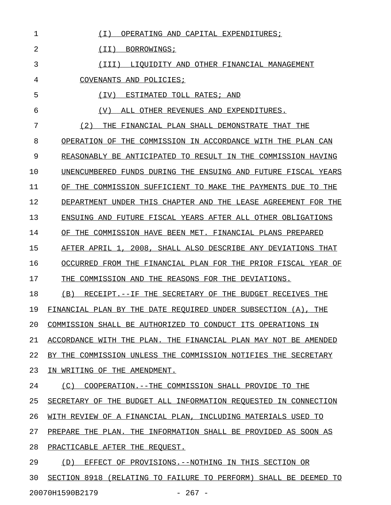| 1  | OPERATING AND CAPITAL EXPENDITURES;<br>( I )                     |
|----|------------------------------------------------------------------|
| 2  | (II) BORROWINGS;                                                 |
| 3  | LIOUIDITY AND OTHER FINANCIAL MANAGEMENT<br>(III)                |
| 4  | COVENANTS AND POLICIES;                                          |
| 5  | ESTIMATED TOLL RATES; AND<br>(IV)                                |
| 6  | ( V )<br>ALL OTHER REVENUES AND EXPENDITURES.                    |
| 7  | (2)<br>FINANCIAL PLAN SHALL DEMONSTRATE THAT THE<br>THE          |
| 8  | OPERATION OF THE COMMISSION IN ACCORDANCE WITH THE PLAN CAN      |
| 9  | REASONABLY BE ANTICIPATED TO RESULT IN THE COMMISSION HAVING     |
| 10 | UNENCUMBERED FUNDS DURING THE ENSUING AND FUTURE FISCAL YEARS    |
| 11 | OF THE COMMISSION SUFFICIENT TO MAKE THE PAYMENTS DUE TO THE     |
| 12 | DEPARTMENT UNDER THIS CHAPTER AND THE LEASE AGREEMENT FOR THE    |
| 13 | ENSUING AND FUTURE FISCAL YEARS AFTER ALL OTHER OBLIGATIONS      |
| 14 | OF THE COMMISSION HAVE BEEN MET. FINANCIAL PLANS PREPARED        |
| 15 | AFTER APRIL 1, 2008, SHALL ALSO DESCRIBE ANY DEVIATIONS THAT     |
| 16 | OCCURRED FROM THE FINANCIAL PLAN FOR THE PRIOR FISCAL YEAR OF    |
| 17 | THE COMMISSION AND THE REASONS FOR THE DEVIATIONS.               |
| 18 | RECEIPT.--IF THE SECRETARY OF THE BUDGET RECEIVES THE<br>(B)     |
| 19 | FINANCIAL PLAN BY THE DATE REOUIRED UNDER SUBSECTION (A),<br>THE |
| 20 | COMMISSION SHALL BE AUTHORIZED TO CONDUCT ITS OPERATIONS IN      |
| 21 | ACCORDANCE WITH THE PLAN. THE FINANCIAL PLAN MAY NOT BE AMENDED  |
| 22 | BY THE COMMISSION UNLESS THE COMMISSION NOTIFIES THE SECRETARY   |
| 23 | WRITING OF THE AMENDMENT.<br>IN                                  |
| 24 | (C)<br>COOPERATION.--THE COMMISSION SHALL PROVIDE TO THE         |
| 25 | SECRETARY OF THE BUDGET ALL INFORMATION REQUESTED IN CONNECTION  |
| 26 | WITH REVIEW OF A FINANCIAL PLAN, INCLUDING MATERIALS USED TO     |
| 27 | PREPARE THE PLAN. THE INFORMATION SHALL BE PROVIDED AS SOON AS   |
| 28 | PRACTICABLE AFTER THE REQUEST.                                   |
| 29 | EFFECT OF PROVISIONS.--NOTHING IN THIS SECTION OR<br>(D)         |
| 30 | SECTION 8918 (RELATING TO FAILURE TO PERFORM) SHALL BE DEEMED TO |

20070H1590B2179 - 267 -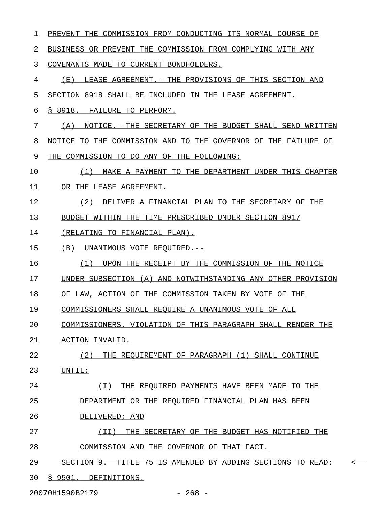| 1  | PREVENT THE COMMISSION FROM CONDUCTING ITS NORMAL COURSE OF           |
|----|-----------------------------------------------------------------------|
| 2  | BUSINESS OR PREVENT THE COMMISSION FROM COMPLYING WITH ANY            |
| 3  | COVENANTS MADE TO CURRENT BONDHOLDERS.                                |
| 4  | ( E )<br>LEASE AGREEMENT. -- THE PROVISIONS OF THIS SECTION AND       |
| 5  | SECTION 8918 SHALL BE INCLUDED IN THE LEASE AGREEMENT.                |
| 6  | \$8918.<br>FAILURE TO PERFORM.                                        |
| 7  | (A)<br>NOTICE.--THE SECRETARY OF THE BUDGET SHALL SEND WRITTEN        |
| 8  | NOTICE TO THE COMMISSION AND TO THE GOVERNOR OF THE FAILURE OF        |
| 9  | THE COMMISSION TO DO ANY OF THE FOLLOWING:                            |
| 10 | (1)<br>MAKE A PAYMENT TO THE DEPARTMENT UNDER THIS CHAPTER            |
| 11 | OR THE LEASE AGREEMENT.                                               |
| 12 | (2)<br>DELIVER A FINANCIAL PLAN TO THE SECRETARY OF THE               |
| 13 | BUDGET WITHIN THE TIME PRESCRIBED UNDER SECTION 8917                  |
| 14 | (RELATING TO FINANCIAL PLAN).                                         |
| 15 | (B)<br>UNANIMOUS VOTE REQUIRED.--                                     |
| 16 | (1)<br>UPON THE RECEIPT BY THE COMMISSION OF THE NOTICE               |
| 17 | UNDER SUBSECTION (A) AND NOTWITHSTANDING ANY OTHER PROVISION          |
| 18 | OF LAW, ACTION OF THE COMMISSION TAKEN BY VOTE OF THE                 |
| 19 | COMMISSIONERS SHALL REQUIRE A UNANIMOUS VOTE OF ALL                   |
| 20 | COMMISSIONERS. VIOLATION OF THIS PARAGRAPH SHALL RENDER THE           |
| 21 | ACTION INVALID.                                                       |
| 22 | (2) THE REQUIREMENT OF PARAGRAPH (1) SHALL CONTINUE                   |
| 23 | UNTIL:                                                                |
| 24 | ( I )<br>THE REQUIRED PAYMENTS HAVE BEEN MADE TO THE                  |
| 25 | DEPARTMENT OR THE REQUIRED FINANCIAL PLAN HAS BEEN                    |
| 26 | DELIVERED; AND                                                        |
| 27 | THE SECRETARY OF THE BUDGET HAS NOTIFIED THE<br>(II)                  |
| 28 | COMMISSION AND THE GOVERNOR OF THAT FACT.                             |
| 29 | SECTION 9. TITLE 75 IS AMENDED BY ADDING SECTIONS TO READ:<br>$\,<\,$ |
| 30 | § 9501. DEFINITIONS.                                                  |

20070H1590B2179 - 268 -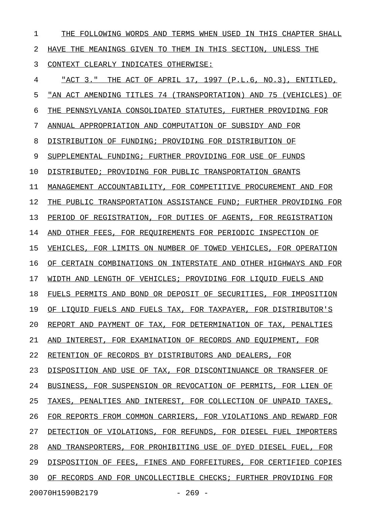1 THE FOLLOWING WORDS AND TERMS WHEN USED IN THIS CHAPTER SHALL 2 HAVE THE MEANINGS GIVEN TO THEM IN THIS SECTION, UNLESS THE 3 CONTEXT CLEARLY INDICATES OTHERWISE: 4 "ACT 3." THE ACT OF APRIL 17, 1997 (P.L.6, NO.3), ENTITLED, \_\_\_\_\_\_\_\_\_\_\_\_\_\_\_\_\_\_\_\_\_\_\_\_\_\_\_\_\_\_\_\_\_\_\_\_\_\_\_\_\_\_\_\_\_\_\_\_\_\_\_\_\_\_\_\_\_\_\_\_ 5 "AN ACT AMENDING TITLES 74 (TRANSPORTATION) AND 75 (VEHICLES) OF \_\_\_\_\_\_\_\_\_\_\_\_\_\_\_\_\_\_\_\_\_\_\_\_\_\_\_\_\_\_\_\_\_\_\_\_\_\_\_\_\_\_\_\_\_\_\_\_\_\_\_\_\_\_\_\_\_\_\_\_\_\_\_\_ 6 THE PENNSYLVANIA CONSOLIDATED STATUTES, FURTHER PROVIDING FOR 7 ANNUAL APPROPRIATION AND COMPUTATION OF SUBSIDY AND FOR 8 DISTRIBUTION OF FUNDING; PROVIDING FOR DISTRIBUTION OF 9 SUPPLEMENTAL FUNDING; FURTHER PROVIDING FOR USE OF FUNDS 10 DISTRIBUTED; PROVIDING FOR PUBLIC TRANSPORTATION GRANTS 11 MANAGEMENT ACCOUNTABILITY, FOR COMPETITIVE PROCUREMENT AND FOR 12 THE PUBLIC TRANSPORTATION ASSISTANCE FUND; FURTHER PROVIDING FOR 13 PERIOD OF REGISTRATION, FOR DUTIES OF AGENTS, FOR REGISTRATION 14 AND OTHER FEES, FOR REQUIREMENTS FOR PERIODIC INSPECTION OF 15 VEHICLES, FOR LIMITS ON NUMBER OF TOWED VEHICLES, FOR OPERATION 16 OF CERTAIN COMBINATIONS ON INTERSTATE AND OTHER HIGHWAYS AND FOR 17 WIDTH AND LENGTH OF VEHICLES; PROVIDING FOR LIQUID FUELS AND 18 FUELS PERMITS AND BOND OR DEPOSIT OF SECURITIES, FOR IMPOSITION 19 OF LIQUID FUELS AND FUELS TAX, FOR TAXPAYER, FOR DISTRIBUTOR'S 20 REPORT AND PAYMENT OF TAX, FOR DETERMINATION OF TAX, PENALTIES 21 AND INTEREST, FOR EXAMINATION OF RECORDS AND EQUIPMENT, FOR 22 RETENTION OF RECORDS BY DISTRIBUTORS AND DEALERS, FOR 23 DISPOSITION AND USE OF TAX, FOR DISCONTINUANCE OR TRANSFER OF 24 BUSINESS, FOR SUSPENSION OR REVOCATION OF PERMITS, FOR LIEN OF 25 TAXES, PENALTIES AND INTEREST, FOR COLLECTION OF UNPAID TAXES, 26 FOR REPORTS FROM COMMON CARRIERS, FOR VIOLATIONS AND REWARD FOR 27 DETECTION OF VIOLATIONS, FOR REFUNDS, FOR DIESEL FUEL IMPORTERS 28 AND TRANSPORTERS, FOR PROHIBITING USE OF DYED DIESEL FUEL, FOR 29 DISPOSITION OF FEES, FINES AND FORFEITURES, FOR CERTIFIED COPIES 30 OF RECORDS AND FOR UNCOLLECTIBLE CHECKS; FURTHER PROVIDING FOR

20070H1590B2179 - 269 -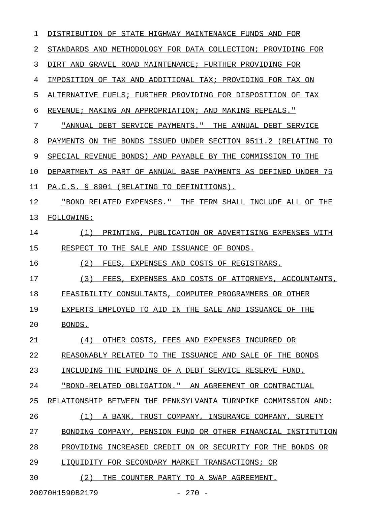| ı  | DISTRIBUTION OF STATE HIGHWAY MAINTENANCE FUNDS AND FOR        |
|----|----------------------------------------------------------------|
| 2  | STANDARDS AND METHODOLOGY FOR DATA COLLECTION; PROVIDING FOR   |
| 3  | DIRT AND GRAVEL ROAD MAINTENANCE; FURTHER PROVIDING FOR        |
| 4  | IMPOSITION OF TAX AND ADDITIONAL TAX; PROVIDING FOR TAX ON     |
| 5  | ALTERNATIVE FUELS; FURTHER PROVIDING FOR DISPOSITION OF TAX    |
| 6  | REVENUE; MAKING AN APPROPRIATION; AND MAKING REPEALS."         |
| 7  | "ANNUAL DEBT SERVICE PAYMENTS." THE ANNUAL DEBT SERVICE        |
| 8  | PAYMENTS ON THE BONDS ISSUED UNDER SECTION 9511.2 (RELATING TO |
| 9  | SPECIAL REVENUE BONDS) AND PAYABLE BY THE COMMISSION TO THE    |
| 10 | DEPARTMENT AS PART OF ANNUAL BASE PAYMENTS AS DEFINED UNDER 75 |
| 11 | PA.C.S. § 8901 (RELATING TO DEFINITIONS).                      |
| 12 | "BOND RELATED EXPENSES." THE TERM SHALL INCLUDE ALL OF THE     |
| 13 | <b>FOLLOWING:</b>                                              |
| 14 | (1)<br>PRINTING, PUBLICATION OR ADVERTISING EXPENSES WITH      |
| 15 | RESPECT TO THE SALE AND ISSUANCE OF BONDS.                     |
| 16 | (2)<br>FEES, EXPENSES AND COSTS OF REGISTRARS.                 |
| 17 | (3)<br>FEES, EXPENSES AND COSTS OF ATTORNEYS, ACCOUNTANTS,     |
| 18 | FEASIBILITY CONSULTANTS, COMPUTER PROGRAMMERS OR OTHER         |
| 19 | EXPERTS EMPLOYED TO AID IN THE SALE AND ISSUANCE OF THE        |
| 20 | BONDS.                                                         |
| 21 | OTHER COSTS, FEES AND EXPENSES INCURRED OR<br>(4)              |
| 22 | REASONABLY RELATED TO THE ISSUANCE AND SALE OF THE BONDS       |
| 23 | INCLUDING THE FUNDING OF A DEBT SERVICE RESERVE FUND.          |
| 24 | "BOND-RELATED OBLIGATION." AN AGREEMENT OR CONTRACTUAL         |
| 25 | RELATIONSHIP BETWEEN THE PENNSYLVANIA TURNPIKE COMMISSION AND: |
| 26 | (1) A BANK, TRUST COMPANY, INSURANCE COMPANY, SURETY           |
| 27 | BONDING COMPANY, PENSION FUND OR OTHER FINANCIAL INSTITUTION   |
| 28 | PROVIDING INCREASED CREDIT ON OR SECURITY FOR THE BONDS OR     |
| 29 | LIQUIDITY FOR SECONDARY MARKET TRANSACTIONS; OR                |
| 30 | (2)<br>THE COUNTER PARTY TO A SWAP AGREEMENT.                  |
|    |                                                                |

20070H1590B2179 - 270 -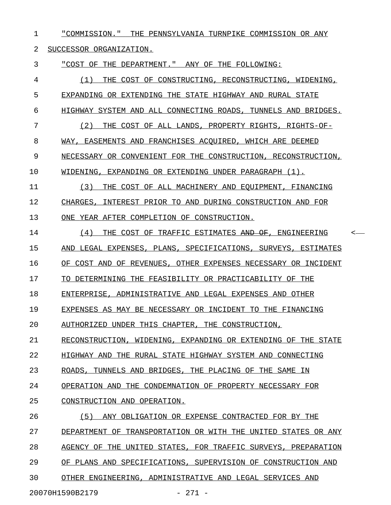1 "COMMISSION." THE PENNSYLVANIA TURNPIKE COMMISSION OR ANY

2 SUCCESSOR ORGANIZATION.

3 "COST OF THE DEPARTMENT." ANY OF THE FOLLOWING: \_\_\_\_\_\_\_\_\_\_\_\_\_\_\_\_\_\_\_\_\_\_\_\_\_\_\_\_\_\_\_\_\_\_\_\_\_\_\_\_\_\_\_\_\_\_\_\_

4 (1) THE COST OF CONSTRUCTING, RECONSTRUCTING, WIDENING, 5 EXPANDING OR EXTENDING THE STATE HIGHWAY AND RURAL STATE 6 HIGHWAY SYSTEM AND ALL CONNECTING ROADS, TUNNELS AND BRIDGES. 7 (2) THE COST OF ALL LANDS, PROPERTY RIGHTS, RIGHTS-OF-8 WAY, EASEMENTS AND FRANCHISES ACOUIRED, WHICH ARE DEEMED 9 NECESSARY OR CONVENIENT FOR THE CONSTRUCTION, RECONSTRUCTION, 10 WIDENING, EXPANDING OR EXTENDING UNDER PARAGRAPH (1). 11 (3) THE COST OF ALL MACHINERY AND EOUIPMENT, FINANCING 12 CHARGES, INTEREST PRIOR TO AND DURING CONSTRUCTION AND FOR 13 ONE YEAR AFTER COMPLETION OF CONSTRUCTION. 14 (4) THE COST OF TRAFFIC ESTIMATES AND OF, ENGINEERING < \_\_\_\_\_\_\_\_\_\_\_\_\_\_\_\_\_\_\_\_\_\_\_\_\_\_\_\_\_\_\_\_\_\_\_\_\_\_\_\_\_\_\_\_\_\_\_\_\_\_\_\_\_\_ 15 AND LEGAL EXPENSES, PLANS, SPECIFICATIONS, SURVEYS, ESTIMATES 16 OF COST AND OF REVENUES, OTHER EXPENSES NECESSARY OR INCIDENT 17 TO DETERMINING THE FEASIBILITY OR PRACTICABILITY OF THE 18 ENTERPRISE, ADMINISTRATIVE AND LEGAL EXPENSES AND OTHER 19 EXPENSES AS MAY BE NECESSARY OR INCIDENT TO THE FINANCING 20 AUTHORIZED UNDER THIS CHAPTER, THE CONSTRUCTION, 21 RECONSTRUCTION, WIDENING, EXPANDING OR EXTENDING OF THE STATE 22 HIGHWAY AND THE RURAL STATE HIGHWAY SYSTEM AND CONNECTING 23 ROADS, TUNNELS AND BRIDGES, THE PLACING OF THE SAME IN 24 OPERATION AND THE CONDEMNATION OF PROPERTY NECESSARY FOR 25 CONSTRUCTION AND OPERATION. 26 (5) ANY OBLIGATION OR EXPENSE CONTRACTED FOR BY THE 27 DEPARTMENT OF TRANSPORTATION OR WITH THE UNITED STATES OR ANY 28 AGENCY OF THE UNITED STATES, FOR TRAFFIC SURVEYS, PREPARATION 29 OF PLANS AND SPECIFICATIONS, SUPERVISION OF CONSTRUCTION AND 30 OTHER ENGINEERING, ADMINISTRATIVE AND LEGAL SERVICES AND

20070H1590B2179 - 271 -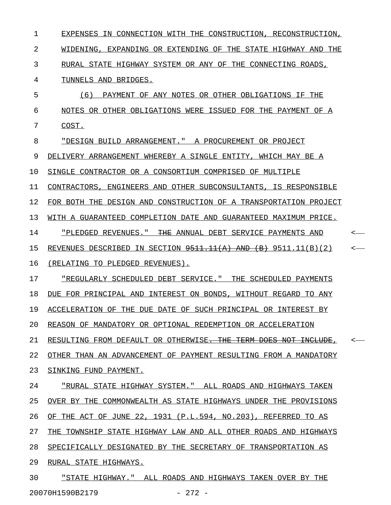1 EXPENSES IN CONNECTION WITH THE CONSTRUCTION, RECONSTRUCTION, 2 WIDENING, EXPANDING OR EXTENDING OF THE STATE HIGHWAY AND THE 3 RURAL STATE HIGHWAY SYSTEM OR ANY OF THE CONNECTING ROADS, 4 TUNNELS AND BRIDGES. 5 (6) PAYMENT OF ANY NOTES OR OTHER OBLIGATIONS IF THE 6 NOTES OR OTHER OBLIGATIONS WERE ISSUED FOR THE PAYMENT OF A 7 COST. \_\_\_\_\_ 8 "DESIGN BUILD ARRANGEMENT." A PROCUREMENT OR PROJECT 9 DELIVERY ARRANGEMENT WHEREBY A SINGLE ENTITY, WHICH MAY BE A 10 SINGLE CONTRACTOR OR A CONSORTIUM COMPRISED OF MULTIPLE 11 CONTRACTORS, ENGINEERS AND OTHER SUBCONSULTANTS, IS RESPONSIBLE 12 FOR BOTH THE DESIGN AND CONSTRUCTION OF A TRANSPORTATION PROJECT 13 WITH A GUARANTEED COMPLETION DATE AND GUARANTEED MAXIMUM PRICE. 14 "PLEDGED REVENUES." <del>THE</del> ANNUAL DEBT SERVICE PAYMENTS AND  $\leftarrow$ 15 REVENUES DESCRIBED IN SECTION  $9511.11(A)$  AND  $(B)$  9511.11(B)(2) <-16 (RELATING TO PLEDGED REVENUES). 17 "REGULARLY SCHEDULED DEBT SERVICE." THE SCHEDULED PAYMENTS 18 DUE FOR PRINCIPAL AND INTEREST ON BONDS, WITHOUT REGARD TO ANY 19 ACCELERATION OF THE DUE DATE OF SUCH PRINCIPAL OR INTEREST BY 20 REASON OF MANDATORY OR OPTIONAL REDEMPTION OR ACCELERATION 21 RESULTING FROM DEFAULT OR OTHERWISE<del>. THE TERM DOES NOT INCLUDE</del>, 22 OTHER THAN AN ADVANCEMENT OF PAYMENT RESULTING FROM A MANDATORY 23 SINKING FUND PAYMENT. 24 "RURAL STATE HIGHWAY SYSTEM." ALL ROADS AND HIGHWAYS TAKEN 25 OVER BY THE COMMONWEALTH AS STATE HIGHWAYS UNDER THE PROVISIONS 26 OF THE ACT OF JUNE 22, 1931 (P.L.594, NO.203), REFERRED TO AS 27 THE TOWNSHIP STATE HIGHWAY LAW AND ALL OTHER ROADS AND HIGHWAYS 28 SPECIFICALLY DESIGNATED BY THE SECRETARY OF TRANSPORTATION AS 29 RURAL STATE HIGHWAYS. 30 "STATE HIGHWAY." ALL ROADS AND HIGHWAYS TAKEN OVER BY THE

20070H1590B2179 - 272 -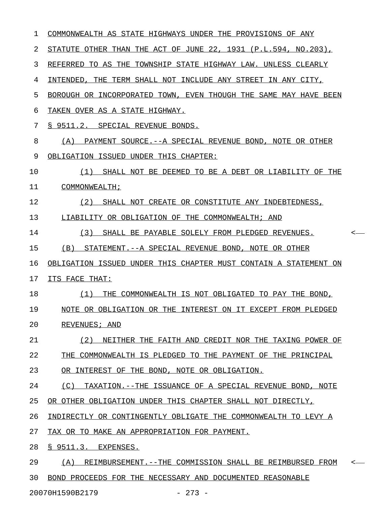| 1  | COMMONWEALTH AS STATE HIGHWAYS UNDER THE PROVISIONS OF ANY       |                          |
|----|------------------------------------------------------------------|--------------------------|
| 2  | STATUTE OTHER THAN THE ACT OF JUNE 22, 1931 (P.L.594, NO.203),   |                          |
| 3  | REFERRED TO AS THE TOWNSHIP STATE HIGHWAY LAW. UNLESS CLEARLY    |                          |
| 4  | INTENDED, THE TERM SHALL NOT INCLUDE ANY STREET IN ANY CITY,     |                          |
| 5  | BOROUGH OR INCORPORATED TOWN, EVEN THOUGH THE SAME MAY HAVE BEEN |                          |
| 6  | TAKEN OVER AS A STATE HIGHWAY.                                   |                          |
| 7  | § 9511.2. SPECIAL REVENUE BONDS.                                 |                          |
| 8  | (A) PAYMENT SOURCE. -- A SPECIAL REVENUE BOND, NOTE OR OTHER     |                          |
| 9  | OBLIGATION ISSUED UNDER THIS CHAPTER:                            |                          |
| 10 | (1) SHALL NOT BE DEEMED TO BE A DEBT OR LIABILITY OF THE         |                          |
| 11 | COMMONWEALTH;                                                    |                          |
| 12 | (2) SHALL NOT CREATE OR CONSTITUTE ANY INDEBTEDNESS,             |                          |
| 13 | LIABILITY OR OBLIGATION OF THE COMMONWEALTH; AND                 |                          |
| 14 | (3) SHALL BE PAYABLE SOLELY FROM PLEDGED REVENUES.               | $\leftarrow$             |
| 15 | (B) STATEMENT. -- A SPECIAL REVENUE BOND, NOTE OR OTHER          |                          |
| 16 | OBLIGATION ISSUED UNDER THIS CHAPTER MUST CONTAIN A STATEMENT ON |                          |
| 17 | ITS FACE THAT:                                                   |                          |
| 18 | (1) THE COMMONWEALTH IS NOT OBLIGATED TO PAY THE BOND,           |                          |
| 19 | NOTE OR OBLIGATION OR THE INTEREST ON IT EXCEPT FROM PLEDGED     |                          |
| 20 | REVENUES; AND                                                    |                          |
| 21 | NEITHER THE FAITH AND CREDIT NOR THE TAXING POWER OF<br>(2)      |                          |
| 22 | THE COMMONWEALTH IS PLEDGED TO THE PAYMENT OF THE PRINCIPAL      |                          |
| 23 | OR INTEREST OF THE BOND, NOTE OR OBLIGATION.                     |                          |
| 24 | (C)<br>TAXATION.--THE ISSUANCE OF A SPECIAL REVENUE BOND, NOTE   |                          |
| 25 | OR OTHER OBLIGATION UNDER THIS CHAPTER SHALL NOT DIRECTLY,       |                          |
| 26 | INDIRECTLY OR CONTINGENTLY OBLIGATE THE COMMONWEALTH TO LEVY A   |                          |
| 27 | TAX OR TO MAKE AN APPROPRIATION FOR PAYMENT.                     |                          |
| 28 | § 9511.3. EXPENSES.                                              |                          |
| 29 | (A)<br>REIMBURSEMENT. -- THE COMMISSION SHALL BE REIMBURSED FROM | $\overline{\phantom{a}}$ |
|    |                                                                  |                          |

20070H1590B2179 - 273 -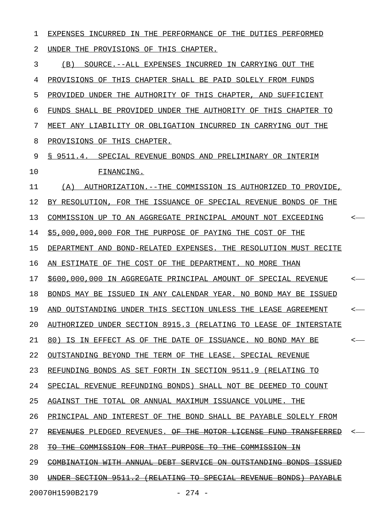1 EXPENSES INCURRED IN THE PERFORMANCE OF THE DUTIES PERFORMED 2 UNDER THE PROVISIONS OF THIS CHAPTER. 3 (B) SOURCE.--ALL EXPENSES INCURRED IN CARRYING OUT THE 4 PROVISIONS OF THIS CHAPTER SHALL BE PAID SOLELY FROM FUNDS 5 PROVIDED UNDER THE AUTHORITY OF THIS CHAPTER, AND SUFFICIENT 6 FUNDS SHALL BE PROVIDED UNDER THE AUTHORITY OF THIS CHAPTER TO 7 MEET ANY LIABILITY OR OBLIGATION INCURRED IN CARRYING OUT THE 8 PROVISIONS OF THIS CHAPTER. 9 § 9511.4. SPECIAL REVENUE BONDS AND PRELIMINARY OR INTERIM 10 FINANCING. 11 (A) AUTHORIZATION.--THE COMMISSION IS AUTHORIZED TO PROVIDE, 12 BY RESOLUTION, FOR THE ISSUANCE OF SPECIAL REVENUE BONDS OF THE 13 COMMISSION UP TO AN AGGREGATE PRINCIPAL AMOUNT NOT EXCEEDING  $\sim$ 14 \$5,000,000,000 FOR THE PURPOSE OF PAYING THE COST OF THE 15 DEPARTMENT AND BOND-RELATED EXPENSES. THE RESOLUTION MUST RECITE 16 AN ESTIMATE OF THE COST OF THE DEPARTMENT. NO MORE THAN 17 \$600,000,000 IN AGGREGATE PRINCIPAL AMOUNT OF SPECIAL REVENUE  $\sim$ 18 BONDS MAY BE ISSUED IN ANY CALENDAR YEAR. NO BOND MAY BE ISSUED 19 AND OUTSTANDING UNDER THIS SECTION UNLESS THE LEASE AGREEMENT  $\sim$ -20 AUTHORIZED UNDER SECTION 8915.3 (RELATING TO LEASE OF INTERSTATE 21 80) IS IN EFFECT AS OF THE DATE OF ISSUANCE. NO BOND MAY BE  $\sim$ 22 OUTSTANDING BEYOND THE TERM OF THE LEASE. SPECIAL REVENUE 23 REFUNDING BONDS AS SET FORTH IN SECTION 9511.9 (RELATING TO 24 SPECIAL REVENUE REFUNDING BONDS) SHALL NOT BE DEEMED TO COUNT 25 AGAINST THE TOTAL OR ANNUAL MAXIMUM ISSUANCE VOLUME. THE 26 PRINCIPAL AND INTEREST OF THE BOND SHALL BE PAYABLE SOLELY FROM 27 REVENUES PLEDGED REVENUES. OF THE MOTOR LICENSE FUND TRANSFERRED 28 TO THE COMMISSION FOR THAT PURPOSE TO THE COMMISSION IN 29 COMBINATION WITH ANNUAL DEBT SERVICE ON OUTSTANDING BONDS ISSUED 30 UNDER SECTION 9511.2 (RELATING TO SPECIAL REVENUE BONDS) PAYABLE 20070H1590B2179 - 274 -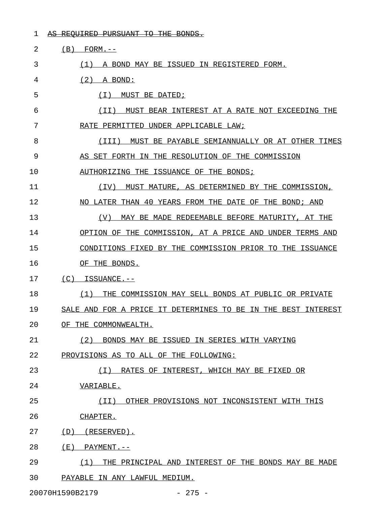1 AS REQUIRED PURSUANT TO THE BONDS.

| 2  | (B)<br>$FORM. --$                                                   |
|----|---------------------------------------------------------------------|
| 3  | (1)<br>A BOND MAY BE ISSUED IN REGISTERED FORM.                     |
| 4  | (2)<br>A BOND:                                                      |
| 5  | ( I )<br>MUST BE DATED;                                             |
| 6  | MUST BEAR INTEREST AT A RATE NOT EXCEEDING THE<br>( I I )           |
| 7  | RATE PERMITTED UNDER APPLICABLE LAW;                                |
| 8  | MUST BE PAYABLE SEMIANNUALLY OR AT OTHER TIMES<br>(III)             |
| 9  | AS SET FORTH IN<br>THE RESOLUTION OF THE COMMISSION                 |
| 10 | AUTHORIZING THE ISSUANCE OF THE BONDS;                              |
| 11 | (TV)<br>MUST MATURE, AS DETERMINED BY THE COMMISSION,               |
| 12 | NO LATER THAN 40 YEARS FROM THE DATE OF<br>THE BOND; AND            |
| 13 | (V)<br>MAY BE MADE REDEEMABLE BEFORE MATURITY,<br>THE<br>AТ         |
| 14 | OPTION OF THE COMMISSION, AT A PRICE AND UNDER TERMS AND            |
| 15 | CONDITIONS FIXED BY THE COMMISSION PRIOR TO THE ISSUANCE            |
| 16 | OF THE BONDS.                                                       |
| 17 | (C)<br>ISSUANCE.--                                                  |
| 18 | THE COMMISSION MAY SELL BONDS AT PUBLIC OR PRIVATE<br>(1)           |
| 19 | SALE AND FOR A PRICE IT DETERMINES TO BE<br>THE BEST INTEREST<br>TN |
| 20 | OF THE COMMONWEALTH.                                                |
| 21 | (2)<br>BONDS MAY BE ISSUED IN SERIES WITH VARYING                   |
| 22 | PROVISIONS AS TO ALL OF THE FOLLOWING:                              |
| 23 | RATES OF INTEREST, WHICH MAY BE FIXED OR<br>(T)                     |
| 24 | VARIABLE.                                                           |
| 25 | (II) OTHER PROVISIONS NOT INCONSISTENT WITH THIS                    |
| 26 | CHAPTER.                                                            |
| 27 | (D)<br>(RESERVED).                                                  |
| 28 | ( E )<br>$PAYMENT. --$                                              |
| 29 | (1)<br>THE PRINCIPAL AND INTEREST OF THE BONDS MAY BE MADE          |
| 30 | PAYABLE IN ANY LAWFUL MEDIUM.                                       |
|    |                                                                     |

20070H1590B2179 - 275 -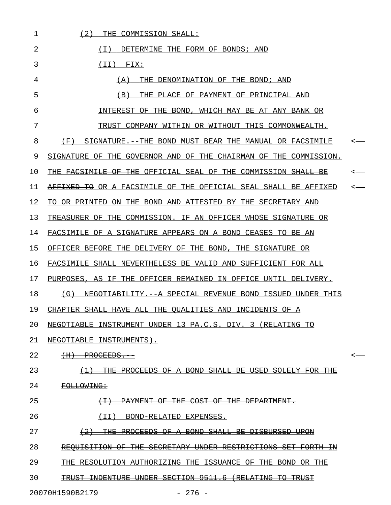| 1  | (2)<br>THE COMMISSION SHALL:                                                                                                   |  |
|----|--------------------------------------------------------------------------------------------------------------------------------|--|
| 2  | DETERMINE THE FORM OF BONDS; AND<br>(T)                                                                                        |  |
| 3  | $(II)$ FIX:                                                                                                                    |  |
| 4  | THE DENOMINATION OF THE BOND; AND<br>(A)                                                                                       |  |
| 5  | THE PLACE OF PAYMENT OF PRINCIPAL AND<br>(B)                                                                                   |  |
| 6  | INTEREST OF THE BOND, WHICH MAY BE AT ANY BANK OR                                                                              |  |
| 7  | TRUST COMPANY WITHIN OR WITHOUT THIS COMMONWEALTH.                                                                             |  |
| 8  | (F)<br>SIGNATURE.--THE BOND MUST BEAR THE MANUAL OR FACSIMILE                                                                  |  |
| 9  | SIGNATURE OF THE GOVERNOR AND OF THE CHAIRMAN OF THE COMMISSION.                                                               |  |
| 10 | THE FACSIMILE OF THE OFFICIAL SEAL OF THE COMMISSION <del>SHALL BE</del>                                                       |  |
| 11 | <del>AFFIXED TO</del> OR A FACSIMILE OF THE OFFICIAL SEAL SHALL BE AFFIXED                                                     |  |
| 12 | TO OR PRINTED ON THE BOND AND ATTESTED BY THE SECRETARY AND                                                                    |  |
| 13 | TREASURER OF THE COMMISSION. IF AN OFFICER WHOSE SIGNATURE OR                                                                  |  |
| 14 | FACSIMILE OF A SIGNATURE APPEARS ON A BOND CEASES TO BE AN                                                                     |  |
| 15 | OFFICER BEFORE THE DELIVERY OF THE BOND, THE SIGNATURE OR                                                                      |  |
| 16 | FACSIMILE SHALL NEVERTHELESS BE VALID AND SUFFICIENT FOR ALL                                                                   |  |
| 17 | PURPOSES, AS IF THE OFFICER REMAINED IN OFFICE UNTIL DELIVERY.                                                                 |  |
| 18 | NEGOTIABILITY. -- A SPECIAL REVENUE BOND ISSUED UNDER THIS<br>(G)                                                              |  |
| 19 | CHAPTER SHALL HAVE ALL THE OUALITIES AND INCIDENTS OF A                                                                        |  |
| 20 | NEGOTIABLE INSTRUMENT UNDER 13 PA.C.S. DIV. 3 (RELATING TO                                                                     |  |
| 21 | NEGOTIABLE INSTRUMENTS).                                                                                                       |  |
| 22 | PROCEEDS.                                                                                                                      |  |
| 23 | ŦĦE<br><del>PROCEEDS</del><br><del>OF A BOND</del><br>$SHATH$ $BR$<br><del>HSED</del><br><del>SOLELY</del><br><del>- FOR</del> |  |
| 24 | <b>FOLLOWING:</b>                                                                                                              |  |
| 25 | <del>-THE</del><br>-COST<br><del>THE DEPARTMENT</del><br>PAYMENT<br>⊖ஈ<br>−OF                                                  |  |
| 26 | <b>RELATED</b><br>BOND<br><del>EXPENSES.</del>                                                                                 |  |
| 27 | $+2$<br>ŦĦE<br><del>PROCEEDS</del><br>BOND<br>SHAT<br><del>DISBURSED</del>                                                     |  |
| 28 | <del>THE</del><br><b>SECRETARY</b><br>RESTRICTIONS<br>SET<br>REQUISITION<br><del>UNDER</del><br><del>FORTH</del>               |  |
| 29 | RESOLUTION<br>AUTHORIZING THE<br><del>TSSUANCE</del><br>꾸표표<br><del>OF.</del><br>BOND<br><del>THE</del><br>ΘR                  |  |
| 30 | <b>INDENTURE</b><br>SECTION<br><b>TRUST</b><br><del>TRUST</del><br><del>IJNDER</del><br><del>' RELATING</del><br>40            |  |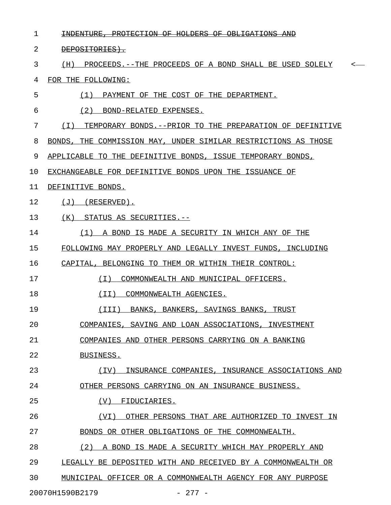| 1  | <del>CTION OF</del>                                                       |
|----|---------------------------------------------------------------------------|
| 2  | DEPOSITORIES).                                                            |
| 3  | PROCEEDS. --THE PROCEEDS OF A BOND SHALL BE USED SOLELY<br>(H)<br>$\,<\,$ |
| 4  | FOR THE FOLLOWING:                                                        |
| 5  | PAYMENT OF THE COST OF THE DEPARTMENT.<br>(1)                             |
| 6  | (2)<br>BOND-RELATED EXPENSES.                                             |
| 7  | TEMPORARY BONDS. -- PRIOR TO THE PREPARATION OF DEFINITIVE<br>(1)         |
| 8  | BONDS, THE COMMISSION MAY, UNDER SIMILAR RESTRICTIONS AS THOSE            |
| 9  | APPLICABLE TO THE DEFINITIVE BONDS, ISSUE TEMPORARY BONDS,                |
| 10 | EXCHANGEABLE FOR DEFINITIVE BONDS UPON THE ISSUANCE OF                    |
| 11 | DEFINITIVE BONDS.                                                         |
| 12 | ( J )<br>(RESERVED).                                                      |
| 13 | (K) STATUS AS SECURITIES.--                                               |
| 14 | A BOND IS MADE A SECURITY IN WHICH ANY OF THE<br>(1)                      |
| 15 | FOLLOWING MAY PROPERLY AND LEGALLY INVEST FUNDS, INCLUDING                |
| 16 | CAPITAL, BELONGING TO THEM OR WITHIN THEIR CONTROL:                       |
| 17 | COMMONWEALTH AND MUNICIPAL OFFICERS.<br>(T)                               |
| 18 | COMMONWEALTH AGENCIES.<br>( I I )                                         |
| 19 | (III) BANKS, BANKERS, SAVINGS BANKS, TRUST                                |
| 20 | COMPANIES, SAVING AND LOAN ASSOCIATIONS, INVESTMENT                       |
| 21 | COMPANIES AND OTHER PERSONS CARRYING ON A BANKING                         |
| 22 | BUSINESS.                                                                 |
| 23 | INSURANCE COMPANIES, INSURANCE ASSOCIATIONS AND<br>(IV)                   |
| 24 | OTHER PERSONS CARRYING ON AN INSURANCE BUSINESS.                          |
| 25 | FIDUCIARIES.<br>(V)                                                       |
| 26 | (VI)<br>OTHER PERSONS THAT ARE AUTHORIZED TO INVEST IN                    |
| 27 | BONDS OR OTHER OBLIGATIONS OF THE COMMONWEALTH.                           |
| 28 | (2)<br>A BOND IS MADE A SECURITY WHICH MAY PROPERLY AND                   |
| 29 | LEGALLY BE DEPOSITED WITH AND RECEIVED BY A COMMONWEALTH OR               |
| 30 | MUNICIPAL OFFICER OR A COMMONWEALTH AGENCY FOR ANY PURPOSE                |
|    | 20070H1590B2179<br>$-277 -$                                               |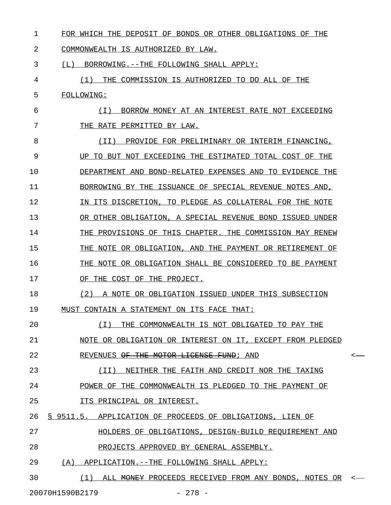1 FOR WHICH THE DEPOSIT OF BONDS OR OTHER OBLIGATIONS OF THE 2 COMMONWEALTH IS AUTHORIZED BY LAW. 3  $(L)$  BORROWING.--THE FOLLOWING SHALL APPLY: 4 (1) THE COMMISSION IS AUTHORIZED TO DO ALL OF THE 5 FOLLOWING: \_\_\_\_\_\_\_\_\_\_ 6 (I) BORROW MONEY AT AN INTEREST RATE NOT EXCEEDING \_\_\_\_\_\_\_\_\_\_\_\_\_\_\_\_\_\_\_\_\_\_\_\_\_\_\_\_\_\_\_\_\_\_\_\_\_\_\_\_\_\_\_\_\_\_\_\_\_\_\_ 7 THE RATE PERMITTED BY LAW. 8 (II) PROVIDE FOR PRELIMINARY OR INTERIM FINANCING, 9 UP TO BUT NOT EXCEEDING THE ESTIMATED TOTAL COST OF THE 10 DEPARTMENT AND BOND-RELATED EXPENSES AND TO EVIDENCE THE 11 BORROWING BY THE ISSUANCE OF SPECIAL REVENUE NOTES AND, 12 IN ITS DISCRETION, TO PLEDGE AS COLLATERAL FOR THE NOTE 13 OR OTHER OBLIGATION, A SPECIAL REVENUE BOND ISSUED UNDER 14 THE PROVISIONS OF THIS CHAPTER. THE COMMISSION MAY RENEW 15 THE NOTE OR OBLIGATION, AND THE PAYMENT OR RETIREMENT OF 16 THE NOTE OR OBLIGATION SHALL BE CONSIDERED TO BE PAYMENT 17 OF THE COST OF THE PROJECT. 18 (2) A NOTE OR OBLIGATION ISSUED UNDER THIS SUBSECTION 19 MUST CONTAIN A STATEMENT ON ITS FACE THAT: 20 (I) THE COMMONWEALTH IS NOT OBLIGATED TO PAY THE \_\_\_\_\_\_\_\_\_\_\_\_\_\_\_\_\_\_\_\_\_\_\_\_\_\_\_\_\_\_\_\_\_\_\_\_\_\_\_\_\_\_\_\_\_\_\_\_\_ 21 NOTE OR OBLIGATION OR INTEREST ON IT, EXCEPT FROM PLEDGED 22 REVENUES <del>OF THE MOTOR LICENSE FUND</del>; AND  $\leq$ 23 (II) NEITHER THE FAITH AND CREDIT NOR THE TAXING \_\_\_\_\_\_\_\_\_\_\_\_\_\_\_\_\_\_\_\_\_\_\_\_\_\_\_\_\_\_\_\_\_\_\_\_\_\_\_\_\_\_\_\_\_\_\_\_\_ 24 POWER OF THE COMMONWEALTH IS PLEDGED TO THE PAYMENT OF 25 ITS PRINCIPAL OR INTEREST. 26 § 9511.5. APPLICATION OF PROCEEDS OF OBLIGATIONS, LIEN OF 27 HOLDERS OF OBLIGATIONS, DESIGN-BUILD REQUIREMENT AND 28 PROJECTS APPROVED BY GENERAL ASSEMBLY. 29 (A) APPLICATION.--THE FOLLOWING SHALL APPLY: 30  $(1)$  ALL MONEY PROCEEDS RECEIVED FROM ANY BONDS, NOTES OR <-

20070H1590B2179 - 278 -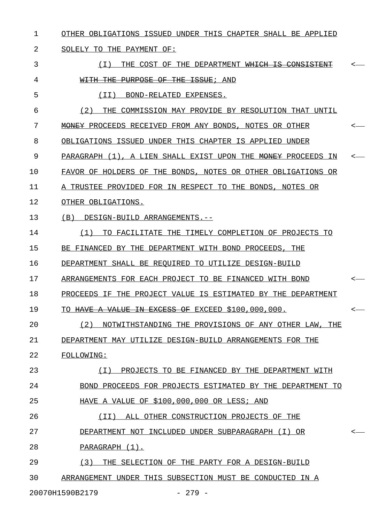| $\mathbf{1}$ | OTHER OBLIGATIONS ISSUED UNDER THIS CHAPTER SHALL BE APPLIED   |                  |
|--------------|----------------------------------------------------------------|------------------|
| 2            | SOLELY TO THE PAYMENT OF:                                      |                  |
| 3            | THE COST OF THE DEPARTMENT WHICH IS CONSISTENT<br>( I )        |                  |
| 4            | WITH THE PURPOSE OF THE ISSUE; AND                             |                  |
| 5            | (II) BOND-RELATED EXPENSES.                                    |                  |
| 6            | (2)<br>THE COMMISSION MAY PROVIDE BY RESOLUTION THAT UNTIL     |                  |
| 7            | MONEY PROCEEDS RECEIVED FROM ANY BONDS, NOTES OR OTHER         | $\longleftarrow$ |
| 8            | OBLIGATIONS ISSUED UNDER THIS CHAPTER IS APPLIED UNDER         |                  |
| 9            | PARAGRAPH (1), A LIEN SHALL EXIST UPON THE MONEY PROCEEDS IN   |                  |
| 10           | FAVOR OF HOLDERS OF THE BONDS, NOTES OR OTHER OBLIGATIONS OR   |                  |
| 11           | A TRUSTEE PROVIDED FOR IN RESPECT TO THE BONDS, NOTES OR       |                  |
| 12           | OTHER OBLIGATIONS.                                             |                  |
| 13           | (B) DESIGN-BUILD ARRANGEMENTS.--                               |                  |
| 14           | TO FACILITATE THE TIMELY COMPLETION OF PROJECTS TO<br>(1)      |                  |
| 15           | BE FINANCED BY THE DEPARTMENT WITH BOND PROCEEDS, THE          |                  |
| 16           | DEPARTMENT SHALL BE REQUIRED TO UTILIZE DESIGN-BUILD           |                  |
| 17           | ARRANGEMENTS FOR EACH PROJECT TO BE FINANCED WITH BOND         | <—               |
| 18           | PROCEEDS IF THE PROJECT VALUE IS ESTIMATED BY THE DEPARTMENT   |                  |
| 19           | TO HAVE A VALUE IN EXCESS OF EXCEED \$100,000,000.             | $\longleftarrow$ |
| 20           | (2)<br>NOTWITHSTANDING THE PROVISIONS OF ANY OTHER LAW.<br>THE |                  |
| 21           | DEPARTMENT MAY UTILIZE DESIGN-BUILD ARRANGEMENTS FOR THE       |                  |
| 22           | FOLLOWING:                                                     |                  |
| 23           | (T)<br>PROJECTS TO BE FINANCED BY THE DEPARTMENT WITH          |                  |
| 24           | BOND PROCEEDS FOR PROJECTS ESTIMATED BY THE DEPARTMENT<br>TO   |                  |
| 25           | HAVE A VALUE OF \$100,000,000 OR LESS; AND                     |                  |
| 26           | (TT)<br>ALL OTHER CONSTRUCTION PROJECTS OF THE                 |                  |
| 27           | DEPARTMENT NOT INCLUDED UNDER SUBPARAGRAPH<br>(T)<br>OR.       |                  |
| 28           | PARAGRAPH (1).                                                 |                  |
| 29           | (3)<br>THE SELECTION OF THE PARTY FOR A DESIGN-BUILD           |                  |
| 30           | ARRANGEMENT UNDER THIS SUBSECTION MUST BE CONDUCTED IN A       |                  |

20070H1590B2179 - 279 -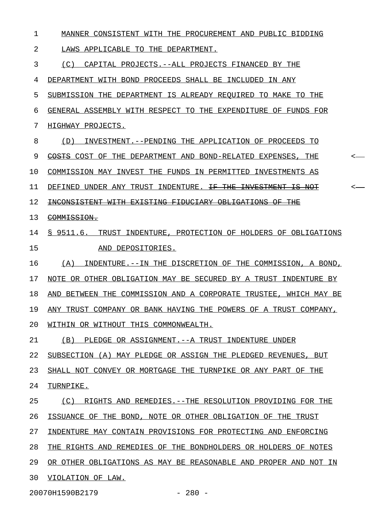1 MANNER CONSISTENT WITH THE PROCUREMENT AND PUBLIC BIDDING 2 LAWS APPLICABLE TO THE DEPARTMENT. 3 (C) CAPITAL PROJECTS.--ALL PROJECTS FINANCED BY THE 4 DEPARTMENT WITH BOND PROCEEDS SHALL BE INCLUDED IN ANY 5 SUBMISSION THE DEPARTMENT IS ALREADY REQUIRED TO MAKE TO THE 6 GENERAL ASSEMBLY WITH RESPECT TO THE EXPENDITURE OF FUNDS FOR 7 HIGHWAY PROJECTS. 8 (D) INVESTMENT.--PENDING THE APPLICATION OF PROCEEDS TO 9 COSTS COST OF THE DEPARTMENT AND BOND-RELATED EXPENSES, THE  $\sim$ 10 COMMISSION MAY INVEST THE FUNDS IN PERMITTED INVESTMENTS AS 11 DEFINED UNDER ANY TRUST INDENTURE. <del>IF THE INVESTMENT IS NOT</del> <-12 INCONSISTENT WITH EXISTING FIDUCIARY OBLIGATIONS OF THE 13 COMMISSION. 14 § 9511.6. TRUST INDENTURE, PROTECTION OF HOLDERS OF OBLIGATIONS 15 AND DEPOSITORIES. 16 (A) INDENTURE.--IN THE DISCRETION OF THE COMMISSION, A BOND, 17 NOTE OR OTHER OBLIGATION MAY BE SECURED BY A TRUST INDENTURE BY 18 AND BETWEEN THE COMMISSION AND A CORPORATE TRUSTEE, WHICH MAY BE 19 ANY TRUST COMPANY OR BANK HAVING THE POWERS OF A TRUST COMPANY, 20 WITHIN OR WITHOUT THIS COMMONWEALTH. 21 (B) PLEDGE OR ASSIGNMENT. -- A TRUST INDENTURE UNDER 22 SUBSECTION (A) MAY PLEDGE OR ASSIGN THE PLEDGED REVENUES, BUT 23 SHALL NOT CONVEY OR MORTGAGE THE TURNPIKE OR ANY PART OF THE 24 TURNPIKE. 25 (C) RIGHTS AND REMEDIES.--THE RESOLUTION PROVIDING FOR THE 26 ISSUANCE OF THE BOND, NOTE OR OTHER OBLIGATION OF THE TRUST 27 INDENTURE MAY CONTAIN PROVISIONS FOR PROTECTING AND ENFORCING 28 THE RIGHTS AND REMEDIES OF THE BONDHOLDERS OR HOLDERS OF NOTES 29 OR OTHER OBLIGATIONS AS MAY BE REASONABLE AND PROPER AND NOT IN 30 VIOLATION OF LAW.

20070H1590B2179 - 280 -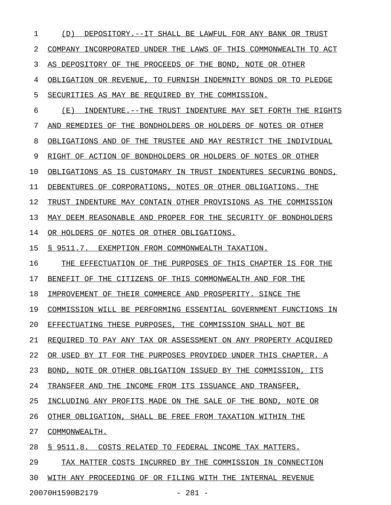1 (D) DEPOSITORY.--IT SHALL BE LAWFUL FOR ANY BANK OR TRUST 2 COMPANY INCORPORATED UNDER THE LAWS OF THIS COMMONWEALTH TO ACT 3 AS DEPOSITORY OF THE PROCEEDS OF THE BOND, NOTE OR OTHER 4 OBLIGATION OR REVENUE, TO FURNISH INDEMNITY BONDS OR TO PLEDGE 5 SECURITIES AS MAY BE REQUIRED BY THE COMMISSION. 6 (E) INDENTURE.--THE TRUST INDENTURE MAY SET FORTH THE RIGHTS 7 AND REMEDIES OF THE BONDHOLDERS OR HOLDERS OF NOTES OR OTHER 8 OBLIGATIONS AND OF THE TRUSTEE AND MAY RESTRICT THE INDIVIDUAL 9 RIGHT OF ACTION OF BONDHOLDERS OR HOLDERS OF NOTES OR OTHER 10 OBLIGATIONS AS IS CUSTOMARY IN TRUST INDENTURES SECURING BONDS, 11 DEBENTURES OF CORPORATIONS, NOTES OR OTHER OBLIGATIONS. THE 12 TRUST INDENTURE MAY CONTAIN OTHER PROVISIONS AS THE COMMISSION 13 MAY DEEM REASONABLE AND PROPER FOR THE SECURITY OF BONDHOLDERS 14 OR HOLDERS OF NOTES OR OTHER OBLIGATIONS. 15 § 9511.7. EXEMPTION FROM COMMONWEALTH TAXATION. 16 THE EFFECTUATION OF THE PURPOSES OF THIS CHAPTER IS FOR THE 17 BENEFIT OF THE CITIZENS OF THIS COMMONWEALTH AND FOR THE 18 IMPROVEMENT OF THEIR COMMERCE AND PROSPERITY. SINCE THE 19 COMMISSION WILL BE PERFORMING ESSENTIAL GOVERNMENT FUNCTIONS IN 20 EFFECTUATING THESE PURPOSES, THE COMMISSION SHALL NOT BE 21 REQUIRED TO PAY ANY TAX OR ASSESSMENT ON ANY PROPERTY ACQUIRED 22 OR USED BY IT FOR THE PURPOSES PROVIDED UNDER THIS CHAPTER. A 23 BOND, NOTE OR OTHER OBLIGATION ISSUED BY THE COMMISSION, ITS 24 TRANSFER AND THE INCOME FROM ITS ISSUANCE AND TRANSFER, 25 INCLUDING ANY PROFITS MADE ON THE SALE OF THE BOND, NOTE OR 26 OTHER OBLIGATION, SHALL BE FREE FROM TAXATION WITHIN THE 27 COMMONWEALTH. 28 § 9511.8. COSTS RELATED TO FEDERAL INCOME TAX MATTERS. 29 TAX MATTER COSTS INCURRED BY THE COMMISSION IN CONNECTION 30 WITH ANY PROCEEDING OF OR FILING WITH THE INTERNAL REVENUE

20070H1590B2179 - 281 -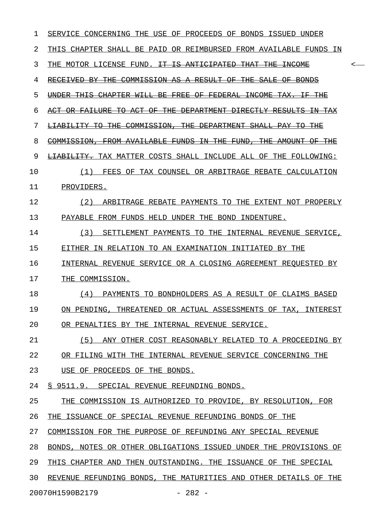| 1  | SERVICE CONCERNING THE USE OF PROCEEDS OF BONDS ISSUED UNDER                                                                                                           |
|----|------------------------------------------------------------------------------------------------------------------------------------------------------------------------|
| 2  | THIS CHAPTER SHALL BE PAID OR REIMBURSED FROM AVAILABLE FUNDS IN                                                                                                       |
| 3  | THE MOTOR LICENSE FUND. <del>IT IS ANTICIPATED</del><br><del>THAT</del><br><del>THE</del><br><del>INCOME</del><br><                                                    |
| 4  | COMMISSION AS A RESULT<br><del>RECEIVED BY THE</del><br><del>THE</del><br><del>SALE</del><br>ΘF<br>−OF<br>BONDS                                                        |
| 5  | <del>CHAPTER</del><br><del>WILL BE</del><br><del>FREE</del><br>−OF<br><del>FEDERAL</del><br><del>INCOME</del><br><del>TAX.</del><br>ŦHE<br><del>UNDER</del><br>ŦΕ      |
| 6  | <del>TO ACT</del><br>$\tt{THE}$<br><del>ACT OR</del><br><del>FAILURE</del><br>−OF<br><del>DEPARTMENT</del><br><del>DIRECTLY</del><br><del>-RESULTS</del><br>ŦАX<br>⊣⊞₩ |
| 7  | <del>LIABILITY TO</del><br>ŦHE<br><del>COMMISSION,</del><br><del>THE</del><br><del>DEPARTMENT</del><br><del>SHALL</del><br>-PAY-<br>ŦHE                                |
| 8  | COMMISSION, FROM AVAILABLE<br>-FUNDS<br>$\pm \mathrm{N}$<br><del>THE</del><br><del>.FUND.</del><br><del>THE</del><br><del>AMOUNT</del><br>ŦHE                          |
| 9  | <b>LIABILITY.</b> TAX MATTER COSTS SHALL INCLUDE ALL OF THE FOLLOWING:                                                                                                 |
| 10 | (1)<br>FEES OF TAX COUNSEL OR ARBITRAGE REBATE CALCULATION                                                                                                             |
| 11 | PROVIDERS.                                                                                                                                                             |
| 12 | (2)<br>ARBITRAGE REBATE PAYMENTS TO THE EXTENT NOT PROPERLY                                                                                                            |
| 13 | PAYABLE FROM FUNDS HELD UNDER THE BOND INDENTURE.                                                                                                                      |
| 14 | (3)<br>SETTLEMENT PAYMENTS TO THE<br>INTERNAL REVENUE SERVICE,                                                                                                         |
| 15 | EITHER IN RELATION TO AN EXAMINATION INITIATED BY THE                                                                                                                  |
| 16 | INTERNAL REVENUE SERVICE OR A CLOSING AGREEMENT REQUESTED BY                                                                                                           |
| 17 | THE COMMISSION.                                                                                                                                                        |
| 18 | (4)<br>PAYMENTS TO BONDHOLDERS AS A RESULT OF CLAIMS BASED                                                                                                             |
| 19 | ON PENDING, THREATENED OR ACTUAL ASSESSMENTS OF TAX, INTEREST                                                                                                          |
| 20 | OR PENALTIES BY THE INTERNAL REVENUE SERVICE.                                                                                                                          |
| 21 | (5) ANY OTHER COST REASONABLY RELATED TO A PROCEEDING BY                                                                                                               |
| 22 | OR FILING WITH THE INTERNAL REVENUE SERVICE CONCERNING THE                                                                                                             |
| 23 | USE OF PROCEEDS OF THE BONDS.                                                                                                                                          |
| 24 | § 9511.9. SPECIAL REVENUE REFUNDING BONDS.                                                                                                                             |
| 25 | THE COMMISSION IS AUTHORIZED TO PROVIDE, BY RESOLUTION, FOR                                                                                                            |
| 26 | THE ISSUANCE OF SPECIAL REVENUE REFUNDING BONDS OF THE                                                                                                                 |
| 27 | COMMISSION FOR THE PURPOSE OF REFUNDING ANY SPECIAL REVENUE                                                                                                            |
| 28 | BONDS, NOTES OR OTHER OBLIGATIONS ISSUED UNDER THE PROVISIONS OF                                                                                                       |
| 29 | THIS CHAPTER AND THEN OUTSTANDING. THE ISSUANCE OF THE SPECIAL                                                                                                         |
| 30 | REVENUE REFUNDING BONDS, THE MATURITIES AND OTHER DETAILS OF THE                                                                                                       |
|    | $-282 -$<br>20070H1590B2179                                                                                                                                            |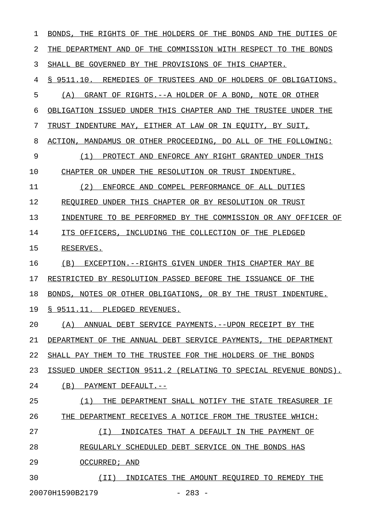| 1  | BONDS, THE RIGHTS OF THE HOLDERS OF THE BONDS AND THE<br>DUTIES OF         |
|----|----------------------------------------------------------------------------|
| 2  | THE DEPARTMENT AND OF THE COMMISSION WITH RESPECT TO THE BONDS             |
| 3  | SHALL BE GOVERNED BY THE PROVISIONS OF THIS CHAPTER.                       |
| 4  | § 9511.10. REMEDIES OF TRUSTEES AND OF HOLDERS OF OBLIGATIONS.             |
| 5  | GRANT OF RIGHTS. -- A HOLDER OF A BOND, NOTE OR OTHER<br>(A)               |
| 6  | OBLIGATION ISSUED UNDER THIS CHAPTER AND THE TRUSTEE UNDER THE             |
| 7  | TRUST INDENTURE MAY, EITHER AT LAW OR IN EQUITY, BY SUIT,                  |
| 8  | ACTION, MANDAMUS OR OTHER PROCEEDING, DO ALL OF THE FOLLOWING:             |
| 9  | PROTECT AND ENFORCE ANY RIGHT GRANTED UNDER THIS<br>(1)                    |
| 10 | CHAPTER OR UNDER THE RESOLUTION OR TRUST INDENTURE.                        |
| 11 | (2)<br>ENFORCE AND COMPEL PERFORMANCE OF ALL DUTIES                        |
| 12 | REQUIRED UNDER THIS CHAPTER OR BY RESOLUTION OR TRUST                      |
| 13 | INDENTURE TO BE PERFORMED BY THE COMMISSION OR ANY OFFICER OF              |
| 14 | ITS OFFICERS, INCLUDING THE COLLECTION OF THE PLEDGED                      |
| 15 | RESERVES.                                                                  |
| 16 | (B)<br>EXCEPTION.--RIGHTS GIVEN UNDER THIS CHAPTER MAY BE                  |
| 17 | RESTRICTED BY RESOLUTION PASSED BEFORE THE ISSUANCE OF THE                 |
| 18 | BONDS, NOTES OR OTHER OBLIGATIONS, OR BY THE TRUST INDENTURE.              |
| 19 | § 9511.11. PLEDGED REVENUES.                                               |
| 20 | (A)<br>ANNUAL DEBT SERVICE PAYMENTS.--UPON RECEIPT BY THE                  |
| 21 | DEPARTMENT OF THE ANNUAL DEBT SERVICE PAYMENTS, THE DEPARTMENT             |
| 22 | SHALL PAY THEM TO THE TRUSTEE FOR THE HOLDERS OF THE BONDS                 |
| 23 | UNDER SECTION 9511.2 (RELATING TO SPECIAL REVENUE BONDS).<br><b>ISSUED</b> |
| 24 | (B)<br>PAYMENT DEFAULT.--                                                  |
| 25 | (1)<br>DEPARTMENT SHALL NOTIFY THE STATE TREASURER IF<br>THE               |
| 26 | DEPARTMENT RECEIVES A NOTICE FROM THE TRUSTEE WHICH:<br>THE                |
| 27 | ( I )<br>INDICATES THAT A DEFAULT IN THE PAYMENT OF                        |
| 28 | REGULARLY SCHEDULED DEBT SERVICE ON THE BONDS HAS                          |
| 29 | OCCURRED; AND                                                              |
| 30 | (TI)<br>INDICATES THE AMOUNT REOUIRED TO REMEDY THE                        |

20070H1590B2179 - 283 -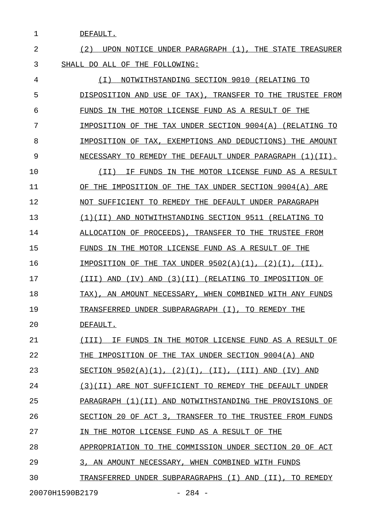1 DEFAULT.

2 (2) UPON NOTICE UNDER PARAGRAPH (1), THE STATE TREASURER 3 SHALL DO ALL OF THE FOLLOWING:

4 (I) NOTWITHSTANDING SECTION 9010 (RELATING TO \_\_\_\_\_\_\_\_\_\_\_\_\_\_\_\_\_\_\_\_\_\_\_\_\_\_\_\_\_\_\_\_\_\_\_\_\_\_\_\_\_\_\_\_\_\_ 5 DISPOSITION AND USE OF TAX), TRANSFER TO THE TRUSTEE FROM 6 FUNDS IN THE MOTOR LICENSE FUND AS A RESULT OF THE 7 IMPOSITION OF THE TAX UNDER SECTION 9004(A) (RELATING TO 8 IMPOSITION OF TAX, EXEMPTIONS AND DEDUCTIONS) THE AMOUNT 9 NECESSARY TO REMEDY THE DEFAULT UNDER PARAGRAPH (1)(II). 10  $(II)$  IF FUNDS IN THE MOTOR LICENSE FUND AS A RESULT 11 OF THE IMPOSITION OF THE TAX UNDER SECTION 9004(A) ARE 12 NOT SUFFICIENT TO REMEDY THE DEFAULT UNDER PARAGRAPH 13 (1)(II) AND NOTWITHSTANDING SECTION 9511 (RELATING TO 14 ALLOCATION OF PROCEEDS), TRANSFER TO THE TRUSTEE FROM 15 FUNDS IN THE MOTOR LICENSE FUND AS A RESULT OF THE 16 **IMPOSITION OF THE TAX UNDER 9502(A)(1), (2)(I), (II),** 17 (III) AND (IV) AND (3)(II) (RELATING TO IMPOSITION OF 18 TAX), AN AMOUNT NECESSARY, WHEN COMBINED WITH ANY FUNDS 19 TRANSFERRED UNDER SUBPARAGRAPH (I), TO REMEDY THE 20 DEFAULT. 21 (III) IF FUNDS IN THE MOTOR LICENSE FUND AS A RESULT OF 22 THE IMPOSITION OF THE TAX UNDER SECTION 9004(A) AND 23 SECTION  $9502(A)(1)$ ,  $(2)(I)$ ,  $(II)$ ,  $(III)$  AND  $(IV)$  AND 24 (3)(II) ARE NOT SUFFICIENT TO REMEDY THE DEFAULT UNDER 25 PARAGRAPH (1)(II) AND NOTWITHSTANDING THE PROVISIONS OF 26 SECTION 20 OF ACT 3, TRANSFER TO THE TRUSTEE FROM FUNDS 27 IN THE MOTOR LICENSE FUND AS A RESULT OF THE 28 APPROPRIATION TO THE COMMISSION UNDER SECTION 20 OF ACT 29 3, AN AMOUNT NECESSARY, WHEN COMBINED WITH FUNDS 30 TRANSFERRED UNDER SUBPARAGRAPHS (I) AND (II), TO REMEDY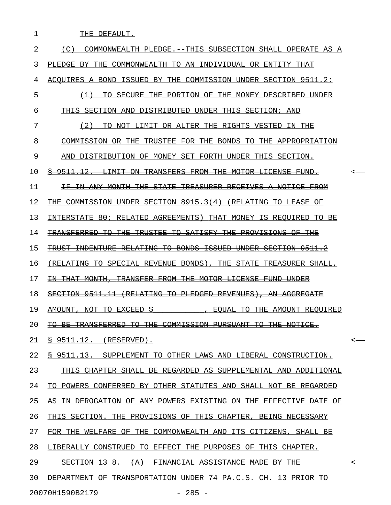1 THE DEFAULT.

| 2  | (C)<br>COMMONWEALTH PLEDGE.--THIS SUBSECTION SHALL OPERATE AS A                                                 |         |
|----|-----------------------------------------------------------------------------------------------------------------|---------|
| 3  | PLEDGE BY THE COMMONWEALTH TO AN INDIVIDUAL OR ENTITY THAT                                                      |         |
| 4  | ACOUIRES A BOND ISSUED BY THE COMMISSION UNDER SECTION 9511.2:                                                  |         |
| 5  | TO SECURE THE PORTION OF THE MONEY DESCRIBED UNDER<br>(1)                                                       |         |
| 6  | THIS SECTION AND DISTRIBUTED UNDER THIS SECTION; AND                                                            |         |
| 7  | (2)<br>TO NOT LIMIT OR ALTER THE RIGHTS VESTED IN THE                                                           |         |
| 8  | COMMISSION OR THE TRUSTEE FOR THE BONDS TO THE APPROPRIATION                                                    |         |
| 9  | AND DISTRIBUTION OF MONEY SET FORTH UNDER THIS SECTION.                                                         |         |
| 10 | <del>-LIMIT</del><br>TRANSFERS FROM THE<br>-MOTOR-                                                              |         |
| 11 | <del>MONTH THE</del><br><del>TREASURER</del><br><del>RECEIVES</del><br>-ANY -<br><del>NOTICE</del>              |         |
| 12 | 8915.3(4)<br><del>(RELATING-</del>                                                                              |         |
| 13 | <del>MONEY</del>                                                                                                |         |
| 14 | <del>TRANSFERRED</del><br>TRUSTEE<br><del>- TO -</del><br><del>SATISFY</del>                                    |         |
| 15 | - <del>TO -</del><br><del>BONDS ISSUED</del><br><del>UNDER</del>                                                |         |
| 16 | REVENUE BONDS),                                                                                                 |         |
| 17 | <del>-MONTH, TRANSFER</del><br><del>FROM THE</del><br><del>MOTOR</del><br><del>LICENSE</del><br><del>FUND</del> |         |
| 18 | (RELATING TO PLEDGED REVENUES),<br>SECTION<br>-AN-                                                              |         |
| 19 | <del>AMOUNT .</del><br><del>AMOUNT</del>                                                                        |         |
| 20 | TRANSFERRED TO<br><del>THE</del><br>COMMISSION PURSUANT<br>Ŧθ<br><del>THE</del><br>NOTICE.<br><del>TO BE</del>  |         |
| 21 | $\S$ 9511.12. (RESERVED).                                                                                       | $\,<\,$ |
| 22 | § 9511.13. SUPPLEMENT TO OTHER LAWS AND LIBERAL CONSTRUCTION.                                                   |         |
| 23 | THIS CHAPTER SHALL BE REGARDED AS SUPPLEMENTAL AND ADDITIONAL                                                   |         |
| 24 | TO POWERS CONFERRED BY OTHER STATUTES AND SHALL NOT BE REGARDED                                                 |         |
| 25 | AS IN DEROGATION OF ANY POWERS EXISTING ON THE EFFECTIVE DATE OF                                                |         |
| 26 | THIS SECTION. THE PROVISIONS OF THIS CHAPTER, BEING NECESSARY                                                   |         |
| 27 | FOR THE WELFARE OF THE COMMONWEALTH AND ITS CITIZENS, SHALL BE                                                  |         |
| 28 | LIBERALLY CONSTRUED TO EFFECT THE PURPOSES OF THIS CHAPTER.                                                     |         |
| 29 | SECTION 13 8. (A) FINANCIAL ASSISTANCE MADE BY THE                                                              | $\,<\,$ |
| 30 | DEPARTMENT OF TRANSPORTATION UNDER 74 PA.C.S. CH. 13 PRIOR TO                                                   |         |
|    | 20070H1590B2179<br>$-285 -$                                                                                     |         |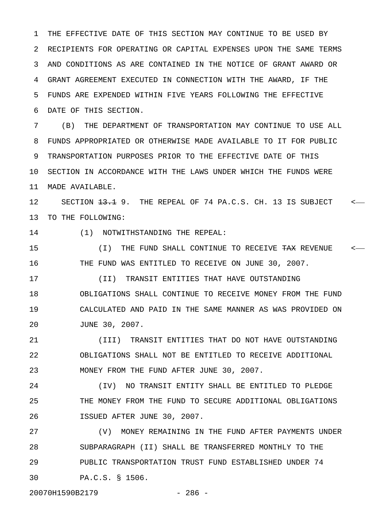1 THE EFFECTIVE DATE OF THIS SECTION MAY CONTINUE TO BE USED BY 2 RECIPIENTS FOR OPERATING OR CAPITAL EXPENSES UPON THE SAME TERMS 3 AND CONDITIONS AS ARE CONTAINED IN THE NOTICE OF GRANT AWARD OR 4 GRANT AGREEMENT EXECUTED IN CONNECTION WITH THE AWARD, IF THE 5 FUNDS ARE EXPENDED WITHIN FIVE YEARS FOLLOWING THE EFFECTIVE 6 DATE OF THIS SECTION.

7 (B) THE DEPARTMENT OF TRANSPORTATION MAY CONTINUE TO USE ALL 8 FUNDS APPROPRIATED OR OTHERWISE MADE AVAILABLE TO IT FOR PUBLIC 9 TRANSPORTATION PURPOSES PRIOR TO THE EFFECTIVE DATE OF THIS 10 SECTION IN ACCORDANCE WITH THE LAWS UNDER WHICH THE FUNDS WERE 11 MADE AVAILABLE.

12 SECTION  $13.1$  9. THE REPEAL OF 74 PA.C.S. CH. 13 IS SUBJECT <-13 TO THE FOLLOWING:

14 (1) NOTWITHSTANDING THE REPEAL:

15  $(1)$  THE FUND SHALL CONTINUE TO RECEIVE TAX REVENUE <-16 THE FUND WAS ENTITLED TO RECEIVE ON JUNE 30, 2007.

17 (II) TRANSIT ENTITIES THAT HAVE OUTSTANDING 18 OBLIGATIONS SHALL CONTINUE TO RECEIVE MONEY FROM THE FUND 19 CALCULATED AND PAID IN THE SAME MANNER AS WAS PROVIDED ON 20 JUNE 30, 2007.

21 (III) TRANSIT ENTITIES THAT DO NOT HAVE OUTSTANDING 22 OBLIGATIONS SHALL NOT BE ENTITLED TO RECEIVE ADDITIONAL 23 MONEY FROM THE FUND AFTER JUNE 30, 2007.

24 (IV) NO TRANSIT ENTITY SHALL BE ENTITLED TO PLEDGE 25 THE MONEY FROM THE FUND TO SECURE ADDITIONAL OBLIGATIONS 26 ISSUED AFTER JUNE 30, 2007.

27 (V) MONEY REMAINING IN THE FUND AFTER PAYMENTS UNDER 28 SUBPARAGRAPH (II) SHALL BE TRANSFERRED MONTHLY TO THE 29 PUBLIC TRANSPORTATION TRUST FUND ESTABLISHED UNDER 74 30 PA.C.S. § 1506.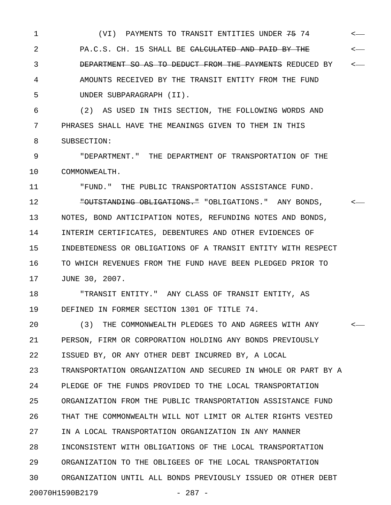1 (VI) PAYMENTS TO TRANSIT ENTITIES UNDER <del>75</del> 74 <-2 PA.C.S. CH. 15 SHALL BE CALCULATED AND PAID BY THE  $\leftarrow$ 3 DEPARTMENT SO AS TO DEDUCT FROM THE PAYMENTS REDUCED BY  $\sim$ 4 AMOUNTS RECEIVED BY THE TRANSIT ENTITY FROM THE FUND 5 UNDER SUBPARAGRAPH (II).

6 (2) AS USED IN THIS SECTION, THE FOLLOWING WORDS AND 7 PHRASES SHALL HAVE THE MEANINGS GIVEN TO THEM IN THIS 8 SUBSECTION:

9 "DEPARTMENT." THE DEPARTMENT OF TRANSPORTATION OF THE 10 COMMONWEALTH.

11 "FUND." THE PUBLIC TRANSPORTATION ASSISTANCE FUND.

12 **"OUTSTANDING OBLIGATIONS."** "OBLIGATIONS." ANY BONDS, 13 NOTES, BOND ANTICIPATION NOTES, REFUNDING NOTES AND BONDS, 14 INTERIM CERTIFICATES, DEBENTURES AND OTHER EVIDENCES OF 15 INDEBTEDNESS OR OBLIGATIONS OF A TRANSIT ENTITY WITH RESPECT 16 TO WHICH REVENUES FROM THE FUND HAVE BEEN PLEDGED PRIOR TO 17 JUNE 30, 2007.

18 "TRANSIT ENTITY." ANY CLASS OF TRANSIT ENTITY, AS 19 DEFINED IN FORMER SECTION 1301 OF TITLE 74.

20 (3) THE COMMONWEALTH PLEDGES TO AND AGREES WITH ANY < 21 PERSON, FIRM OR CORPORATION HOLDING ANY BONDS PREVIOUSLY 22 ISSUED BY, OR ANY OTHER DEBT INCURRED BY, A LOCAL 23 TRANSPORTATION ORGANIZATION AND SECURED IN WHOLE OR PART BY A 24 PLEDGE OF THE FUNDS PROVIDED TO THE LOCAL TRANSPORTATION 25 ORGANIZATION FROM THE PUBLIC TRANSPORTATION ASSISTANCE FUND 26 THAT THE COMMONWEALTH WILL NOT LIMIT OR ALTER RIGHTS VESTED 27 IN A LOCAL TRANSPORTATION ORGANIZATION IN ANY MANNER 28 INCONSISTENT WITH OBLIGATIONS OF THE LOCAL TRANSPORTATION 29 ORGANIZATION TO THE OBLIGEES OF THE LOCAL TRANSPORTATION 30 ORGANIZATION UNTIL ALL BONDS PREVIOUSLY ISSUED OR OTHER DEBT 20070H1590B2179 - 287 -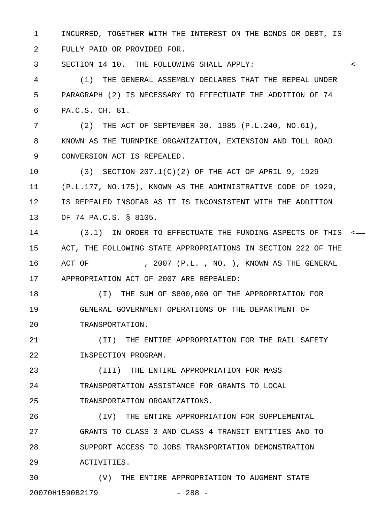1 INCURRED, TOGETHER WITH THE INTEREST ON THE BONDS OR DEBT, IS

2 FULLY PAID OR PROVIDED FOR.

3 SECTION <del>14</del> 10. THE FOLLOWING SHALL APPLY:  $\leftarrow$ 

4 (1) THE GENERAL ASSEMBLY DECLARES THAT THE REPEAL UNDER 5 PARAGRAPH (2) IS NECESSARY TO EFFECTUATE THE ADDITION OF 74 6 PA.C.S. CH. 81.

7 (2) THE ACT OF SEPTEMBER 30, 1985 (P.L.240, NO.61), 8 KNOWN AS THE TURNPIKE ORGANIZATION, EXTENSION AND TOLL ROAD 9 CONVERSION ACT IS REPEALED.

10 (3) SECTION 207.1(C)(2) OF THE ACT OF APRIL 9, 1929 11 (P.L.177, NO.175), KNOWN AS THE ADMINISTRATIVE CODE OF 1929, 12 IS REPEALED INSOFAR AS IT IS INCONSISTENT WITH THE ADDITION 13 OF 74 PA.C.S. § 8105.

14 (3.1) IN ORDER TO EFFECTUATE THE FUNDING ASPECTS OF THIS <-15 ACT, THE FOLLOWING STATE APPROPRIATIONS IN SECTION 222 OF THE 16 ACT OF , 2007 (P.L., NO.), KNOWN AS THE GENERAL 17 APPROPRIATION ACT OF 2007 ARE REPEALED:

18 (I) THE SUM OF \$800,000 OF THE APPROPRIATION FOR 19 GENERAL GOVERNMENT OPERATIONS OF THE DEPARTMENT OF 20 TRANSPORTATION.

21 (II) THE ENTIRE APPROPRIATION FOR THE RAIL SAFETY 22 INSPECTION PROGRAM.

23 (III) THE ENTIRE APPROPRIATION FOR MASS 24 TRANSPORTATION ASSISTANCE FOR GRANTS TO LOCAL 25 TRANSPORTATION ORGANIZATIONS.

26 (IV) THE ENTIRE APPROPRIATION FOR SUPPLEMENTAL 27 GRANTS TO CLASS 3 AND CLASS 4 TRANSIT ENTITIES AND TO 28 SUPPORT ACCESS TO JOBS TRANSPORTATION DEMONSTRATION 29 ACTIVITIES.

30 (V) THE ENTIRE APPROPRIATION TO AUGMENT STATE 20070H1590B2179 - 288 -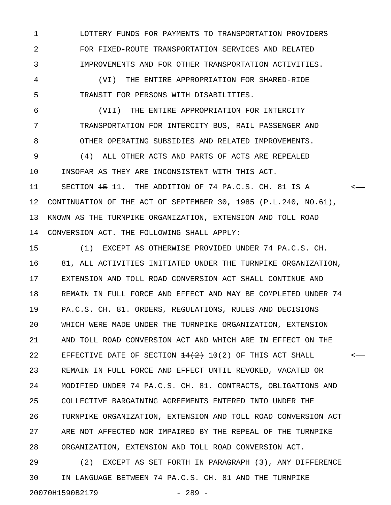1 LOTTERY FUNDS FOR PAYMENTS TO TRANSPORTATION PROVIDERS 2 FOR FIXED-ROUTE TRANSPORTATION SERVICES AND RELATED 3 IMPROVEMENTS AND FOR OTHER TRANSPORTATION ACTIVITIES.

4 (VI) THE ENTIRE APPROPRIATION FOR SHARED-RIDE 5 TRANSIT FOR PERSONS WITH DISABILITIES.

6 (VII) THE ENTIRE APPROPRIATION FOR INTERCITY 7 TRANSPORTATION FOR INTERCITY BUS, RAIL PASSENGER AND 8 OTHER OPERATING SUBSIDIES AND RELATED IMPROVEMENTS.

9 (4) ALL OTHER ACTS AND PARTS OF ACTS ARE REPEALED 10 INSOFAR AS THEY ARE INCONSISTENT WITH THIS ACT.

11 SECTION 15 11. THE ADDITION OF 74 PA.C.S. CH. 81 IS A < 12 CONTINUATION OF THE ACT OF SEPTEMBER 30, 1985 (P.L.240, NO.61), 13 KNOWN AS THE TURNPIKE ORGANIZATION, EXTENSION AND TOLL ROAD 14 CONVERSION ACT. THE FOLLOWING SHALL APPLY:

15 (1) EXCEPT AS OTHERWISE PROVIDED UNDER 74 PA.C.S. CH. 16 81, ALL ACTIVITIES INITIATED UNDER THE TURNPIKE ORGANIZATION, 17 EXTENSION AND TOLL ROAD CONVERSION ACT SHALL CONTINUE AND 18 REMAIN IN FULL FORCE AND EFFECT AND MAY BE COMPLETED UNDER 74 19 PA.C.S. CH. 81. ORDERS, REGULATIONS, RULES AND DECISIONS 20 WHICH WERE MADE UNDER THE TURNPIKE ORGANIZATION, EXTENSION 21 AND TOLL ROAD CONVERSION ACT AND WHICH ARE IN EFFECT ON THE 22 EFFECTIVE DATE OF SECTION  $\frac{14(2)}{2}$  10(2) OF THIS ACT SHALL  $\sim$ 23 REMAIN IN FULL FORCE AND EFFECT UNTIL REVOKED, VACATED OR 24 MODIFIED UNDER 74 PA.C.S. CH. 81. CONTRACTS, OBLIGATIONS AND 25 COLLECTIVE BARGAINING AGREEMENTS ENTERED INTO UNDER THE 26 TURNPIKE ORGANIZATION, EXTENSION AND TOLL ROAD CONVERSION ACT 27 ARE NOT AFFECTED NOR IMPAIRED BY THE REPEAL OF THE TURNPIKE 28 ORGANIZATION, EXTENSION AND TOLL ROAD CONVERSION ACT.

29 (2) EXCEPT AS SET FORTH IN PARAGRAPH (3), ANY DIFFERENCE 30 IN LANGUAGE BETWEEN 74 PA.C.S. CH. 81 AND THE TURNPIKE 20070H1590B2179 - 289 -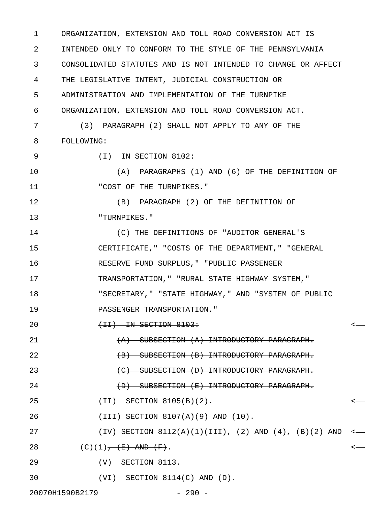1 ORGANIZATION, EXTENSION AND TOLL ROAD CONVERSION ACT IS 2 INTENDED ONLY TO CONFORM TO THE STYLE OF THE PENNSYLVANIA 3 CONSOLIDATED STATUTES AND IS NOT INTENDED TO CHANGE OR AFFECT 4 THE LEGISLATIVE INTENT, JUDICIAL CONSTRUCTION OR 5 ADMINISTRATION AND IMPLEMENTATION OF THE TURNPIKE 6 ORGANIZATION, EXTENSION AND TOLL ROAD CONVERSION ACT. 7 (3) PARAGRAPH (2) SHALL NOT APPLY TO ANY OF THE 8 FOLLOWING: 9 (I) IN SECTION 8102: 10 (A) PARAGRAPHS (1) AND (6) OF THE DEFINITION OF 11 COST OF THE TURNPIKES." 12 (B) PARAGRAPH (2) OF THE DEFINITION OF 13 "TURNPIKES." 14 (C) THE DEFINITIONS OF "AUDITOR GENERAL'S 15 CERTIFICATE," "COSTS OF THE DEPARTMENT," "GENERAL 16 RESERVE FUND SURPLUS," "PUBLIC PASSENGER 17 TRANSPORTATION," "RURAL STATE HIGHWAY SYSTEM," 18 "SECRETARY," "STATE HIGHWAY," AND "SYSTEM OF PUBLIC 19 PASSENGER TRANSPORTATION." 20 (II) IN SECTION 8103: < 21 (A) SUBSECTION (A) INTRODUCTORY PARAGRAPH. 22 **(B) SUBSECTION (B) INTRODUCTORY PARAGRAPH.** 23 (C) SUBSECTION (D) INTRODUCTORY PARAGRAPH. 24 (D) SUBSECTION (E) INTRODUCTORY PARAGRAPH. 25 (II) SECTION 8105(B)(2). < 26 (III) SECTION 8107(A)(9) AND (10). 27 (IV) SECTION 8112(A)(1)(III), (2) AND (4), (B)(2) AND <-28 (C)(1)<del>, (E) AND (F)</del>.  $\left($ 29 (V) SECTION 8113. 30 (VI) SECTION 8114(C) AND (D).

20070H1590B2179 - 290 -